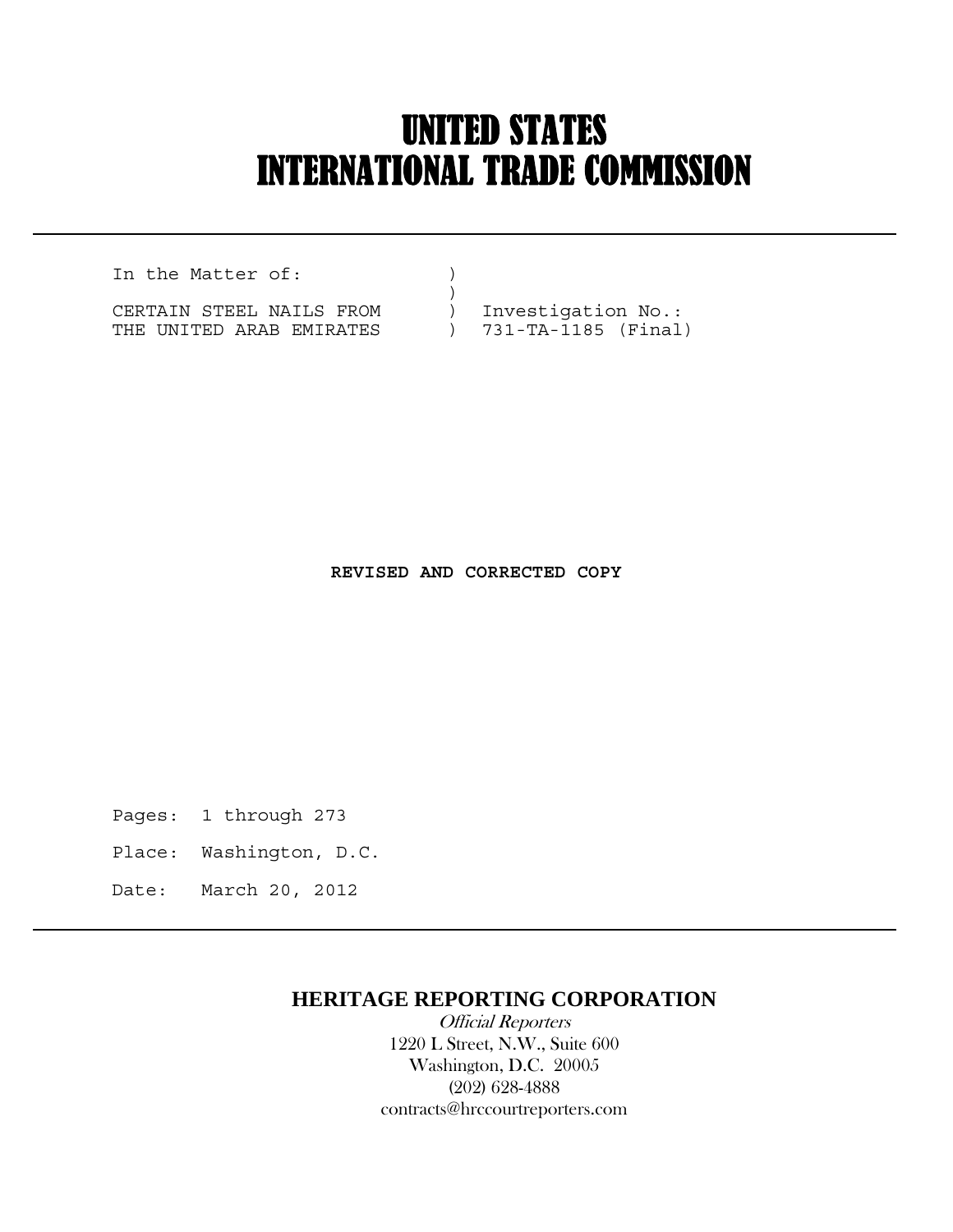## UNITED STATES INTERNATIONAL TRADE COMMISSION

In the Matter of:  $)$  $)$ 

 $\overline{a}$ 

CERTAIN STEEL NAILS FROM ) Investigation No.: THE UNITED ARAB EMIRATES ) 731-TA-1185 (Final)

 **REVISED AND CORRECTED COPY**

Pages: 1 through 273

- Place: Washington, D.C.
- Date: March 20, 2012

## **HERITAGE REPORTING CORPORATION**

 Official Reporters 1220 L Street, N.W., Suite 600 Washington, D.C. 20005 (202) 628-4888 contracts@hrccourtreporters.com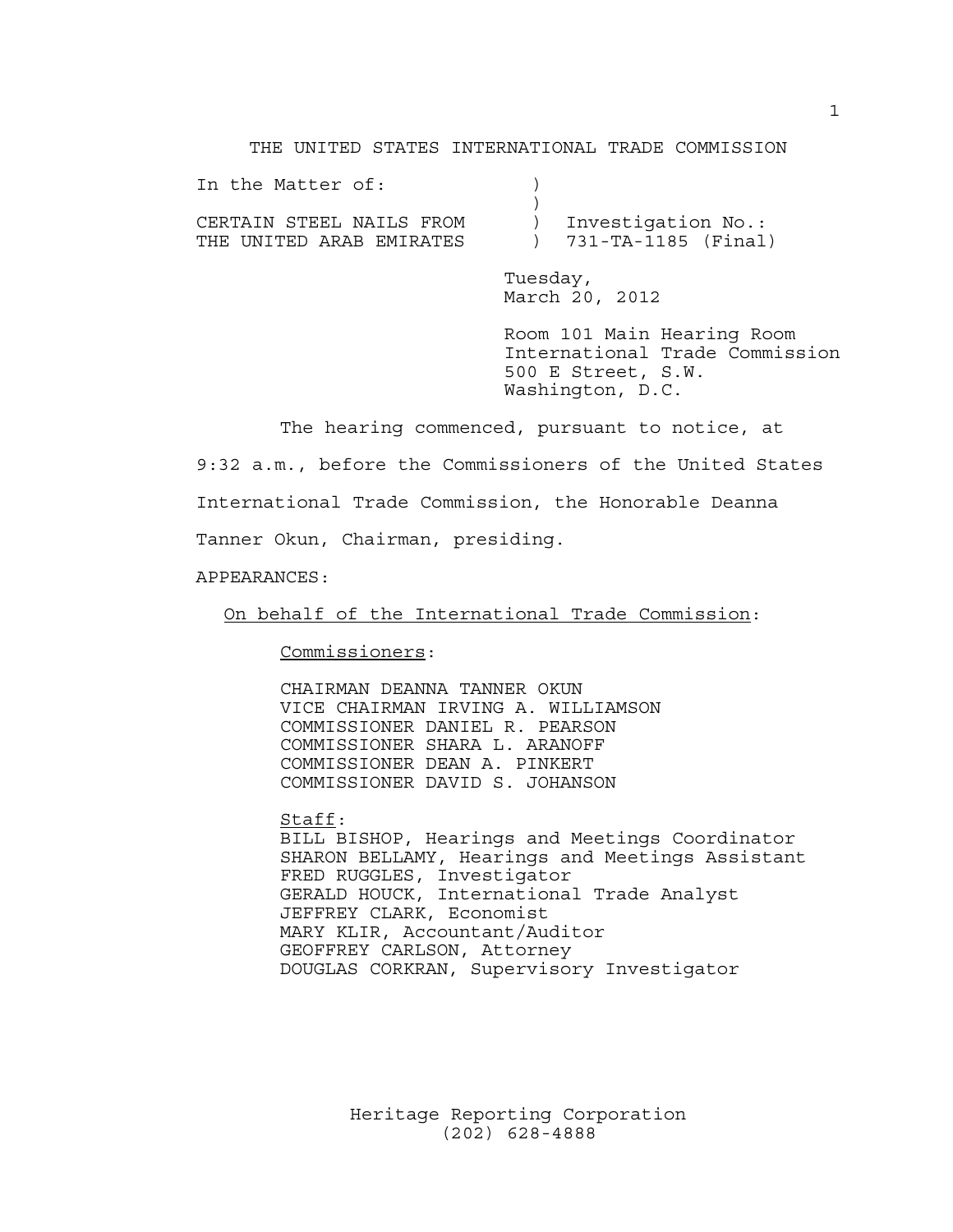## THE UNITED STATES INTERNATIONAL TRADE COMMISSION

| In the Matter of:        |                       |
|--------------------------|-----------------------|
|                          |                       |
| CERTAIN STEEL NAILS FROM | ) Investigation No.:  |
| THE UNITED ARAB EMIRATES | ) 731-TA-1185 (Final) |

 Tuesday, March 20, 2012

 Room 101 Main Hearing Room International Trade Commission 500 E Street, S.W. Washington, D.C.

The hearing commenced, pursuant to notice, at

9:32 a.m., before the Commissioners of the United States International Trade Commission, the Honorable Deanna Tanner Okun, Chairman, presiding.

APPEARANCES:

On behalf of the International Trade Commission:

Commissioners:

 CHAIRMAN DEANNA TANNER OKUN VICE CHAIRMAN IRVING A. WILLIAMSON COMMISSIONER DANIEL R. PEARSON COMMISSIONER SHARA L. ARANOFF COMMISSIONER DEAN A. PINKERT COMMISSIONER DAVID S. JOHANSON

 Staff: BILL BISHOP, Hearings and Meetings Coordinator SHARON BELLAMY, Hearings and Meetings Assistant FRED RUGGLES, Investigator GERALD HOUCK, International Trade Analyst JEFFREY CLARK, Economist MARY KLIR, Accountant/Auditor GEOFFREY CARLSON, Attorney DOUGLAS CORKRAN, Supervisory Investigator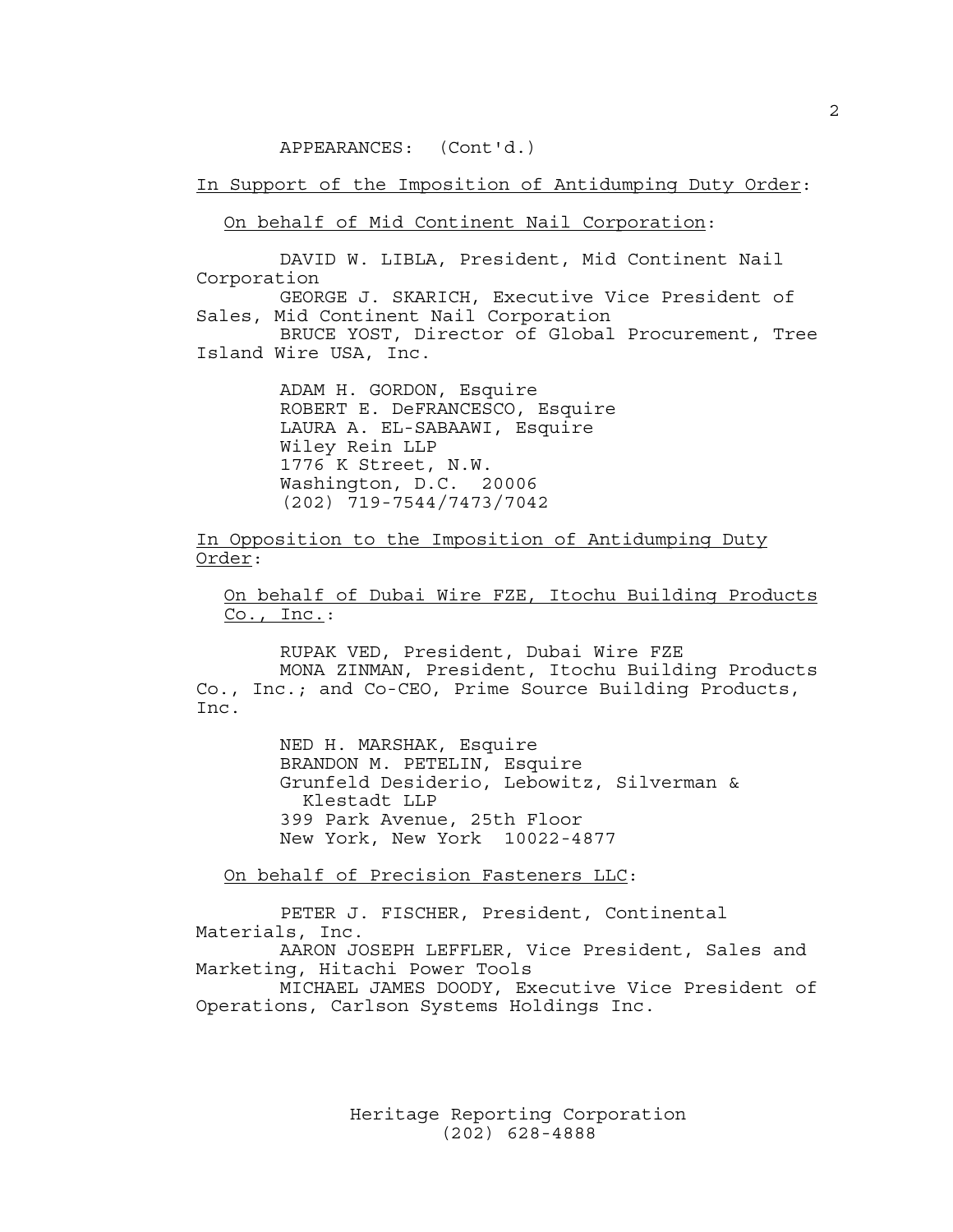APPEARANCES: (Cont'd.)

In Support of the Imposition of Antidumping Duty Order:

On behalf of Mid Continent Nail Corporation:

 DAVID W. LIBLA, President, Mid Continent Nail Corporation

 GEORGE J. SKARICH, Executive Vice President of Sales, Mid Continent Nail Corporation

 BRUCE YOST, Director of Global Procurement, Tree Island Wire USA, Inc.

> ADAM H. GORDON, Esquire ROBERT E. DeFRANCESCO, Esquire LAURA A. EL-SABAAWI, Esquire Wiley Rein LLP 1776 K Street, N.W. Washington, D.C. 20006 (202) 719-7544/7473/7042

In Opposition to the Imposition of Antidumping Duty Order:

 On behalf of Dubai Wire FZE, Itochu Building Products  $Co.$ , Inc.:

 RUPAK VED, President, Dubai Wire FZE MONA ZINMAN, President, Itochu Building Products Co., Inc.; and Co-CEO, Prime Source Building Products, Inc.

> NED H. MARSHAK, Esquire BRANDON M. PETELIN, Esquire Grunfeld Desiderio, Lebowitz, Silverman & Klestadt LLP 399 Park Avenue, 25th Floor New York, New York 10022-4877

On behalf of Precision Fasteners LLC:

 PETER J. FISCHER, President, Continental Materials, Inc.

 AARON JOSEPH LEFFLER, Vice President, Sales and Marketing, Hitachi Power Tools

 MICHAEL JAMES DOODY, Executive Vice President of Operations, Carlson Systems Holdings Inc.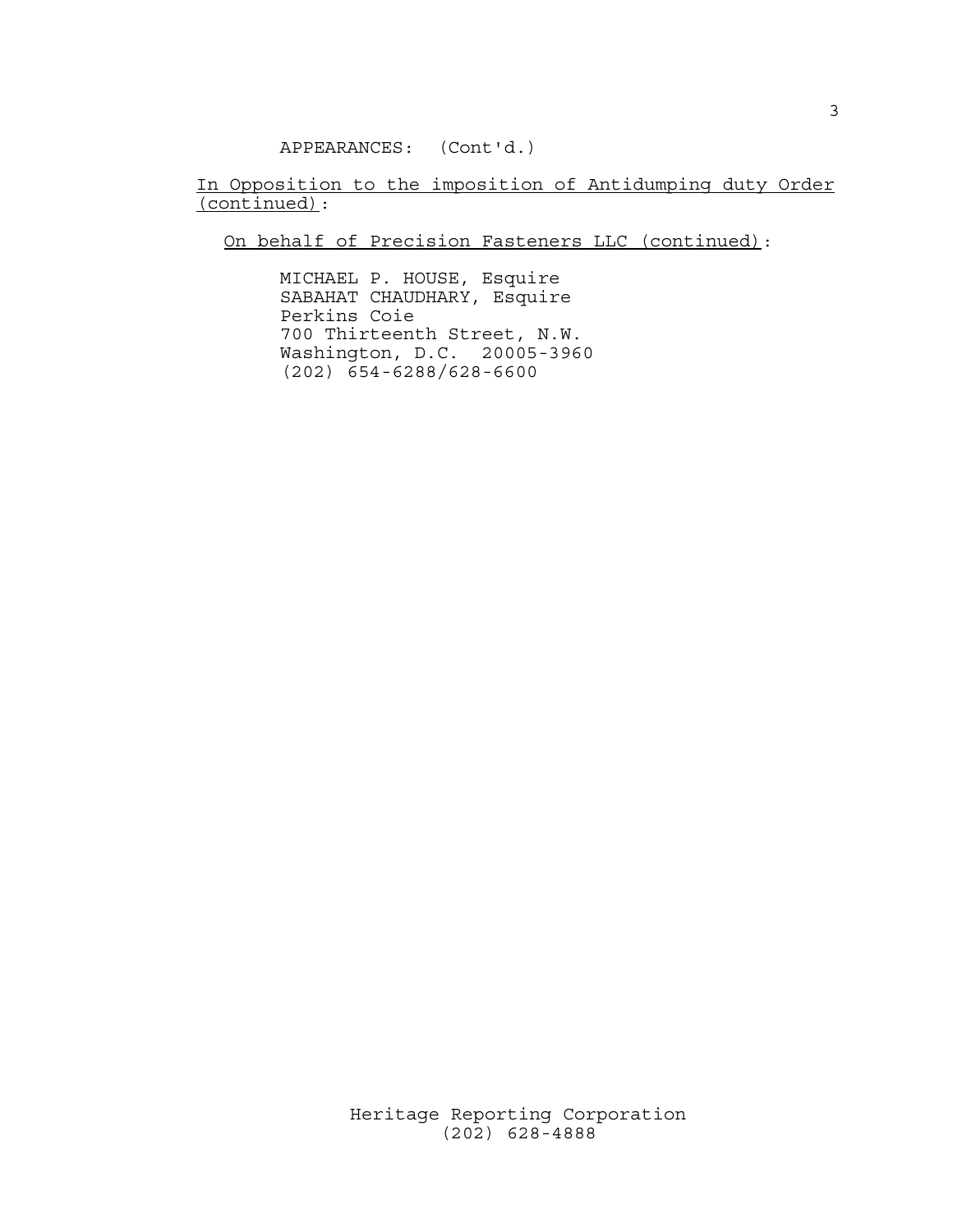APPEARANCES: (Cont'd.)

In Opposition to the imposition of Antidumping duty Order (continued):

On behalf of Precision Fasteners LLC (continued):

 MICHAEL P. HOUSE, Esquire SABAHAT CHAUDHARY, Esquire Perkins Coie 700 Thirteenth Street, N.W. Washington, D.C. 20005-3960 (202) 654-6288/628-6600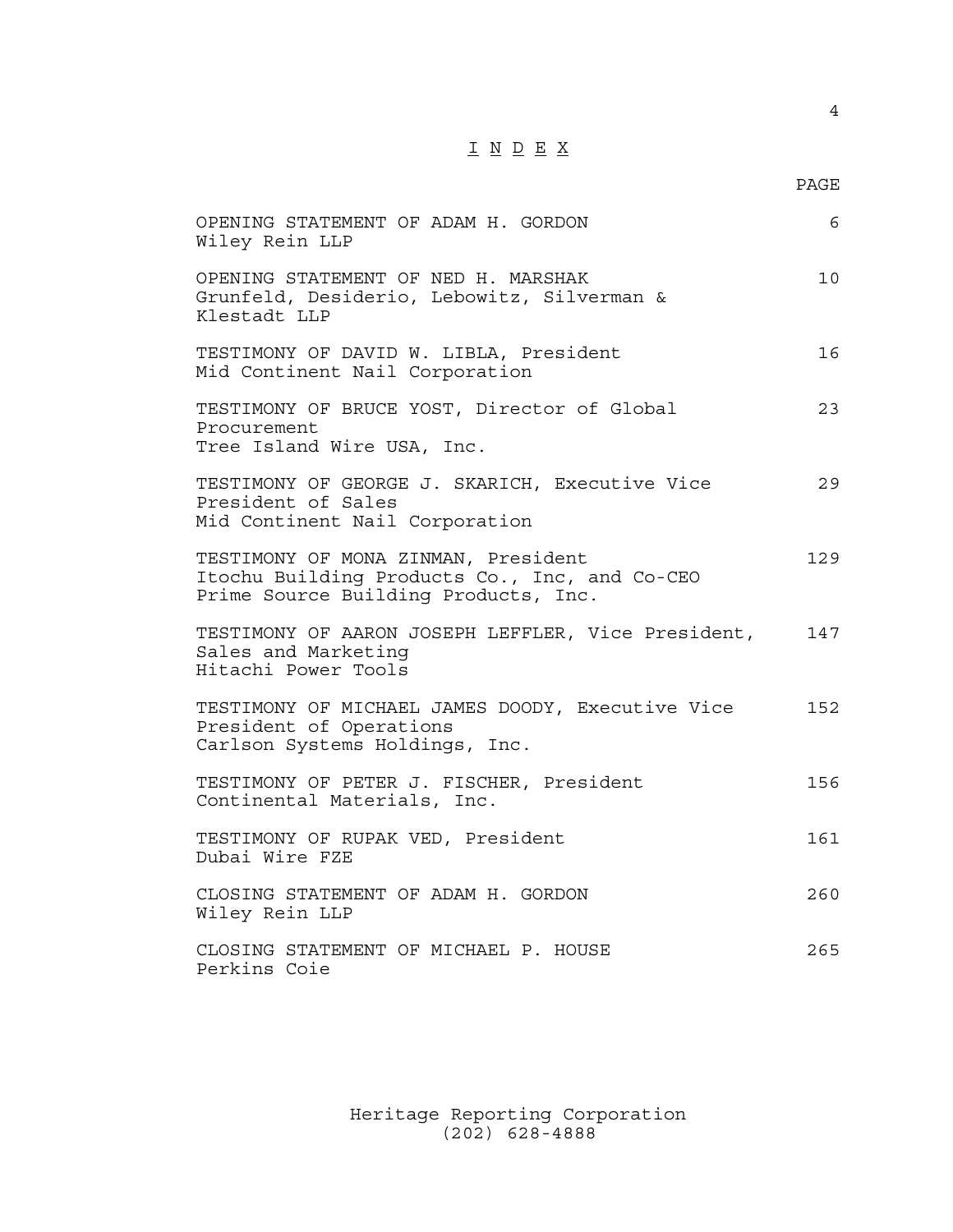## I N D E X

| OPENING STATEMENT OF ADAM H. GORDON<br>Wiley Rein LLP                                                                        | 6   |
|------------------------------------------------------------------------------------------------------------------------------|-----|
| OPENING STATEMENT OF NED H. MARSHAK<br>Grunfeld, Desiderio, Lebowitz, Silverman &<br>Klestadt LLP                            | 10  |
| TESTIMONY OF DAVID W. LIBLA, President<br>Mid Continent Nail Corporation                                                     | 16  |
| TESTIMONY OF BRUCE YOST, Director of Global<br>Procurement<br>Tree Island Wire USA, Inc.                                     | 23  |
| TESTIMONY OF GEORGE J. SKARICH, Executive Vice<br>President of Sales<br>Mid Continent Nail Corporation                       | 29  |
| TESTIMONY OF MONA ZINMAN, President<br>Itochu Building Products Co., Inc, and Co-CEO<br>Prime Source Building Products, Inc. | 129 |
| TESTIMONY OF AARON JOSEPH LEFFLER, Vice President,<br>Sales and Marketing<br>Hitachi Power Tools                             | 147 |
| TESTIMONY OF MICHAEL JAMES DOODY, Executive Vice<br>President of Operations<br>Carlson Systems Holdings, Inc.                | 152 |
| TESTIMONY OF PETER J. FISCHER, President<br>Continental Materials, Inc.                                                      | 156 |
| TESTIMONY OF RUPAK VED, President<br>Dubai Wire FZE                                                                          | 161 |
| CLOSING STATEMENT OF ADAM H. GORDON<br>Wiley Rein LLP                                                                        | 260 |
| CLOSING STATEMENT OF MICHAEL P. HOUSE<br>Perkins Coie                                                                        | 265 |

 Heritage Reporting Corporation (202) 628-4888

4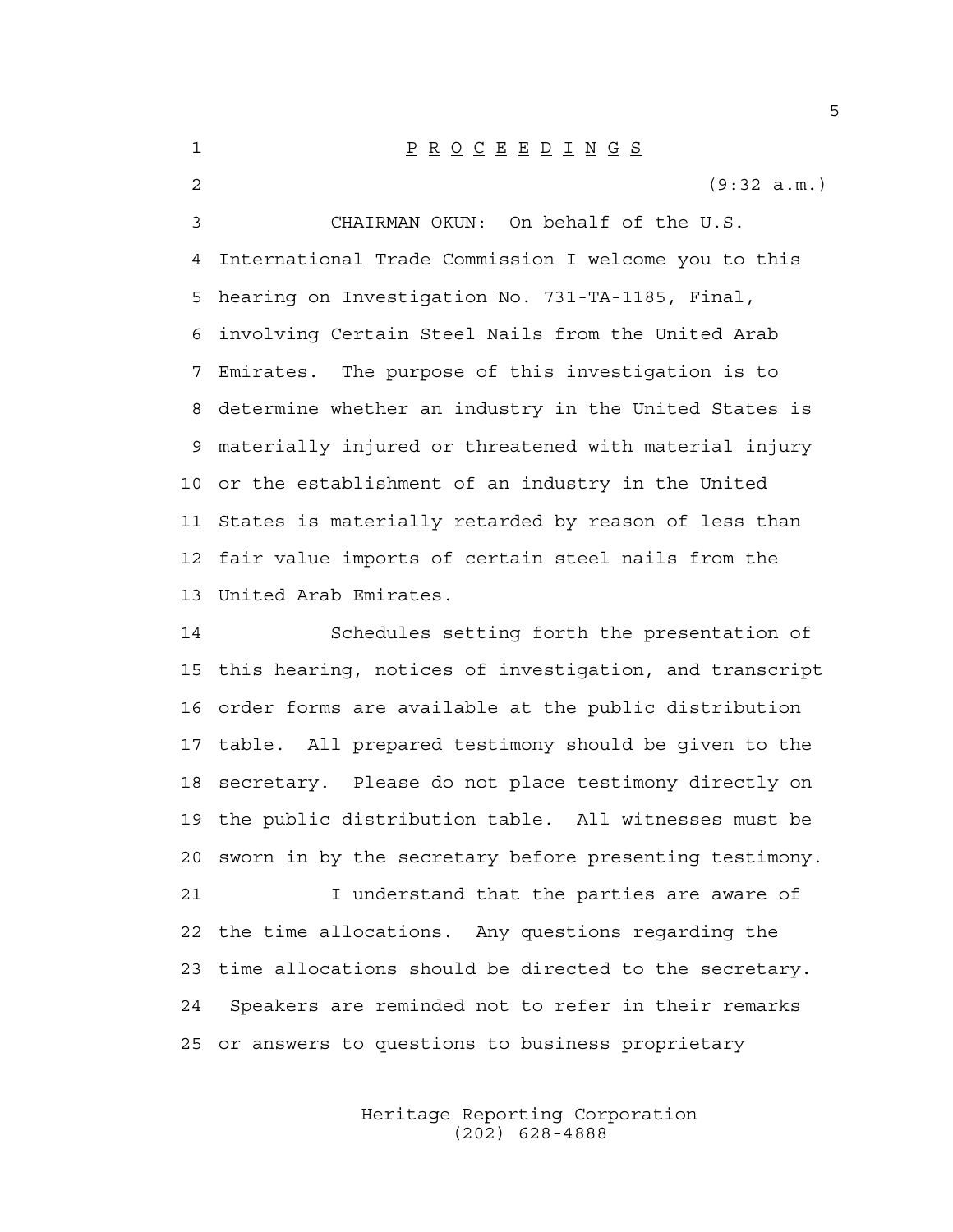1 P R O C E E D I N G S 2 (9:32 a.m.) 3 CHAIRMAN OKUN: On behalf of the U.S. 4 International Trade Commission I welcome you to this 5 hearing on Investigation No. 731-TA-1185, Final, 6 involving Certain Steel Nails from the United Arab 7 Emirates. The purpose of this investigation is to 8 determine whether an industry in the United States is 9 materially injured or threatened with material injury 10 or the establishment of an industry in the United 11 States is materially retarded by reason of less than 12 fair value imports of certain steel nails from the 13 United Arab Emirates.

14 Schedules setting forth the presentation of 15 this hearing, notices of investigation, and transcript 16 order forms are available at the public distribution 17 table. All prepared testimony should be given to the 18 secretary. Please do not place testimony directly on 19 the public distribution table. All witnesses must be 20 sworn in by the secretary before presenting testimony. 21 I understand that the parties are aware of

22 the time allocations. Any questions regarding the 23 time allocations should be directed to the secretary. 24 Speakers are reminded not to refer in their remarks 25 or answers to questions to business proprietary

> Heritage Reporting Corporation (202) 628-4888

5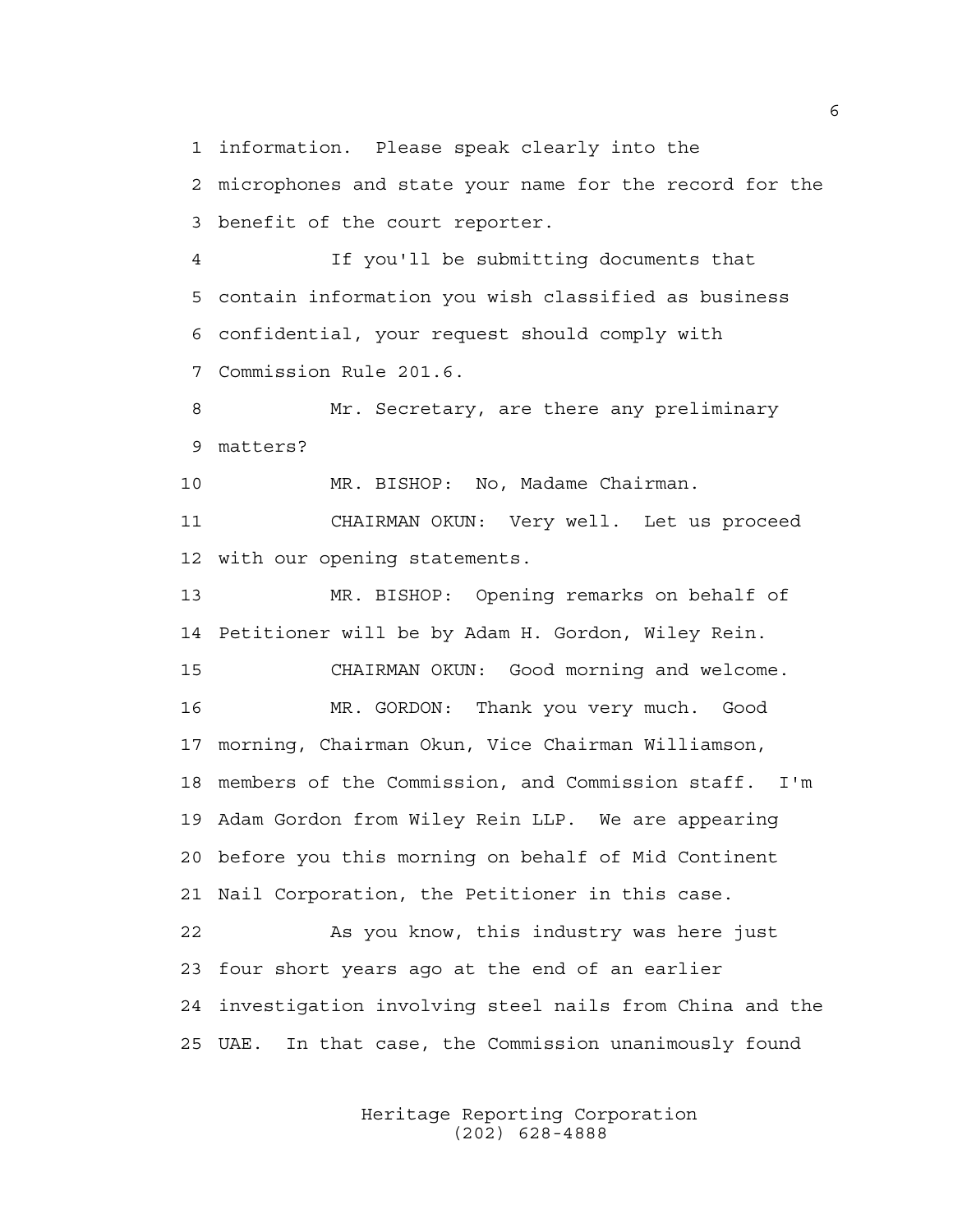1 information. Please speak clearly into the

2 microphones and state your name for the record for the 3 benefit of the court reporter.

4 If you'll be submitting documents that 5 contain information you wish classified as business 6 confidential, your request should comply with 7 Commission Rule 201.6.

8 Mr. Secretary, are there any preliminary 9 matters?

10 MR. BISHOP: No, Madame Chairman.

11 CHAIRMAN OKUN: Very well. Let us proceed 12 with our opening statements.

13 MR. BISHOP: Opening remarks on behalf of 14 Petitioner will be by Adam H. Gordon, Wiley Rein. 15 CHAIRMAN OKUN: Good morning and welcome. 16 MR. GORDON: Thank you very much. Good 17 morning, Chairman Okun, Vice Chairman Williamson, 18 members of the Commission, and Commission staff. I'm 19 Adam Gordon from Wiley Rein LLP. We are appearing 20 before you this morning on behalf of Mid Continent 21 Nail Corporation, the Petitioner in this case.

22 As you know, this industry was here just 23 four short years ago at the end of an earlier 24 investigation involving steel nails from China and the 25 UAE. In that case, the Commission unanimously found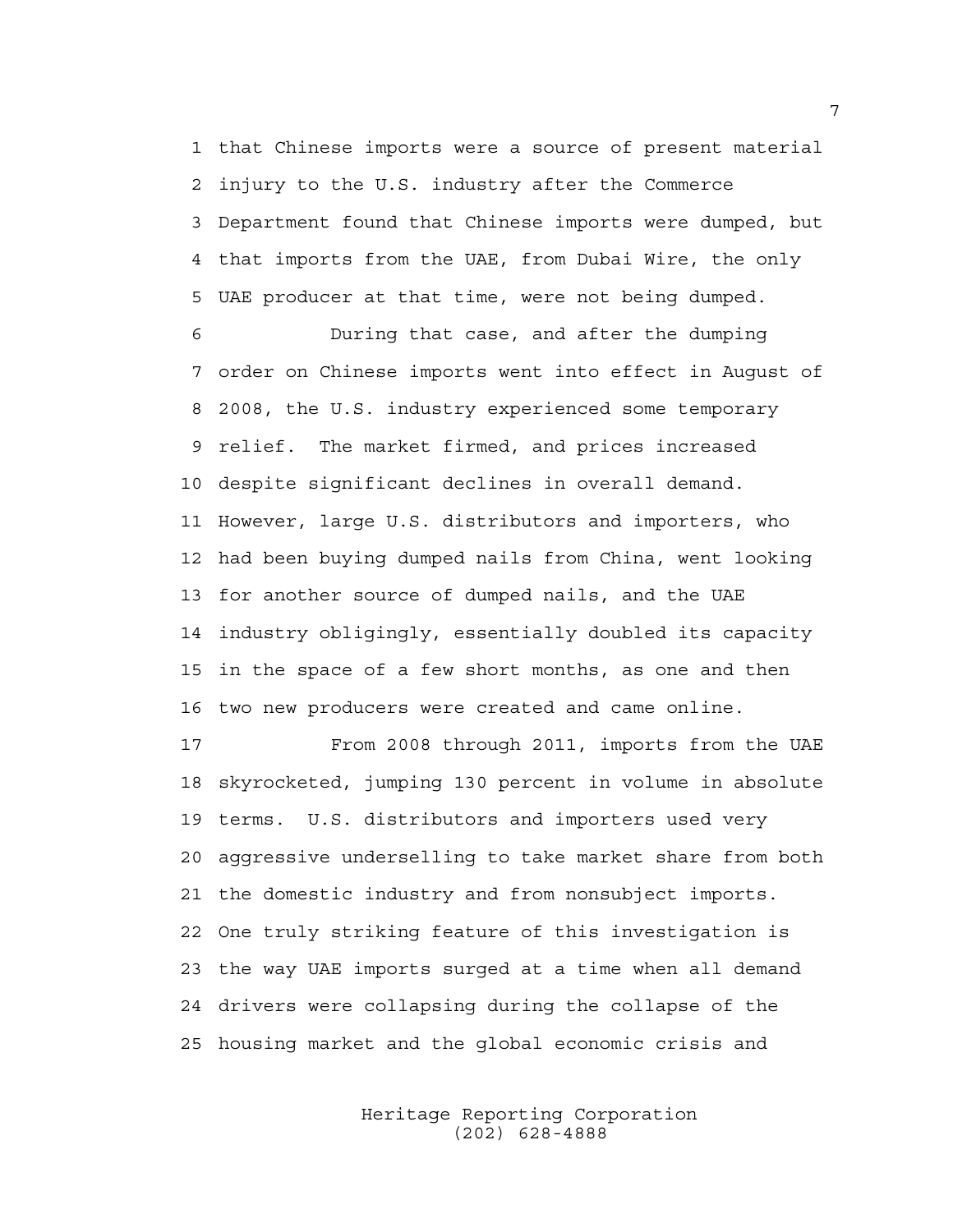1 that Chinese imports were a source of present material 2 injury to the U.S. industry after the Commerce 3 Department found that Chinese imports were dumped, but 4 that imports from the UAE, from Dubai Wire, the only 5 UAE producer at that time, were not being dumped.

6 During that case, and after the dumping 7 order on Chinese imports went into effect in August of 8 2008, the U.S. industry experienced some temporary 9 relief. The market firmed, and prices increased 10 despite significant declines in overall demand. 11 However, large U.S. distributors and importers, who 12 had been buying dumped nails from China, went looking 13 for another source of dumped nails, and the UAE 14 industry obligingly, essentially doubled its capacity 15 in the space of a few short months, as one and then 16 two new producers were created and came online.

17 From 2008 through 2011, imports from the UAE 18 skyrocketed, jumping 130 percent in volume in absolute 19 terms. U.S. distributors and importers used very 20 aggressive underselling to take market share from both 21 the domestic industry and from nonsubject imports. 22 One truly striking feature of this investigation is 23 the way UAE imports surged at a time when all demand 24 drivers were collapsing during the collapse of the 25 housing market and the global economic crisis and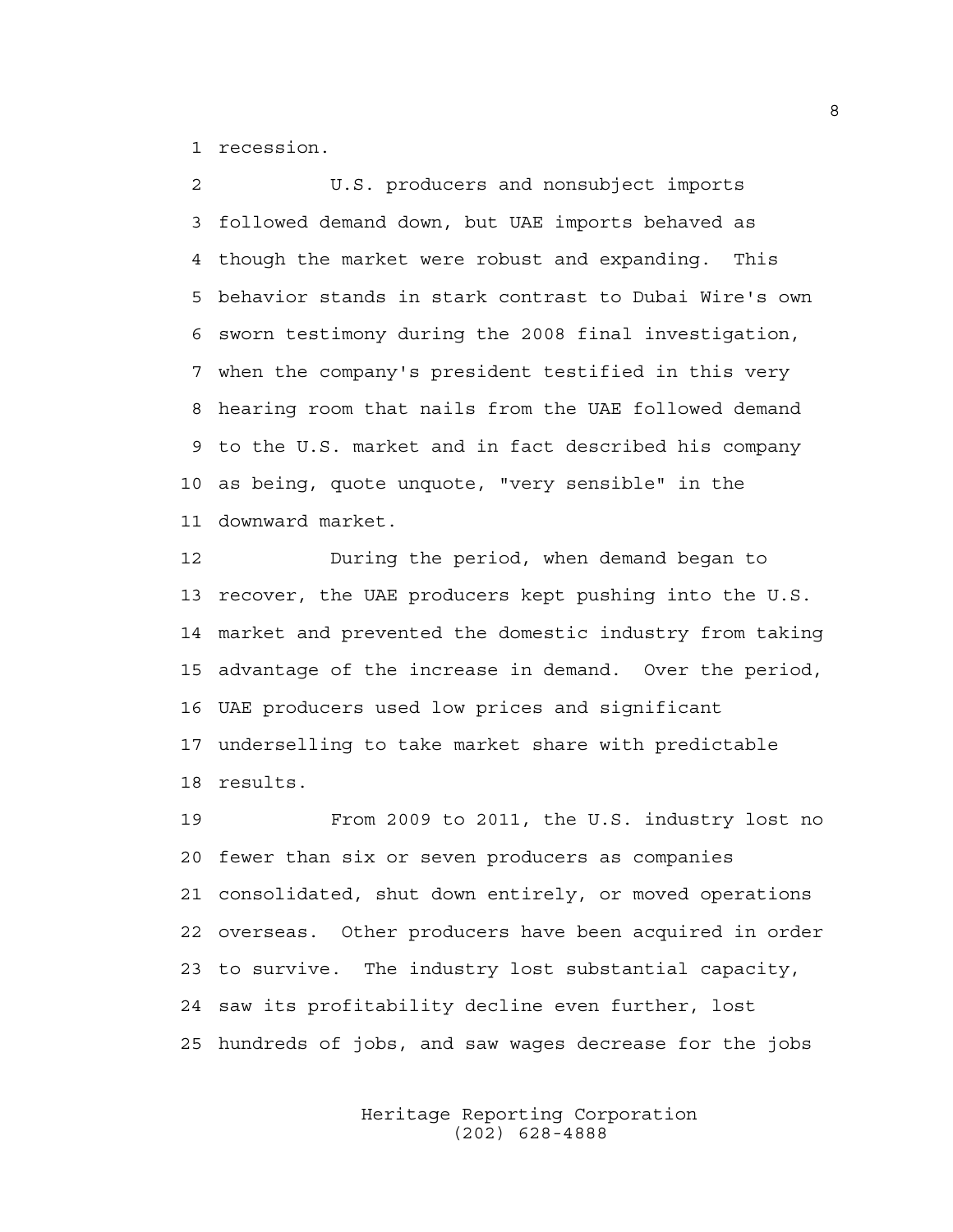1 recession.

2 U.S. producers and nonsubject imports 3 followed demand down, but UAE imports behaved as 4 though the market were robust and expanding. This 5 behavior stands in stark contrast to Dubai Wire's own 6 sworn testimony during the 2008 final investigation, 7 when the company's president testified in this very 8 hearing room that nails from the UAE followed demand 9 to the U.S. market and in fact described his company 10 as being, quote unquote, "very sensible" in the 11 downward market.

12 During the period, when demand began to 13 recover, the UAE producers kept pushing into the U.S. 14 market and prevented the domestic industry from taking 15 advantage of the increase in demand. Over the period, 16 UAE producers used low prices and significant 17 underselling to take market share with predictable 18 results.

19 From 2009 to 2011, the U.S. industry lost no 20 fewer than six or seven producers as companies 21 consolidated, shut down entirely, or moved operations 22 overseas. Other producers have been acquired in order 23 to survive. The industry lost substantial capacity, 24 saw its profitability decline even further, lost 25 hundreds of jobs, and saw wages decrease for the jobs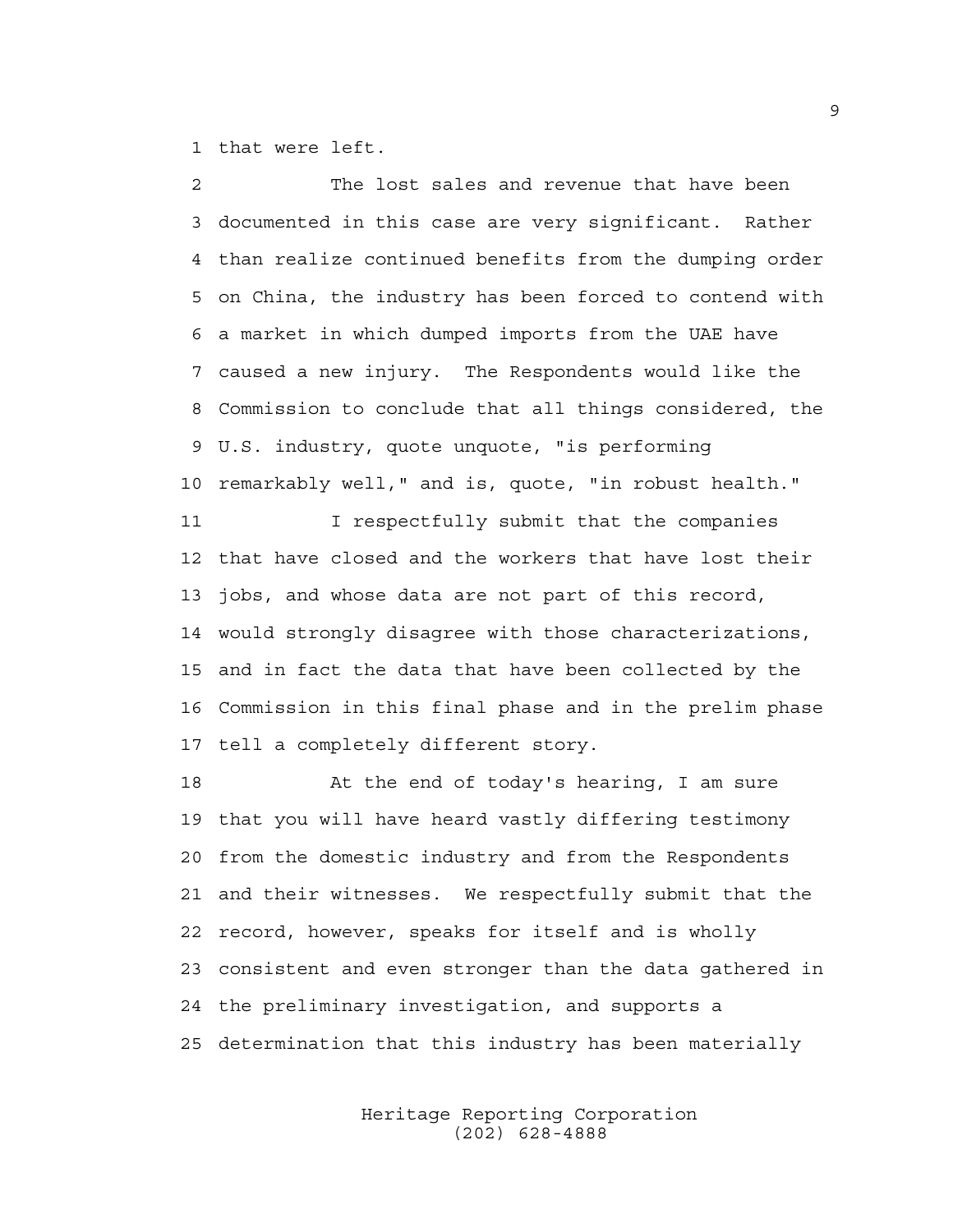1 that were left.

2 The lost sales and revenue that have been 3 documented in this case are very significant. Rather 4 than realize continued benefits from the dumping order 5 on China, the industry has been forced to contend with 6 a market in which dumped imports from the UAE have 7 caused a new injury. The Respondents would like the 8 Commission to conclude that all things considered, the 9 U.S. industry, quote unquote, "is performing 10 remarkably well," and is, quote, "in robust health." 11 I respectfully submit that the companies 12 that have closed and the workers that have lost their 13 jobs, and whose data are not part of this record, 14 would strongly disagree with those characterizations, 15 and in fact the data that have been collected by the 16 Commission in this final phase and in the prelim phase 17 tell a completely different story. 18 At the end of today's hearing, I am sure

19 that you will have heard vastly differing testimony 20 from the domestic industry and from the Respondents 21 and their witnesses. We respectfully submit that the 22 record, however, speaks for itself and is wholly 23 consistent and even stronger than the data gathered in 24 the preliminary investigation, and supports a 25 determination that this industry has been materially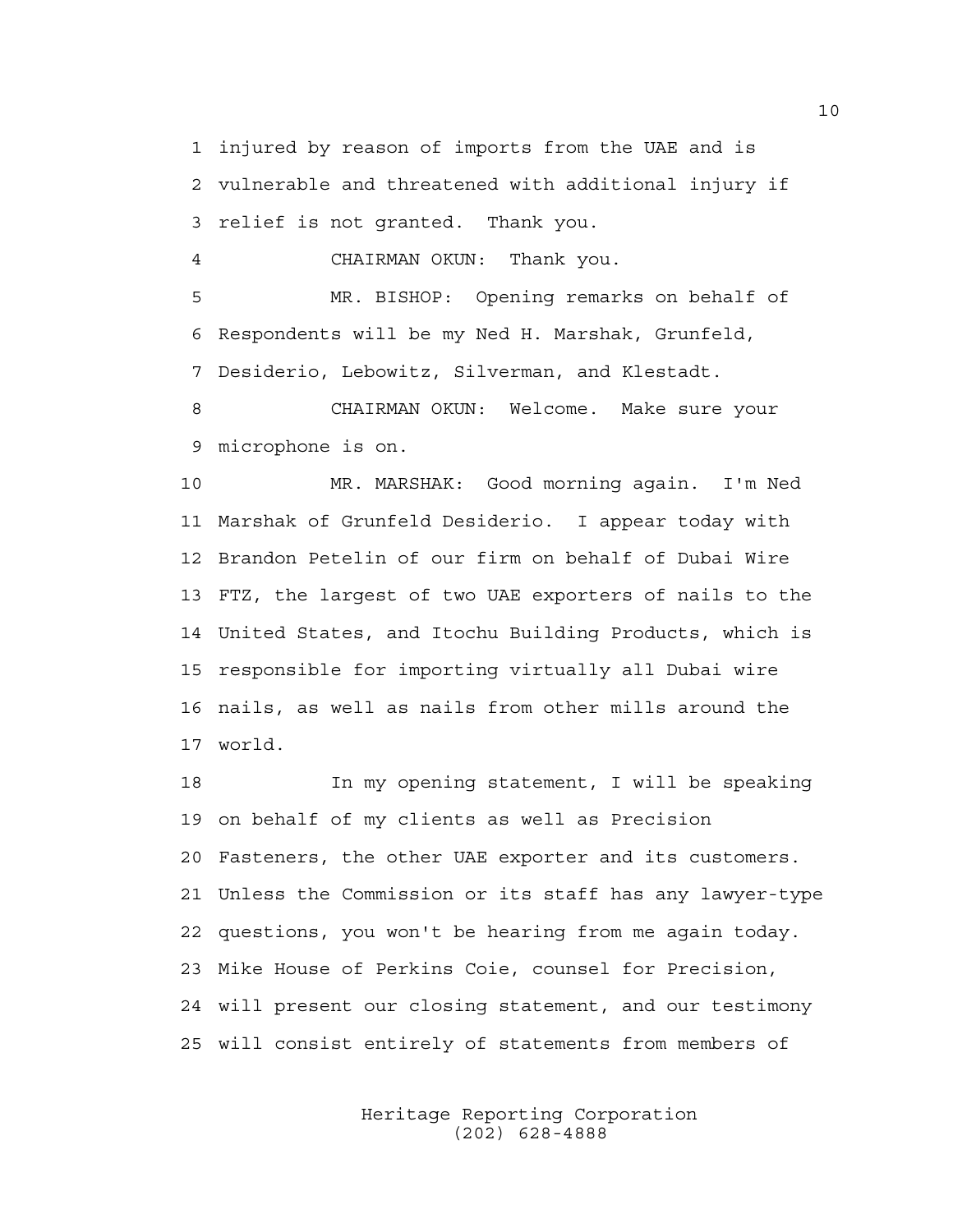1 injured by reason of imports from the UAE and is 2 vulnerable and threatened with additional injury if 3 relief is not granted. Thank you.

4 CHAIRMAN OKUN: Thank you.

5 MR. BISHOP: Opening remarks on behalf of 6 Respondents will be my Ned H. Marshak, Grunfeld, 7 Desiderio, Lebowitz, Silverman, and Klestadt.

8 CHAIRMAN OKUN: Welcome. Make sure your 9 microphone is on.

10 MR. MARSHAK: Good morning again. I'm Ned 11 Marshak of Grunfeld Desiderio. I appear today with 12 Brandon Petelin of our firm on behalf of Dubai Wire 13 FTZ, the largest of two UAE exporters of nails to the 14 United States, and Itochu Building Products, which is 15 responsible for importing virtually all Dubai wire 16 nails, as well as nails from other mills around the 17 world.

18 In my opening statement, I will be speaking 19 on behalf of my clients as well as Precision 20 Fasteners, the other UAE exporter and its customers. 21 Unless the Commission or its staff has any lawyer-type 22 questions, you won't be hearing from me again today. 23 Mike House of Perkins Coie, counsel for Precision, 24 will present our closing statement, and our testimony 25 will consist entirely of statements from members of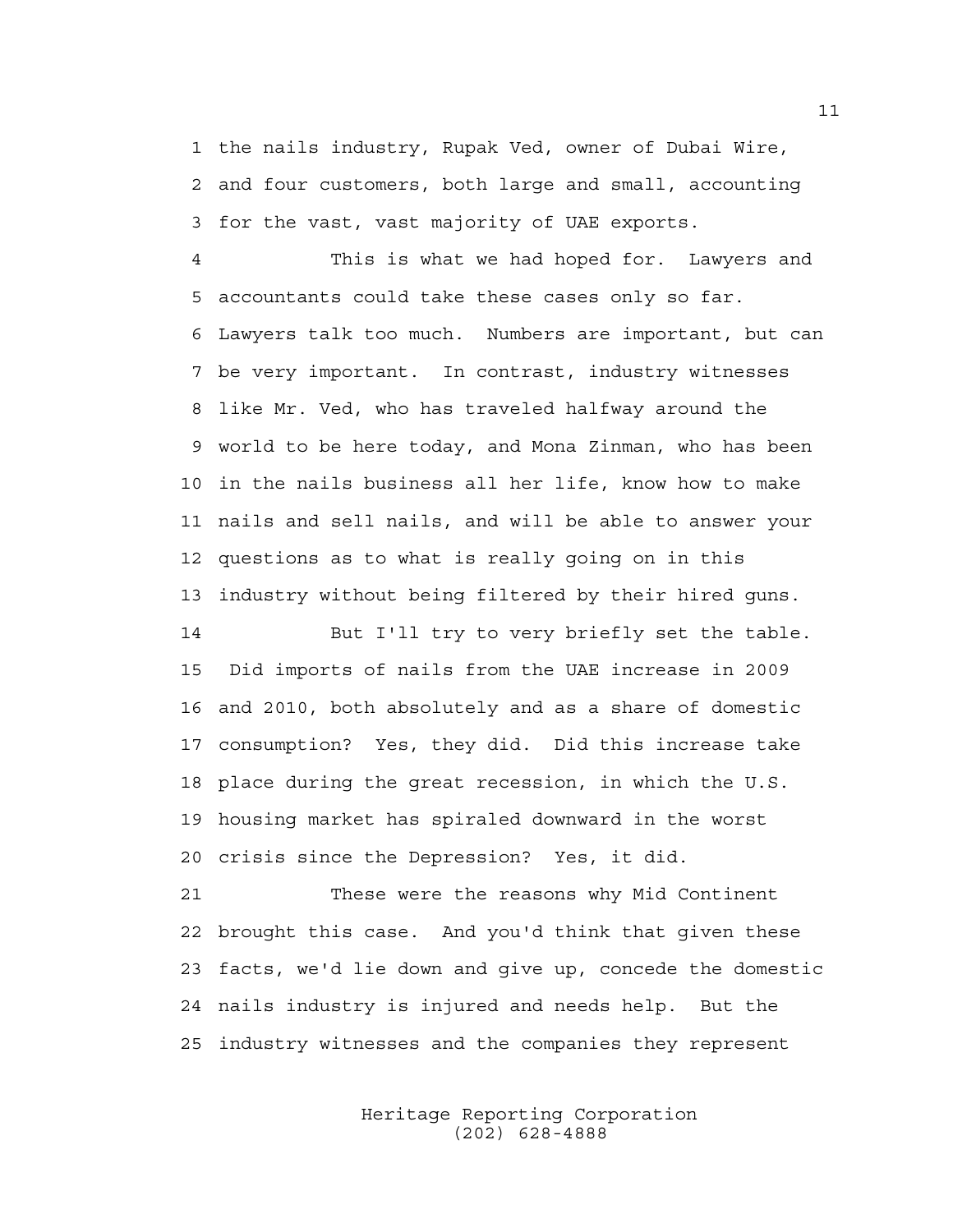1 the nails industry, Rupak Ved, owner of Dubai Wire, 2 and four customers, both large and small, accounting 3 for the vast, vast majority of UAE exports.

4 This is what we had hoped for. Lawyers and 5 accountants could take these cases only so far. 6 Lawyers talk too much. Numbers are important, but can 7 be very important. In contrast, industry witnesses 8 like Mr. Ved, who has traveled halfway around the 9 world to be here today, and Mona Zinman, who has been 10 in the nails business all her life, know how to make 11 nails and sell nails, and will be able to answer your 12 questions as to what is really going on in this 13 industry without being filtered by their hired guns.

14 But I'll try to very briefly set the table. 15 Did imports of nails from the UAE increase in 2009 16 and 2010, both absolutely and as a share of domestic 17 consumption? Yes, they did. Did this increase take 18 place during the great recession, in which the U.S. 19 housing market has spiraled downward in the worst 20 crisis since the Depression? Yes, it did.

21 These were the reasons why Mid Continent 22 brought this case. And you'd think that given these 23 facts, we'd lie down and give up, concede the domestic 24 nails industry is injured and needs help. But the 25 industry witnesses and the companies they represent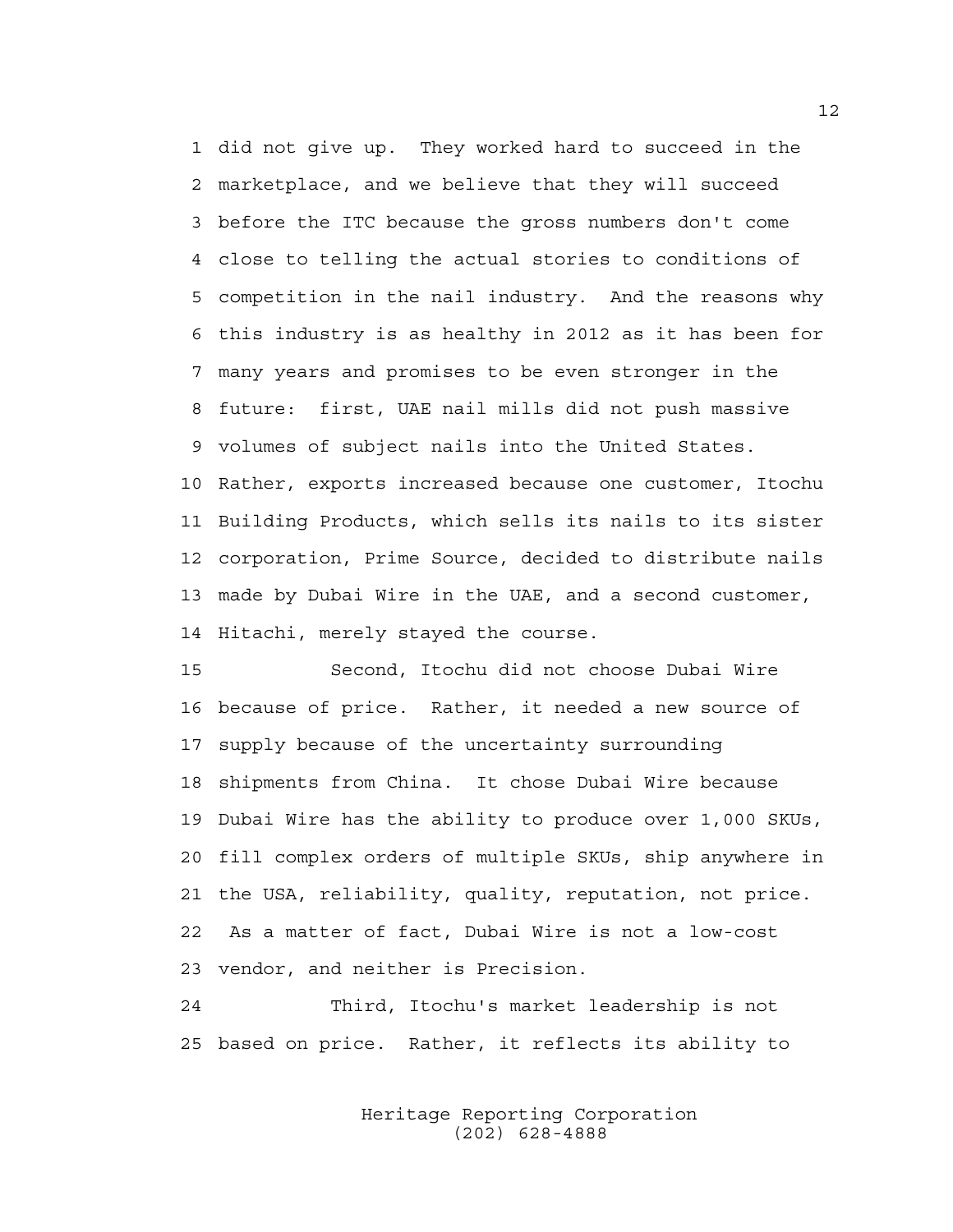1 did not give up. They worked hard to succeed in the 2 marketplace, and we believe that they will succeed 3 before the ITC because the gross numbers don't come 4 close to telling the actual stories to conditions of 5 competition in the nail industry. And the reasons why 6 this industry is as healthy in 2012 as it has been for 7 many years and promises to be even stronger in the 8 future: first, UAE nail mills did not push massive 9 volumes of subject nails into the United States. 10 Rather, exports increased because one customer, Itochu 11 Building Products, which sells its nails to its sister 12 corporation, Prime Source, decided to distribute nails 13 made by Dubai Wire in the UAE, and a second customer, 14 Hitachi, merely stayed the course.

15 Second, Itochu did not choose Dubai Wire 16 because of price. Rather, it needed a new source of 17 supply because of the uncertainty surrounding 18 shipments from China. It chose Dubai Wire because 19 Dubai Wire has the ability to produce over 1,000 SKUs, 20 fill complex orders of multiple SKUs, ship anywhere in 21 the USA, reliability, quality, reputation, not price. 22 As a matter of fact, Dubai Wire is not a low-cost 23 vendor, and neither is Precision.

24 Third, Itochu's market leadership is not 25 based on price. Rather, it reflects its ability to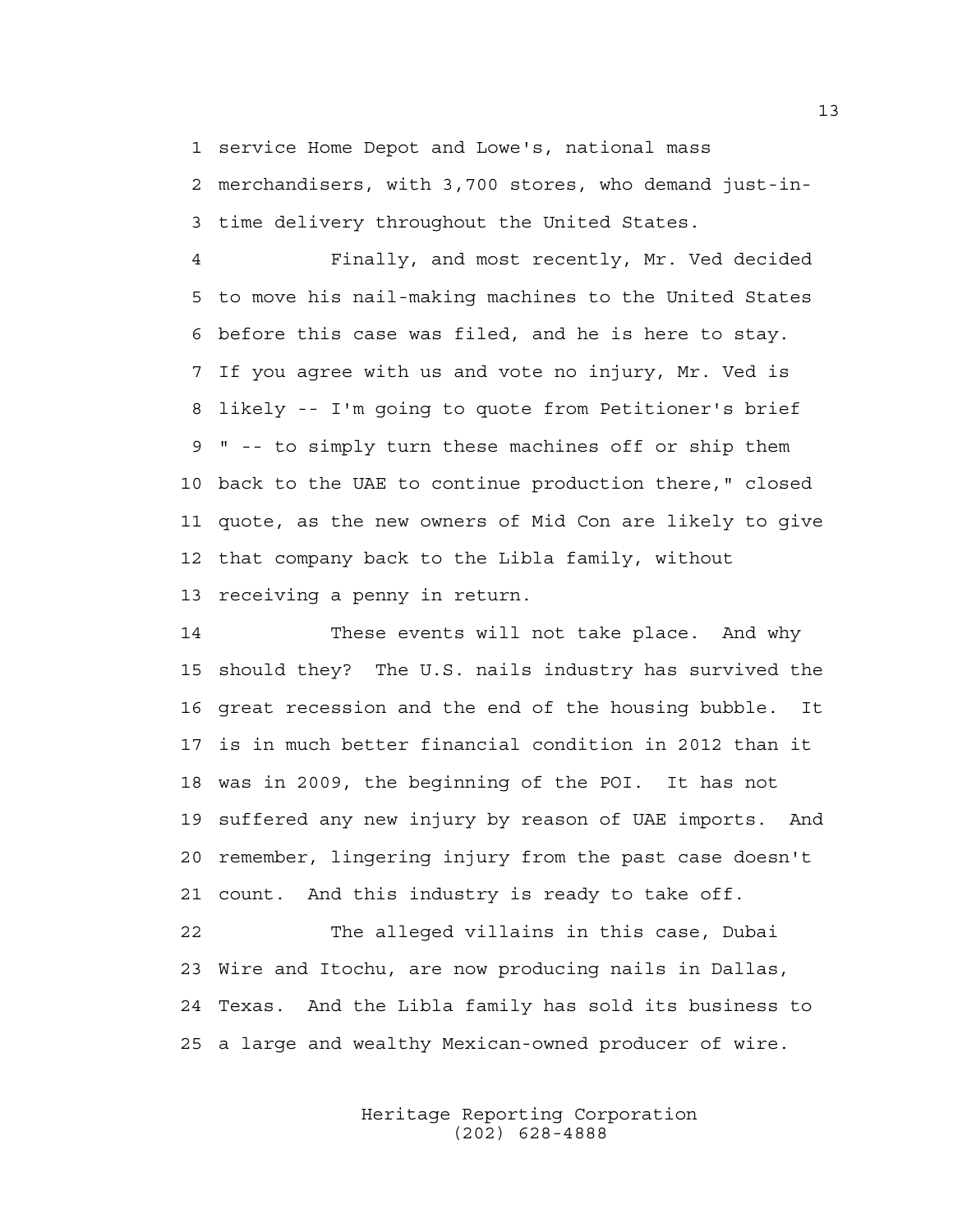1 service Home Depot and Lowe's, national mass

2 merchandisers, with 3,700 stores, who demand just-in-3 time delivery throughout the United States.

4 Finally, and most recently, Mr. Ved decided 5 to move his nail-making machines to the United States 6 before this case was filed, and he is here to stay. 7 If you agree with us and vote no injury, Mr. Ved is 8 likely -- I'm going to quote from Petitioner's brief 9 " -- to simply turn these machines off or ship them 10 back to the UAE to continue production there," closed 11 quote, as the new owners of Mid Con are likely to give 12 that company back to the Libla family, without 13 receiving a penny in return.

14 These events will not take place. And why 15 should they? The U.S. nails industry has survived the 16 great recession and the end of the housing bubble. It 17 is in much better financial condition in 2012 than it 18 was in 2009, the beginning of the POI. It has not 19 suffered any new injury by reason of UAE imports. And 20 remember, lingering injury from the past case doesn't 21 count. And this industry is ready to take off.

22 The alleged villains in this case, Dubai 23 Wire and Itochu, are now producing nails in Dallas, 24 Texas. And the Libla family has sold its business to 25 a large and wealthy Mexican-owned producer of wire.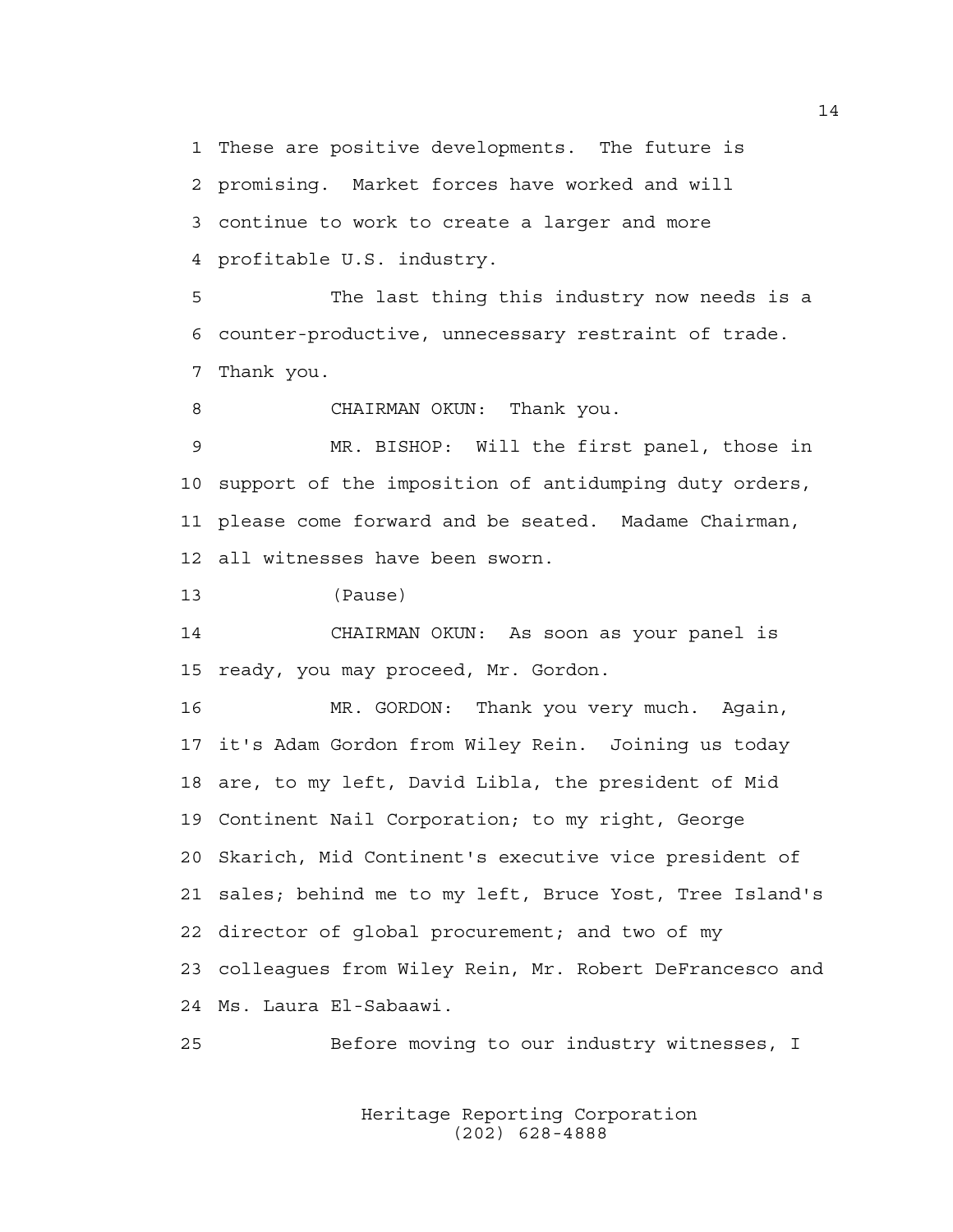1 These are positive developments. The future is

2 promising. Market forces have worked and will 3 continue to work to create a larger and more 4 profitable U.S. industry.

5 The last thing this industry now needs is a 6 counter-productive, unnecessary restraint of trade. 7 Thank you.

8 CHAIRMAN OKUN: Thank you.

9 MR. BISHOP: Will the first panel, those in 10 support of the imposition of antidumping duty orders, 11 please come forward and be seated. Madame Chairman, 12 all witnesses have been sworn.

13 (Pause)

14 CHAIRMAN OKUN: As soon as your panel is 15 ready, you may proceed, Mr. Gordon.

16 MR. GORDON: Thank you very much. Again, 17 it's Adam Gordon from Wiley Rein. Joining us today 18 are, to my left, David Libla, the president of Mid 19 Continent Nail Corporation; to my right, George 20 Skarich, Mid Continent's executive vice president of 21 sales; behind me to my left, Bruce Yost, Tree Island's 22 director of global procurement; and two of my 23 colleagues from Wiley Rein, Mr. Robert DeFrancesco and 24 Ms. Laura El-Sabaawi.

25 Before moving to our industry witnesses, I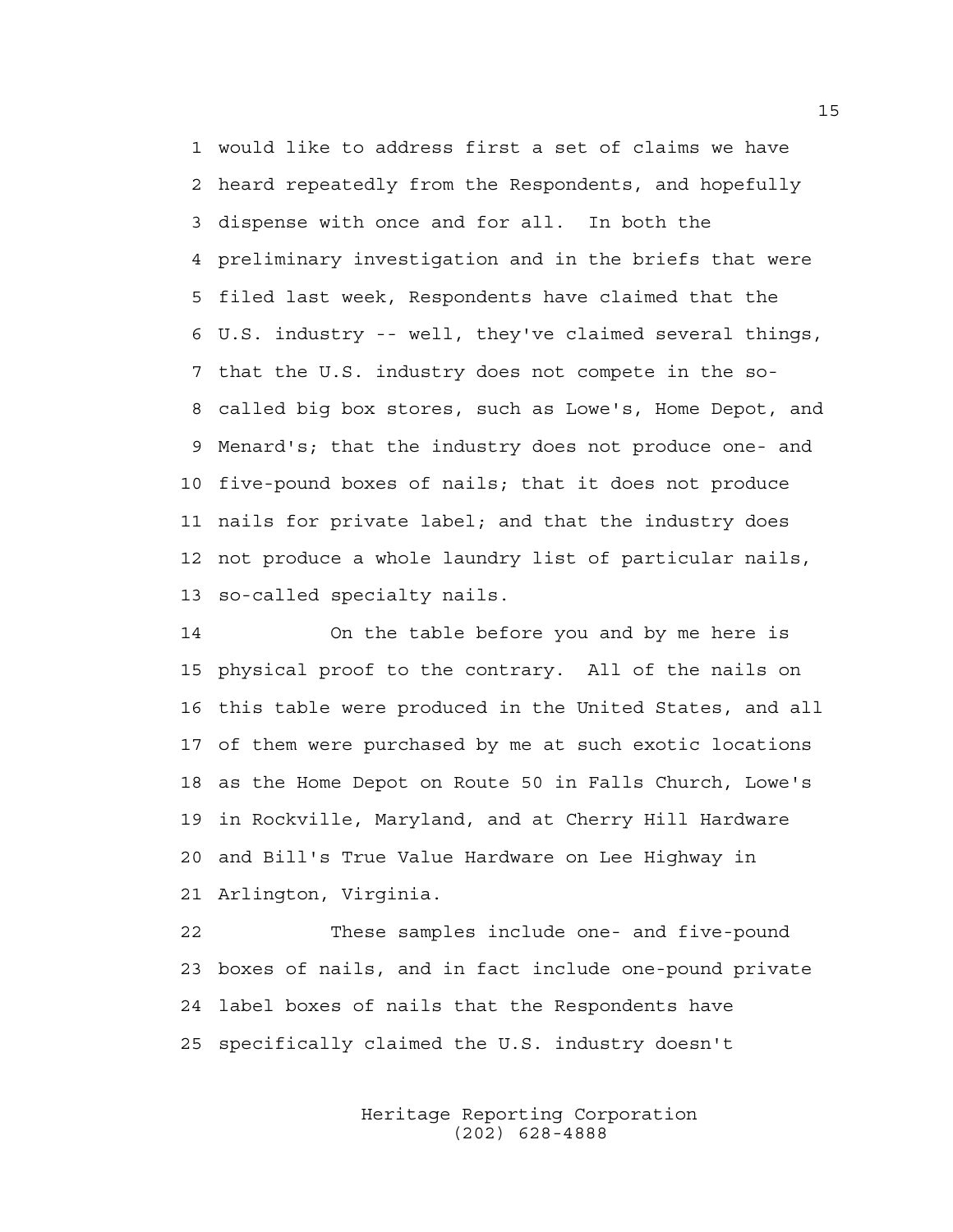1 would like to address first a set of claims we have 2 heard repeatedly from the Respondents, and hopefully 3 dispense with once and for all. In both the 4 preliminary investigation and in the briefs that were 5 filed last week, Respondents have claimed that the 6 U.S. industry -- well, they've claimed several things, 7 that the U.S. industry does not compete in the so-8 called big box stores, such as Lowe's, Home Depot, and 9 Menard's; that the industry does not produce one- and 10 five-pound boxes of nails; that it does not produce 11 nails for private label; and that the industry does 12 not produce a whole laundry list of particular nails, 13 so-called specialty nails.

14 On the table before you and by me here is 15 physical proof to the contrary. All of the nails on 16 this table were produced in the United States, and all 17 of them were purchased by me at such exotic locations 18 as the Home Depot on Route 50 in Falls Church, Lowe's 19 in Rockville, Maryland, and at Cherry Hill Hardware 20 and Bill's True Value Hardware on Lee Highway in 21 Arlington, Virginia.

22 These samples include one- and five-pound 23 boxes of nails, and in fact include one-pound private 24 label boxes of nails that the Respondents have 25 specifically claimed the U.S. industry doesn't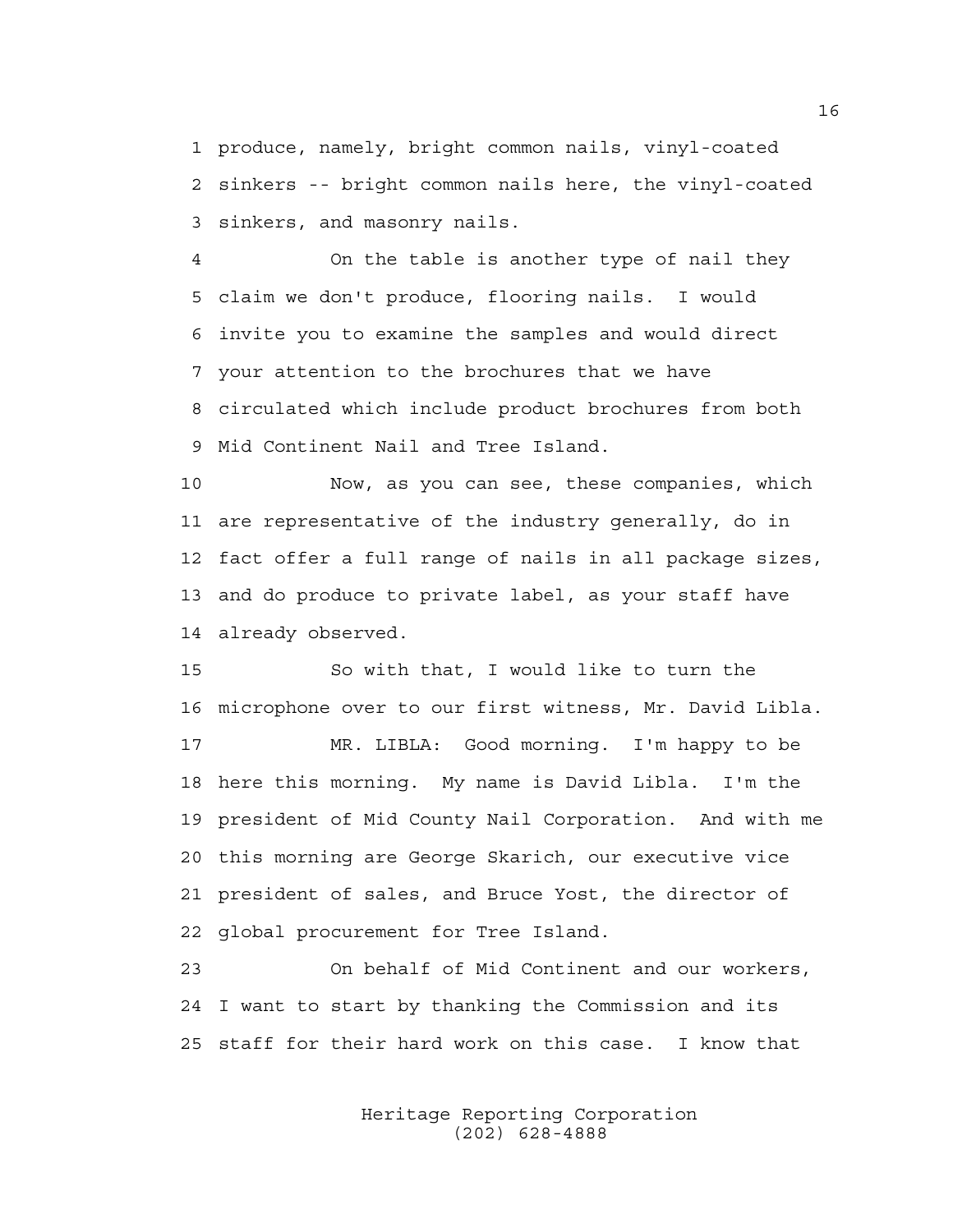1 produce, namely, bright common nails, vinyl-coated 2 sinkers -- bright common nails here, the vinyl-coated 3 sinkers, and masonry nails.

4 On the table is another type of nail they 5 claim we don't produce, flooring nails. I would 6 invite you to examine the samples and would direct 7 your attention to the brochures that we have 8 circulated which include product brochures from both 9 Mid Continent Nail and Tree Island.

10 Now, as you can see, these companies, which 11 are representative of the industry generally, do in 12 fact offer a full range of nails in all package sizes, 13 and do produce to private label, as your staff have 14 already observed.

15 So with that, I would like to turn the 16 microphone over to our first witness, Mr. David Libla.

17 MR. LIBLA: Good morning. I'm happy to be 18 here this morning. My name is David Libla. I'm the 19 president of Mid County Nail Corporation. And with me 20 this morning are George Skarich, our executive vice 21 president of sales, and Bruce Yost, the director of 22 global procurement for Tree Island.

23 On behalf of Mid Continent and our workers, 24 I want to start by thanking the Commission and its 25 staff for their hard work on this case. I know that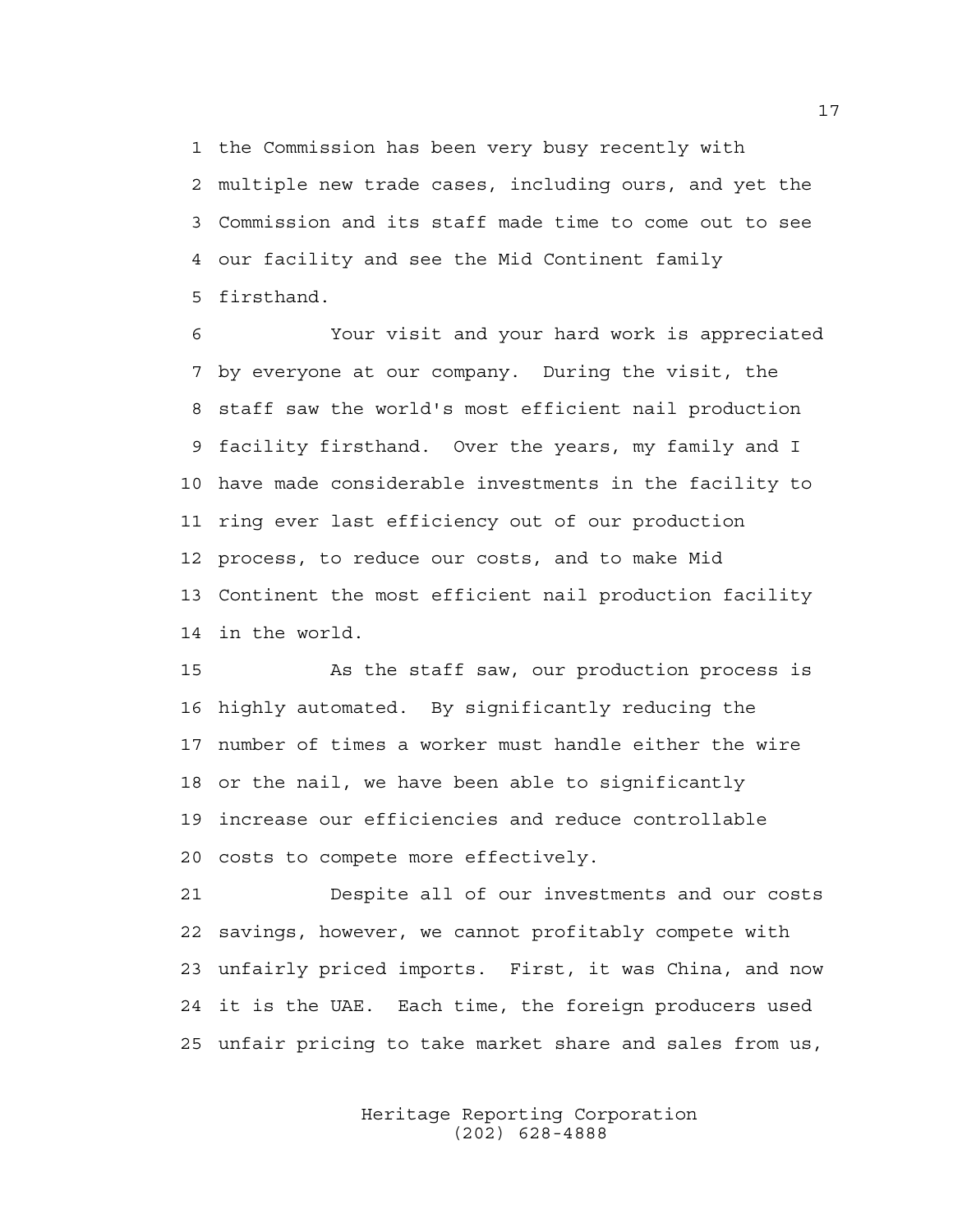1 the Commission has been very busy recently with 2 multiple new trade cases, including ours, and yet the 3 Commission and its staff made time to come out to see 4 our facility and see the Mid Continent family 5 firsthand.

6 Your visit and your hard work is appreciated 7 by everyone at our company. During the visit, the 8 staff saw the world's most efficient nail production 9 facility firsthand. Over the years, my family and I 10 have made considerable investments in the facility to 11 ring ever last efficiency out of our production 12 process, to reduce our costs, and to make Mid 13 Continent the most efficient nail production facility 14 in the world.

15 As the staff saw, our production process is 16 highly automated. By significantly reducing the 17 number of times a worker must handle either the wire 18 or the nail, we have been able to significantly 19 increase our efficiencies and reduce controllable 20 costs to compete more effectively.

21 Despite all of our investments and our costs 22 savings, however, we cannot profitably compete with 23 unfairly priced imports. First, it was China, and now 24 it is the UAE. Each time, the foreign producers used 25 unfair pricing to take market share and sales from us,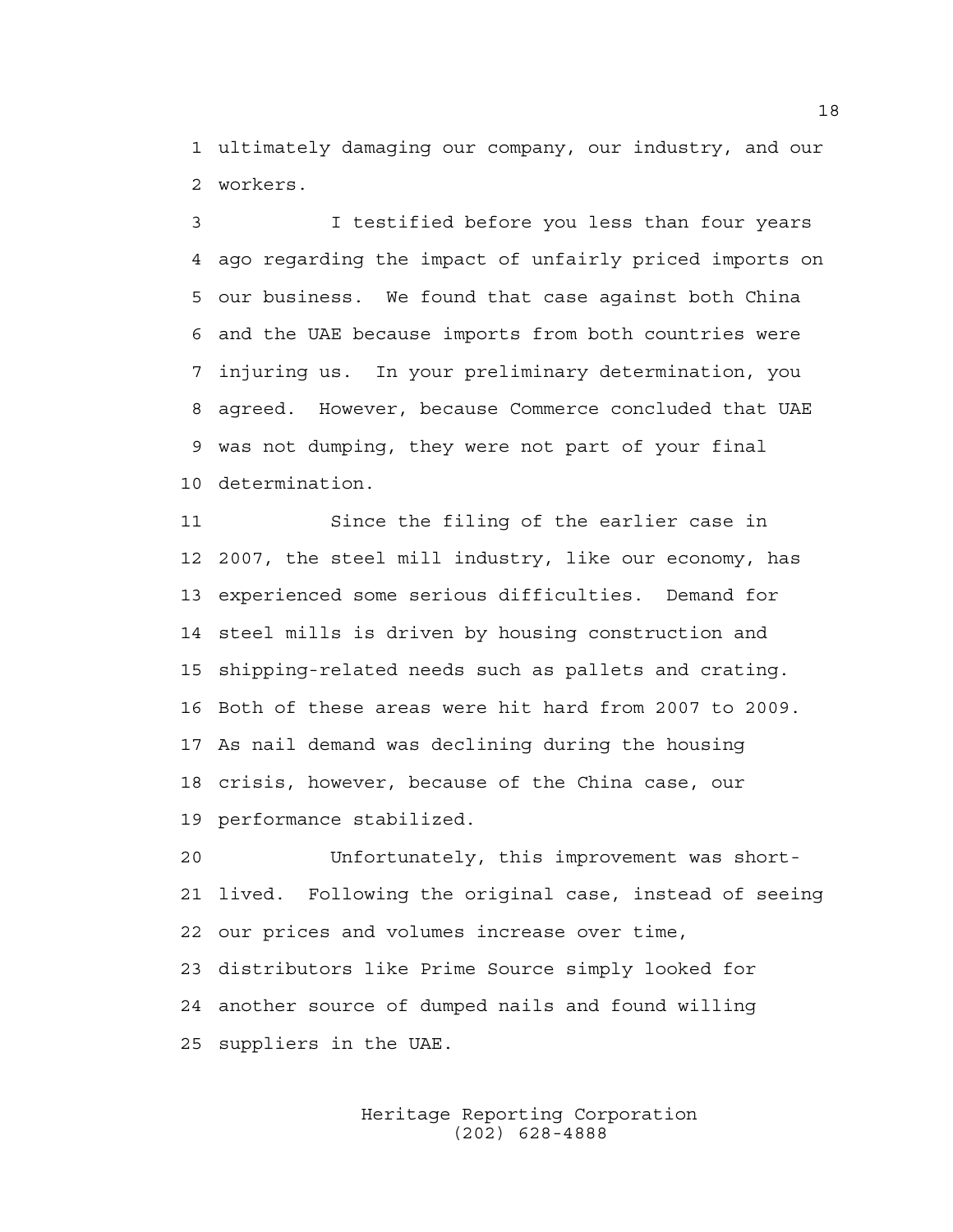1 ultimately damaging our company, our industry, and our 2 workers.

3 I testified before you less than four years 4 ago regarding the impact of unfairly priced imports on 5 our business. We found that case against both China 6 and the UAE because imports from both countries were 7 injuring us. In your preliminary determination, you 8 agreed. However, because Commerce concluded that UAE 9 was not dumping, they were not part of your final 10 determination.

11 Since the filing of the earlier case in 12 2007, the steel mill industry, like our economy, has 13 experienced some serious difficulties. Demand for 14 steel mills is driven by housing construction and 15 shipping-related needs such as pallets and crating. 16 Both of these areas were hit hard from 2007 to 2009. 17 As nail demand was declining during the housing 18 crisis, however, because of the China case, our 19 performance stabilized.

20 Unfortunately, this improvement was short-21 lived. Following the original case, instead of seeing 22 our prices and volumes increase over time, 23 distributors like Prime Source simply looked for 24 another source of dumped nails and found willing 25 suppliers in the UAE.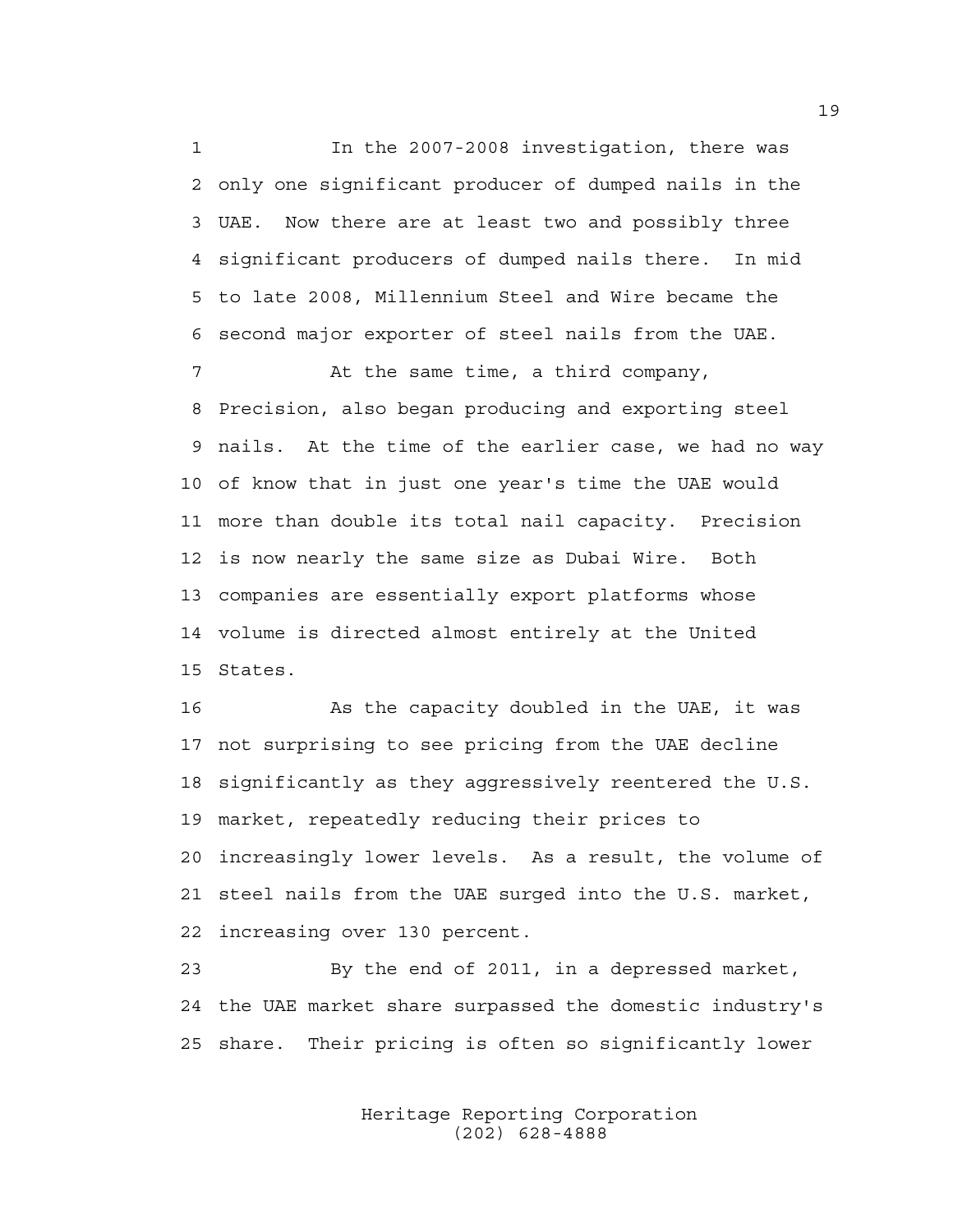1 In the 2007-2008 investigation, there was 2 only one significant producer of dumped nails in the 3 UAE. Now there are at least two and possibly three 4 significant producers of dumped nails there. In mid 5 to late 2008, Millennium Steel and Wire became the 6 second major exporter of steel nails from the UAE.

7 At the same time, a third company, 8 Precision, also began producing and exporting steel 9 nails. At the time of the earlier case, we had no way 10 of know that in just one year's time the UAE would 11 more than double its total nail capacity. Precision 12 is now nearly the same size as Dubai Wire. Both 13 companies are essentially export platforms whose 14 volume is directed almost entirely at the United 15 States.

16 As the capacity doubled in the UAE, it was 17 not surprising to see pricing from the UAE decline 18 significantly as they aggressively reentered the U.S. 19 market, repeatedly reducing their prices to 20 increasingly lower levels. As a result, the volume of 21 steel nails from the UAE surged into the U.S. market, 22 increasing over 130 percent.

23 By the end of 2011, in a depressed market, 24 the UAE market share surpassed the domestic industry's 25 share. Their pricing is often so significantly lower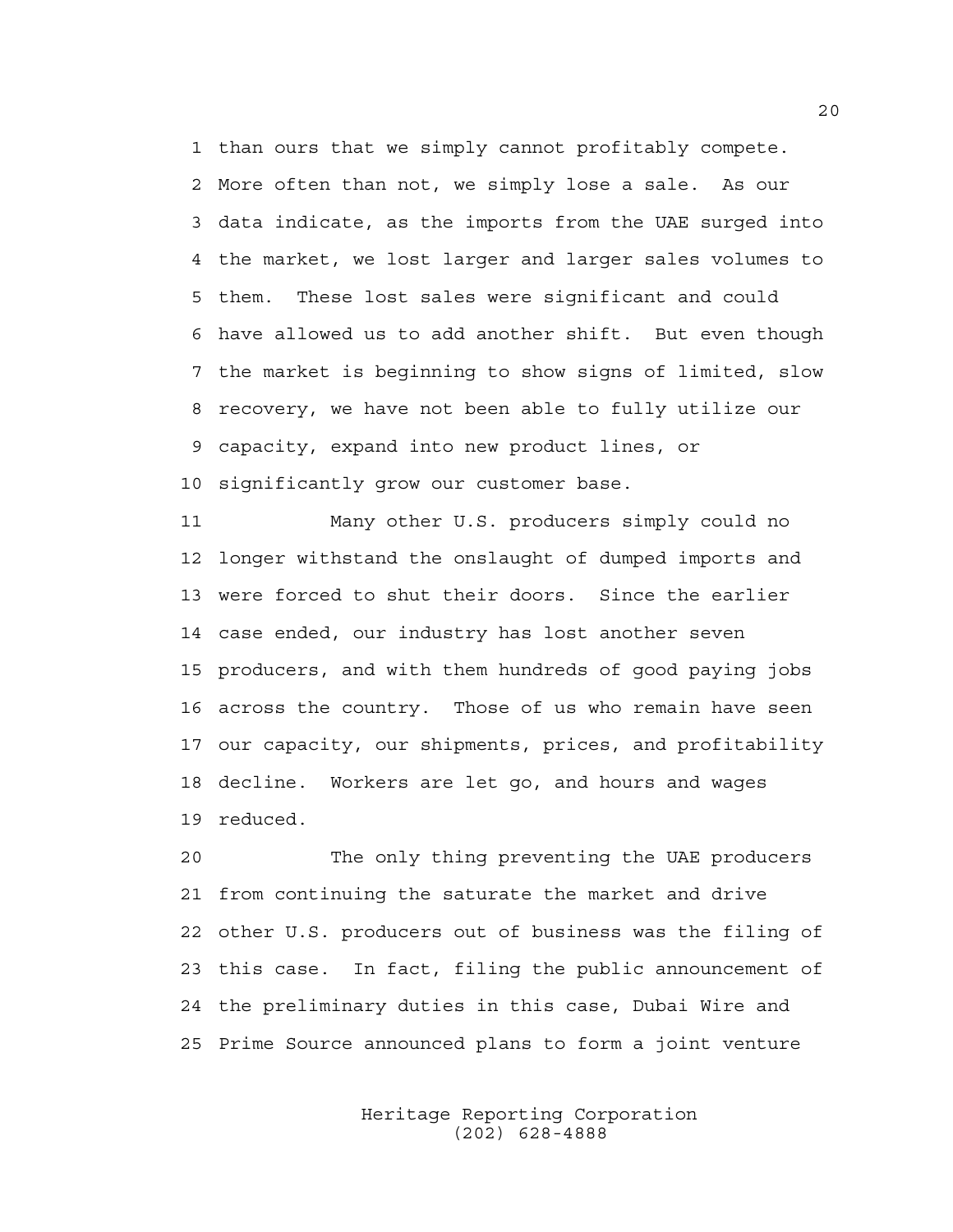1 than ours that we simply cannot profitably compete. 2 More often than not, we simply lose a sale. As our 3 data indicate, as the imports from the UAE surged into 4 the market, we lost larger and larger sales volumes to 5 them. These lost sales were significant and could 6 have allowed us to add another shift. But even though 7 the market is beginning to show signs of limited, slow 8 recovery, we have not been able to fully utilize our 9 capacity, expand into new product lines, or 10 significantly grow our customer base.

11 Many other U.S. producers simply could no 12 longer withstand the onslaught of dumped imports and 13 were forced to shut their doors. Since the earlier 14 case ended, our industry has lost another seven 15 producers, and with them hundreds of good paying jobs 16 across the country. Those of us who remain have seen 17 our capacity, our shipments, prices, and profitability 18 decline. Workers are let go, and hours and wages 19 reduced.

20 The only thing preventing the UAE producers 21 from continuing the saturate the market and drive 22 other U.S. producers out of business was the filing of 23 this case. In fact, filing the public announcement of 24 the preliminary duties in this case, Dubai Wire and 25 Prime Source announced plans to form a joint venture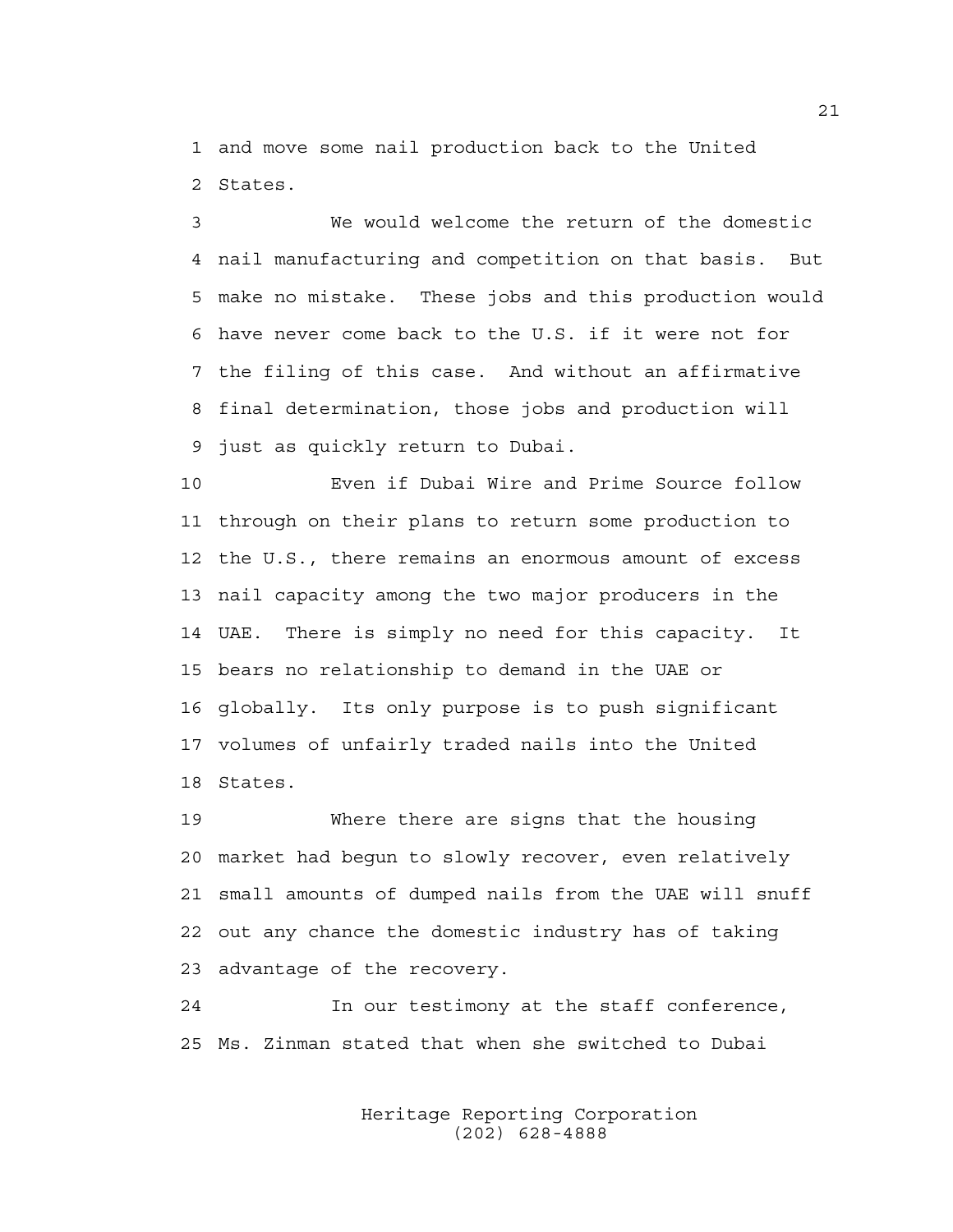1 and move some nail production back to the United 2 States.

3 We would welcome the return of the domestic 4 nail manufacturing and competition on that basis. But 5 make no mistake. These jobs and this production would 6 have never come back to the U.S. if it were not for 7 the filing of this case. And without an affirmative 8 final determination, those jobs and production will 9 just as quickly return to Dubai.

10 Even if Dubai Wire and Prime Source follow 11 through on their plans to return some production to 12 the U.S., there remains an enormous amount of excess 13 nail capacity among the two major producers in the 14 UAE. There is simply no need for this capacity. It 15 bears no relationship to demand in the UAE or 16 globally. Its only purpose is to push significant 17 volumes of unfairly traded nails into the United 18 States.

19 Where there are signs that the housing 20 market had begun to slowly recover, even relatively 21 small amounts of dumped nails from the UAE will snuff 22 out any chance the domestic industry has of taking 23 advantage of the recovery.

24 In our testimony at the staff conference, 25 Ms. Zinman stated that when she switched to Dubai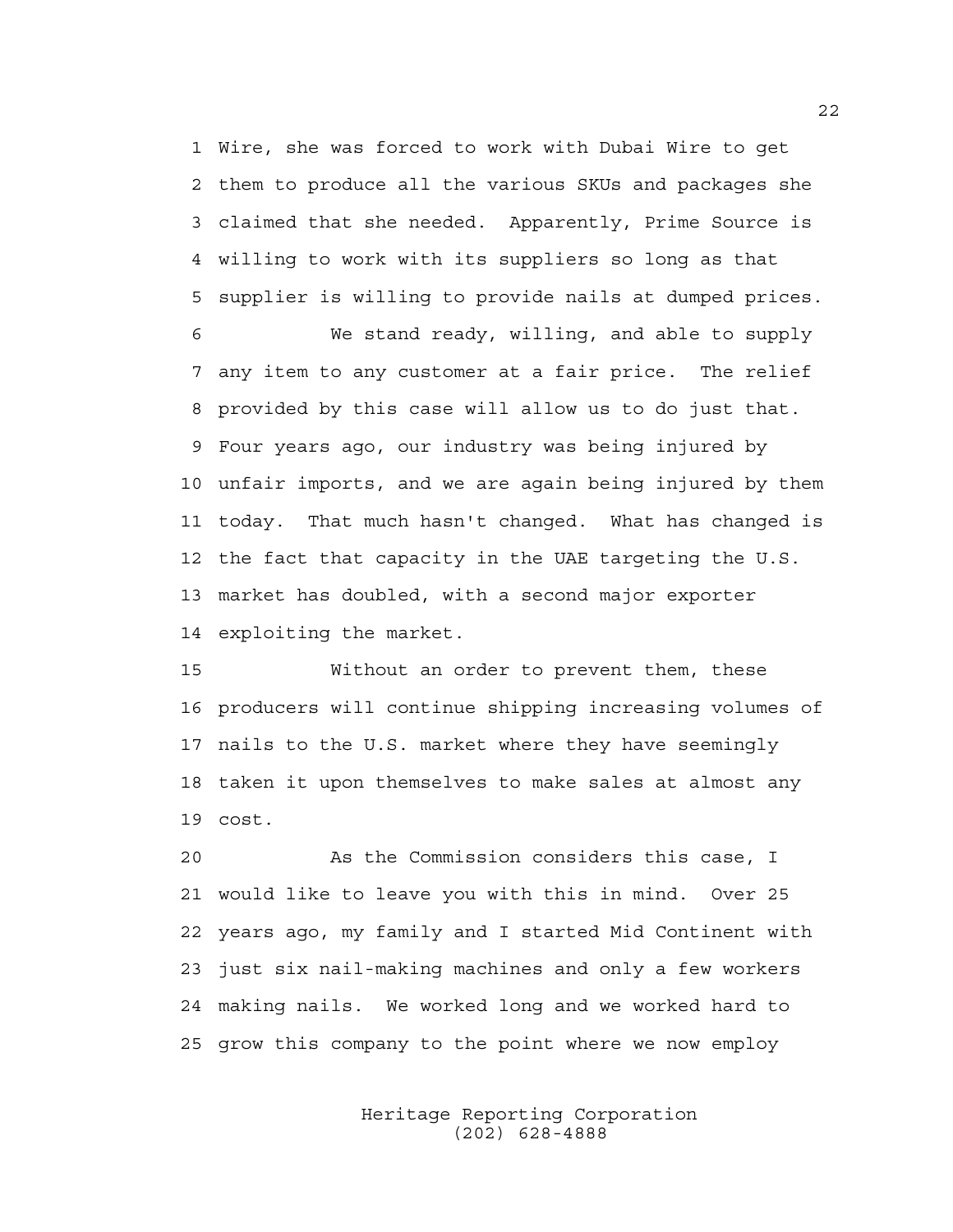1 Wire, she was forced to work with Dubai Wire to get 2 them to produce all the various SKUs and packages she 3 claimed that she needed. Apparently, Prime Source is 4 willing to work with its suppliers so long as that 5 supplier is willing to provide nails at dumped prices.

6 We stand ready, willing, and able to supply 7 any item to any customer at a fair price. The relief 8 provided by this case will allow us to do just that. 9 Four years ago, our industry was being injured by 10 unfair imports, and we are again being injured by them 11 today. That much hasn't changed. What has changed is 12 the fact that capacity in the UAE targeting the U.S. 13 market has doubled, with a second major exporter 14 exploiting the market.

15 Without an order to prevent them, these 16 producers will continue shipping increasing volumes of 17 nails to the U.S. market where they have seemingly 18 taken it upon themselves to make sales at almost any 19 cost.

20 As the Commission considers this case, I 21 would like to leave you with this in mind. Over 25 22 years ago, my family and I started Mid Continent with 23 just six nail-making machines and only a few workers 24 making nails. We worked long and we worked hard to 25 grow this company to the point where we now employ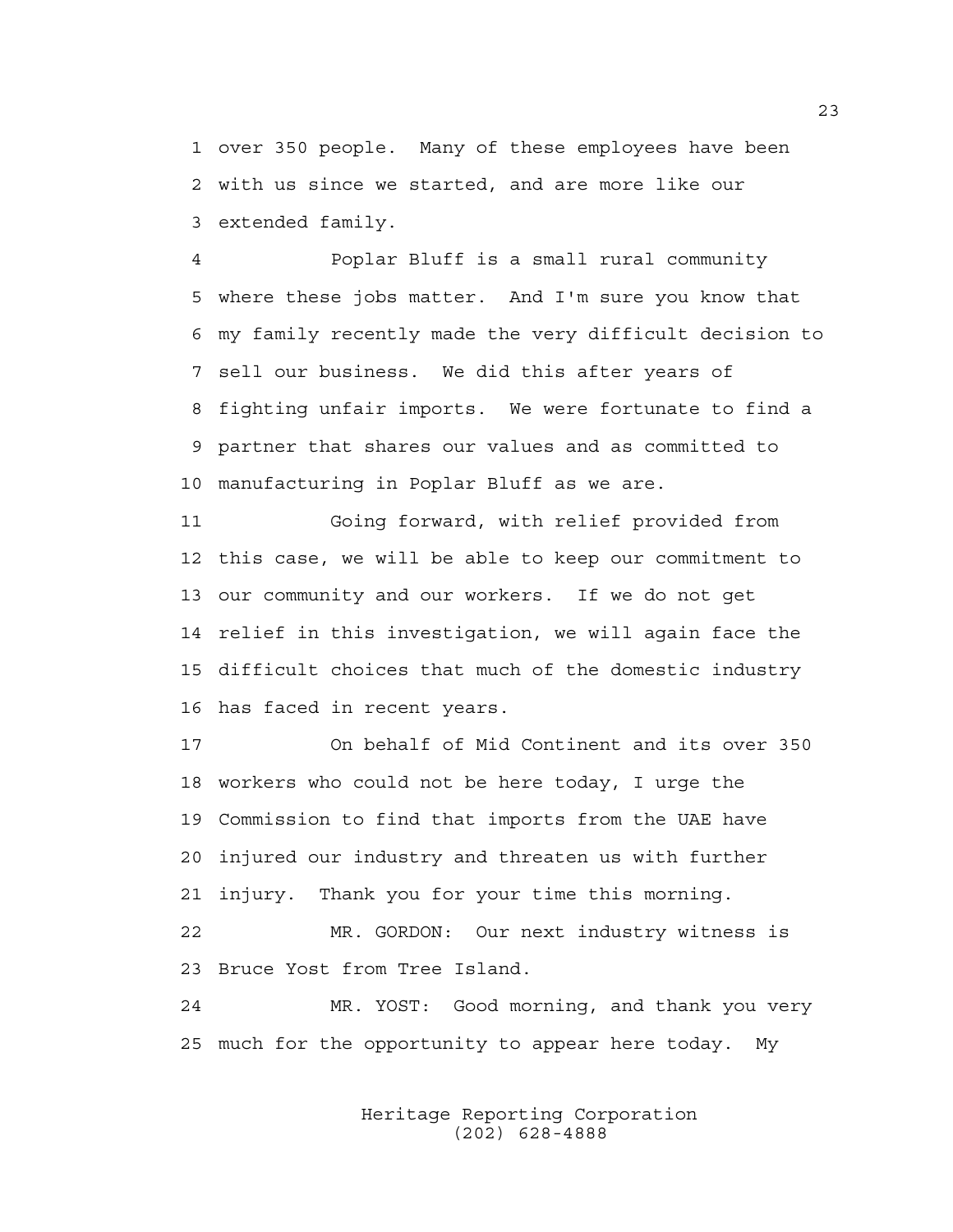1 over 350 people. Many of these employees have been 2 with us since we started, and are more like our 3 extended family.

4 Poplar Bluff is a small rural community 5 where these jobs matter. And I'm sure you know that 6 my family recently made the very difficult decision to 7 sell our business. We did this after years of 8 fighting unfair imports. We were fortunate to find a 9 partner that shares our values and as committed to 10 manufacturing in Poplar Bluff as we are.

11 Going forward, with relief provided from 12 this case, we will be able to keep our commitment to 13 our community and our workers. If we do not get 14 relief in this investigation, we will again face the 15 difficult choices that much of the domestic industry 16 has faced in recent years.

17 On behalf of Mid Continent and its over 350 18 workers who could not be here today, I urge the 19 Commission to find that imports from the UAE have 20 injured our industry and threaten us with further 21 injury. Thank you for your time this morning.

22 MR. GORDON: Our next industry witness is 23 Bruce Yost from Tree Island.

24 MR. YOST: Good morning, and thank you very 25 much for the opportunity to appear here today. My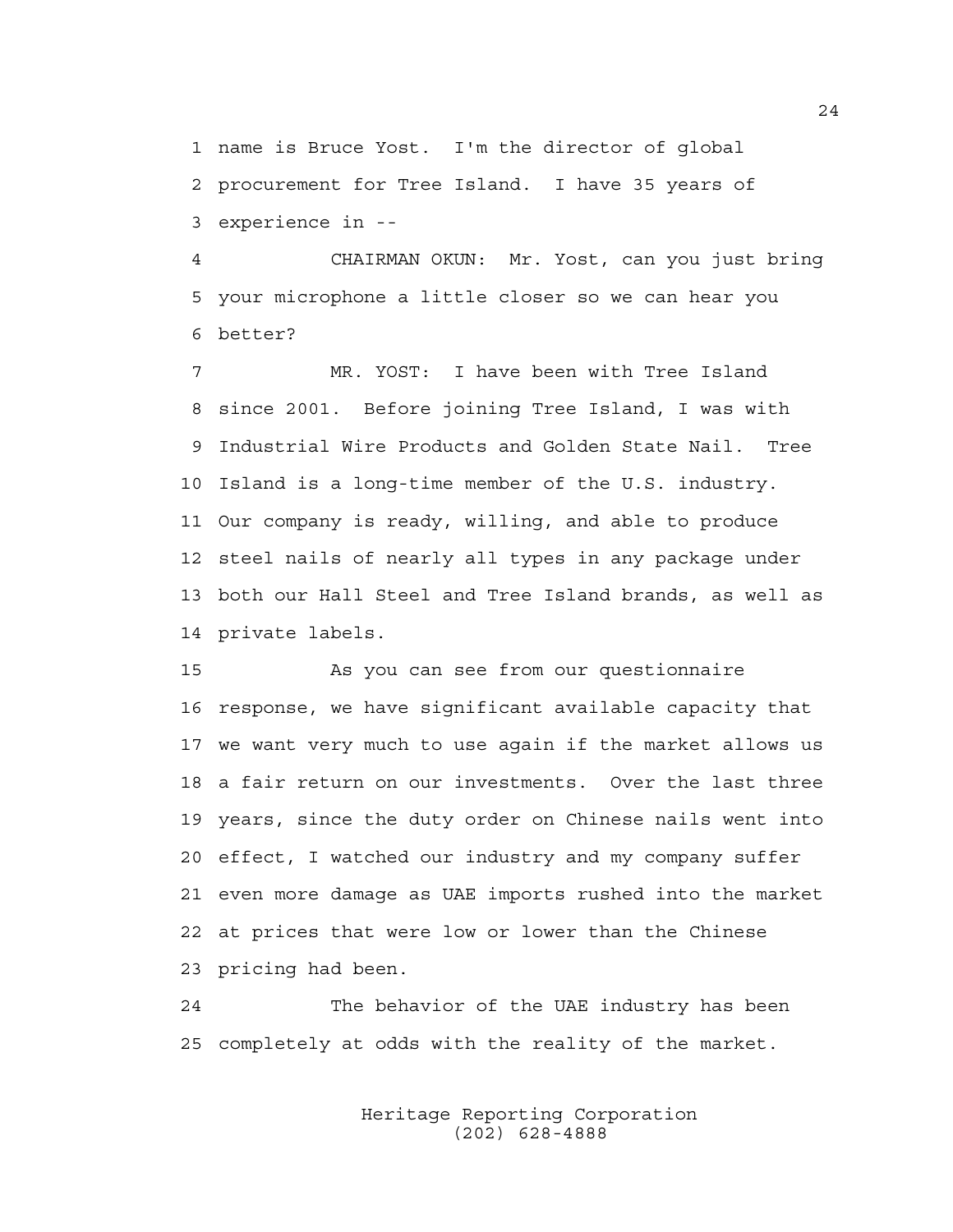1 name is Bruce Yost. I'm the director of global 2 procurement for Tree Island. I have 35 years of 3 experience in --

4 CHAIRMAN OKUN: Mr. Yost, can you just bring 5 your microphone a little closer so we can hear you 6 better?

7 MR. YOST: I have been with Tree Island 8 since 2001. Before joining Tree Island, I was with 9 Industrial Wire Products and Golden State Nail. Tree 10 Island is a long-time member of the U.S. industry. 11 Our company is ready, willing, and able to produce 12 steel nails of nearly all types in any package under 13 both our Hall Steel and Tree Island brands, as well as 14 private labels.

15 As you can see from our questionnaire 16 response, we have significant available capacity that 17 we want very much to use again if the market allows us 18 a fair return on our investments. Over the last three 19 years, since the duty order on Chinese nails went into 20 effect, I watched our industry and my company suffer 21 even more damage as UAE imports rushed into the market 22 at prices that were low or lower than the Chinese 23 pricing had been.

24 The behavior of the UAE industry has been 25 completely at odds with the reality of the market.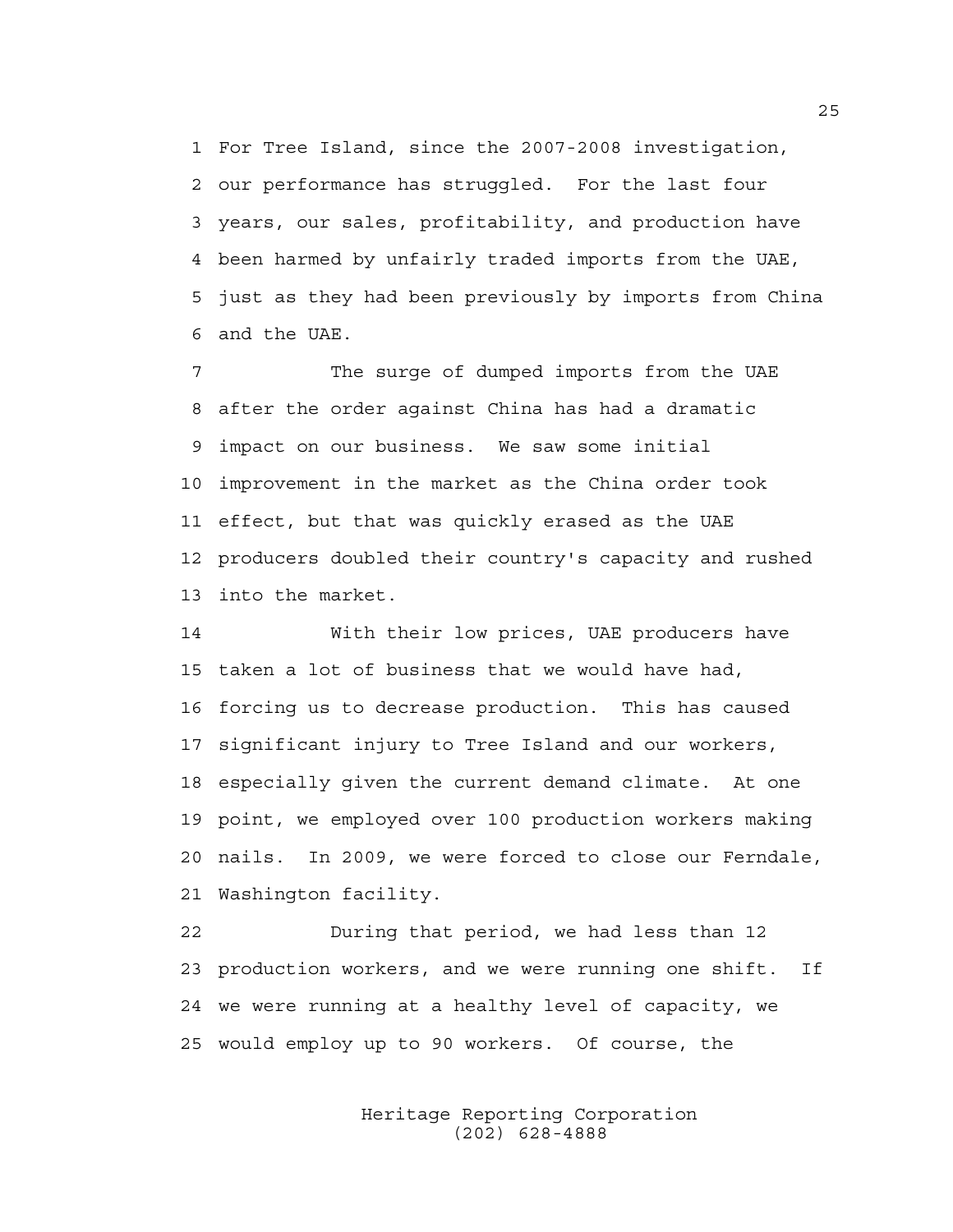1 For Tree Island, since the 2007-2008 investigation, 2 our performance has struggled. For the last four 3 years, our sales, profitability, and production have 4 been harmed by unfairly traded imports from the UAE, 5 just as they had been previously by imports from China 6 and the UAE.

7 The surge of dumped imports from the UAE 8 after the order against China has had a dramatic 9 impact on our business. We saw some initial 10 improvement in the market as the China order took 11 effect, but that was quickly erased as the UAE 12 producers doubled their country's capacity and rushed 13 into the market.

14 With their low prices, UAE producers have 15 taken a lot of business that we would have had, 16 forcing us to decrease production. This has caused 17 significant injury to Tree Island and our workers, 18 especially given the current demand climate. At one 19 point, we employed over 100 production workers making 20 nails. In 2009, we were forced to close our Ferndale, 21 Washington facility.

22 During that period, we had less than 12 23 production workers, and we were running one shift. If 24 we were running at a healthy level of capacity, we 25 would employ up to 90 workers. Of course, the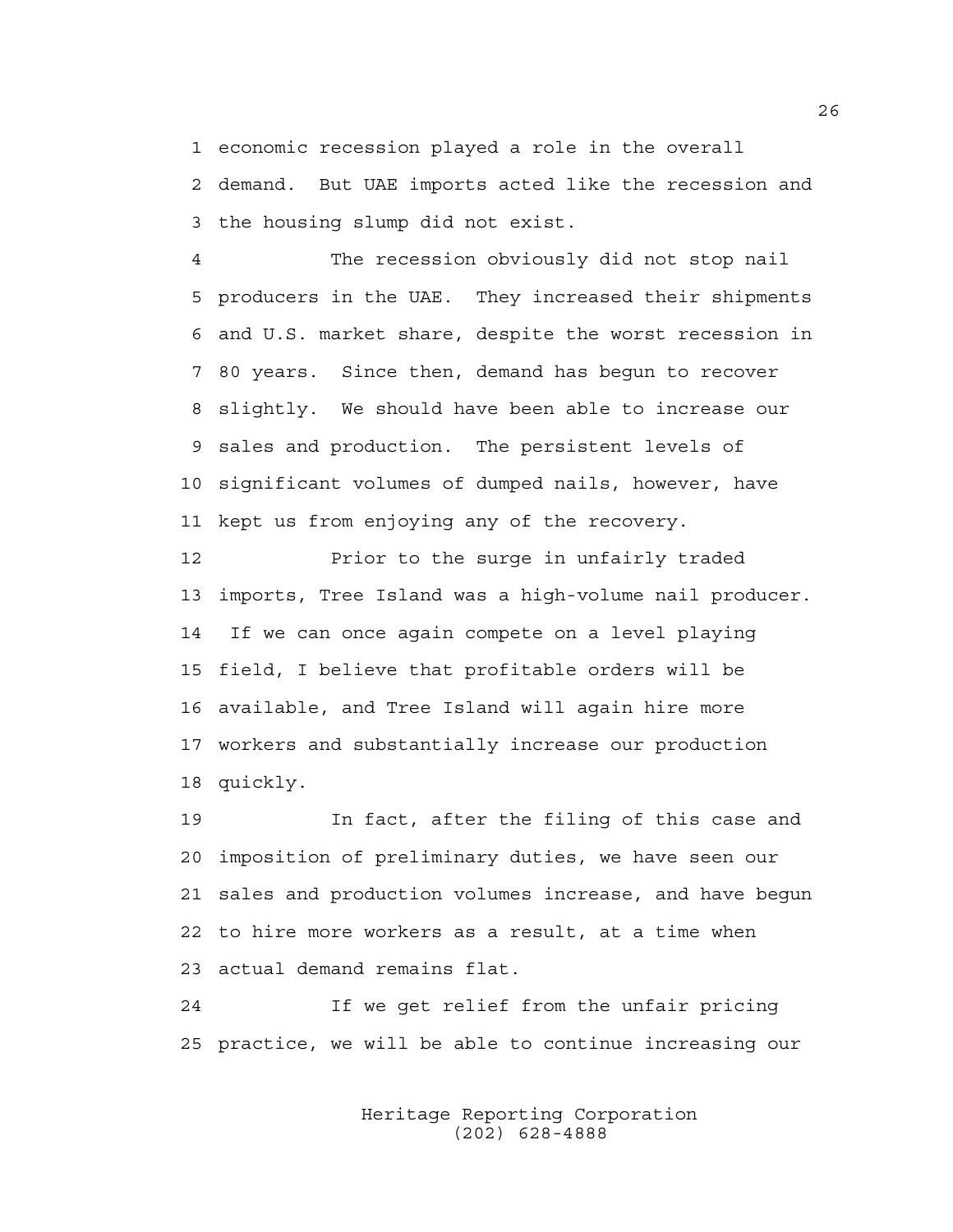1 economic recession played a role in the overall 2 demand. But UAE imports acted like the recession and 3 the housing slump did not exist.

4 The recession obviously did not stop nail 5 producers in the UAE. They increased their shipments 6 and U.S. market share, despite the worst recession in 7 80 years. Since then, demand has begun to recover 8 slightly. We should have been able to increase our 9 sales and production. The persistent levels of 10 significant volumes of dumped nails, however, have 11 kept us from enjoying any of the recovery.

12 Prior to the surge in unfairly traded 13 imports, Tree Island was a high-volume nail producer. 14 If we can once again compete on a level playing 15 field, I believe that profitable orders will be 16 available, and Tree Island will again hire more 17 workers and substantially increase our production 18 quickly.

19 In fact, after the filing of this case and 20 imposition of preliminary duties, we have seen our 21 sales and production volumes increase, and have begun 22 to hire more workers as a result, at a time when 23 actual demand remains flat.

24 If we get relief from the unfair pricing 25 practice, we will be able to continue increasing our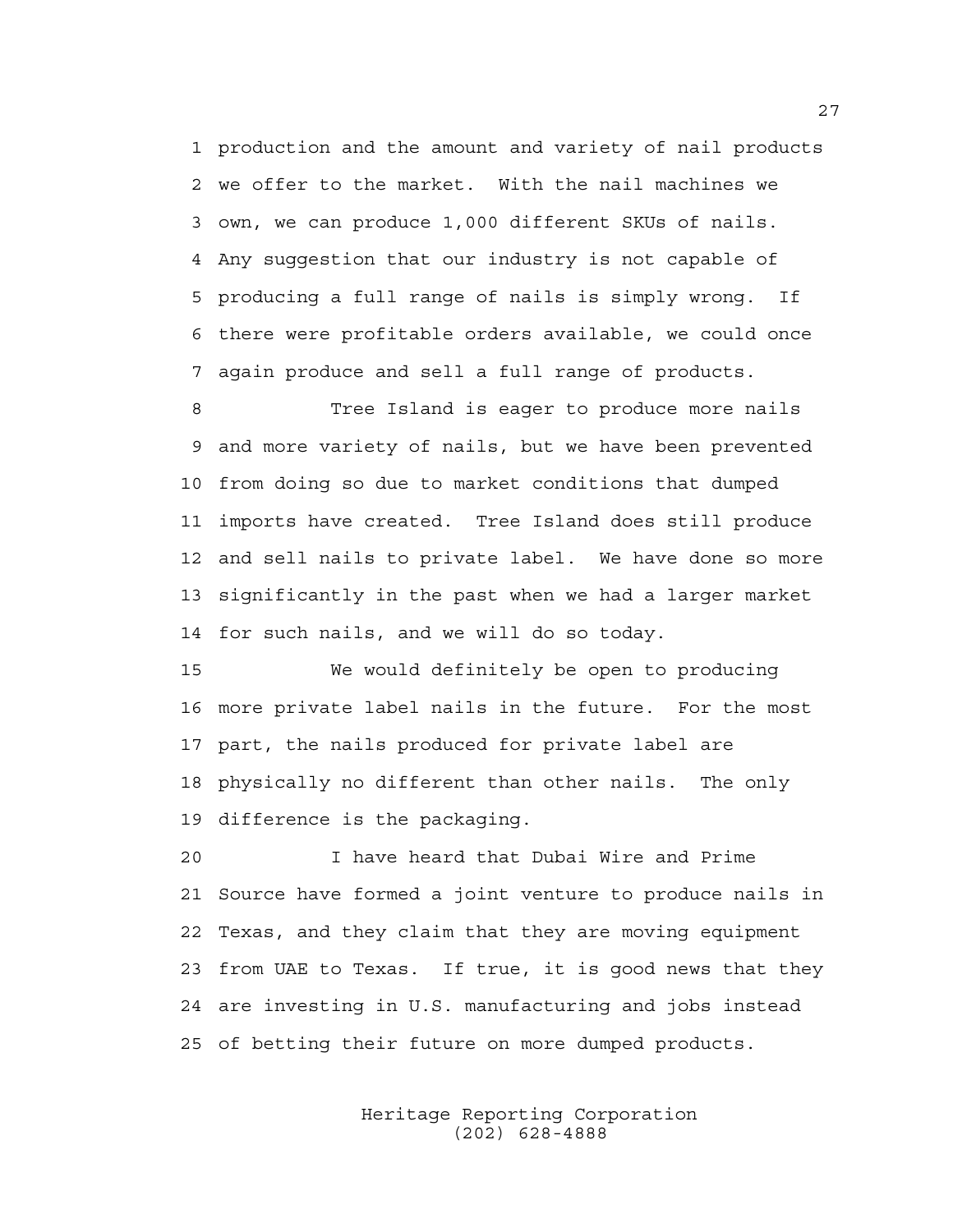1 production and the amount and variety of nail products 2 we offer to the market. With the nail machines we 3 own, we can produce 1,000 different SKUs of nails. 4 Any suggestion that our industry is not capable of 5 producing a full range of nails is simply wrong. If 6 there were profitable orders available, we could once 7 again produce and sell a full range of products.

8 Tree Island is eager to produce more nails 9 and more variety of nails, but we have been prevented 10 from doing so due to market conditions that dumped 11 imports have created. Tree Island does still produce 12 and sell nails to private label. We have done so more 13 significantly in the past when we had a larger market 14 for such nails, and we will do so today.

15 We would definitely be open to producing 16 more private label nails in the future. For the most 17 part, the nails produced for private label are 18 physically no different than other nails. The only 19 difference is the packaging.

20 I have heard that Dubai Wire and Prime 21 Source have formed a joint venture to produce nails in 22 Texas, and they claim that they are moving equipment 23 from UAE to Texas. If true, it is good news that they 24 are investing in U.S. manufacturing and jobs instead 25 of betting their future on more dumped products.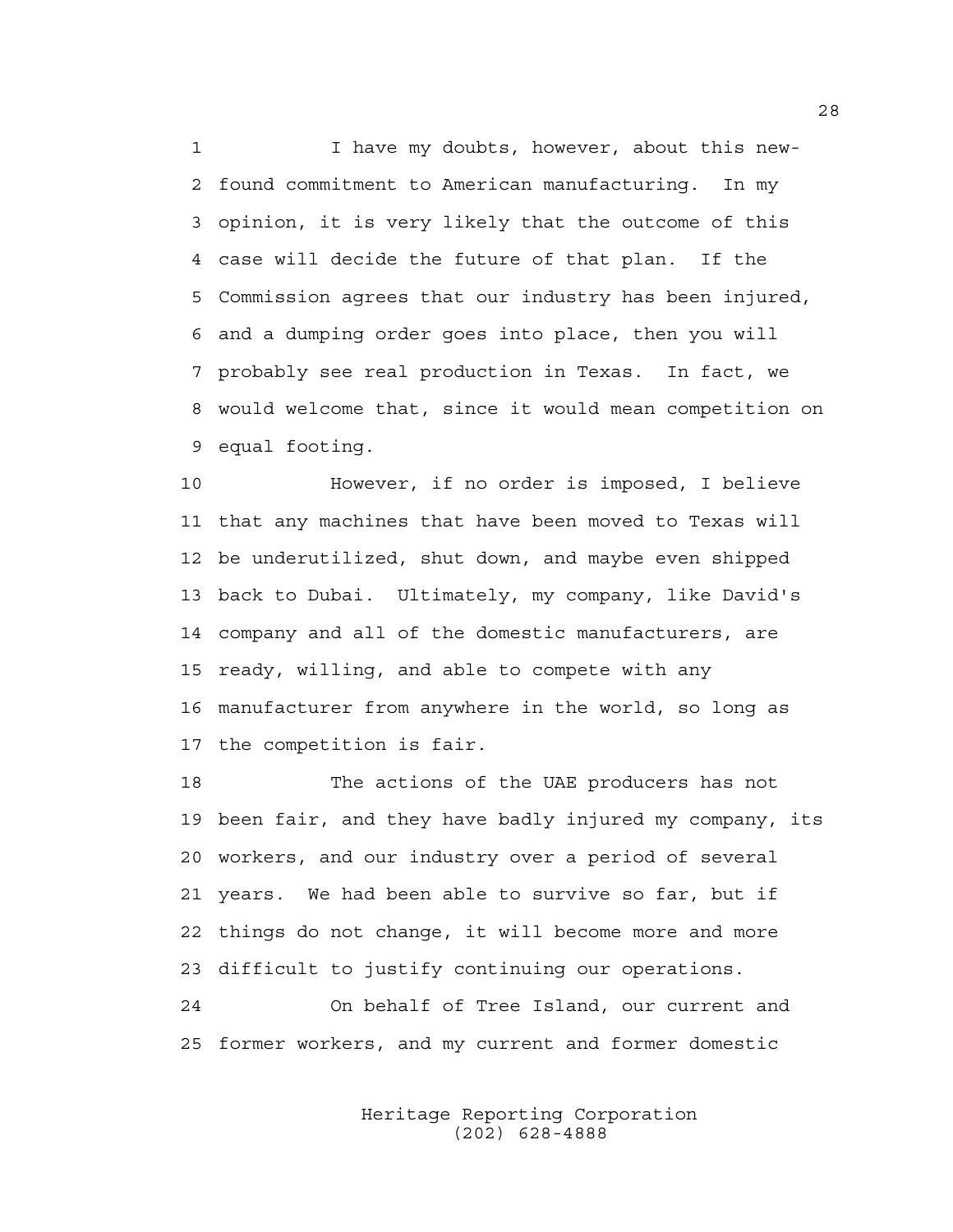1 I have my doubts, however, about this new-2 found commitment to American manufacturing. In my 3 opinion, it is very likely that the outcome of this 4 case will decide the future of that plan. If the 5 Commission agrees that our industry has been injured, 6 and a dumping order goes into place, then you will 7 probably see real production in Texas. In fact, we 8 would welcome that, since it would mean competition on 9 equal footing.

10 However, if no order is imposed, I believe 11 that any machines that have been moved to Texas will 12 be underutilized, shut down, and maybe even shipped 13 back to Dubai. Ultimately, my company, like David's 14 company and all of the domestic manufacturers, are 15 ready, willing, and able to compete with any 16 manufacturer from anywhere in the world, so long as 17 the competition is fair.

18 The actions of the UAE producers has not 19 been fair, and they have badly injured my company, its 20 workers, and our industry over a period of several 21 years. We had been able to survive so far, but if 22 things do not change, it will become more and more 23 difficult to justify continuing our operations. 24 On behalf of Tree Island, our current and

25 former workers, and my current and former domestic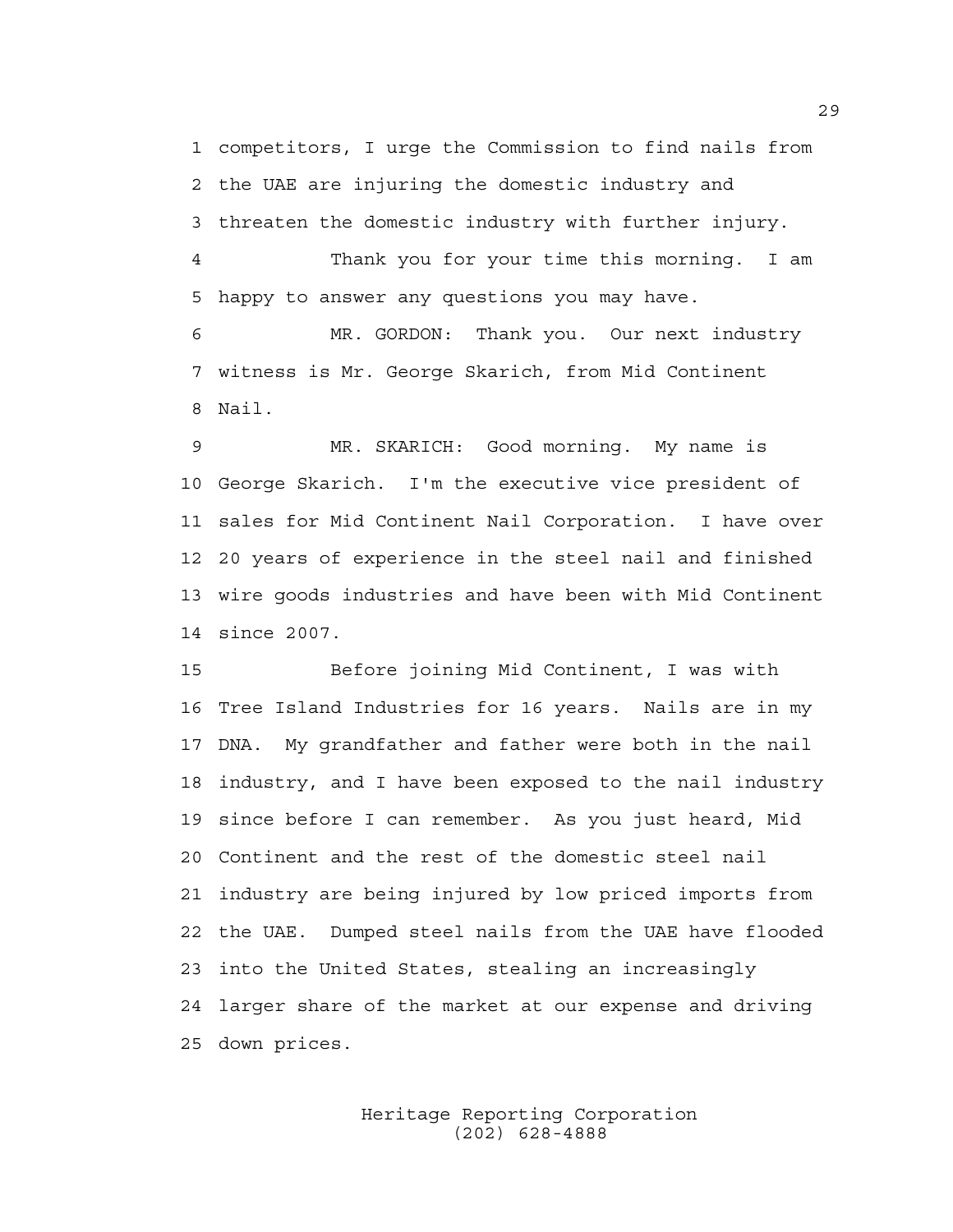1 competitors, I urge the Commission to find nails from 2 the UAE are injuring the domestic industry and 3 threaten the domestic industry with further injury.

4 Thank you for your time this morning. I am 5 happy to answer any questions you may have.

6 MR. GORDON: Thank you. Our next industry 7 witness is Mr. George Skarich, from Mid Continent 8 Nail.

9 MR. SKARICH: Good morning. My name is 10 George Skarich. I'm the executive vice president of 11 sales for Mid Continent Nail Corporation. I have over 12 20 years of experience in the steel nail and finished 13 wire goods industries and have been with Mid Continent 14 since 2007.

15 Before joining Mid Continent, I was with 16 Tree Island Industries for 16 years. Nails are in my 17 DNA. My grandfather and father were both in the nail 18 industry, and I have been exposed to the nail industry 19 since before I can remember. As you just heard, Mid 20 Continent and the rest of the domestic steel nail 21 industry are being injured by low priced imports from 22 the UAE. Dumped steel nails from the UAE have flooded 23 into the United States, stealing an increasingly 24 larger share of the market at our expense and driving 25 down prices.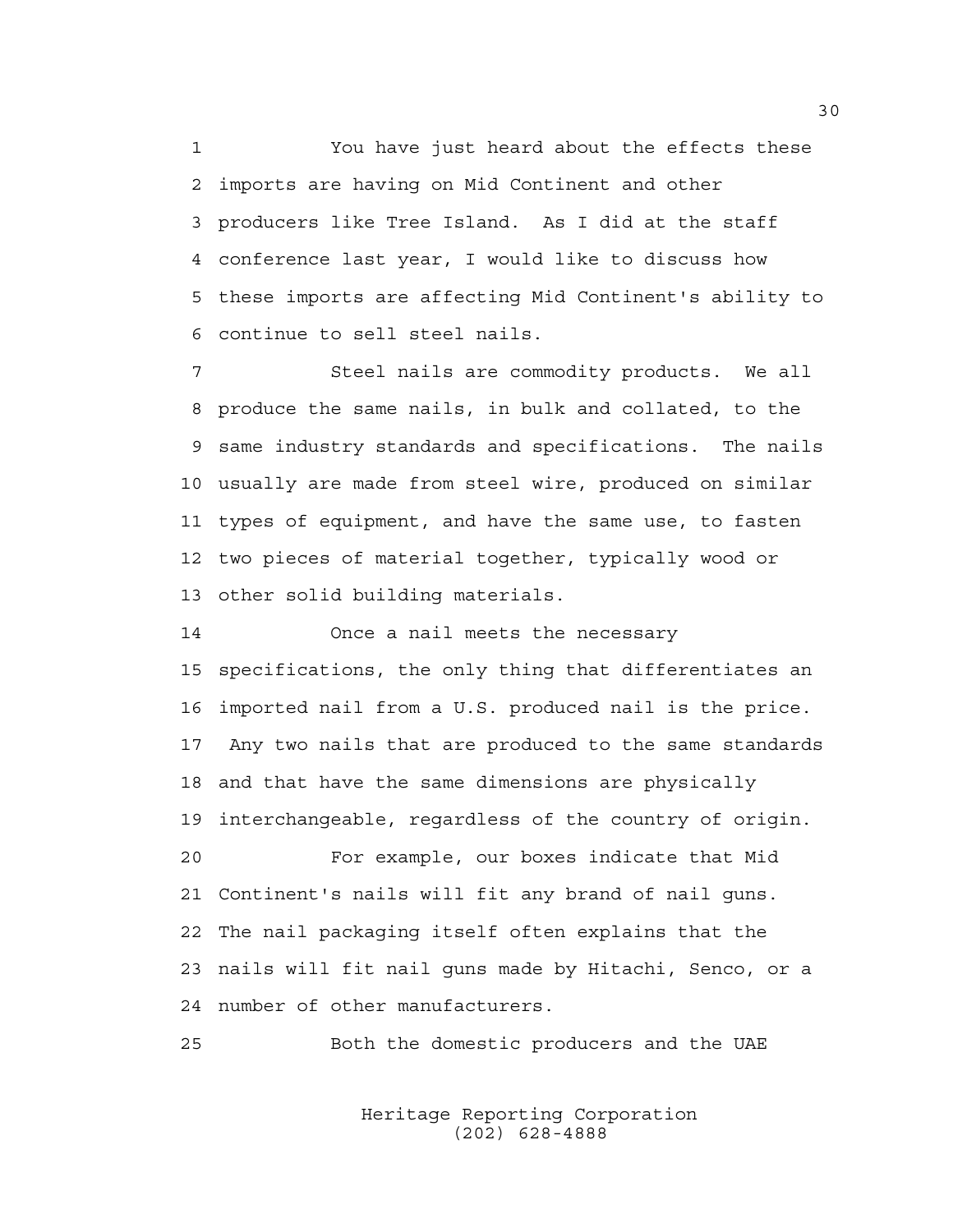1 You have just heard about the effects these 2 imports are having on Mid Continent and other 3 producers like Tree Island. As I did at the staff 4 conference last year, I would like to discuss how 5 these imports are affecting Mid Continent's ability to 6 continue to sell steel nails.

7 Steel nails are commodity products. We all 8 produce the same nails, in bulk and collated, to the 9 same industry standards and specifications. The nails 10 usually are made from steel wire, produced on similar 11 types of equipment, and have the same use, to fasten 12 two pieces of material together, typically wood or 13 other solid building materials.

14 Once a nail meets the necessary 15 specifications, the only thing that differentiates an 16 imported nail from a U.S. produced nail is the price. 17 Any two nails that are produced to the same standards 18 and that have the same dimensions are physically 19 interchangeable, regardless of the country of origin. 20 For example, our boxes indicate that Mid 21 Continent's nails will fit any brand of nail guns. 22 The nail packaging itself often explains that the 23 nails will fit nail guns made by Hitachi, Senco, or a 24 number of other manufacturers.

25 Both the domestic producers and the UAE

 Heritage Reporting Corporation (202) 628-4888

30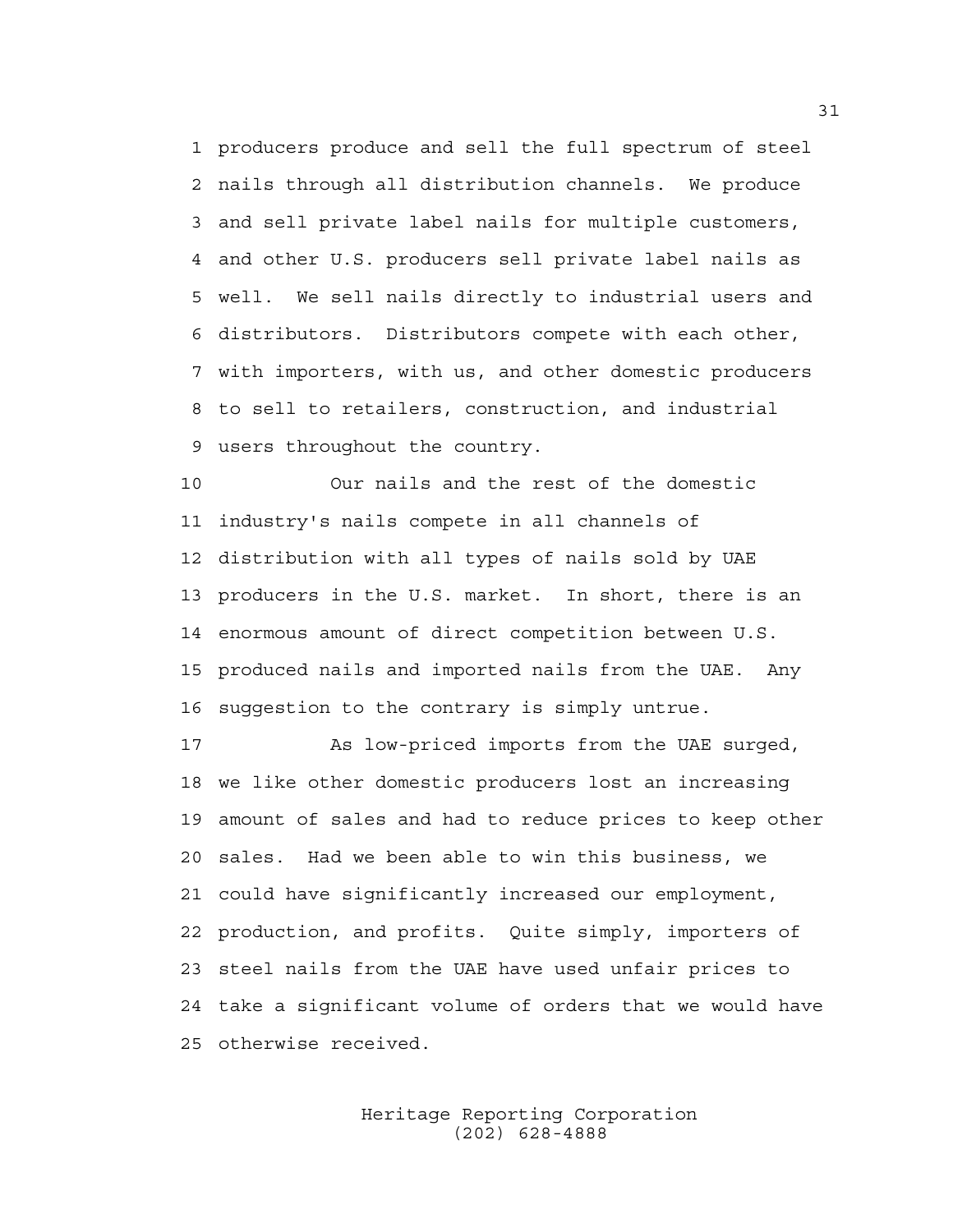1 producers produce and sell the full spectrum of steel 2 nails through all distribution channels. We produce 3 and sell private label nails for multiple customers, 4 and other U.S. producers sell private label nails as 5 well. We sell nails directly to industrial users and 6 distributors. Distributors compete with each other, 7 with importers, with us, and other domestic producers 8 to sell to retailers, construction, and industrial 9 users throughout the country.

10 Our nails and the rest of the domestic 11 industry's nails compete in all channels of 12 distribution with all types of nails sold by UAE 13 producers in the U.S. market. In short, there is an 14 enormous amount of direct competition between U.S. 15 produced nails and imported nails from the UAE. Any 16 suggestion to the contrary is simply untrue.

17 As low-priced imports from the UAE surged, 18 we like other domestic producers lost an increasing 19 amount of sales and had to reduce prices to keep other 20 sales. Had we been able to win this business, we 21 could have significantly increased our employment, 22 production, and profits. Quite simply, importers of 23 steel nails from the UAE have used unfair prices to 24 take a significant volume of orders that we would have 25 otherwise received.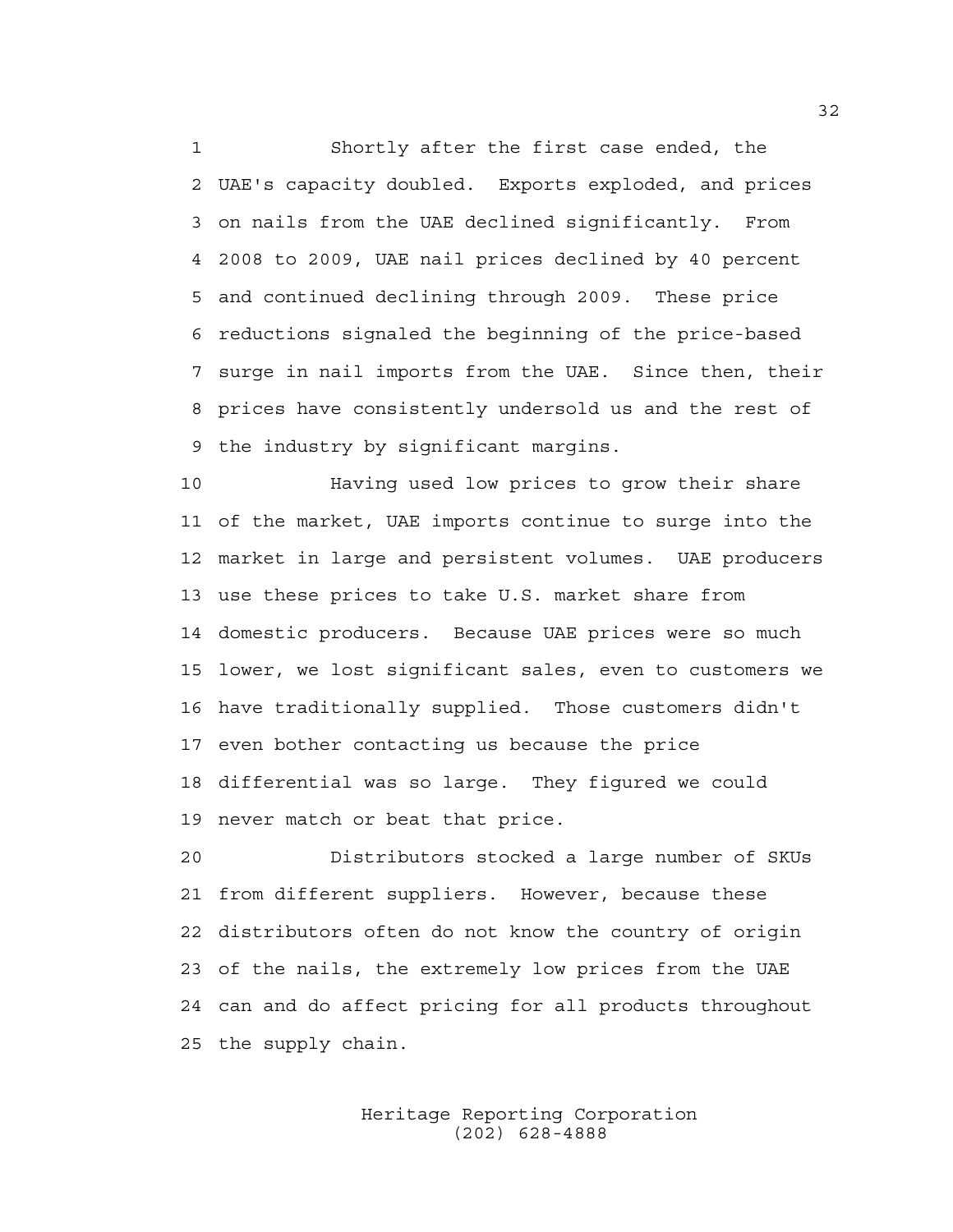1 Shortly after the first case ended, the 2 UAE's capacity doubled. Exports exploded, and prices 3 on nails from the UAE declined significantly. From 4 2008 to 2009, UAE nail prices declined by 40 percent 5 and continued declining through 2009. These price 6 reductions signaled the beginning of the price-based 7 surge in nail imports from the UAE. Since then, their 8 prices have consistently undersold us and the rest of 9 the industry by significant margins.

10 Having used low prices to grow their share 11 of the market, UAE imports continue to surge into the 12 market in large and persistent volumes. UAE producers 13 use these prices to take U.S. market share from 14 domestic producers. Because UAE prices were so much 15 lower, we lost significant sales, even to customers we 16 have traditionally supplied. Those customers didn't 17 even bother contacting us because the price 18 differential was so large. They figured we could 19 never match or beat that price.

20 Distributors stocked a large number of SKUs 21 from different suppliers. However, because these 22 distributors often do not know the country of origin 23 of the nails, the extremely low prices from the UAE 24 can and do affect pricing for all products throughout 25 the supply chain.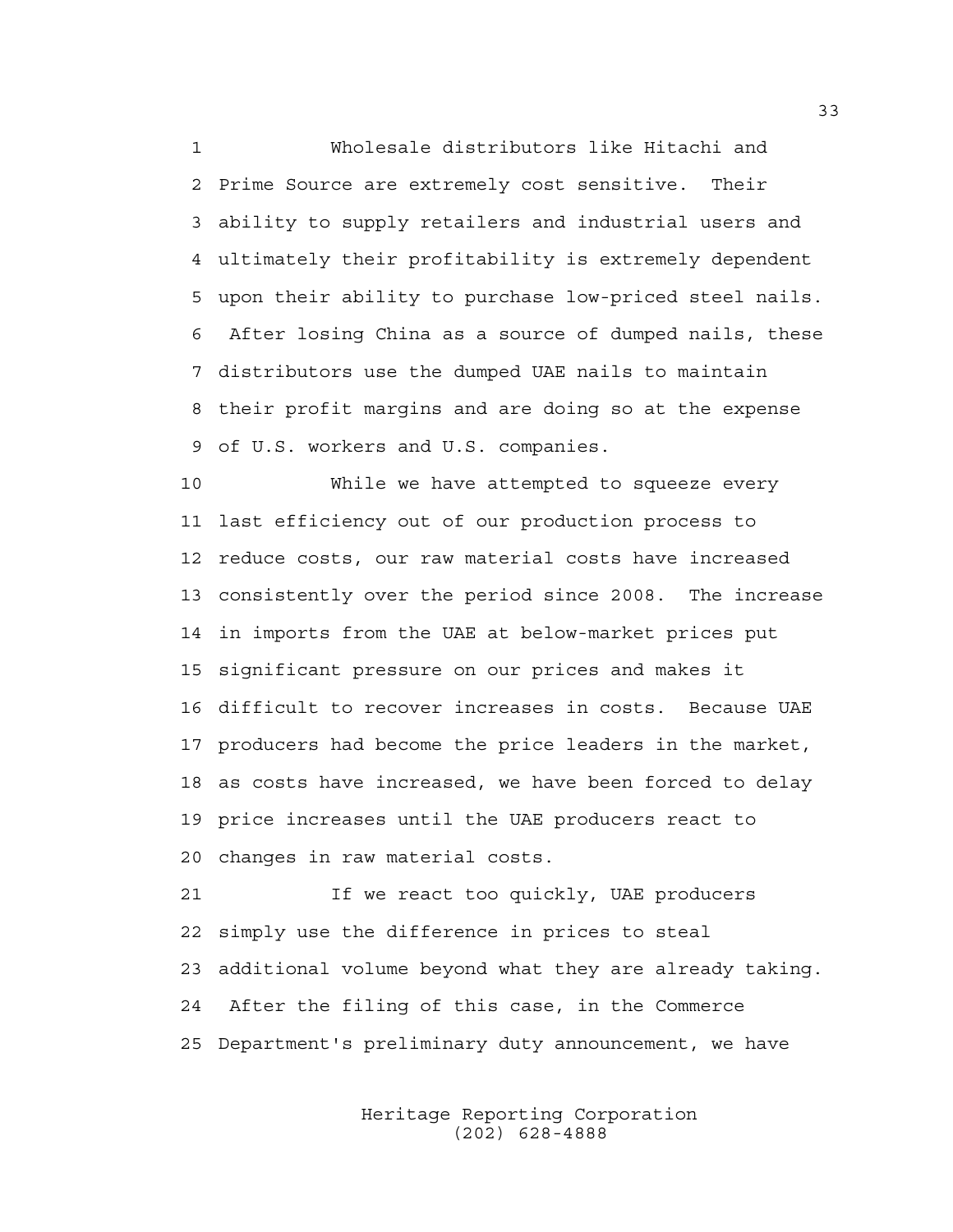1 Wholesale distributors like Hitachi and 2 Prime Source are extremely cost sensitive. Their 3 ability to supply retailers and industrial users and 4 ultimately their profitability is extremely dependent 5 upon their ability to purchase low-priced steel nails. 6 After losing China as a source of dumped nails, these 7 distributors use the dumped UAE nails to maintain 8 their profit margins and are doing so at the expense 9 of U.S. workers and U.S. companies.

10 While we have attempted to squeeze every 11 last efficiency out of our production process to 12 reduce costs, our raw material costs have increased 13 consistently over the period since 2008. The increase 14 in imports from the UAE at below-market prices put 15 significant pressure on our prices and makes it 16 difficult to recover increases in costs. Because UAE 17 producers had become the price leaders in the market, 18 as costs have increased, we have been forced to delay 19 price increases until the UAE producers react to 20 changes in raw material costs.

21 If we react too quickly, UAE producers 22 simply use the difference in prices to steal 23 additional volume beyond what they are already taking. 24 After the filing of this case, in the Commerce 25 Department's preliminary duty announcement, we have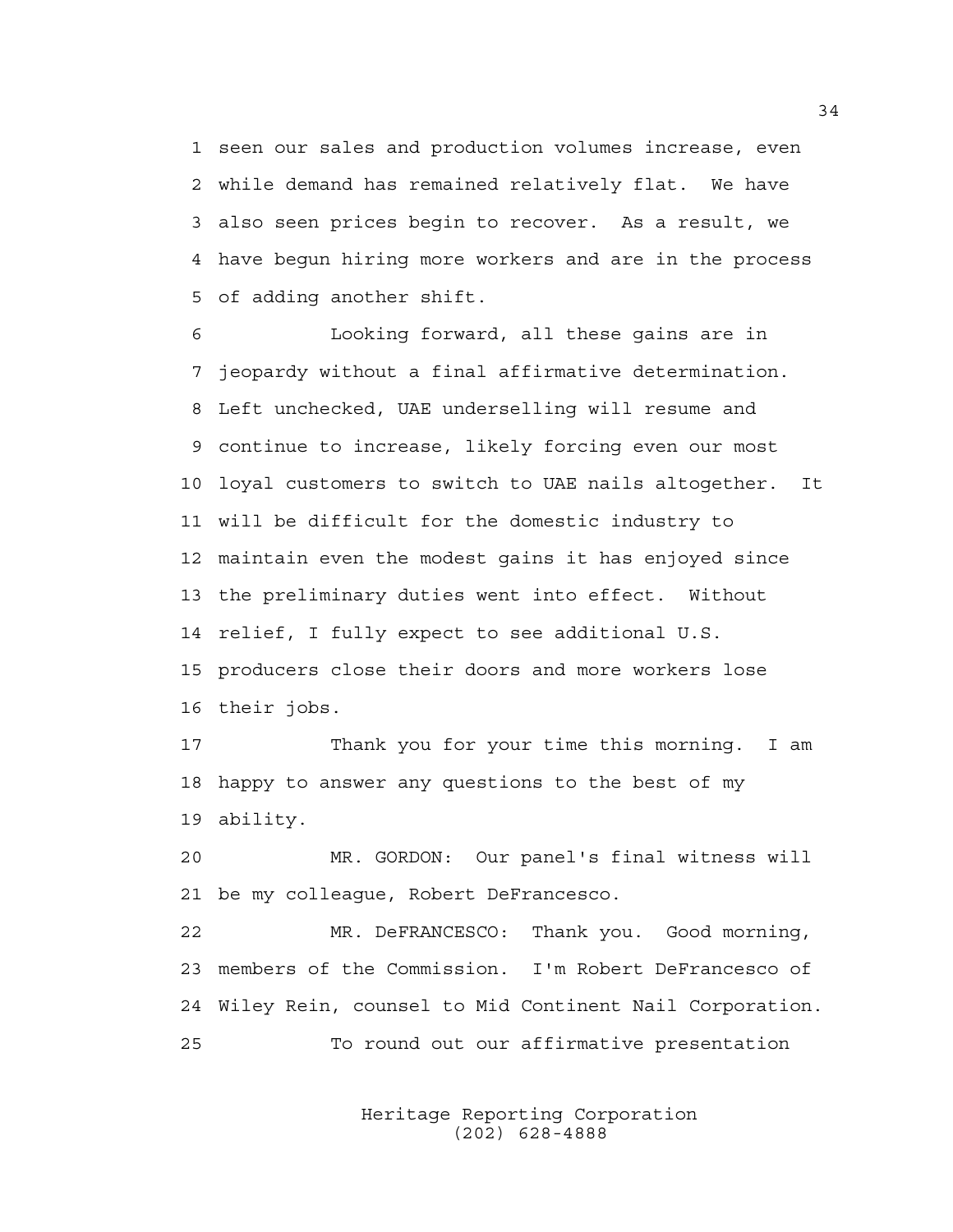1 seen our sales and production volumes increase, even 2 while demand has remained relatively flat. We have 3 also seen prices begin to recover. As a result, we 4 have begun hiring more workers and are in the process 5 of adding another shift.

6 Looking forward, all these gains are in 7 jeopardy without a final affirmative determination. 8 Left unchecked, UAE underselling will resume and 9 continue to increase, likely forcing even our most 10 loyal customers to switch to UAE nails altogether. It 11 will be difficult for the domestic industry to 12 maintain even the modest gains it has enjoyed since 13 the preliminary duties went into effect. Without 14 relief, I fully expect to see additional U.S. 15 producers close their doors and more workers lose 16 their jobs.

17 Thank you for your time this morning. I am 18 happy to answer any questions to the best of my 19 ability.

20 MR. GORDON: Our panel's final witness will 21 be my colleague, Robert DeFrancesco.

22 MR. DeFRANCESCO: Thank you. Good morning, 23 members of the Commission. I'm Robert DeFrancesco of 24 Wiley Rein, counsel to Mid Continent Nail Corporation. 25 To round out our affirmative presentation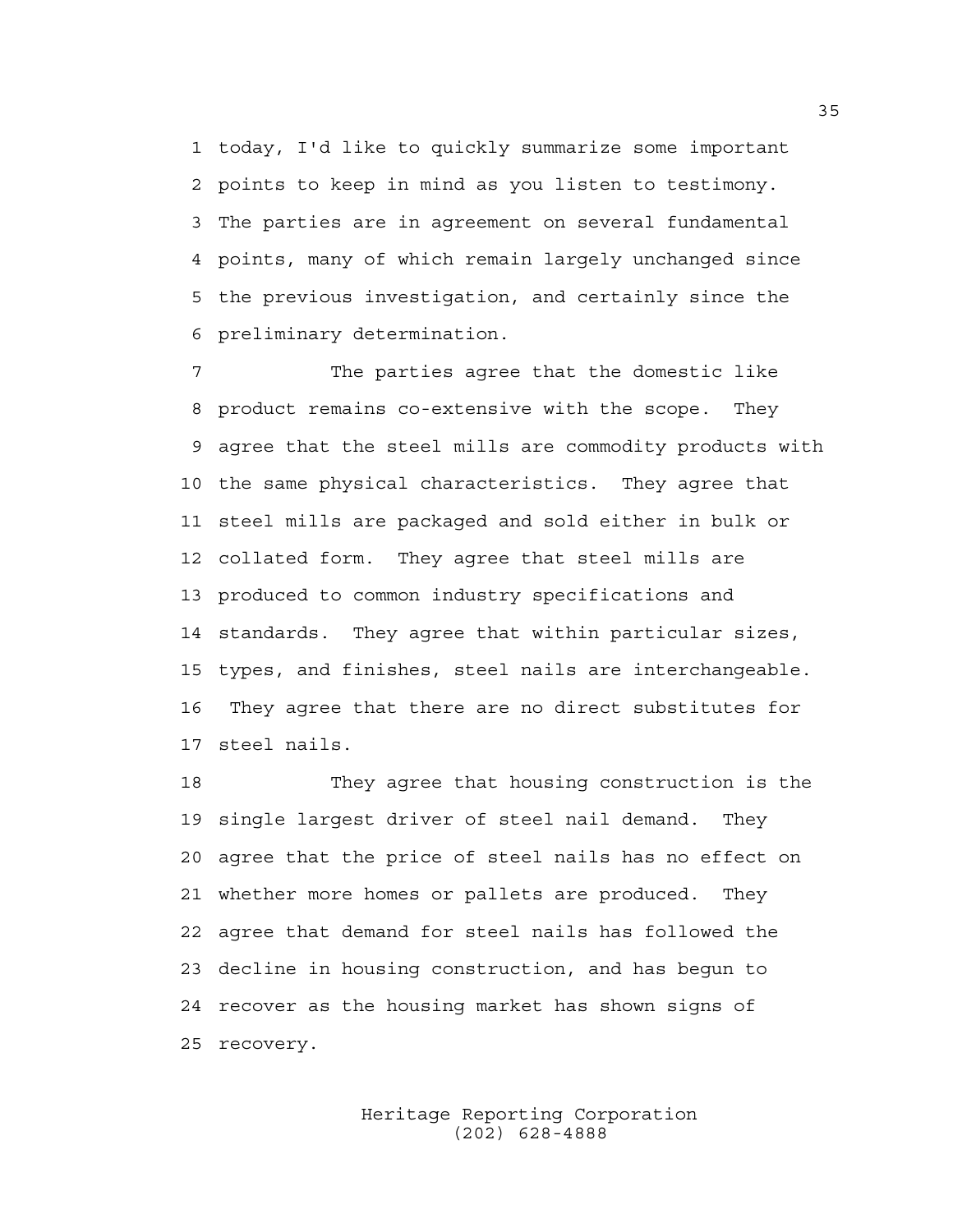1 today, I'd like to quickly summarize some important 2 points to keep in mind as you listen to testimony. 3 The parties are in agreement on several fundamental 4 points, many of which remain largely unchanged since 5 the previous investigation, and certainly since the 6 preliminary determination.

7 The parties agree that the domestic like 8 product remains co-extensive with the scope. They 9 agree that the steel mills are commodity products with 10 the same physical characteristics. They agree that 11 steel mills are packaged and sold either in bulk or 12 collated form. They agree that steel mills are 13 produced to common industry specifications and 14 standards. They agree that within particular sizes, 15 types, and finishes, steel nails are interchangeable. 16 They agree that there are no direct substitutes for 17 steel nails.

18 They agree that housing construction is the 19 single largest driver of steel nail demand. They 20 agree that the price of steel nails has no effect on 21 whether more homes or pallets are produced. They 22 agree that demand for steel nails has followed the 23 decline in housing construction, and has begun to 24 recover as the housing market has shown signs of 25 recovery.

> Heritage Reporting Corporation (202) 628-4888

35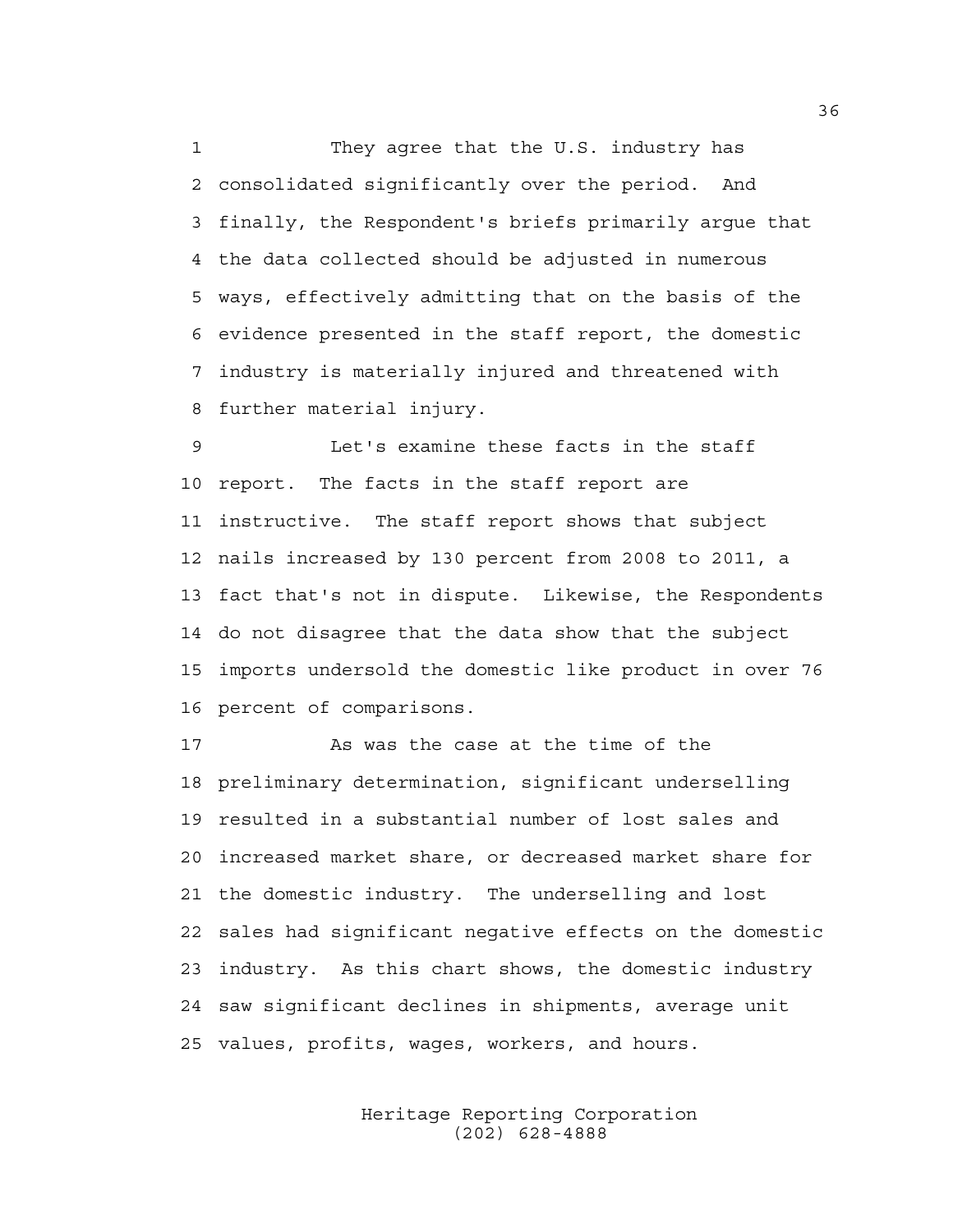1 They agree that the U.S. industry has 2 consolidated significantly over the period. And 3 finally, the Respondent's briefs primarily argue that 4 the data collected should be adjusted in numerous 5 ways, effectively admitting that on the basis of the 6 evidence presented in the staff report, the domestic 7 industry is materially injured and threatened with 8 further material injury.

9 Let's examine these facts in the staff 10 report. The facts in the staff report are 11 instructive. The staff report shows that subject 12 nails increased by 130 percent from 2008 to 2011, a 13 fact that's not in dispute. Likewise, the Respondents 14 do not disagree that the data show that the subject 15 imports undersold the domestic like product in over 76 16 percent of comparisons.

17 As was the case at the time of the 18 preliminary determination, significant underselling 19 resulted in a substantial number of lost sales and 20 increased market share, or decreased market share for 21 the domestic industry. The underselling and lost 22 sales had significant negative effects on the domestic 23 industry. As this chart shows, the domestic industry 24 saw significant declines in shipments, average unit 25 values, profits, wages, workers, and hours.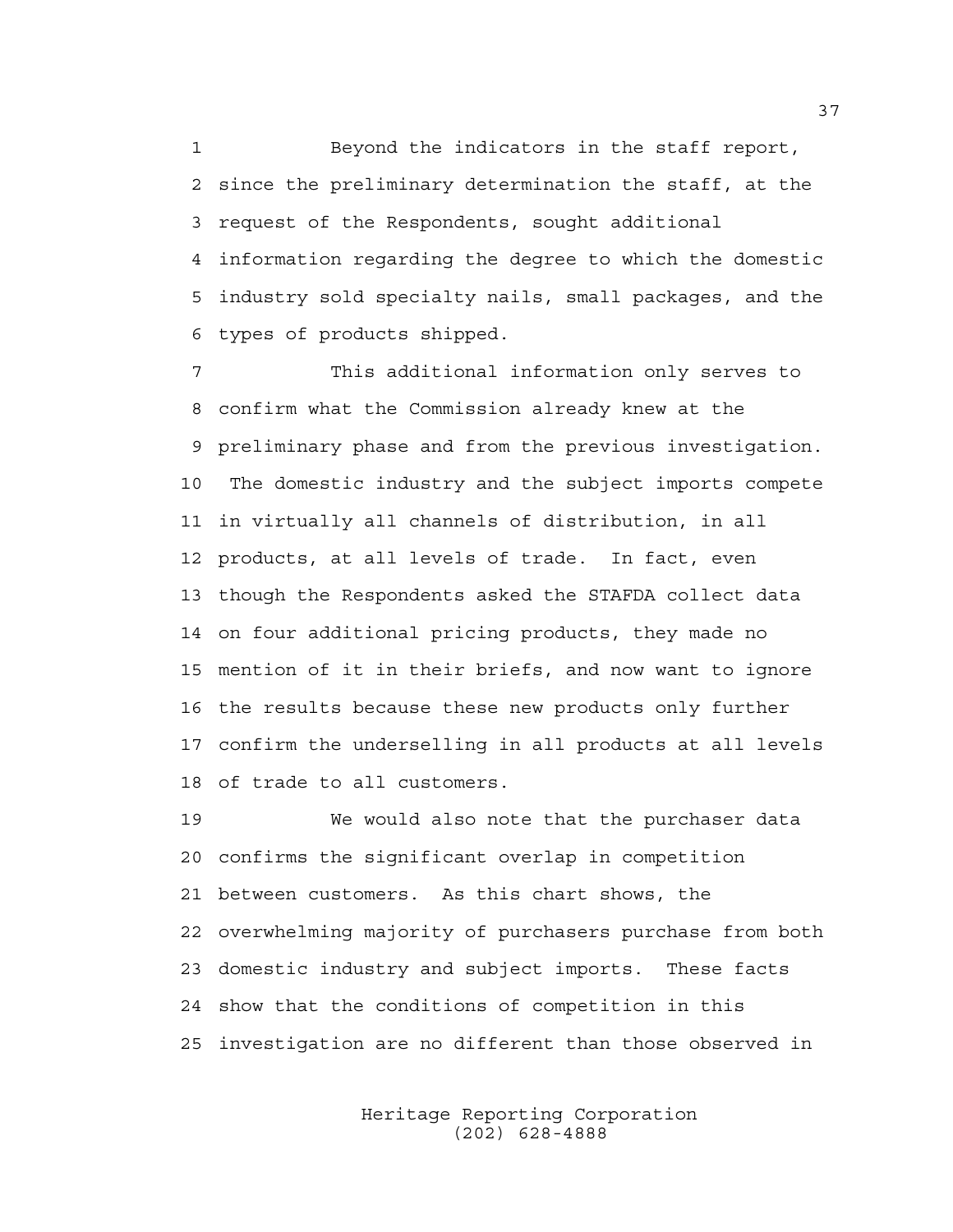1 Beyond the indicators in the staff report, 2 since the preliminary determination the staff, at the 3 request of the Respondents, sought additional 4 information regarding the degree to which the domestic 5 industry sold specialty nails, small packages, and the 6 types of products shipped.

7 This additional information only serves to 8 confirm what the Commission already knew at the 9 preliminary phase and from the previous investigation. 10 The domestic industry and the subject imports compete 11 in virtually all channels of distribution, in all 12 products, at all levels of trade. In fact, even 13 though the Respondents asked the STAFDA collect data 14 on four additional pricing products, they made no 15 mention of it in their briefs, and now want to ignore 16 the results because these new products only further 17 confirm the underselling in all products at all levels 18 of trade to all customers.

19 We would also note that the purchaser data 20 confirms the significant overlap in competition 21 between customers. As this chart shows, the 22 overwhelming majority of purchasers purchase from both 23 domestic industry and subject imports. These facts 24 show that the conditions of competition in this 25 investigation are no different than those observed in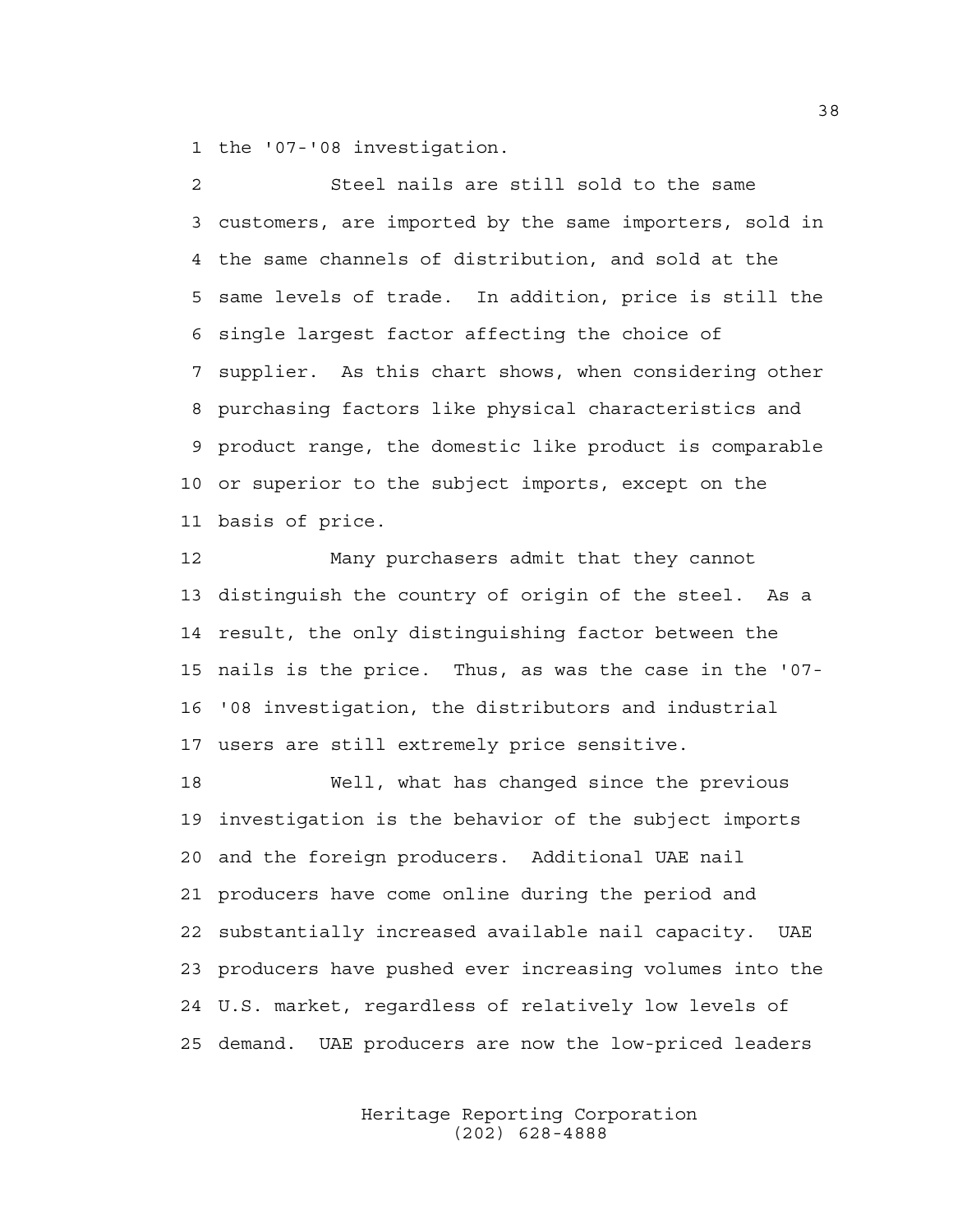1 the '07-'08 investigation.

2 Steel nails are still sold to the same 3 customers, are imported by the same importers, sold in 4 the same channels of distribution, and sold at the 5 same levels of trade. In addition, price is still the 6 single largest factor affecting the choice of 7 supplier. As this chart shows, when considering other 8 purchasing factors like physical characteristics and 9 product range, the domestic like product is comparable 10 or superior to the subject imports, except on the 11 basis of price.

12 Many purchasers admit that they cannot 13 distinguish the country of origin of the steel. As a 14 result, the only distinguishing factor between the 15 nails is the price. Thus, as was the case in the '07- 16 '08 investigation, the distributors and industrial 17 users are still extremely price sensitive.

18 Well, what has changed since the previous 19 investigation is the behavior of the subject imports 20 and the foreign producers. Additional UAE nail 21 producers have come online during the period and 22 substantially increased available nail capacity. UAE 23 producers have pushed ever increasing volumes into the 24 U.S. market, regardless of relatively low levels of 25 demand. UAE producers are now the low-priced leaders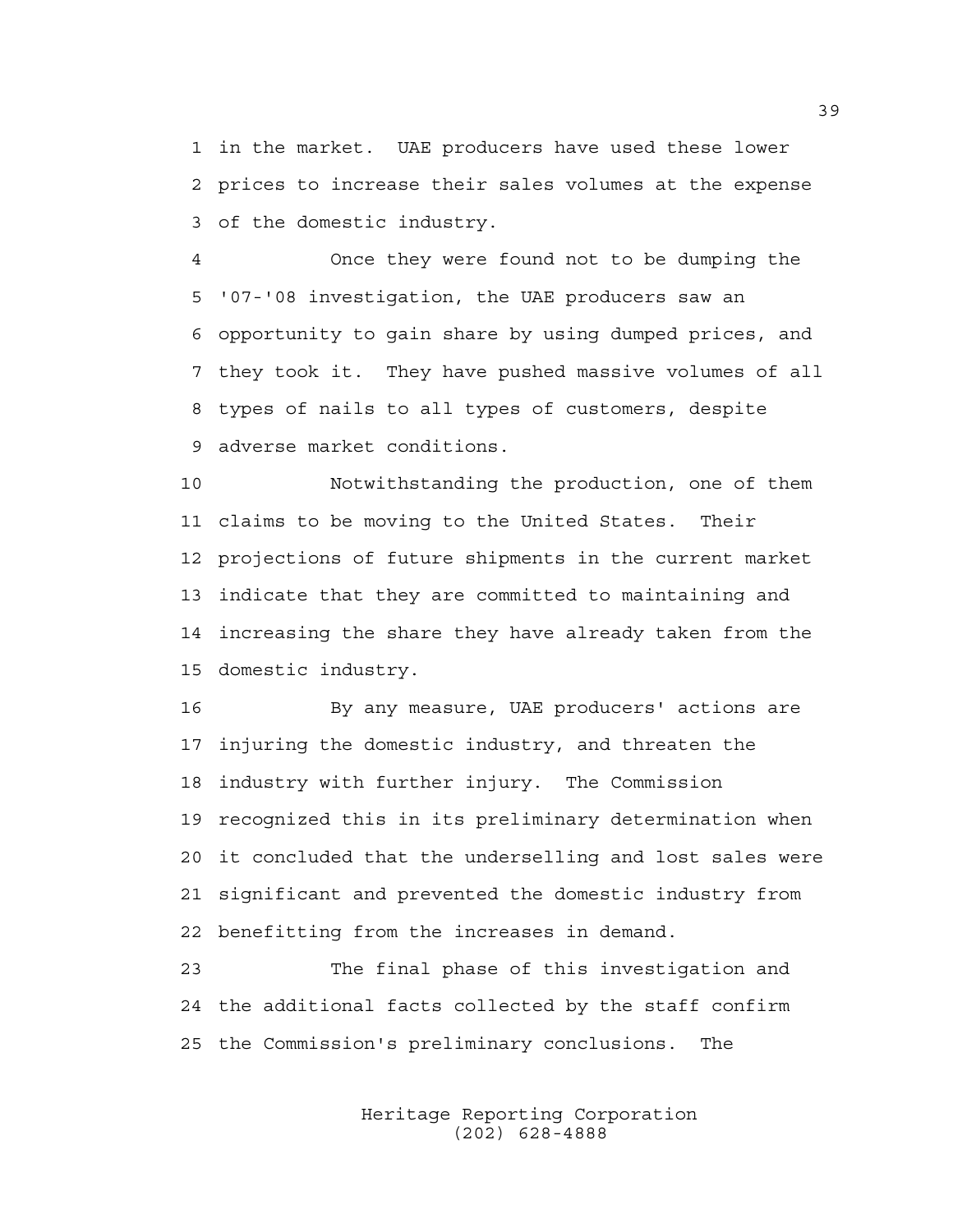1 in the market. UAE producers have used these lower 2 prices to increase their sales volumes at the expense 3 of the domestic industry.

4 Once they were found not to be dumping the 5 '07-'08 investigation, the UAE producers saw an 6 opportunity to gain share by using dumped prices, and 7 they took it. They have pushed massive volumes of all 8 types of nails to all types of customers, despite 9 adverse market conditions.

10 Notwithstanding the production, one of them 11 claims to be moving to the United States. Their 12 projections of future shipments in the current market 13 indicate that they are committed to maintaining and 14 increasing the share they have already taken from the 15 domestic industry.

16 By any measure, UAE producers' actions are 17 injuring the domestic industry, and threaten the 18 industry with further injury. The Commission 19 recognized this in its preliminary determination when 20 it concluded that the underselling and lost sales were 21 significant and prevented the domestic industry from 22 benefitting from the increases in demand.

23 The final phase of this investigation and 24 the additional facts collected by the staff confirm 25 the Commission's preliminary conclusions. The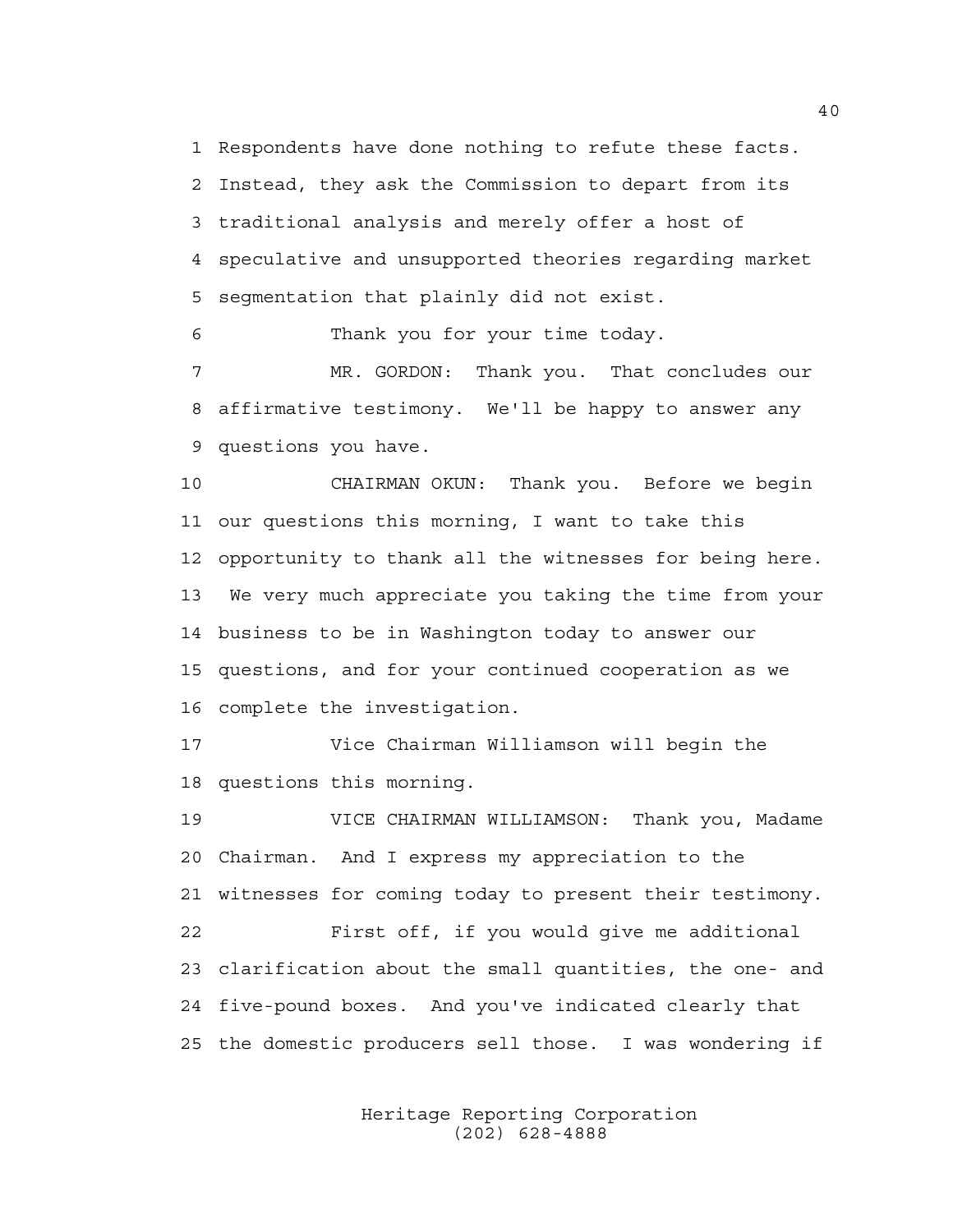1 Respondents have done nothing to refute these facts. 2 Instead, they ask the Commission to depart from its 3 traditional analysis and merely offer a host of 4 speculative and unsupported theories regarding market 5 segmentation that plainly did not exist.

6 Thank you for your time today.

7 MR. GORDON: Thank you. That concludes our 8 affirmative testimony. We'll be happy to answer any 9 questions you have.

10 CHAIRMAN OKUN: Thank you. Before we begin 11 our questions this morning, I want to take this 12 opportunity to thank all the witnesses for being here. 13 We very much appreciate you taking the time from your 14 business to be in Washington today to answer our 15 questions, and for your continued cooperation as we 16 complete the investigation.

17 Vice Chairman Williamson will begin the 18 questions this morning.

19 VICE CHAIRMAN WILLIAMSON: Thank you, Madame 20 Chairman. And I express my appreciation to the 21 witnesses for coming today to present their testimony. 22 First off, if you would give me additional 23 clarification about the small quantities, the one- and 24 five-pound boxes. And you've indicated clearly that 25 the domestic producers sell those. I was wondering if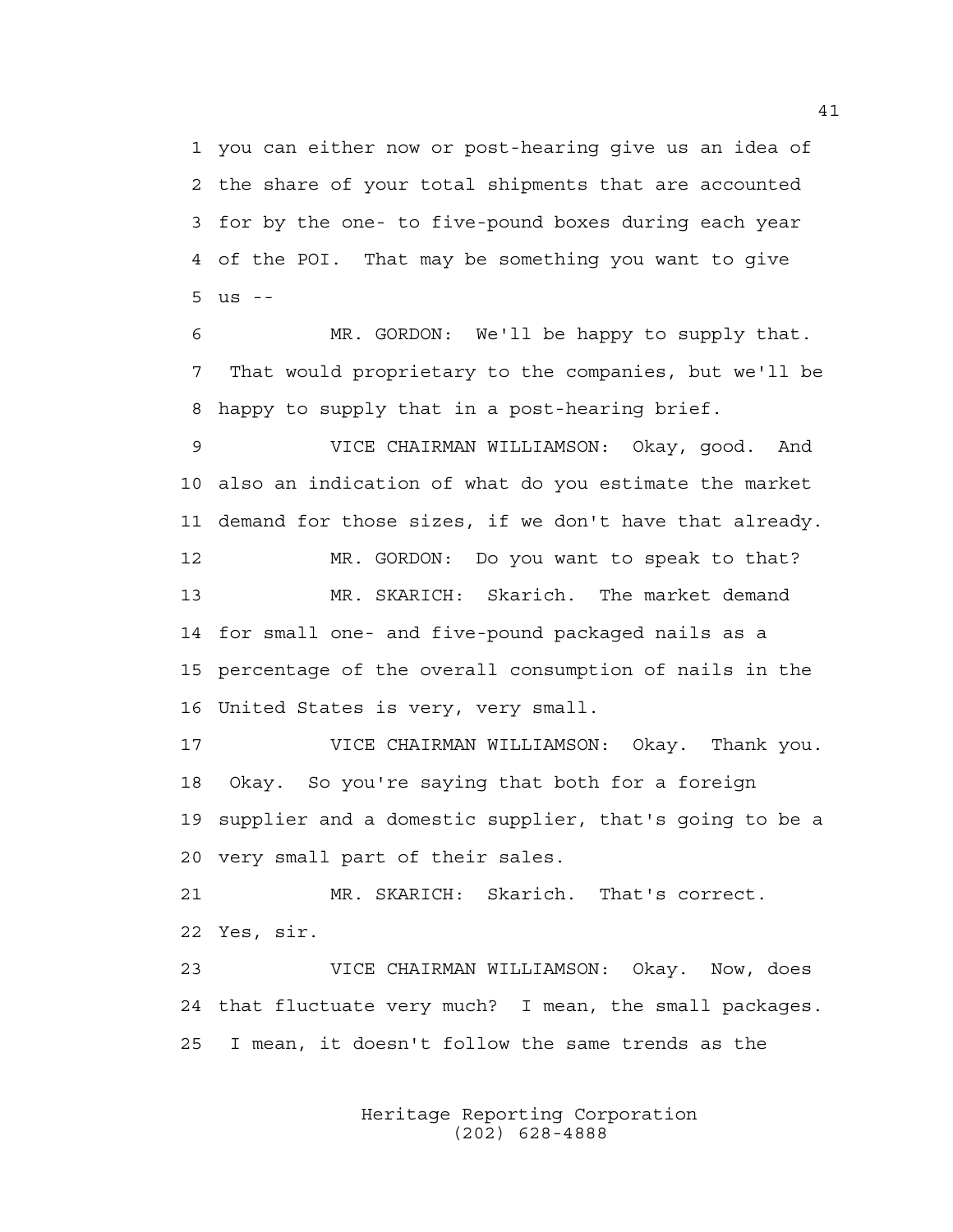1 you can either now or post-hearing give us an idea of 2 the share of your total shipments that are accounted 3 for by the one- to five-pound boxes during each year 4 of the POI. That may be something you want to give 5 us --

6 MR. GORDON: We'll be happy to supply that. 7 That would proprietary to the companies, but we'll be 8 happy to supply that in a post-hearing brief.

9 VICE CHAIRMAN WILLIAMSON: Okay, good. And 10 also an indication of what do you estimate the market 11 demand for those sizes, if we don't have that already.

12 MR. GORDON: Do you want to speak to that? 13 MR. SKARICH: Skarich. The market demand 14 for small one- and five-pound packaged nails as a 15 percentage of the overall consumption of nails in the 16 United States is very, very small.

17 VICE CHAIRMAN WILLIAMSON: Okay. Thank you. 18 Okay. So you're saying that both for a foreign 19 supplier and a domestic supplier, that's going to be a 20 very small part of their sales.

21 MR. SKARICH: Skarich. That's correct. 22 Yes, sir.

23 VICE CHAIRMAN WILLIAMSON: Okay. Now, does 24 that fluctuate very much? I mean, the small packages. 25 I mean, it doesn't follow the same trends as the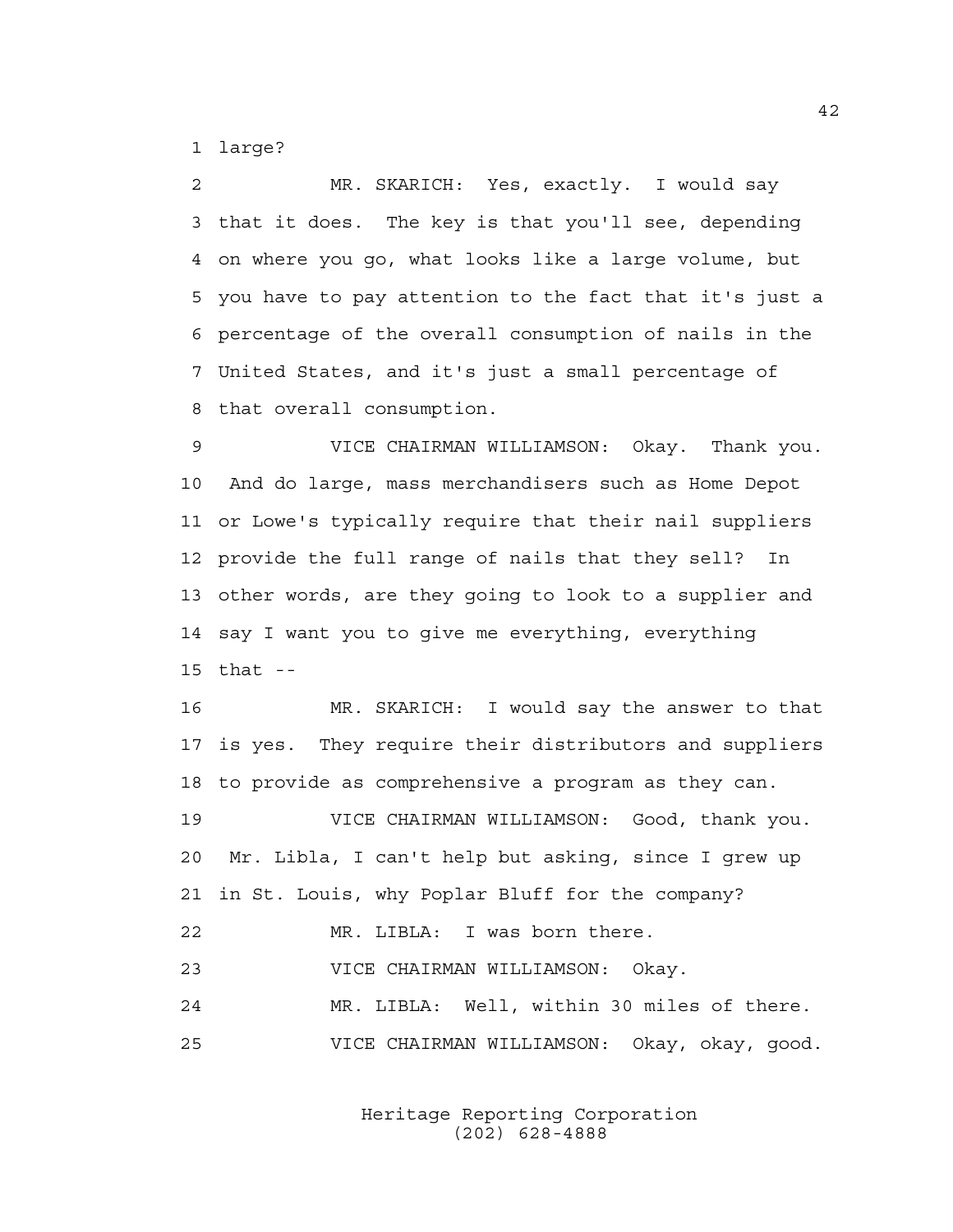1 large?

2 MR. SKARICH: Yes, exactly. I would say 3 that it does. The key is that you'll see, depending 4 on where you go, what looks like a large volume, but 5 you have to pay attention to the fact that it's just a 6 percentage of the overall consumption of nails in the 7 United States, and it's just a small percentage of 8 that overall consumption.

9 VICE CHAIRMAN WILLIAMSON: Okay. Thank you. 10 And do large, mass merchandisers such as Home Depot 11 or Lowe's typically require that their nail suppliers 12 provide the full range of nails that they sell? In 13 other words, are they going to look to a supplier and 14 say I want you to give me everything, everything 15 that --

16 MR. SKARICH: I would say the answer to that 17 is yes. They require their distributors and suppliers 18 to provide as comprehensive a program as they can.

19 VICE CHAIRMAN WILLIAMSON: Good, thank you. 20 Mr. Libla, I can't help but asking, since I grew up 21 in St. Louis, why Poplar Bluff for the company?

22 MR. LIBLA: I was born there.

23 VICE CHAIRMAN WILLIAMSON: Okay.

24 MR. LIBLA: Well, within 30 miles of there. 25 VICE CHAIRMAN WILLIAMSON: Okay, okay, good.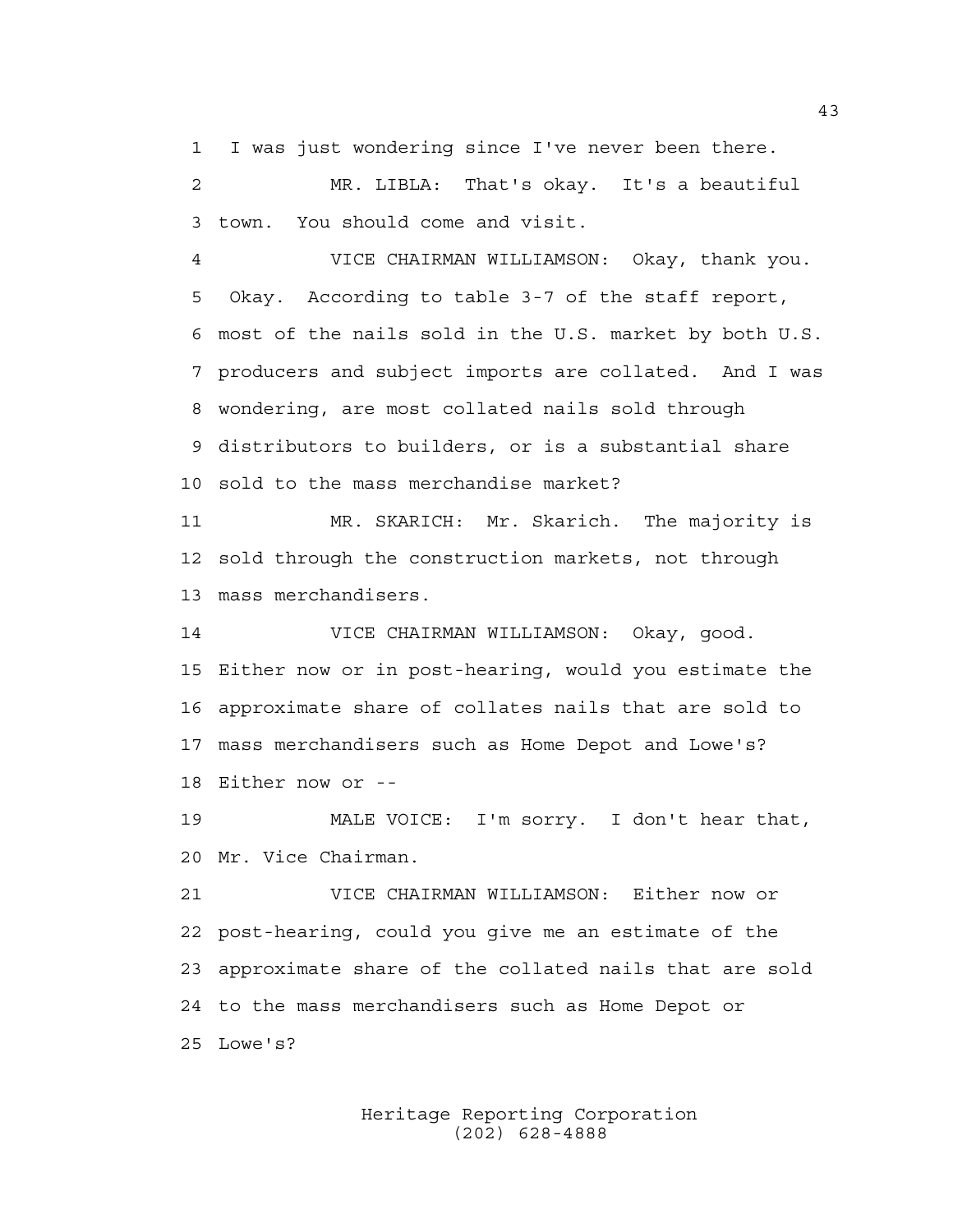1 I was just wondering since I've never been there.

2 MR. LIBLA: That's okay. It's a beautiful 3 town. You should come and visit.

4 VICE CHAIRMAN WILLIAMSON: Okay, thank you. 5 Okay. According to table 3-7 of the staff report, 6 most of the nails sold in the U.S. market by both U.S. 7 producers and subject imports are collated. And I was 8 wondering, are most collated nails sold through 9 distributors to builders, or is a substantial share 10 sold to the mass merchandise market?

11 MR. SKARICH: Mr. Skarich. The majority is 12 sold through the construction markets, not through 13 mass merchandisers.

14 VICE CHAIRMAN WILLIAMSON: Okay, good. 15 Either now or in post-hearing, would you estimate the 16 approximate share of collates nails that are sold to 17 mass merchandisers such as Home Depot and Lowe's? 18 Either now or --

19 MALE VOICE: I'm sorry. I don't hear that, 20 Mr. Vice Chairman.

21 VICE CHAIRMAN WILLIAMSON: Either now or 22 post-hearing, could you give me an estimate of the 23 approximate share of the collated nails that are sold 24 to the mass merchandisers such as Home Depot or 25 Lowe's?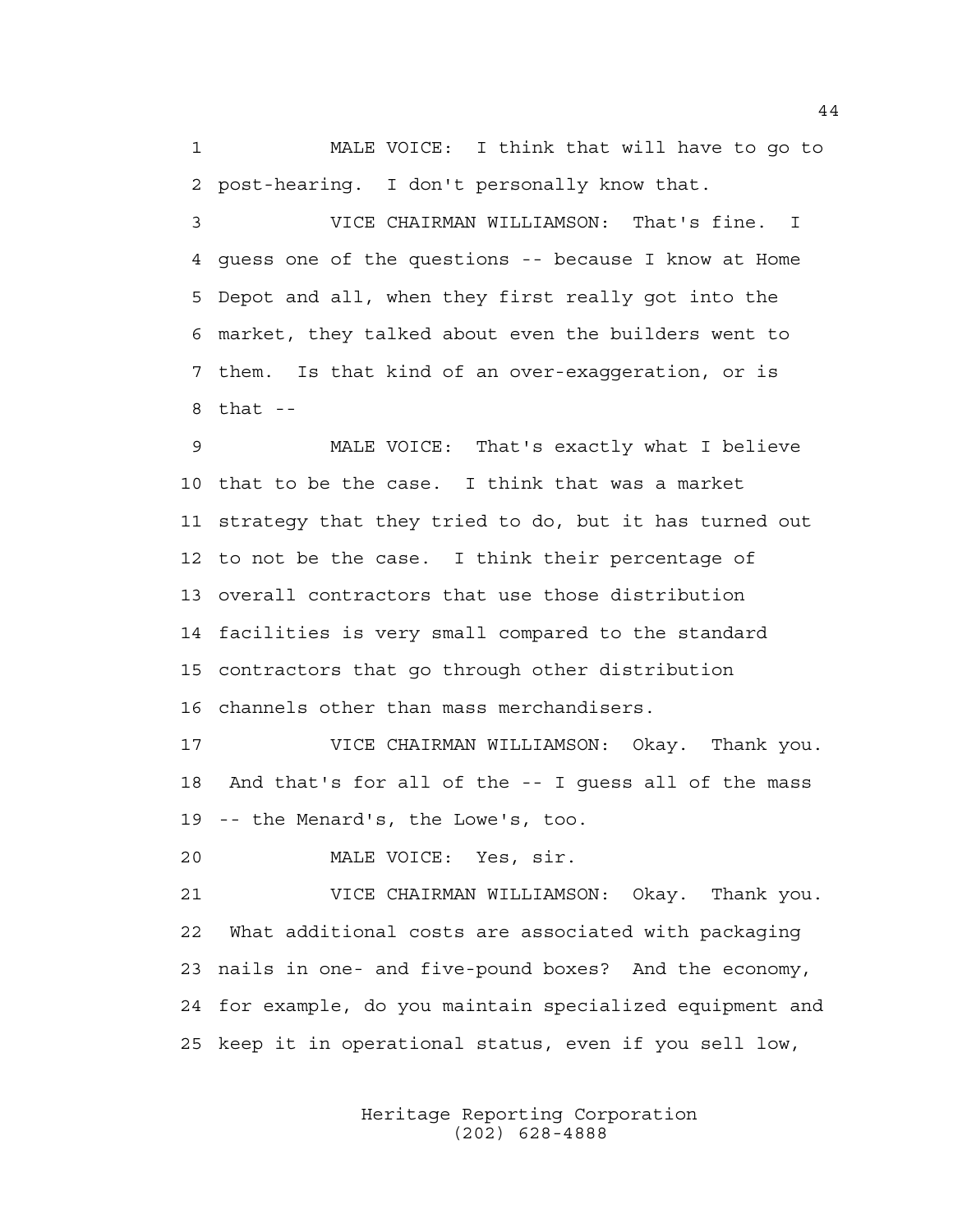1 MALE VOICE: I think that will have to go to 2 post-hearing. I don't personally know that.

3 VICE CHAIRMAN WILLIAMSON: That's fine. I 4 guess one of the questions -- because I know at Home 5 Depot and all, when they first really got into the 6 market, they talked about even the builders went to 7 them. Is that kind of an over-exaggeration, or is  $8$  that  $-$ 

9 MALE VOICE: That's exactly what I believe 10 that to be the case. I think that was a market 11 strategy that they tried to do, but it has turned out 12 to not be the case. I think their percentage of 13 overall contractors that use those distribution 14 facilities is very small compared to the standard 15 contractors that go through other distribution 16 channels other than mass merchandisers.

17 VICE CHAIRMAN WILLIAMSON: Okay. Thank you. 18 And that's for all of the -- I guess all of the mass 19 -- the Menard's, the Lowe's, too.

20 MALE VOICE: Yes, sir.

21 VICE CHAIRMAN WILLIAMSON: Okay. Thank you. 22 What additional costs are associated with packaging 23 nails in one- and five-pound boxes? And the economy, 24 for example, do you maintain specialized equipment and 25 keep it in operational status, even if you sell low,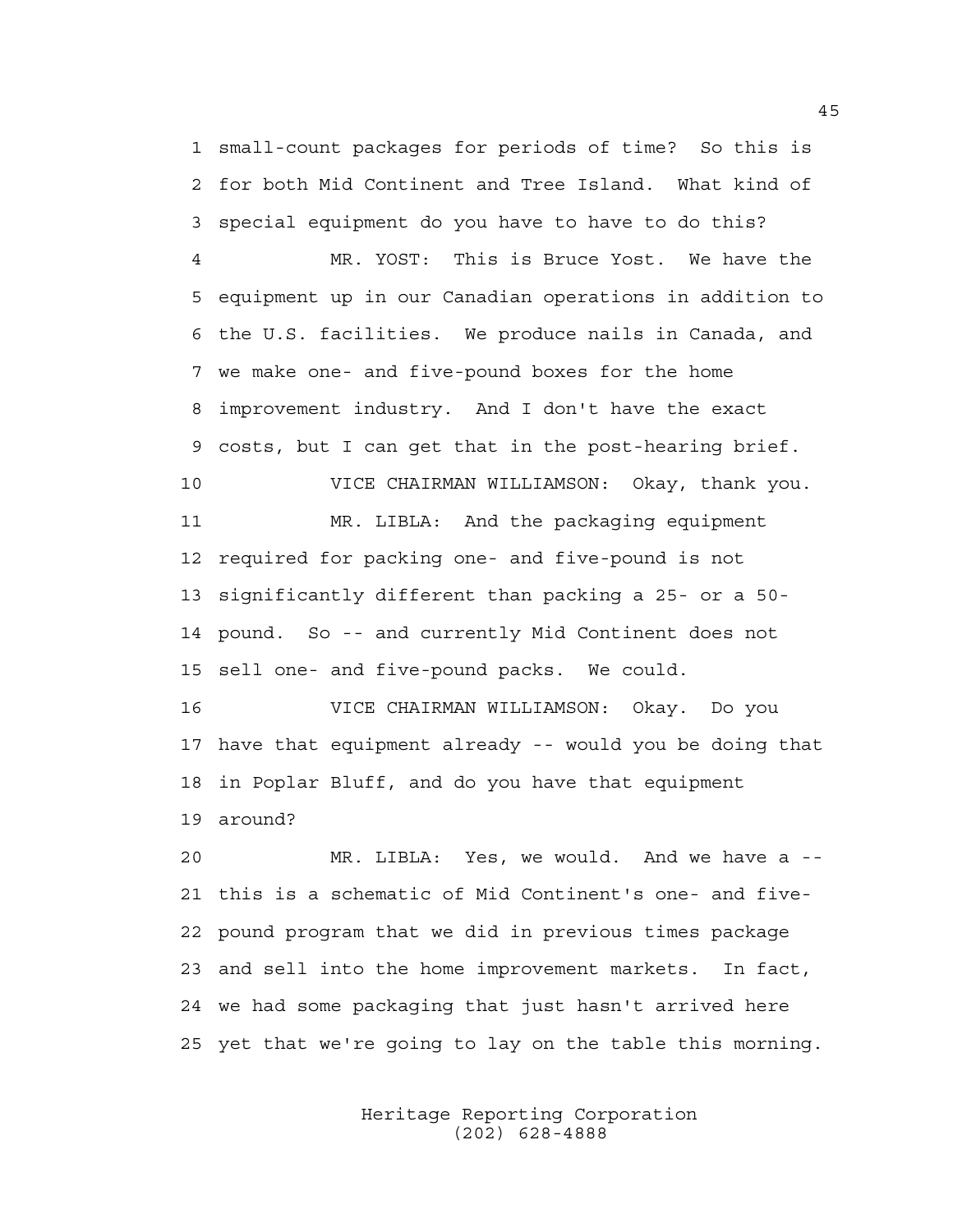1 small-count packages for periods of time? So this is 2 for both Mid Continent and Tree Island. What kind of 3 special equipment do you have to have to do this?

4 MR. YOST: This is Bruce Yost. We have the 5 equipment up in our Canadian operations in addition to 6 the U.S. facilities. We produce nails in Canada, and 7 we make one- and five-pound boxes for the home 8 improvement industry. And I don't have the exact 9 costs, but I can get that in the post-hearing brief. 10 VICE CHAIRMAN WILLIAMSON: Okay, thank you. 11 MR. LIBLA: And the packaging equipment 12 required for packing one- and five-pound is not

14 pound. So -- and currently Mid Continent does not 15 sell one- and five-pound packs. We could.

13 significantly different than packing a 25- or a 50-

16 VICE CHAIRMAN WILLIAMSON: Okay. Do you 17 have that equipment already -- would you be doing that 18 in Poplar Bluff, and do you have that equipment 19 around?

20 MR. LIBLA: Yes, we would. And we have a -- 21 this is a schematic of Mid Continent's one- and five-22 pound program that we did in previous times package 23 and sell into the home improvement markets. In fact, 24 we had some packaging that just hasn't arrived here 25 yet that we're going to lay on the table this morning.

> Heritage Reporting Corporation (202) 628-4888

45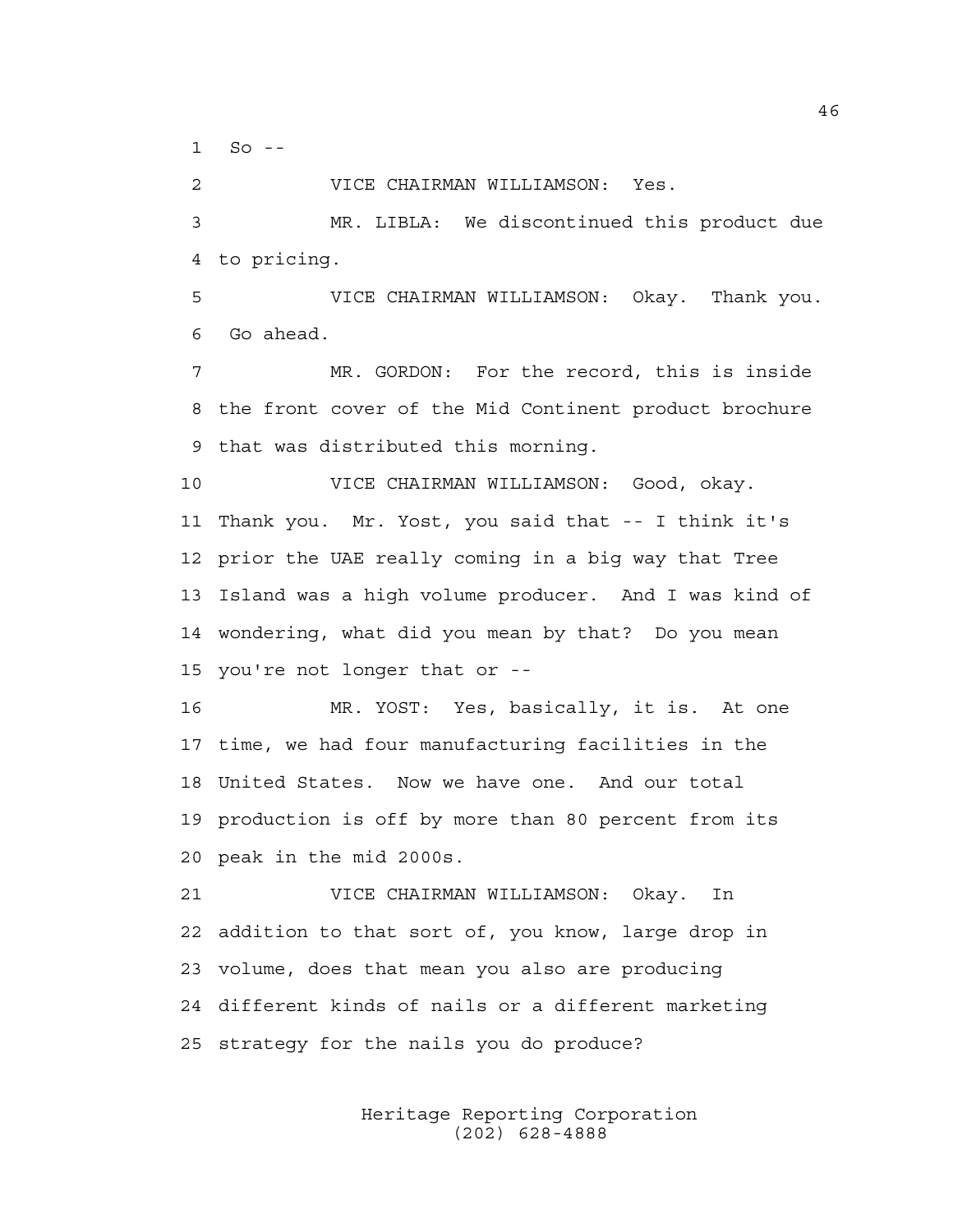1 So --

2 VICE CHAIRMAN WILLIAMSON: Yes.

3 MR. LIBLA: We discontinued this product due 4 to pricing.

5 VICE CHAIRMAN WILLIAMSON: Okay. Thank you. 6 Go ahead.

7 MR. GORDON: For the record, this is inside 8 the front cover of the Mid Continent product brochure 9 that was distributed this morning.

10 VICE CHAIRMAN WILLIAMSON: Good, okay. 11 Thank you. Mr. Yost, you said that -- I think it's 12 prior the UAE really coming in a big way that Tree 13 Island was a high volume producer. And I was kind of 14 wondering, what did you mean by that? Do you mean 15 you're not longer that or --

16 MR. YOST: Yes, basically, it is. At one 17 time, we had four manufacturing facilities in the 18 United States. Now we have one. And our total 19 production is off by more than 80 percent from its 20 peak in the mid 2000s.

21 VICE CHAIRMAN WILLIAMSON: Okay. In 22 addition to that sort of, you know, large drop in 23 volume, does that mean you also are producing 24 different kinds of nails or a different marketing 25 strategy for the nails you do produce?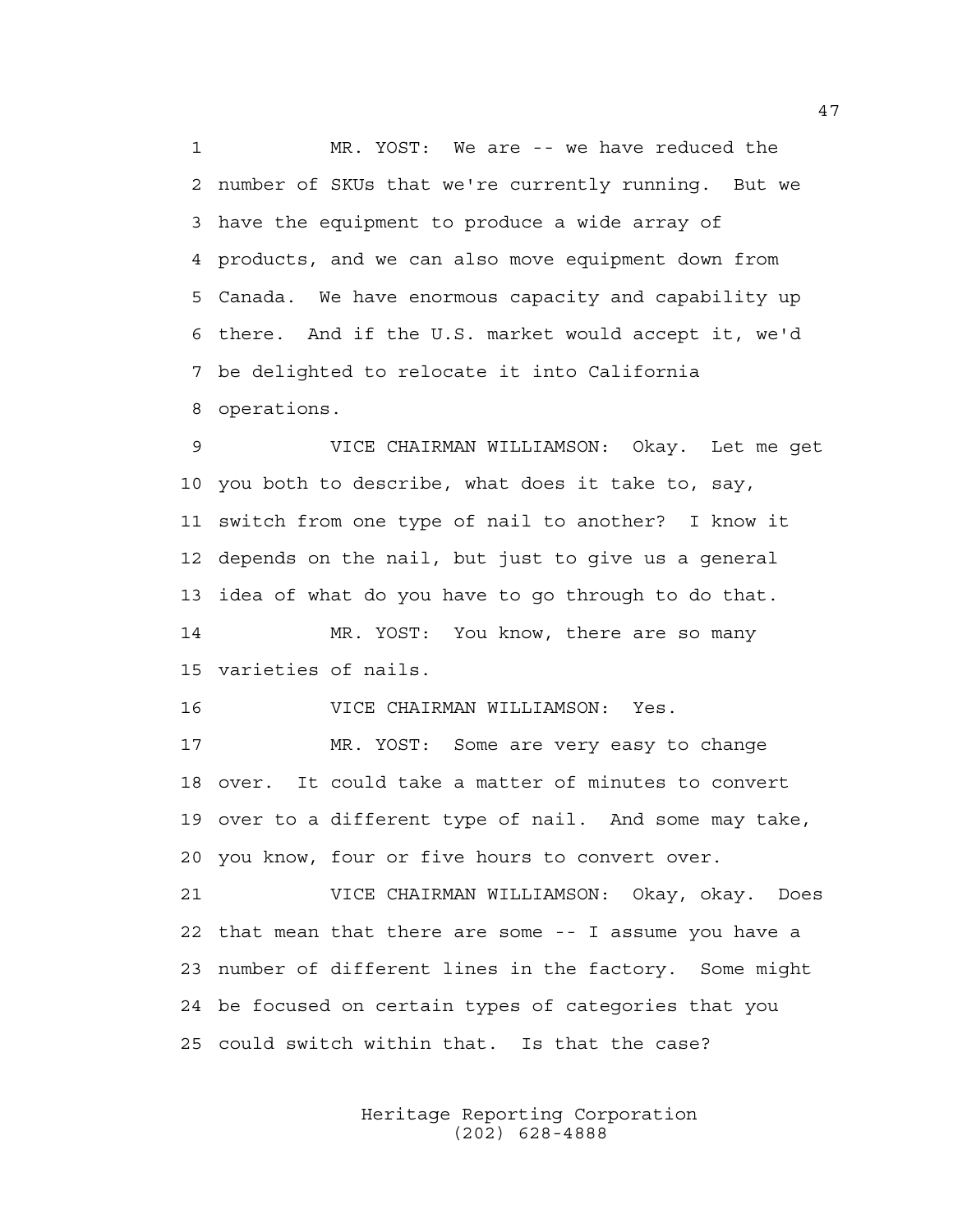1 MR. YOST: We are -- we have reduced the 2 number of SKUs that we're currently running. But we 3 have the equipment to produce a wide array of 4 products, and we can also move equipment down from 5 Canada. We have enormous capacity and capability up 6 there. And if the U.S. market would accept it, we'd 7 be delighted to relocate it into California 8 operations.

9 VICE CHAIRMAN WILLIAMSON: Okay. Let me get 10 you both to describe, what does it take to, say, 11 switch from one type of nail to another? I know it 12 depends on the nail, but just to give us a general 13 idea of what do you have to go through to do that. 14 MR. YOST: You know, there are so many 15 varieties of nails.

16 VICE CHAIRMAN WILLIAMSON: Yes.

17 MR. YOST: Some are very easy to change 18 over. It could take a matter of minutes to convert 19 over to a different type of nail. And some may take, 20 you know, four or five hours to convert over.

21 VICE CHAIRMAN WILLIAMSON: Okay, okay. Does 22 that mean that there are some -- I assume you have a 23 number of different lines in the factory. Some might 24 be focused on certain types of categories that you 25 could switch within that. Is that the case?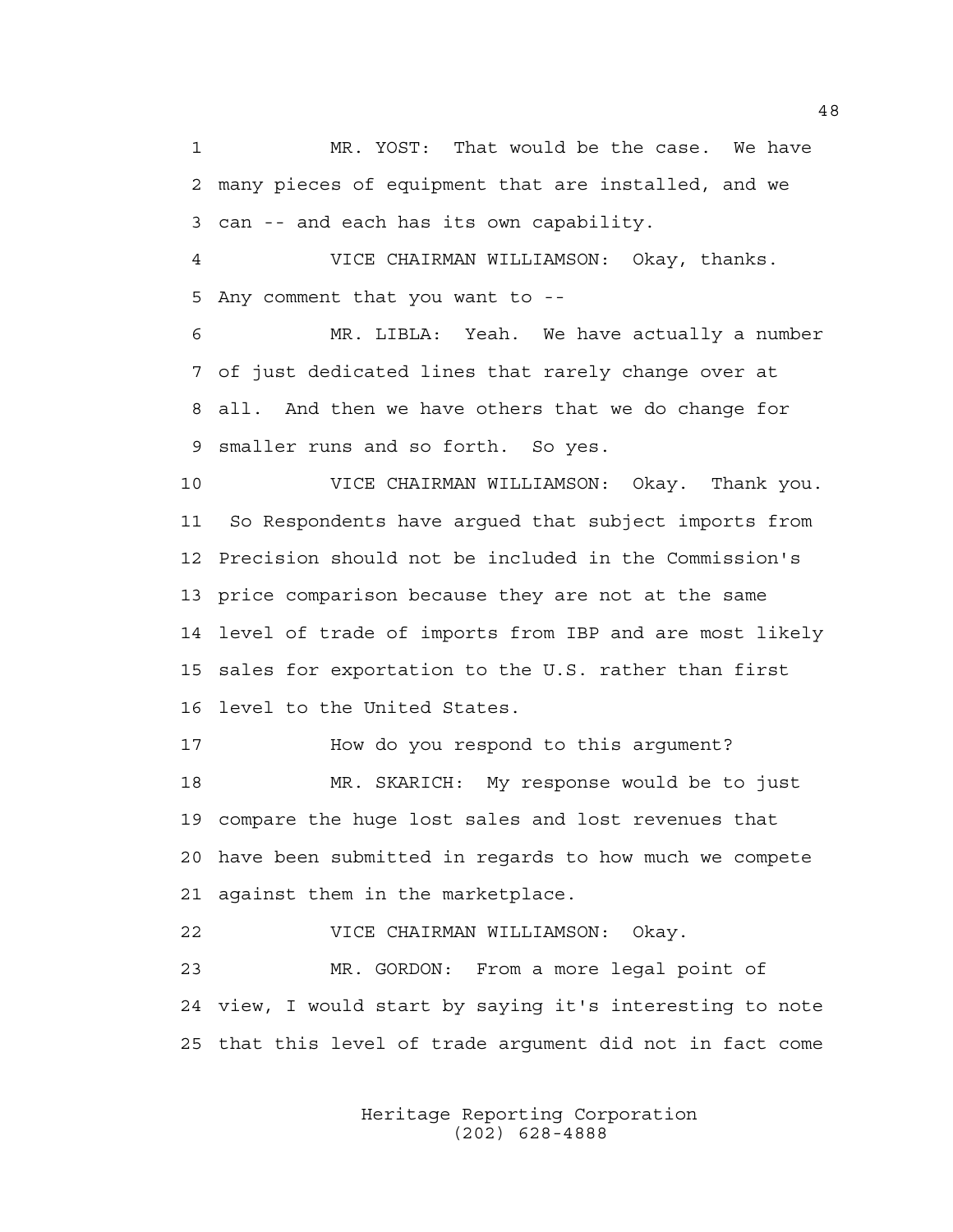1 MR. YOST: That would be the case. We have 2 many pieces of equipment that are installed, and we 3 can -- and each has its own capability.

4 VICE CHAIRMAN WILLIAMSON: Okay, thanks. 5 Any comment that you want to --

6 MR. LIBLA: Yeah. We have actually a number 7 of just dedicated lines that rarely change over at 8 all. And then we have others that we do change for 9 smaller runs and so forth. So yes.

10 VICE CHAIRMAN WILLIAMSON: Okay. Thank you. 11 So Respondents have argued that subject imports from 12 Precision should not be included in the Commission's 13 price comparison because they are not at the same 14 level of trade of imports from IBP and are most likely 15 sales for exportation to the U.S. rather than first 16 level to the United States.

17 How do you respond to this argument? 18 MR. SKARICH: My response would be to just 19 compare the huge lost sales and lost revenues that 20 have been submitted in regards to how much we compete 21 against them in the marketplace.

22 VICE CHAIRMAN WILLIAMSON: Okay.

23 MR. GORDON: From a more legal point of 24 view, I would start by saying it's interesting to note 25 that this level of trade argument did not in fact come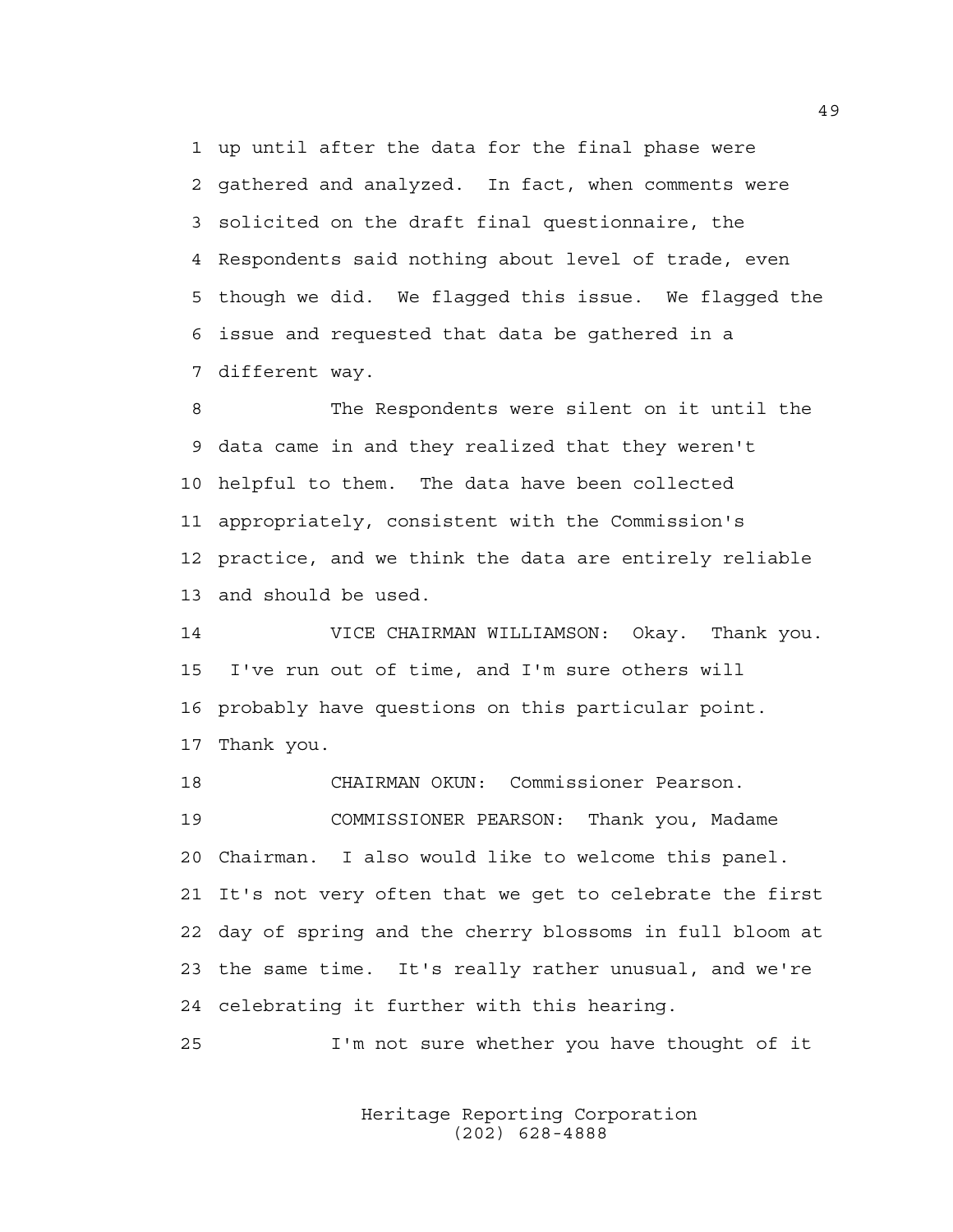1 up until after the data for the final phase were 2 gathered and analyzed. In fact, when comments were 3 solicited on the draft final questionnaire, the 4 Respondents said nothing about level of trade, even 5 though we did. We flagged this issue. We flagged the 6 issue and requested that data be gathered in a 7 different way.

8 The Respondents were silent on it until the 9 data came in and they realized that they weren't 10 helpful to them. The data have been collected 11 appropriately, consistent with the Commission's 12 practice, and we think the data are entirely reliable 13 and should be used.

14 VICE CHAIRMAN WILLIAMSON: Okay. Thank you. 15 I've run out of time, and I'm sure others will 16 probably have questions on this particular point. 17 Thank you.

18 CHAIRMAN OKUN: Commissioner Pearson. 19 COMMISSIONER PEARSON: Thank you, Madame 20 Chairman. I also would like to welcome this panel. 21 It's not very often that we get to celebrate the first 22 day of spring and the cherry blossoms in full bloom at 23 the same time. It's really rather unusual, and we're 24 celebrating it further with this hearing.

25 I'm not sure whether you have thought of it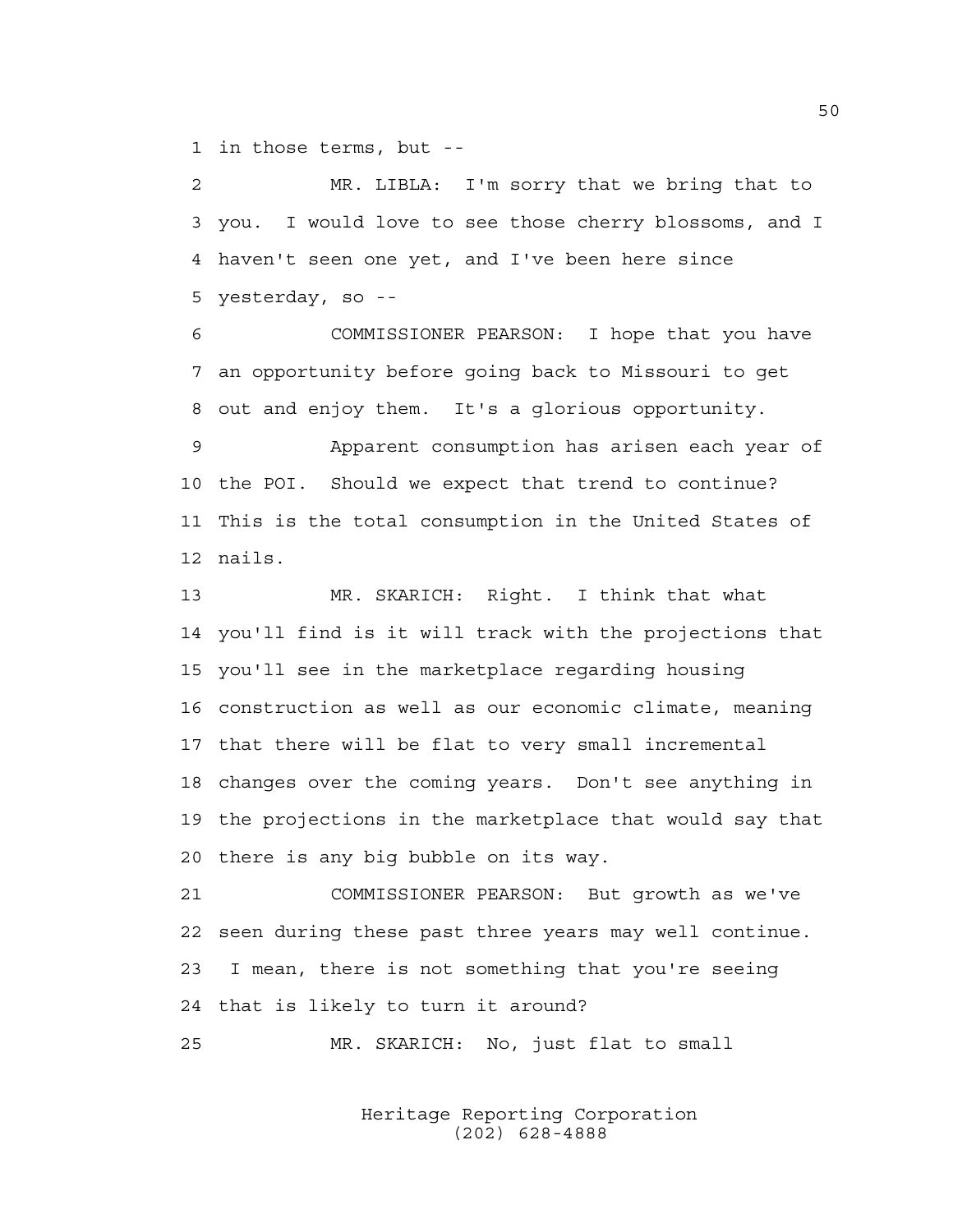1 in those terms, but --

2 MR. LIBLA: I'm sorry that we bring that to 3 you. I would love to see those cherry blossoms, and I 4 haven't seen one yet, and I've been here since 5 yesterday, so --

6 COMMISSIONER PEARSON: I hope that you have 7 an opportunity before going back to Missouri to get 8 out and enjoy them. It's a glorious opportunity.

9 Apparent consumption has arisen each year of 10 the POI. Should we expect that trend to continue? 11 This is the total consumption in the United States of 12 nails.

13 MR. SKARICH: Right. I think that what 14 you'll find is it will track with the projections that 15 you'll see in the marketplace regarding housing 16 construction as well as our economic climate, meaning 17 that there will be flat to very small incremental 18 changes over the coming years. Don't see anything in 19 the projections in the marketplace that would say that 20 there is any big bubble on its way.

21 COMMISSIONER PEARSON: But growth as we've 22 seen during these past three years may well continue. 23 I mean, there is not something that you're seeing 24 that is likely to turn it around?

25 MR. SKARICH: No, just flat to small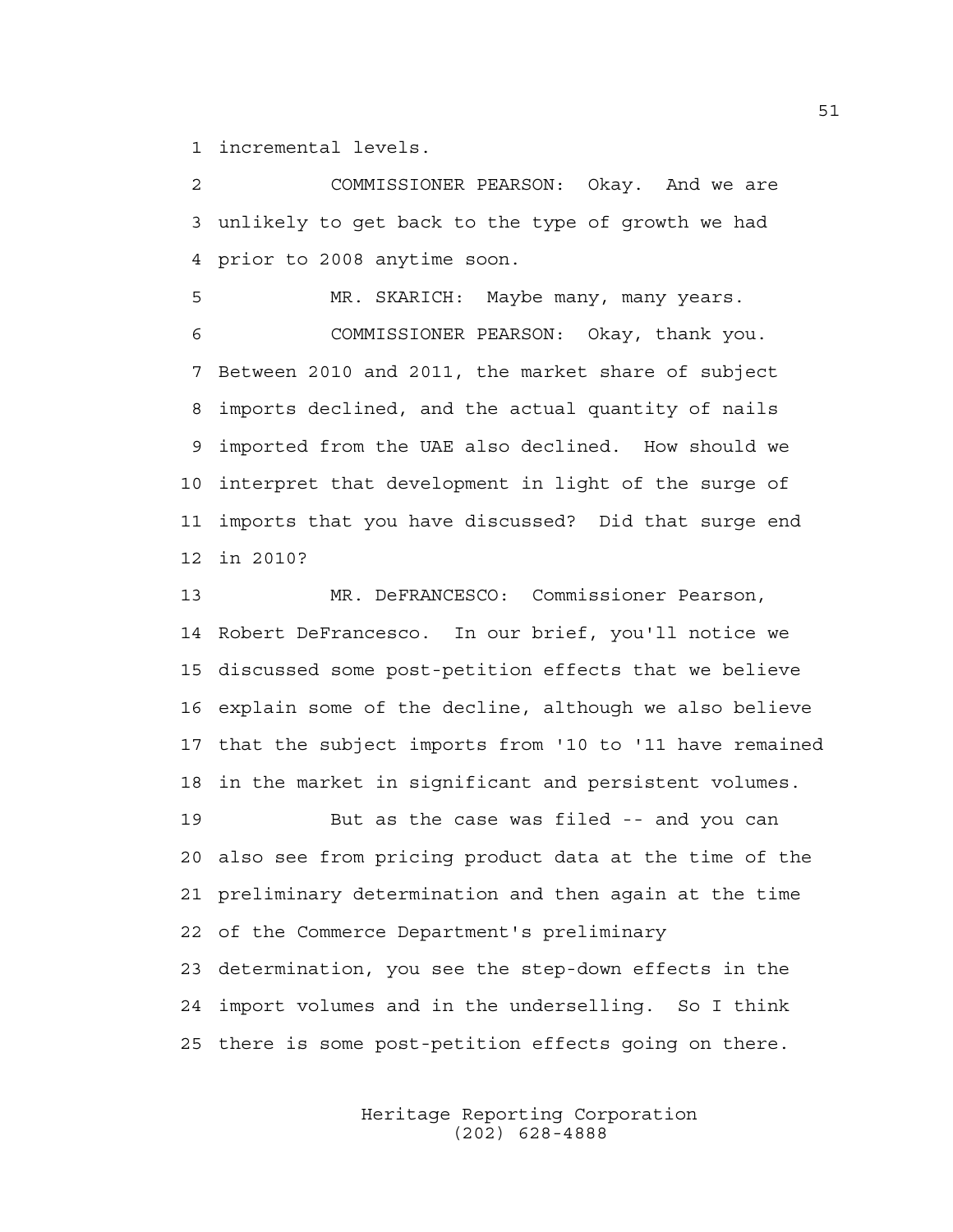1 incremental levels.

2 COMMISSIONER PEARSON: Okay. And we are 3 unlikely to get back to the type of growth we had 4 prior to 2008 anytime soon.

5 MR. SKARICH: Maybe many, many years. 6 COMMISSIONER PEARSON: Okay, thank you. 7 Between 2010 and 2011, the market share of subject 8 imports declined, and the actual quantity of nails 9 imported from the UAE also declined. How should we 10 interpret that development in light of the surge of 11 imports that you have discussed? Did that surge end 12 in 2010?

13 MR. DeFRANCESCO: Commissioner Pearson, 14 Robert DeFrancesco. In our brief, you'll notice we 15 discussed some post-petition effects that we believe 16 explain some of the decline, although we also believe 17 that the subject imports from '10 to '11 have remained 18 in the market in significant and persistent volumes. 19 But as the case was filed -- and you can 20 also see from pricing product data at the time of the 21 preliminary determination and then again at the time 22 of the Commerce Department's preliminary 23 determination, you see the step-down effects in the

24 import volumes and in the underselling. So I think 25 there is some post-petition effects going on there.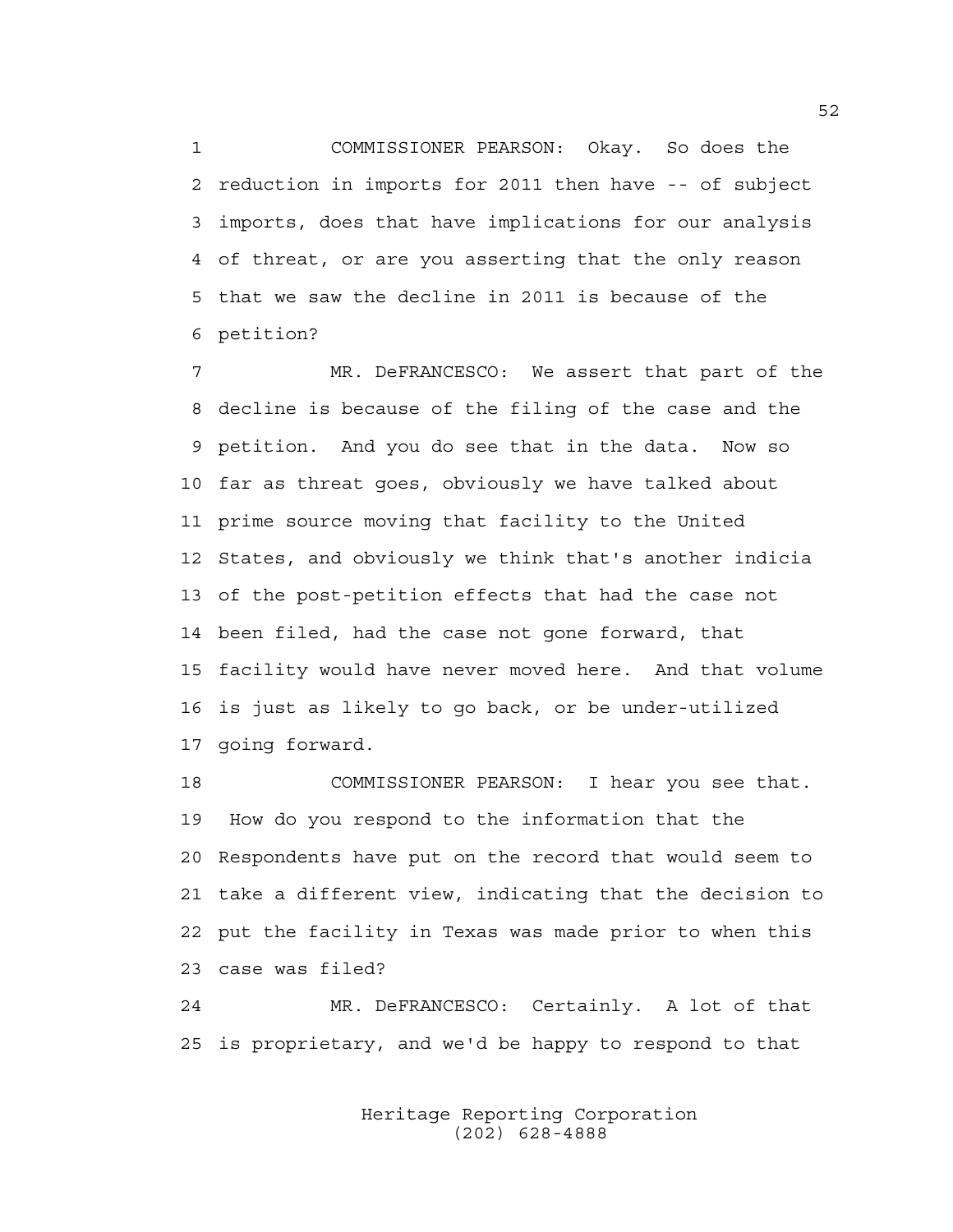1 COMMISSIONER PEARSON: Okay. So does the 2 reduction in imports for 2011 then have -- of subject 3 imports, does that have implications for our analysis 4 of threat, or are you asserting that the only reason 5 that we saw the decline in 2011 is because of the 6 petition?

7 MR. DeFRANCESCO: We assert that part of the 8 decline is because of the filing of the case and the 9 petition. And you do see that in the data. Now so 10 far as threat goes, obviously we have talked about 11 prime source moving that facility to the United 12 States, and obviously we think that's another indicia 13 of the post-petition effects that had the case not 14 been filed, had the case not gone forward, that 15 facility would have never moved here. And that volume 16 is just as likely to go back, or be under-utilized 17 going forward.

18 COMMISSIONER PEARSON: I hear you see that. 19 How do you respond to the information that the 20 Respondents have put on the record that would seem to 21 take a different view, indicating that the decision to 22 put the facility in Texas was made prior to when this 23 case was filed?

24 MR. DeFRANCESCO: Certainly. A lot of that 25 is proprietary, and we'd be happy to respond to that

> Heritage Reporting Corporation (202) 628-4888

52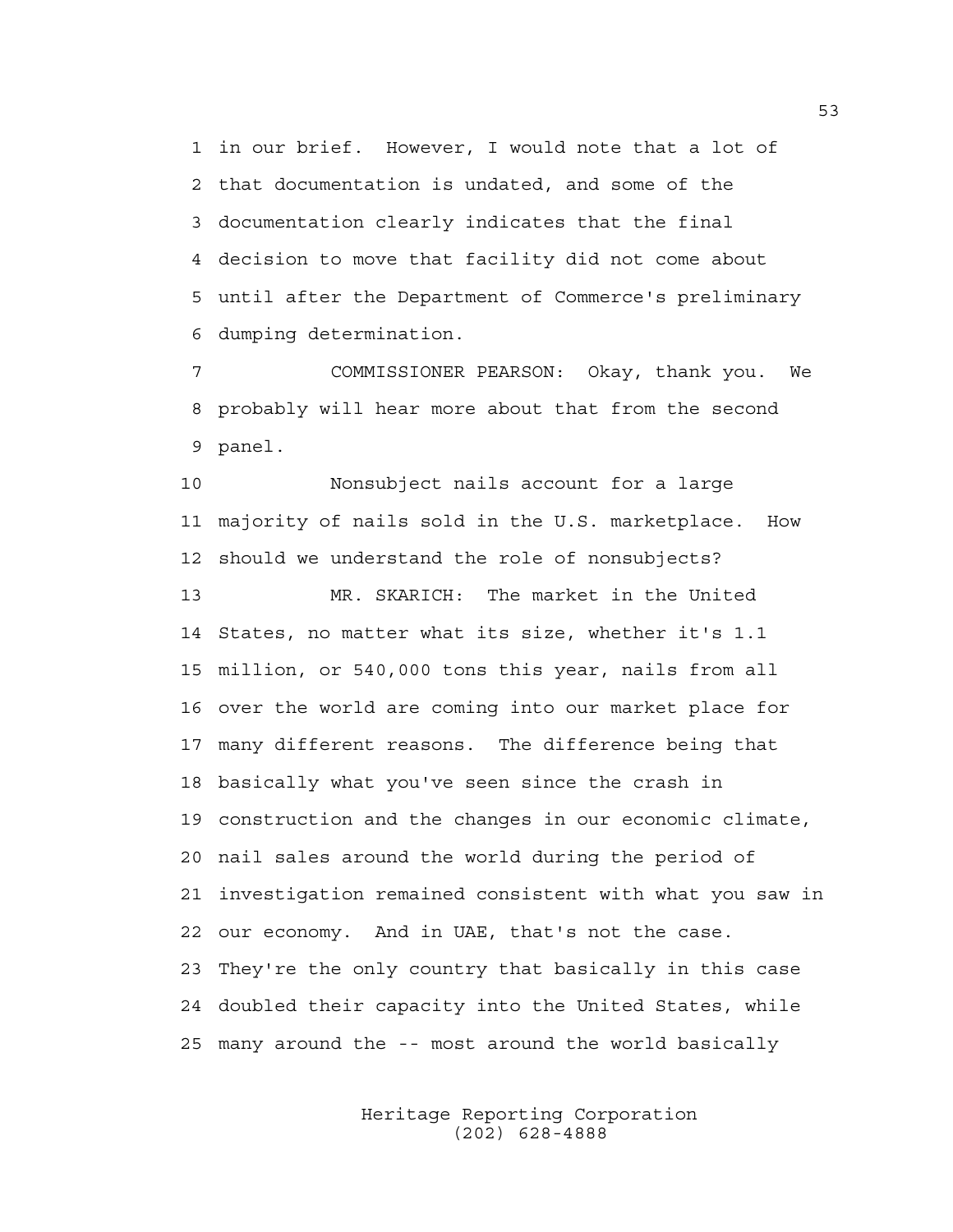1 in our brief. However, I would note that a lot of 2 that documentation is undated, and some of the 3 documentation clearly indicates that the final 4 decision to move that facility did not come about 5 until after the Department of Commerce's preliminary 6 dumping determination.

7 COMMISSIONER PEARSON: Okay, thank you. We 8 probably will hear more about that from the second 9 panel.

10 Nonsubject nails account for a large 11 majority of nails sold in the U.S. marketplace. How 12 should we understand the role of nonsubjects? 13 MR. SKARICH: The market in the United 14 States, no matter what its size, whether it's 1.1 15 million, or 540,000 tons this year, nails from all 16 over the world are coming into our market place for 17 many different reasons. The difference being that 18 basically what you've seen since the crash in 19 construction and the changes in our economic climate, 20 nail sales around the world during the period of 21 investigation remained consistent with what you saw in 22 our economy. And in UAE, that's not the case. 23 They're the only country that basically in this case 24 doubled their capacity into the United States, while 25 many around the -- most around the world basically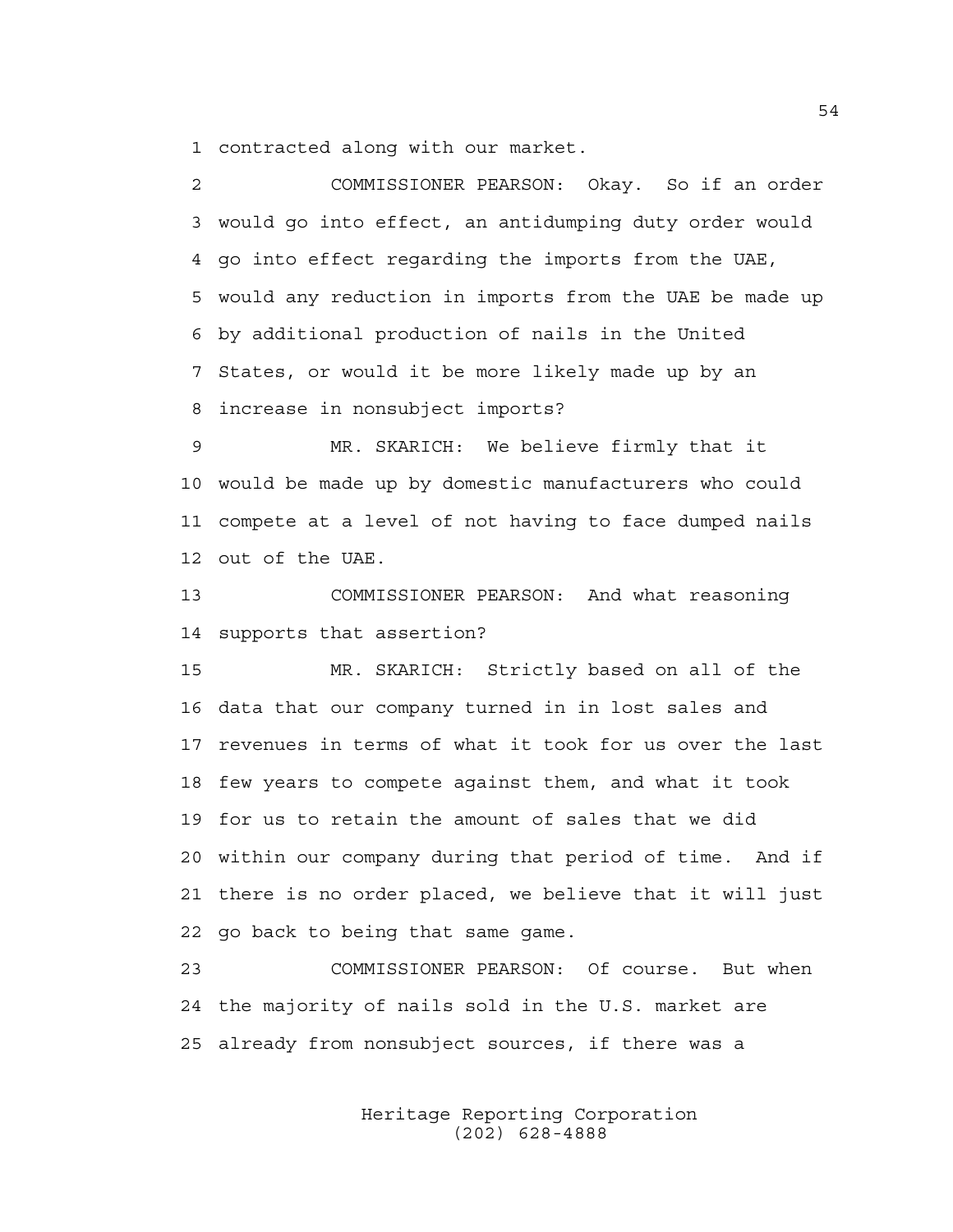1 contracted along with our market.

2 COMMISSIONER PEARSON: Okay. So if an order 3 would go into effect, an antidumping duty order would 4 go into effect regarding the imports from the UAE, 5 would any reduction in imports from the UAE be made up 6 by additional production of nails in the United 7 States, or would it be more likely made up by an 8 increase in nonsubject imports?

9 MR. SKARICH: We believe firmly that it 10 would be made up by domestic manufacturers who could 11 compete at a level of not having to face dumped nails 12 out of the UAE.

13 COMMISSIONER PEARSON: And what reasoning 14 supports that assertion?

15 MR. SKARICH: Strictly based on all of the 16 data that our company turned in in lost sales and 17 revenues in terms of what it took for us over the last 18 few years to compete against them, and what it took 19 for us to retain the amount of sales that we did 20 within our company during that period of time. And if 21 there is no order placed, we believe that it will just 22 go back to being that same game.

23 COMMISSIONER PEARSON: Of course. But when 24 the majority of nails sold in the U.S. market are 25 already from nonsubject sources, if there was a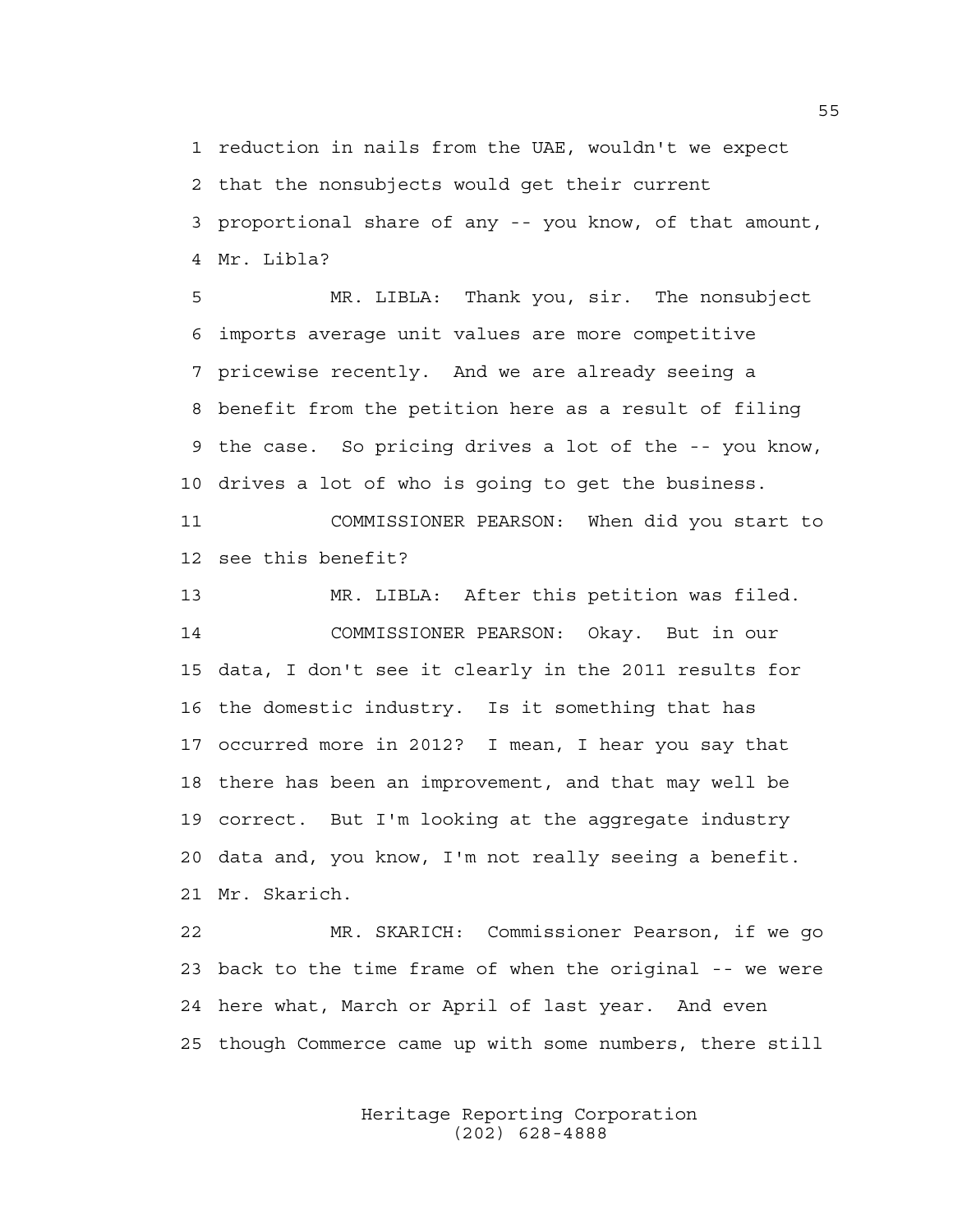1 reduction in nails from the UAE, wouldn't we expect 2 that the nonsubjects would get their current 3 proportional share of any -- you know, of that amount, 4 Mr. Libla?

5 MR. LIBLA: Thank you, sir. The nonsubject 6 imports average unit values are more competitive 7 pricewise recently. And we are already seeing a 8 benefit from the petition here as a result of filing 9 the case. So pricing drives a lot of the -- you know, 10 drives a lot of who is going to get the business.

11 COMMISSIONER PEARSON: When did you start to 12 see this benefit?

13 MR. LIBLA: After this petition was filed. 14 COMMISSIONER PEARSON: Okay. But in our 15 data, I don't see it clearly in the 2011 results for 16 the domestic industry. Is it something that has 17 occurred more in 2012? I mean, I hear you say that 18 there has been an improvement, and that may well be 19 correct. But I'm looking at the aggregate industry 20 data and, you know, I'm not really seeing a benefit. 21 Mr. Skarich.

22 MR. SKARICH: Commissioner Pearson, if we go 23 back to the time frame of when the original -- we were 24 here what, March or April of last year. And even 25 though Commerce came up with some numbers, there still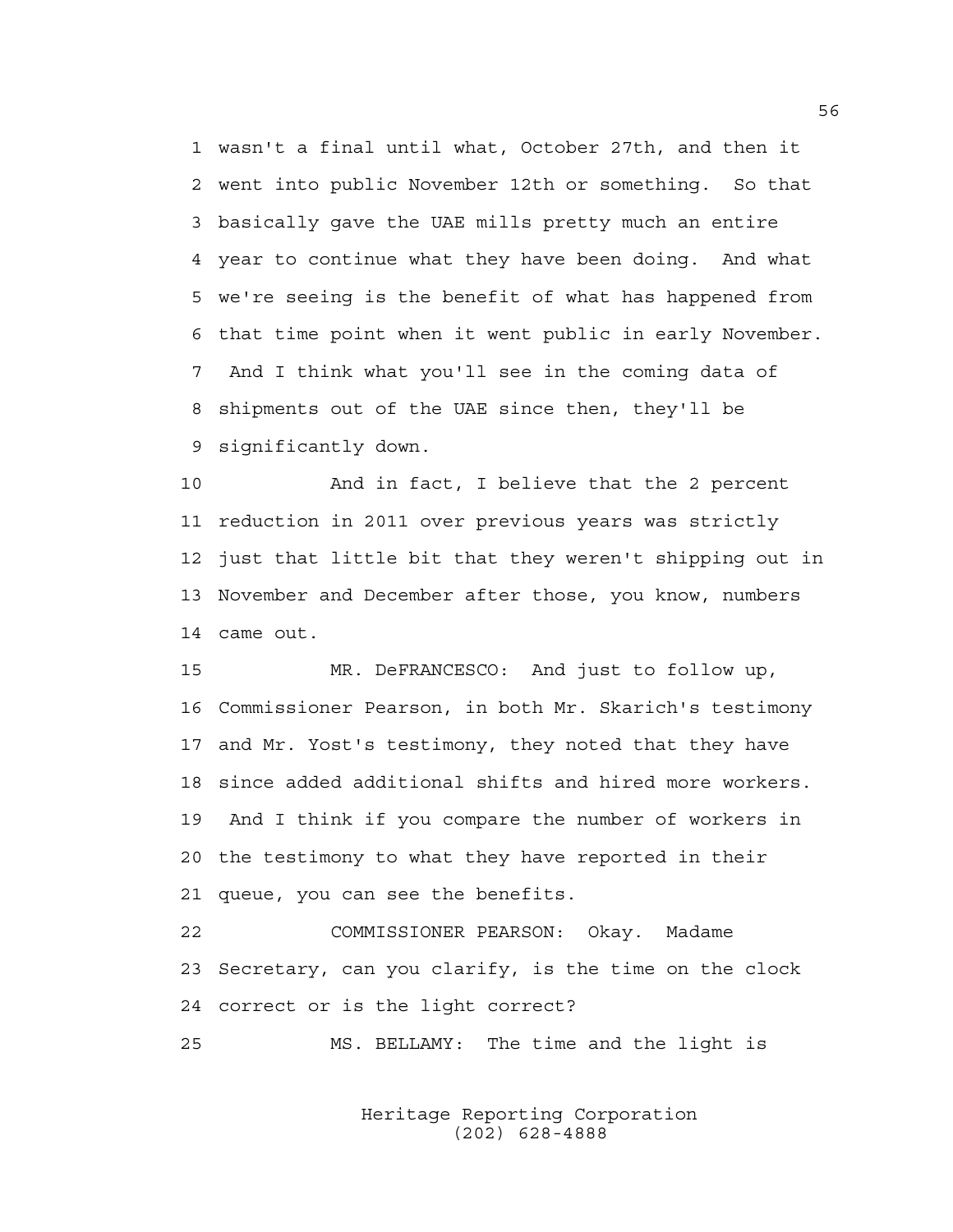1 wasn't a final until what, October 27th, and then it 2 went into public November 12th or something. So that 3 basically gave the UAE mills pretty much an entire 4 year to continue what they have been doing. And what 5 we're seeing is the benefit of what has happened from 6 that time point when it went public in early November. 7 And I think what you'll see in the coming data of 8 shipments out of the UAE since then, they'll be 9 significantly down.

10 And in fact, I believe that the 2 percent 11 reduction in 2011 over previous years was strictly 12 just that little bit that they weren't shipping out in 13 November and December after those, you know, numbers 14 came out.

15 MR. DeFRANCESCO: And just to follow up, 16 Commissioner Pearson, in both Mr. Skarich's testimony 17 and Mr. Yost's testimony, they noted that they have 18 since added additional shifts and hired more workers. 19 And I think if you compare the number of workers in 20 the testimony to what they have reported in their 21 queue, you can see the benefits.

22 COMMISSIONER PEARSON: Okay. Madame 23 Secretary, can you clarify, is the time on the clock 24 correct or is the light correct?

25 MS. BELLAMY: The time and the light is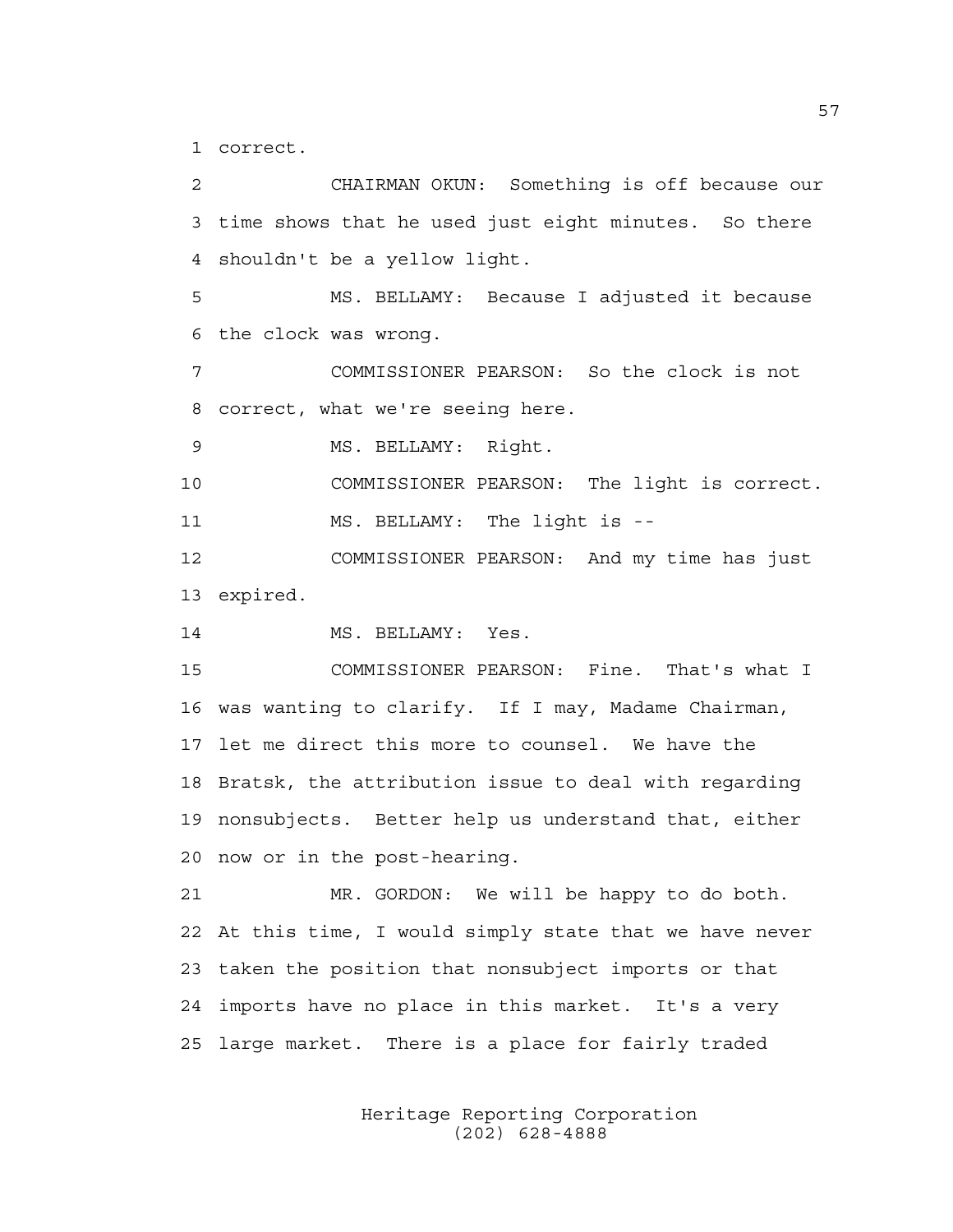1 correct.

2 CHAIRMAN OKUN: Something is off because our 3 time shows that he used just eight minutes. So there 4 shouldn't be a yellow light. 5 MS. BELLAMY: Because I adjusted it because 6 the clock was wrong. 7 COMMISSIONER PEARSON: So the clock is not 8 correct, what we're seeing here. 9 MS. BELLAMY: Right. 10 COMMISSIONER PEARSON: The light is correct. 11 MS. BELLAMY: The light is -- 12 COMMISSIONER PEARSON: And my time has just 13 expired. 14 MS. BELLAMY: Yes. 15 COMMISSIONER PEARSON: Fine. That's what I 16 was wanting to clarify. If I may, Madame Chairman, 17 let me direct this more to counsel. We have the 18 Bratsk, the attribution issue to deal with regarding 19 nonsubjects. Better help us understand that, either 20 now or in the post-hearing. 21 MR. GORDON: We will be happy to do both. 22 At this time, I would simply state that we have never 23 taken the position that nonsubject imports or that 24 imports have no place in this market. It's a very 25 large market. There is a place for fairly traded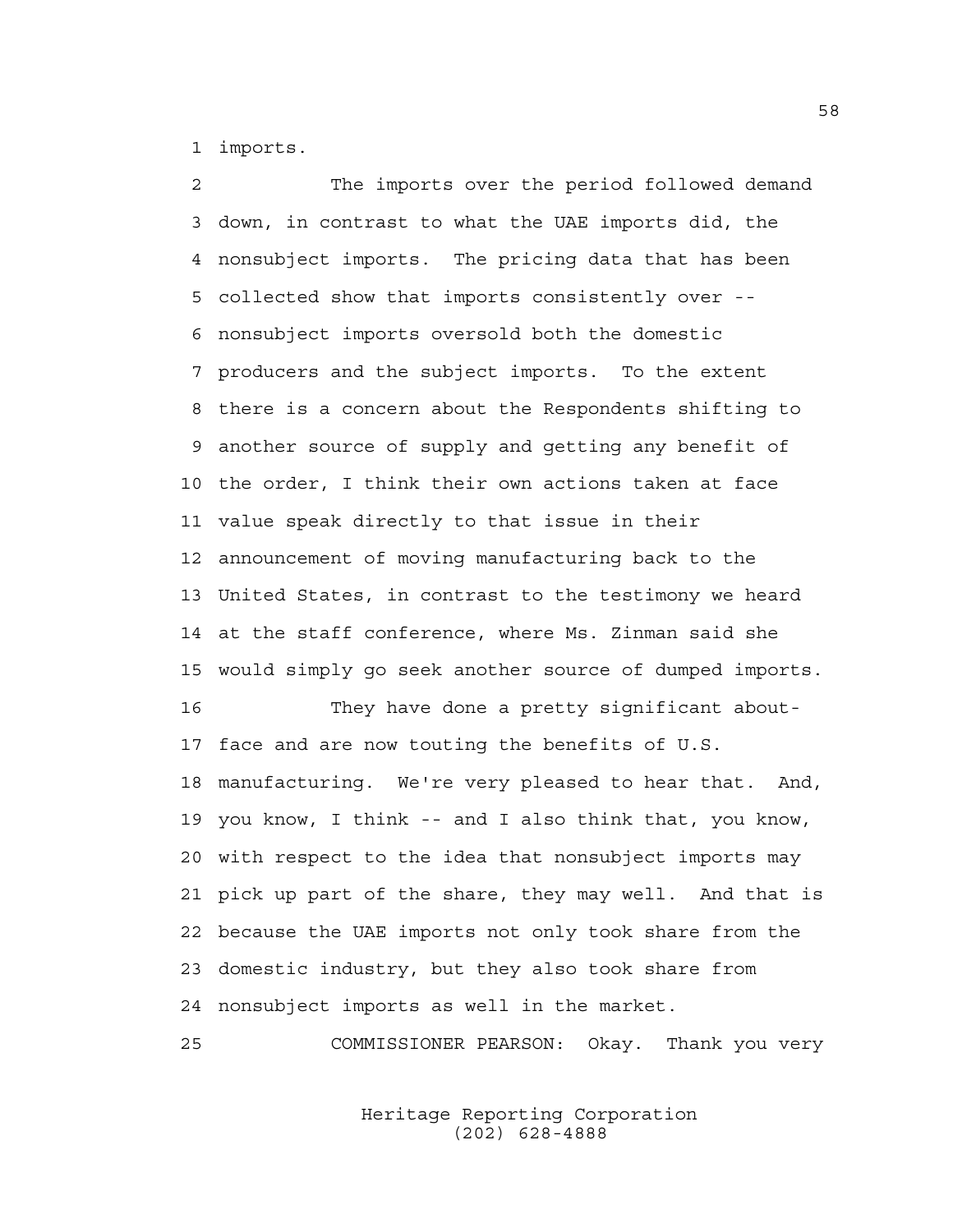1 imports.

2 The imports over the period followed demand 3 down, in contrast to what the UAE imports did, the 4 nonsubject imports. The pricing data that has been 5 collected show that imports consistently over -- 6 nonsubject imports oversold both the domestic 7 producers and the subject imports. To the extent 8 there is a concern about the Respondents shifting to 9 another source of supply and getting any benefit of 10 the order, I think their own actions taken at face 11 value speak directly to that issue in their 12 announcement of moving manufacturing back to the 13 United States, in contrast to the testimony we heard 14 at the staff conference, where Ms. Zinman said she 15 would simply go seek another source of dumped imports. 16 They have done a pretty significant about-17 face and are now touting the benefits of U.S. 18 manufacturing. We're very pleased to hear that. And, 19 you know, I think -- and I also think that, you know, 20 with respect to the idea that nonsubject imports may 21 pick up part of the share, they may well. And that is 22 because the UAE imports not only took share from the 23 domestic industry, but they also took share from 24 nonsubject imports as well in the market.

25 COMMISSIONER PEARSON: Okay. Thank you very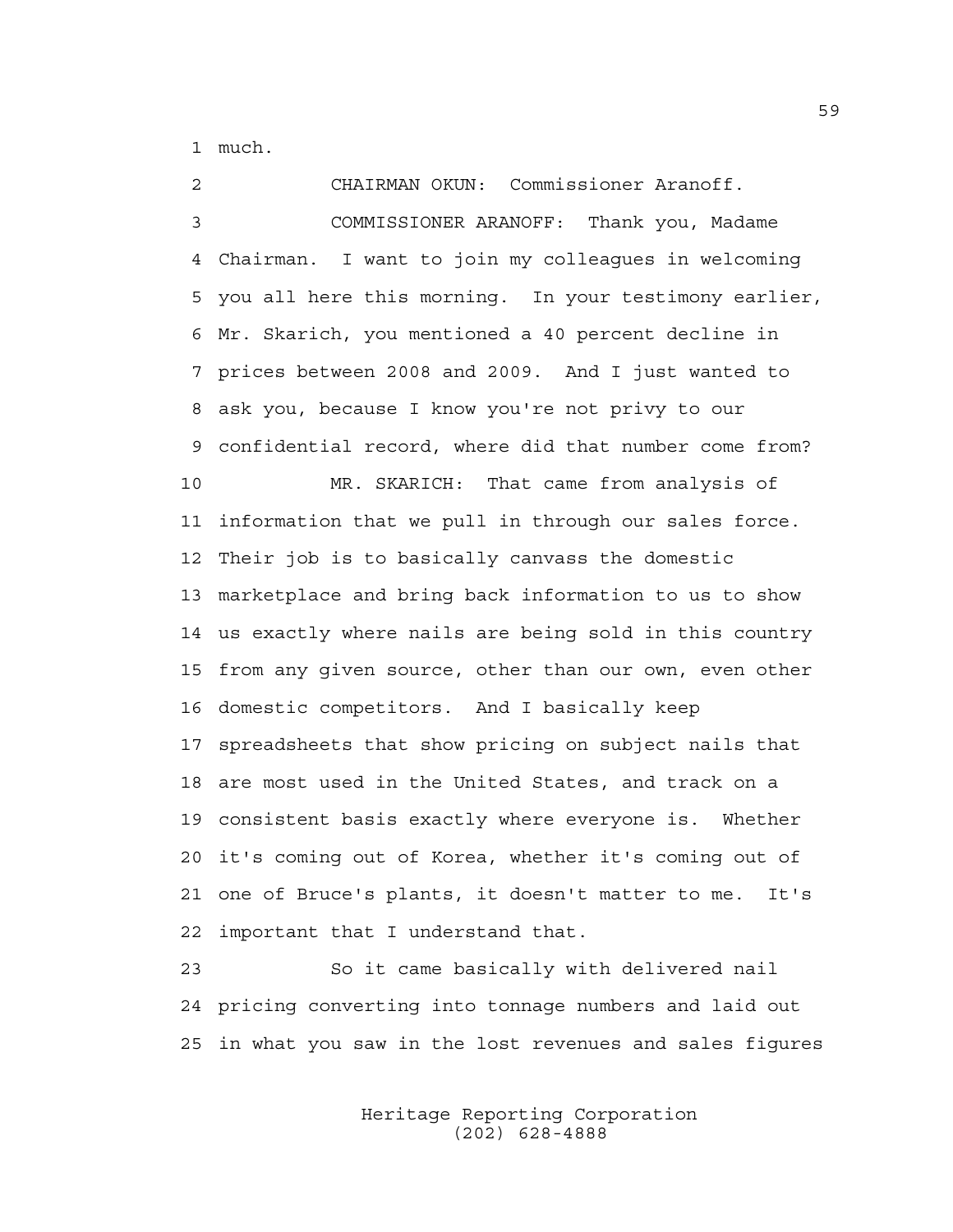1 much.

2 CHAIRMAN OKUN: Commissioner Aranoff. 3 COMMISSIONER ARANOFF: Thank you, Madame 4 Chairman. I want to join my colleagues in welcoming 5 you all here this morning. In your testimony earlier, 6 Mr. Skarich, you mentioned a 40 percent decline in 7 prices between 2008 and 2009. And I just wanted to 8 ask you, because I know you're not privy to our 9 confidential record, where did that number come from? 10 MR. SKARICH: That came from analysis of 11 information that we pull in through our sales force. 12 Their job is to basically canvass the domestic 13 marketplace and bring back information to us to show 14 us exactly where nails are being sold in this country 15 from any given source, other than our own, even other 16 domestic competitors. And I basically keep 17 spreadsheets that show pricing on subject nails that 18 are most used in the United States, and track on a 19 consistent basis exactly where everyone is. Whether 20 it's coming out of Korea, whether it's coming out of 21 one of Bruce's plants, it doesn't matter to me. It's 22 important that I understand that.

23 So it came basically with delivered nail 24 pricing converting into tonnage numbers and laid out 25 in what you saw in the lost revenues and sales figures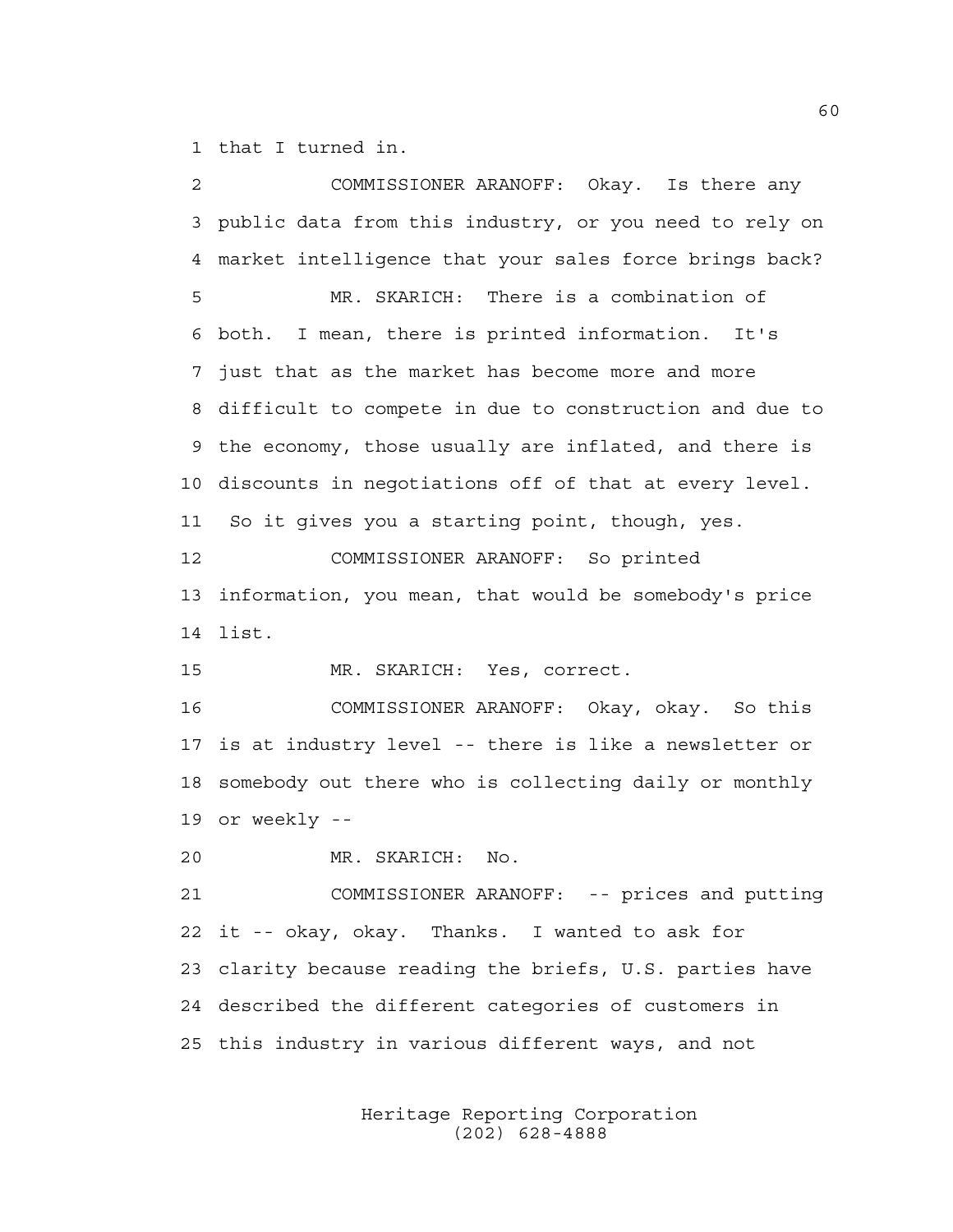1 that I turned in.

2 COMMISSIONER ARANOFF: Okay. Is there any 3 public data from this industry, or you need to rely on 4 market intelligence that your sales force brings back? 5 MR. SKARICH: There is a combination of 6 both. I mean, there is printed information. It's 7 just that as the market has become more and more 8 difficult to compete in due to construction and due to 9 the economy, those usually are inflated, and there is 10 discounts in negotiations off of that at every level. 11 So it gives you a starting point, though, yes. 12 COMMISSIONER ARANOFF: So printed 13 information, you mean, that would be somebody's price 14 list. 15 MR. SKARICH: Yes, correct. 16 COMMISSIONER ARANOFF: Okay, okay. So this 17 is at industry level -- there is like a newsletter or 18 somebody out there who is collecting daily or monthly 19 or weekly -- 20 MR. SKARICH: No. 21 COMMISSIONER ARANOFF: -- prices and putting 22 it -- okay, okay. Thanks. I wanted to ask for 23 clarity because reading the briefs, U.S. parties have 24 described the different categories of customers in 25 this industry in various different ways, and not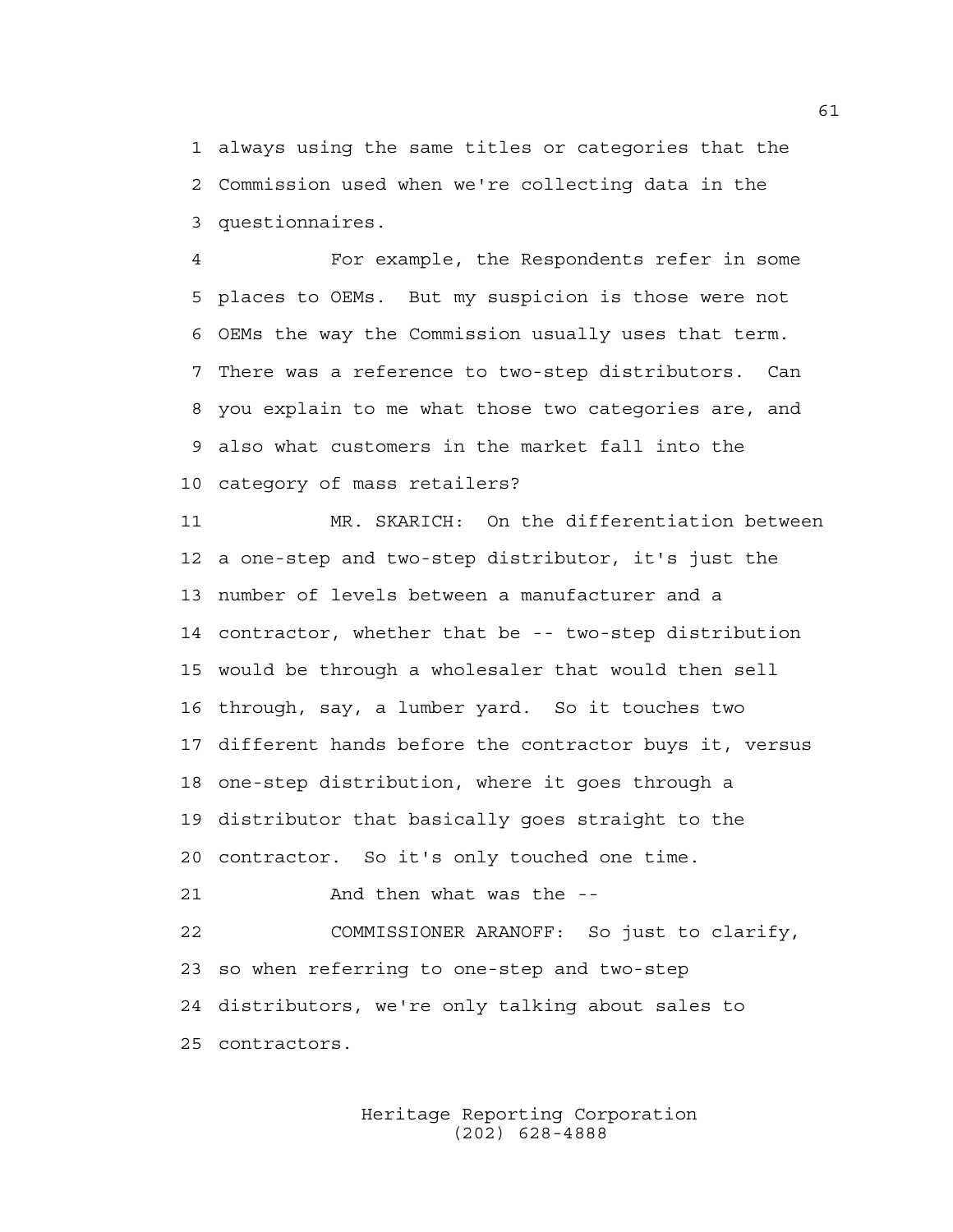1 always using the same titles or categories that the 2 Commission used when we're collecting data in the 3 questionnaires.

4 For example, the Respondents refer in some 5 places to OEMs. But my suspicion is those were not 6 OEMs the way the Commission usually uses that term. 7 There was a reference to two-step distributors. Can 8 you explain to me what those two categories are, and 9 also what customers in the market fall into the 10 category of mass retailers?

11 MR. SKARICH: On the differentiation between 12 a one-step and two-step distributor, it's just the 13 number of levels between a manufacturer and a 14 contractor, whether that be -- two-step distribution 15 would be through a wholesaler that would then sell 16 through, say, a lumber yard. So it touches two 17 different hands before the contractor buys it, versus 18 one-step distribution, where it goes through a 19 distributor that basically goes straight to the 20 contractor. So it's only touched one time.

21 And then what was the --

22 COMMISSIONER ARANOFF: So just to clarify, 23 so when referring to one-step and two-step 24 distributors, we're only talking about sales to 25 contractors.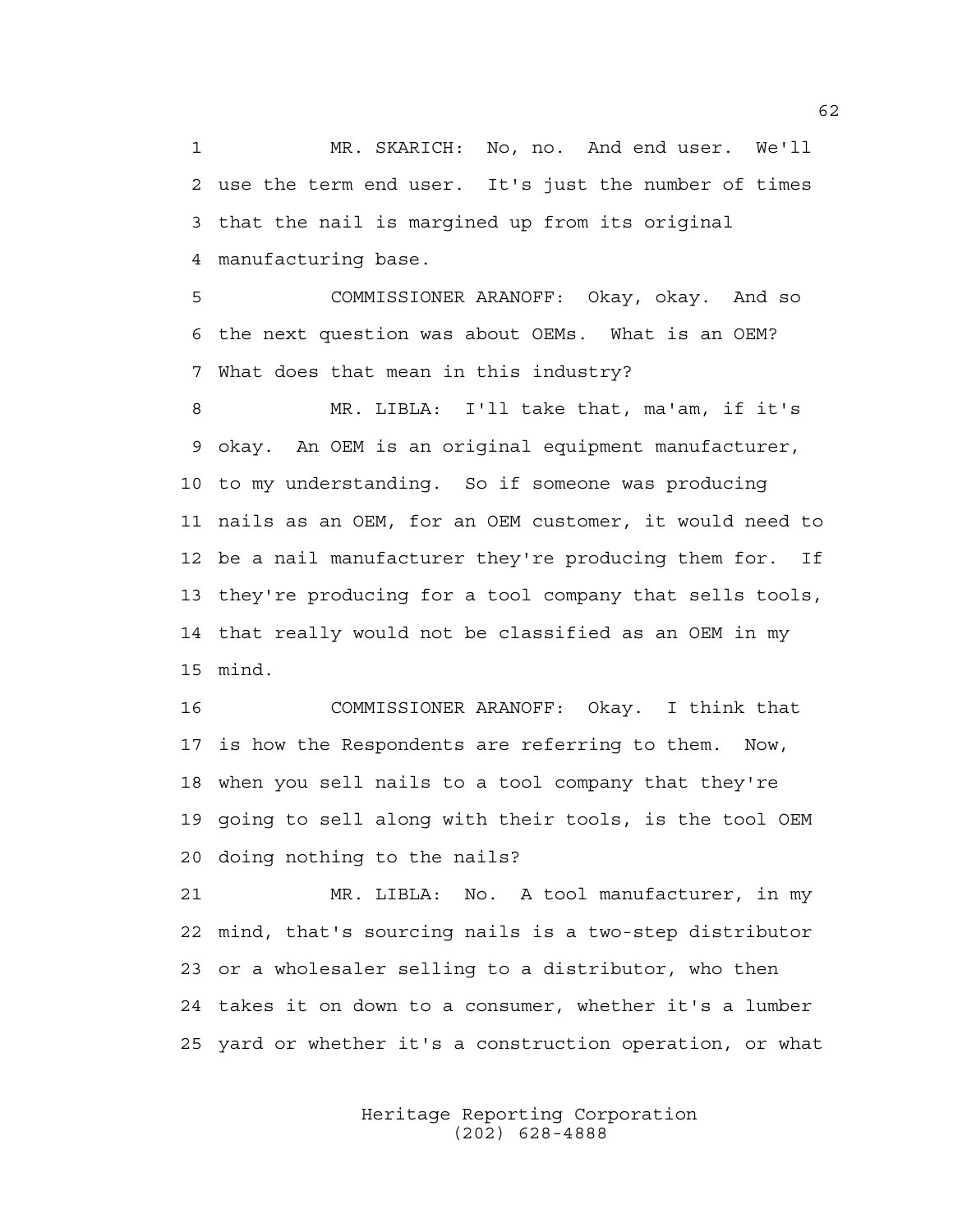1 MR. SKARICH: No, no. And end user. We'll 2 use the term end user. It's just the number of times 3 that the nail is margined up from its original 4 manufacturing base.

5 COMMISSIONER ARANOFF: Okay, okay. And so 6 the next question was about OEMs. What is an OEM? 7 What does that mean in this industry?

8 MR. LIBLA: I'll take that, ma'am, if it's 9 okay. An OEM is an original equipment manufacturer, 10 to my understanding. So if someone was producing 11 nails as an OEM, for an OEM customer, it would need to 12 be a nail manufacturer they're producing them for. If 13 they're producing for a tool company that sells tools, 14 that really would not be classified as an OEM in my 15 mind.

16 COMMISSIONER ARANOFF: Okay. I think that 17 is how the Respondents are referring to them. Now, 18 when you sell nails to a tool company that they're 19 going to sell along with their tools, is the tool OEM 20 doing nothing to the nails?

21 MR. LIBLA: No. A tool manufacturer, in my 22 mind, that's sourcing nails is a two-step distributor 23 or a wholesaler selling to a distributor, who then 24 takes it on down to a consumer, whether it's a lumber 25 yard or whether it's a construction operation, or what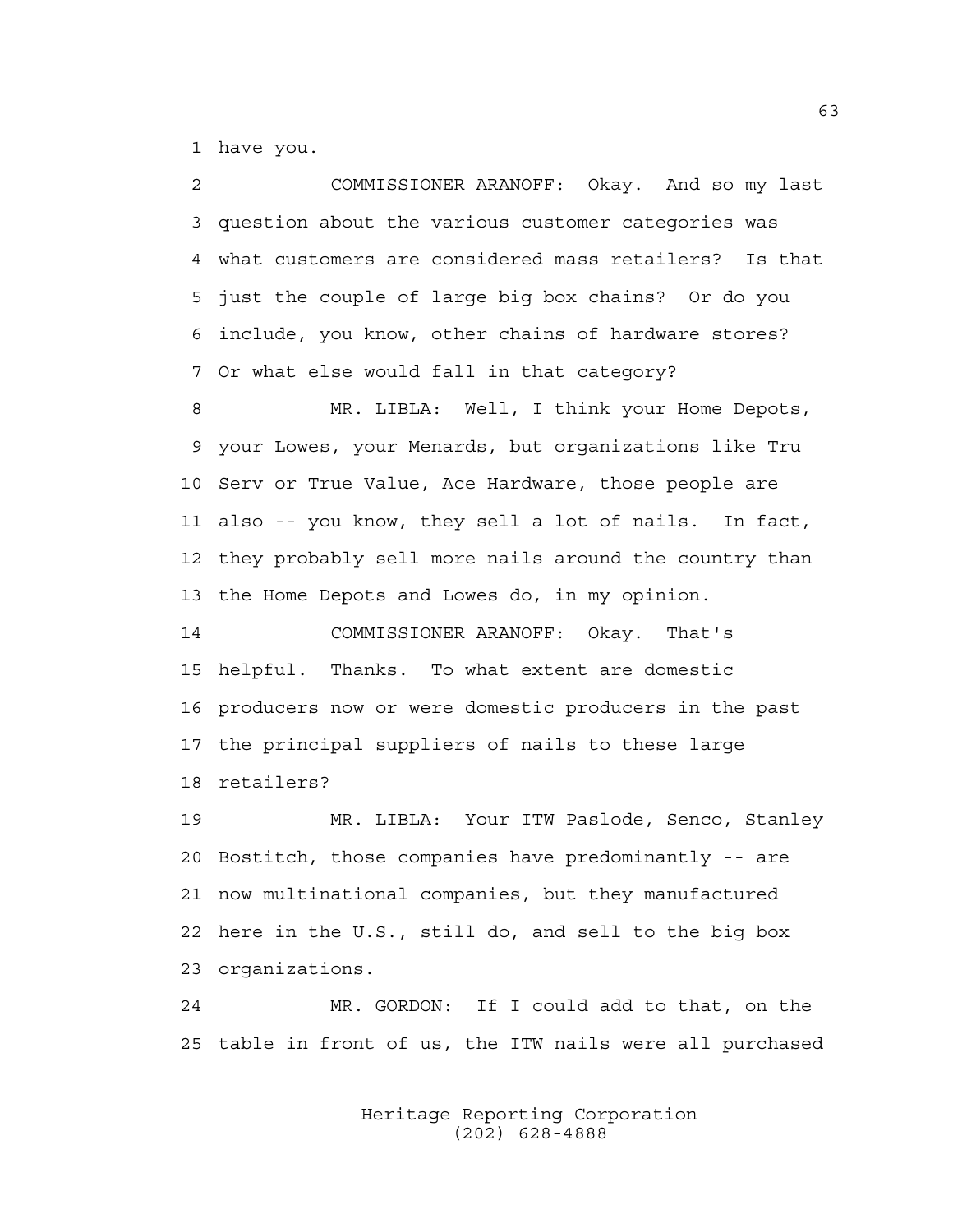1 have you.

2 COMMISSIONER ARANOFF: Okay. And so my last 3 question about the various customer categories was 4 what customers are considered mass retailers? Is that 5 just the couple of large big box chains? Or do you 6 include, you know, other chains of hardware stores? 7 Or what else would fall in that category?

8 MR. LIBLA: Well, I think your Home Depots, 9 your Lowes, your Menards, but organizations like Tru 10 Serv or True Value, Ace Hardware, those people are 11 also -- you know, they sell a lot of nails. In fact, 12 they probably sell more nails around the country than 13 the Home Depots and Lowes do, in my opinion.

14 COMMISSIONER ARANOFF: Okay. That's 15 helpful. Thanks. To what extent are domestic 16 producers now or were domestic producers in the past 17 the principal suppliers of nails to these large 18 retailers?

19 MR. LIBLA: Your ITW Paslode, Senco, Stanley 20 Bostitch, those companies have predominantly -- are 21 now multinational companies, but they manufactured 22 here in the U.S., still do, and sell to the big box 23 organizations.

24 MR. GORDON: If I could add to that, on the 25 table in front of us, the ITW nails were all purchased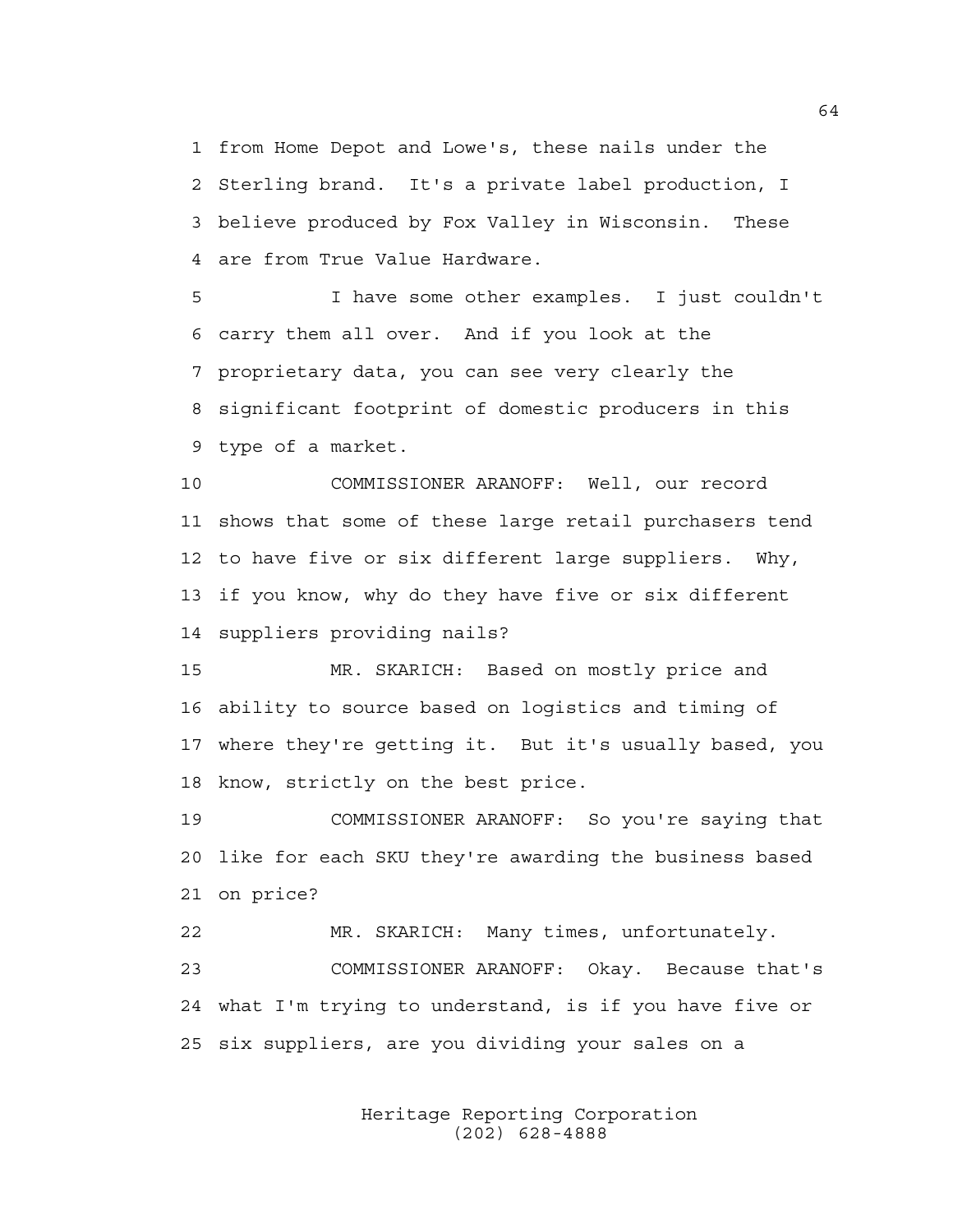1 from Home Depot and Lowe's, these nails under the 2 Sterling brand. It's a private label production, I 3 believe produced by Fox Valley in Wisconsin. These 4 are from True Value Hardware.

5 I have some other examples. I just couldn't 6 carry them all over. And if you look at the 7 proprietary data, you can see very clearly the 8 significant footprint of domestic producers in this 9 type of a market.

10 COMMISSIONER ARANOFF: Well, our record 11 shows that some of these large retail purchasers tend 12 to have five or six different large suppliers. Why, 13 if you know, why do they have five or six different 14 suppliers providing nails?

15 MR. SKARICH: Based on mostly price and 16 ability to source based on logistics and timing of 17 where they're getting it. But it's usually based, you 18 know, strictly on the best price.

19 COMMISSIONER ARANOFF: So you're saying that 20 like for each SKU they're awarding the business based 21 on price?

22 MR. SKARICH: Many times, unfortunately. 23 COMMISSIONER ARANOFF: Okay. Because that's 24 what I'm trying to understand, is if you have five or 25 six suppliers, are you dividing your sales on a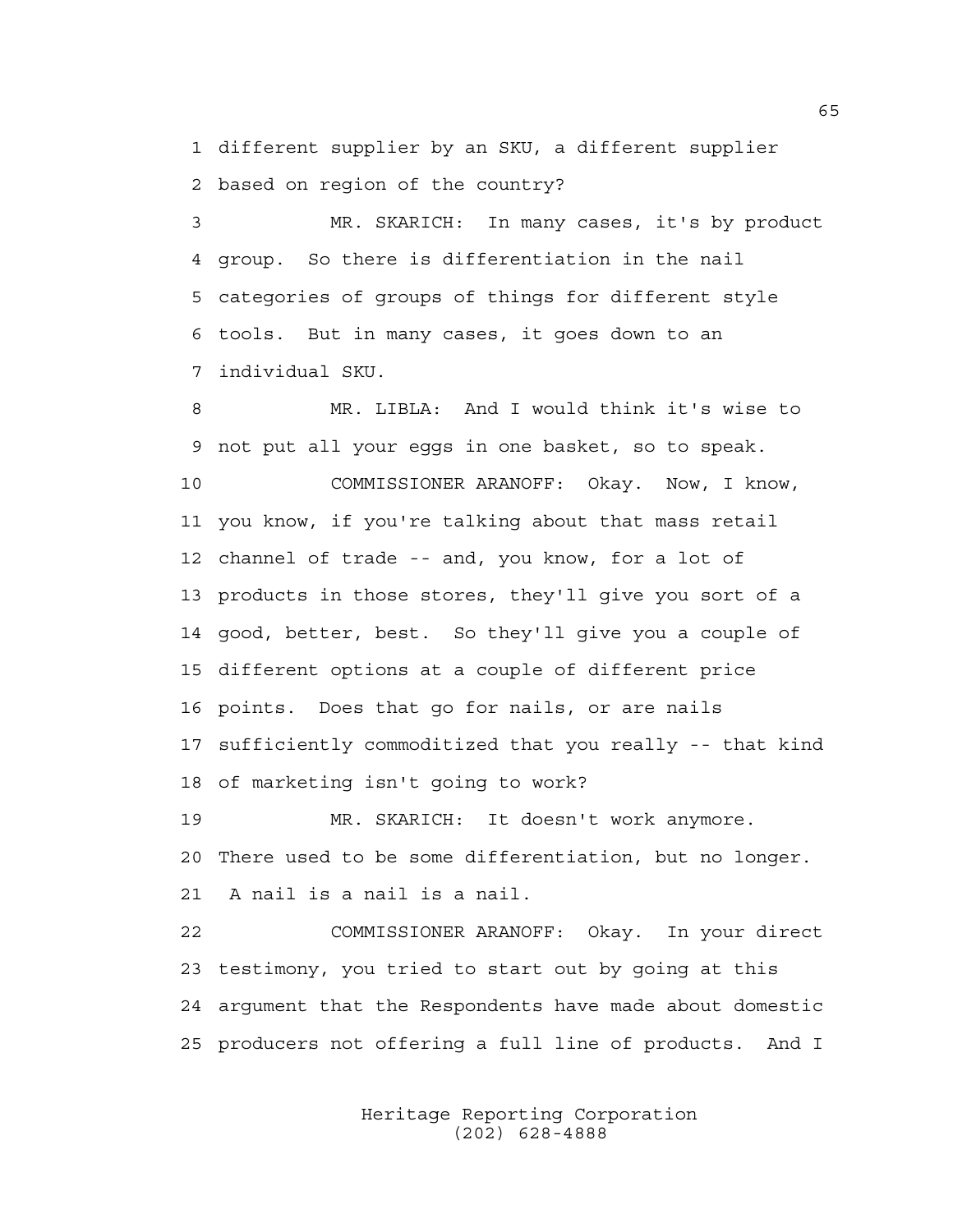1 different supplier by an SKU, a different supplier 2 based on region of the country?

3 MR. SKARICH: In many cases, it's by product 4 group. So there is differentiation in the nail 5 categories of groups of things for different style 6 tools. But in many cases, it goes down to an 7 individual SKU.

8 MR. LIBLA: And I would think it's wise to 9 not put all your eggs in one basket, so to speak. 10 COMMISSIONER ARANOFF: Okay. Now, I know, 11 you know, if you're talking about that mass retail 12 channel of trade -- and, you know, for a lot of 13 products in those stores, they'll give you sort of a 14 good, better, best. So they'll give you a couple of 15 different options at a couple of different price 16 points. Does that go for nails, or are nails 17 sufficiently commoditized that you really -- that kind 18 of marketing isn't going to work?

19 MR. SKARICH: It doesn't work anymore. 20 There used to be some differentiation, but no longer. 21 A nail is a nail is a nail.

22 COMMISSIONER ARANOFF: Okay. In your direct 23 testimony, you tried to start out by going at this 24 argument that the Respondents have made about domestic 25 producers not offering a full line of products. And I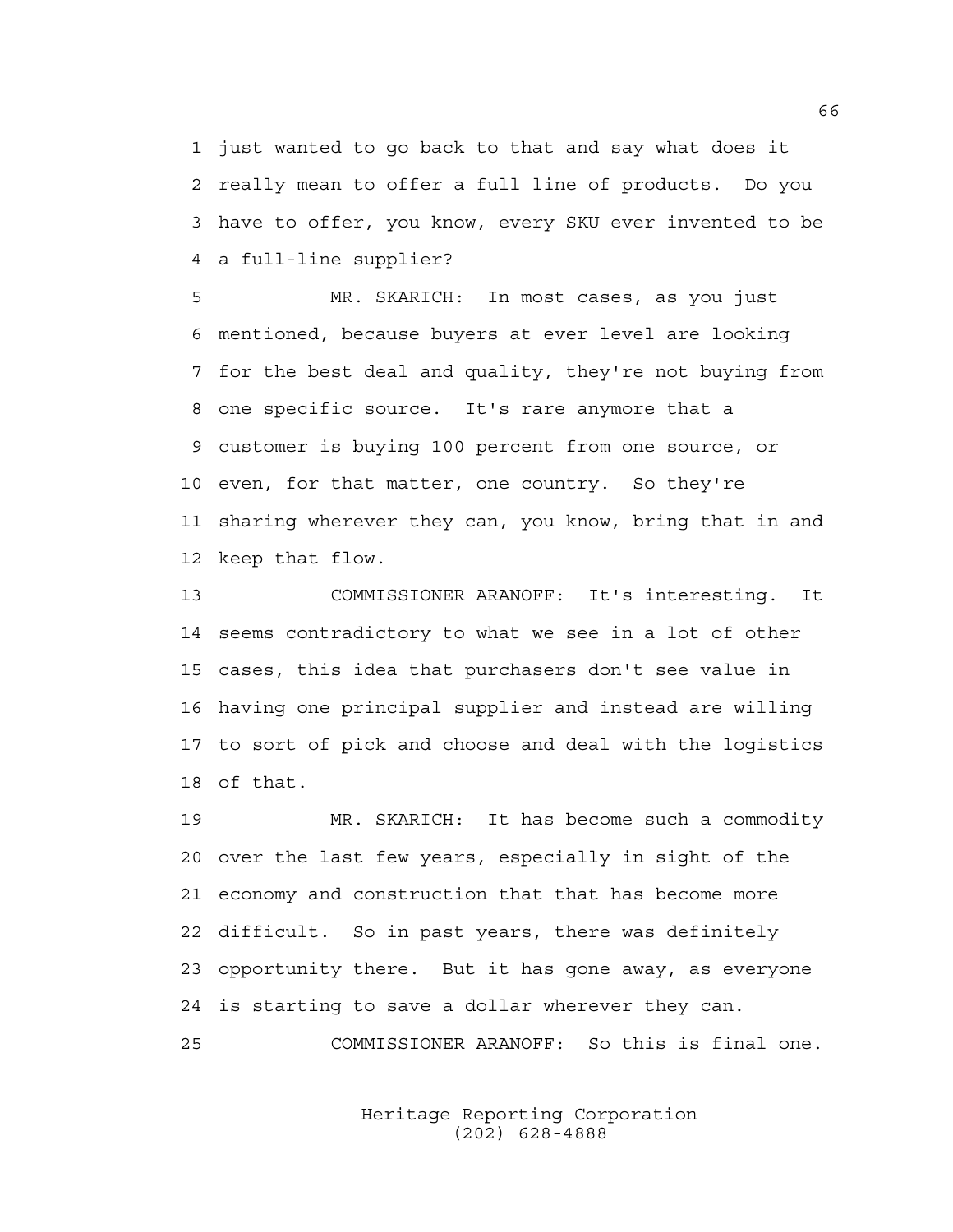1 just wanted to go back to that and say what does it 2 really mean to offer a full line of products. Do you 3 have to offer, you know, every SKU ever invented to be 4 a full-line supplier?

5 MR. SKARICH: In most cases, as you just 6 mentioned, because buyers at ever level are looking 7 for the best deal and quality, they're not buying from 8 one specific source. It's rare anymore that a 9 customer is buying 100 percent from one source, or 10 even, for that matter, one country. So they're 11 sharing wherever they can, you know, bring that in and 12 keep that flow.

13 COMMISSIONER ARANOFF: It's interesting. It 14 seems contradictory to what we see in a lot of other 15 cases, this idea that purchasers don't see value in 16 having one principal supplier and instead are willing 17 to sort of pick and choose and deal with the logistics 18 of that.

19 MR. SKARICH: It has become such a commodity 20 over the last few years, especially in sight of the 21 economy and construction that that has become more 22 difficult. So in past years, there was definitely 23 opportunity there. But it has gone away, as everyone 24 is starting to save a dollar wherever they can. 25 COMMISSIONER ARANOFF: So this is final one.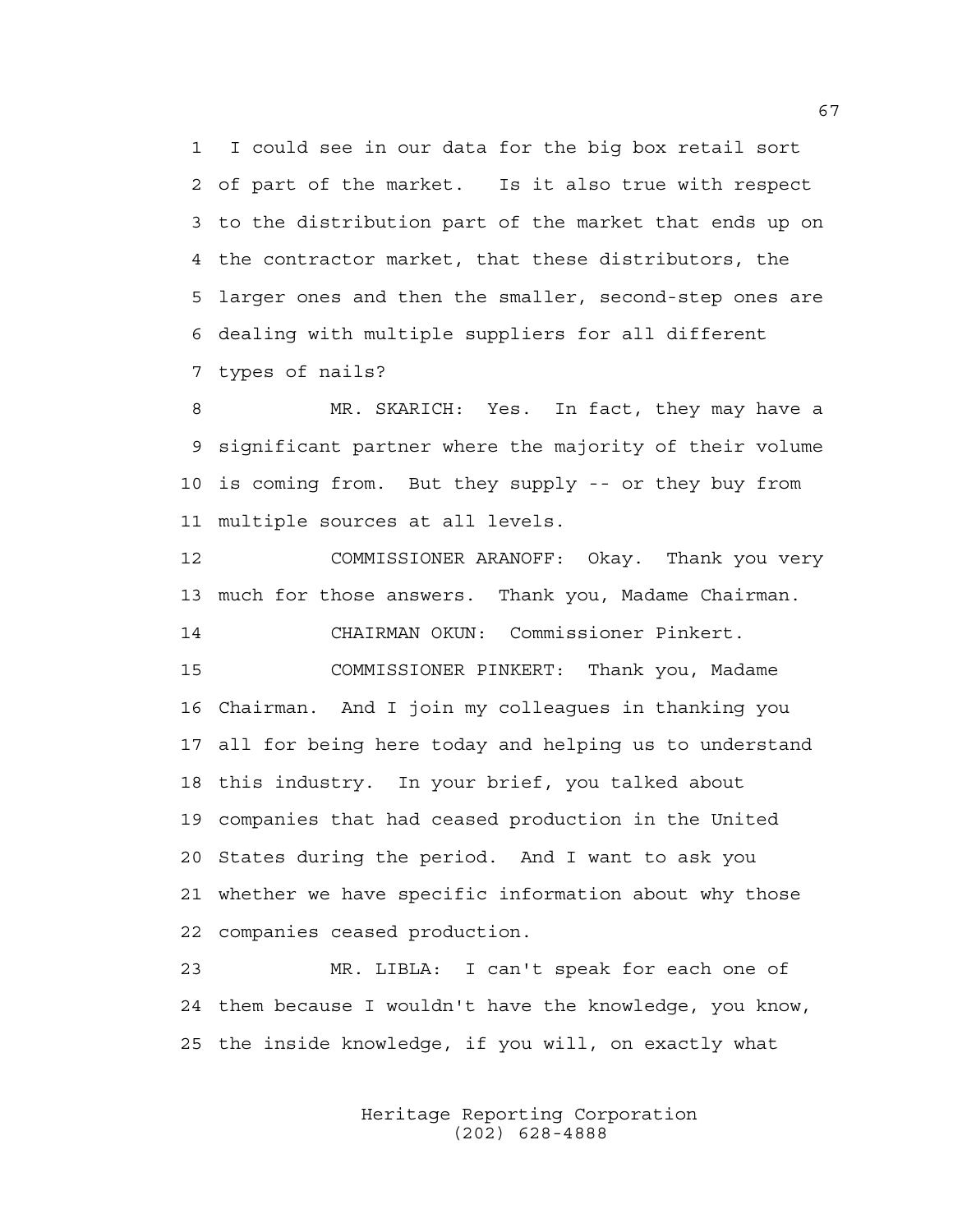1 I could see in our data for the big box retail sort 2 of part of the market. Is it also true with respect 3 to the distribution part of the market that ends up on 4 the contractor market, that these distributors, the 5 larger ones and then the smaller, second-step ones are 6 dealing with multiple suppliers for all different 7 types of nails?

8 MR. SKARICH: Yes. In fact, they may have a 9 significant partner where the majority of their volume 10 is coming from. But they supply -- or they buy from 11 multiple sources at all levels.

12 COMMISSIONER ARANOFF: Okay. Thank you very 13 much for those answers. Thank you, Madame Chairman. 14 CHAIRMAN OKUN: Commissioner Pinkert. 15 COMMISSIONER PINKERT: Thank you, Madame 16 Chairman. And I join my colleagues in thanking you 17 all for being here today and helping us to understand 18 this industry. In your brief, you talked about 19 companies that had ceased production in the United 20 States during the period. And I want to ask you 21 whether we have specific information about why those 22 companies ceased production.

23 MR. LIBLA: I can't speak for each one of 24 them because I wouldn't have the knowledge, you know, 25 the inside knowledge, if you will, on exactly what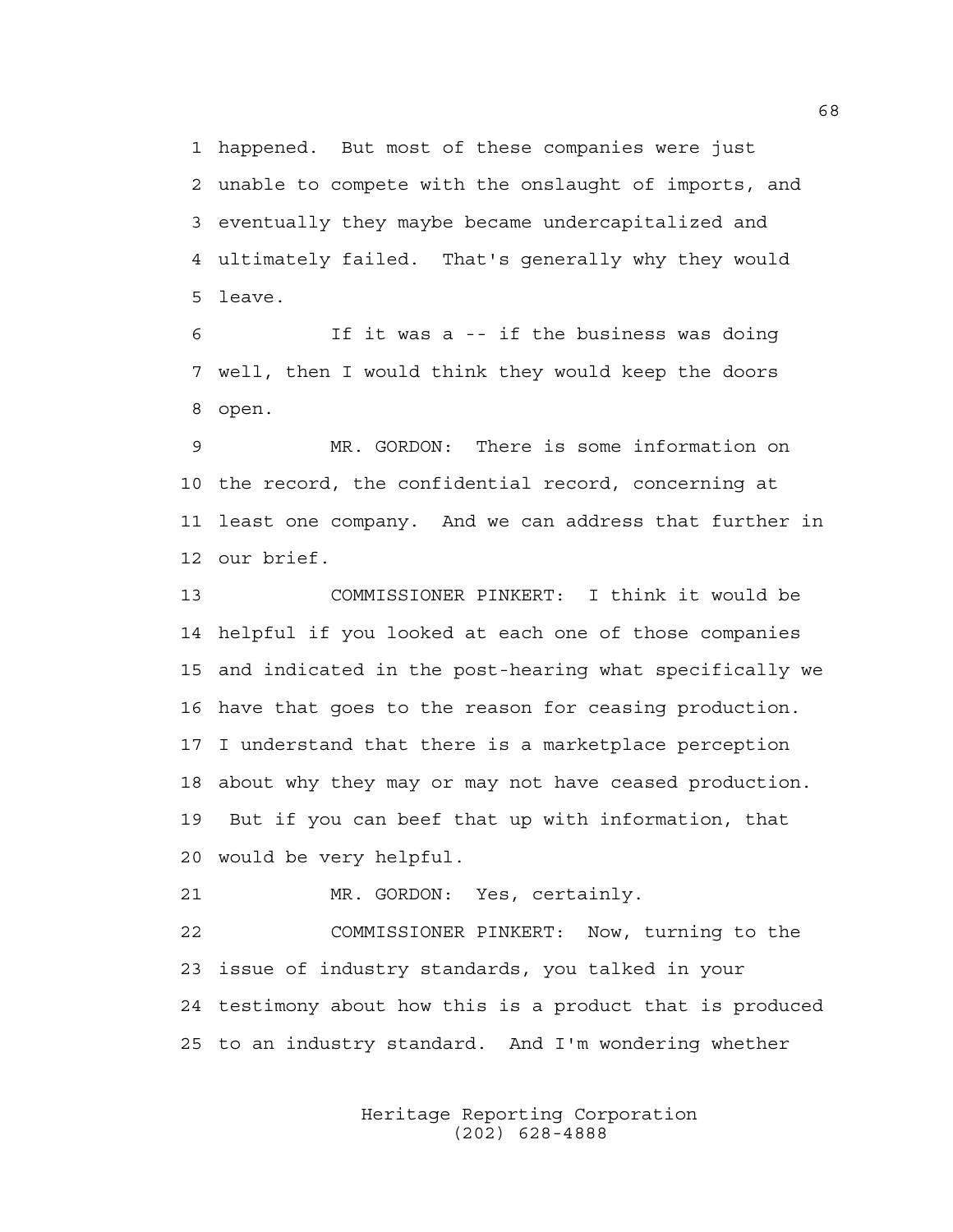1 happened. But most of these companies were just 2 unable to compete with the onslaught of imports, and 3 eventually they maybe became undercapitalized and 4 ultimately failed. That's generally why they would 5 leave.

6 If it was a -- if the business was doing 7 well, then I would think they would keep the doors 8 open.

9 MR. GORDON: There is some information on 10 the record, the confidential record, concerning at 11 least one company. And we can address that further in 12 our brief.

13 COMMISSIONER PINKERT: I think it would be 14 helpful if you looked at each one of those companies 15 and indicated in the post-hearing what specifically we 16 have that goes to the reason for ceasing production. 17 I understand that there is a marketplace perception 18 about why they may or may not have ceased production. 19 But if you can beef that up with information, that 20 would be very helpful.

21 MR. GORDON: Yes, certainly.

22 COMMISSIONER PINKERT: Now, turning to the 23 issue of industry standards, you talked in your 24 testimony about how this is a product that is produced 25 to an industry standard. And I'm wondering whether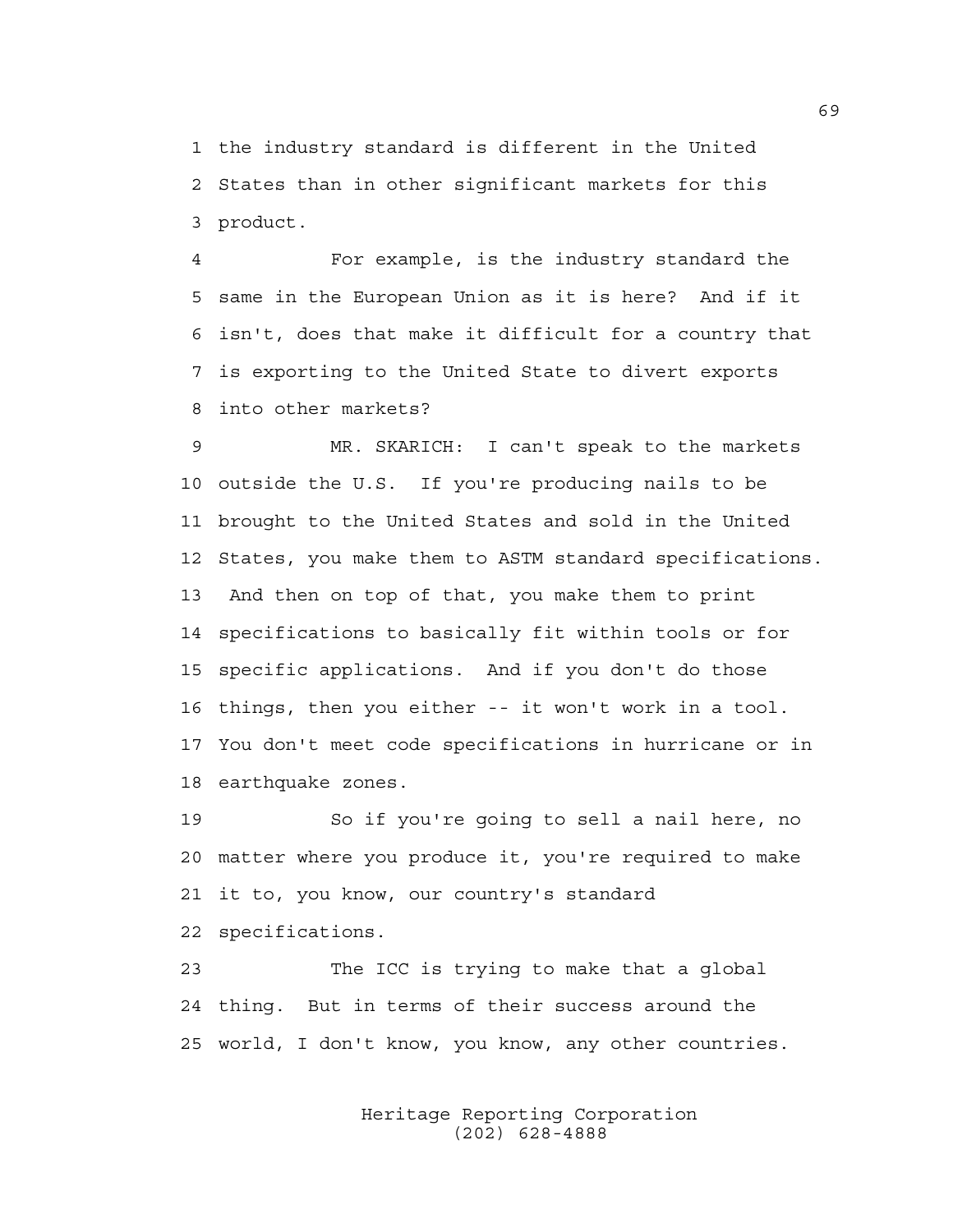1 the industry standard is different in the United 2 States than in other significant markets for this 3 product.

4 For example, is the industry standard the 5 same in the European Union as it is here? And if it 6 isn't, does that make it difficult for a country that 7 is exporting to the United State to divert exports 8 into other markets?

9 MR. SKARICH: I can't speak to the markets 10 outside the U.S. If you're producing nails to be 11 brought to the United States and sold in the United 12 States, you make them to ASTM standard specifications. 13 And then on top of that, you make them to print 14 specifications to basically fit within tools or for 15 specific applications. And if you don't do those 16 things, then you either -- it won't work in a tool. 17 You don't meet code specifications in hurricane or in 18 earthquake zones.

19 So if you're going to sell a nail here, no 20 matter where you produce it, you're required to make 21 it to, you know, our country's standard 22 specifications.

23 The ICC is trying to make that a global 24 thing. But in terms of their success around the 25 world, I don't know, you know, any other countries.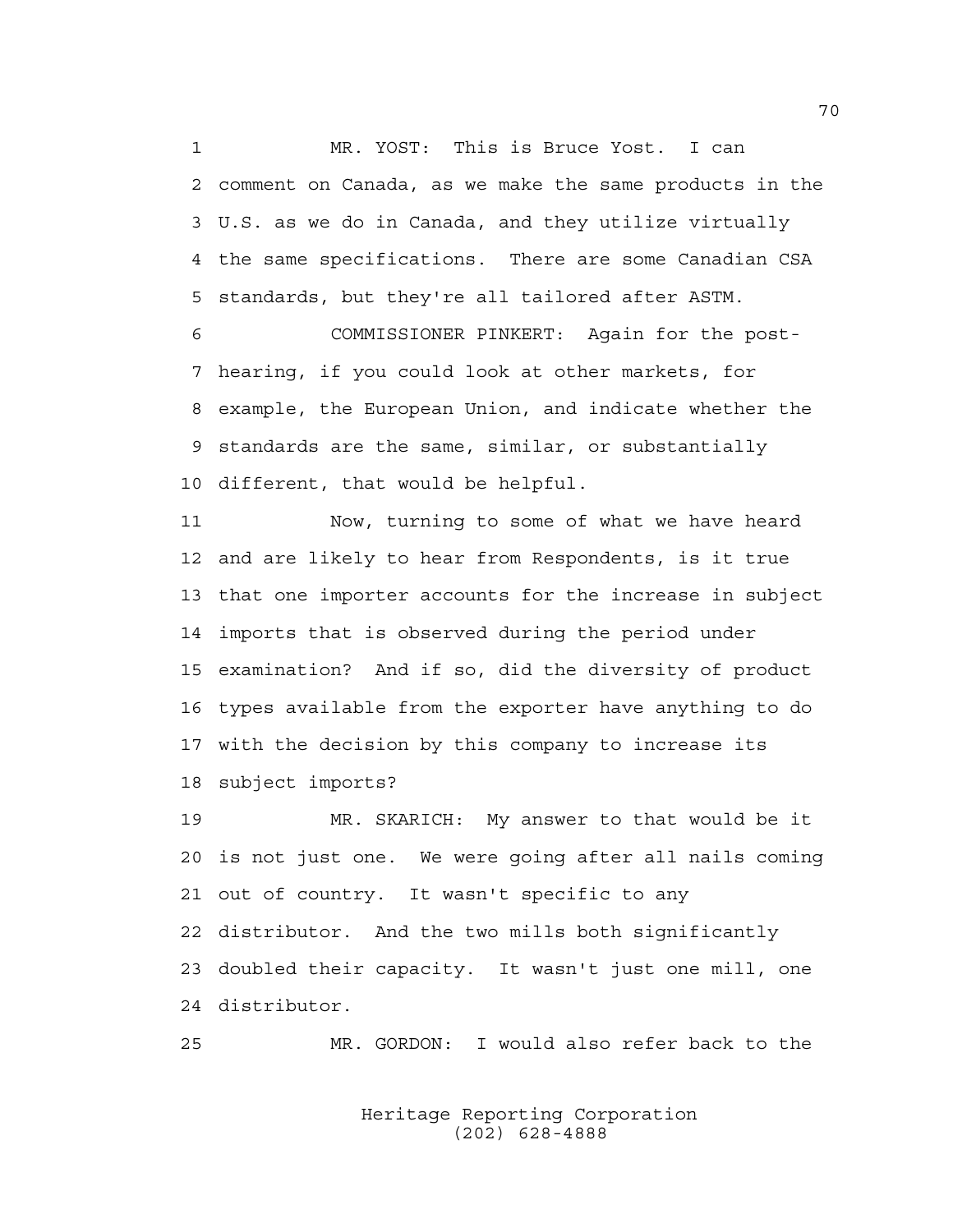1 MR. YOST: This is Bruce Yost. I can 2 comment on Canada, as we make the same products in the 3 U.S. as we do in Canada, and they utilize virtually 4 the same specifications. There are some Canadian CSA 5 standards, but they're all tailored after ASTM.

6 COMMISSIONER PINKERT: Again for the post-7 hearing, if you could look at other markets, for 8 example, the European Union, and indicate whether the 9 standards are the same, similar, or substantially 10 different, that would be helpful.

11 Now, turning to some of what we have heard 12 and are likely to hear from Respondents, is it true 13 that one importer accounts for the increase in subject 14 imports that is observed during the period under 15 examination? And if so, did the diversity of product 16 types available from the exporter have anything to do 17 with the decision by this company to increase its 18 subject imports?

19 MR. SKARICH: My answer to that would be it 20 is not just one. We were going after all nails coming 21 out of country. It wasn't specific to any 22 distributor. And the two mills both significantly 23 doubled their capacity. It wasn't just one mill, one 24 distributor.

25 MR. GORDON: I would also refer back to the

 Heritage Reporting Corporation (202) 628-4888

70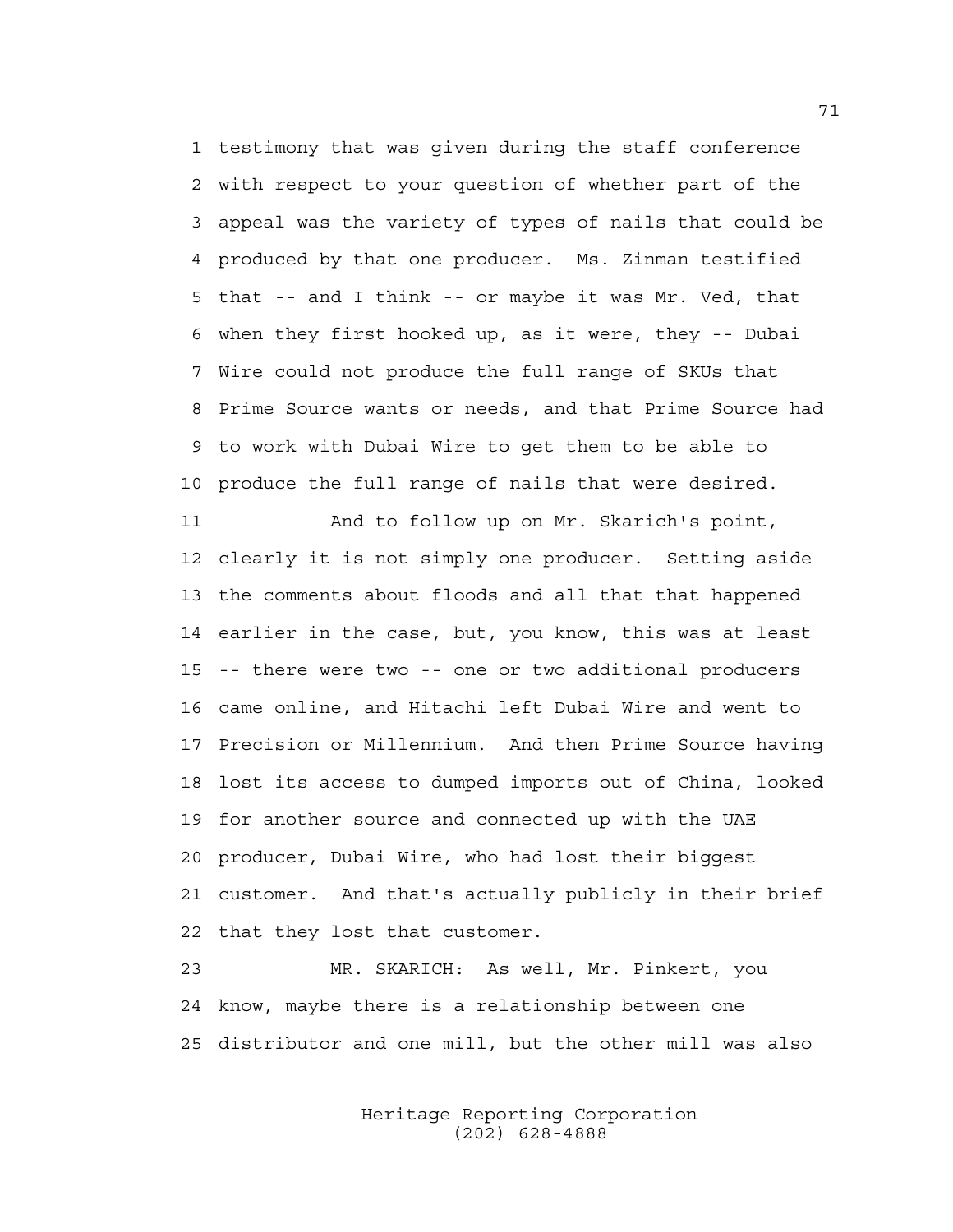1 testimony that was given during the staff conference 2 with respect to your question of whether part of the 3 appeal was the variety of types of nails that could be 4 produced by that one producer. Ms. Zinman testified 5 that -- and I think -- or maybe it was Mr. Ved, that 6 when they first hooked up, as it were, they -- Dubai 7 Wire could not produce the full range of SKUs that 8 Prime Source wants or needs, and that Prime Source had 9 to work with Dubai Wire to get them to be able to 10 produce the full range of nails that were desired.

11 And to follow up on Mr. Skarich's point, 12 clearly it is not simply one producer. Setting aside 13 the comments about floods and all that that happened 14 earlier in the case, but, you know, this was at least 15 -- there were two -- one or two additional producers 16 came online, and Hitachi left Dubai Wire and went to 17 Precision or Millennium. And then Prime Source having 18 lost its access to dumped imports out of China, looked 19 for another source and connected up with the UAE 20 producer, Dubai Wire, who had lost their biggest 21 customer. And that's actually publicly in their brief 22 that they lost that customer.

23 MR. SKARICH: As well, Mr. Pinkert, you 24 know, maybe there is a relationship between one 25 distributor and one mill, but the other mill was also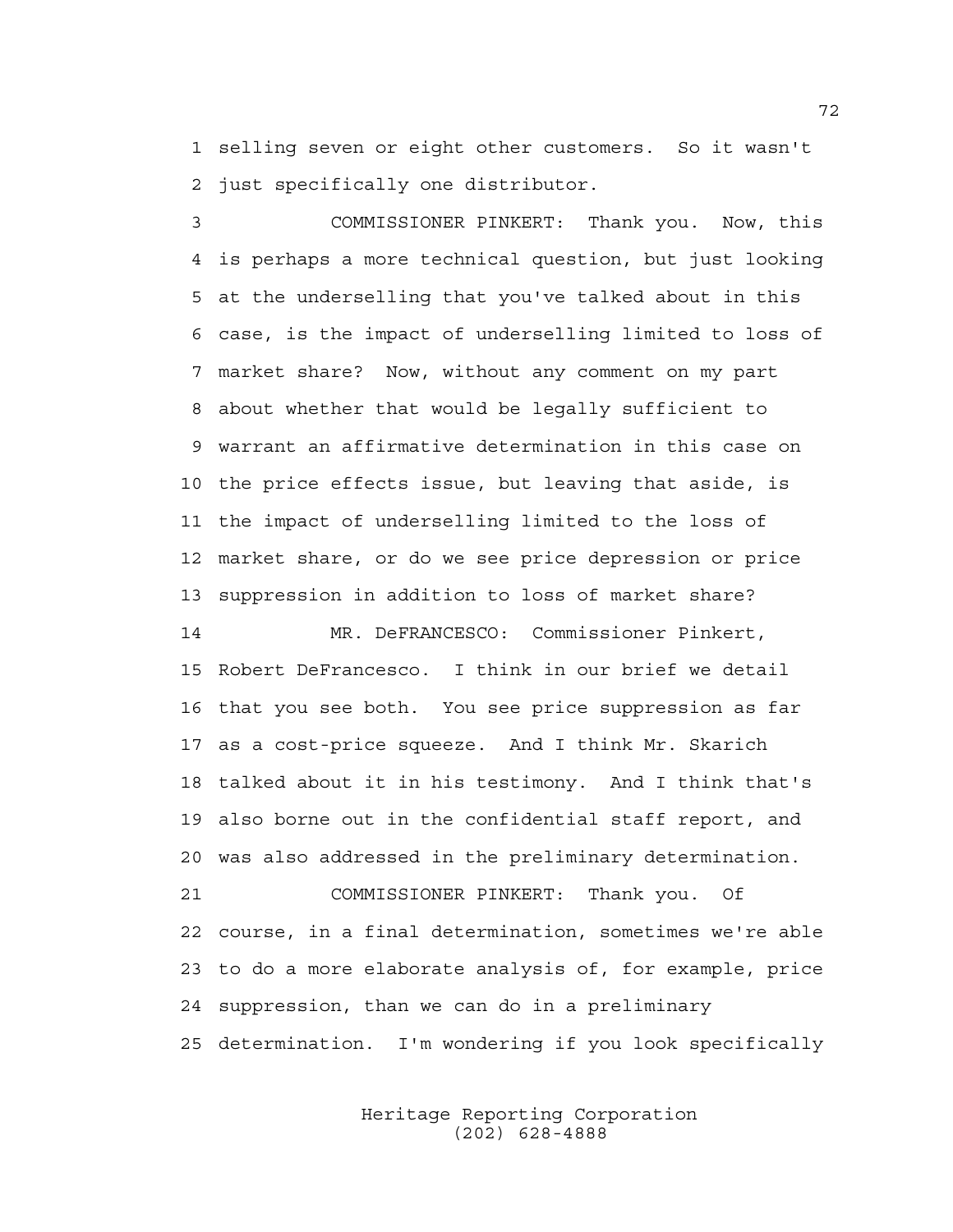1 selling seven or eight other customers. So it wasn't 2 just specifically one distributor.

3 COMMISSIONER PINKERT: Thank you. Now, this 4 is perhaps a more technical question, but just looking 5 at the underselling that you've talked about in this 6 case, is the impact of underselling limited to loss of 7 market share? Now, without any comment on my part 8 about whether that would be legally sufficient to 9 warrant an affirmative determination in this case on 10 the price effects issue, but leaving that aside, is 11 the impact of underselling limited to the loss of 12 market share, or do we see price depression or price 13 suppression in addition to loss of market share?

14 MR. DeFRANCESCO: Commissioner Pinkert, 15 Robert DeFrancesco. I think in our brief we detail 16 that you see both. You see price suppression as far 17 as a cost-price squeeze. And I think Mr. Skarich 18 talked about it in his testimony. And I think that's 19 also borne out in the confidential staff report, and 20 was also addressed in the preliminary determination. 21 COMMISSIONER PINKERT: Thank you. Of 22 course, in a final determination, sometimes we're able 23 to do a more elaborate analysis of, for example, price 24 suppression, than we can do in a preliminary

25 determination. I'm wondering if you look specifically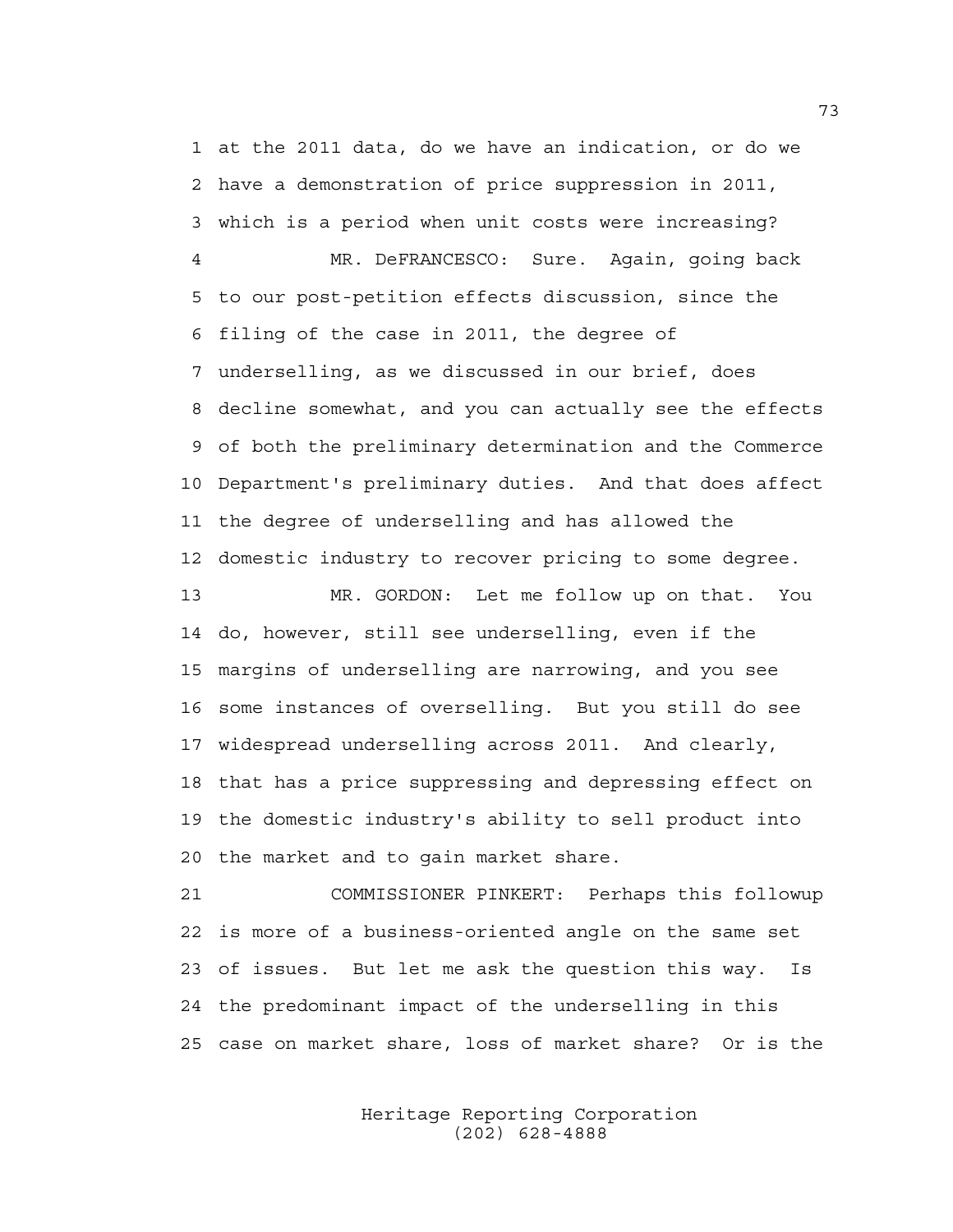1 at the 2011 data, do we have an indication, or do we 2 have a demonstration of price suppression in 2011, 3 which is a period when unit costs were increasing?

4 MR. DeFRANCESCO: Sure. Again, going back 5 to our post-petition effects discussion, since the 6 filing of the case in 2011, the degree of 7 underselling, as we discussed in our brief, does 8 decline somewhat, and you can actually see the effects 9 of both the preliminary determination and the Commerce 10 Department's preliminary duties. And that does affect 11 the degree of underselling and has allowed the 12 domestic industry to recover pricing to some degree.

13 MR. GORDON: Let me follow up on that. You 14 do, however, still see underselling, even if the 15 margins of underselling are narrowing, and you see 16 some instances of overselling. But you still do see 17 widespread underselling across 2011. And clearly, 18 that has a price suppressing and depressing effect on 19 the domestic industry's ability to sell product into 20 the market and to gain market share.

21 COMMISSIONER PINKERT: Perhaps this followup 22 is more of a business-oriented angle on the same set 23 of issues. But let me ask the question this way. Is 24 the predominant impact of the underselling in this 25 case on market share, loss of market share? Or is the

> Heritage Reporting Corporation (202) 628-4888

73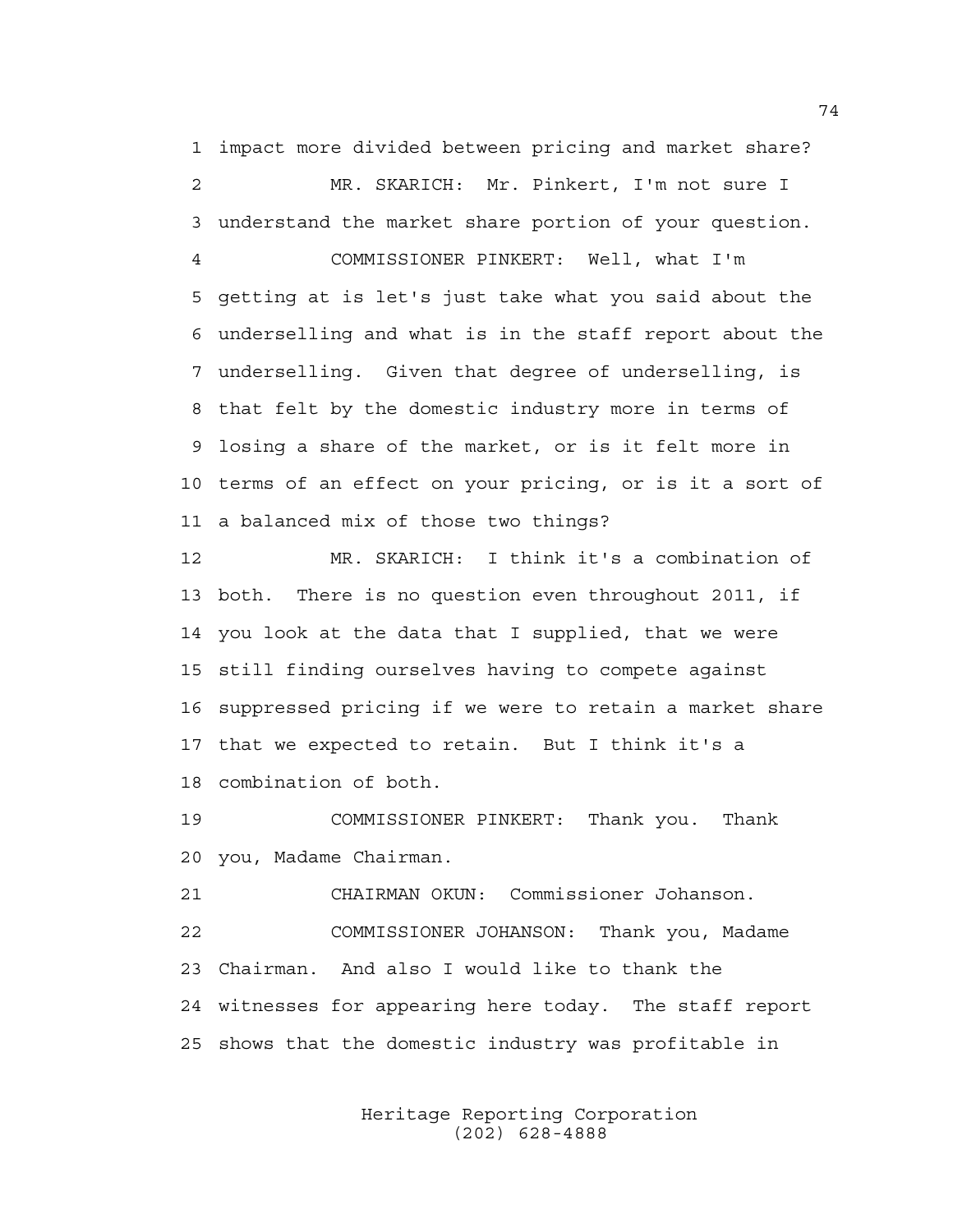1 impact more divided between pricing and market share? 2 MR. SKARICH: Mr. Pinkert, I'm not sure I

3 understand the market share portion of your question. 4 COMMISSIONER PINKERT: Well, what I'm 5 getting at is let's just take what you said about the 6 underselling and what is in the staff report about the 7 underselling. Given that degree of underselling, is 8 that felt by the domestic industry more in terms of 9 losing a share of the market, or is it felt more in 10 terms of an effect on your pricing, or is it a sort of 11 a balanced mix of those two things?

12 MR. SKARICH: I think it's a combination of 13 both. There is no question even throughout 2011, if 14 you look at the data that I supplied, that we were 15 still finding ourselves having to compete against 16 suppressed pricing if we were to retain a market share 17 that we expected to retain. But I think it's a 18 combination of both.

19 COMMISSIONER PINKERT: Thank you. Thank 20 you, Madame Chairman.

21 CHAIRMAN OKUN: Commissioner Johanson. 22 COMMISSIONER JOHANSON: Thank you, Madame 23 Chairman. And also I would like to thank the 24 witnesses for appearing here today. The staff report 25 shows that the domestic industry was profitable in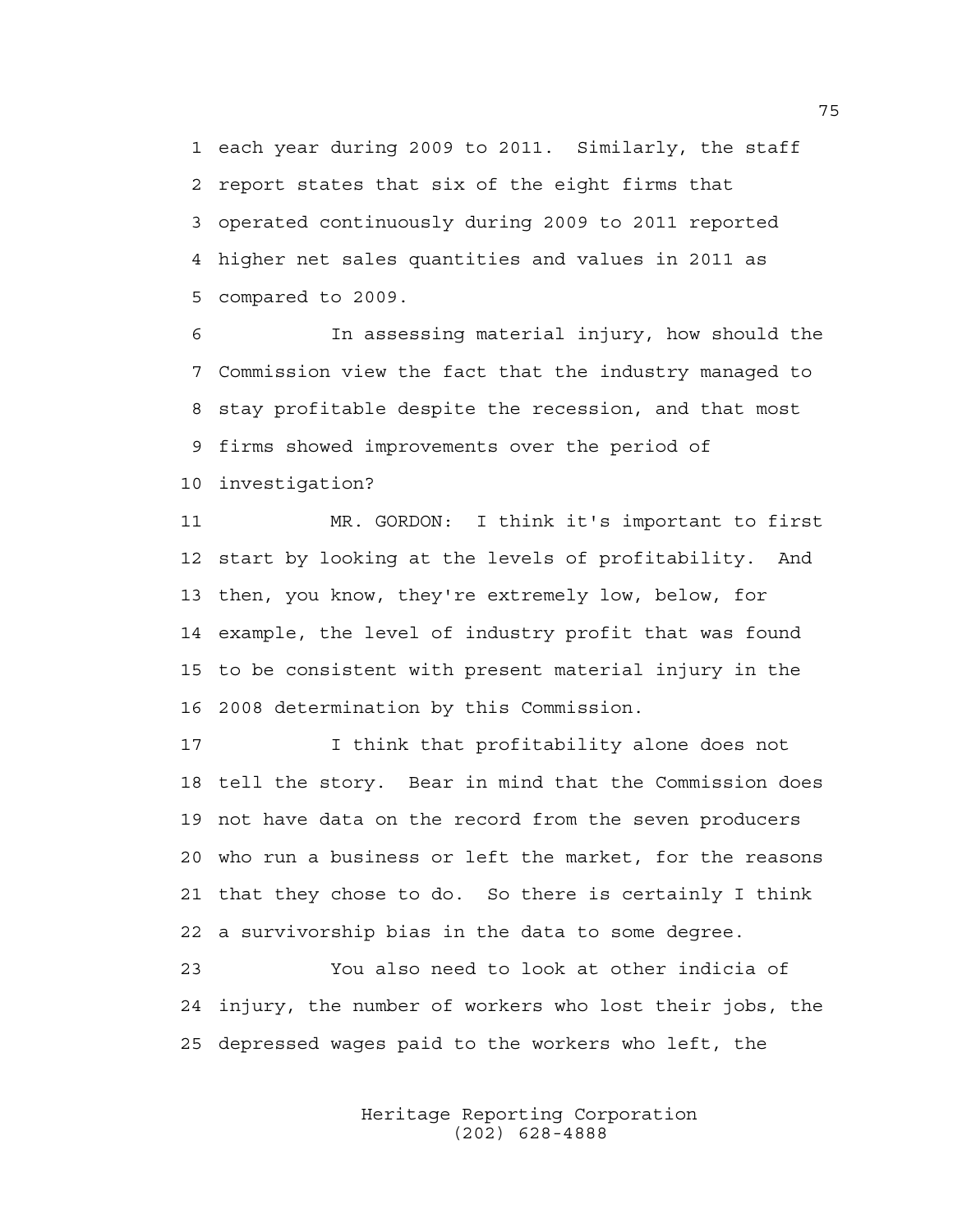1 each year during 2009 to 2011. Similarly, the staff 2 report states that six of the eight firms that 3 operated continuously during 2009 to 2011 reported 4 higher net sales quantities and values in 2011 as 5 compared to 2009.

6 In assessing material injury, how should the 7 Commission view the fact that the industry managed to 8 stay profitable despite the recession, and that most 9 firms showed improvements over the period of 10 investigation?

11 MR. GORDON: I think it's important to first 12 start by looking at the levels of profitability. And 13 then, you know, they're extremely low, below, for 14 example, the level of industry profit that was found 15 to be consistent with present material injury in the 16 2008 determination by this Commission.

17 I think that profitability alone does not 18 tell the story. Bear in mind that the Commission does 19 not have data on the record from the seven producers 20 who run a business or left the market, for the reasons 21 that they chose to do. So there is certainly I think 22 a survivorship bias in the data to some degree.

23 You also need to look at other indicia of 24 injury, the number of workers who lost their jobs, the 25 depressed wages paid to the workers who left, the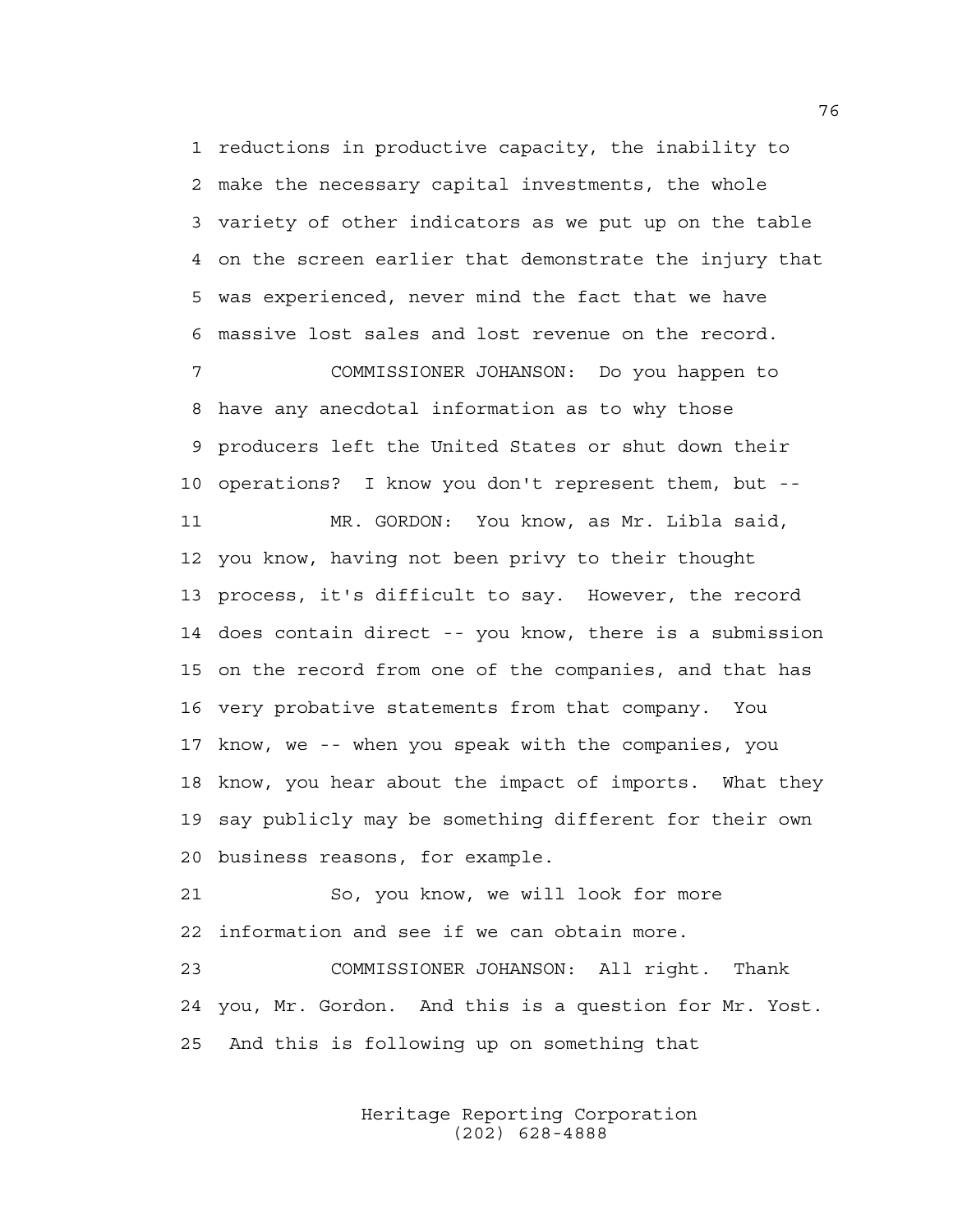1 reductions in productive capacity, the inability to 2 make the necessary capital investments, the whole 3 variety of other indicators as we put up on the table 4 on the screen earlier that demonstrate the injury that 5 was experienced, never mind the fact that we have 6 massive lost sales and lost revenue on the record.

7 COMMISSIONER JOHANSON: Do you happen to 8 have any anecdotal information as to why those 9 producers left the United States or shut down their 10 operations? I know you don't represent them, but --

11 MR. GORDON: You know, as Mr. Libla said, 12 you know, having not been privy to their thought 13 process, it's difficult to say. However, the record 14 does contain direct -- you know, there is a submission 15 on the record from one of the companies, and that has 16 very probative statements from that company. You 17 know, we -- when you speak with the companies, you 18 know, you hear about the impact of imports. What they 19 say publicly may be something different for their own 20 business reasons, for example.

21 So, you know, we will look for more 22 information and see if we can obtain more.

23 COMMISSIONER JOHANSON: All right. Thank 24 you, Mr. Gordon. And this is a question for Mr. Yost. 25 And this is following up on something that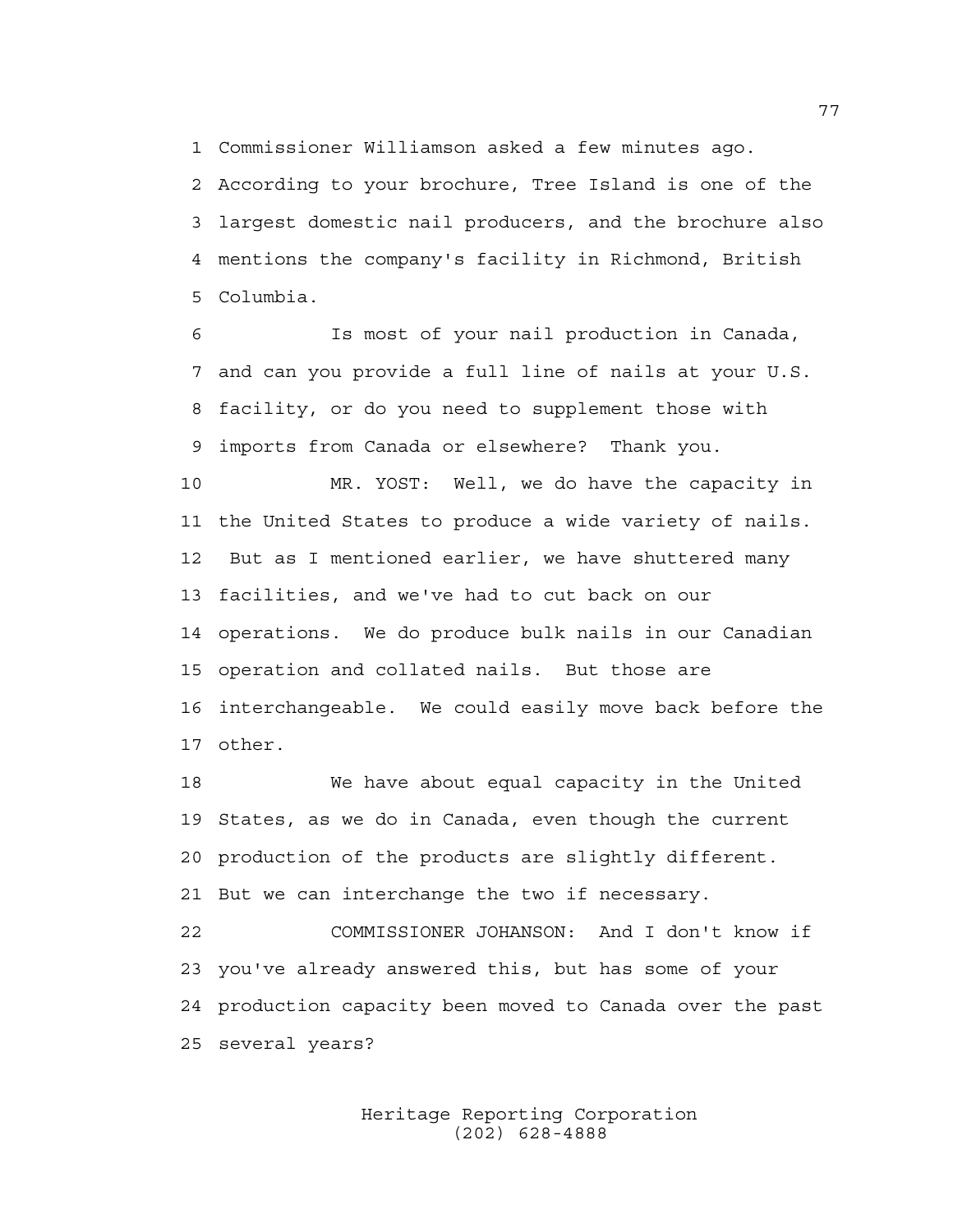1 Commissioner Williamson asked a few minutes ago.

2 According to your brochure, Tree Island is one of the 3 largest domestic nail producers, and the brochure also 4 mentions the company's facility in Richmond, British 5 Columbia.

6 Is most of your nail production in Canada, 7 and can you provide a full line of nails at your U.S. 8 facility, or do you need to supplement those with 9 imports from Canada or elsewhere? Thank you.

10 MR. YOST: Well, we do have the capacity in 11 the United States to produce a wide variety of nails. 12 But as I mentioned earlier, we have shuttered many 13 facilities, and we've had to cut back on our 14 operations. We do produce bulk nails in our Canadian 15 operation and collated nails. But those are 16 interchangeable. We could easily move back before the 17 other.

18 We have about equal capacity in the United 19 States, as we do in Canada, even though the current 20 production of the products are slightly different. 21 But we can interchange the two if necessary.

22 COMMISSIONER JOHANSON: And I don't know if 23 you've already answered this, but has some of your 24 production capacity been moved to Canada over the past 25 several years?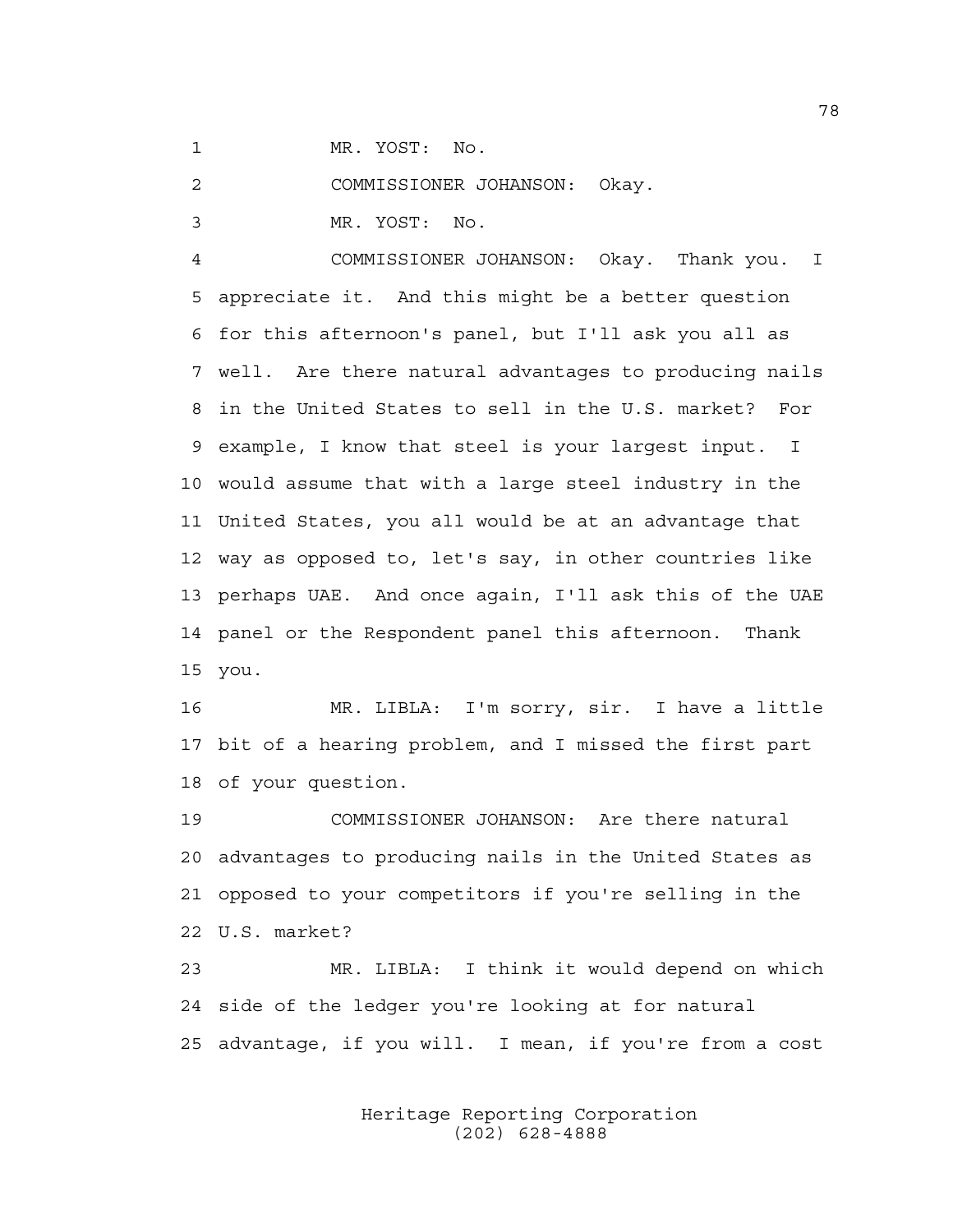1 MR. YOST: No.

2 COMMISSIONER JOHANSON: Okay.

3 MR. YOST: No.

4 COMMISSIONER JOHANSON: Okay. Thank you. I 5 appreciate it. And this might be a better question 6 for this afternoon's panel, but I'll ask you all as 7 well. Are there natural advantages to producing nails 8 in the United States to sell in the U.S. market? For 9 example, I know that steel is your largest input. I 10 would assume that with a large steel industry in the 11 United States, you all would be at an advantage that 12 way as opposed to, let's say, in other countries like 13 perhaps UAE. And once again, I'll ask this of the UAE 14 panel or the Respondent panel this afternoon. Thank 15 you.

16 MR. LIBLA: I'm sorry, sir. I have a little 17 bit of a hearing problem, and I missed the first part 18 of your question.

19 COMMISSIONER JOHANSON: Are there natural 20 advantages to producing nails in the United States as 21 opposed to your competitors if you're selling in the 22 U.S. market?

23 MR. LIBLA: I think it would depend on which 24 side of the ledger you're looking at for natural 25 advantage, if you will. I mean, if you're from a cost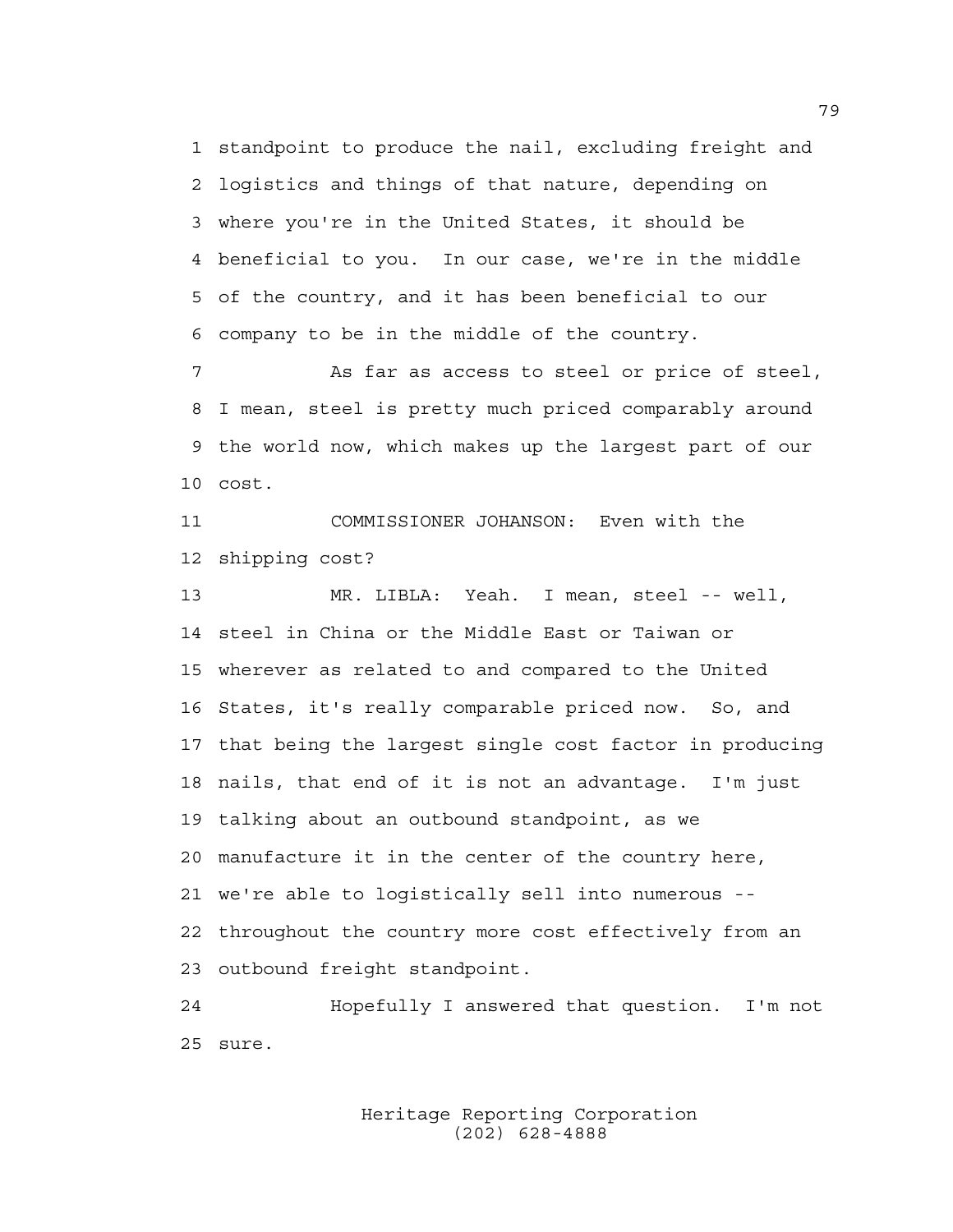1 standpoint to produce the nail, excluding freight and 2 logistics and things of that nature, depending on 3 where you're in the United States, it should be 4 beneficial to you. In our case, we're in the middle 5 of the country, and it has been beneficial to our 6 company to be in the middle of the country.

7 As far as access to steel or price of steel, 8 I mean, steel is pretty much priced comparably around 9 the world now, which makes up the largest part of our 10 cost.

11 COMMISSIONER JOHANSON: Even with the 12 shipping cost?

13 MR. LIBLA: Yeah. I mean, steel -- well, 14 steel in China or the Middle East or Taiwan or 15 wherever as related to and compared to the United 16 States, it's really comparable priced now. So, and 17 that being the largest single cost factor in producing 18 nails, that end of it is not an advantage. I'm just 19 talking about an outbound standpoint, as we 20 manufacture it in the center of the country here, 21 we're able to logistically sell into numerous -- 22 throughout the country more cost effectively from an 23 outbound freight standpoint.

24 Hopefully I answered that question. I'm not 25 sure.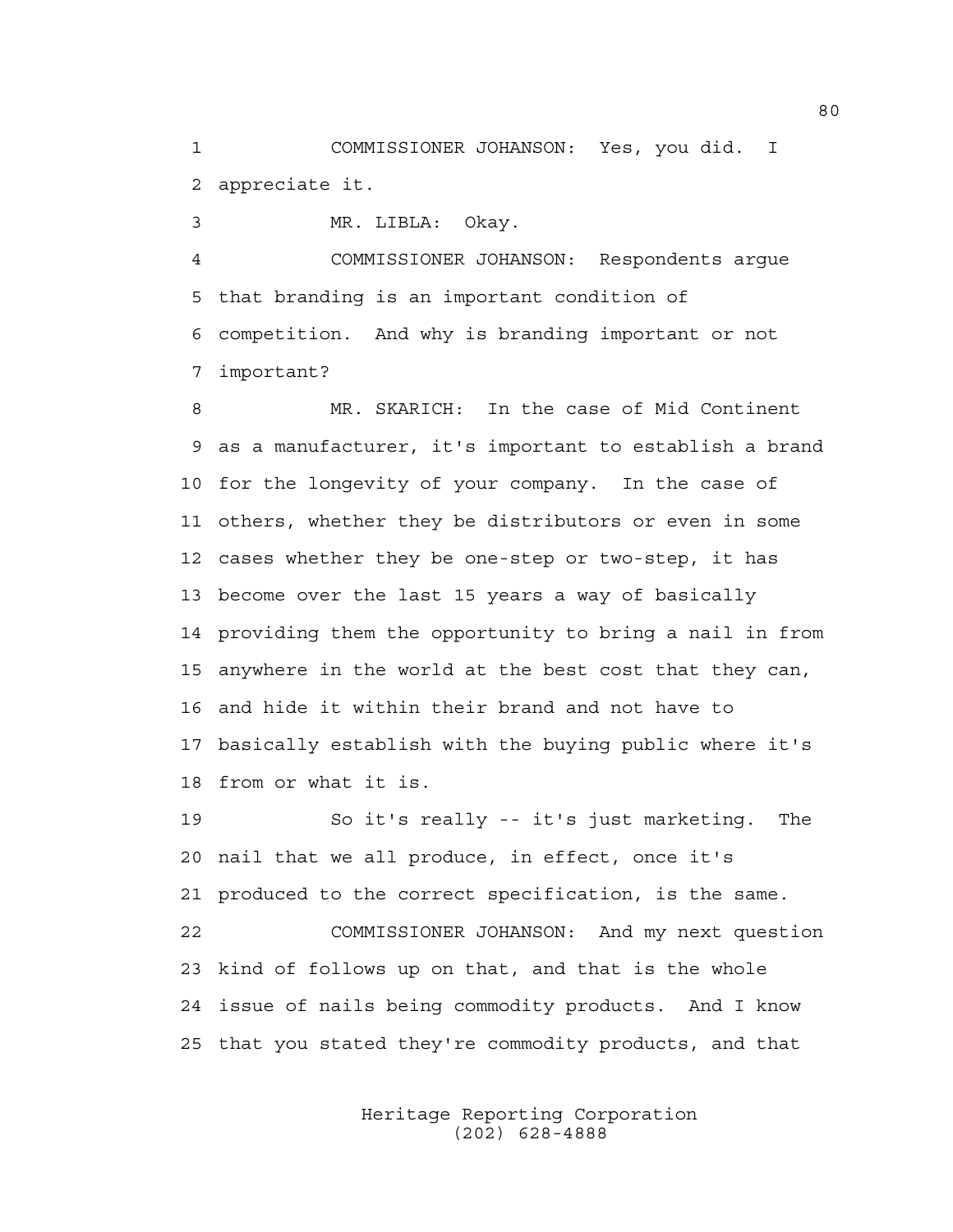1 COMMISSIONER JOHANSON: Yes, you did. I 2 appreciate it.

3 MR. LIBLA: Okay.

4 COMMISSIONER JOHANSON: Respondents argue 5 that branding is an important condition of 6 competition. And why is branding important or not 7 important?

8 MR. SKARICH: In the case of Mid Continent 9 as a manufacturer, it's important to establish a brand 10 for the longevity of your company. In the case of 11 others, whether they be distributors or even in some 12 cases whether they be one-step or two-step, it has 13 become over the last 15 years a way of basically 14 providing them the opportunity to bring a nail in from 15 anywhere in the world at the best cost that they can, 16 and hide it within their brand and not have to 17 basically establish with the buying public where it's 18 from or what it is.

19 So it's really -- it's just marketing. The 20 nail that we all produce, in effect, once it's 21 produced to the correct specification, is the same. 22 COMMISSIONER JOHANSON: And my next question 23 kind of follows up on that, and that is the whole 24 issue of nails being commodity products. And I know 25 that you stated they're commodity products, and that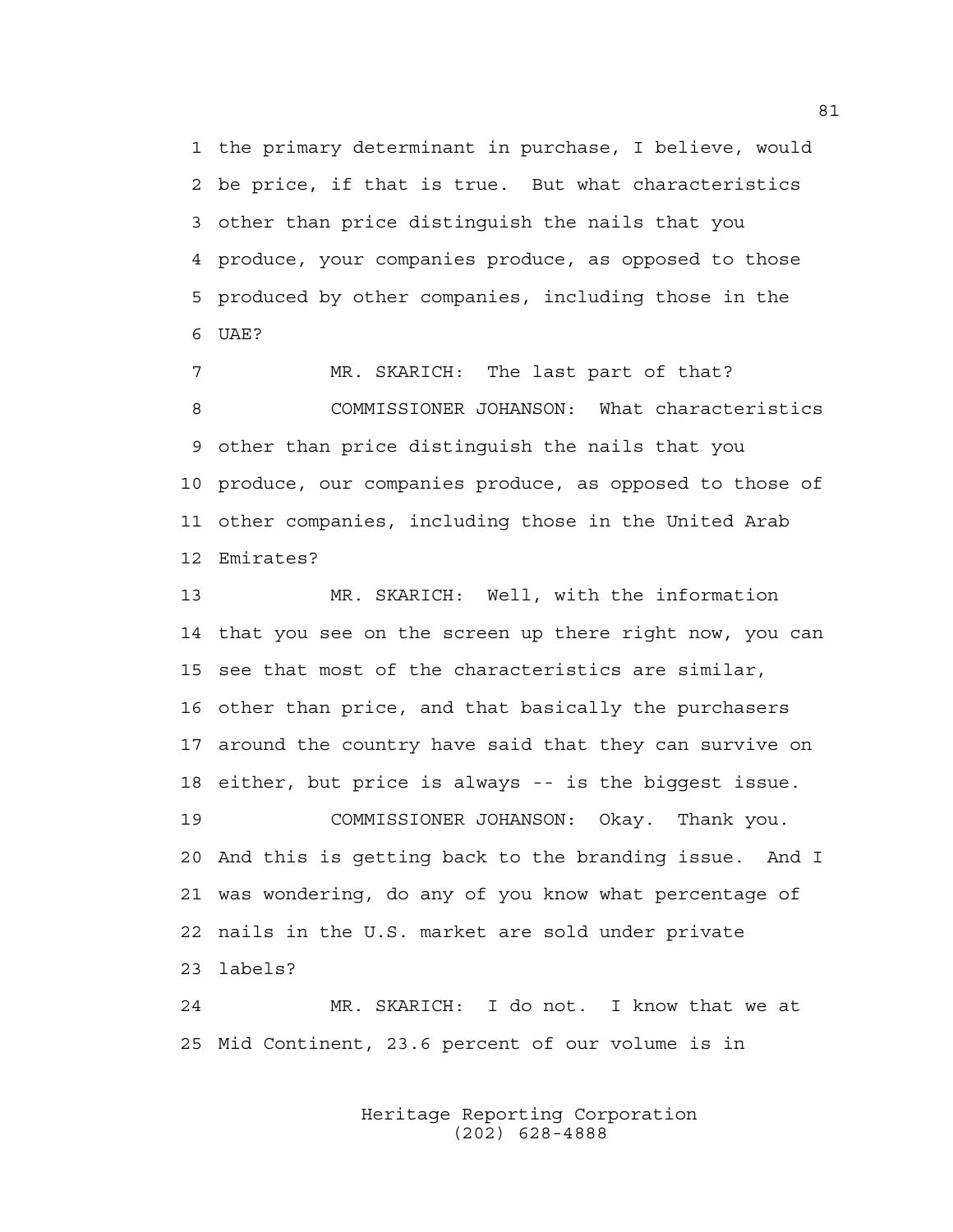1 the primary determinant in purchase, I believe, would 2 be price, if that is true. But what characteristics 3 other than price distinguish the nails that you 4 produce, your companies produce, as opposed to those 5 produced by other companies, including those in the 6 UAF?

7 MR. SKARICH: The last part of that? 8 COMMISSIONER JOHANSON: What characteristics 9 other than price distinguish the nails that you 10 produce, our companies produce, as opposed to those of 11 other companies, including those in the United Arab 12 Emirates?

13 MR. SKARICH: Well, with the information 14 that you see on the screen up there right now, you can 15 see that most of the characteristics are similar, 16 other than price, and that basically the purchasers 17 around the country have said that they can survive on 18 either, but price is always -- is the biggest issue. 19 COMMISSIONER JOHANSON: Okay. Thank you. 20 And this is getting back to the branding issue. And I 21 was wondering, do any of you know what percentage of 22 nails in the U.S. market are sold under private

23 labels?

24 MR. SKARICH: I do not. I know that we at 25 Mid Continent, 23.6 percent of our volume is in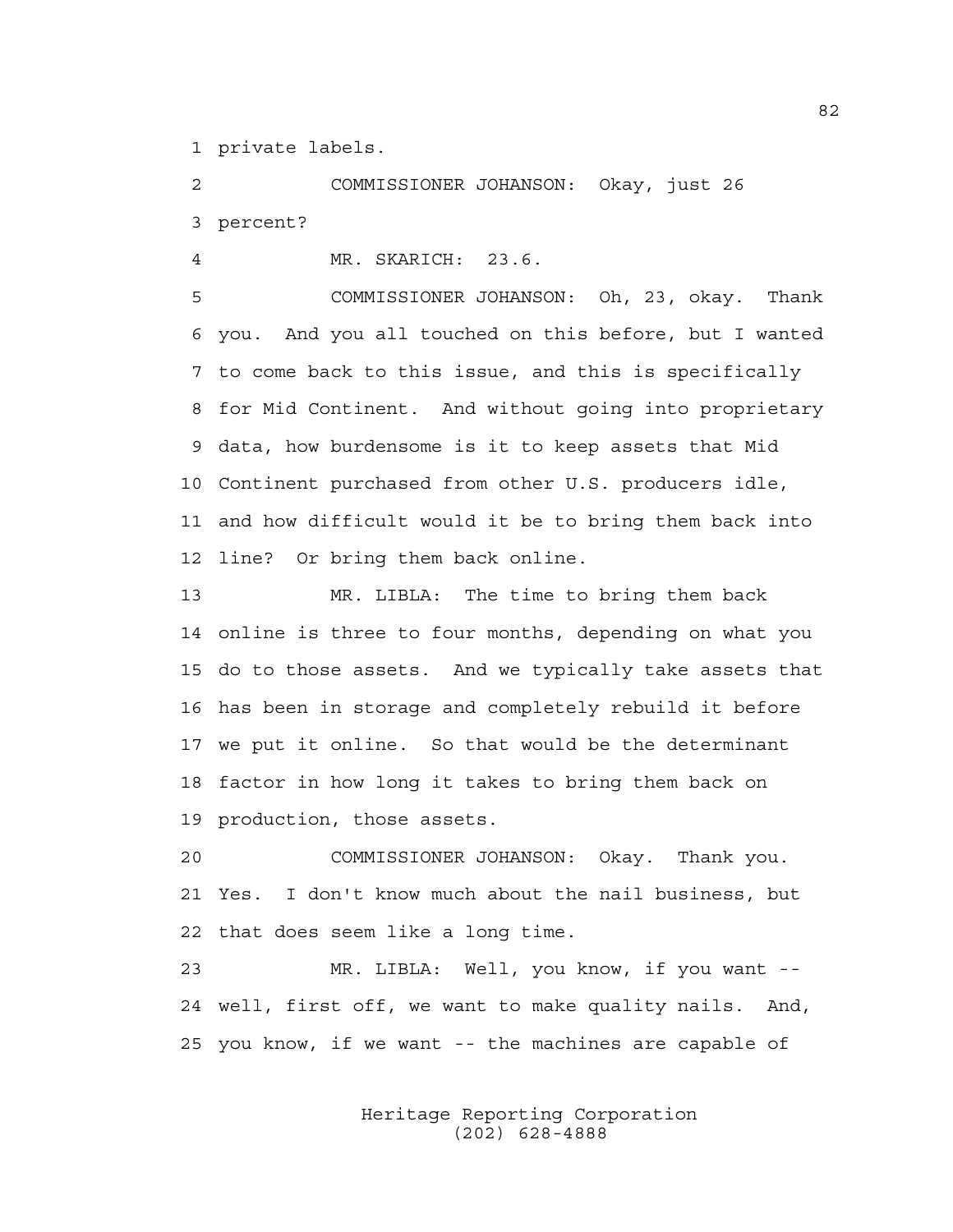1 private labels.

2 COMMISSIONER JOHANSON: Okay, just 26 3 percent?

4 MR. SKARICH: 23.6.

5 COMMISSIONER JOHANSON: Oh, 23, okay. Thank 6 you. And you all touched on this before, but I wanted 7 to come back to this issue, and this is specifically 8 for Mid Continent. And without going into proprietary 9 data, how burdensome is it to keep assets that Mid 10 Continent purchased from other U.S. producers idle, 11 and how difficult would it be to bring them back into 12 line? Or bring them back online.

13 MR. LIBLA: The time to bring them back 14 online is three to four months, depending on what you 15 do to those assets. And we typically take assets that 16 has been in storage and completely rebuild it before 17 we put it online. So that would be the determinant 18 factor in how long it takes to bring them back on 19 production, those assets.

20 COMMISSIONER JOHANSON: Okay. Thank you. 21 Yes. I don't know much about the nail business, but 22 that does seem like a long time.

23 MR. LIBLA: Well, you know, if you want -- 24 well, first off, we want to make quality nails. And, 25 you know, if we want -- the machines are capable of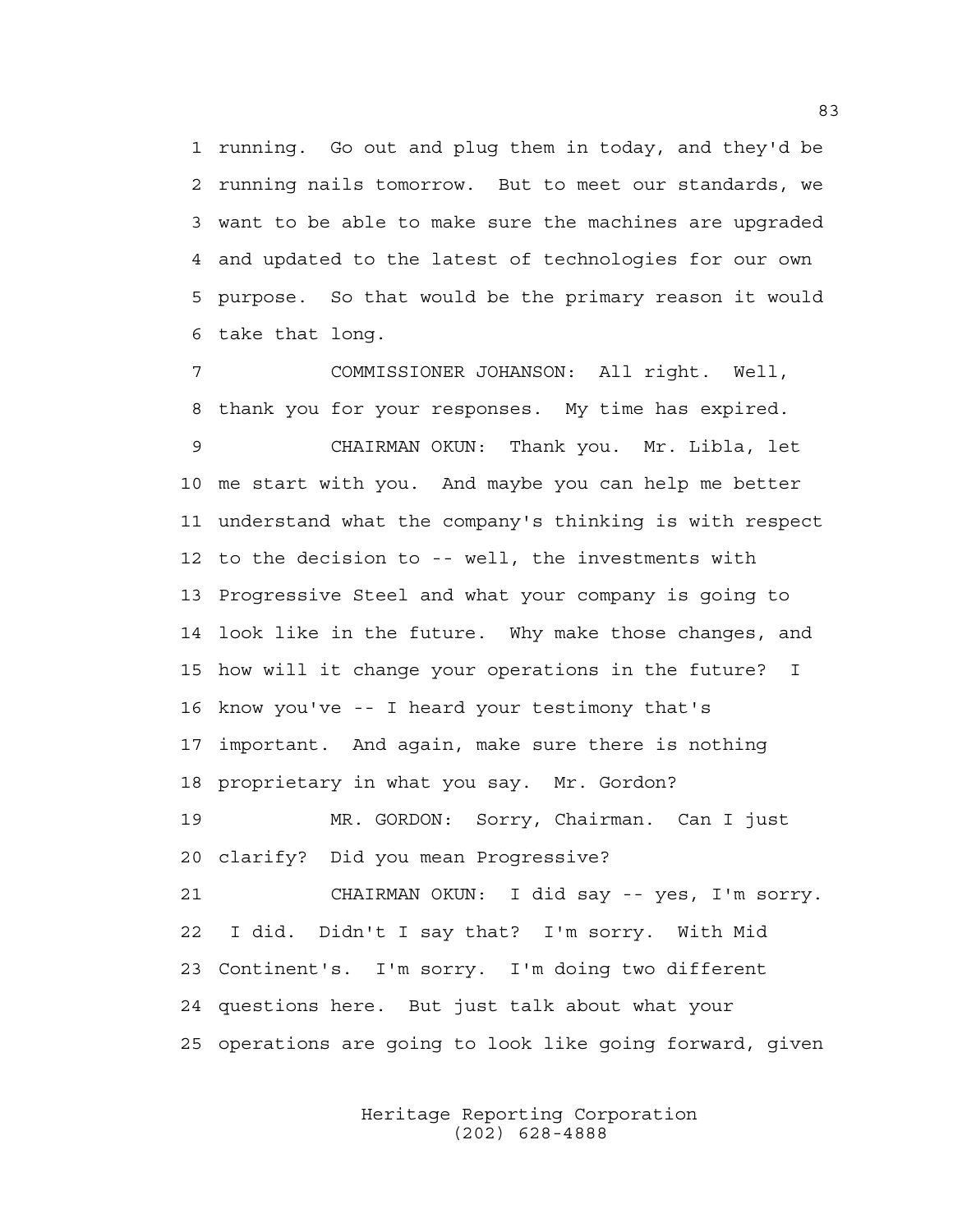1 running. Go out and plug them in today, and they'd be 2 running nails tomorrow. But to meet our standards, we 3 want to be able to make sure the machines are upgraded 4 and updated to the latest of technologies for our own 5 purpose. So that would be the primary reason it would 6 take that long.

7 COMMISSIONER JOHANSON: All right. Well, 8 thank you for your responses. My time has expired. 9 CHAIRMAN OKUN: Thank you. Mr. Libla, let 10 me start with you. And maybe you can help me better 11 understand what the company's thinking is with respect 12 to the decision to -- well, the investments with 13 Progressive Steel and what your company is going to 14 look like in the future. Why make those changes, and 15 how will it change your operations in the future? I 16 know you've -- I heard your testimony that's 17 important. And again, make sure there is nothing 18 proprietary in what you say. Mr. Gordon? 19 MR. GORDON: Sorry, Chairman. Can I just 20 clarify? Did you mean Progressive? 21 CHAIRMAN OKUN: I did say -- yes, I'm sorry. 22 I did. Didn't I say that? I'm sorry. With Mid 23 Continent's. I'm sorry. I'm doing two different 24 questions here. But just talk about what your 25 operations are going to look like going forward, given

> Heritage Reporting Corporation (202) 628-4888

83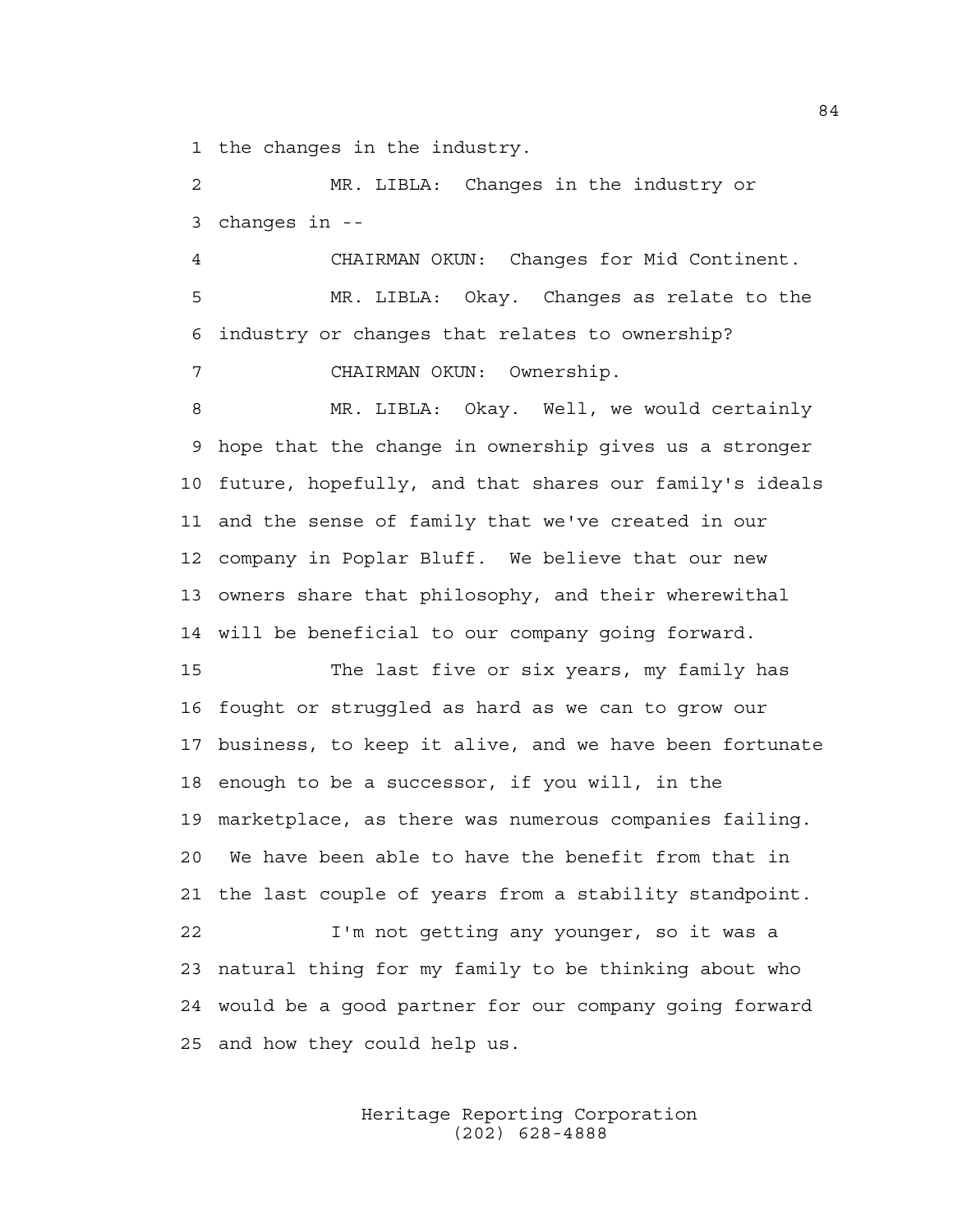1 the changes in the industry.

2 MR. LIBLA: Changes in the industry or 3 changes in --

4 CHAIRMAN OKUN: Changes for Mid Continent. 5 MR. LIBLA: Okay. Changes as relate to the 6 industry or changes that relates to ownership? 7 CHAIRMAN OKUN: Ownership.

8 MR. LIBLA: Okay. Well, we would certainly 9 hope that the change in ownership gives us a stronger 10 future, hopefully, and that shares our family's ideals 11 and the sense of family that we've created in our 12 company in Poplar Bluff. We believe that our new 13 owners share that philosophy, and their wherewithal 14 will be beneficial to our company going forward.

15 The last five or six years, my family has 16 fought or struggled as hard as we can to grow our 17 business, to keep it alive, and we have been fortunate 18 enough to be a successor, if you will, in the 19 marketplace, as there was numerous companies failing. 20 We have been able to have the benefit from that in 21 the last couple of years from a stability standpoint. 22 I'm not getting any younger, so it was a 23 natural thing for my family to be thinking about who 24 would be a good partner for our company going forward 25 and how they could help us.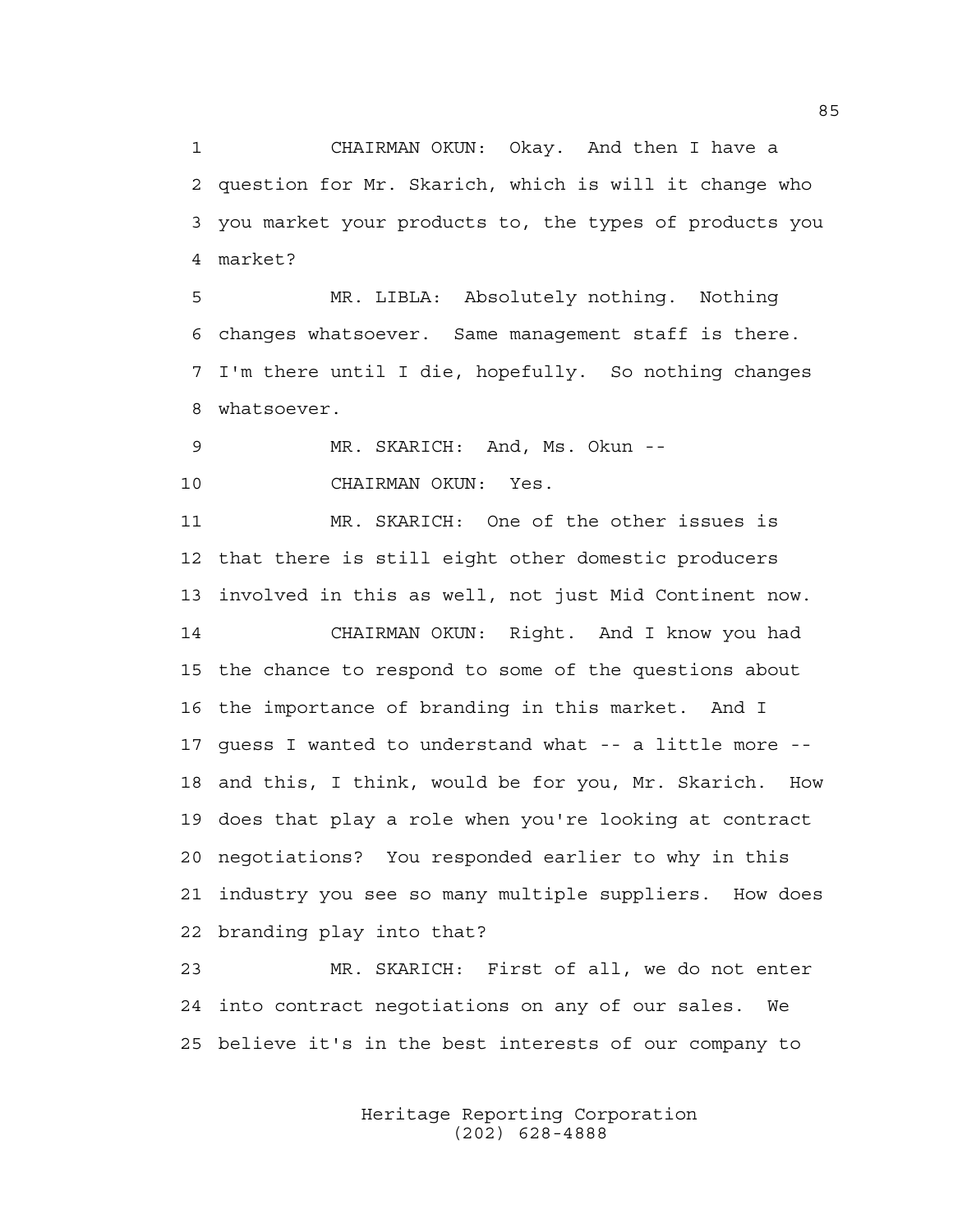1 CHAIRMAN OKUN: Okay. And then I have a 2 question for Mr. Skarich, which is will it change who 3 you market your products to, the types of products you 4 market?

5 MR. LIBLA: Absolutely nothing. Nothing 6 changes whatsoever. Same management staff is there. 7 I'm there until I die, hopefully. So nothing changes 8 whatsoever.

9 MR. SKARICH: And, Ms. Okun --

10 CHAIRMAN OKUN: Yes.

11 MR. SKARICH: One of the other issues is 12 that there is still eight other domestic producers 13 involved in this as well, not just Mid Continent now.

14 CHAIRMAN OKUN: Right. And I know you had 15 the chance to respond to some of the questions about 16 the importance of branding in this market. And I 17 guess I wanted to understand what -- a little more -- 18 and this, I think, would be for you, Mr. Skarich. How 19 does that play a role when you're looking at contract 20 negotiations? You responded earlier to why in this 21 industry you see so many multiple suppliers. How does 22 branding play into that?

23 MR. SKARICH: First of all, we do not enter 24 into contract negotiations on any of our sales. We 25 believe it's in the best interests of our company to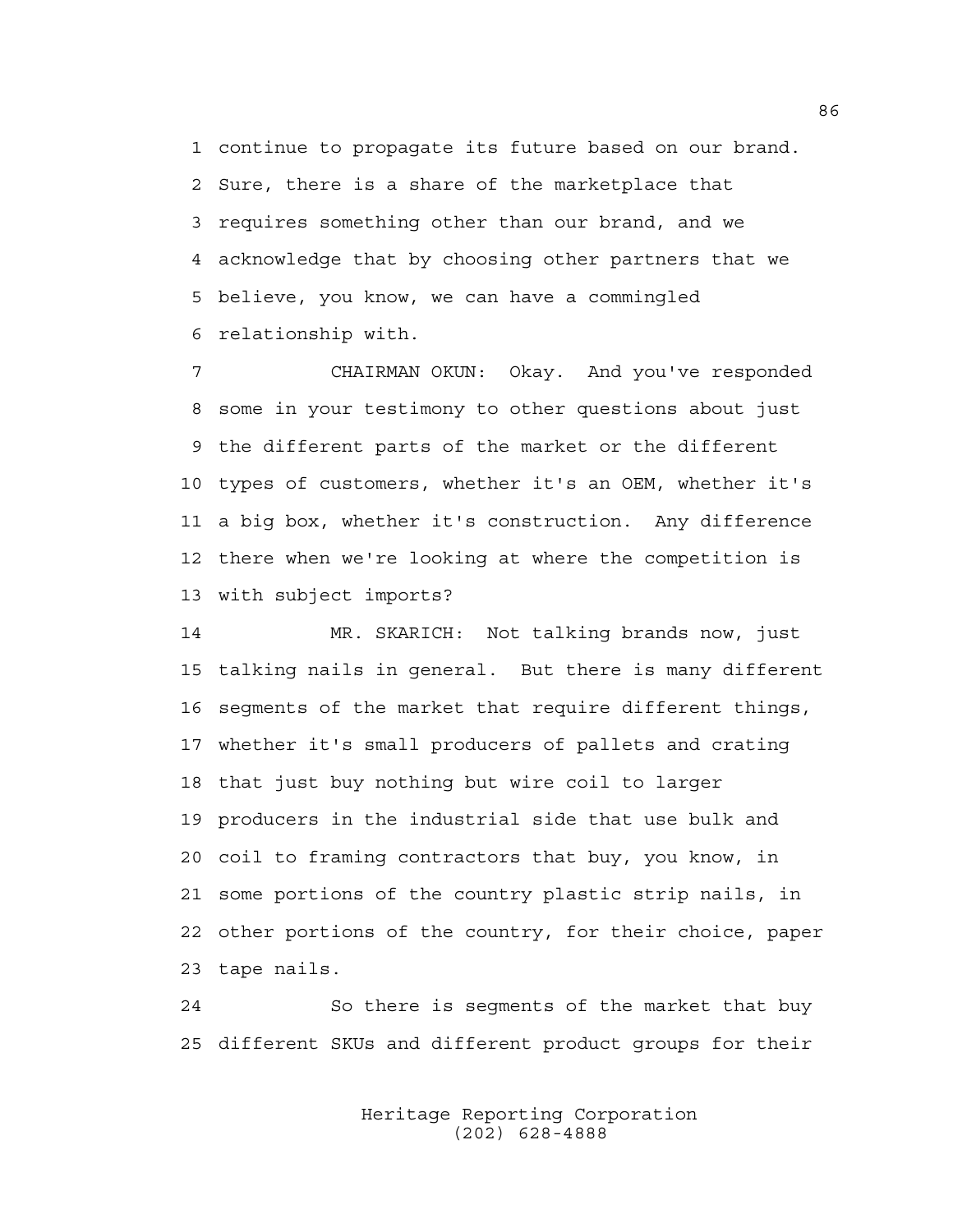1 continue to propagate its future based on our brand. 2 Sure, there is a share of the marketplace that 3 requires something other than our brand, and we 4 acknowledge that by choosing other partners that we 5 believe, you know, we can have a commingled 6 relationship with.

7 CHAIRMAN OKUN: Okay. And you've responded 8 some in your testimony to other questions about just 9 the different parts of the market or the different 10 types of customers, whether it's an OEM, whether it's 11 a big box, whether it's construction. Any difference 12 there when we're looking at where the competition is 13 with subject imports?

14 MR. SKARICH: Not talking brands now, just 15 talking nails in general. But there is many different 16 segments of the market that require different things, 17 whether it's small producers of pallets and crating 18 that just buy nothing but wire coil to larger 19 producers in the industrial side that use bulk and 20 coil to framing contractors that buy, you know, in 21 some portions of the country plastic strip nails, in 22 other portions of the country, for their choice, paper 23 tape nails.

24 So there is segments of the market that buy 25 different SKUs and different product groups for their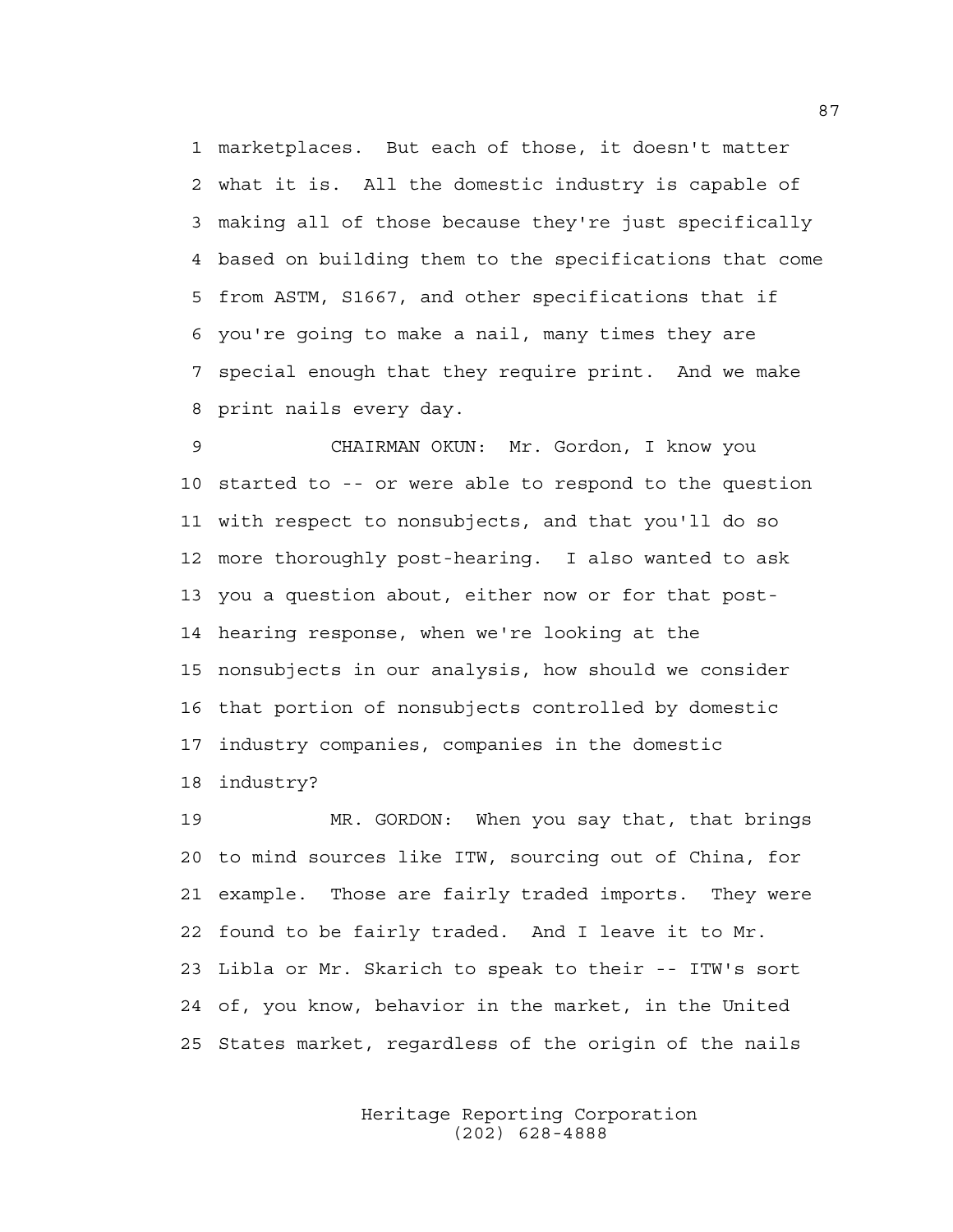1 marketplaces. But each of those, it doesn't matter 2 what it is. All the domestic industry is capable of 3 making all of those because they're just specifically 4 based on building them to the specifications that come 5 from ASTM, S1667, and other specifications that if 6 you're going to make a nail, many times they are 7 special enough that they require print. And we make 8 print nails every day.

9 CHAIRMAN OKUN: Mr. Gordon, I know you 10 started to -- or were able to respond to the question 11 with respect to nonsubjects, and that you'll do so 12 more thoroughly post-hearing. I also wanted to ask 13 you a question about, either now or for that post-14 hearing response, when we're looking at the 15 nonsubjects in our analysis, how should we consider 16 that portion of nonsubjects controlled by domestic 17 industry companies, companies in the domestic 18 industry?

19 MR. GORDON: When you say that, that brings 20 to mind sources like ITW, sourcing out of China, for 21 example. Those are fairly traded imports. They were 22 found to be fairly traded. And I leave it to Mr. 23 Libla or Mr. Skarich to speak to their -- ITW's sort 24 of, you know, behavior in the market, in the United 25 States market, regardless of the origin of the nails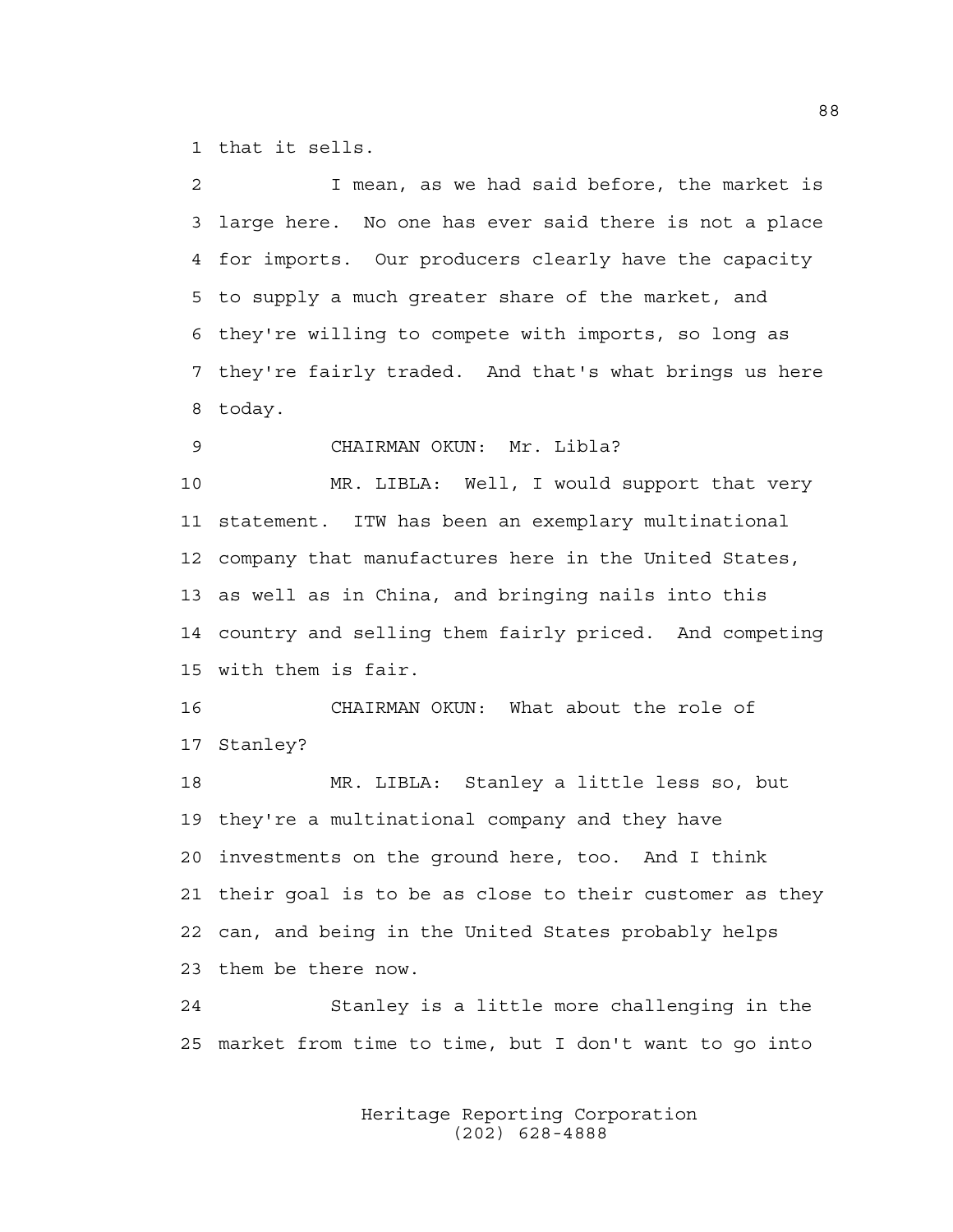1 that it sells.

2 I mean, as we had said before, the market is 3 large here. No one has ever said there is not a place 4 for imports. Our producers clearly have the capacity 5 to supply a much greater share of the market, and 6 they're willing to compete with imports, so long as 7 they're fairly traded. And that's what brings us here 8 today. 9 CHAIRMAN OKUN: Mr. Libla? 10 MR. LIBLA: Well, I would support that very 11 statement. ITW has been an exemplary multinational 12 company that manufactures here in the United States, 13 as well as in China, and bringing nails into this 14 country and selling them fairly priced. And competing 15 with them is fair. 16 CHAIRMAN OKUN: What about the role of 17 Stanley? 18 MR. LIBLA: Stanley a little less so, but 19 they're a multinational company and they have 20 investments on the ground here, too. And I think 21 their goal is to be as close to their customer as they 22 can, and being in the United States probably helps

23 them be there now.

24 Stanley is a little more challenging in the 25 market from time to time, but I don't want to go into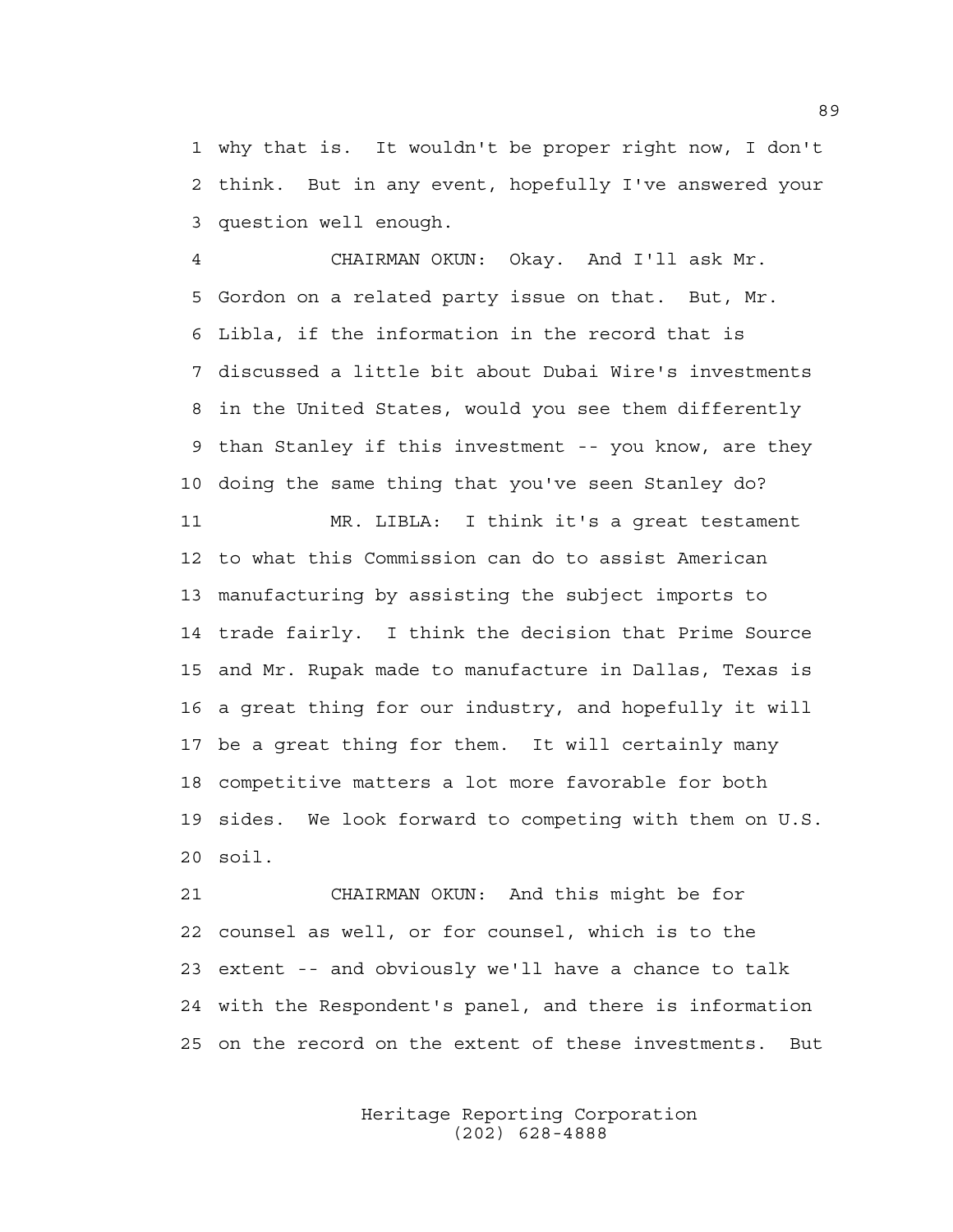1 why that is. It wouldn't be proper right now, I don't 2 think. But in any event, hopefully I've answered your 3 question well enough.

4 CHAIRMAN OKUN: Okay. And I'll ask Mr. 5 Gordon on a related party issue on that. But, Mr. 6 Libla, if the information in the record that is 7 discussed a little bit about Dubai Wire's investments 8 in the United States, would you see them differently 9 than Stanley if this investment -- you know, are they 10 doing the same thing that you've seen Stanley do?

11 MR. LIBLA: I think it's a great testament 12 to what this Commission can do to assist American 13 manufacturing by assisting the subject imports to 14 trade fairly. I think the decision that Prime Source 15 and Mr. Rupak made to manufacture in Dallas, Texas is 16 a great thing for our industry, and hopefully it will 17 be a great thing for them. It will certainly many 18 competitive matters a lot more favorable for both 19 sides. We look forward to competing with them on U.S. 20 soil.

21 CHAIRMAN OKUN: And this might be for 22 counsel as well, or for counsel, which is to the 23 extent -- and obviously we'll have a chance to talk 24 with the Respondent's panel, and there is information 25 on the record on the extent of these investments. But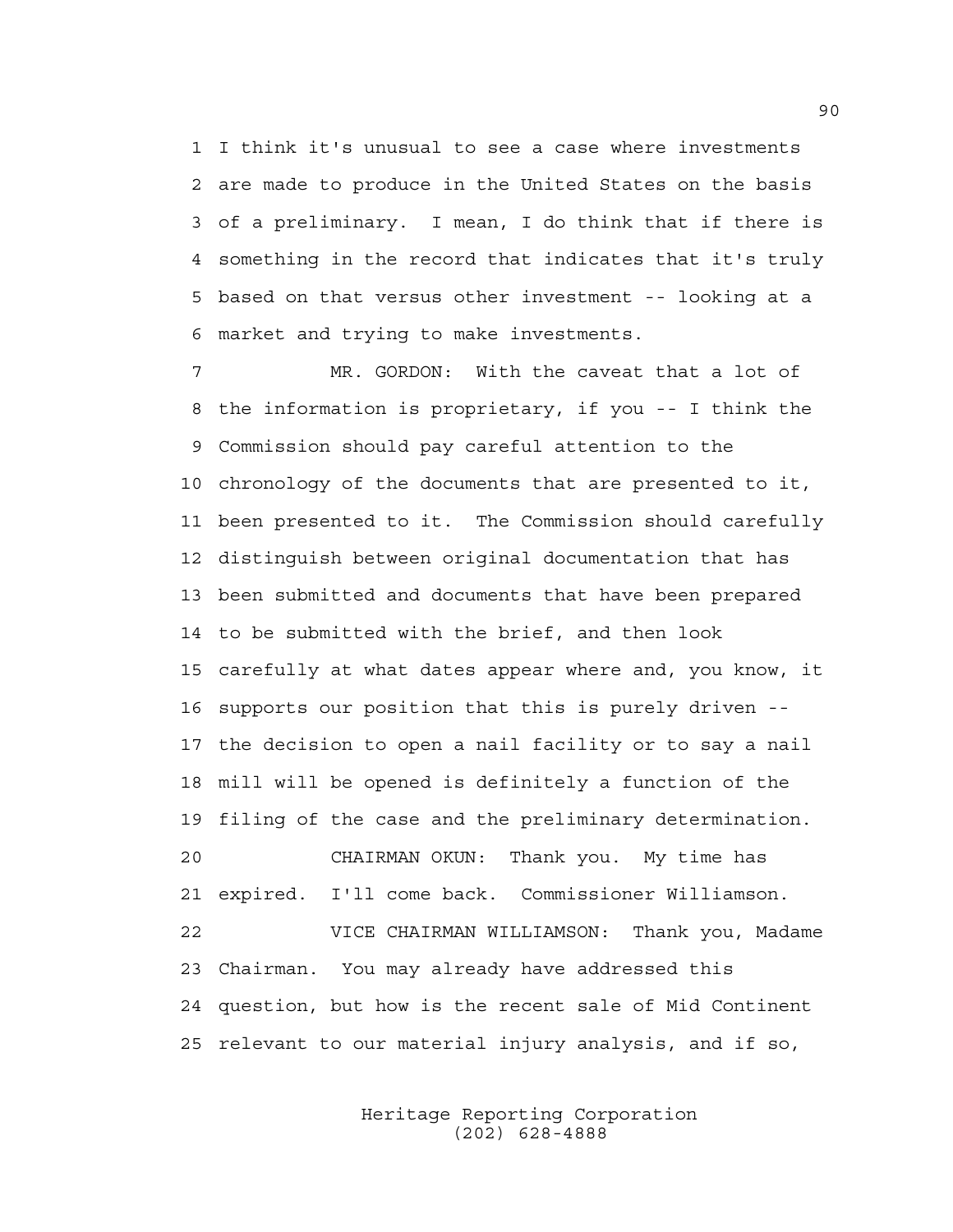1 I think it's unusual to see a case where investments 2 are made to produce in the United States on the basis 3 of a preliminary. I mean, I do think that if there is 4 something in the record that indicates that it's truly 5 based on that versus other investment -- looking at a 6 market and trying to make investments.

7 MR. GORDON: With the caveat that a lot of 8 the information is proprietary, if you -- I think the 9 Commission should pay careful attention to the 10 chronology of the documents that are presented to it, 11 been presented to it. The Commission should carefully 12 distinguish between original documentation that has 13 been submitted and documents that have been prepared 14 to be submitted with the brief, and then look 15 carefully at what dates appear where and, you know, it 16 supports our position that this is purely driven -- 17 the decision to open a nail facility or to say a nail 18 mill will be opened is definitely a function of the 19 filing of the case and the preliminary determination. 20 CHAIRMAN OKUN: Thank you. My time has 21 expired. I'll come back. Commissioner Williamson. 22 VICE CHAIRMAN WILLIAMSON: Thank you, Madame 23 Chairman. You may already have addressed this 24 question, but how is the recent sale of Mid Continent 25 relevant to our material injury analysis, and if so,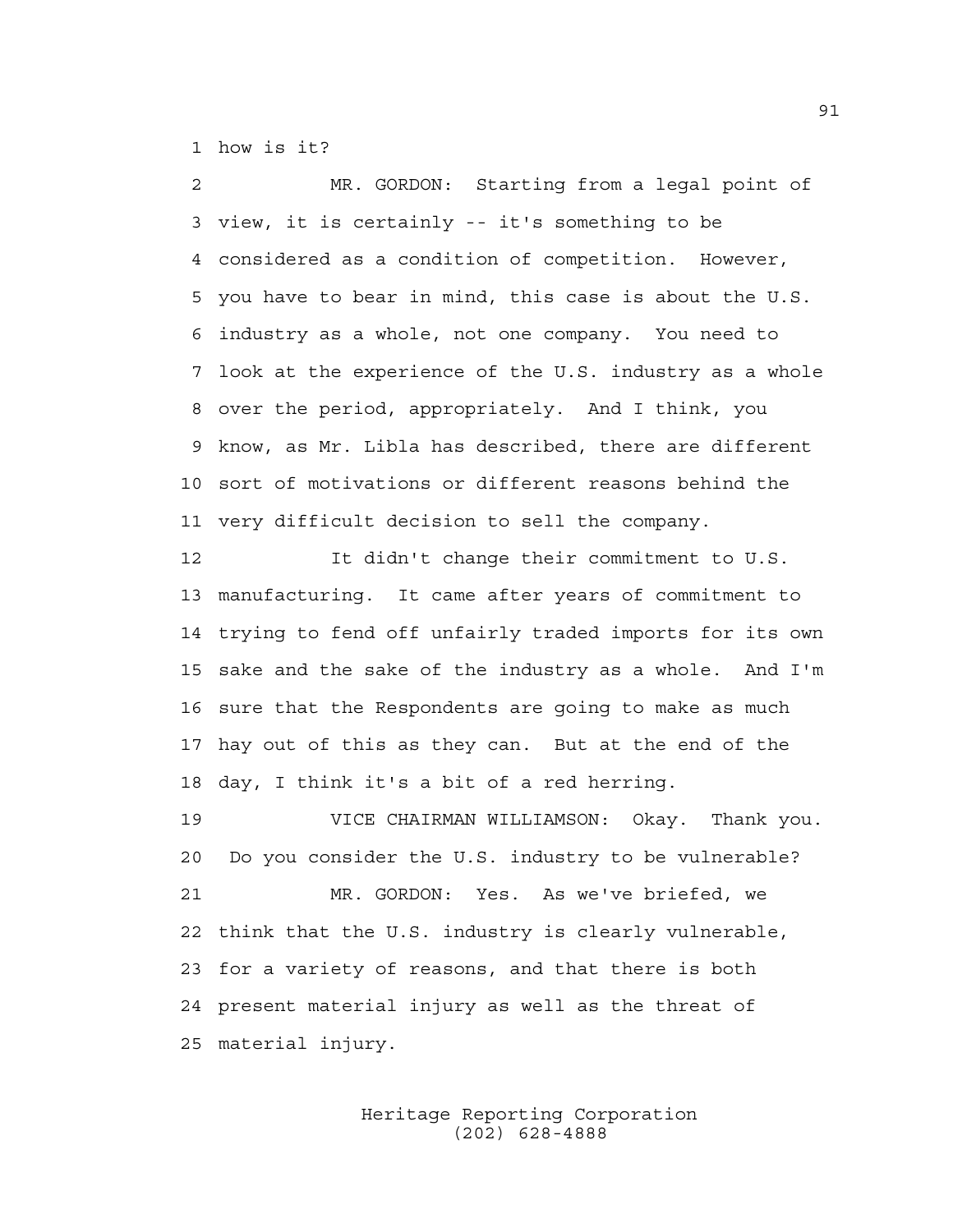1 how is it?

2 MR. GORDON: Starting from a legal point of 3 view, it is certainly -- it's something to be 4 considered as a condition of competition. However, 5 you have to bear in mind, this case is about the U.S. 6 industry as a whole, not one company. You need to 7 look at the experience of the U.S. industry as a whole 8 over the period, appropriately. And I think, you 9 know, as Mr. Libla has described, there are different 10 sort of motivations or different reasons behind the 11 very difficult decision to sell the company.

12 It didn't change their commitment to U.S. 13 manufacturing. It came after years of commitment to 14 trying to fend off unfairly traded imports for its own 15 sake and the sake of the industry as a whole. And I'm 16 sure that the Respondents are going to make as much 17 hay out of this as they can. But at the end of the 18 day, I think it's a bit of a red herring.

19 VICE CHAIRMAN WILLIAMSON: Okay. Thank you. 20 Do you consider the U.S. industry to be vulnerable? 21 MR. GORDON: Yes. As we've briefed, we 22 think that the U.S. industry is clearly vulnerable, 23 for a variety of reasons, and that there is both 24 present material injury as well as the threat of 25 material injury.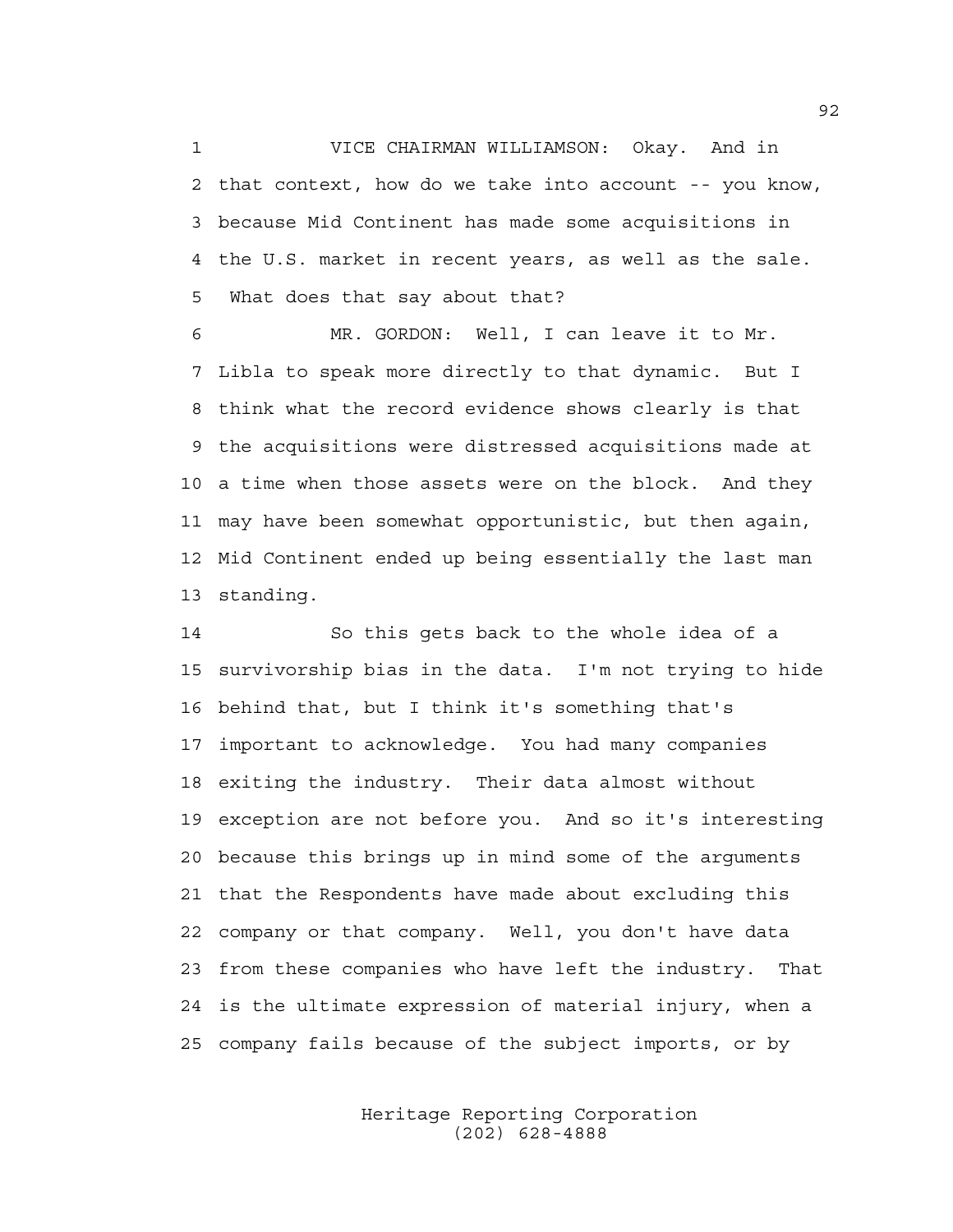1 VICE CHAIRMAN WILLIAMSON: Okay. And in 2 that context, how do we take into account -- you know, 3 because Mid Continent has made some acquisitions in 4 the U.S. market in recent years, as well as the sale. 5 What does that say about that?

6 MR. GORDON: Well, I can leave it to Mr. 7 Libla to speak more directly to that dynamic. But I 8 think what the record evidence shows clearly is that 9 the acquisitions were distressed acquisitions made at 10 a time when those assets were on the block. And they 11 may have been somewhat opportunistic, but then again, 12 Mid Continent ended up being essentially the last man 13 standing.

14 So this gets back to the whole idea of a 15 survivorship bias in the data. I'm not trying to hide 16 behind that, but I think it's something that's 17 important to acknowledge. You had many companies 18 exiting the industry. Their data almost without 19 exception are not before you. And so it's interesting 20 because this brings up in mind some of the arguments 21 that the Respondents have made about excluding this 22 company or that company. Well, you don't have data 23 from these companies who have left the industry. That 24 is the ultimate expression of material injury, when a 25 company fails because of the subject imports, or by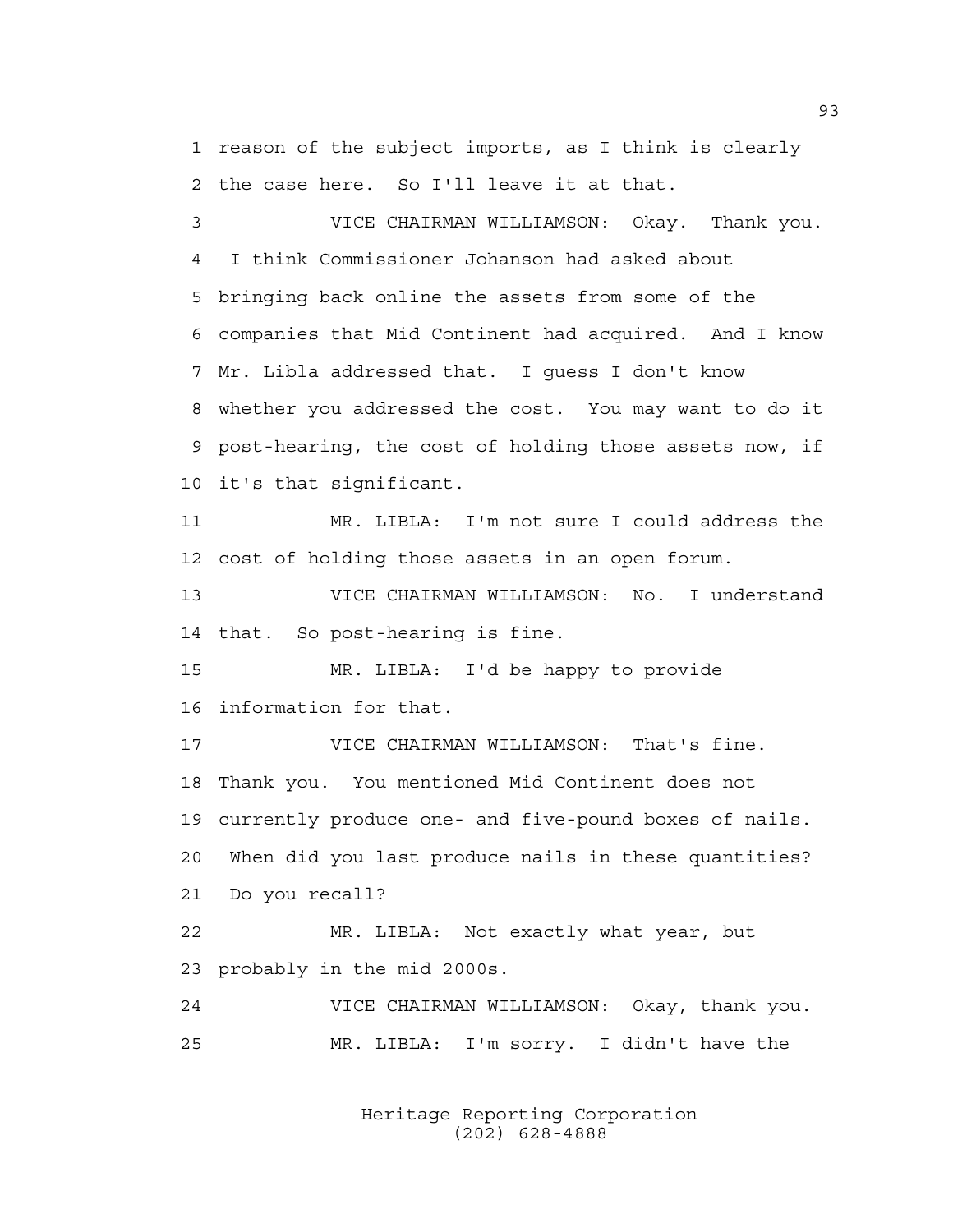1 reason of the subject imports, as I think is clearly 2 the case here. So I'll leave it at that.

3 VICE CHAIRMAN WILLIAMSON: Okay. Thank you. 4 I think Commissioner Johanson had asked about 5 bringing back online the assets from some of the 6 companies that Mid Continent had acquired. And I know 7 Mr. Libla addressed that. I guess I don't know 8 whether you addressed the cost. You may want to do it 9 post-hearing, the cost of holding those assets now, if 10 it's that significant.

11 MR. LIBLA: I'm not sure I could address the 12 cost of holding those assets in an open forum.

13 VICE CHAIRMAN WILLIAMSON: No. I understand 14 that. So post-hearing is fine.

15 MR. LIBLA: I'd be happy to provide 16 information for that.

17 VICE CHAIRMAN WILLIAMSON: That's fine. 18 Thank you. You mentioned Mid Continent does not 19 currently produce one- and five-pound boxes of nails. 20 When did you last produce nails in these quantities? 21 Do you recall?

22 MR. LIBLA: Not exactly what year, but 23 probably in the mid 2000s.

24 VICE CHAIRMAN WILLIAMSON: Okay, thank you. 25 MR. LIBLA: I'm sorry. I didn't have the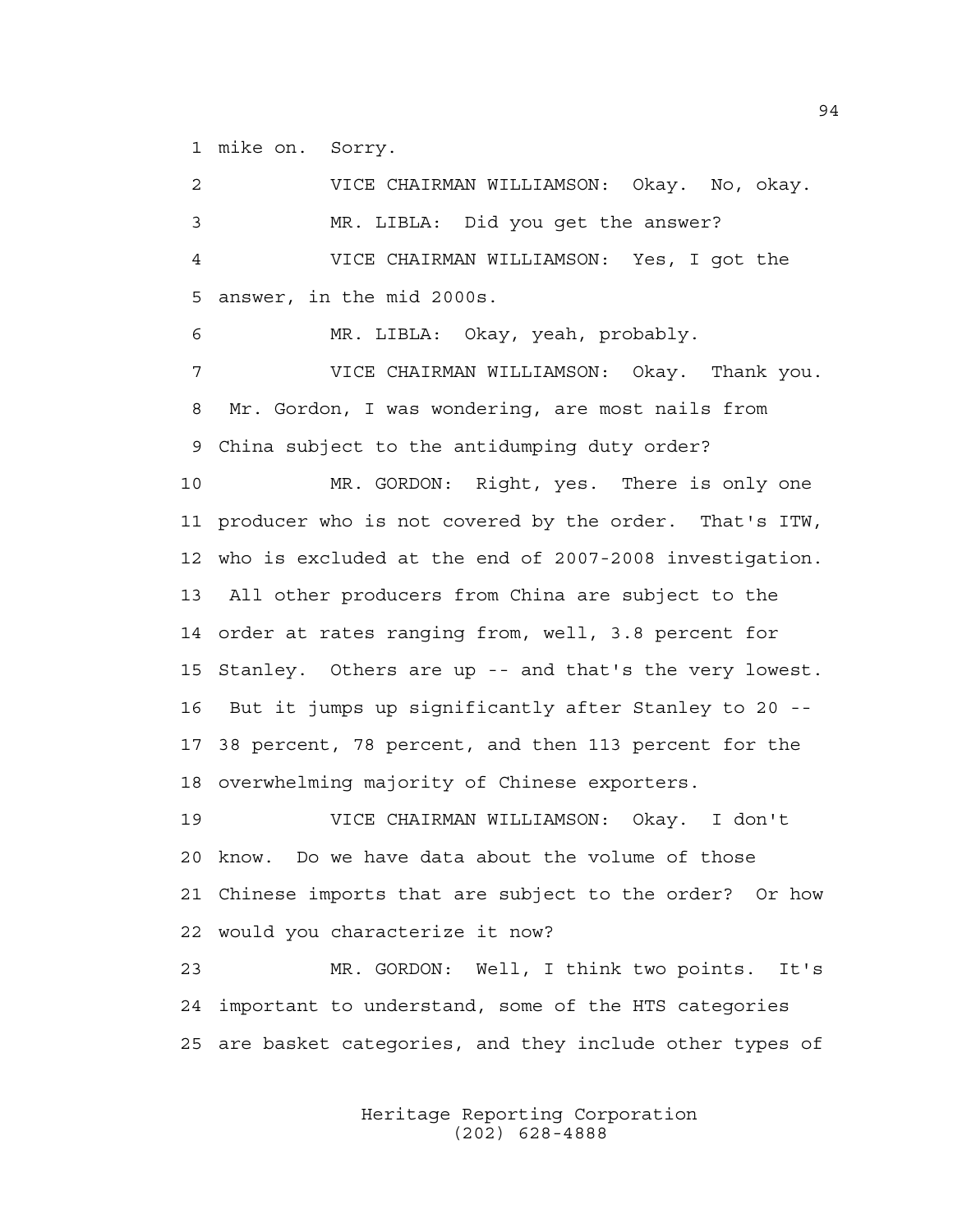1 mike on. Sorry.

2 VICE CHAIRMAN WILLIAMSON: Okay. No, okay. 3 MR. LIBLA: Did you get the answer? 4 VICE CHAIRMAN WILLIAMSON: Yes, I got the 5 answer, in the mid 2000s. 6 MR. LIBLA: Okay, yeah, probably. 7 VICE CHAIRMAN WILLIAMSON: Okay. Thank you. 8 Mr. Gordon, I was wondering, are most nails from 9 China subject to the antidumping duty order? 10 MR. GORDON: Right, yes. There is only one 11 producer who is not covered by the order. That's ITW, 12 who is excluded at the end of 2007-2008 investigation. 13 All other producers from China are subject to the 14 order at rates ranging from, well, 3.8 percent for 15 Stanley. Others are up -- and that's the very lowest. 16 But it jumps up significantly after Stanley to 20 -- 17 38 percent, 78 percent, and then 113 percent for the 18 overwhelming majority of Chinese exporters.

19 VICE CHAIRMAN WILLIAMSON: Okay. I don't 20 know. Do we have data about the volume of those 21 Chinese imports that are subject to the order? Or how 22 would you characterize it now?

23 MR. GORDON: Well, I think two points. It's 24 important to understand, some of the HTS categories 25 are basket categories, and they include other types of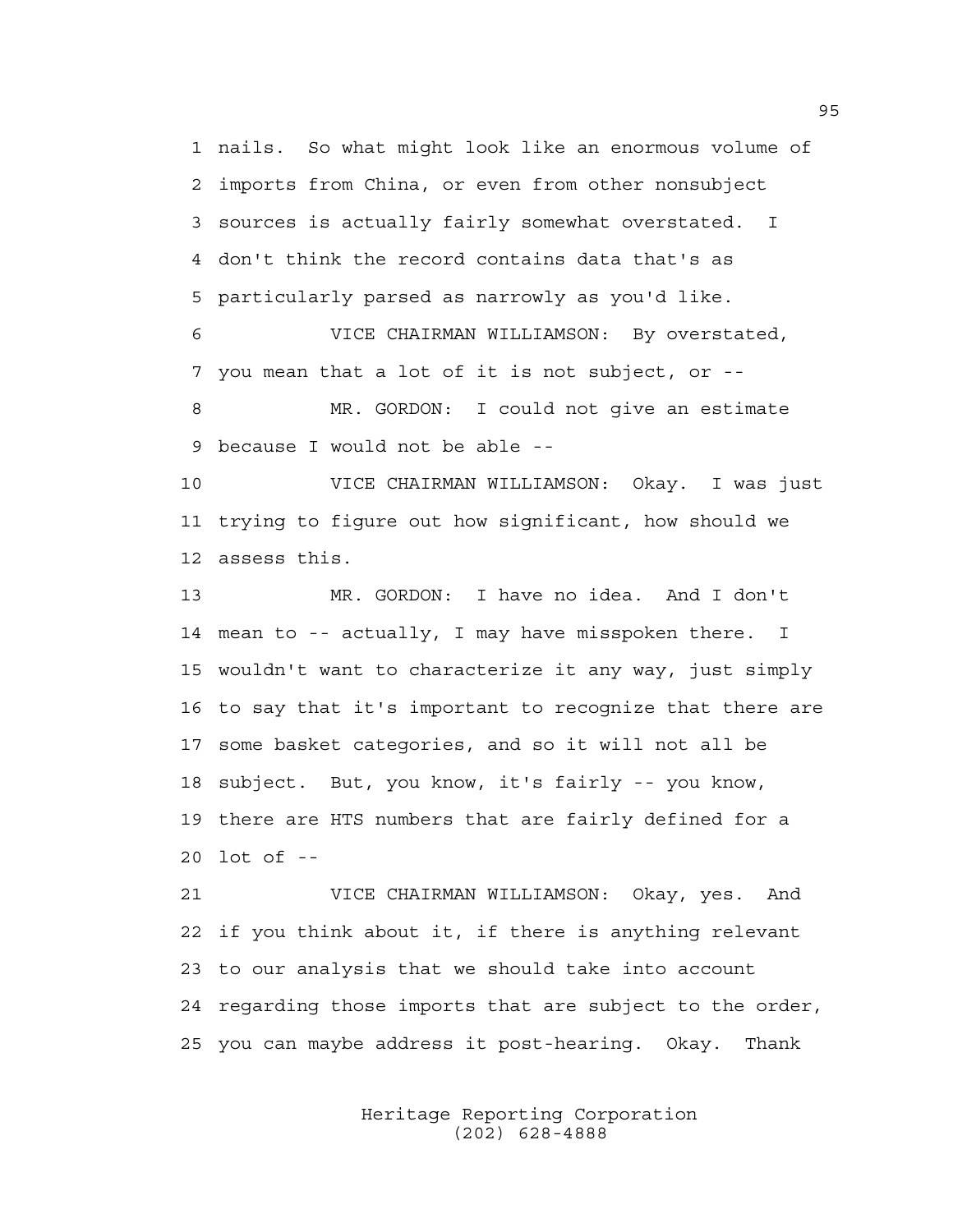1 nails. So what might look like an enormous volume of 2 imports from China, or even from other nonsubject 3 sources is actually fairly somewhat overstated. I 4 don't think the record contains data that's as 5 particularly parsed as narrowly as you'd like.

6 VICE CHAIRMAN WILLIAMSON: By overstated, 7 you mean that a lot of it is not subject, or --

8 MR. GORDON: I could not give an estimate 9 because I would not be able --

10 VICE CHAIRMAN WILLIAMSON: Okay. I was just 11 trying to figure out how significant, how should we 12 assess this.

13 MR. GORDON: I have no idea. And I don't 14 mean to -- actually, I may have misspoken there. I 15 wouldn't want to characterize it any way, just simply 16 to say that it's important to recognize that there are 17 some basket categories, and so it will not all be 18 subject. But, you know, it's fairly -- you know, 19 there are HTS numbers that are fairly defined for a 20 lot of --

21 VICE CHAIRMAN WILLIAMSON: Okay, yes. And 22 if you think about it, if there is anything relevant 23 to our analysis that we should take into account 24 regarding those imports that are subject to the order, 25 you can maybe address it post-hearing. Okay. Thank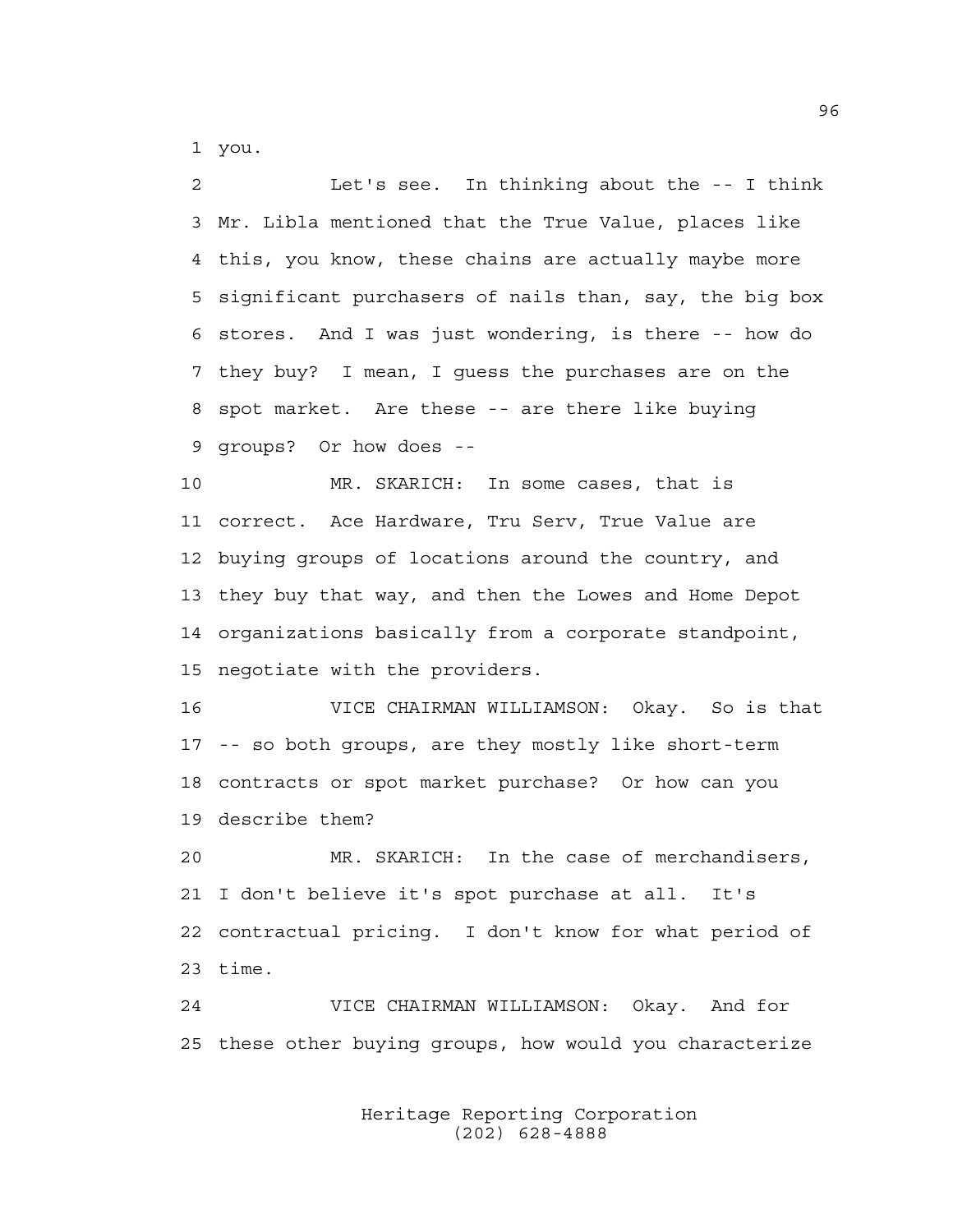1 you.

2 Let's see. In thinking about the -- I think 3 Mr. Libla mentioned that the True Value, places like 4 this, you know, these chains are actually maybe more 5 significant purchasers of nails than, say, the big box 6 stores. And I was just wondering, is there -- how do 7 they buy? I mean, I guess the purchases are on the 8 spot market. Are these -- are there like buying 9 groups? Or how does --

10 MR. SKARICH: In some cases, that is 11 correct. Ace Hardware, Tru Serv, True Value are 12 buying groups of locations around the country, and 13 they buy that way, and then the Lowes and Home Depot 14 organizations basically from a corporate standpoint, 15 negotiate with the providers.

16 VICE CHAIRMAN WILLIAMSON: Okay. So is that 17 -- so both groups, are they mostly like short-term 18 contracts or spot market purchase? Or how can you 19 describe them?

20 MR. SKARICH: In the case of merchandisers, 21 I don't believe it's spot purchase at all. It's 22 contractual pricing. I don't know for what period of 23 time.

24 VICE CHAIRMAN WILLIAMSON: Okay. And for 25 these other buying groups, how would you characterize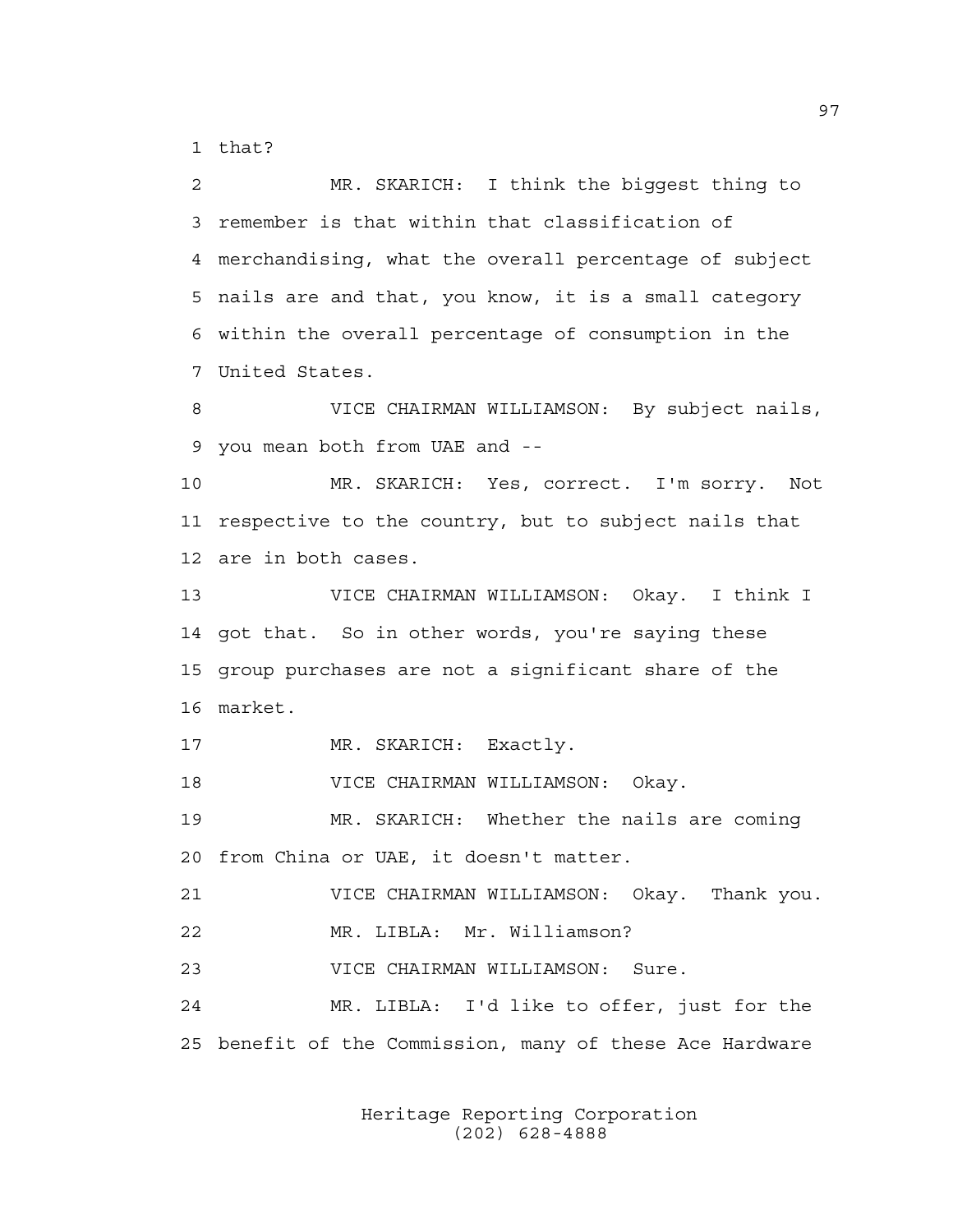1 that?

2 MR. SKARICH: I think the biggest thing to 3 remember is that within that classification of 4 merchandising, what the overall percentage of subject 5 nails are and that, you know, it is a small category 6 within the overall percentage of consumption in the 7 United States.

8 VICE CHAIRMAN WILLIAMSON: By subject nails, 9 you mean both from UAE and --

10 MR. SKARICH: Yes, correct. I'm sorry. Not 11 respective to the country, but to subject nails that 12 are in both cases.

13 VICE CHAIRMAN WILLIAMSON: Okay. I think I 14 got that. So in other words, you're saying these 15 group purchases are not a significant share of the 16 market.

17 MR. SKARICH: Exactly.

18 VICE CHAIRMAN WILLIAMSON: Okay.

19 MR. SKARICH: Whether the nails are coming 20 from China or UAE, it doesn't matter.

21 VICE CHAIRMAN WILLIAMSON: Okay. Thank you.

22 MR. LIBLA: Mr. Williamson?

23 VICE CHAIRMAN WILLIAMSON: Sure.

24 MR. LIBLA: I'd like to offer, just for the 25 benefit of the Commission, many of these Ace Hardware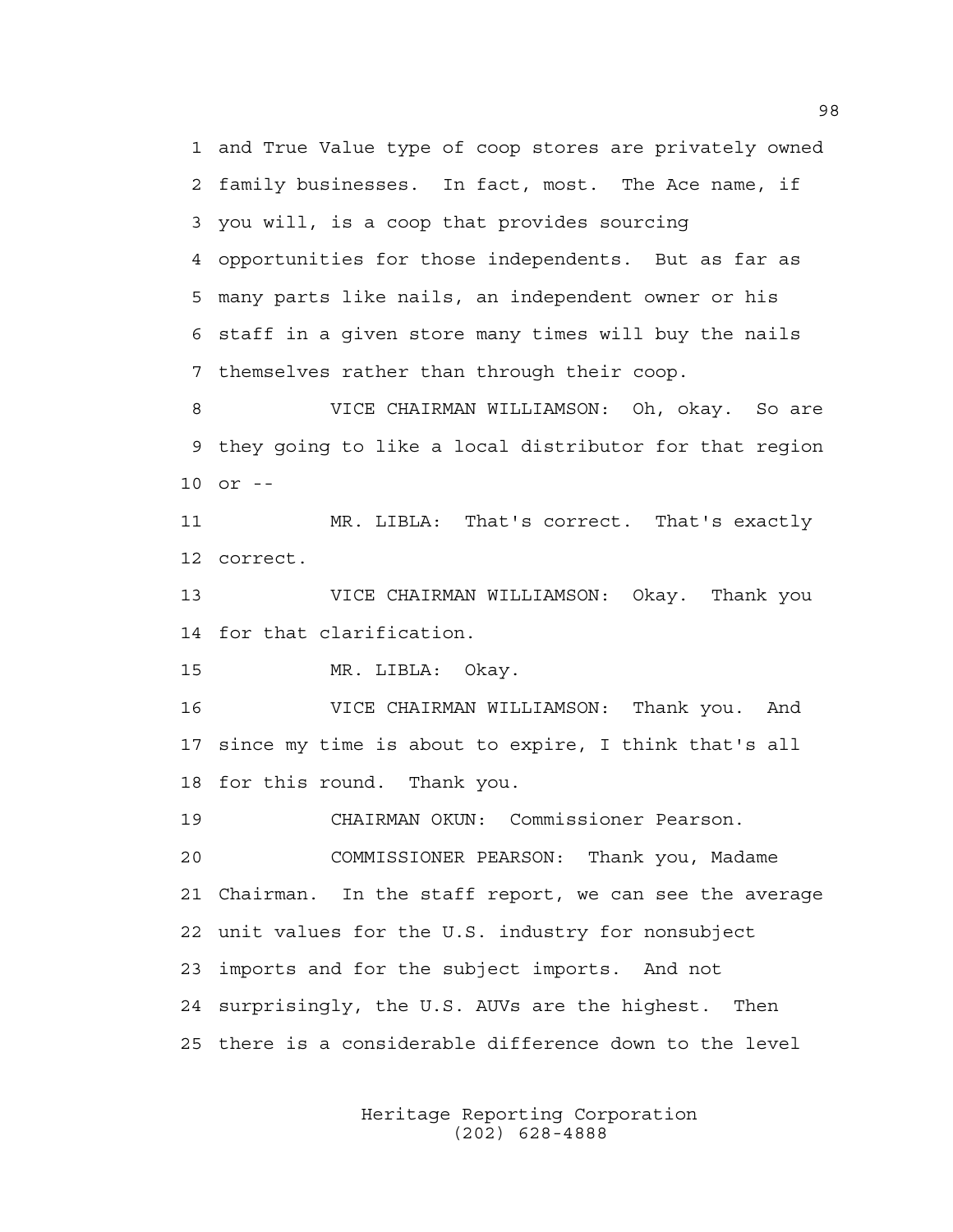1 and True Value type of coop stores are privately owned 2 family businesses. In fact, most. The Ace name, if 3 you will, is a coop that provides sourcing 4 opportunities for those independents. But as far as 5 many parts like nails, an independent owner or his 6 staff in a given store many times will buy the nails 7 themselves rather than through their coop.

8 VICE CHAIRMAN WILLIAMSON: Oh, okay. So are 9 they going to like a local distributor for that region 10 or --

11 MR. LIBLA: That's correct. That's exactly 12 correct.

13 VICE CHAIRMAN WILLIAMSON: Okay. Thank you 14 for that clarification.

15 MR. LIBLA: Okay.

16 VICE CHAIRMAN WILLIAMSON: Thank you. And 17 since my time is about to expire, I think that's all 18 for this round. Thank you.

19 CHAIRMAN OKUN: Commissioner Pearson.

20 COMMISSIONER PEARSON: Thank you, Madame 21 Chairman. In the staff report, we can see the average 22 unit values for the U.S. industry for nonsubject 23 imports and for the subject imports. And not 24 surprisingly, the U.S. AUVs are the highest. Then 25 there is a considerable difference down to the level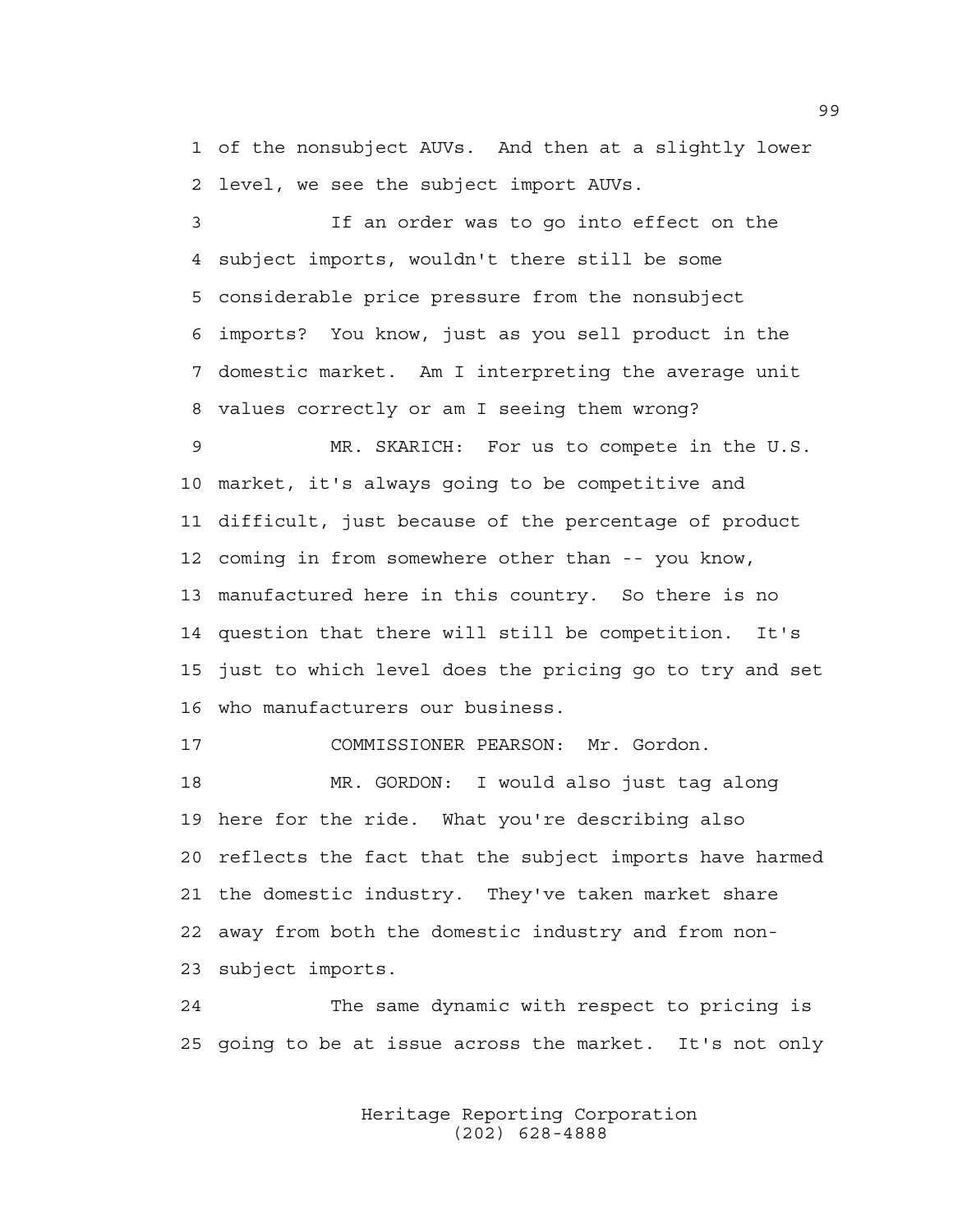1 of the nonsubject AUVs. And then at a slightly lower 2 level, we see the subject import AUVs.

3 If an order was to go into effect on the 4 subject imports, wouldn't there still be some 5 considerable price pressure from the nonsubject 6 imports? You know, just as you sell product in the 7 domestic market. Am I interpreting the average unit 8 values correctly or am I seeing them wrong?

9 MR. SKARICH: For us to compete in the U.S. 10 market, it's always going to be competitive and 11 difficult, just because of the percentage of product 12 coming in from somewhere other than -- you know, 13 manufactured here in this country. So there is no 14 question that there will still be competition. It's 15 just to which level does the pricing go to try and set 16 who manufacturers our business.

17 COMMISSIONER PEARSON: Mr. Gordon.

18 MR. GORDON: I would also just tag along 19 here for the ride. What you're describing also 20 reflects the fact that the subject imports have harmed 21 the domestic industry. They've taken market share 22 away from both the domestic industry and from non-23 subject imports.

24 The same dynamic with respect to pricing is 25 going to be at issue across the market. It's not only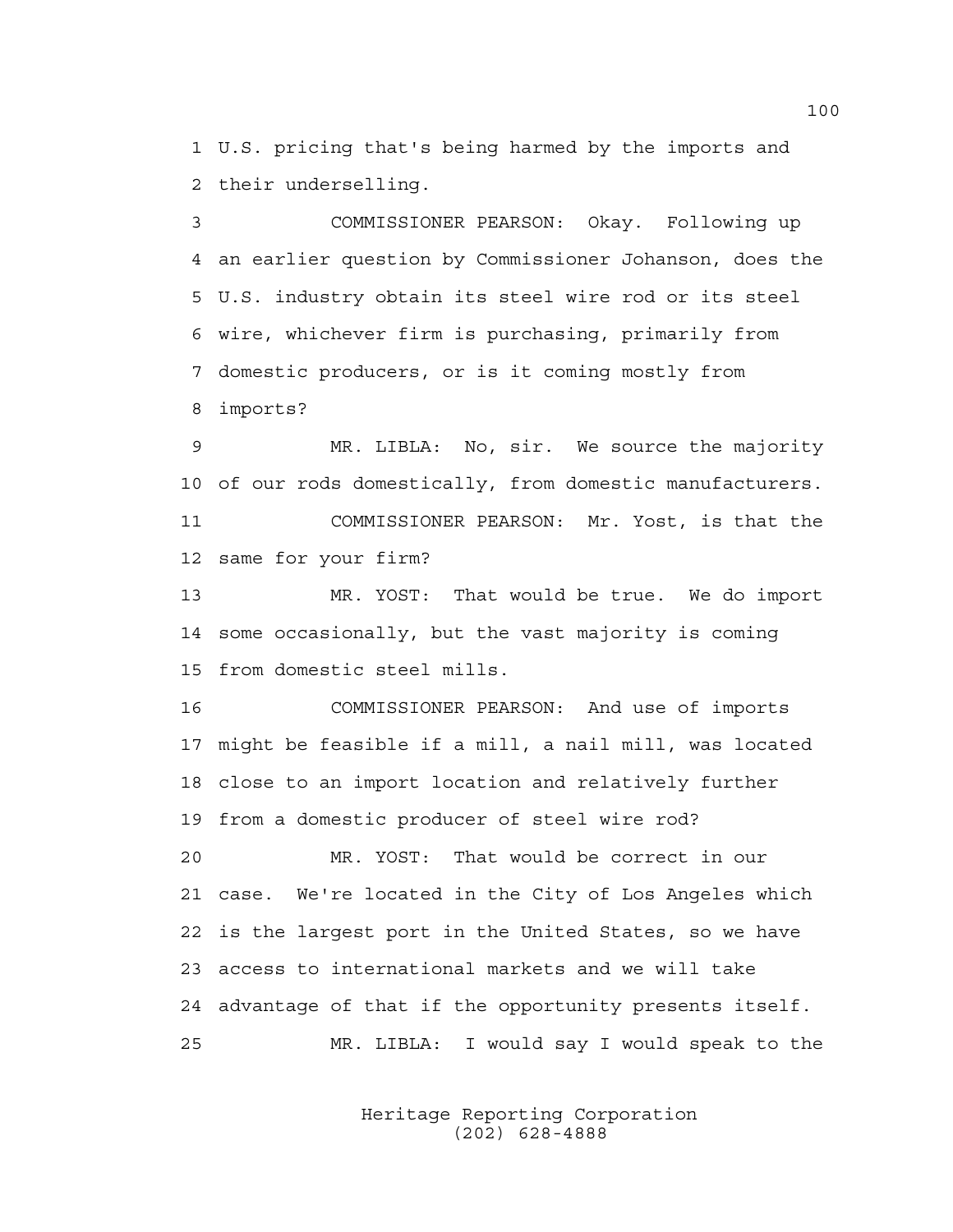1 U.S. pricing that's being harmed by the imports and 2 their underselling.

3 COMMISSIONER PEARSON: Okay. Following up 4 an earlier question by Commissioner Johanson, does the 5 U.S. industry obtain its steel wire rod or its steel 6 wire, whichever firm is purchasing, primarily from 7 domestic producers, or is it coming mostly from 8 imports?

9 MR. LIBLA: No, sir. We source the majority 10 of our rods domestically, from domestic manufacturers. 11 COMMISSIONER PEARSON: Mr. Yost, is that the 12 same for your firm?

13 MR. YOST: That would be true. We do import 14 some occasionally, but the vast majority is coming 15 from domestic steel mills.

16 COMMISSIONER PEARSON: And use of imports 17 might be feasible if a mill, a nail mill, was located 18 close to an import location and relatively further 19 from a domestic producer of steel wire rod?

20 MR. YOST: That would be correct in our 21 case. We're located in the City of Los Angeles which 22 is the largest port in the United States, so we have 23 access to international markets and we will take 24 advantage of that if the opportunity presents itself. 25 MR. LIBLA: I would say I would speak to the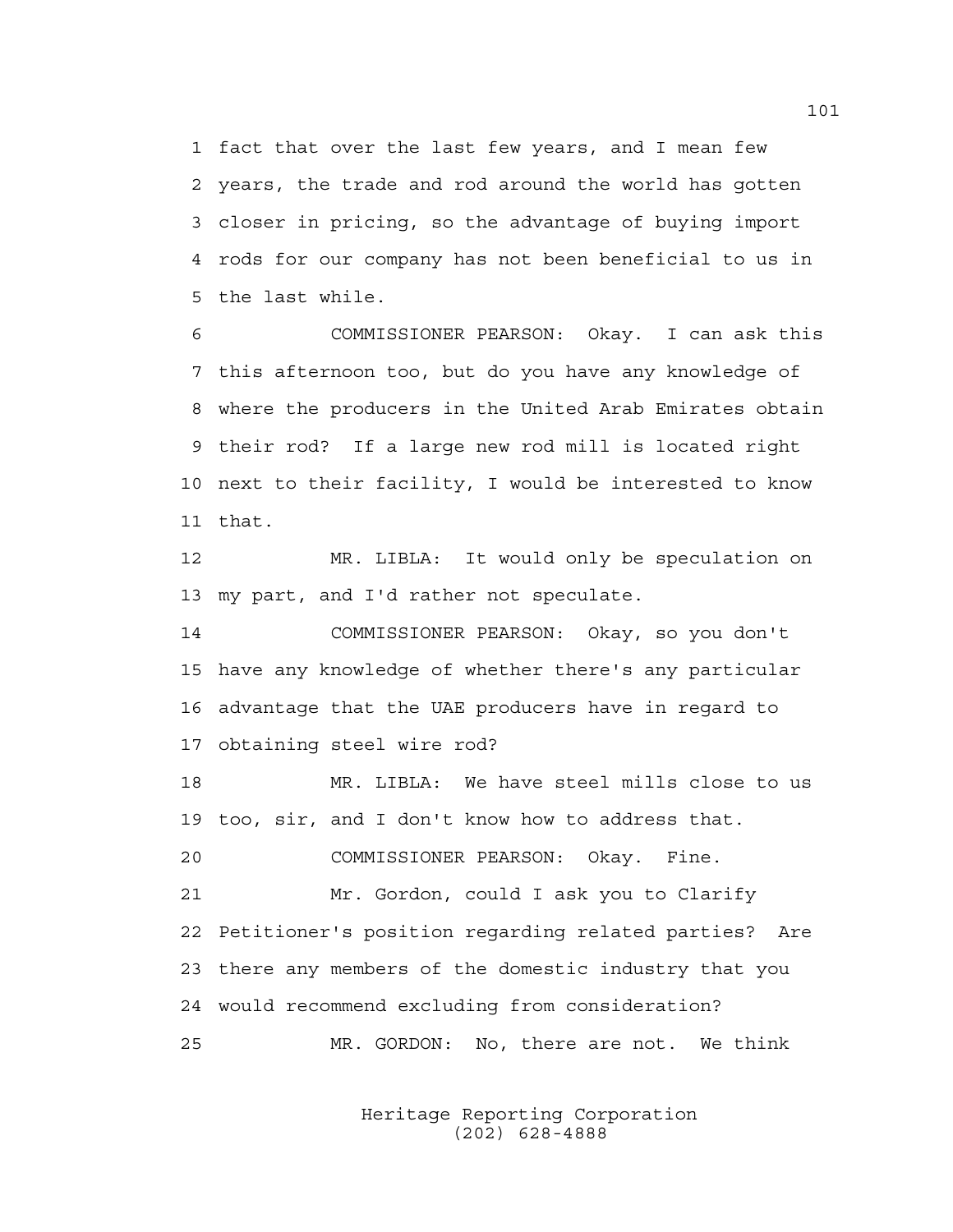1 fact that over the last few years, and I mean few 2 years, the trade and rod around the world has gotten 3 closer in pricing, so the advantage of buying import 4 rods for our company has not been beneficial to us in 5 the last while.

6 COMMISSIONER PEARSON: Okay. I can ask this 7 this afternoon too, but do you have any knowledge of 8 where the producers in the United Arab Emirates obtain 9 their rod? If a large new rod mill is located right 10 next to their facility, I would be interested to know 11 that.

12 MR. LIBLA: It would only be speculation on 13 my part, and I'd rather not speculate.

14 COMMISSIONER PEARSON: Okay, so you don't 15 have any knowledge of whether there's any particular 16 advantage that the UAE producers have in regard to 17 obtaining steel wire rod?

18 MR. LIBLA: We have steel mills close to us 19 too, sir, and I don't know how to address that. 20 COMMISSIONER PEARSON: Okay. Fine. 21 Mr. Gordon, could I ask you to Clarify

22 Petitioner's position regarding related parties? Are 23 there any members of the domestic industry that you 24 would recommend excluding from consideration? 25 MR. GORDON: No, there are not. We think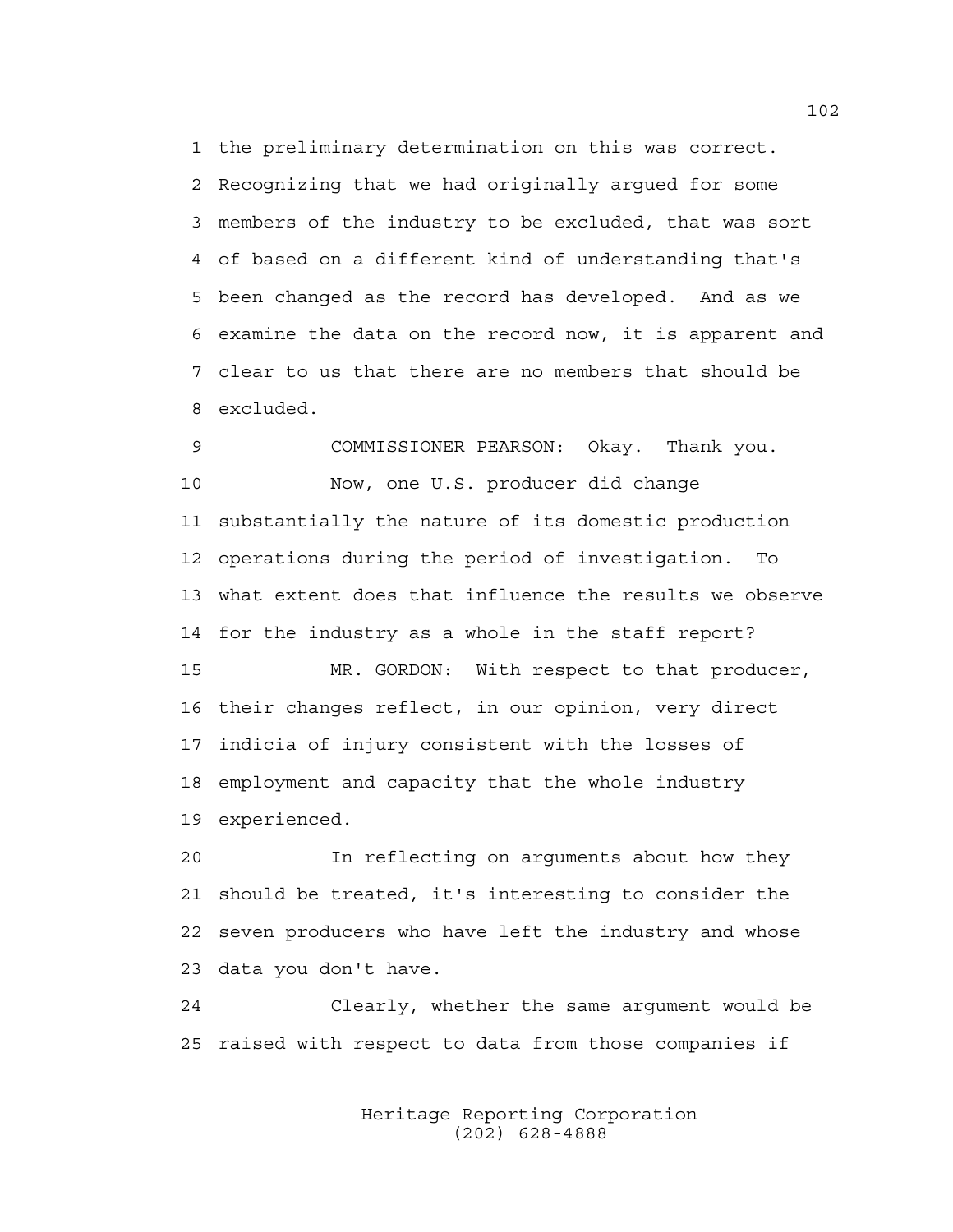1 the preliminary determination on this was correct. 2 Recognizing that we had originally argued for some 3 members of the industry to be excluded, that was sort 4 of based on a different kind of understanding that's 5 been changed as the record has developed. And as we 6 examine the data on the record now, it is apparent and 7 clear to us that there are no members that should be 8 excluded.

9 COMMISSIONER PEARSON: Okay. Thank you. 10 Now, one U.S. producer did change 11 substantially the nature of its domestic production 12 operations during the period of investigation. To 13 what extent does that influence the results we observe 14 for the industry as a whole in the staff report? 15 MR. GORDON: With respect to that producer, 16 their changes reflect, in our opinion, very direct 17 indicia of injury consistent with the losses of

18 employment and capacity that the whole industry

19 experienced.

20 In reflecting on arguments about how they 21 should be treated, it's interesting to consider the 22 seven producers who have left the industry and whose 23 data you don't have.

24 Clearly, whether the same argument would be 25 raised with respect to data from those companies if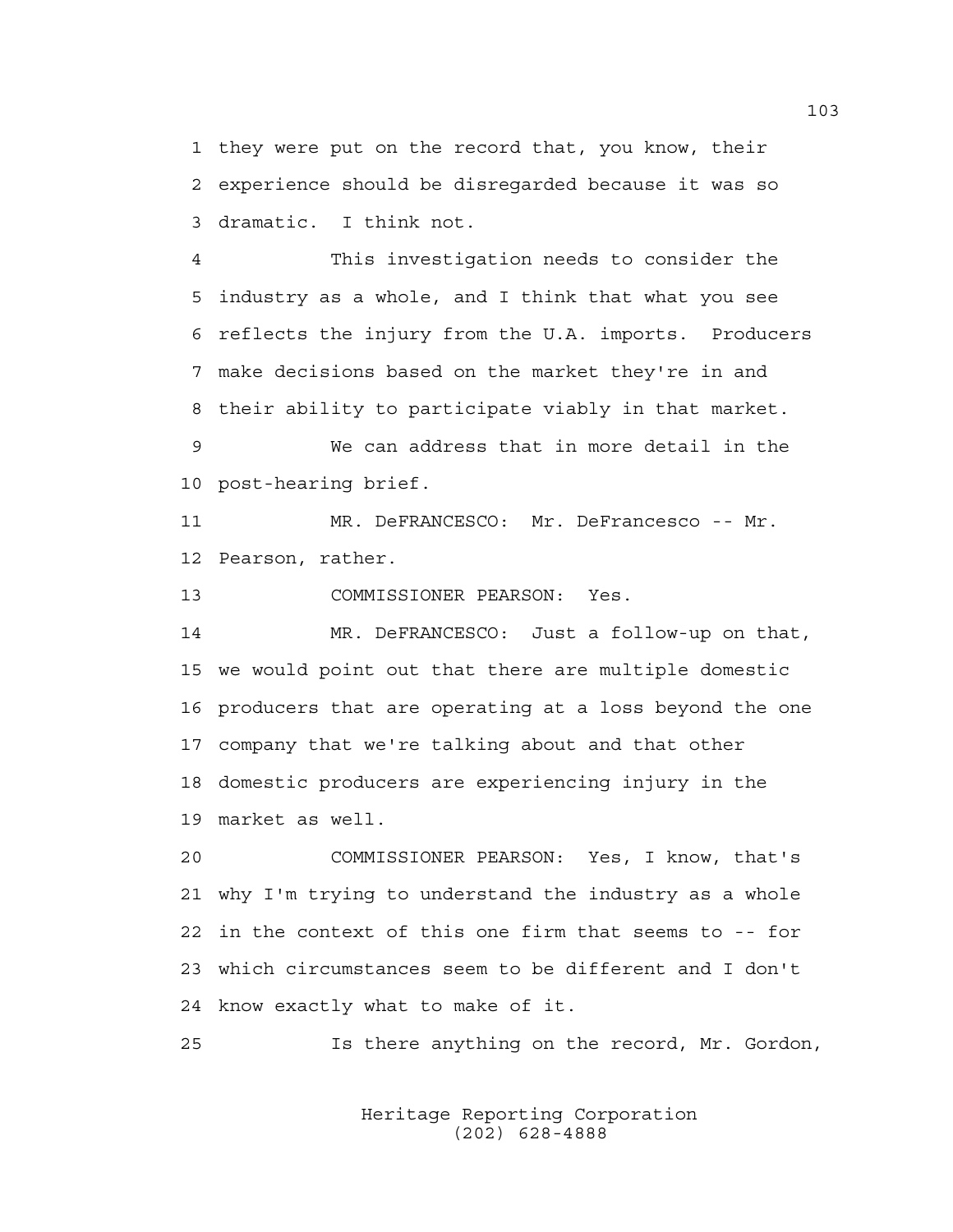1 they were put on the record that, you know, their 2 experience should be disregarded because it was so 3 dramatic. I think not.

4 This investigation needs to consider the 5 industry as a whole, and I think that what you see 6 reflects the injury from the U.A. imports. Producers 7 make decisions based on the market they're in and 8 their ability to participate viably in that market.

9 We can address that in more detail in the 10 post-hearing brief.

11 MR. DeFRANCESCO: Mr. DeFrancesco -- Mr. 12 Pearson, rather.

13 COMMISSIONER PEARSON: Yes.

14 MR. DeFRANCESCO: Just a follow-up on that, 15 we would point out that there are multiple domestic 16 producers that are operating at a loss beyond the one 17 company that we're talking about and that other 18 domestic producers are experiencing injury in the 19 market as well.

20 COMMISSIONER PEARSON: Yes, I know, that's 21 why I'm trying to understand the industry as a whole 22 in the context of this one firm that seems to -- for 23 which circumstances seem to be different and I don't 24 know exactly what to make of it.

25 Is there anything on the record, Mr. Gordon,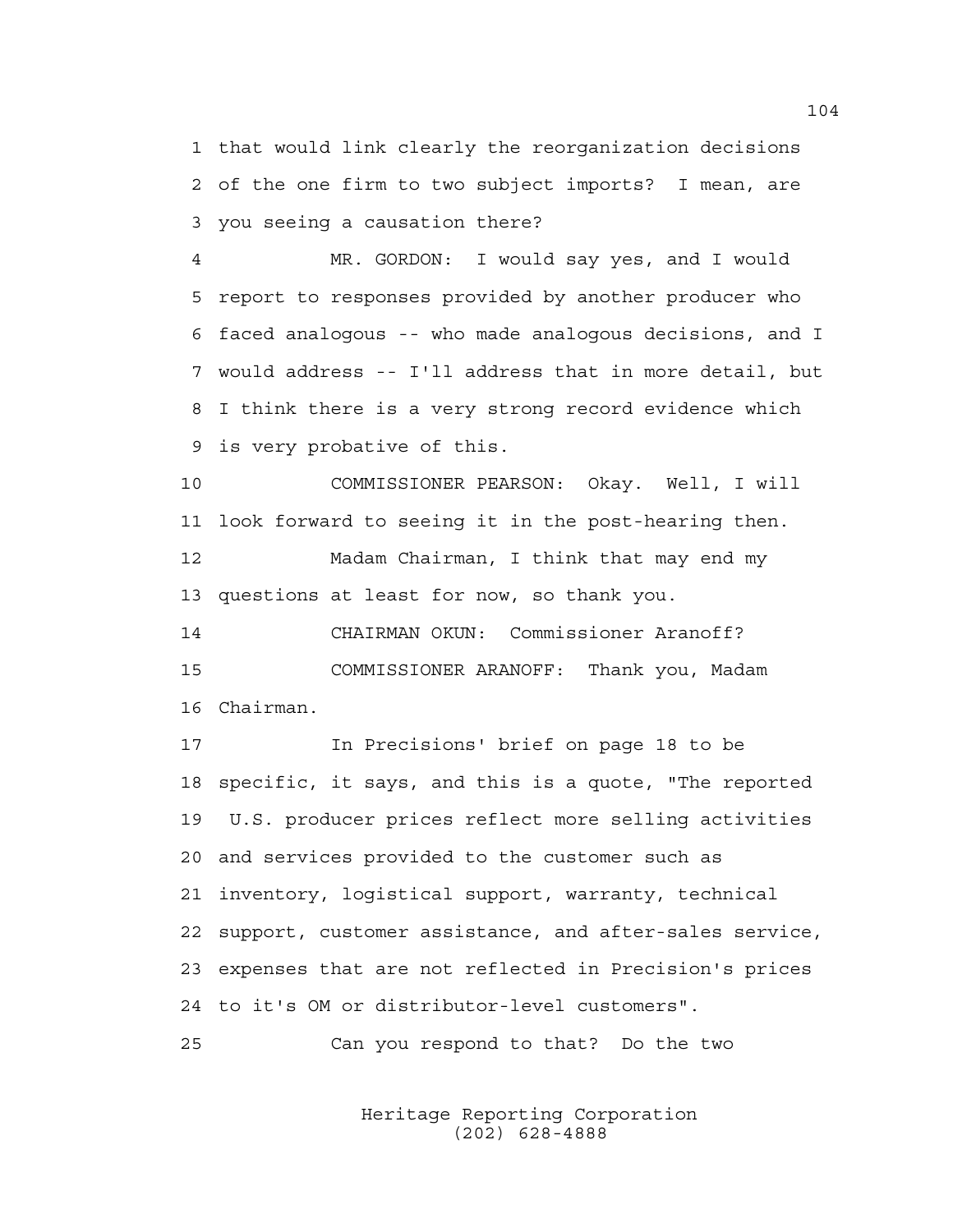1 that would link clearly the reorganization decisions 2 of the one firm to two subject imports? I mean, are 3 you seeing a causation there?

4 MR. GORDON: I would say yes, and I would 5 report to responses provided by another producer who 6 faced analogous -- who made analogous decisions, and I 7 would address -- I'll address that in more detail, but 8 I think there is a very strong record evidence which 9 is very probative of this.

10 COMMISSIONER PEARSON: Okay. Well, I will 11 look forward to seeing it in the post-hearing then. 12 Madam Chairman, I think that may end my 13 questions at least for now, so thank you.

14 CHAIRMAN OKUN: Commissioner Aranoff? 15 COMMISSIONER ARANOFF: Thank you, Madam 16 Chairman.

17 In Precisions' brief on page 18 to be 18 specific, it says, and this is a quote, "The reported 19 U.S. producer prices reflect more selling activities 20 and services provided to the customer such as 21 inventory, logistical support, warranty, technical 22 support, customer assistance, and after-sales service, 23 expenses that are not reflected in Precision's prices 24 to it's OM or distributor-level customers".

25 Can you respond to that? Do the two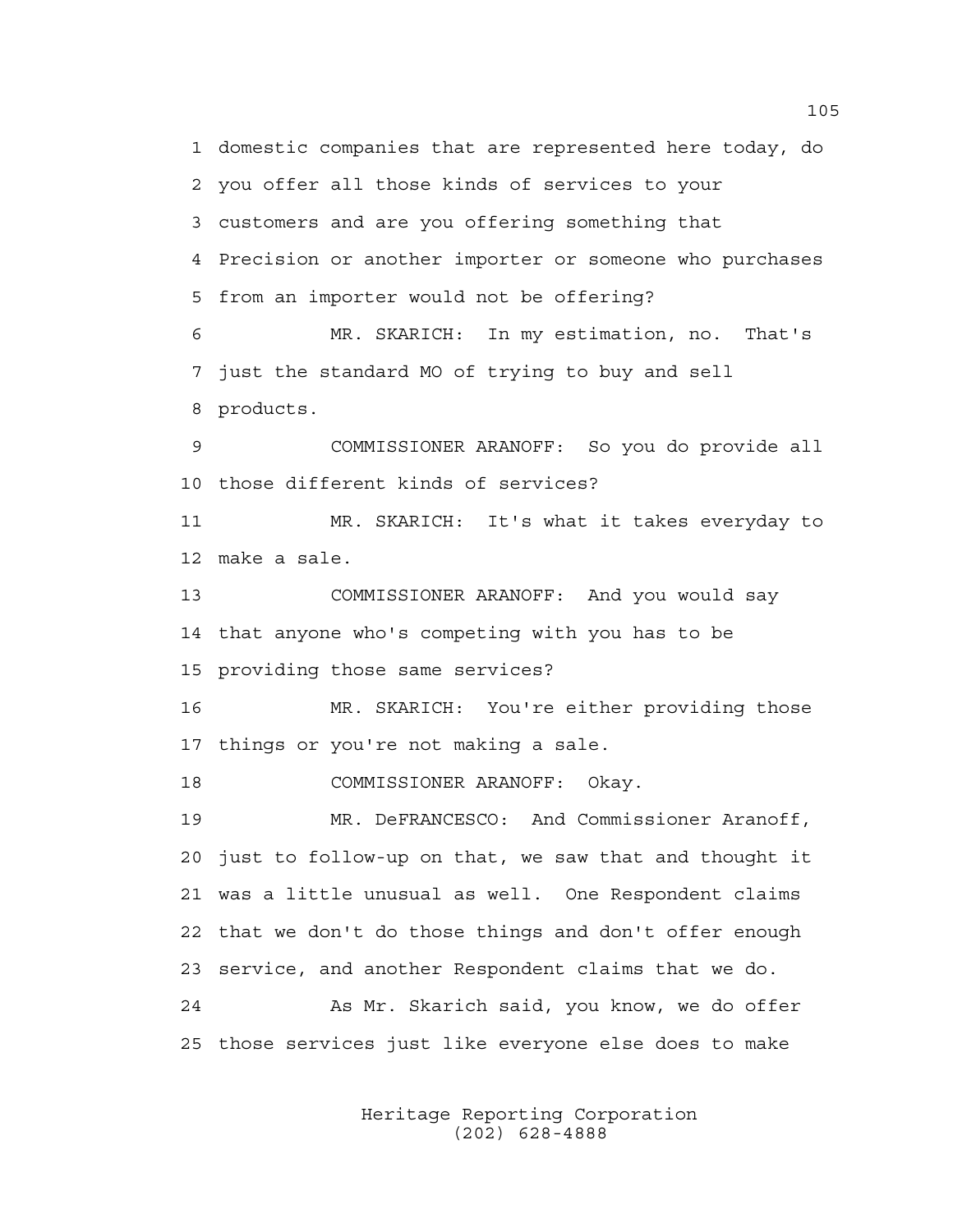1 domestic companies that are represented here today, do 2 you offer all those kinds of services to your 3 customers and are you offering something that 4 Precision or another importer or someone who purchases 5 from an importer would not be offering? 6 MR. SKARICH: In my estimation, no. That's 7 just the standard MO of trying to buy and sell 8 products. 9 COMMISSIONER ARANOFF: So you do provide all 10 those different kinds of services? 11 MR. SKARICH: It's what it takes everyday to 12 make a sale. 13 COMMISSIONER ARANOFF: And you would say 14 that anyone who's competing with you has to be 15 providing those same services? 16 MR. SKARICH: You're either providing those 17 things or you're not making a sale. 18 COMMISSIONER ARANOFF: Okay. 19 MR. DeFRANCESCO: And Commissioner Aranoff, 20 just to follow-up on that, we saw that and thought it 21 was a little unusual as well. One Respondent claims 22 that we don't do those things and don't offer enough 23 service, and another Respondent claims that we do. 24 As Mr. Skarich said, you know, we do offer 25 those services just like everyone else does to make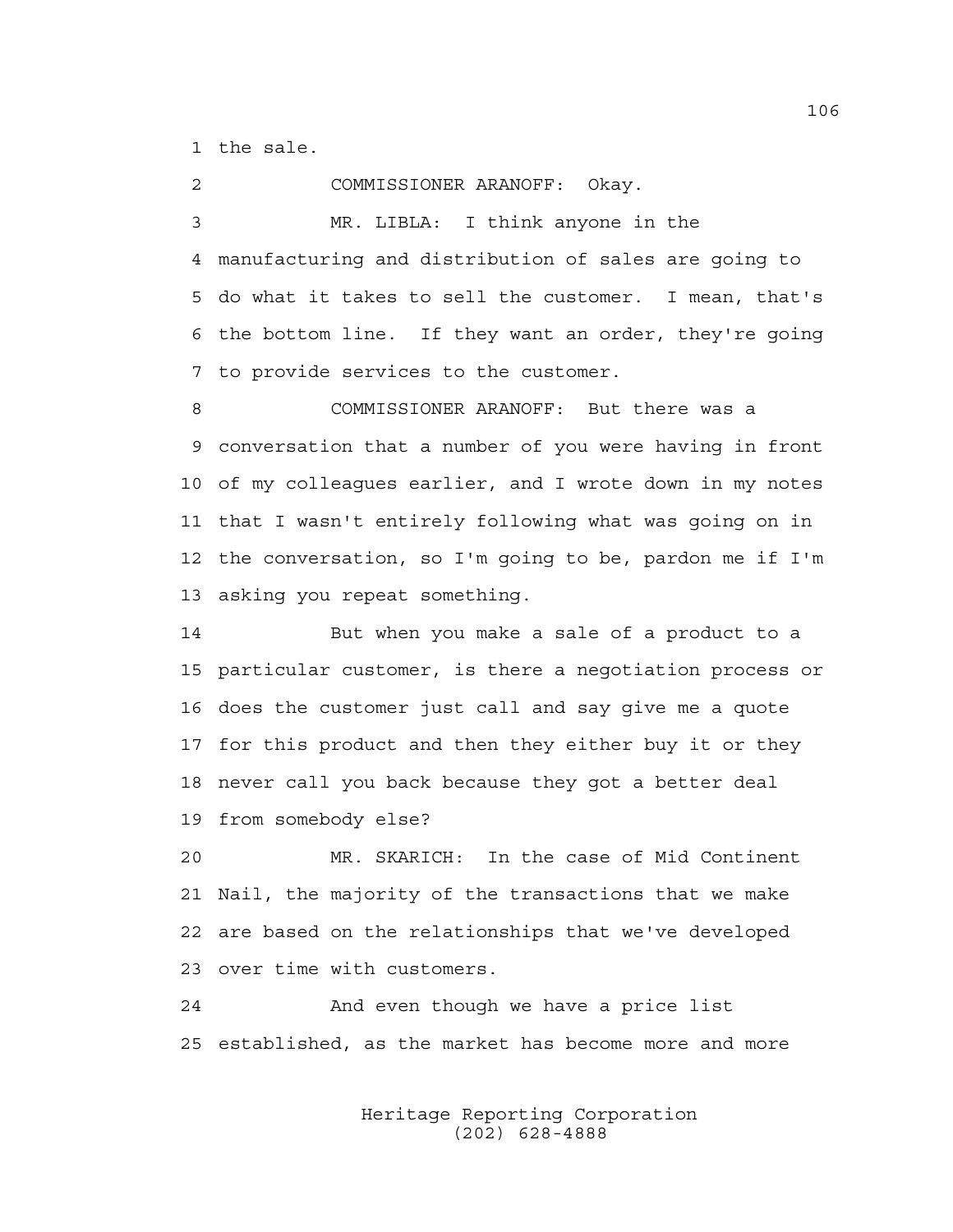1 the sale.

2 COMMISSIONER ARANOFF: Okay. 3 MR. LIBLA: I think anyone in the 4 manufacturing and distribution of sales are going to 5 do what it takes to sell the customer. I mean, that's 6 the bottom line. If they want an order, they're going 7 to provide services to the customer.

8 COMMISSIONER ARANOFF: But there was a 9 conversation that a number of you were having in front 10 of my colleagues earlier, and I wrote down in my notes 11 that I wasn't entirely following what was going on in 12 the conversation, so I'm going to be, pardon me if I'm 13 asking you repeat something.

14 But when you make a sale of a product to a 15 particular customer, is there a negotiation process or 16 does the customer just call and say give me a quote 17 for this product and then they either buy it or they 18 never call you back because they got a better deal 19 from somebody else?

20 MR. SKARICH: In the case of Mid Continent 21 Nail, the majority of the transactions that we make 22 are based on the relationships that we've developed 23 over time with customers.

24 And even though we have a price list 25 established, as the market has become more and more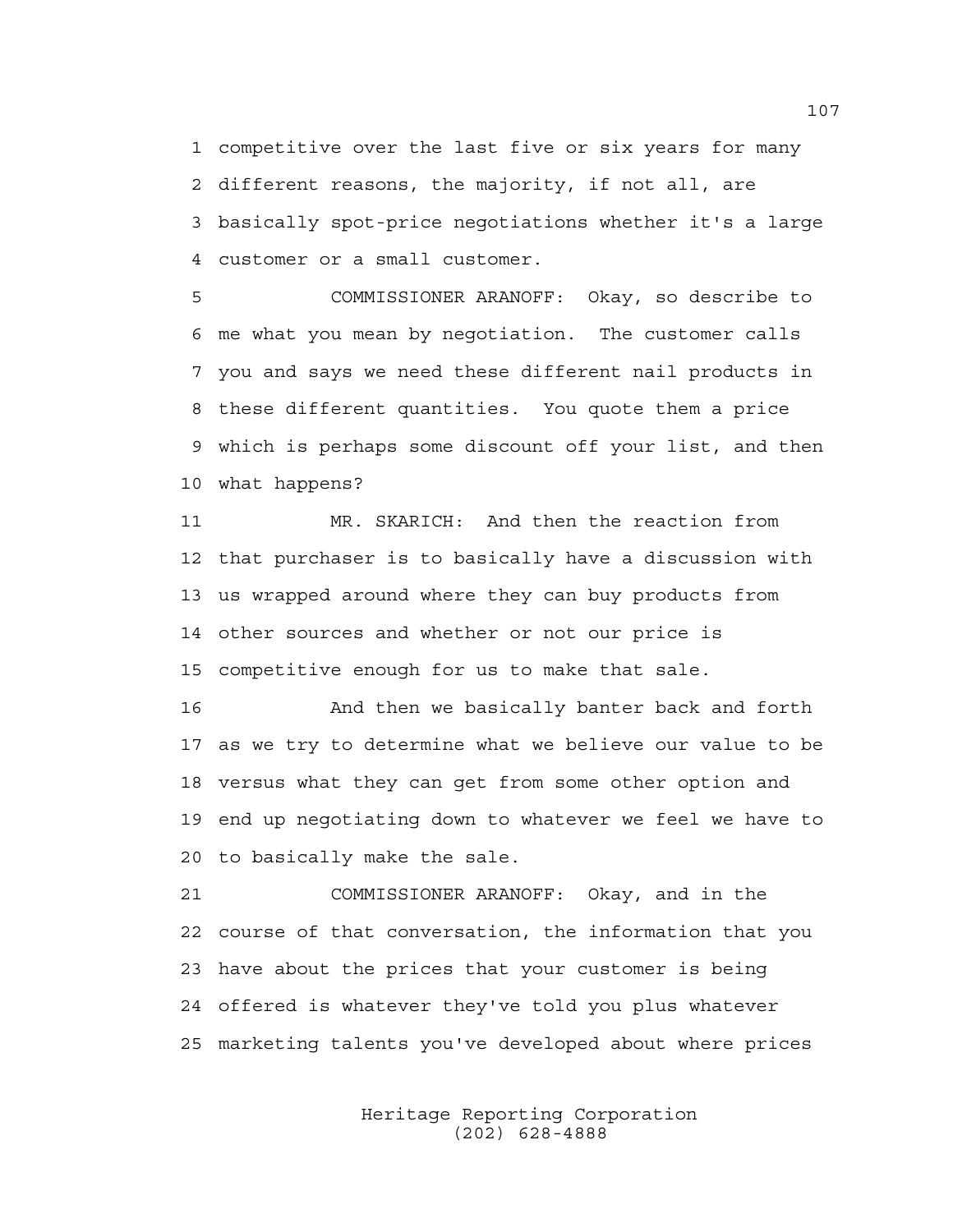1 competitive over the last five or six years for many 2 different reasons, the majority, if not all, are 3 basically spot-price negotiations whether it's a large 4 customer or a small customer.

5 COMMISSIONER ARANOFF: Okay, so describe to 6 me what you mean by negotiation. The customer calls 7 you and says we need these different nail products in 8 these different quantities. You quote them a price 9 which is perhaps some discount off your list, and then 10 what happens?

11 MR. SKARICH: And then the reaction from 12 that purchaser is to basically have a discussion with 13 us wrapped around where they can buy products from 14 other sources and whether or not our price is 15 competitive enough for us to make that sale.

16 And then we basically banter back and forth 17 as we try to determine what we believe our value to be 18 versus what they can get from some other option and 19 end up negotiating down to whatever we feel we have to 20 to basically make the sale.

21 COMMISSIONER ARANOFF: Okay, and in the 22 course of that conversation, the information that you 23 have about the prices that your customer is being 24 offered is whatever they've told you plus whatever 25 marketing talents you've developed about where prices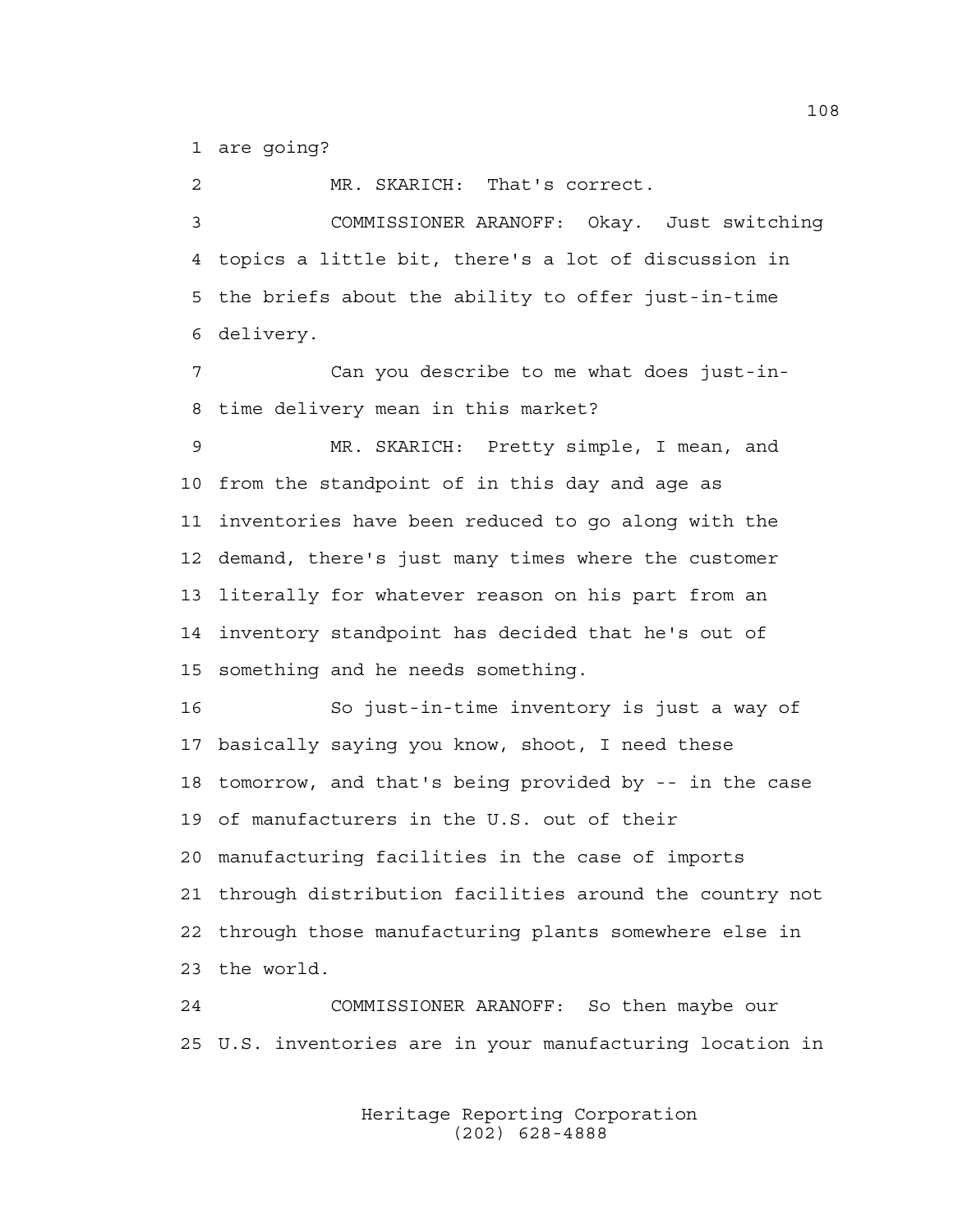1 are going?

2 MR. SKARICH: That's correct. 3 COMMISSIONER ARANOFF: Okay. Just switching 4 topics a little bit, there's a lot of discussion in 5 the briefs about the ability to offer just-in-time 6 delivery.

7 Can you describe to me what does just-in-8 time delivery mean in this market?

9 MR. SKARICH: Pretty simple, I mean, and 10 from the standpoint of in this day and age as 11 inventories have been reduced to go along with the 12 demand, there's just many times where the customer 13 literally for whatever reason on his part from an 14 inventory standpoint has decided that he's out of 15 something and he needs something.

16 So just-in-time inventory is just a way of 17 basically saying you know, shoot, I need these 18 tomorrow, and that's being provided by -- in the case 19 of manufacturers in the U.S. out of their 20 manufacturing facilities in the case of imports 21 through distribution facilities around the country not 22 through those manufacturing plants somewhere else in 23 the world.

24 COMMISSIONER ARANOFF: So then maybe our 25 U.S. inventories are in your manufacturing location in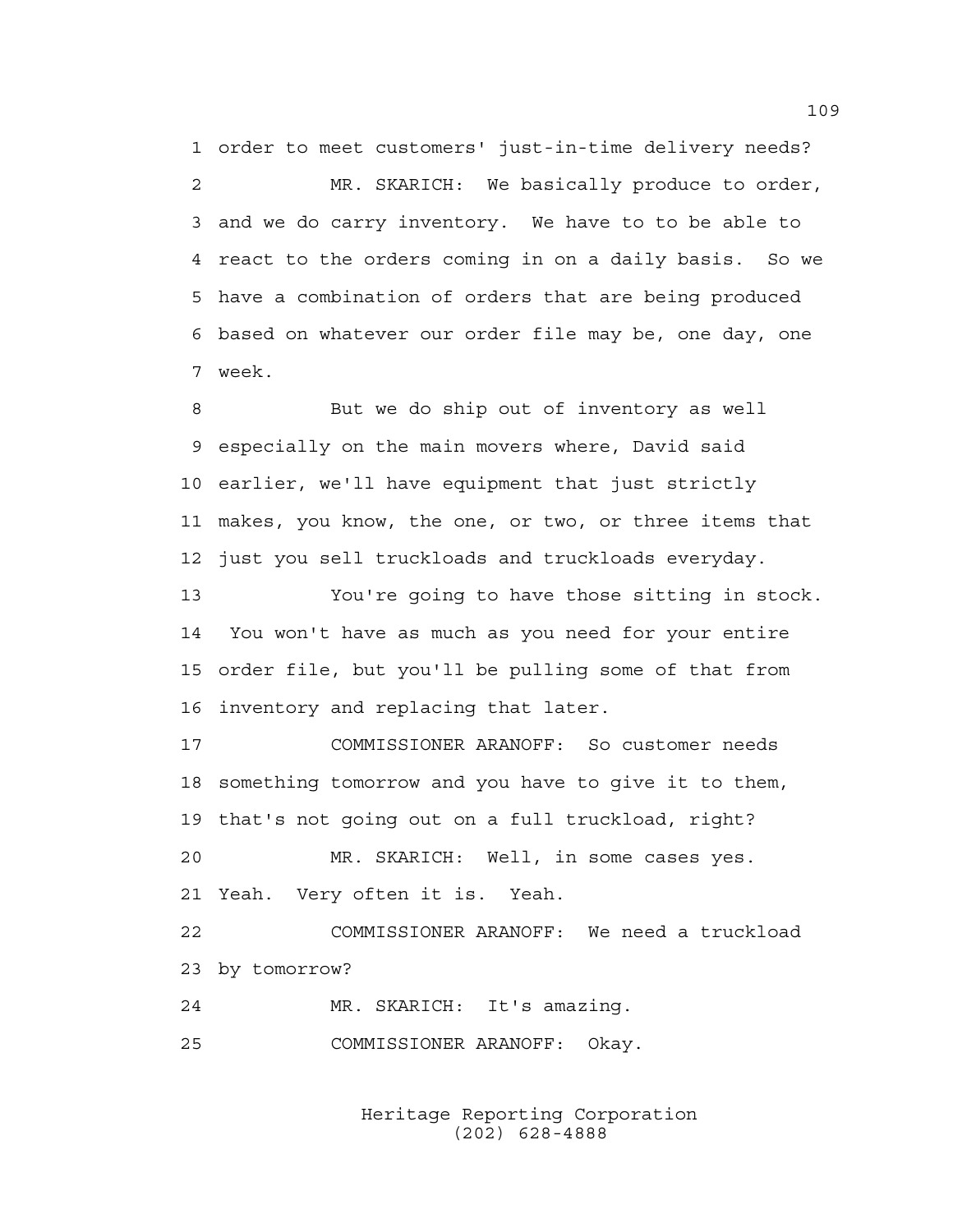1 order to meet customers' just-in-time delivery needs? 2 MR. SKARICH: We basically produce to order, 3 and we do carry inventory. We have to to be able to 4 react to the orders coming in on a daily basis. So we 5 have a combination of orders that are being produced 6 based on whatever our order file may be, one day, one 7 week.

8 But we do ship out of inventory as well 9 especially on the main movers where, David said 10 earlier, we'll have equipment that just strictly 11 makes, you know, the one, or two, or three items that 12 just you sell truckloads and truckloads everyday.

13 You're going to have those sitting in stock. 14 You won't have as much as you need for your entire 15 order file, but you'll be pulling some of that from 16 inventory and replacing that later.

17 COMMISSIONER ARANOFF: So customer needs 18 something tomorrow and you have to give it to them, 19 that's not going out on a full truckload, right?

20 MR. SKARICH: Well, in some cases yes. 21 Yeah. Very often it is. Yeah.

22 COMMISSIONER ARANOFF: We need a truckload 23 by tomorrow?

24 MR. SKARICH: It's amazing.

25 COMMISSIONER ARANOFF: Okay.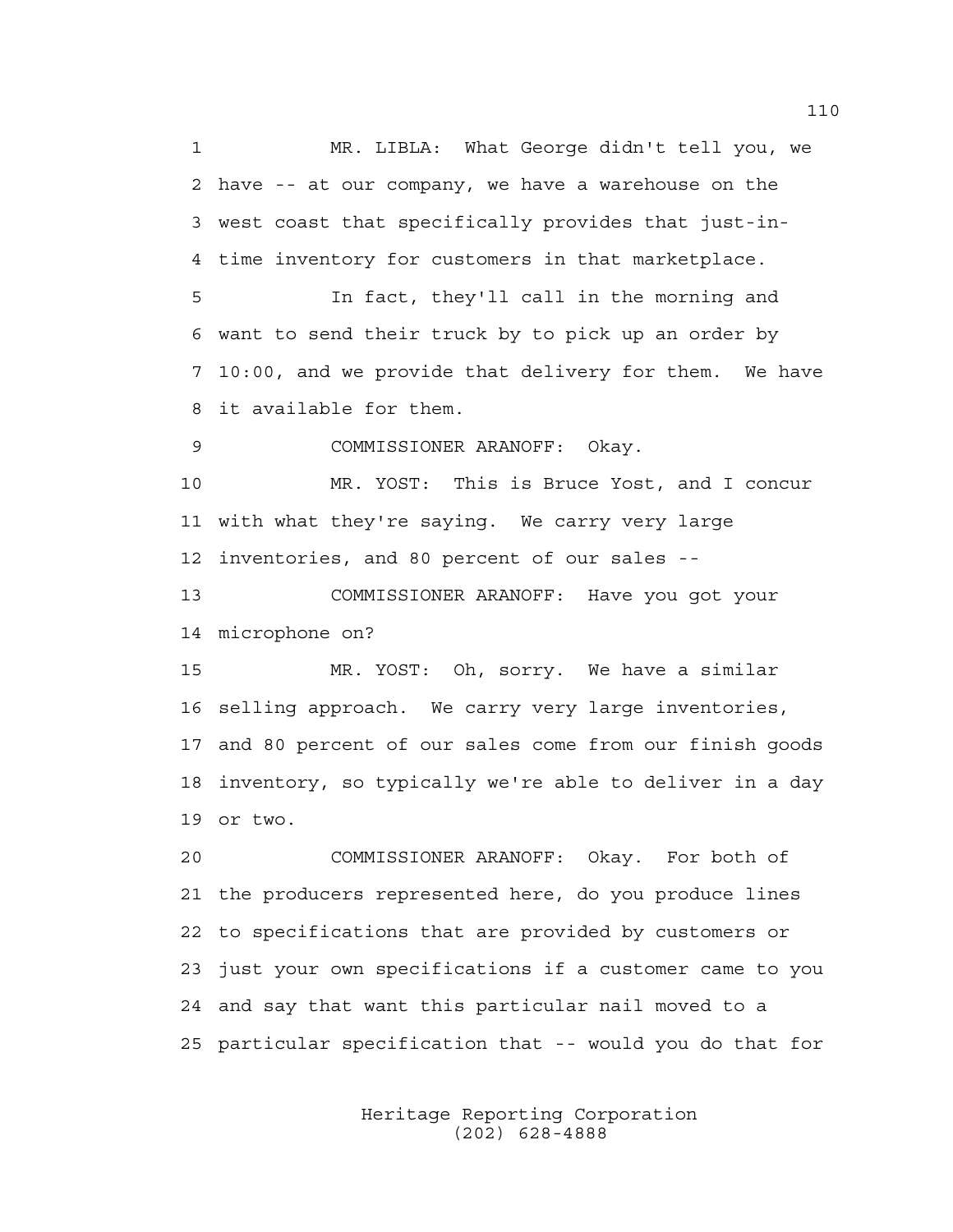1 MR. LIBLA: What George didn't tell you, we 2 have -- at our company, we have a warehouse on the 3 west coast that specifically provides that just-in-4 time inventory for customers in that marketplace. 5 In fact, they'll call in the morning and 6 want to send their truck by to pick up an order by 7 10:00, and we provide that delivery for them. We have 8 it available for them. 9 COMMISSIONER ARANOFF: Okay. 10 MR. YOST: This is Bruce Yost, and I concur 11 with what they're saying. We carry very large 12 inventories, and 80 percent of our sales -- 13 COMMISSIONER ARANOFF: Have you got your 14 microphone on? 15 MR. YOST: Oh, sorry. We have a similar 16 selling approach. We carry very large inventories, 17 and 80 percent of our sales come from our finish goods 18 inventory, so typically we're able to deliver in a day 19 or two. 20 COMMISSIONER ARANOFF: Okay. For both of 21 the producers represented here, do you produce lines 22 to specifications that are provided by customers or 23 just your own specifications if a customer came to you 24 and say that want this particular nail moved to a 25 particular specification that -- would you do that for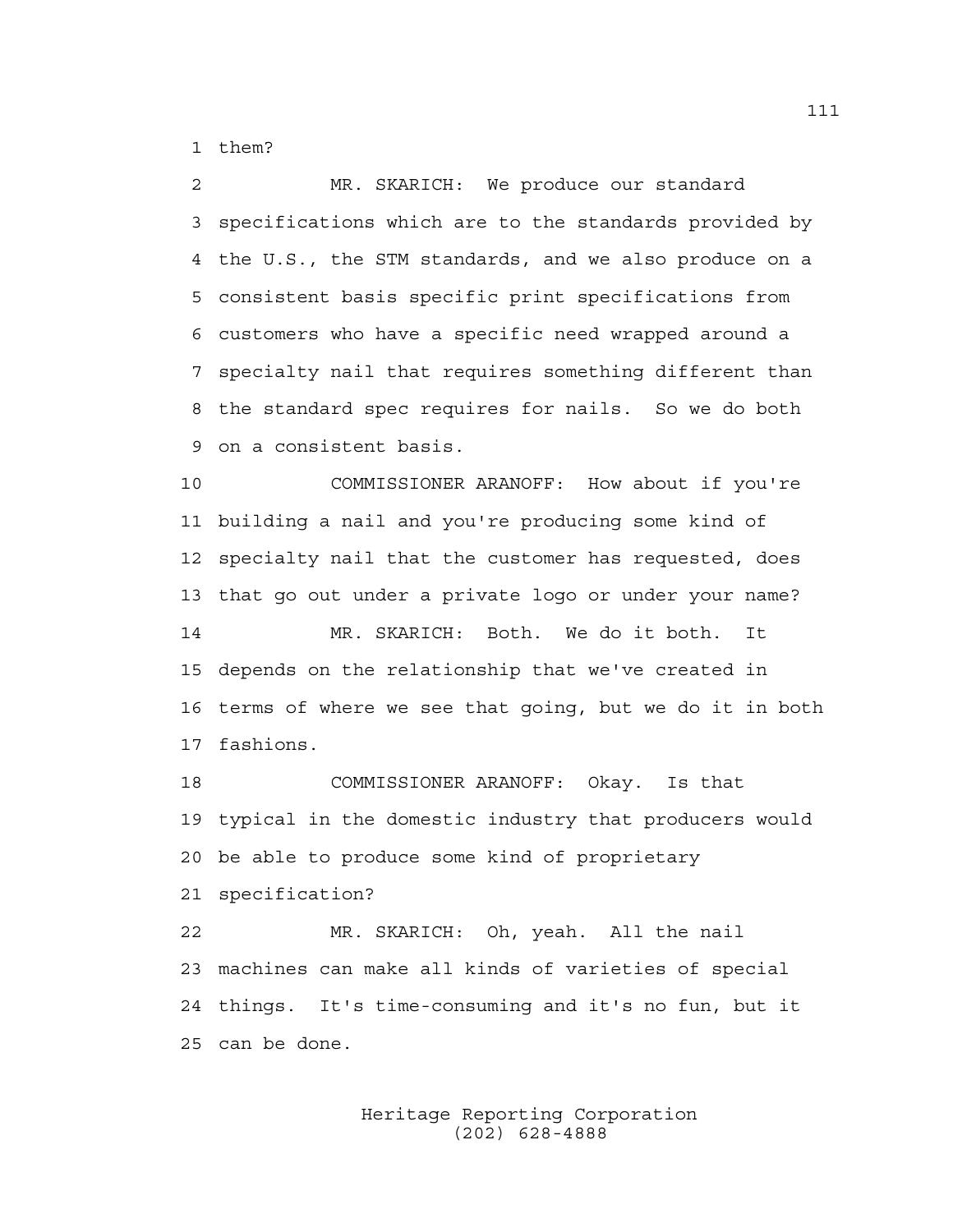1 them?

2 MR. SKARICH: We produce our standard 3 specifications which are to the standards provided by 4 the U.S., the STM standards, and we also produce on a 5 consistent basis specific print specifications from 6 customers who have a specific need wrapped around a 7 specialty nail that requires something different than 8 the standard spec requires for nails. So we do both 9 on a consistent basis.

10 COMMISSIONER ARANOFF: How about if you're 11 building a nail and you're producing some kind of 12 specialty nail that the customer has requested, does 13 that go out under a private logo or under your name?

14 MR. SKARICH: Both. We do it both. It 15 depends on the relationship that we've created in 16 terms of where we see that going, but we do it in both 17 fashions.

18 COMMISSIONER ARANOFF: Okay. Is that 19 typical in the domestic industry that producers would 20 be able to produce some kind of proprietary 21 specification?

22 MR. SKARICH: Oh, yeah. All the nail 23 machines can make all kinds of varieties of special 24 things. It's time-consuming and it's no fun, but it 25 can be done.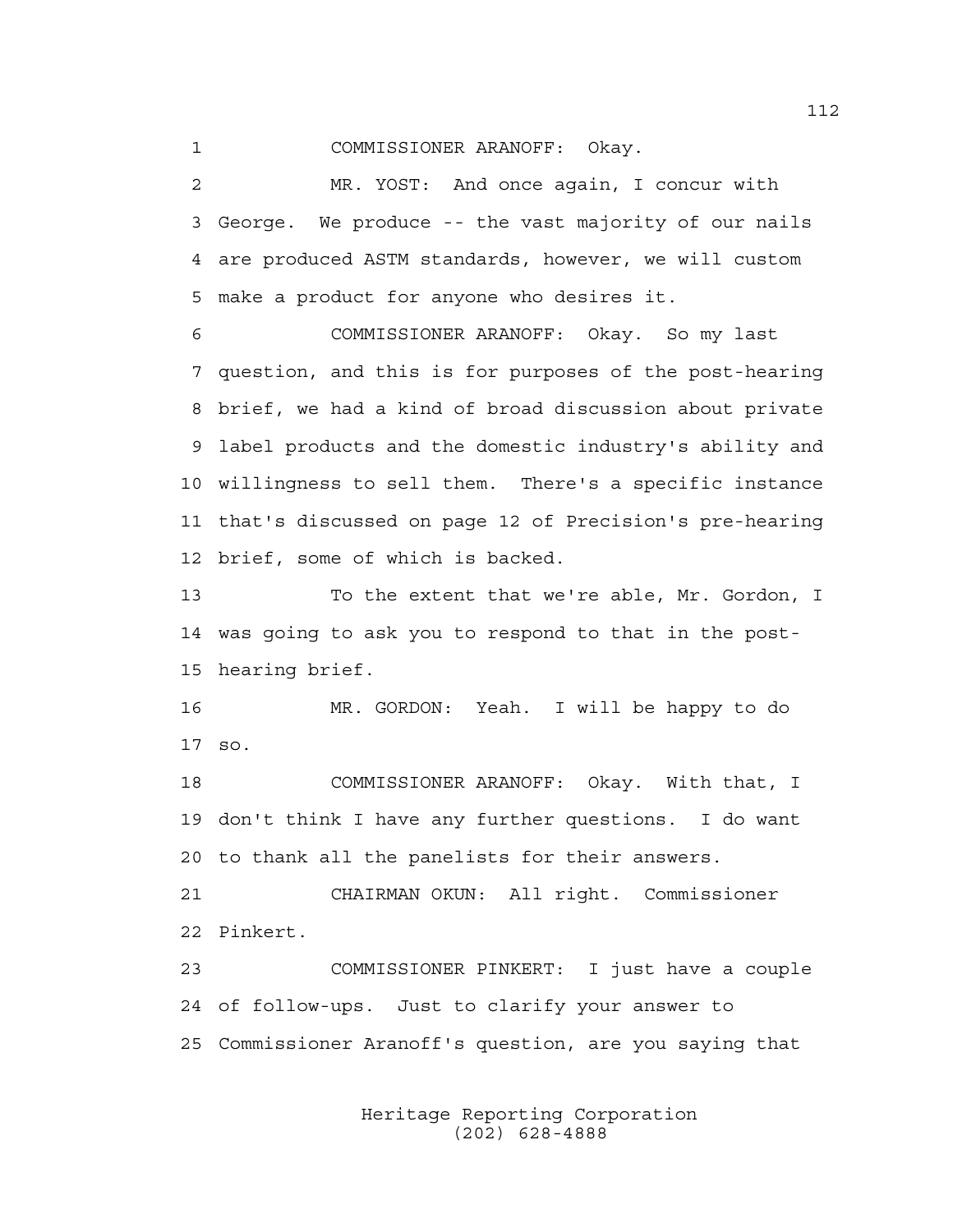1 COMMISSIONER ARANOFF: Okay.

2 MR. YOST: And once again, I concur with 3 George. We produce -- the vast majority of our nails 4 are produced ASTM standards, however, we will custom 5 make a product for anyone who desires it.

6 COMMISSIONER ARANOFF: Okay. So my last 7 question, and this is for purposes of the post-hearing 8 brief, we had a kind of broad discussion about private 9 label products and the domestic industry's ability and 10 willingness to sell them. There's a specific instance 11 that's discussed on page 12 of Precision's pre-hearing 12 brief, some of which is backed.

13 To the extent that we're able, Mr. Gordon, I 14 was going to ask you to respond to that in the post-15 hearing brief.

16 MR. GORDON: Yeah. I will be happy to do 17 so.

18 COMMISSIONER ARANOFF: Okay. With that, I 19 don't think I have any further questions. I do want 20 to thank all the panelists for their answers.

21 CHAIRMAN OKUN: All right. Commissioner 22 Pinkert.

23 COMMISSIONER PINKERT: I just have a couple 24 of follow-ups. Just to clarify your answer to 25 Commissioner Aranoff's question, are you saying that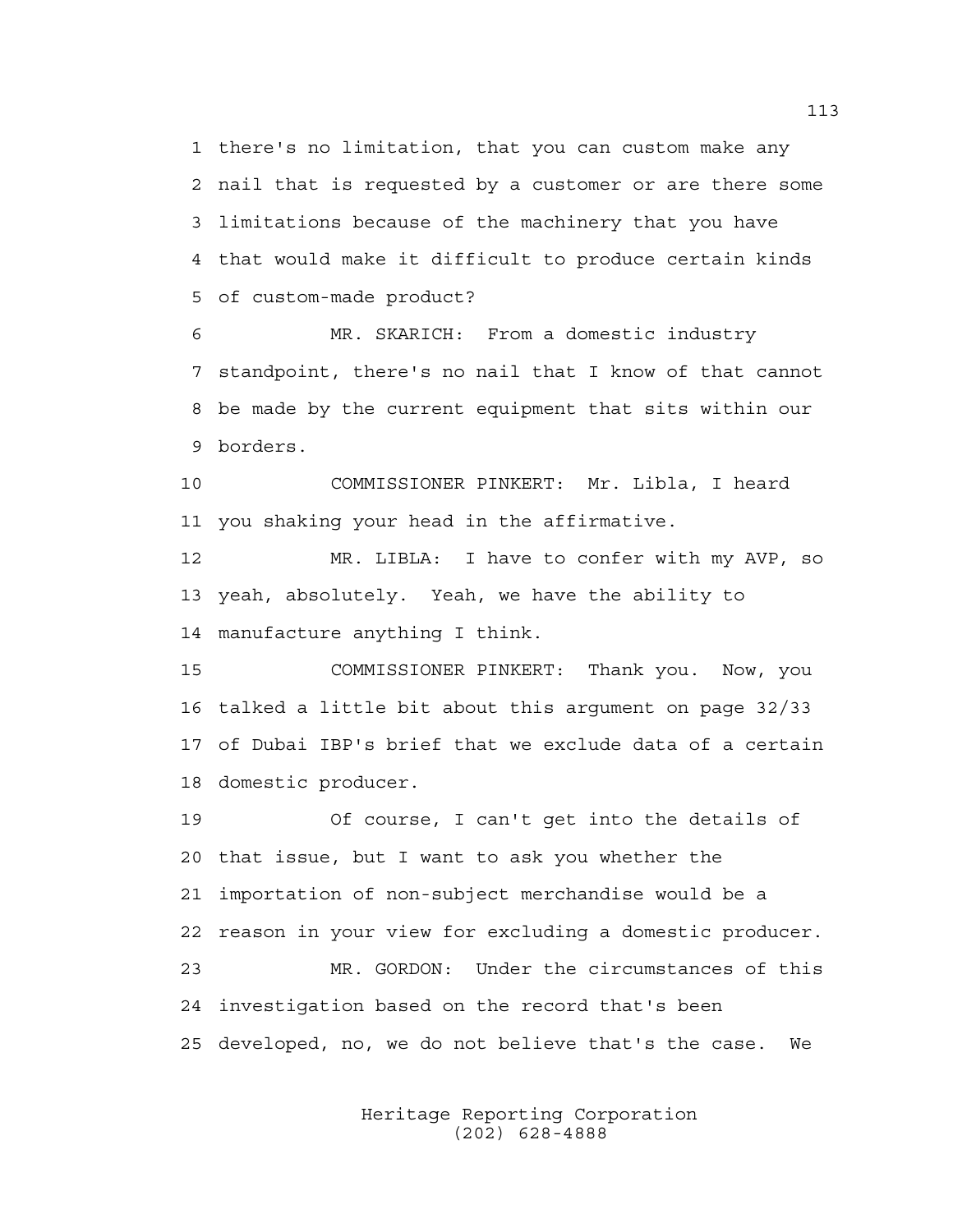1 there's no limitation, that you can custom make any 2 nail that is requested by a customer or are there some 3 limitations because of the machinery that you have 4 that would make it difficult to produce certain kinds 5 of custom-made product?

6 MR. SKARICH: From a domestic industry 7 standpoint, there's no nail that I know of that cannot 8 be made by the current equipment that sits within our 9 borders.

10 COMMISSIONER PINKERT: Mr. Libla, I heard 11 you shaking your head in the affirmative.

12 MR. LIBLA: I have to confer with my AVP, so 13 yeah, absolutely. Yeah, we have the ability to 14 manufacture anything I think.

15 COMMISSIONER PINKERT: Thank you. Now, you 16 talked a little bit about this argument on page 32/33 17 of Dubai IBP's brief that we exclude data of a certain 18 domestic producer.

19 Of course, I can't get into the details of 20 that issue, but I want to ask you whether the 21 importation of non-subject merchandise would be a 22 reason in your view for excluding a domestic producer. 23 MR. GORDON: Under the circumstances of this 24 investigation based on the record that's been 25 developed, no, we do not believe that's the case. We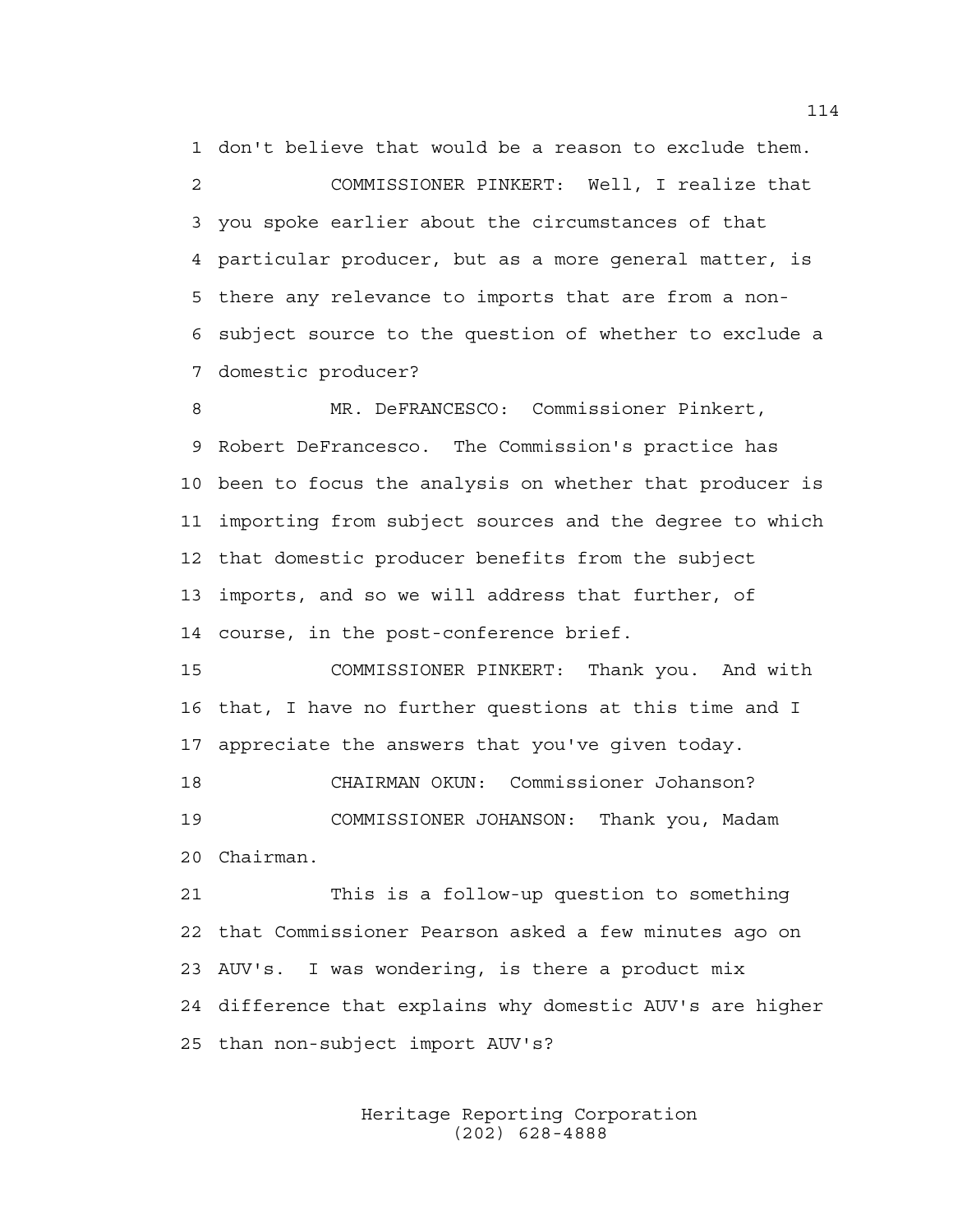1 don't believe that would be a reason to exclude them. 2 COMMISSIONER PINKERT: Well, I realize that 3 you spoke earlier about the circumstances of that 4 particular producer, but as a more general matter, is 5 there any relevance to imports that are from a non-6 subject source to the question of whether to exclude a 7 domestic producer?

8 MR. DeFRANCESCO: Commissioner Pinkert, 9 Robert DeFrancesco. The Commission's practice has 10 been to focus the analysis on whether that producer is 11 importing from subject sources and the degree to which 12 that domestic producer benefits from the subject 13 imports, and so we will address that further, of 14 course, in the post-conference brief.

15 COMMISSIONER PINKERT: Thank you. And with 16 that, I have no further questions at this time and I 17 appreciate the answers that you've given today.

18 CHAIRMAN OKUN: Commissioner Johanson? 19 COMMISSIONER JOHANSON: Thank you, Madam 20 Chairman.

21 This is a follow-up question to something 22 that Commissioner Pearson asked a few minutes ago on 23 AUV's. I was wondering, is there a product mix 24 difference that explains why domestic AUV's are higher 25 than non-subject import AUV's?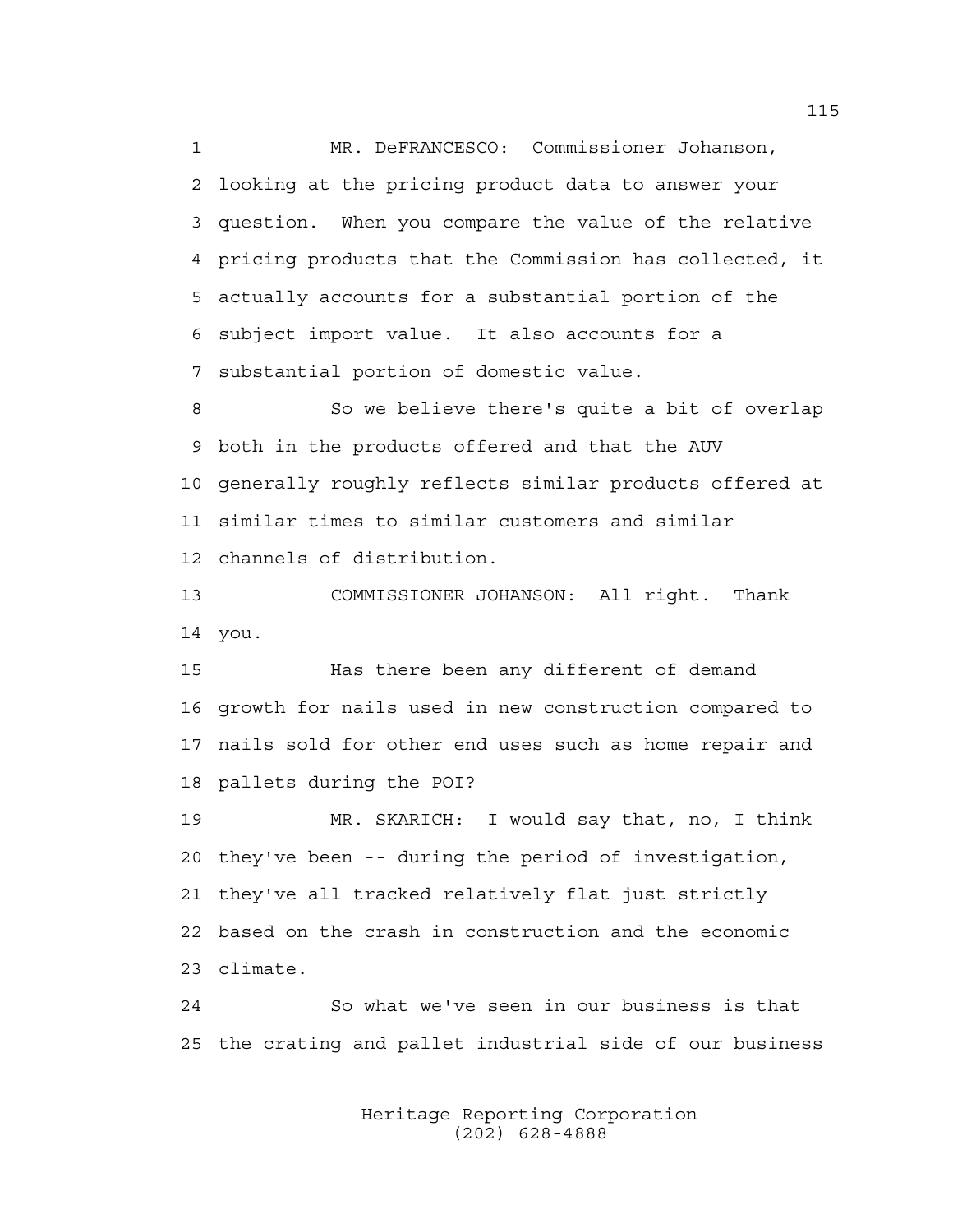1 MR. DeFRANCESCO: Commissioner Johanson, 2 looking at the pricing product data to answer your 3 question. When you compare the value of the relative 4 pricing products that the Commission has collected, it 5 actually accounts for a substantial portion of the 6 subject import value. It also accounts for a 7 substantial portion of domestic value.

8 So we believe there's quite a bit of overlap 9 both in the products offered and that the AUV 10 generally roughly reflects similar products offered at 11 similar times to similar customers and similar 12 channels of distribution.

13 COMMISSIONER JOHANSON: All right. Thank 14 you.

15 Has there been any different of demand 16 growth for nails used in new construction compared to 17 nails sold for other end uses such as home repair and 18 pallets during the POI?

19 MR. SKARICH: I would say that, no, I think 20 they've been -- during the period of investigation, 21 they've all tracked relatively flat just strictly 22 based on the crash in construction and the economic 23 climate.

24 So what we've seen in our business is that 25 the crating and pallet industrial side of our business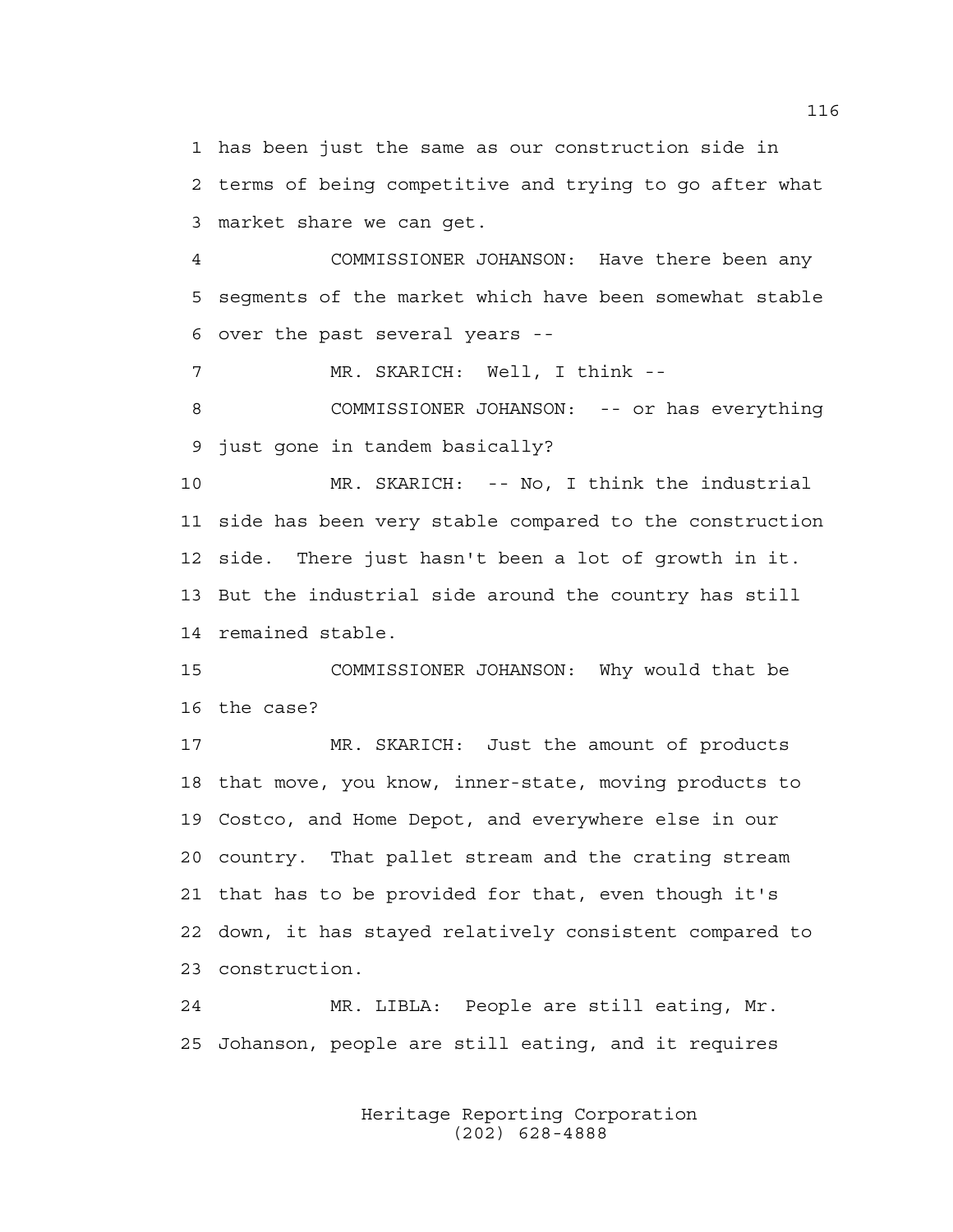1 has been just the same as our construction side in 2 terms of being competitive and trying to go after what 3 market share we can get.

4 COMMISSIONER JOHANSON: Have there been any 5 segments of the market which have been somewhat stable 6 over the past several years --

7 MR. SKARICH: Well, I think --

8 COMMISSIONER JOHANSON: -- or has everything 9 just gone in tandem basically?

10 MR. SKARICH: -- No, I think the industrial 11 side has been very stable compared to the construction 12 side. There just hasn't been a lot of growth in it. 13 But the industrial side around the country has still 14 remained stable.

15 COMMISSIONER JOHANSON: Why would that be 16 the case?

17 MR. SKARICH: Just the amount of products 18 that move, you know, inner-state, moving products to 19 Costco, and Home Depot, and everywhere else in our 20 country. That pallet stream and the crating stream 21 that has to be provided for that, even though it's 22 down, it has stayed relatively consistent compared to 23 construction.

24 MR. LIBLA: People are still eating, Mr. 25 Johanson, people are still eating, and it requires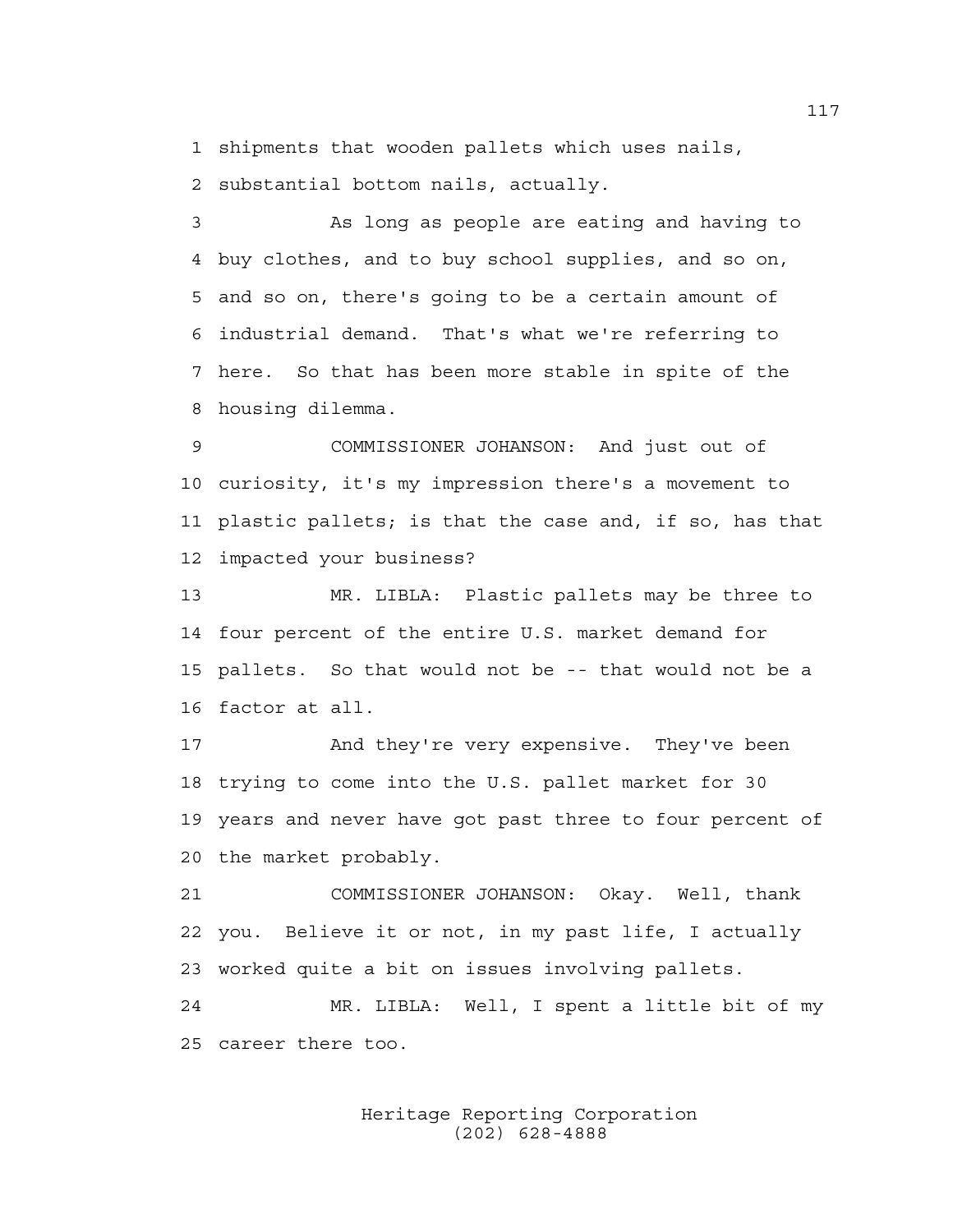1 shipments that wooden pallets which uses nails,

2 substantial bottom nails, actually.

3 As long as people are eating and having to 4 buy clothes, and to buy school supplies, and so on, 5 and so on, there's going to be a certain amount of 6 industrial demand. That's what we're referring to 7 here. So that has been more stable in spite of the 8 housing dilemma.

9 COMMISSIONER JOHANSON: And just out of 10 curiosity, it's my impression there's a movement to 11 plastic pallets; is that the case and, if so, has that 12 impacted your business?

13 MR. LIBLA: Plastic pallets may be three to 14 four percent of the entire U.S. market demand for 15 pallets. So that would not be -- that would not be a 16 factor at all.

17 And they're very expensive. They've been 18 trying to come into the U.S. pallet market for 30 19 years and never have got past three to four percent of 20 the market probably.

21 COMMISSIONER JOHANSON: Okay. Well, thank 22 you. Believe it or not, in my past life, I actually 23 worked quite a bit on issues involving pallets.

24 MR. LIBLA: Well, I spent a little bit of my 25 career there too.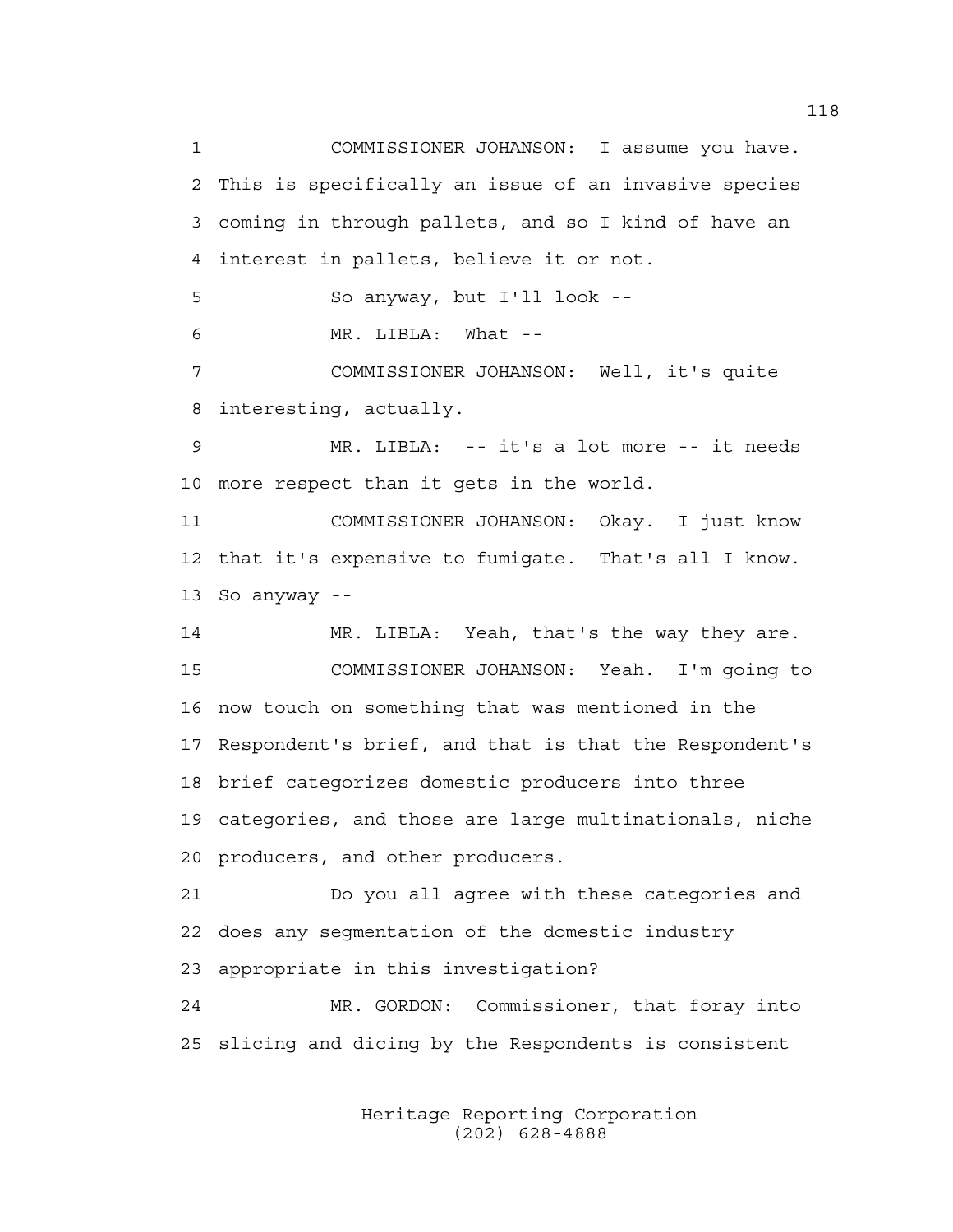1 COMMISSIONER JOHANSON: I assume you have. 2 This is specifically an issue of an invasive species 3 coming in through pallets, and so I kind of have an 4 interest in pallets, believe it or not. 5 So anyway, but I'll look -- 6 MR. LIBLA: What -- 7 COMMISSIONER JOHANSON: Well, it's quite 8 interesting, actually. 9 MR. LIBLA: -- it's a lot more -- it needs 10 more respect than it gets in the world. 11 COMMISSIONER JOHANSON: Okay. I just know 12 that it's expensive to fumigate. That's all I know. 13 So anyway -- 14 MR. LIBLA: Yeah, that's the way they are. 15 COMMISSIONER JOHANSON: Yeah. I'm going to 16 now touch on something that was mentioned in the 17 Respondent's brief, and that is that the Respondent's 18 brief categorizes domestic producers into three 19 categories, and those are large multinationals, niche 20 producers, and other producers. 21 Do you all agree with these categories and 22 does any segmentation of the domestic industry 23 appropriate in this investigation? 24 MR. GORDON: Commissioner, that foray into 25 slicing and dicing by the Respondents is consistent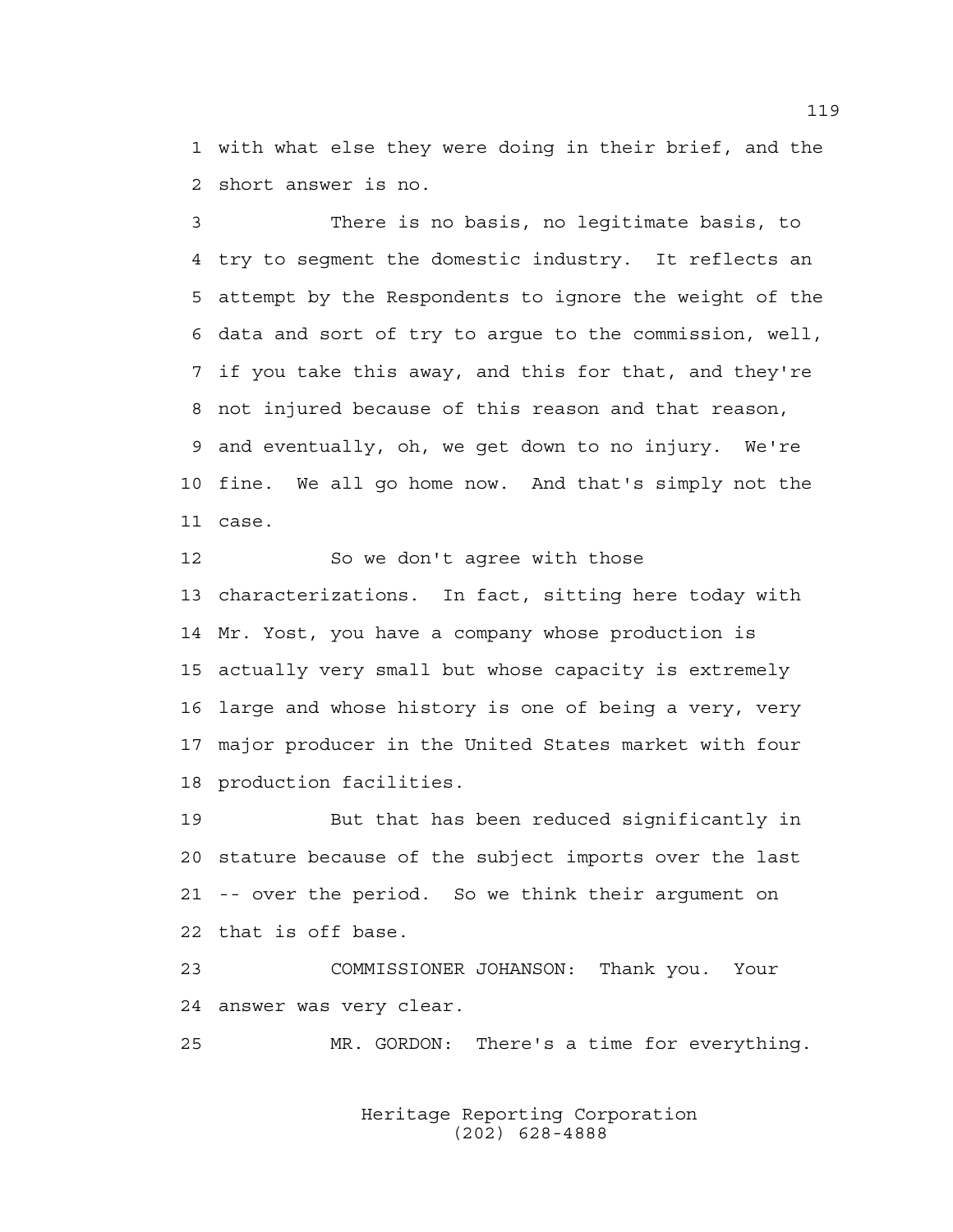1 with what else they were doing in their brief, and the 2 short answer is no.

3 There is no basis, no legitimate basis, to 4 try to segment the domestic industry. It reflects an 5 attempt by the Respondents to ignore the weight of the 6 data and sort of try to argue to the commission, well, 7 if you take this away, and this for that, and they're 8 not injured because of this reason and that reason, 9 and eventually, oh, we get down to no injury. We're 10 fine. We all go home now. And that's simply not the 11 case.

12 So we don't agree with those 13 characterizations. In fact, sitting here today with 14 Mr. Yost, you have a company whose production is 15 actually very small but whose capacity is extremely 16 large and whose history is one of being a very, very 17 major producer in the United States market with four 18 production facilities.

19 But that has been reduced significantly in 20 stature because of the subject imports over the last 21 -- over the period. So we think their argument on 22 that is off base.

23 COMMISSIONER JOHANSON: Thank you. Your 24 answer was very clear.

25 MR. GORDON: There's a time for everything.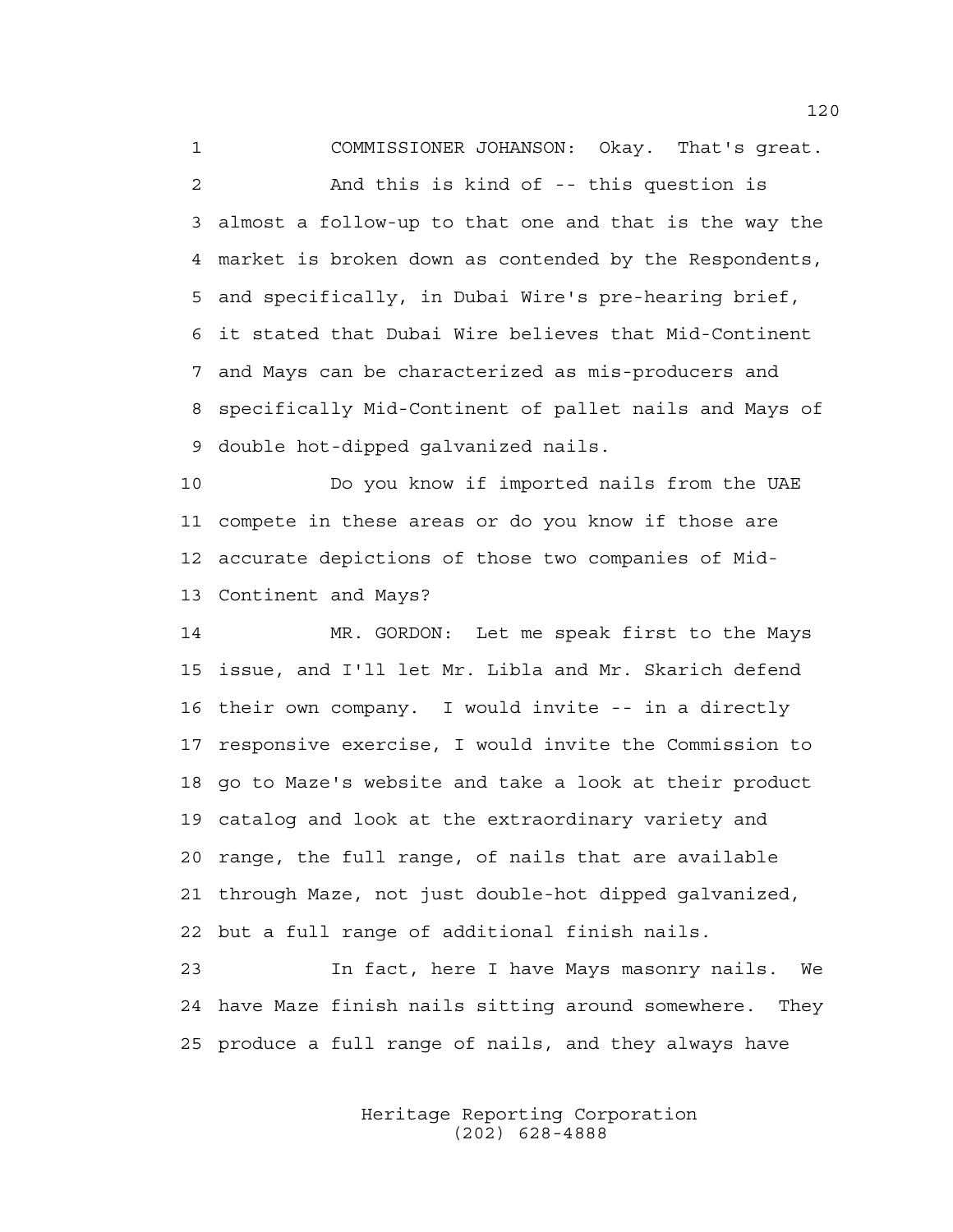1 COMMISSIONER JOHANSON: Okay. That's great. 2 And this is kind of -- this question is 3 almost a follow-up to that one and that is the way the 4 market is broken down as contended by the Respondents, 5 and specifically, in Dubai Wire's pre-hearing brief, 6 it stated that Dubai Wire believes that Mid-Continent 7 and Mays can be characterized as mis-producers and 8 specifically Mid-Continent of pallet nails and Mays of 9 double hot-dipped galvanized nails.

10 Do you know if imported nails from the UAE 11 compete in these areas or do you know if those are 12 accurate depictions of those two companies of Mid-13 Continent and Mays?

14 MR. GORDON: Let me speak first to the Mays 15 issue, and I'll let Mr. Libla and Mr. Skarich defend 16 their own company. I would invite -- in a directly 17 responsive exercise, I would invite the Commission to 18 go to Maze's website and take a look at their product 19 catalog and look at the extraordinary variety and 20 range, the full range, of nails that are available 21 through Maze, not just double-hot dipped galvanized, 22 but a full range of additional finish nails.

23 In fact, here I have Mays masonry nails. We 24 have Maze finish nails sitting around somewhere. They 25 produce a full range of nails, and they always have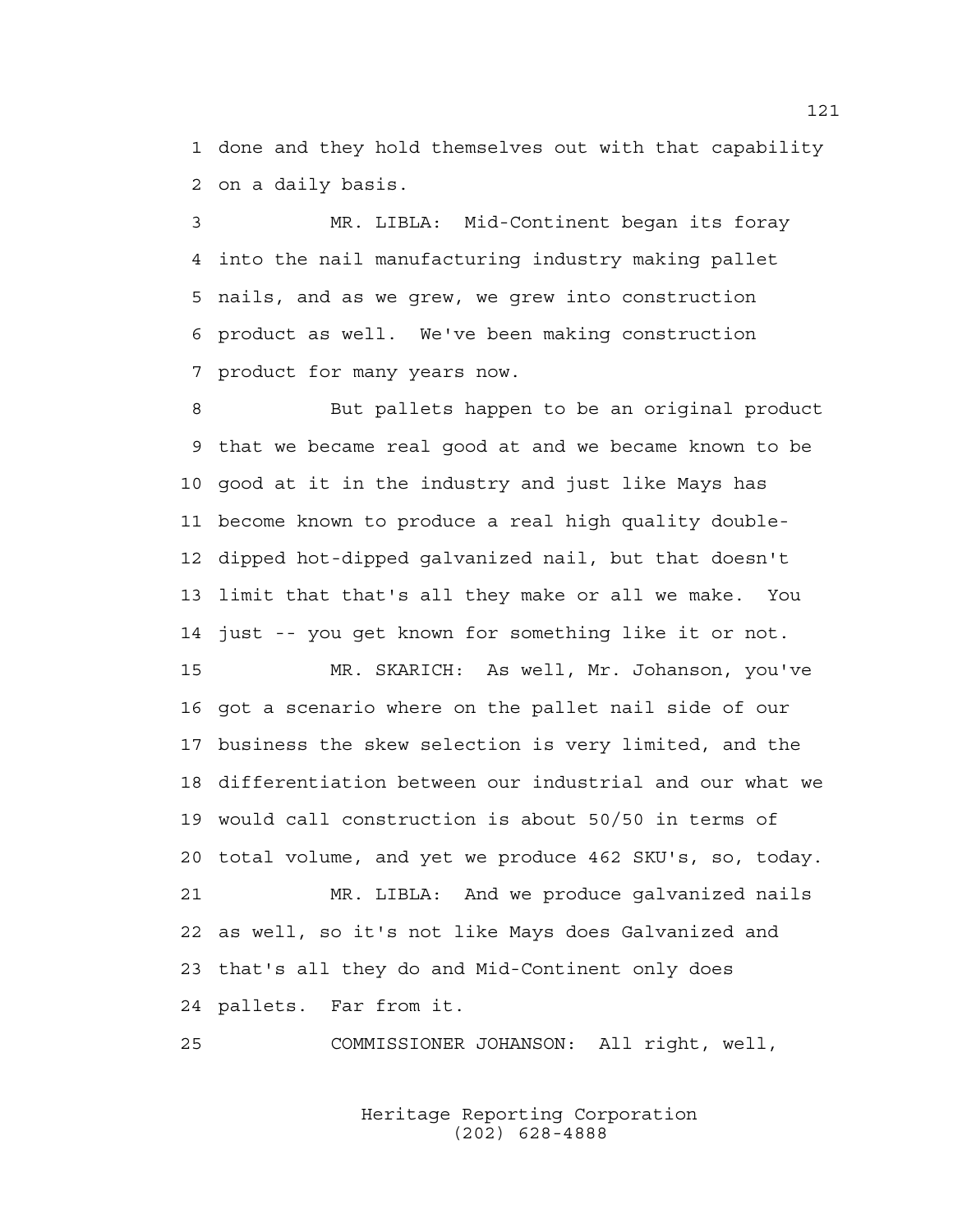1 done and they hold themselves out with that capability 2 on a daily basis.

3 MR. LIBLA: Mid-Continent began its foray 4 into the nail manufacturing industry making pallet 5 nails, and as we grew, we grew into construction 6 product as well. We've been making construction 7 product for many years now.

8 But pallets happen to be an original product 9 that we became real good at and we became known to be 10 good at it in the industry and just like Mays has 11 become known to produce a real high quality double-12 dipped hot-dipped galvanized nail, but that doesn't 13 limit that that's all they make or all we make. You 14 just -- you get known for something like it or not.

15 MR. SKARICH: As well, Mr. Johanson, you've 16 got a scenario where on the pallet nail side of our 17 business the skew selection is very limited, and the 18 differentiation between our industrial and our what we 19 would call construction is about 50/50 in terms of 20 total volume, and yet we produce 462 SKU's, so, today. 21 MR. LIBLA: And we produce galvanized nails 22 as well, so it's not like Mays does Galvanized and 23 that's all they do and Mid-Continent only does 24 pallets. Far from it.

25 COMMISSIONER JOHANSON: All right, well,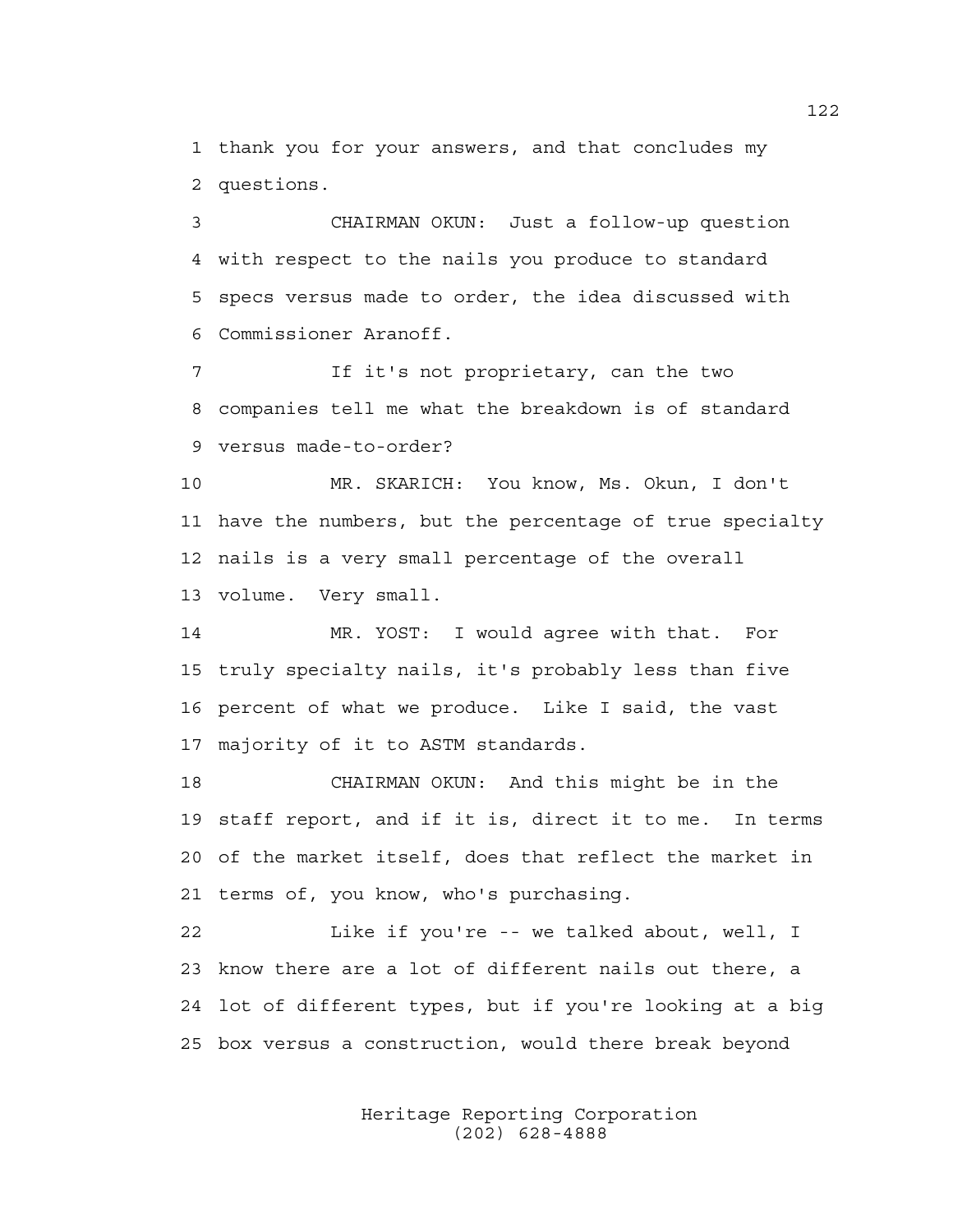1 thank you for your answers, and that concludes my 2 questions.

3 CHAIRMAN OKUN: Just a follow-up question 4 with respect to the nails you produce to standard 5 specs versus made to order, the idea discussed with 6 Commissioner Aranoff.

7 If it's not proprietary, can the two 8 companies tell me what the breakdown is of standard 9 versus made-to-order?

10 MR. SKARICH: You know, Ms. Okun, I don't 11 have the numbers, but the percentage of true specialty 12 nails is a very small percentage of the overall 13 volume. Very small.

14 MR. YOST: I would agree with that. For 15 truly specialty nails, it's probably less than five 16 percent of what we produce. Like I said, the vast 17 majority of it to ASTM standards.

18 CHAIRMAN OKUN: And this might be in the 19 staff report, and if it is, direct it to me. In terms 20 of the market itself, does that reflect the market in 21 terms of, you know, who's purchasing.

22 Like if you're -- we talked about, well, I 23 know there are a lot of different nails out there, a 24 lot of different types, but if you're looking at a big 25 box versus a construction, would there break beyond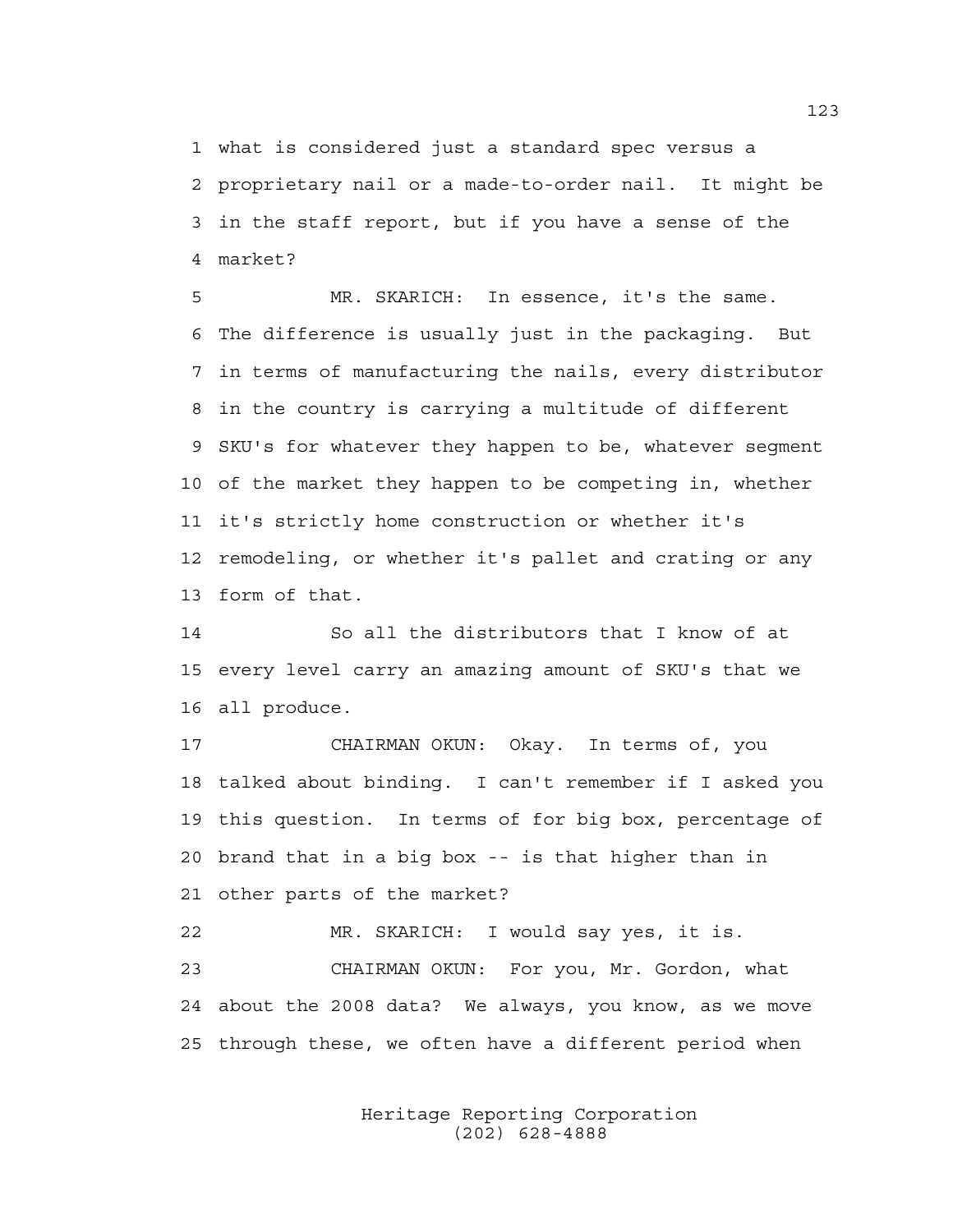1 what is considered just a standard spec versus a 2 proprietary nail or a made-to-order nail. It might be 3 in the staff report, but if you have a sense of the 4 market?

5 MR. SKARICH: In essence, it's the same. 6 The difference is usually just in the packaging. But 7 in terms of manufacturing the nails, every distributor 8 in the country is carrying a multitude of different 9 SKU's for whatever they happen to be, whatever segment 10 of the market they happen to be competing in, whether 11 it's strictly home construction or whether it's 12 remodeling, or whether it's pallet and crating or any 13 form of that.

14 So all the distributors that I know of at 15 every level carry an amazing amount of SKU's that we 16 all produce.

17 CHAIRMAN OKUN: Okay. In terms of, you 18 talked about binding. I can't remember if I asked you 19 this question. In terms of for big box, percentage of 20 brand that in a big box -- is that higher than in 21 other parts of the market?

22 MR. SKARICH: I would say yes, it is. 23 CHAIRMAN OKUN: For you, Mr. Gordon, what 24 about the 2008 data? We always, you know, as we move 25 through these, we often have a different period when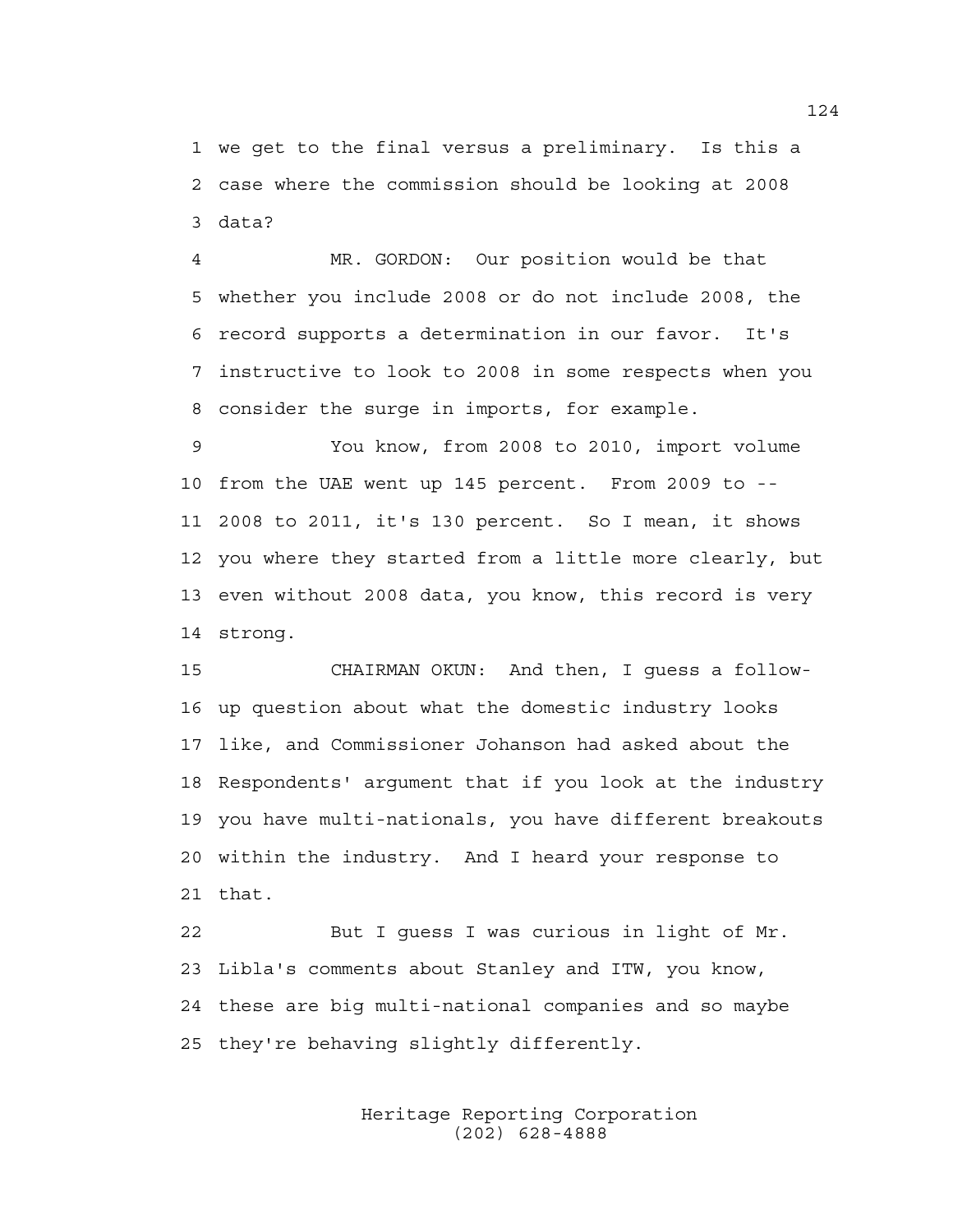1 we get to the final versus a preliminary. Is this a 2 case where the commission should be looking at 2008 3 data?

4 MR. GORDON: Our position would be that 5 whether you include 2008 or do not include 2008, the 6 record supports a determination in our favor. It's 7 instructive to look to 2008 in some respects when you 8 consider the surge in imports, for example.

9 You know, from 2008 to 2010, import volume 10 from the UAE went up 145 percent. From 2009 to -- 11 2008 to 2011, it's 130 percent. So I mean, it shows 12 you where they started from a little more clearly, but 13 even without 2008 data, you know, this record is very 14 strong.

15 CHAIRMAN OKUN: And then, I guess a follow-16 up question about what the domestic industry looks 17 like, and Commissioner Johanson had asked about the 18 Respondents' argument that if you look at the industry 19 you have multi-nationals, you have different breakouts 20 within the industry. And I heard your response to 21 that.

22 But I guess I was curious in light of Mr. 23 Libla's comments about Stanley and ITW, you know, 24 these are big multi-national companies and so maybe 25 they're behaving slightly differently.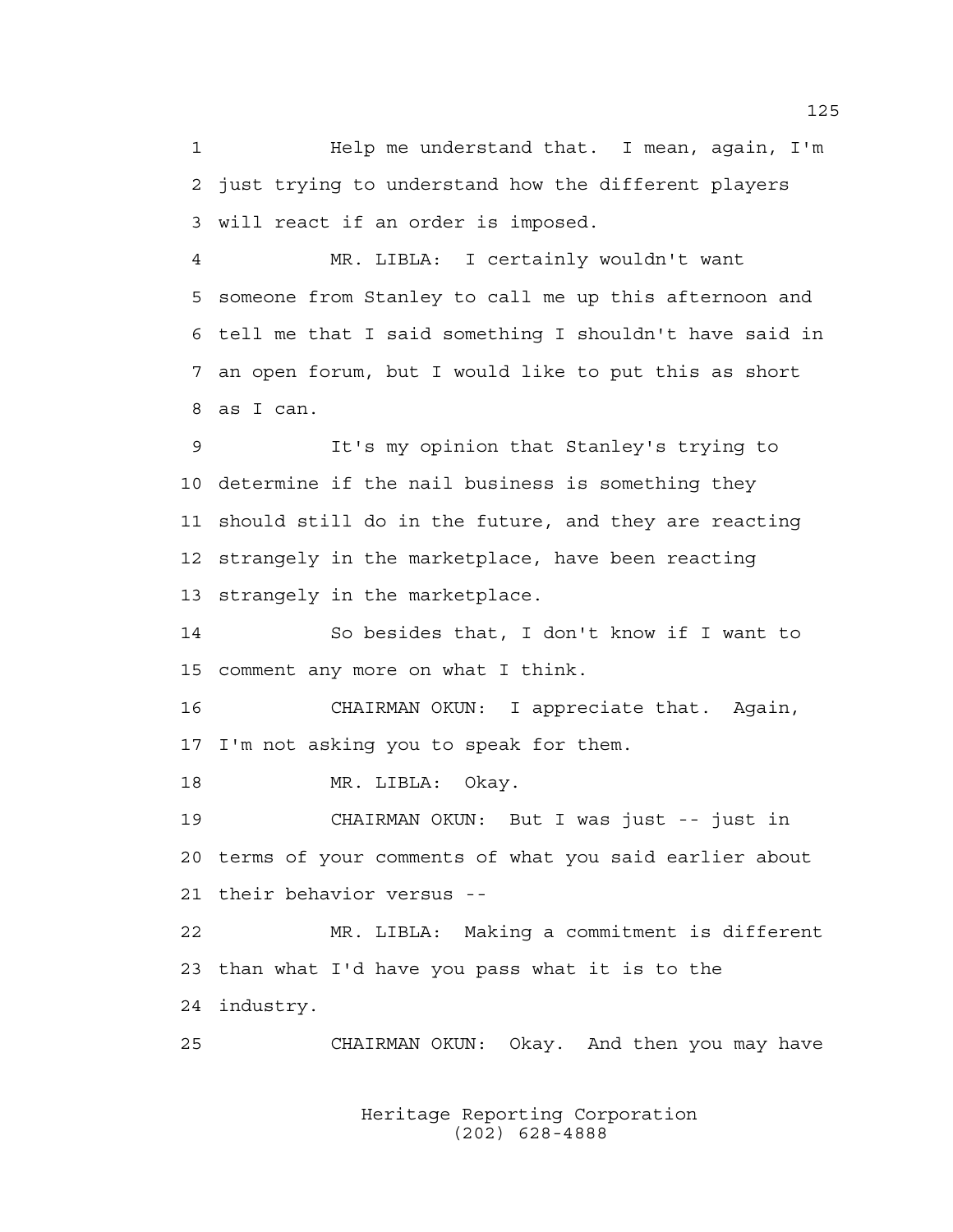1 Help me understand that. I mean, again, I'm 2 just trying to understand how the different players 3 will react if an order is imposed.

4 MR. LIBLA: I certainly wouldn't want 5 someone from Stanley to call me up this afternoon and 6 tell me that I said something I shouldn't have said in 7 an open forum, but I would like to put this as short 8 as I can.

9 It's my opinion that Stanley's trying to 10 determine if the nail business is something they 11 should still do in the future, and they are reacting 12 strangely in the marketplace, have been reacting 13 strangely in the marketplace.

14 So besides that, I don't know if I want to 15 comment any more on what I think.

16 CHAIRMAN OKUN: I appreciate that. Again, 17 I'm not asking you to speak for them.

18 MR. LIBLA: Okay.

19 CHAIRMAN OKUN: But I was just -- just in 20 terms of your comments of what you said earlier about 21 their behavior versus --

22 MR. LIBLA: Making a commitment is different 23 than what I'd have you pass what it is to the 24 industry.

25 CHAIRMAN OKUN: Okay. And then you may have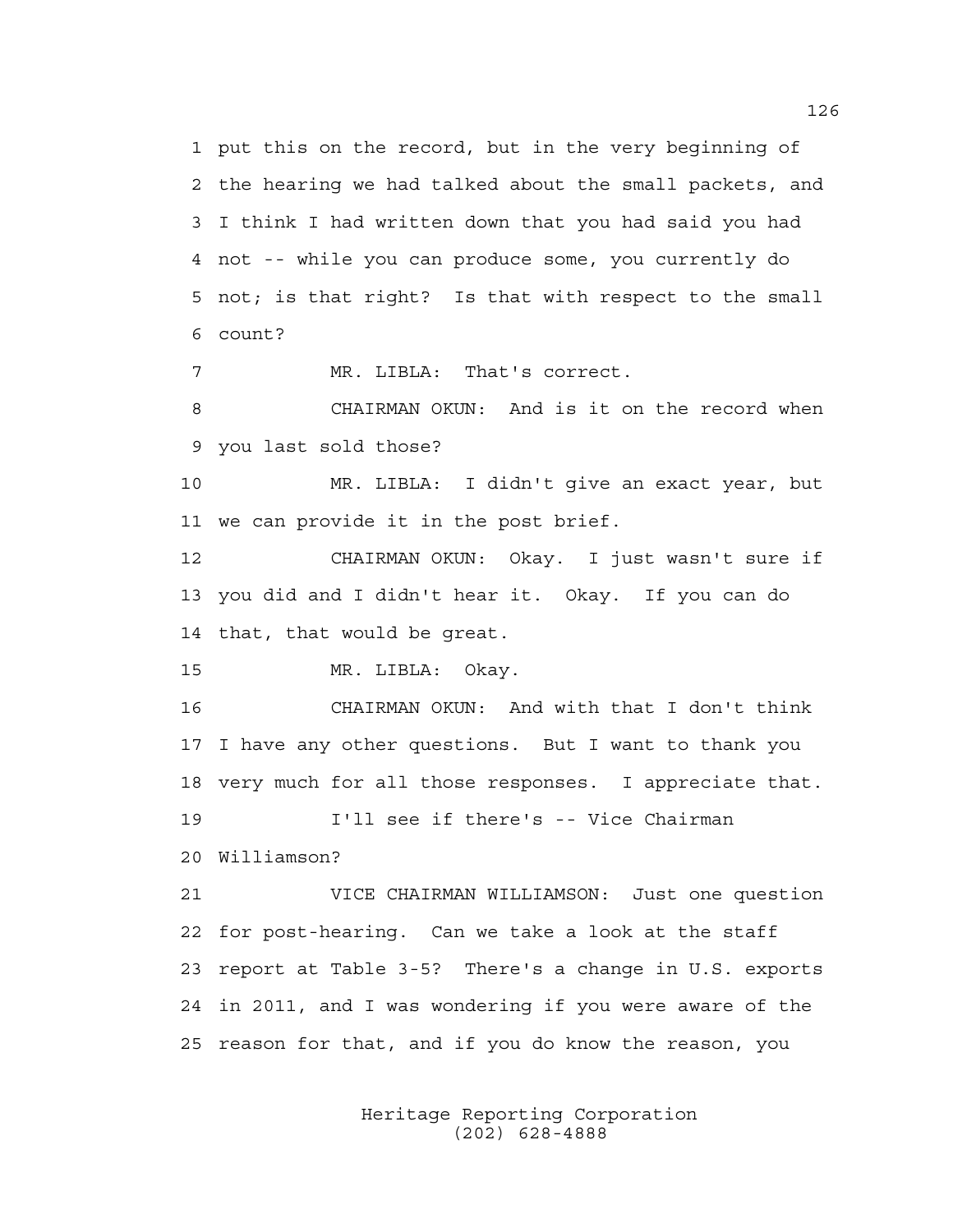1 put this on the record, but in the very beginning of 2 the hearing we had talked about the small packets, and 3 I think I had written down that you had said you had 4 not -- while you can produce some, you currently do 5 not; is that right? Is that with respect to the small 6 count?

7 MR. LIBLA: That's correct.

8 CHAIRMAN OKUN: And is it on the record when 9 you last sold those?

10 MR. LIBLA: I didn't give an exact year, but 11 we can provide it in the post brief.

12 CHAIRMAN OKUN: Okay. I just wasn't sure if 13 you did and I didn't hear it. Okay. If you can do 14 that, that would be great.

15 MR. LIBLA: Okay.

16 CHAIRMAN OKUN: And with that I don't think 17 I have any other questions. But I want to thank you 18 very much for all those responses. I appreciate that. 19 I'll see if there's -- Vice Chairman

20 Williamson?

21 VICE CHAIRMAN WILLIAMSON: Just one question 22 for post-hearing. Can we take a look at the staff 23 report at Table 3-5? There's a change in U.S. exports 24 in 2011, and I was wondering if you were aware of the 25 reason for that, and if you do know the reason, you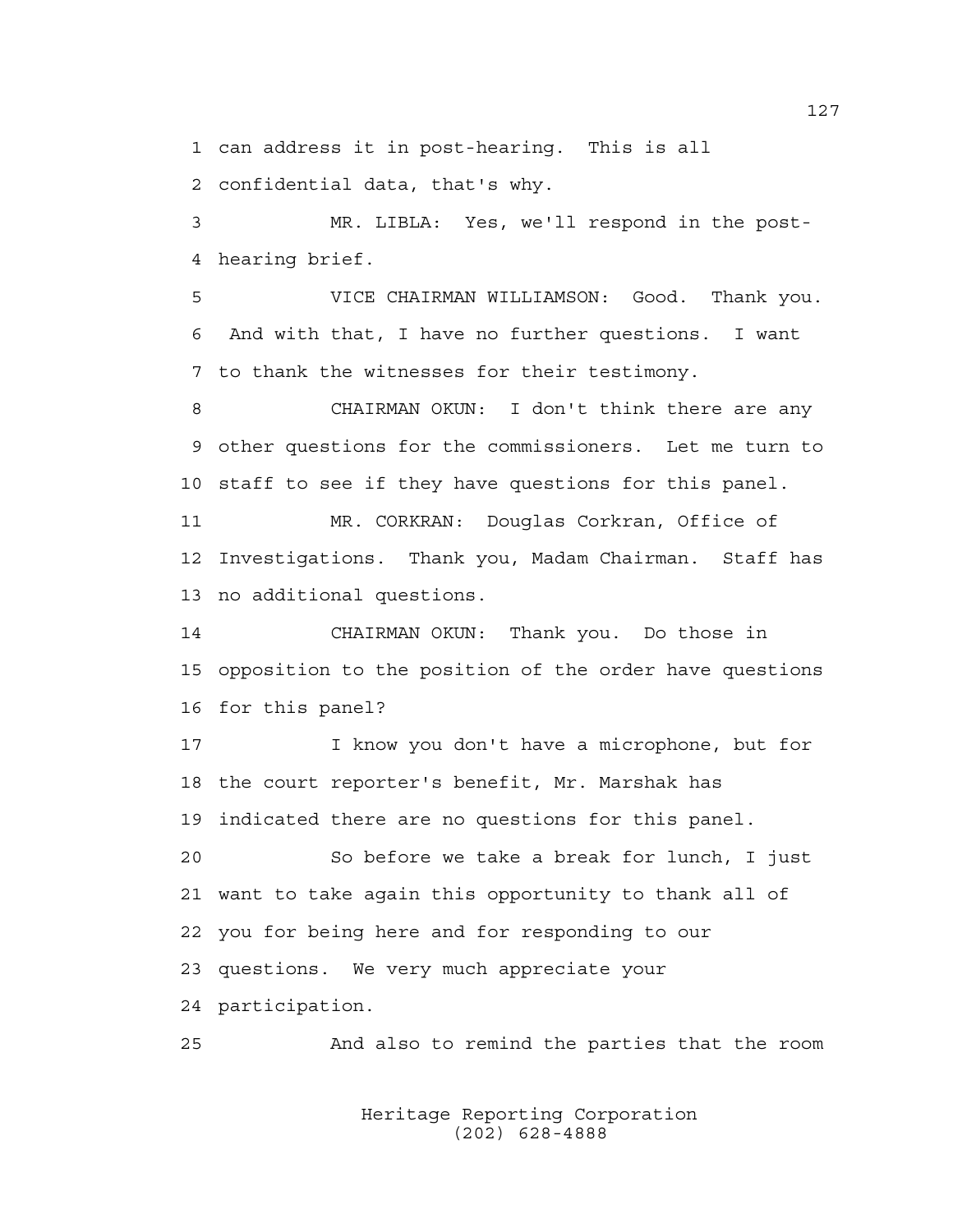1 can address it in post-hearing. This is all

2 confidential data, that's why.

3 MR. LIBLA: Yes, we'll respond in the post-4 hearing brief.

5 VICE CHAIRMAN WILLIAMSON: Good. Thank you. 6 And with that, I have no further questions. I want 7 to thank the witnesses for their testimony.

8 CHAIRMAN OKUN: I don't think there are any 9 other questions for the commissioners. Let me turn to 10 staff to see if they have questions for this panel.

11 MR. CORKRAN: Douglas Corkran, Office of 12 Investigations. Thank you, Madam Chairman. Staff has 13 no additional questions.

14 CHAIRMAN OKUN: Thank you. Do those in 15 opposition to the position of the order have questions 16 for this panel?

17 I know you don't have a microphone, but for 18 the court reporter's benefit, Mr. Marshak has 19 indicated there are no questions for this panel. 20 So before we take a break for lunch, I just

21 want to take again this opportunity to thank all of 22 you for being here and for responding to our 23 questions. We very much appreciate your 24 participation.

25 And also to remind the parties that the room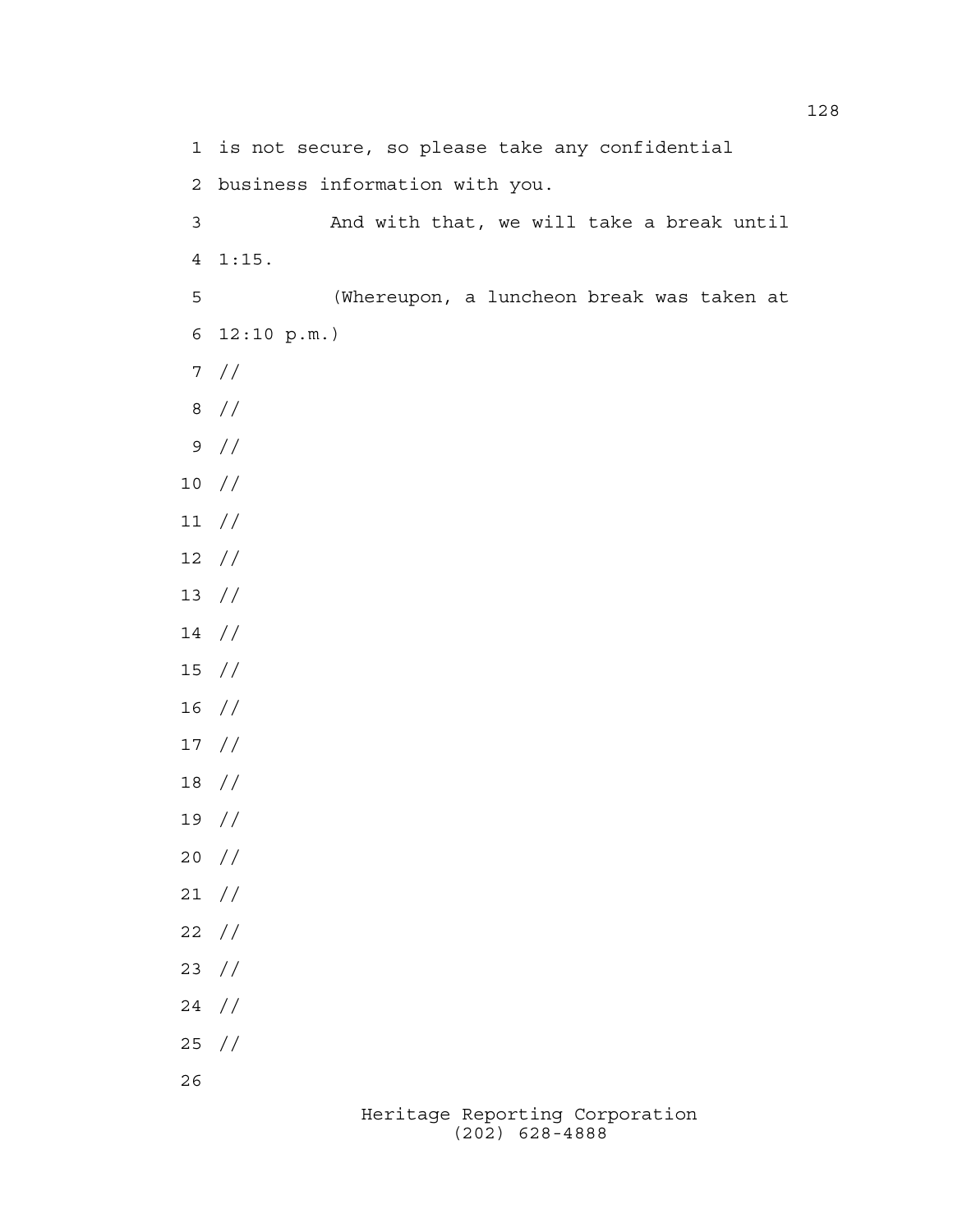Heritage Reporting Corporation 1 is not secure, so please take any confidential 2 business information with you. 3 And with that, we will take a break until 4 1:15. 5 (Whereupon, a luncheon break was taken at 6 12:10 p.m.) 7 // 8 // 9 // 10 // 11 // 12 // 13 // 14 // 15 // 16 // 17 // 18 // 19 // 20 // 21 // 22 // 23 // 24 // 25 // 26

(202) 628-4888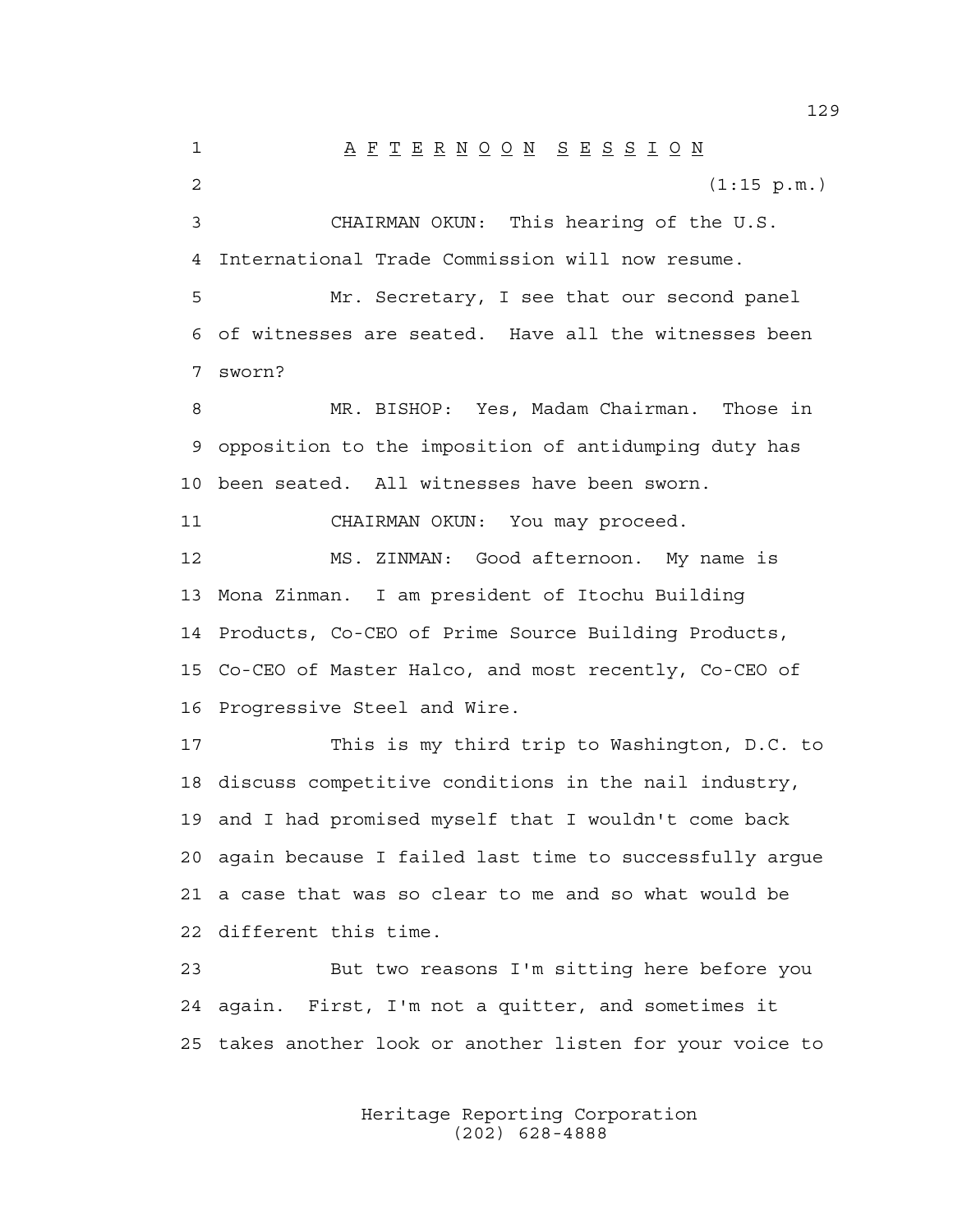1 A F T E R N O O N S E S S I O N 2 (1:15 p.m.) 3 CHAIRMAN OKUN: This hearing of the U.S. 4 International Trade Commission will now resume. 5 Mr. Secretary, I see that our second panel 6 of witnesses are seated. Have all the witnesses been 7 sworn? 8 MR. BISHOP: Yes, Madam Chairman. Those in 9 opposition to the imposition of antidumping duty has 10 been seated. All witnesses have been sworn. 11 CHAIRMAN OKUN: You may proceed. 12 MS. ZINMAN: Good afternoon. My name is 13 Mona Zinman. I am president of Itochu Building 14 Products, Co-CEO of Prime Source Building Products, 15 Co-CEO of Master Halco, and most recently, Co-CEO of 16 Progressive Steel and Wire. 17 This is my third trip to Washington, D.C. to 18 discuss competitive conditions in the nail industry, 19 and I had promised myself that I wouldn't come back 20 again because I failed last time to successfully argue 21 a case that was so clear to me and so what would be 22 different this time. 23 But two reasons I'm sitting here before you 24 again. First, I'm not a quitter, and sometimes it 25 takes another look or another listen for your voice to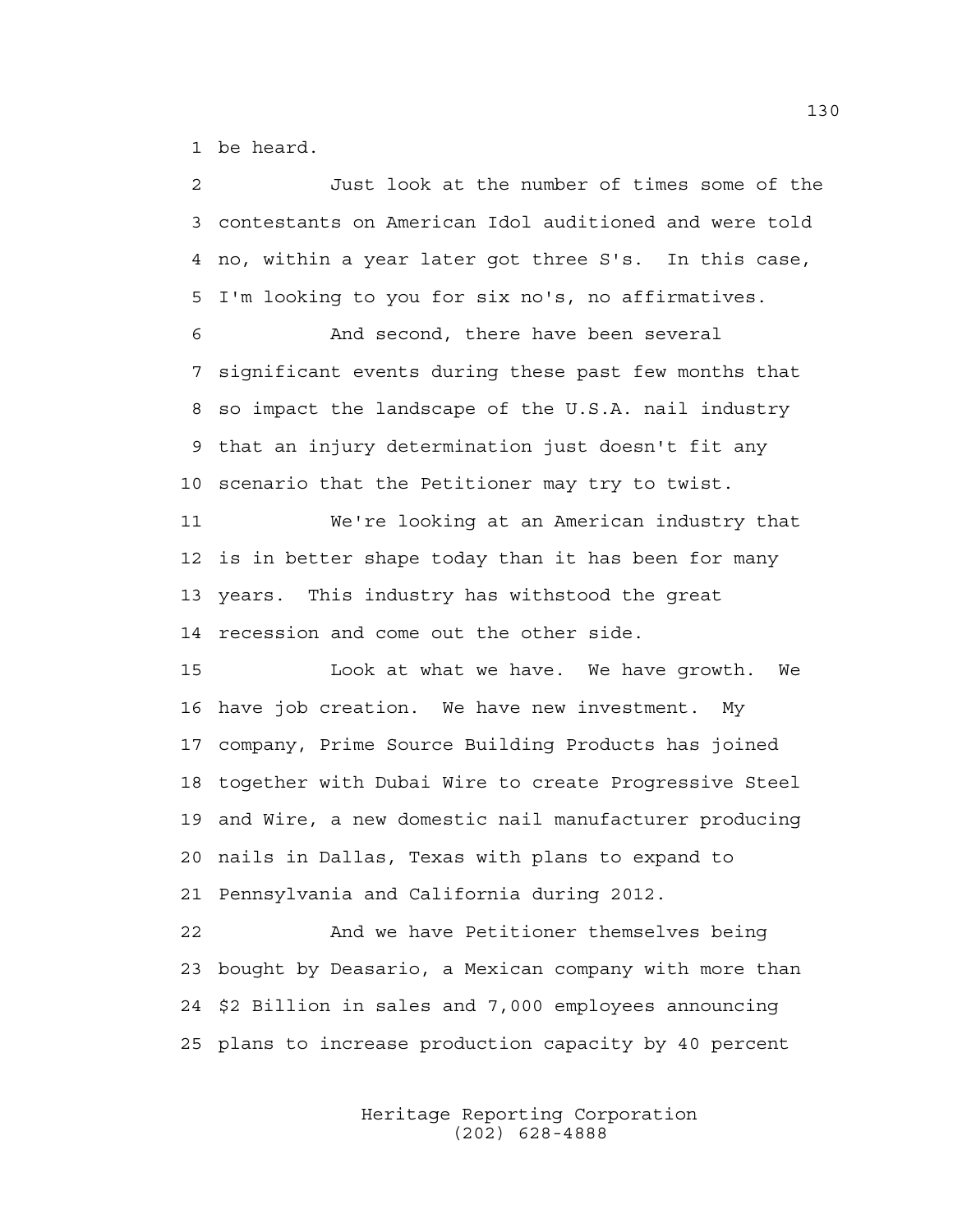1 be heard.

2 Just look at the number of times some of the 3 contestants on American Idol auditioned and were told 4 no, within a year later got three S's. In this case, 5 I'm looking to you for six no's, no affirmatives.

6 And second, there have been several 7 significant events during these past few months that 8 so impact the landscape of the U.S.A. nail industry 9 that an injury determination just doesn't fit any 10 scenario that the Petitioner may try to twist.

11 We're looking at an American industry that 12 is in better shape today than it has been for many 13 years. This industry has withstood the great 14 recession and come out the other side.

15 Look at what we have. We have growth. We 16 have job creation. We have new investment. My 17 company, Prime Source Building Products has joined 18 together with Dubai Wire to create Progressive Steel 19 and Wire, a new domestic nail manufacturer producing 20 nails in Dallas, Texas with plans to expand to 21 Pennsylvania and California during 2012.

22 And we have Petitioner themselves being 23 bought by Deasario, a Mexican company with more than 24 \$2 Billion in sales and 7,000 employees announcing 25 plans to increase production capacity by 40 percent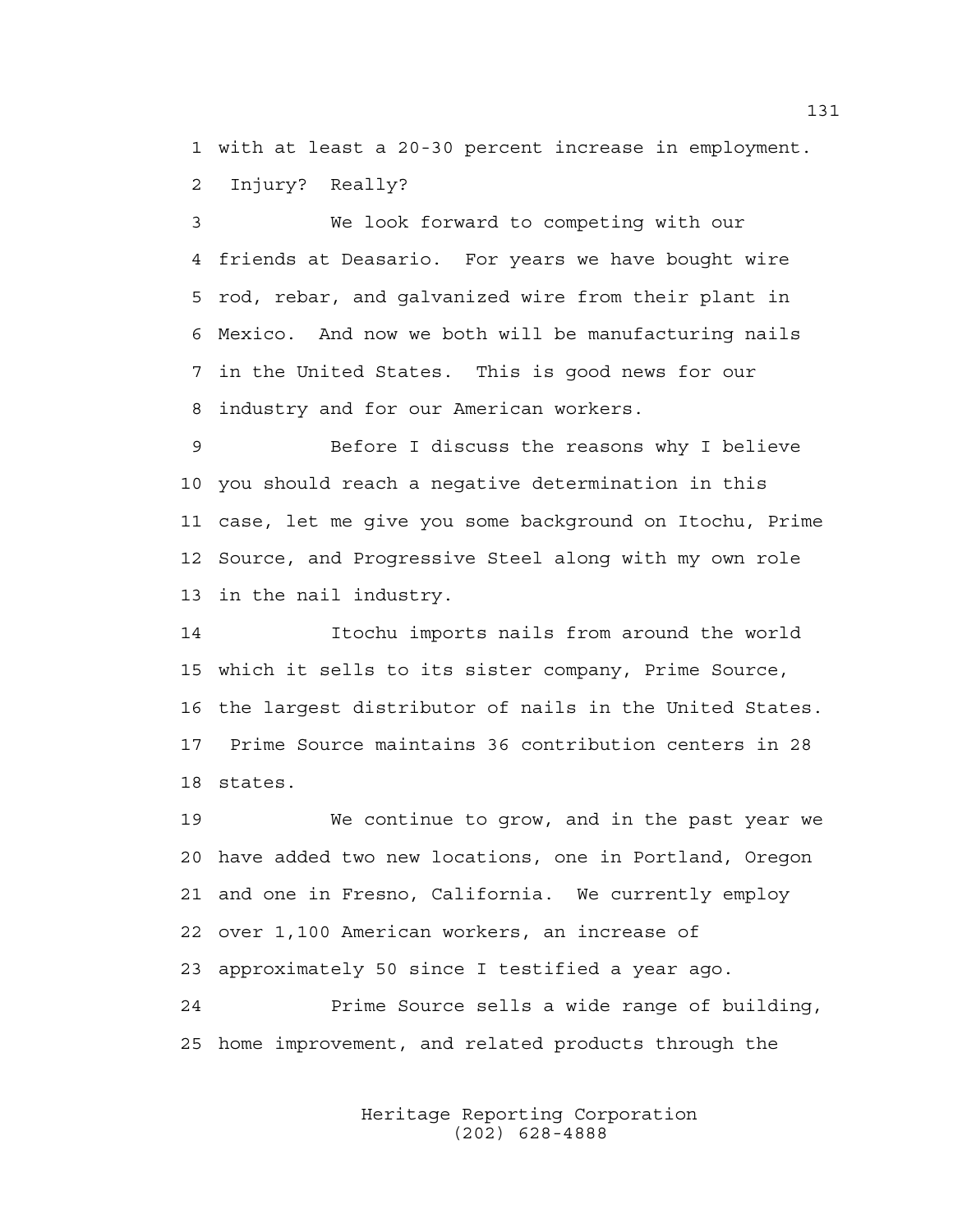1 with at least a 20-30 percent increase in employment. 2 Injury? Really?

3 We look forward to competing with our 4 friends at Deasario. For years we have bought wire 5 rod, rebar, and galvanized wire from their plant in 6 Mexico. And now we both will be manufacturing nails 7 in the United States. This is good news for our 8 industry and for our American workers.

9 Before I discuss the reasons why I believe 10 you should reach a negative determination in this 11 case, let me give you some background on Itochu, Prime 12 Source, and Progressive Steel along with my own role 13 in the nail industry.

14 Itochu imports nails from around the world 15 which it sells to its sister company, Prime Source, 16 the largest distributor of nails in the United States. 17 Prime Source maintains 36 contribution centers in 28 18 states.

19 We continue to grow, and in the past year we 20 have added two new locations, one in Portland, Oregon 21 and one in Fresno, California. We currently employ 22 over 1,100 American workers, an increase of 23 approximately 50 since I testified a year ago. 24 Prime Source sells a wide range of building, 25 home improvement, and related products through the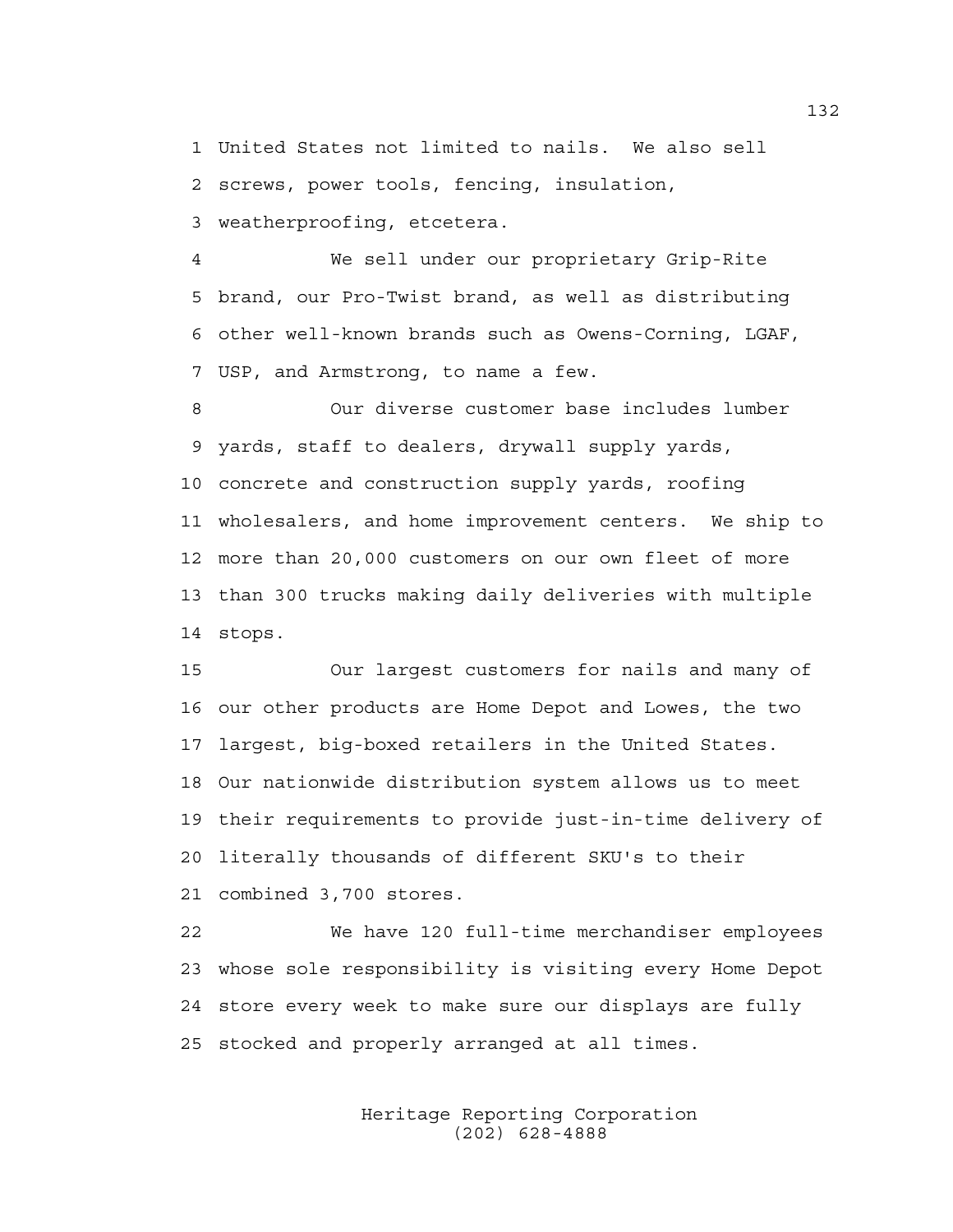1 United States not limited to nails. We also sell 2 screws, power tools, fencing, insulation, 3 weatherproofing, etcetera.

4 We sell under our proprietary Grip-Rite 5 brand, our Pro-Twist brand, as well as distributing 6 other well-known brands such as Owens-Corning, LGAF, 7 USP, and Armstrong, to name a few.

8 Our diverse customer base includes lumber 9 yards, staff to dealers, drywall supply yards, 10 concrete and construction supply yards, roofing 11 wholesalers, and home improvement centers. We ship to 12 more than 20,000 customers on our own fleet of more 13 than 300 trucks making daily deliveries with multiple 14 stops.

15 Our largest customers for nails and many of 16 our other products are Home Depot and Lowes, the two 17 largest, big-boxed retailers in the United States. 18 Our nationwide distribution system allows us to meet 19 their requirements to provide just-in-time delivery of 20 literally thousands of different SKU's to their 21 combined 3,700 stores.

22 We have 120 full-time merchandiser employees 23 whose sole responsibility is visiting every Home Depot 24 store every week to make sure our displays are fully 25 stocked and properly arranged at all times.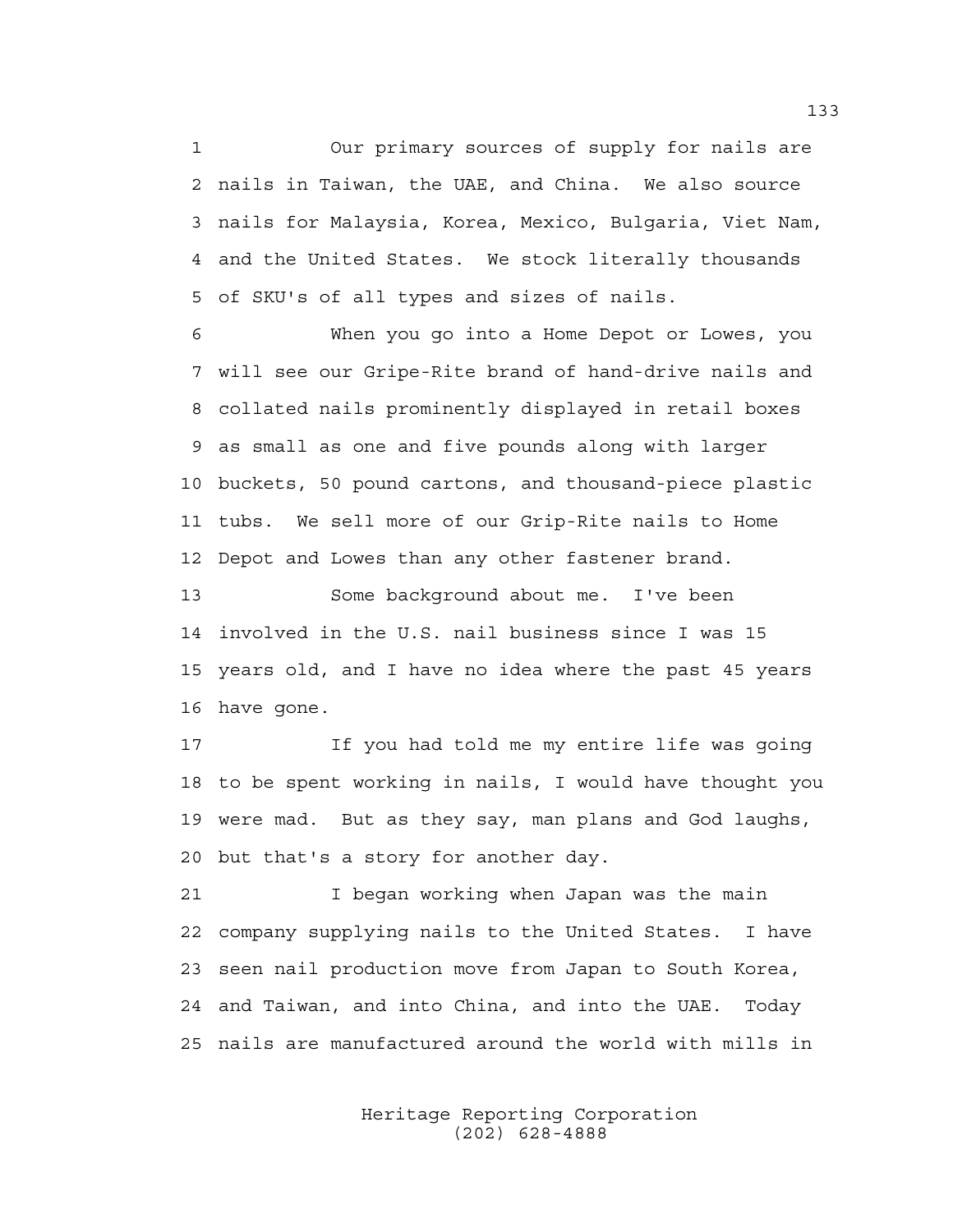1 Our primary sources of supply for nails are 2 nails in Taiwan, the UAE, and China. We also source 3 nails for Malaysia, Korea, Mexico, Bulgaria, Viet Nam, 4 and the United States. We stock literally thousands 5 of SKU's of all types and sizes of nails.

6 When you go into a Home Depot or Lowes, you 7 will see our Gripe-Rite brand of hand-drive nails and 8 collated nails prominently displayed in retail boxes 9 as small as one and five pounds along with larger 10 buckets, 50 pound cartons, and thousand-piece plastic 11 tubs. We sell more of our Grip-Rite nails to Home 12 Depot and Lowes than any other fastener brand.

13 Some background about me. I've been 14 involved in the U.S. nail business since I was 15 15 years old, and I have no idea where the past 45 years 16 have gone.

17 If you had told me my entire life was going 18 to be spent working in nails, I would have thought you 19 were mad. But as they say, man plans and God laughs, 20 but that's a story for another day.

21 I began working when Japan was the main 22 company supplying nails to the United States. I have 23 seen nail production move from Japan to South Korea, 24 and Taiwan, and into China, and into the UAE. Today 25 nails are manufactured around the world with mills in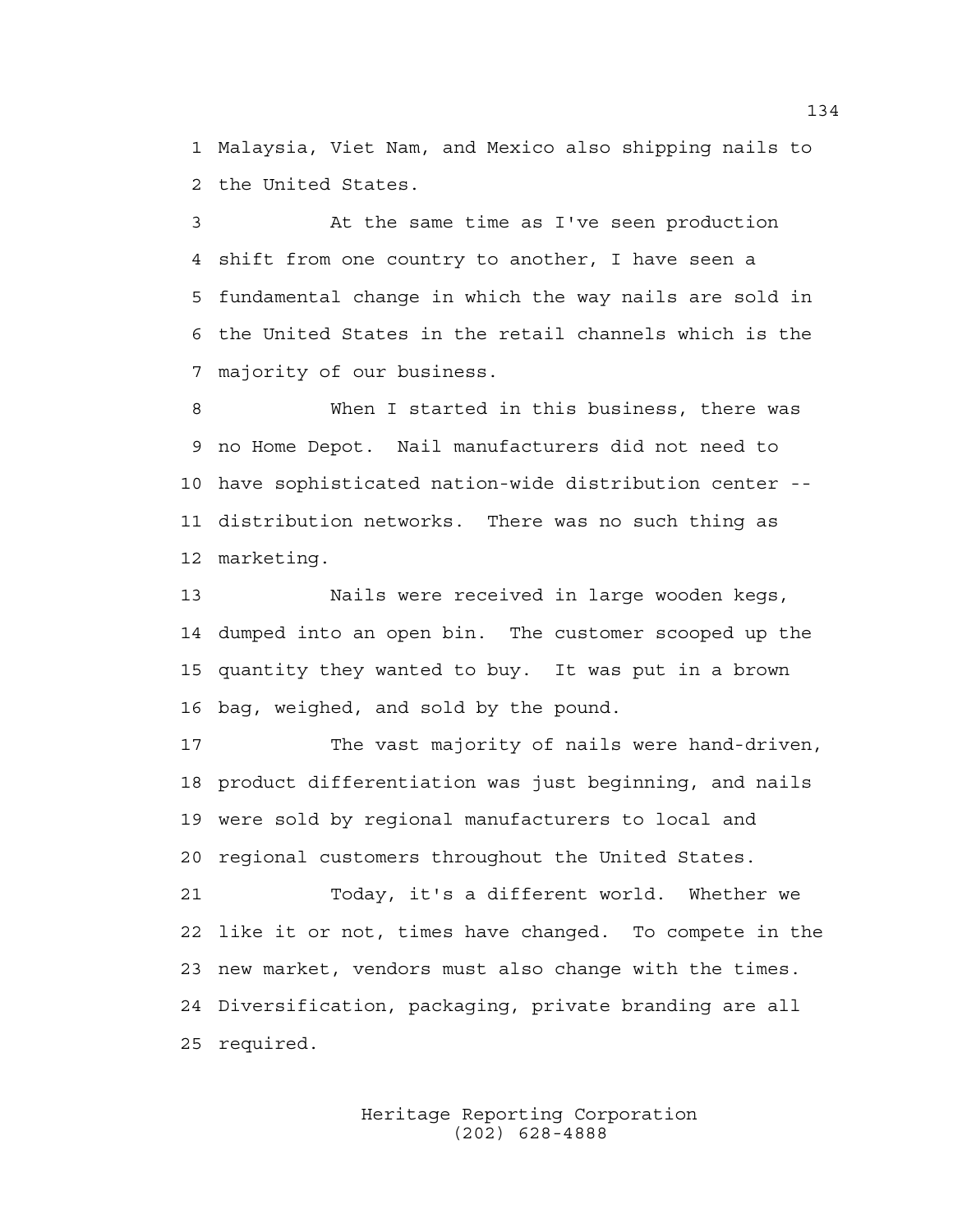1 Malaysia, Viet Nam, and Mexico also shipping nails to 2 the United States.

3 At the same time as I've seen production 4 shift from one country to another, I have seen a 5 fundamental change in which the way nails are sold in 6 the United States in the retail channels which is the 7 majority of our business.

8 When I started in this business, there was 9 no Home Depot. Nail manufacturers did not need to 10 have sophisticated nation-wide distribution center -- 11 distribution networks. There was no such thing as 12 marketing.

13 Nails were received in large wooden kegs, 14 dumped into an open bin. The customer scooped up the 15 quantity they wanted to buy. It was put in a brown 16 bag, weighed, and sold by the pound.

17 The vast majority of nails were hand-driven, 18 product differentiation was just beginning, and nails 19 were sold by regional manufacturers to local and 20 regional customers throughout the United States.

21 Today, it's a different world. Whether we 22 like it or not, times have changed. To compete in the 23 new market, vendors must also change with the times. 24 Diversification, packaging, private branding are all 25 required.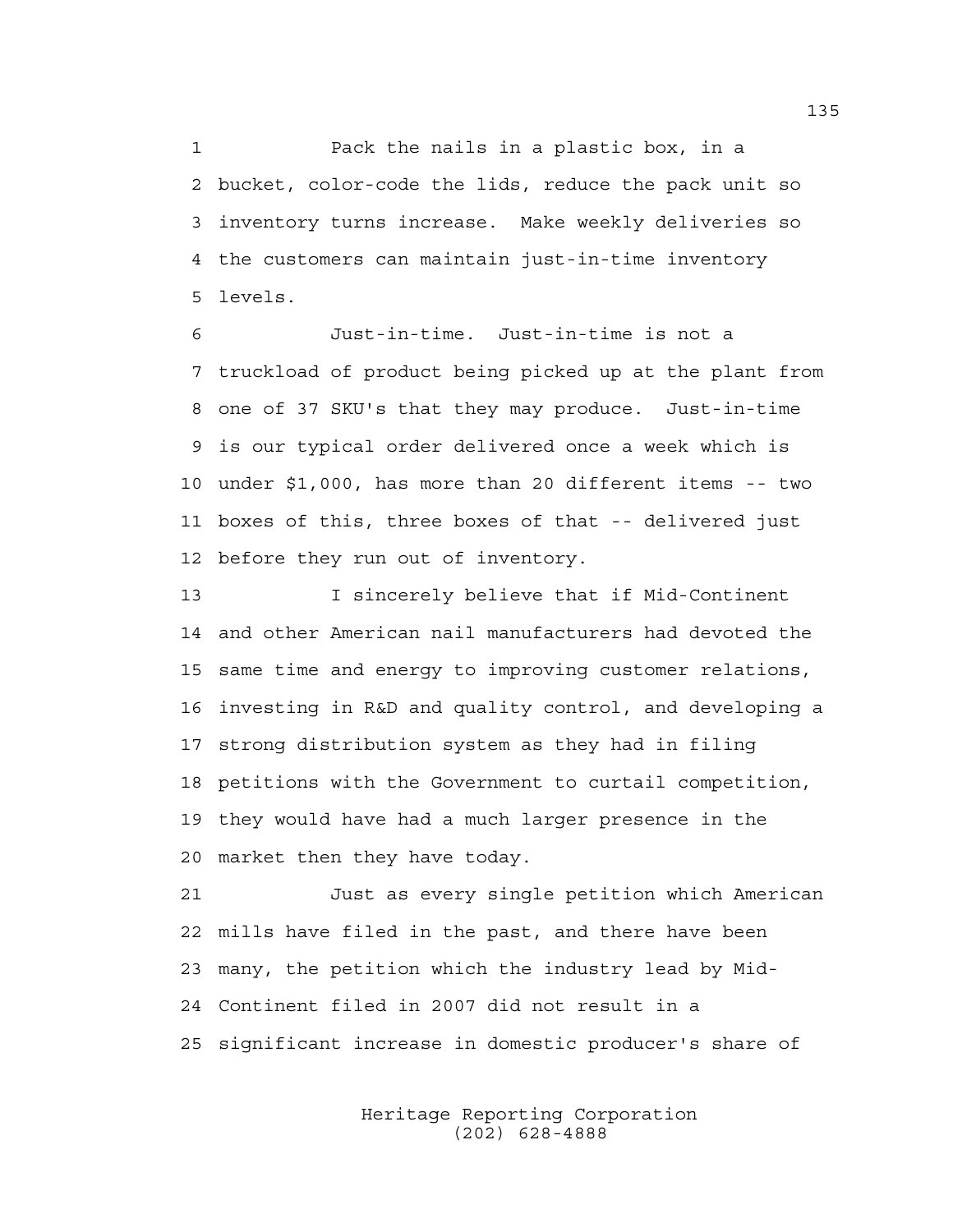1 Pack the nails in a plastic box, in a 2 bucket, color-code the lids, reduce the pack unit so 3 inventory turns increase. Make weekly deliveries so 4 the customers can maintain just-in-time inventory 5 levels.

6 Just-in-time. Just-in-time is not a 7 truckload of product being picked up at the plant from 8 one of 37 SKU's that they may produce. Just-in-time 9 is our typical order delivered once a week which is 10 under \$1,000, has more than 20 different items -- two 11 boxes of this, three boxes of that -- delivered just 12 before they run out of inventory.

13 I sincerely believe that if Mid-Continent 14 and other American nail manufacturers had devoted the 15 same time and energy to improving customer relations, 16 investing in R&D and quality control, and developing a 17 strong distribution system as they had in filing 18 petitions with the Government to curtail competition, 19 they would have had a much larger presence in the 20 market then they have today.

21 Just as every single petition which American 22 mills have filed in the past, and there have been 23 many, the petition which the industry lead by Mid-24 Continent filed in 2007 did not result in a 25 significant increase in domestic producer's share of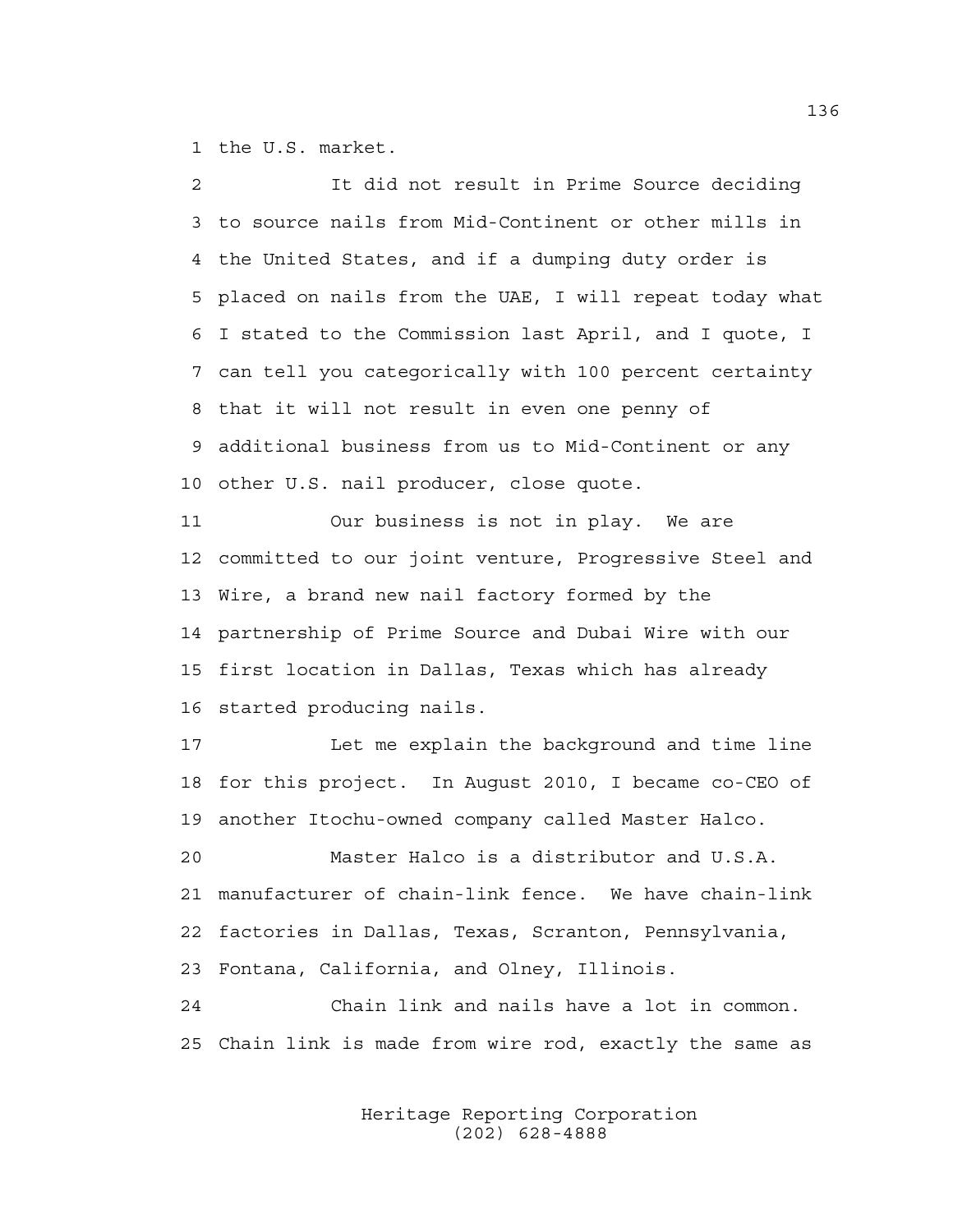1 the U.S. market.

2 It did not result in Prime Source deciding 3 to source nails from Mid-Continent or other mills in 4 the United States, and if a dumping duty order is 5 placed on nails from the UAE, I will repeat today what 6 I stated to the Commission last April, and I quote, I 7 can tell you categorically with 100 percent certainty 8 that it will not result in even one penny of 9 additional business from us to Mid-Continent or any 10 other U.S. nail producer, close quote. 11 Our business is not in play. We are 12 committed to our joint venture, Progressive Steel and 13 Wire, a brand new nail factory formed by the 14 partnership of Prime Source and Dubai Wire with our 15 first location in Dallas, Texas which has already 16 started producing nails. 17 Let me explain the background and time line

18 for this project. In August 2010, I became co-CEO of 19 another Itochu-owned company called Master Halco.

20 Master Halco is a distributor and U.S.A. 21 manufacturer of chain-link fence. We have chain-link 22 factories in Dallas, Texas, Scranton, Pennsylvania, 23 Fontana, California, and Olney, Illinois.

24 Chain link and nails have a lot in common. 25 Chain link is made from wire rod, exactly the same as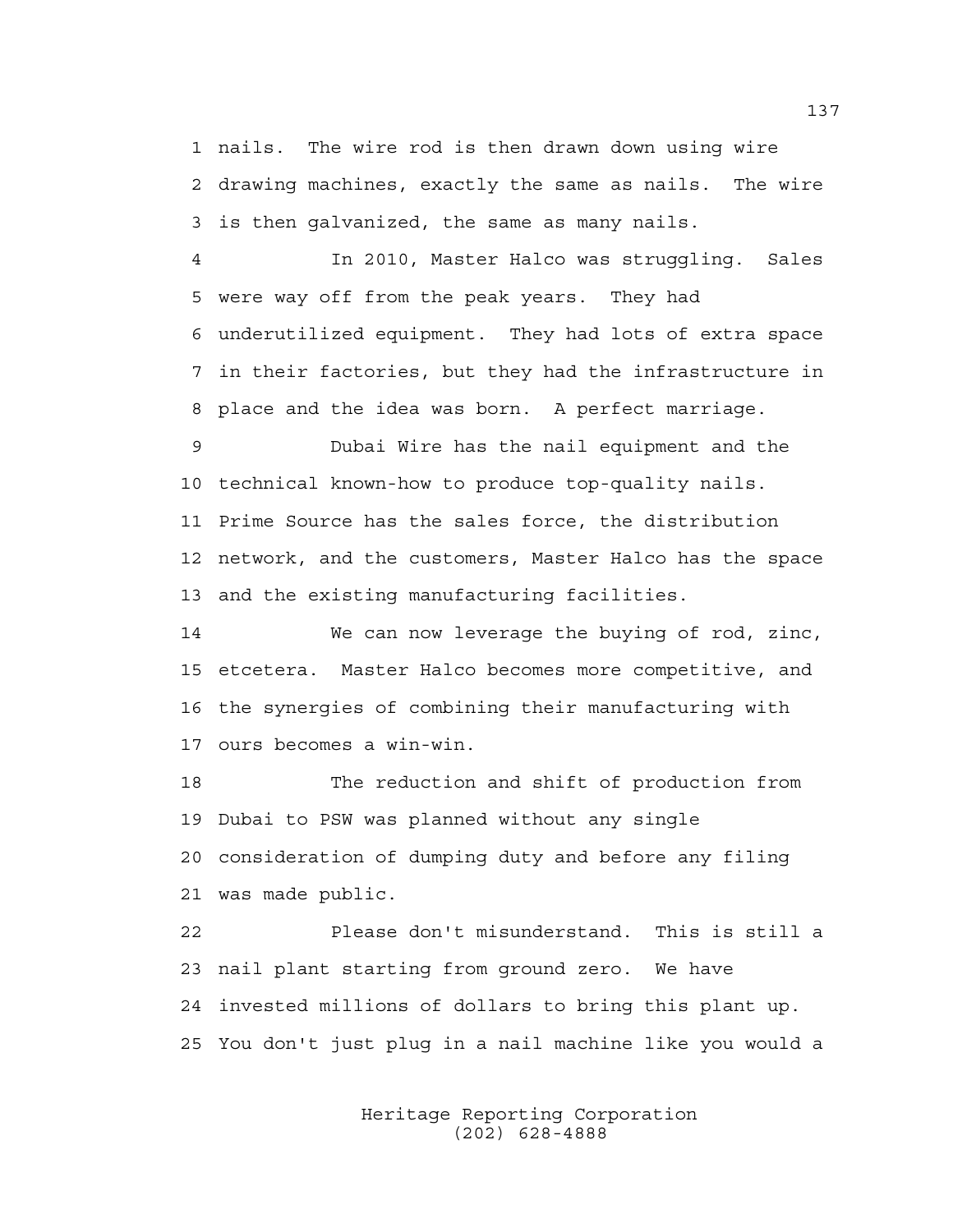1 nails. The wire rod is then drawn down using wire 2 drawing machines, exactly the same as nails. The wire 3 is then galvanized, the same as many nails.

4 In 2010, Master Halco was struggling. Sales 5 were way off from the peak years. They had 6 underutilized equipment. They had lots of extra space 7 in their factories, but they had the infrastructure in 8 place and the idea was born. A perfect marriage.

9 Dubai Wire has the nail equipment and the 10 technical known-how to produce top-quality nails. 11 Prime Source has the sales force, the distribution 12 network, and the customers, Master Halco has the space 13 and the existing manufacturing facilities.

14 We can now leverage the buying of rod, zinc, 15 etcetera. Master Halco becomes more competitive, and 16 the synergies of combining their manufacturing with 17 ours becomes a win-win.

18 The reduction and shift of production from 19 Dubai to PSW was planned without any single 20 consideration of dumping duty and before any filing 21 was made public.

22 Please don't misunderstand. This is still a 23 nail plant starting from ground zero. We have 24 invested millions of dollars to bring this plant up. 25 You don't just plug in a nail machine like you would a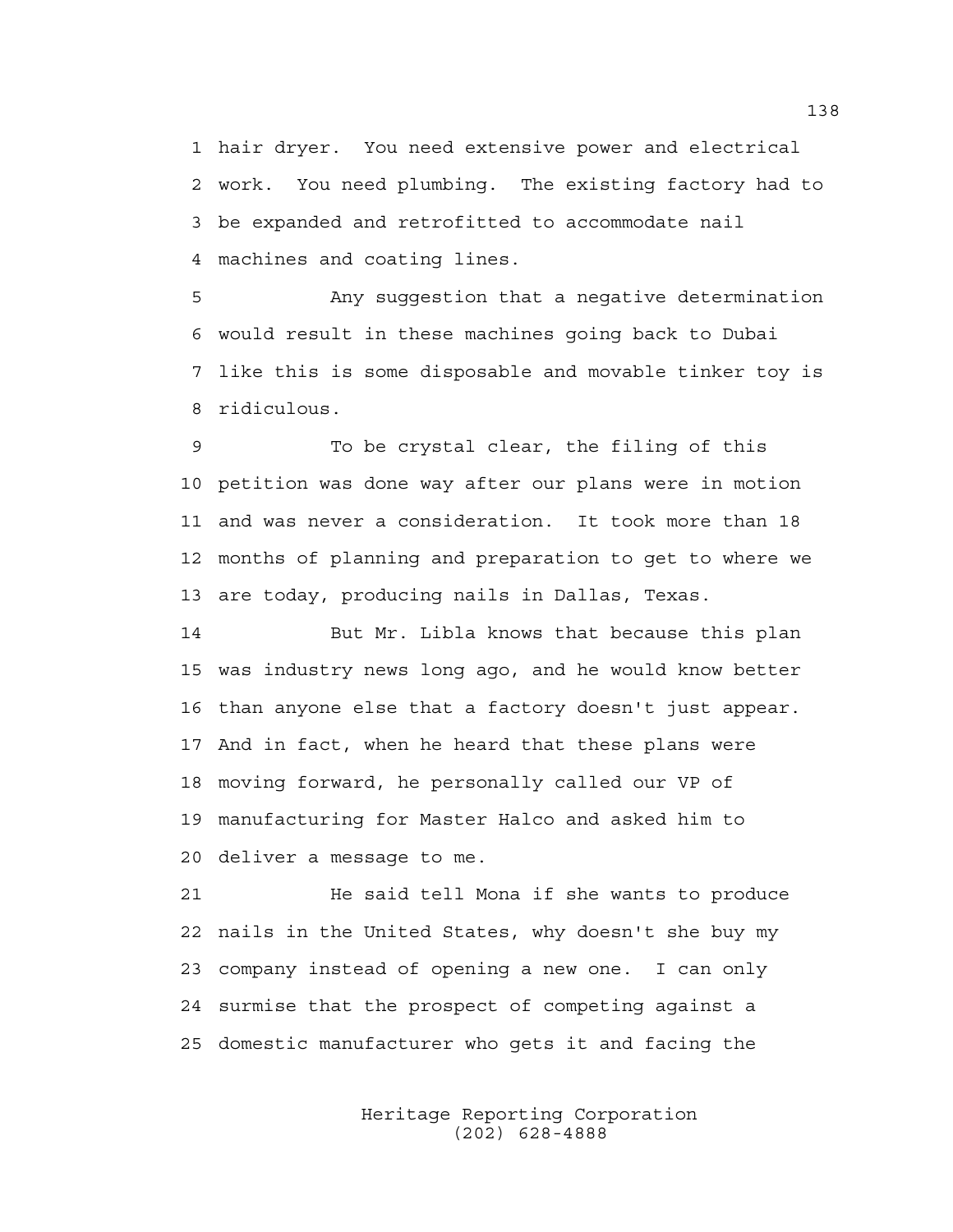1 hair dryer. You need extensive power and electrical 2 work. You need plumbing. The existing factory had to 3 be expanded and retrofitted to accommodate nail 4 machines and coating lines.

5 Any suggestion that a negative determination 6 would result in these machines going back to Dubai 7 like this is some disposable and movable tinker toy is 8 ridiculous.

9 To be crystal clear, the filing of this 10 petition was done way after our plans were in motion 11 and was never a consideration. It took more than 18 12 months of planning and preparation to get to where we 13 are today, producing nails in Dallas, Texas.

14 But Mr. Libla knows that because this plan 15 was industry news long ago, and he would know better 16 than anyone else that a factory doesn't just appear. 17 And in fact, when he heard that these plans were 18 moving forward, he personally called our VP of 19 manufacturing for Master Halco and asked him to 20 deliver a message to me.

21 He said tell Mona if she wants to produce 22 nails in the United States, why doesn't she buy my 23 company instead of opening a new one. I can only 24 surmise that the prospect of competing against a 25 domestic manufacturer who gets it and facing the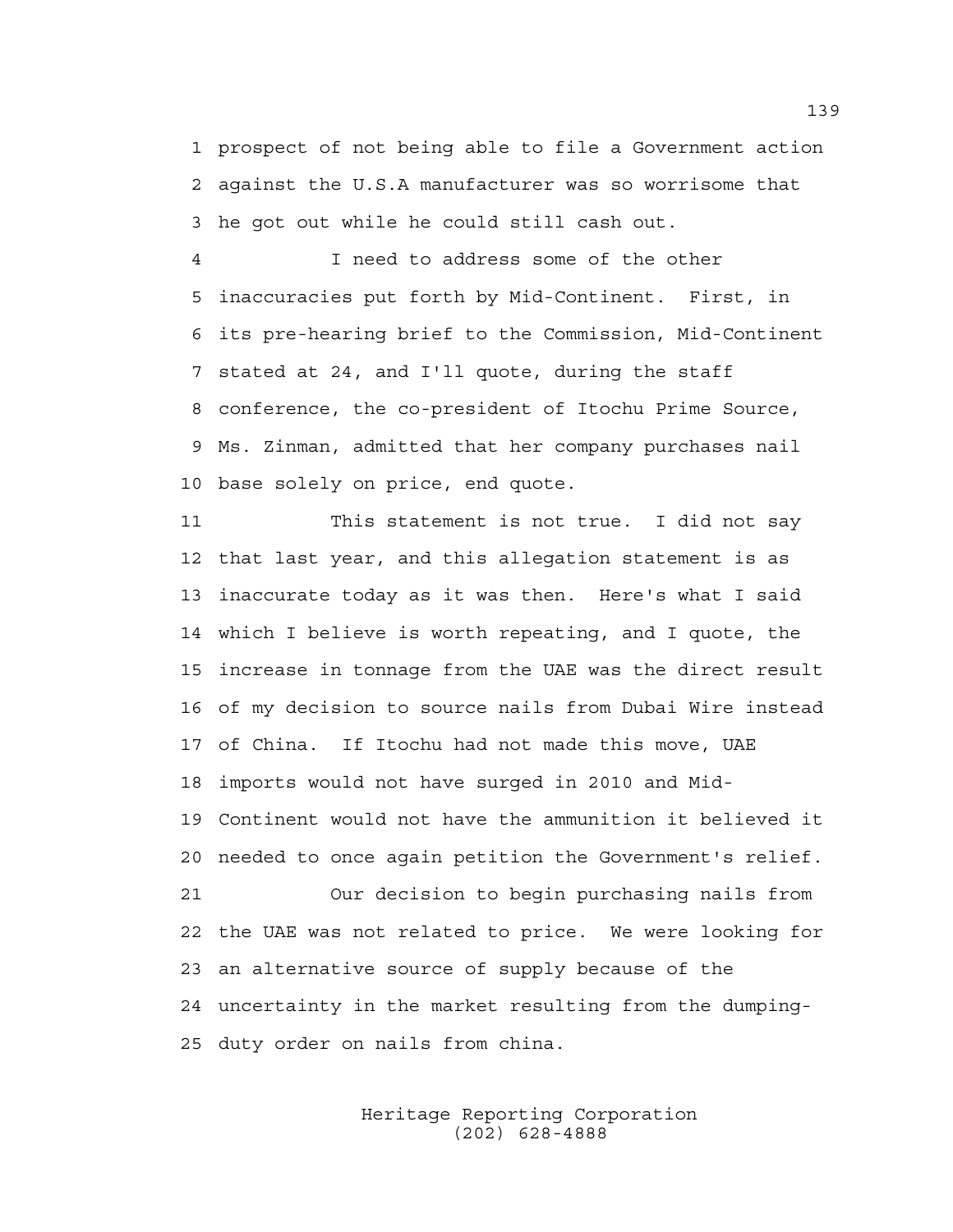1 prospect of not being able to file a Government action 2 against the U.S.A manufacturer was so worrisome that 3 he got out while he could still cash out.

4 I need to address some of the other 5 inaccuracies put forth by Mid-Continent. First, in 6 its pre-hearing brief to the Commission, Mid-Continent 7 stated at 24, and I'll quote, during the staff 8 conference, the co-president of Itochu Prime Source, 9 Ms. Zinman, admitted that her company purchases nail 10 base solely on price, end quote.

11 This statement is not true. I did not say 12 that last year, and this allegation statement is as 13 inaccurate today as it was then. Here's what I said 14 which I believe is worth repeating, and I quote, the 15 increase in tonnage from the UAE was the direct result 16 of my decision to source nails from Dubai Wire instead 17 of China. If Itochu had not made this move, UAE 18 imports would not have surged in 2010 and Mid-19 Continent would not have the ammunition it believed it 20 needed to once again petition the Government's relief. 21 Our decision to begin purchasing nails from 22 the UAE was not related to price. We were looking for 23 an alternative source of supply because of the 24 uncertainty in the market resulting from the dumping-25 duty order on nails from china.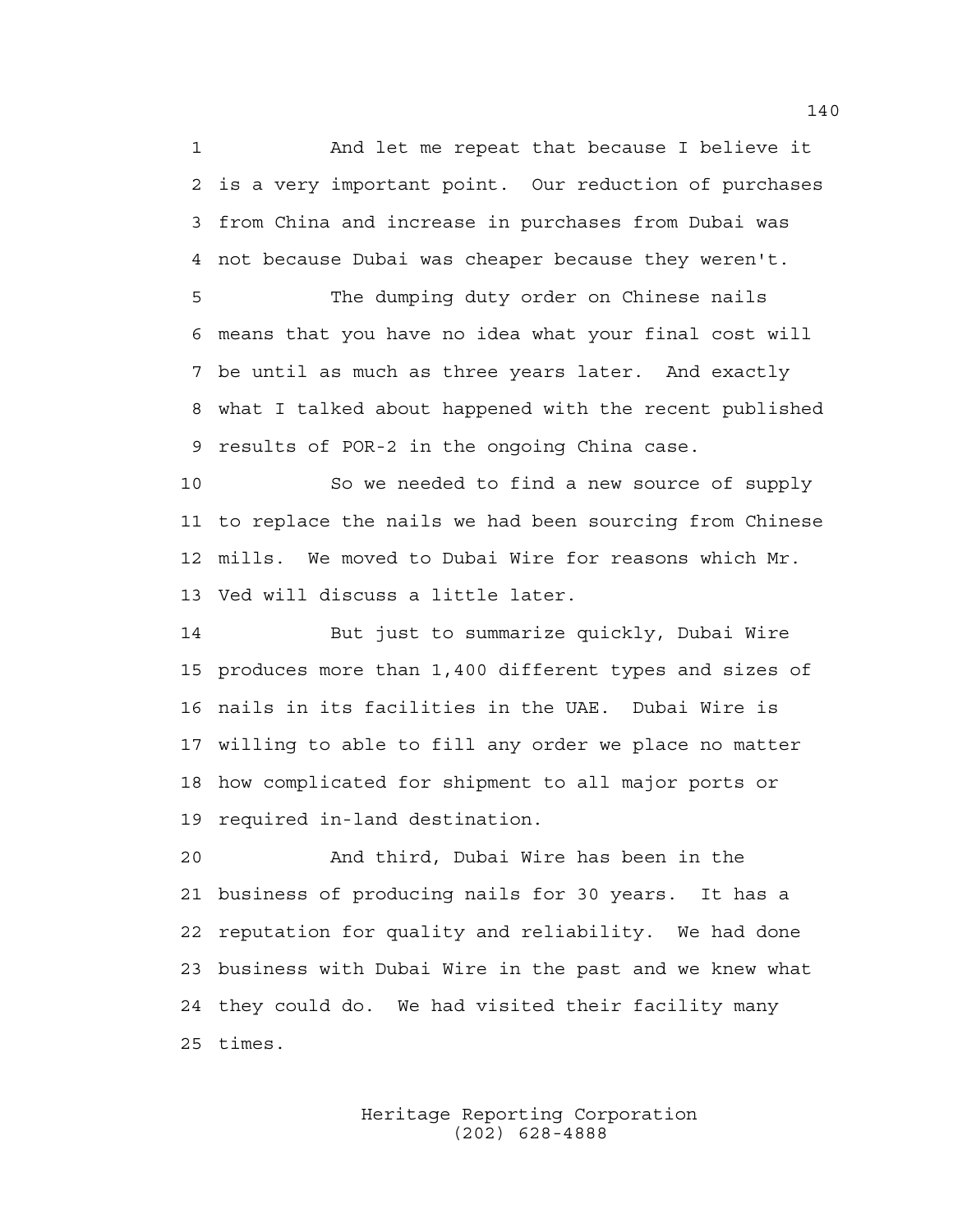1 And let me repeat that because I believe it 2 is a very important point. Our reduction of purchases 3 from China and increase in purchases from Dubai was 4 not because Dubai was cheaper because they weren't.

5 The dumping duty order on Chinese nails 6 means that you have no idea what your final cost will 7 be until as much as three years later. And exactly 8 what I talked about happened with the recent published 9 results of POR-2 in the ongoing China case.

10 So we needed to find a new source of supply 11 to replace the nails we had been sourcing from Chinese 12 mills. We moved to Dubai Wire for reasons which Mr. 13 Ved will discuss a little later.

14 But just to summarize quickly, Dubai Wire 15 produces more than 1,400 different types and sizes of 16 nails in its facilities in the UAE. Dubai Wire is 17 willing to able to fill any order we place no matter 18 how complicated for shipment to all major ports or 19 required in-land destination.

20 And third, Dubai Wire has been in the 21 business of producing nails for 30 years. It has a 22 reputation for quality and reliability. We had done 23 business with Dubai Wire in the past and we knew what 24 they could do. We had visited their facility many 25 times.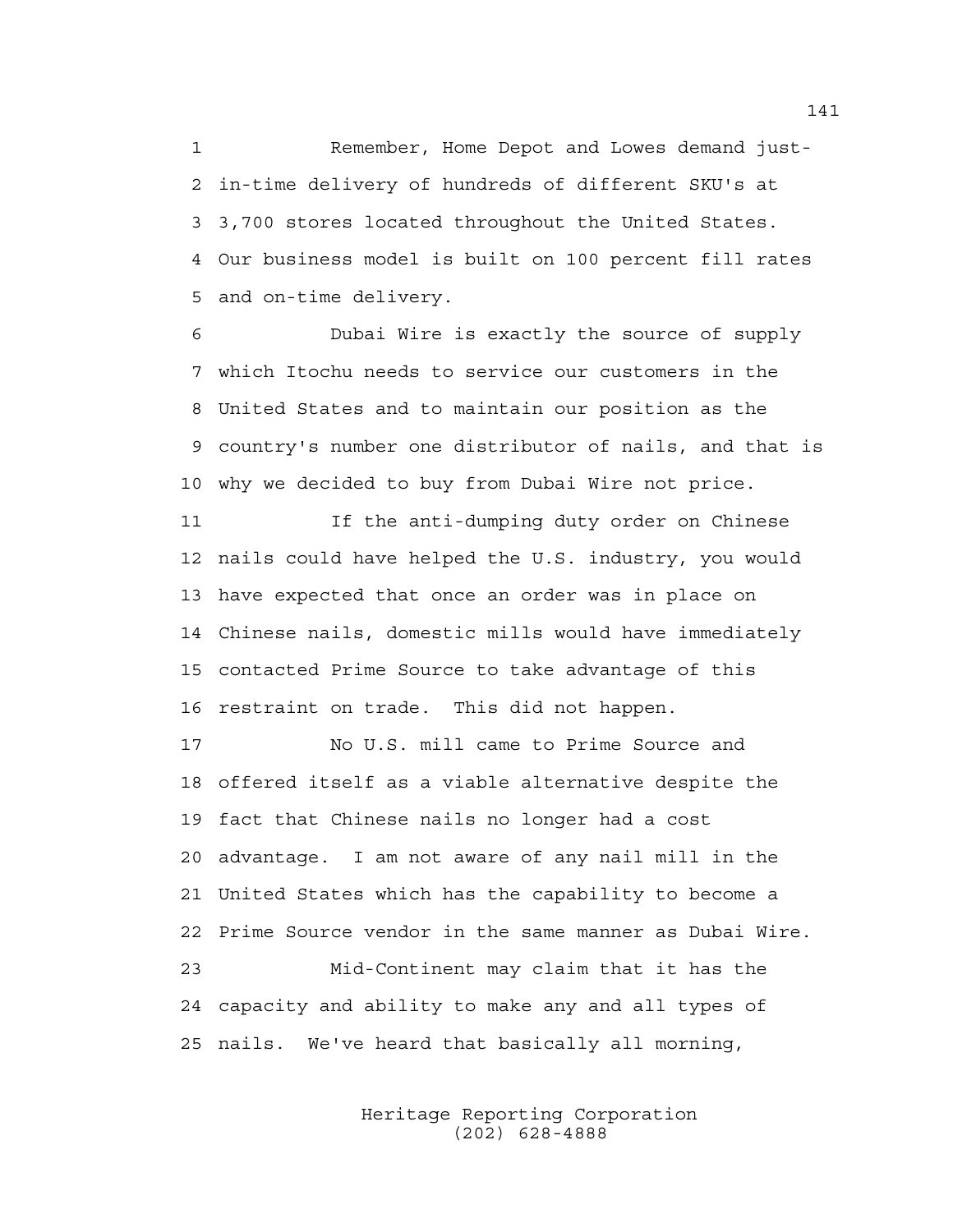1 Remember, Home Depot and Lowes demand just-2 in-time delivery of hundreds of different SKU's at 3 3,700 stores located throughout the United States. 4 Our business model is built on 100 percent fill rates 5 and on-time delivery.

6 Dubai Wire is exactly the source of supply 7 which Itochu needs to service our customers in the 8 United States and to maintain our position as the 9 country's number one distributor of nails, and that is 10 why we decided to buy from Dubai Wire not price.

11 If the anti-dumping duty order on Chinese 12 nails could have helped the U.S. industry, you would 13 have expected that once an order was in place on 14 Chinese nails, domestic mills would have immediately 15 contacted Prime Source to take advantage of this 16 restraint on trade. This did not happen.

17 No U.S. mill came to Prime Source and 18 offered itself as a viable alternative despite the 19 fact that Chinese nails no longer had a cost 20 advantage. I am not aware of any nail mill in the 21 United States which has the capability to become a 22 Prime Source vendor in the same manner as Dubai Wire. 23 Mid-Continent may claim that it has the 24 capacity and ability to make any and all types of 25 nails. We've heard that basically all morning,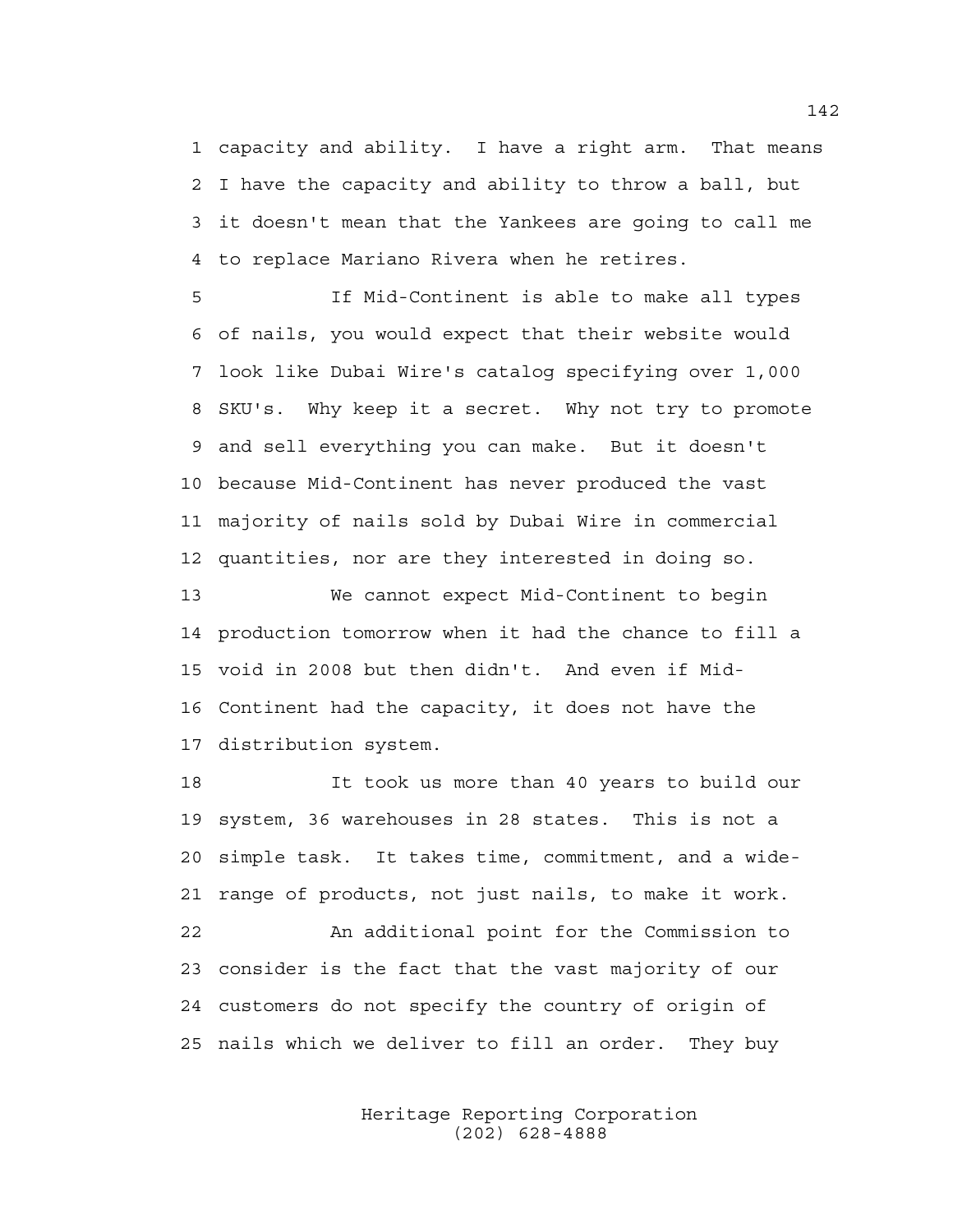1 capacity and ability. I have a right arm. That means 2 I have the capacity and ability to throw a ball, but 3 it doesn't mean that the Yankees are going to call me 4 to replace Mariano Rivera when he retires.

5 If Mid-Continent is able to make all types 6 of nails, you would expect that their website would 7 look like Dubai Wire's catalog specifying over 1,000 8 SKU's. Why keep it a secret. Why not try to promote 9 and sell everything you can make. But it doesn't 10 because Mid-Continent has never produced the vast 11 majority of nails sold by Dubai Wire in commercial 12 quantities, nor are they interested in doing so.

13 We cannot expect Mid-Continent to begin 14 production tomorrow when it had the chance to fill a 15 void in 2008 but then didn't. And even if Mid-16 Continent had the capacity, it does not have the 17 distribution system.

18 It took us more than 40 years to build our 19 system, 36 warehouses in 28 states. This is not a 20 simple task. It takes time, commitment, and a wide-21 range of products, not just nails, to make it work. 22 An additional point for the Commission to 23 consider is the fact that the vast majority of our 24 customers do not specify the country of origin of 25 nails which we deliver to fill an order. They buy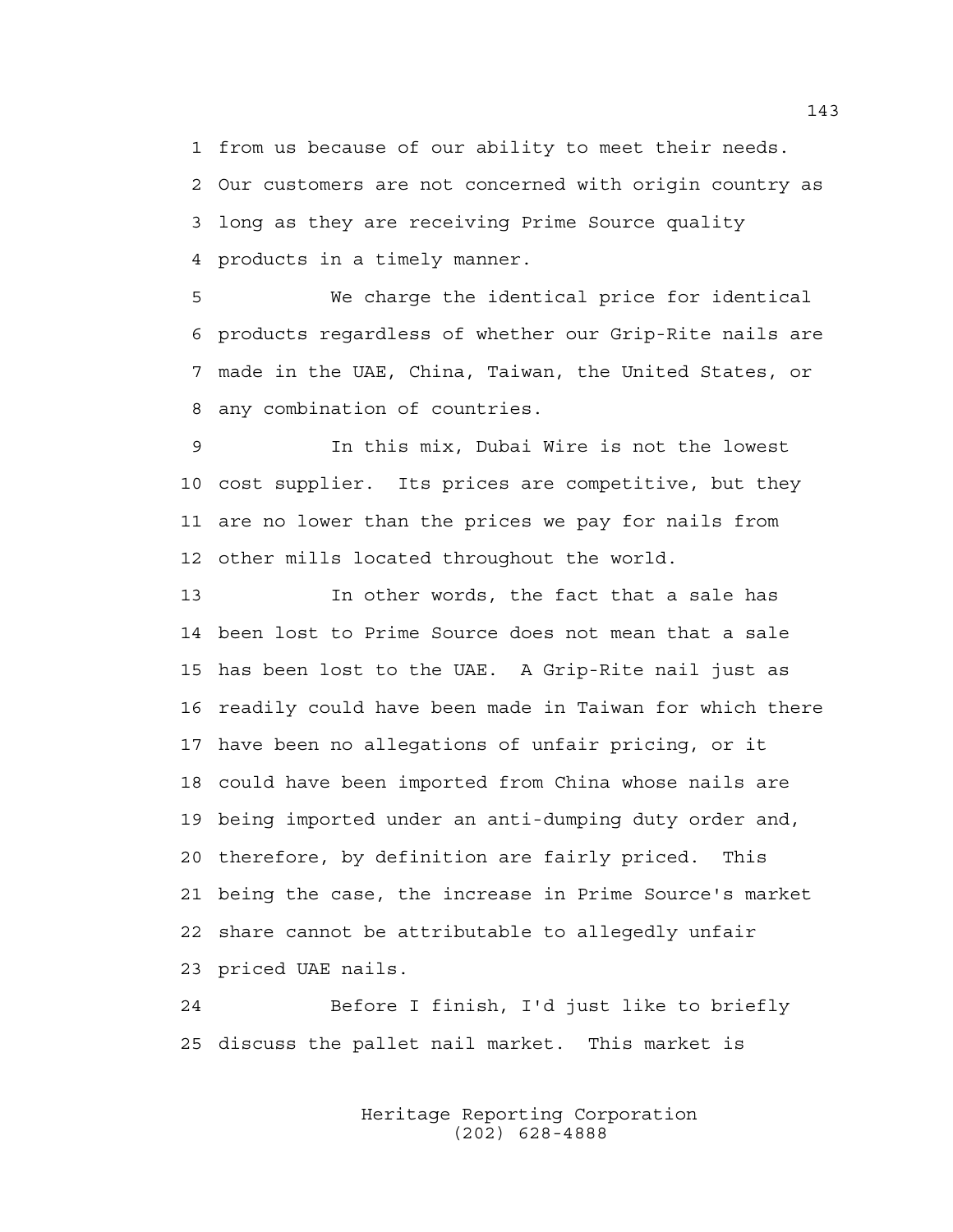1 from us because of our ability to meet their needs. 2 Our customers are not concerned with origin country as 3 long as they are receiving Prime Source quality 4 products in a timely manner.

5 We charge the identical price for identical 6 products regardless of whether our Grip-Rite nails are 7 made in the UAE, China, Taiwan, the United States, or 8 any combination of countries.

9 In this mix, Dubai Wire is not the lowest 10 cost supplier. Its prices are competitive, but they 11 are no lower than the prices we pay for nails from 12 other mills located throughout the world.

13 In other words, the fact that a sale has 14 been lost to Prime Source does not mean that a sale 15 has been lost to the UAE. A Grip-Rite nail just as 16 readily could have been made in Taiwan for which there 17 have been no allegations of unfair pricing, or it 18 could have been imported from China whose nails are 19 being imported under an anti-dumping duty order and, 20 therefore, by definition are fairly priced. This 21 being the case, the increase in Prime Source's market 22 share cannot be attributable to allegedly unfair 23 priced UAE nails.

24 Before I finish, I'd just like to briefly 25 discuss the pallet nail market. This market is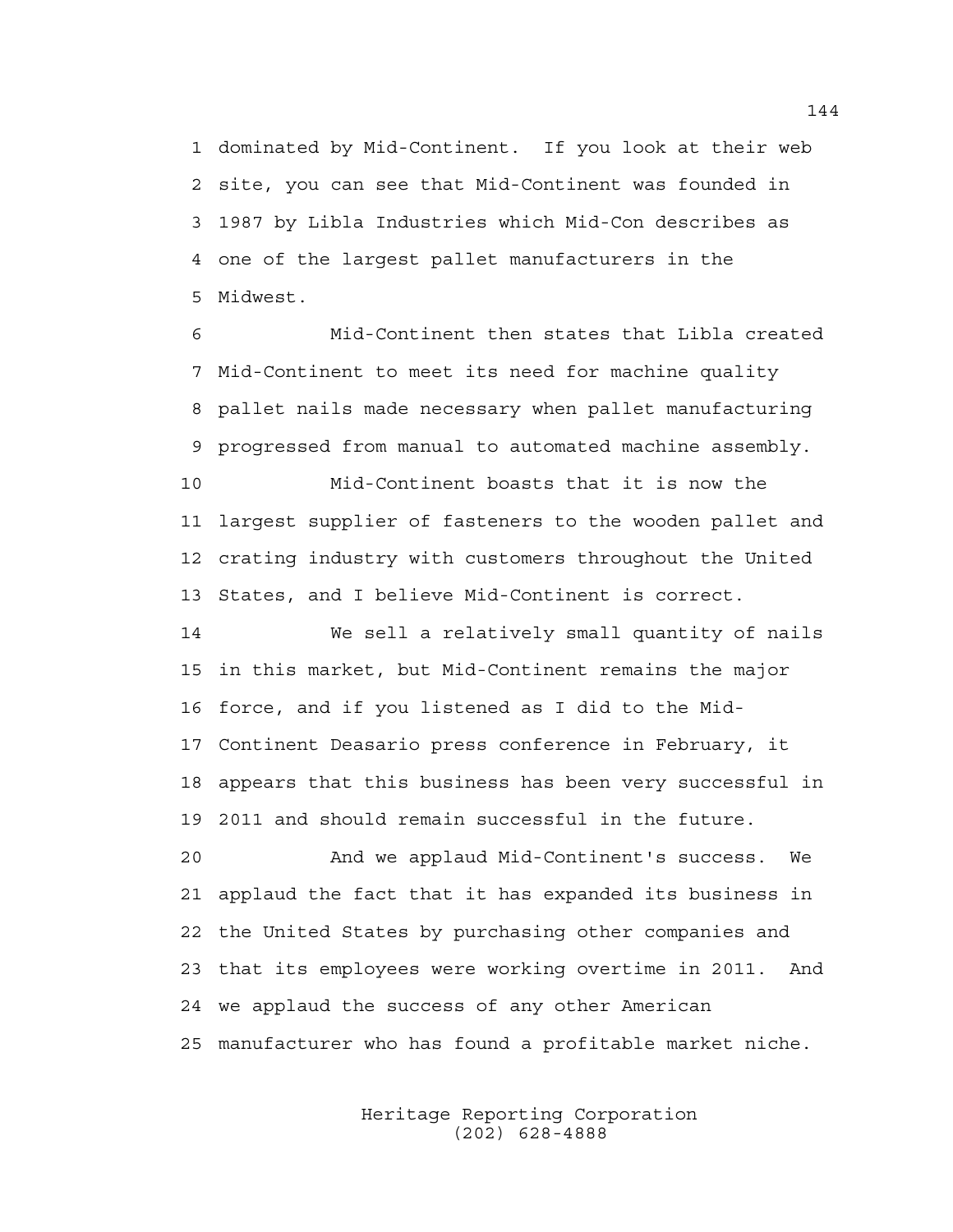1 dominated by Mid-Continent. If you look at their web 2 site, you can see that Mid-Continent was founded in 3 1987 by Libla Industries which Mid-Con describes as 4 one of the largest pallet manufacturers in the 5 Midwest.

6 Mid-Continent then states that Libla created 7 Mid-Continent to meet its need for machine quality 8 pallet nails made necessary when pallet manufacturing 9 progressed from manual to automated machine assembly.

10 Mid-Continent boasts that it is now the 11 largest supplier of fasteners to the wooden pallet and 12 crating industry with customers throughout the United 13 States, and I believe Mid-Continent is correct.

14 We sell a relatively small quantity of nails 15 in this market, but Mid-Continent remains the major 16 force, and if you listened as I did to the Mid-17 Continent Deasario press conference in February, it 18 appears that this business has been very successful in 19 2011 and should remain successful in the future.

20 And we applaud Mid-Continent's success. We 21 applaud the fact that it has expanded its business in 22 the United States by purchasing other companies and 23 that its employees were working overtime in 2011. And 24 we applaud the success of any other American 25 manufacturer who has found a profitable market niche.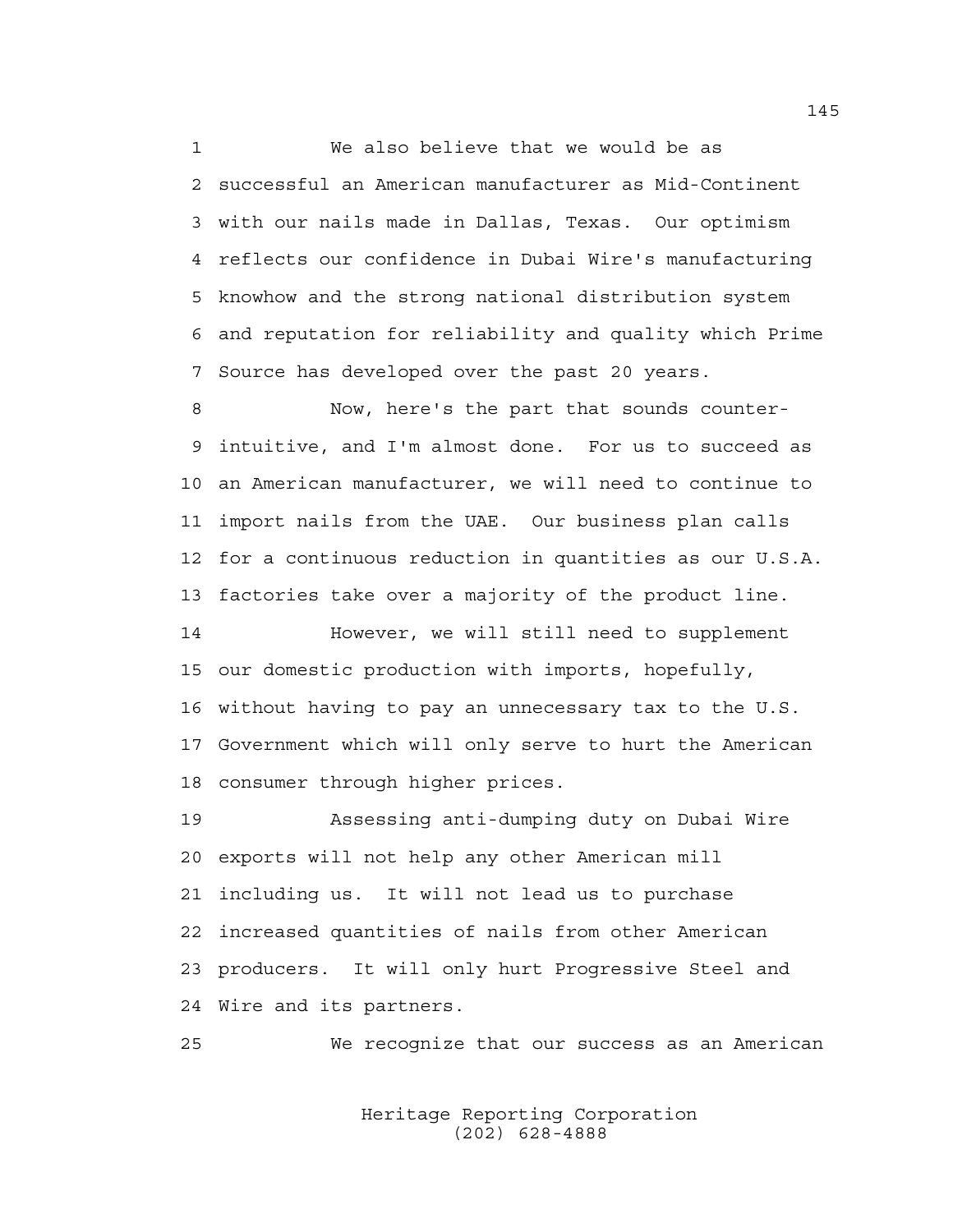1 We also believe that we would be as 2 successful an American manufacturer as Mid-Continent 3 with our nails made in Dallas, Texas. Our optimism 4 reflects our confidence in Dubai Wire's manufacturing 5 knowhow and the strong national distribution system 6 and reputation for reliability and quality which Prime 7 Source has developed over the past 20 years.

8 Now, here's the part that sounds counter-9 intuitive, and I'm almost done. For us to succeed as 10 an American manufacturer, we will need to continue to 11 import nails from the UAE. Our business plan calls 12 for a continuous reduction in quantities as our U.S.A. 13 factories take over a majority of the product line.

14 However, we will still need to supplement 15 our domestic production with imports, hopefully, 16 without having to pay an unnecessary tax to the U.S. 17 Government which will only serve to hurt the American 18 consumer through higher prices.

19 Assessing anti-dumping duty on Dubai Wire 20 exports will not help any other American mill 21 including us. It will not lead us to purchase 22 increased quantities of nails from other American 23 producers. It will only hurt Progressive Steel and 24 Wire and its partners.

25 We recognize that our success as an American

 Heritage Reporting Corporation (202) 628-4888

145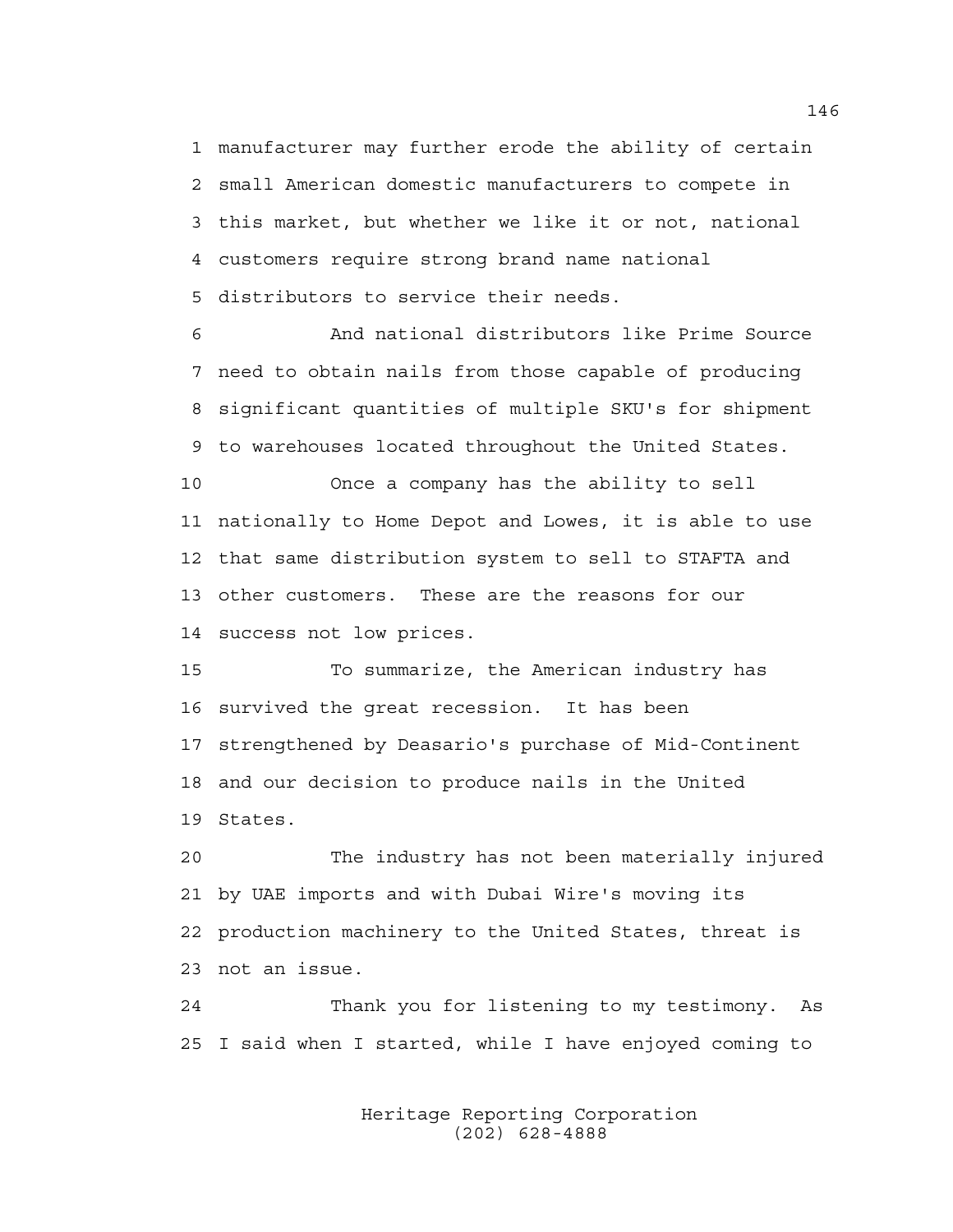1 manufacturer may further erode the ability of certain 2 small American domestic manufacturers to compete in 3 this market, but whether we like it or not, national 4 customers require strong brand name national 5 distributors to service their needs.

6 And national distributors like Prime Source 7 need to obtain nails from those capable of producing 8 significant quantities of multiple SKU's for shipment 9 to warehouses located throughout the United States.

10 Once a company has the ability to sell 11 nationally to Home Depot and Lowes, it is able to use 12 that same distribution system to sell to STAFTA and 13 other customers. These are the reasons for our 14 success not low prices.

15 To summarize, the American industry has 16 survived the great recession. It has been 17 strengthened by Deasario's purchase of Mid-Continent 18 and our decision to produce nails in the United 19 States.

20 The industry has not been materially injured 21 by UAE imports and with Dubai Wire's moving its 22 production machinery to the United States, threat is 23 not an issue.

24 Thank you for listening to my testimony. As 25 I said when I started, while I have enjoyed coming to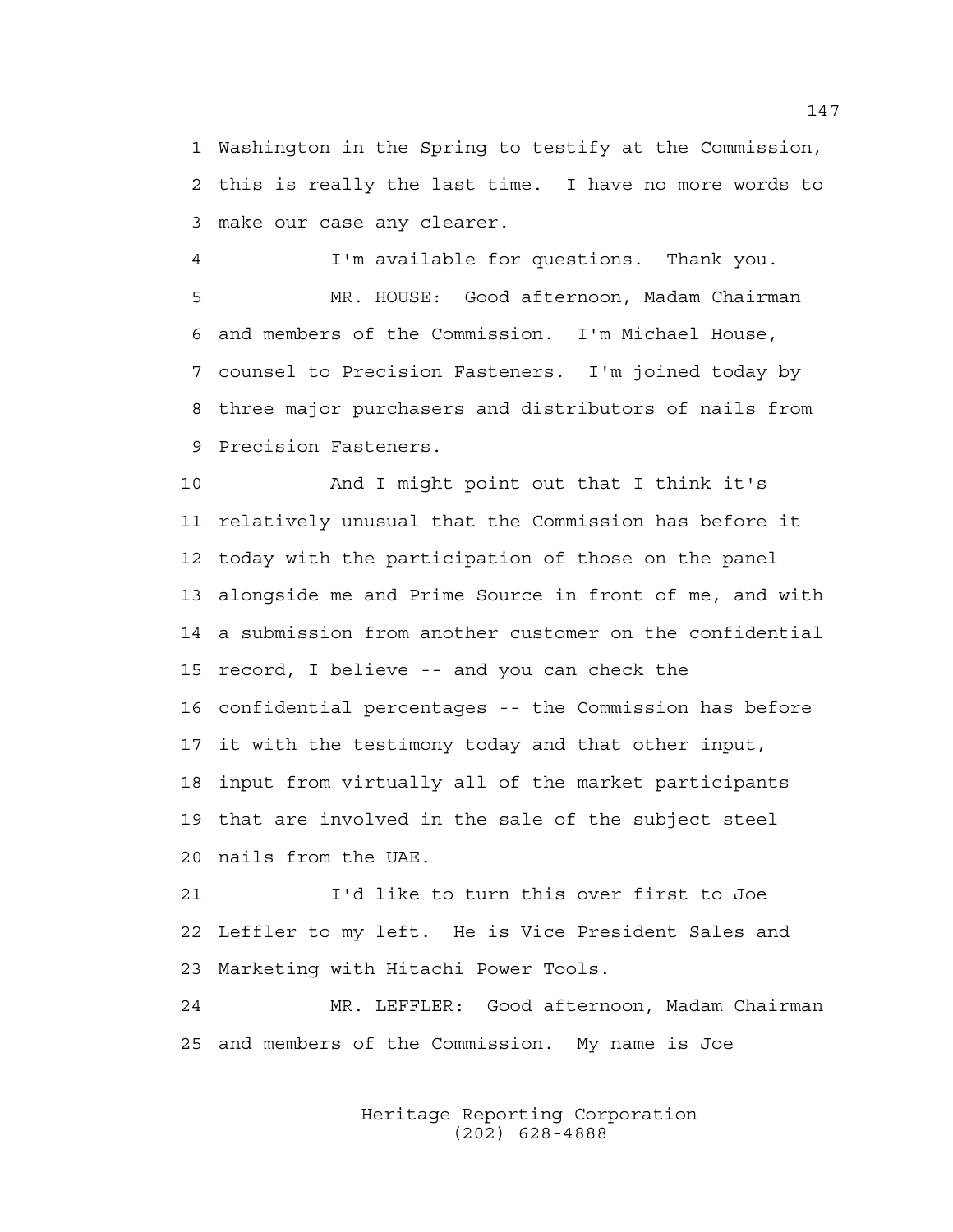1 Washington in the Spring to testify at the Commission, 2 this is really the last time. I have no more words to 3 make our case any clearer.

4 I'm available for questions. Thank you. 5 MR. HOUSE: Good afternoon, Madam Chairman 6 and members of the Commission. I'm Michael House, 7 counsel to Precision Fasteners. I'm joined today by 8 three major purchasers and distributors of nails from 9 Precision Fasteners.

10 And I might point out that I think it's 11 relatively unusual that the Commission has before it 12 today with the participation of those on the panel 13 alongside me and Prime Source in front of me, and with 14 a submission from another customer on the confidential 15 record, I believe -- and you can check the 16 confidential percentages -- the Commission has before 17 it with the testimony today and that other input, 18 input from virtually all of the market participants 19 that are involved in the sale of the subject steel 20 nails from the UAE.

21 I'd like to turn this over first to Joe 22 Leffler to my left. He is Vice President Sales and 23 Marketing with Hitachi Power Tools.

24 MR. LEFFLER: Good afternoon, Madam Chairman 25 and members of the Commission. My name is Joe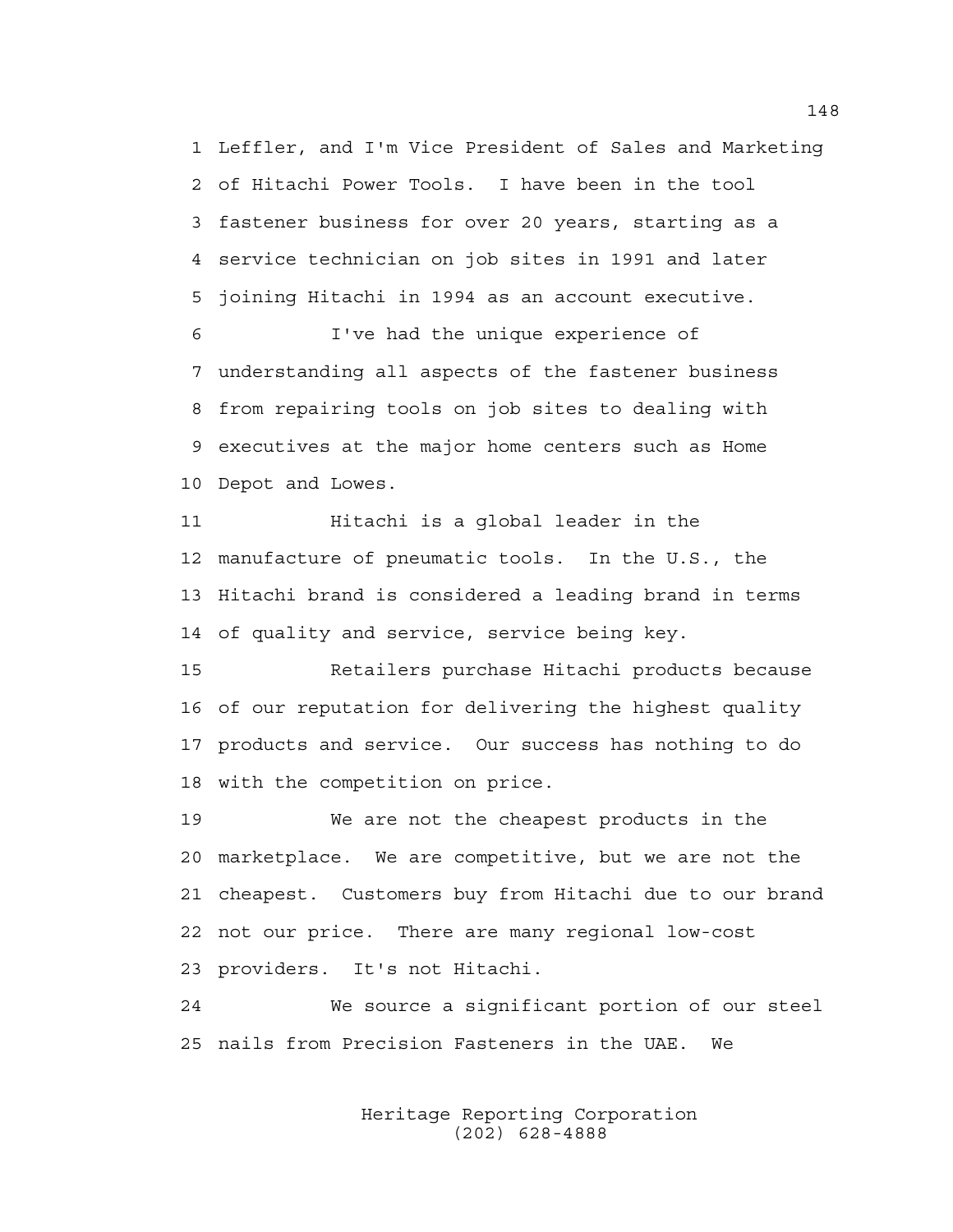1 Leffler, and I'm Vice President of Sales and Marketing 2 of Hitachi Power Tools. I have been in the tool 3 fastener business for over 20 years, starting as a 4 service technician on job sites in 1991 and later 5 joining Hitachi in 1994 as an account executive.

6 I've had the unique experience of 7 understanding all aspects of the fastener business 8 from repairing tools on job sites to dealing with 9 executives at the major home centers such as Home 10 Depot and Lowes.

11 Hitachi is a global leader in the 12 manufacture of pneumatic tools. In the U.S., the 13 Hitachi brand is considered a leading brand in terms 14 of quality and service, service being key.

15 Retailers purchase Hitachi products because 16 of our reputation for delivering the highest quality 17 products and service. Our success has nothing to do 18 with the competition on price.

19 We are not the cheapest products in the 20 marketplace. We are competitive, but we are not the 21 cheapest. Customers buy from Hitachi due to our brand 22 not our price. There are many regional low-cost 23 providers. It's not Hitachi.

24 We source a significant portion of our steel 25 nails from Precision Fasteners in the UAE. We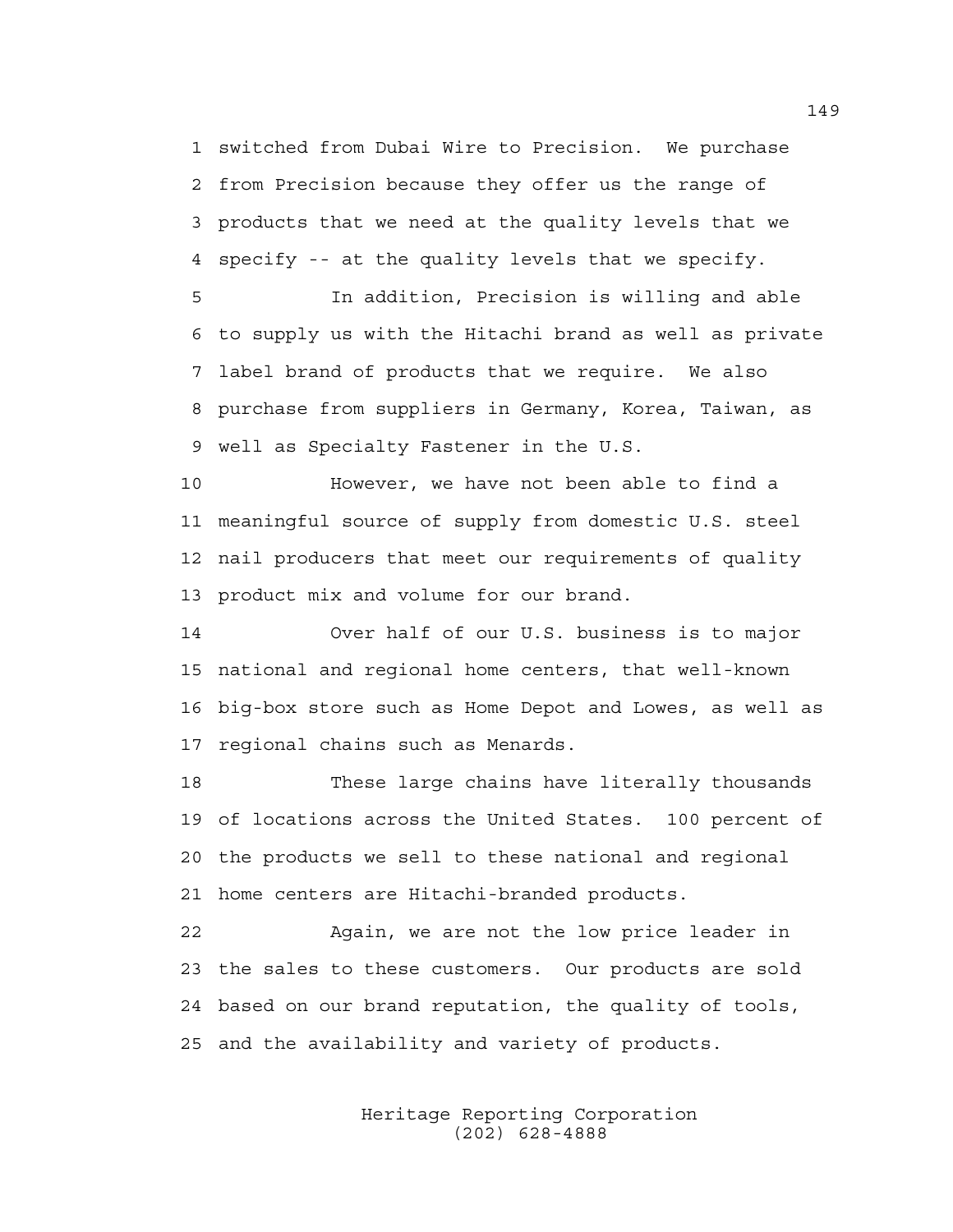1 switched from Dubai Wire to Precision. We purchase 2 from Precision because they offer us the range of 3 products that we need at the quality levels that we 4 specify -- at the quality levels that we specify.

5 In addition, Precision is willing and able 6 to supply us with the Hitachi brand as well as private 7 label brand of products that we require. We also 8 purchase from suppliers in Germany, Korea, Taiwan, as 9 well as Specialty Fastener in the U.S.

10 However, we have not been able to find a 11 meaningful source of supply from domestic U.S. steel 12 nail producers that meet our requirements of quality 13 product mix and volume for our brand.

14 Over half of our U.S. business is to major 15 national and regional home centers, that well-known 16 big-box store such as Home Depot and Lowes, as well as 17 regional chains such as Menards.

18 These large chains have literally thousands 19 of locations across the United States. 100 percent of 20 the products we sell to these national and regional 21 home centers are Hitachi-branded products.

22 Again, we are not the low price leader in 23 the sales to these customers. Our products are sold 24 based on our brand reputation, the quality of tools, 25 and the availability and variety of products.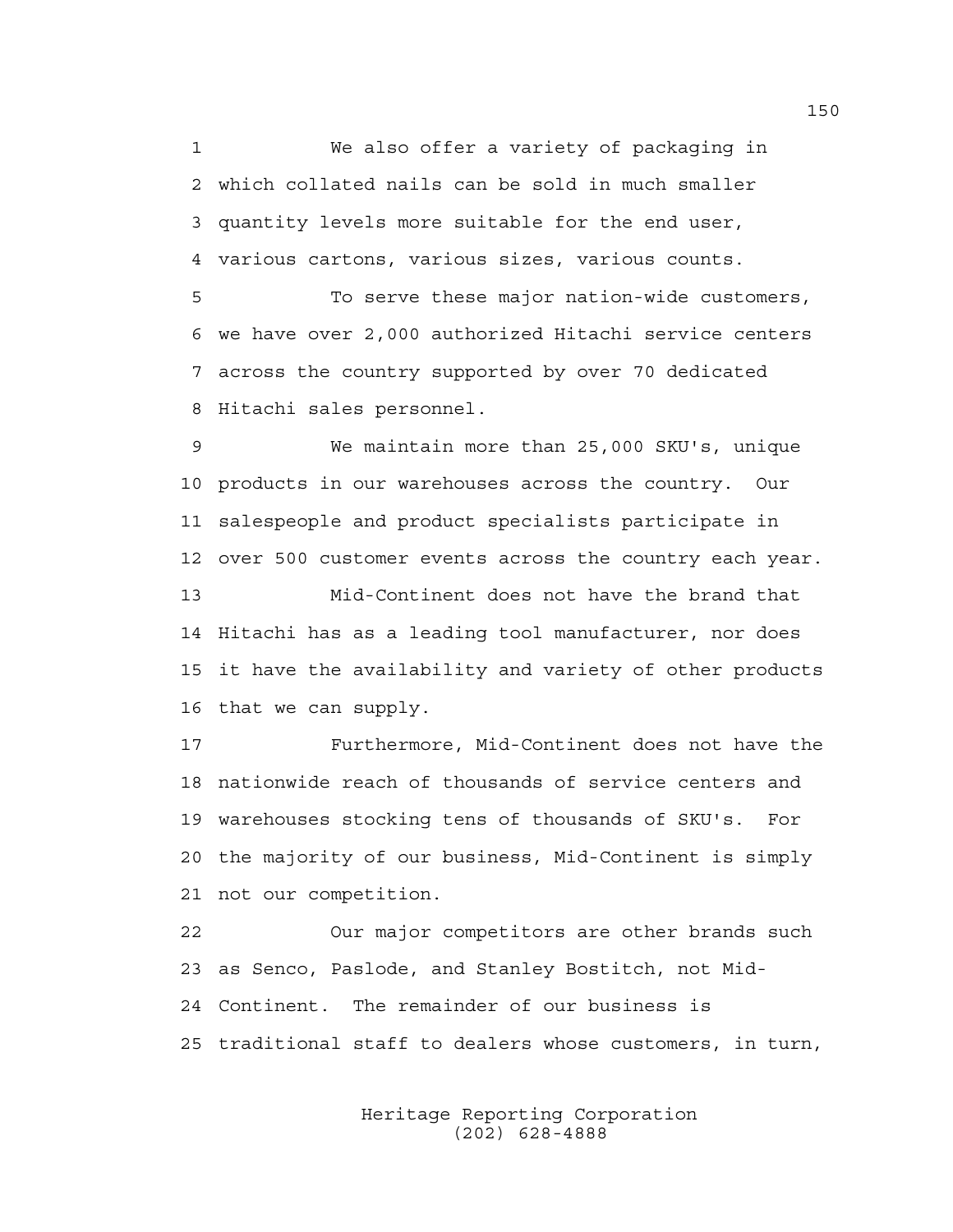1 We also offer a variety of packaging in 2 which collated nails can be sold in much smaller 3 quantity levels more suitable for the end user, 4 various cartons, various sizes, various counts.

5 To serve these major nation-wide customers, 6 we have over 2,000 authorized Hitachi service centers 7 across the country supported by over 70 dedicated 8 Hitachi sales personnel.

9 We maintain more than 25,000 SKU's, unique 10 products in our warehouses across the country. Our 11 salespeople and product specialists participate in 12 over 500 customer events across the country each year.

13 Mid-Continent does not have the brand that 14 Hitachi has as a leading tool manufacturer, nor does 15 it have the availability and variety of other products 16 that we can supply.

17 Furthermore, Mid-Continent does not have the 18 nationwide reach of thousands of service centers and 19 warehouses stocking tens of thousands of SKU's. For 20 the majority of our business, Mid-Continent is simply 21 not our competition.

22 Our major competitors are other brands such 23 as Senco, Paslode, and Stanley Bostitch, not Mid-24 Continent. The remainder of our business is 25 traditional staff to dealers whose customers, in turn,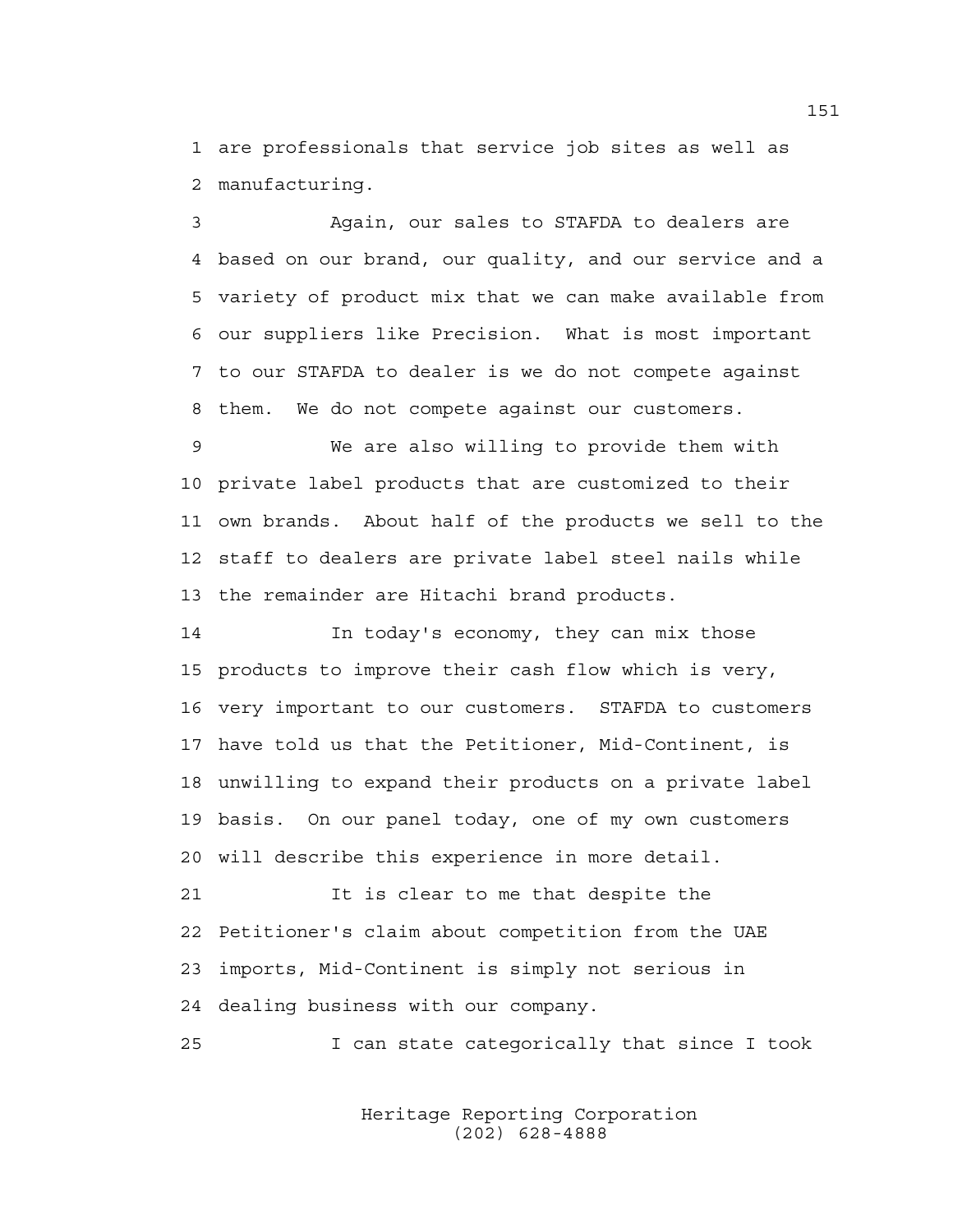1 are professionals that service job sites as well as 2 manufacturing.

3 Again, our sales to STAFDA to dealers are 4 based on our brand, our quality, and our service and a 5 variety of product mix that we can make available from 6 our suppliers like Precision. What is most important 7 to our STAFDA to dealer is we do not compete against 8 them. We do not compete against our customers.

9 We are also willing to provide them with 10 private label products that are customized to their 11 own brands. About half of the products we sell to the 12 staff to dealers are private label steel nails while 13 the remainder are Hitachi brand products.

14 In today's economy, they can mix those 15 products to improve their cash flow which is very, 16 very important to our customers. STAFDA to customers 17 have told us that the Petitioner, Mid-Continent, is 18 unwilling to expand their products on a private label 19 basis. On our panel today, one of my own customers 20 will describe this experience in more detail.

21 The is clear to me that despite the 22 Petitioner's claim about competition from the UAE 23 imports, Mid-Continent is simply not serious in 24 dealing business with our company.

25 I can state categorically that since I took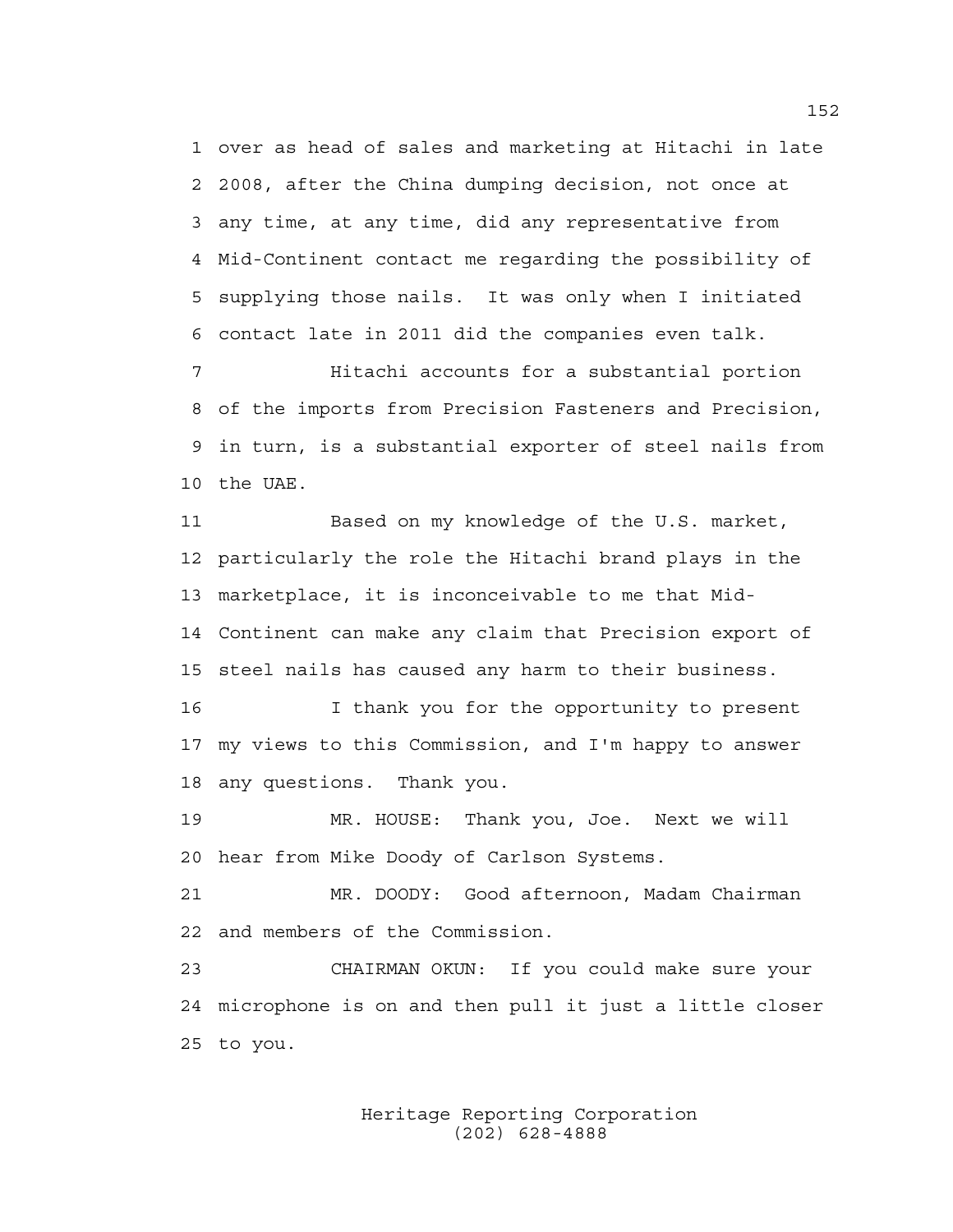1 over as head of sales and marketing at Hitachi in late 2 2008, after the China dumping decision, not once at 3 any time, at any time, did any representative from 4 Mid-Continent contact me regarding the possibility of 5 supplying those nails. It was only when I initiated 6 contact late in 2011 did the companies even talk.

7 Hitachi accounts for a substantial portion 8 of the imports from Precision Fasteners and Precision, 9 in turn, is a substantial exporter of steel nails from 10 the UAE.

11 Based on my knowledge of the U.S. market, 12 particularly the role the Hitachi brand plays in the 13 marketplace, it is inconceivable to me that Mid-14 Continent can make any claim that Precision export of 15 steel nails has caused any harm to their business.

16 I thank you for the opportunity to present 17 my views to this Commission, and I'm happy to answer 18 any questions. Thank you.

19 MR. HOUSE: Thank you, Joe. Next we will 20 hear from Mike Doody of Carlson Systems.

21 MR. DOODY: Good afternoon, Madam Chairman 22 and members of the Commission.

23 CHAIRMAN OKUN: If you could make sure your 24 microphone is on and then pull it just a little closer 25 to you.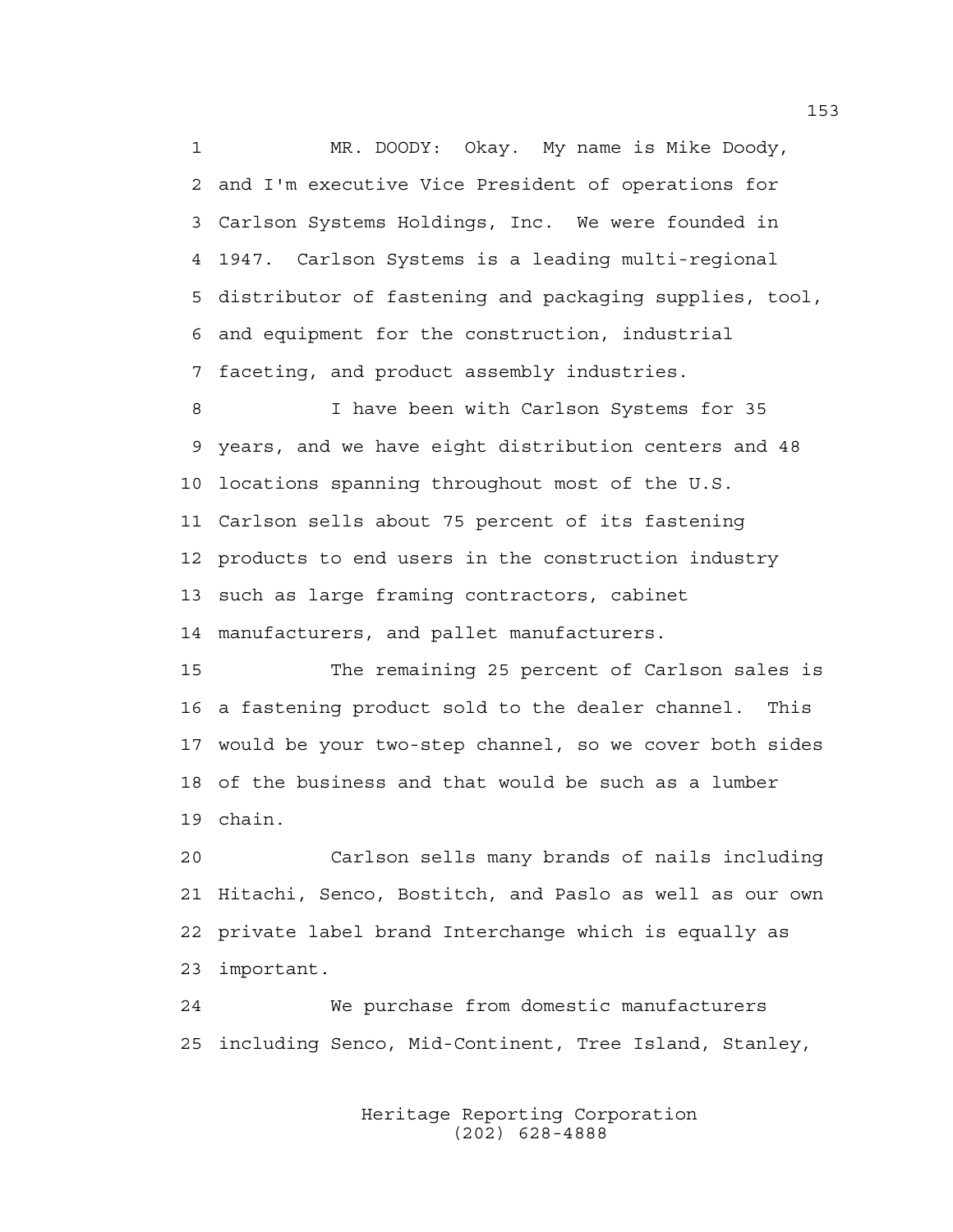1 MR. DOODY: Okay. My name is Mike Doody, 2 and I'm executive Vice President of operations for 3 Carlson Systems Holdings, Inc. We were founded in 4 1947. Carlson Systems is a leading multi-regional 5 distributor of fastening and packaging supplies, tool, 6 and equipment for the construction, industrial 7 faceting, and product assembly industries.

8 I have been with Carlson Systems for 35 9 years, and we have eight distribution centers and 48 10 locations spanning throughout most of the U.S. 11 Carlson sells about 75 percent of its fastening 12 products to end users in the construction industry 13 such as large framing contractors, cabinet 14 manufacturers, and pallet manufacturers.

15 The remaining 25 percent of Carlson sales is 16 a fastening product sold to the dealer channel. This 17 would be your two-step channel, so we cover both sides 18 of the business and that would be such as a lumber 19 chain.

20 Carlson sells many brands of nails including 21 Hitachi, Senco, Bostitch, and Paslo as well as our own 22 private label brand Interchange which is equally as 23 important.

24 We purchase from domestic manufacturers 25 including Senco, Mid-Continent, Tree Island, Stanley,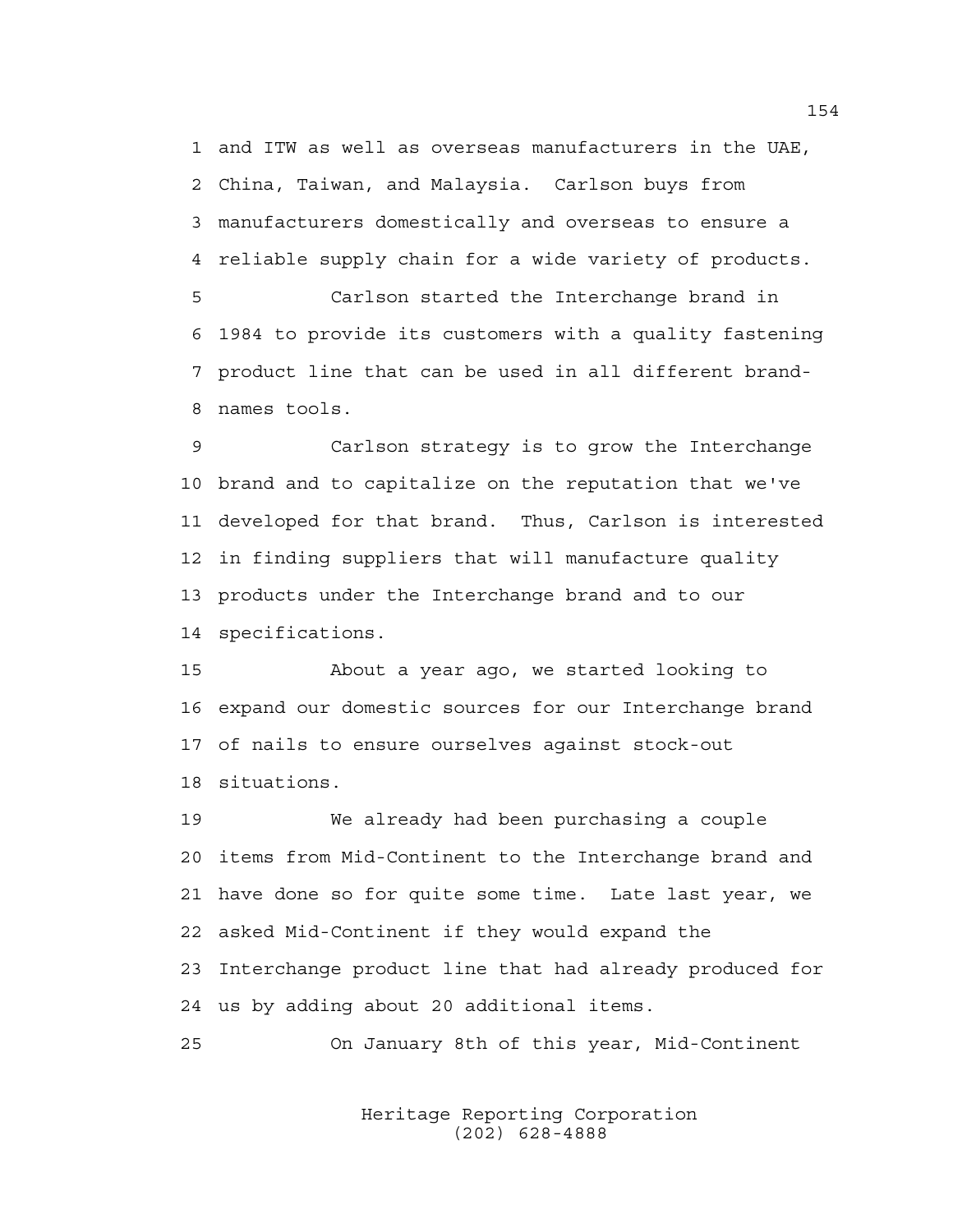1 and ITW as well as overseas manufacturers in the UAE, 2 China, Taiwan, and Malaysia. Carlson buys from 3 manufacturers domestically and overseas to ensure a 4 reliable supply chain for a wide variety of products. 5 Carlson started the Interchange brand in 6 1984 to provide its customers with a quality fastening 7 product line that can be used in all different brand-

8 names tools.

9 Carlson strategy is to grow the Interchange 10 brand and to capitalize on the reputation that we've 11 developed for that brand. Thus, Carlson is interested 12 in finding suppliers that will manufacture quality 13 products under the Interchange brand and to our 14 specifications.

15 About a year ago, we started looking to 16 expand our domestic sources for our Interchange brand 17 of nails to ensure ourselves against stock-out 18 situations.

19 We already had been purchasing a couple 20 items from Mid-Continent to the Interchange brand and 21 have done so for quite some time. Late last year, we 22 asked Mid-Continent if they would expand the 23 Interchange product line that had already produced for 24 us by adding about 20 additional items.

25 On January 8th of this year, Mid-Continent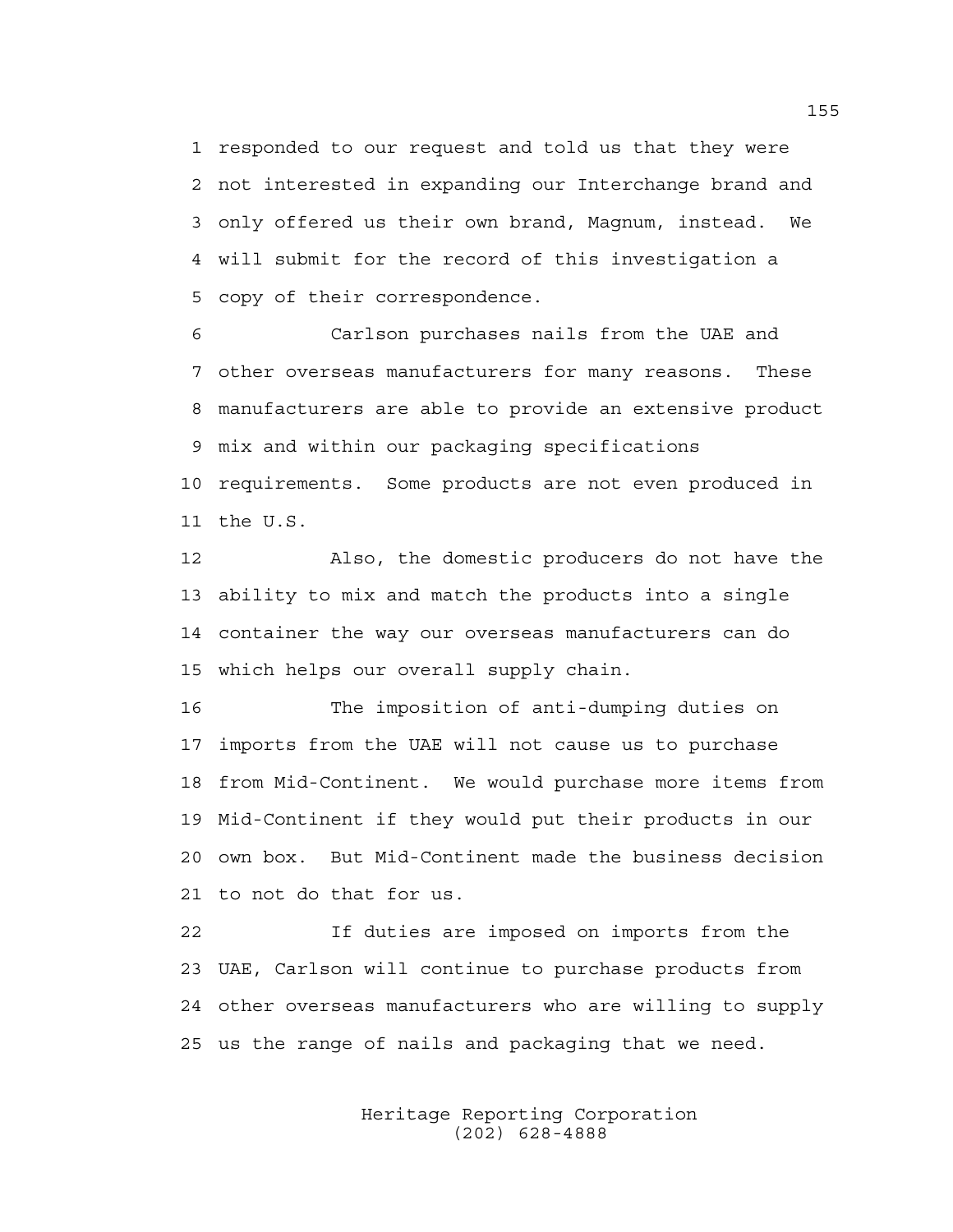1 responded to our request and told us that they were 2 not interested in expanding our Interchange brand and 3 only offered us their own brand, Magnum, instead. We 4 will submit for the record of this investigation a 5 copy of their correspondence.

6 Carlson purchases nails from the UAE and 7 other overseas manufacturers for many reasons. These 8 manufacturers are able to provide an extensive product 9 mix and within our packaging specifications 10 requirements. Some products are not even produced in 11 the U.S.

12 Also, the domestic producers do not have the 13 ability to mix and match the products into a single 14 container the way our overseas manufacturers can do 15 which helps our overall supply chain.

16 The imposition of anti-dumping duties on 17 imports from the UAE will not cause us to purchase 18 from Mid-Continent. We would purchase more items from 19 Mid-Continent if they would put their products in our 20 own box. But Mid-Continent made the business decision 21 to not do that for us.

22 If duties are imposed on imports from the 23 UAE, Carlson will continue to purchase products from 24 other overseas manufacturers who are willing to supply 25 us the range of nails and packaging that we need.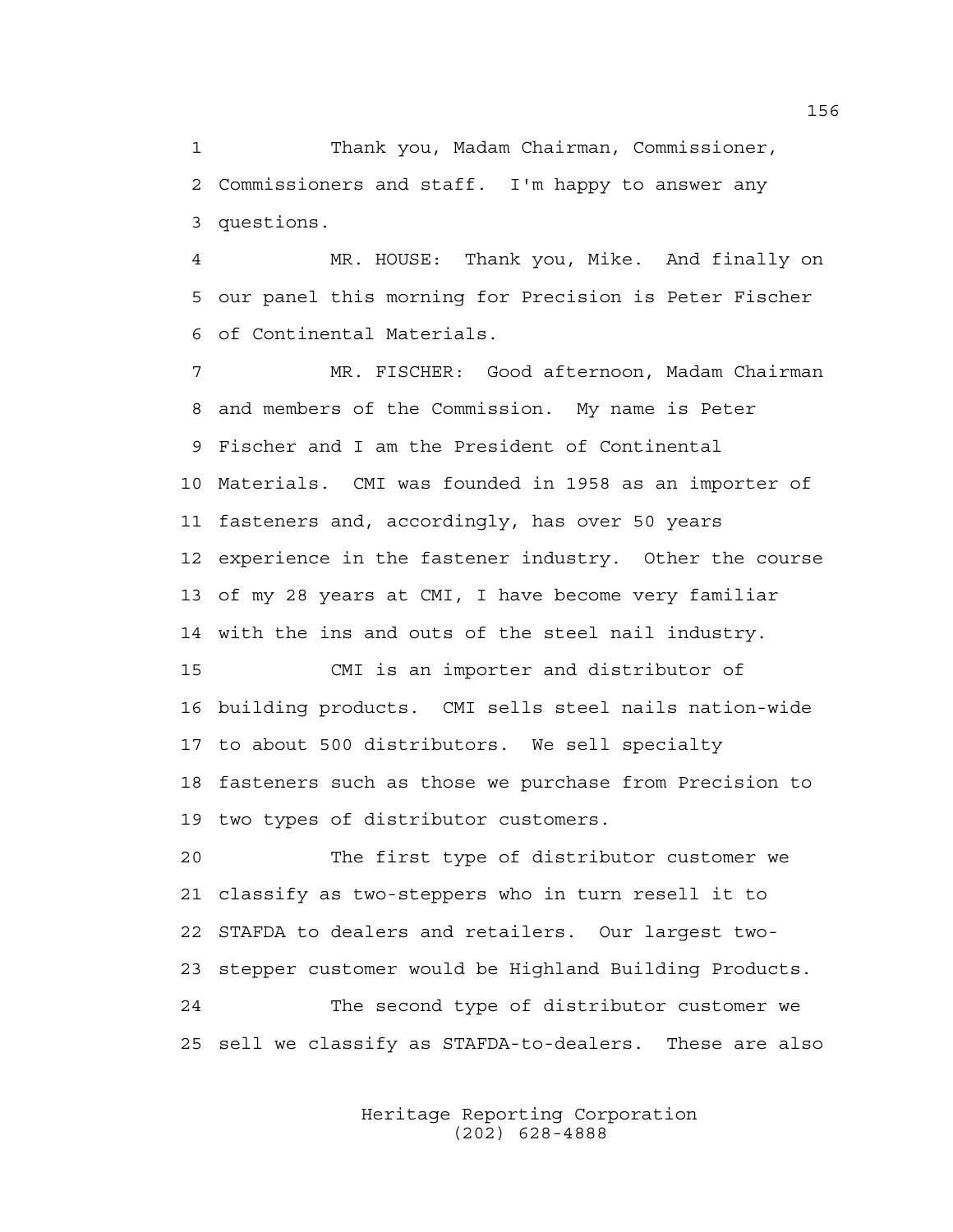1 Thank you, Madam Chairman, Commissioner, 2 Commissioners and staff. I'm happy to answer any 3 questions.

4 MR. HOUSE: Thank you, Mike. And finally on 5 our panel this morning for Precision is Peter Fischer 6 of Continental Materials.

7 MR. FISCHER: Good afternoon, Madam Chairman 8 and members of the Commission. My name is Peter 9 Fischer and I am the President of Continental 10 Materials. CMI was founded in 1958 as an importer of 11 fasteners and, accordingly, has over 50 years 12 experience in the fastener industry. Other the course 13 of my 28 years at CMI, I have become very familiar 14 with the ins and outs of the steel nail industry.

15 CMI is an importer and distributor of 16 building products. CMI sells steel nails nation-wide 17 to about 500 distributors. We sell specialty 18 fasteners such as those we purchase from Precision to 19 two types of distributor customers.

20 The first type of distributor customer we 21 classify as two-steppers who in turn resell it to 22 STAFDA to dealers and retailers. Our largest two-23 stepper customer would be Highland Building Products. 24 The second type of distributor customer we 25 sell we classify as STAFDA-to-dealers. These are also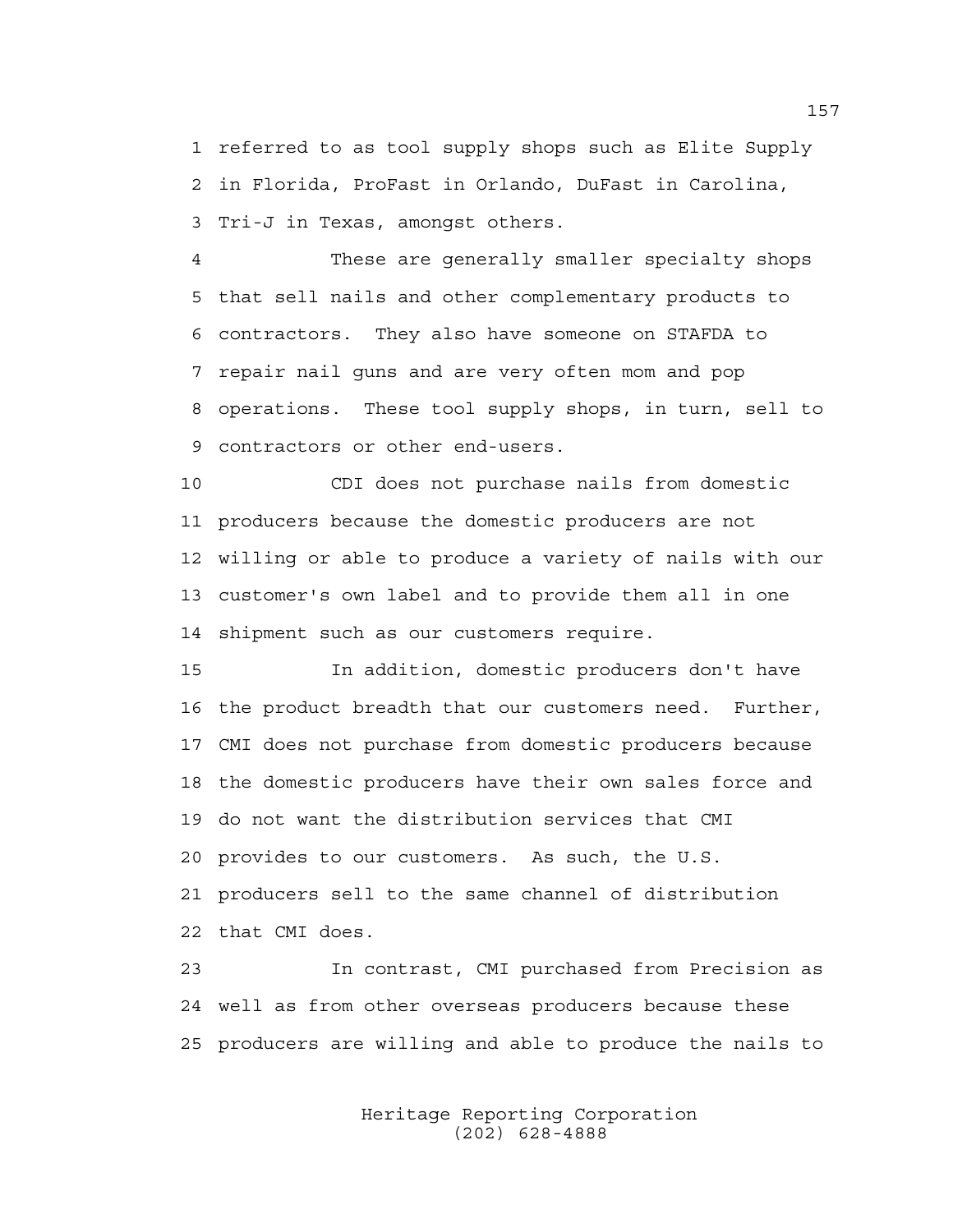1 referred to as tool supply shops such as Elite Supply 2 in Florida, ProFast in Orlando, DuFast in Carolina, 3 Tri-J in Texas, amongst others.

4 These are generally smaller specialty shops 5 that sell nails and other complementary products to 6 contractors. They also have someone on STAFDA to 7 repair nail guns and are very often mom and pop 8 operations. These tool supply shops, in turn, sell to 9 contractors or other end-users.

10 CDI does not purchase nails from domestic 11 producers because the domestic producers are not 12 willing or able to produce a variety of nails with our 13 customer's own label and to provide them all in one 14 shipment such as our customers require.

15 In addition, domestic producers don't have 16 the product breadth that our customers need. Further, 17 CMI does not purchase from domestic producers because 18 the domestic producers have their own sales force and 19 do not want the distribution services that CMI 20 provides to our customers. As such, the U.S. 21 producers sell to the same channel of distribution 22 that CMI does.

23 In contrast, CMI purchased from Precision as 24 well as from other overseas producers because these 25 producers are willing and able to produce the nails to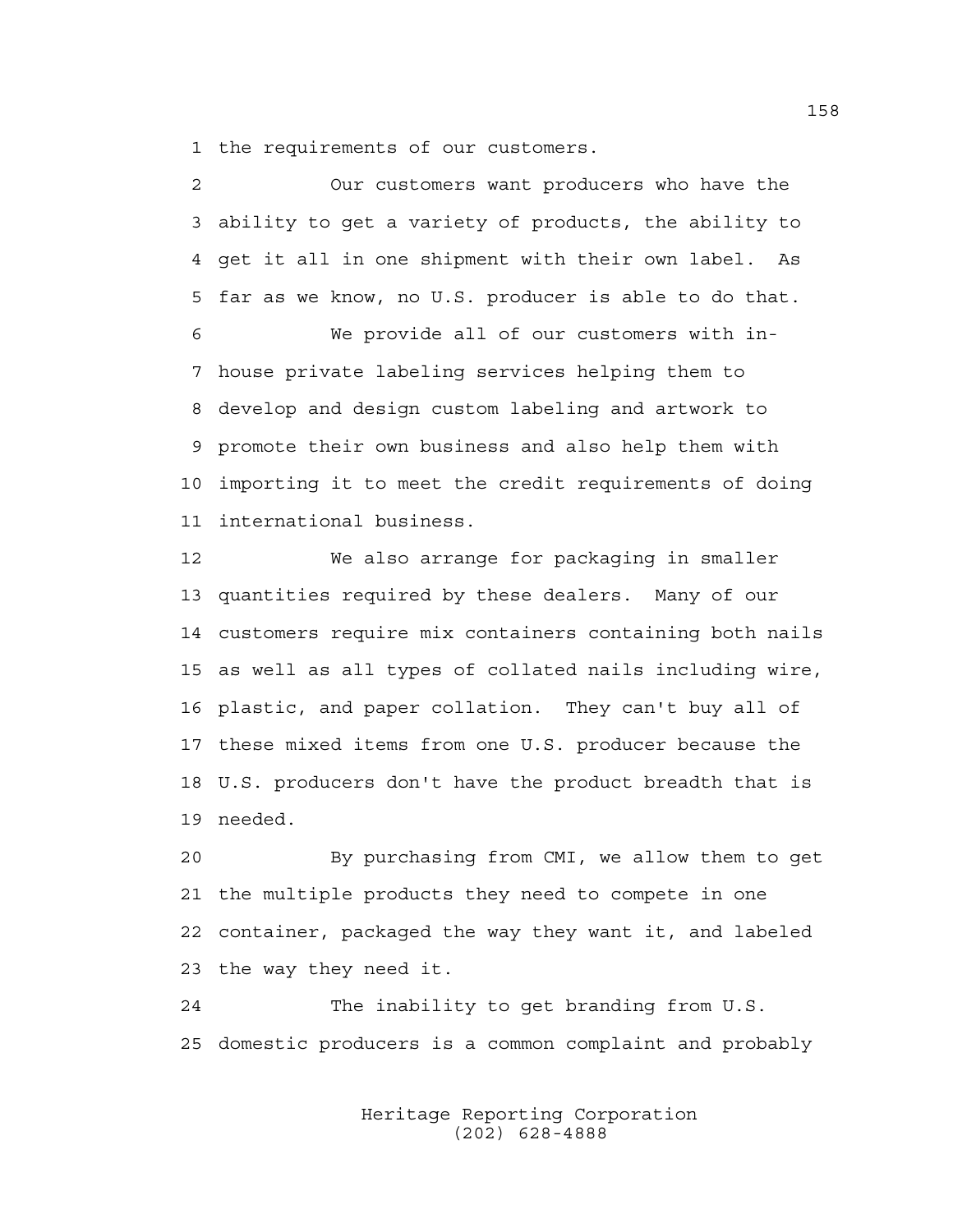1 the requirements of our customers.

2 Our customers want producers who have the 3 ability to get a variety of products, the ability to 4 get it all in one shipment with their own label. As 5 far as we know, no U.S. producer is able to do that. 6 We provide all of our customers with in-7 house private labeling services helping them to 8 develop and design custom labeling and artwork to 9 promote their own business and also help them with 10 importing it to meet the credit requirements of doing 11 international business.

12 We also arrange for packaging in smaller 13 quantities required by these dealers. Many of our 14 customers require mix containers containing both nails 15 as well as all types of collated nails including wire, 16 plastic, and paper collation. They can't buy all of 17 these mixed items from one U.S. producer because the 18 U.S. producers don't have the product breadth that is 19 needed.

20 By purchasing from CMI, we allow them to get 21 the multiple products they need to compete in one 22 container, packaged the way they want it, and labeled 23 the way they need it.

24 The inability to get branding from U.S. 25 domestic producers is a common complaint and probably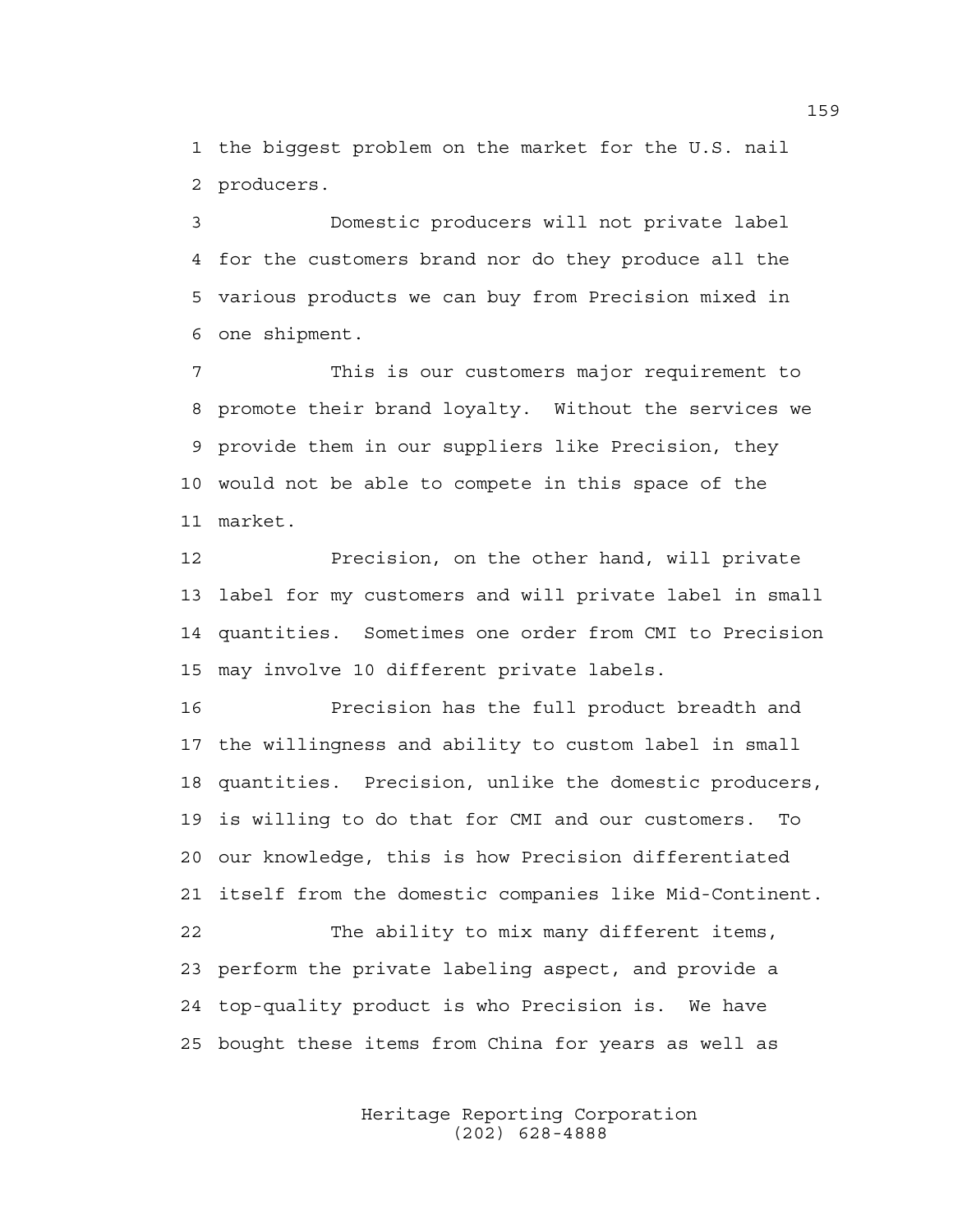1 the biggest problem on the market for the U.S. nail 2 producers.

3 Domestic producers will not private label 4 for the customers brand nor do they produce all the 5 various products we can buy from Precision mixed in 6 one shipment.

7 This is our customers major requirement to 8 promote their brand loyalty. Without the services we 9 provide them in our suppliers like Precision, they 10 would not be able to compete in this space of the 11 market.

12 Precision, on the other hand, will private 13 label for my customers and will private label in small 14 quantities. Sometimes one order from CMI to Precision 15 may involve 10 different private labels.

16 Precision has the full product breadth and 17 the willingness and ability to custom label in small 18 quantities. Precision, unlike the domestic producers, 19 is willing to do that for CMI and our customers. To 20 our knowledge, this is how Precision differentiated 21 itself from the domestic companies like Mid-Continent. 22 The ability to mix many different items, 23 perform the private labeling aspect, and provide a 24 top-quality product is who Precision is. We have 25 bought these items from China for years as well as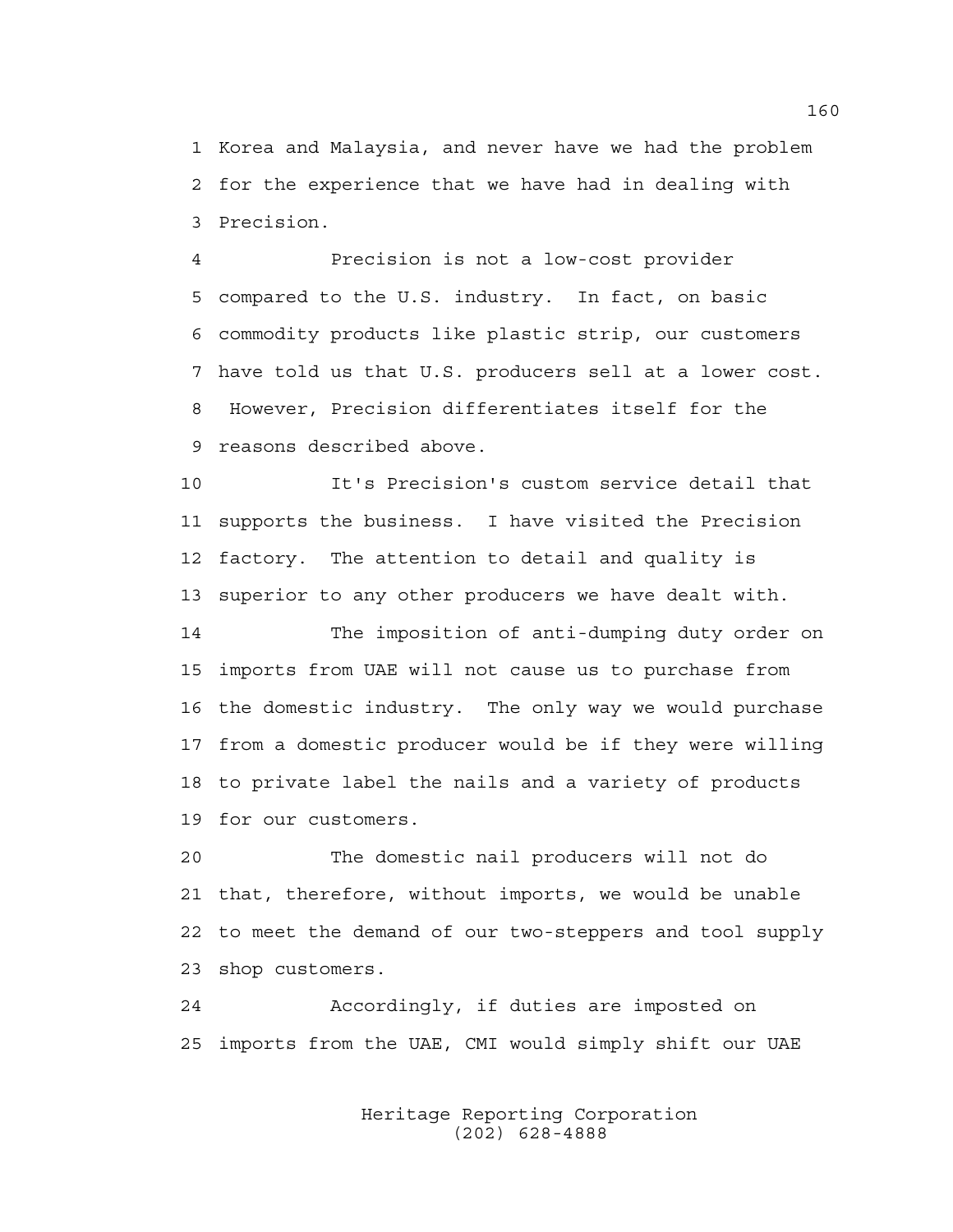1 Korea and Malaysia, and never have we had the problem 2 for the experience that we have had in dealing with 3 Precision.

4 Precision is not a low-cost provider 5 compared to the U.S. industry. In fact, on basic 6 commodity products like plastic strip, our customers 7 have told us that U.S. producers sell at a lower cost. 8 However, Precision differentiates itself for the 9 reasons described above.

10 It's Precision's custom service detail that 11 supports the business. I have visited the Precision 12 factory. The attention to detail and quality is 13 superior to any other producers we have dealt with.

14 The imposition of anti-dumping duty order on 15 imports from UAE will not cause us to purchase from 16 the domestic industry. The only way we would purchase 17 from a domestic producer would be if they were willing 18 to private label the nails and a variety of products 19 for our customers.

20 The domestic nail producers will not do 21 that, therefore, without imports, we would be unable 22 to meet the demand of our two-steppers and tool supply 23 shop customers.

24 Accordingly, if duties are imposted on 25 imports from the UAE, CMI would simply shift our UAE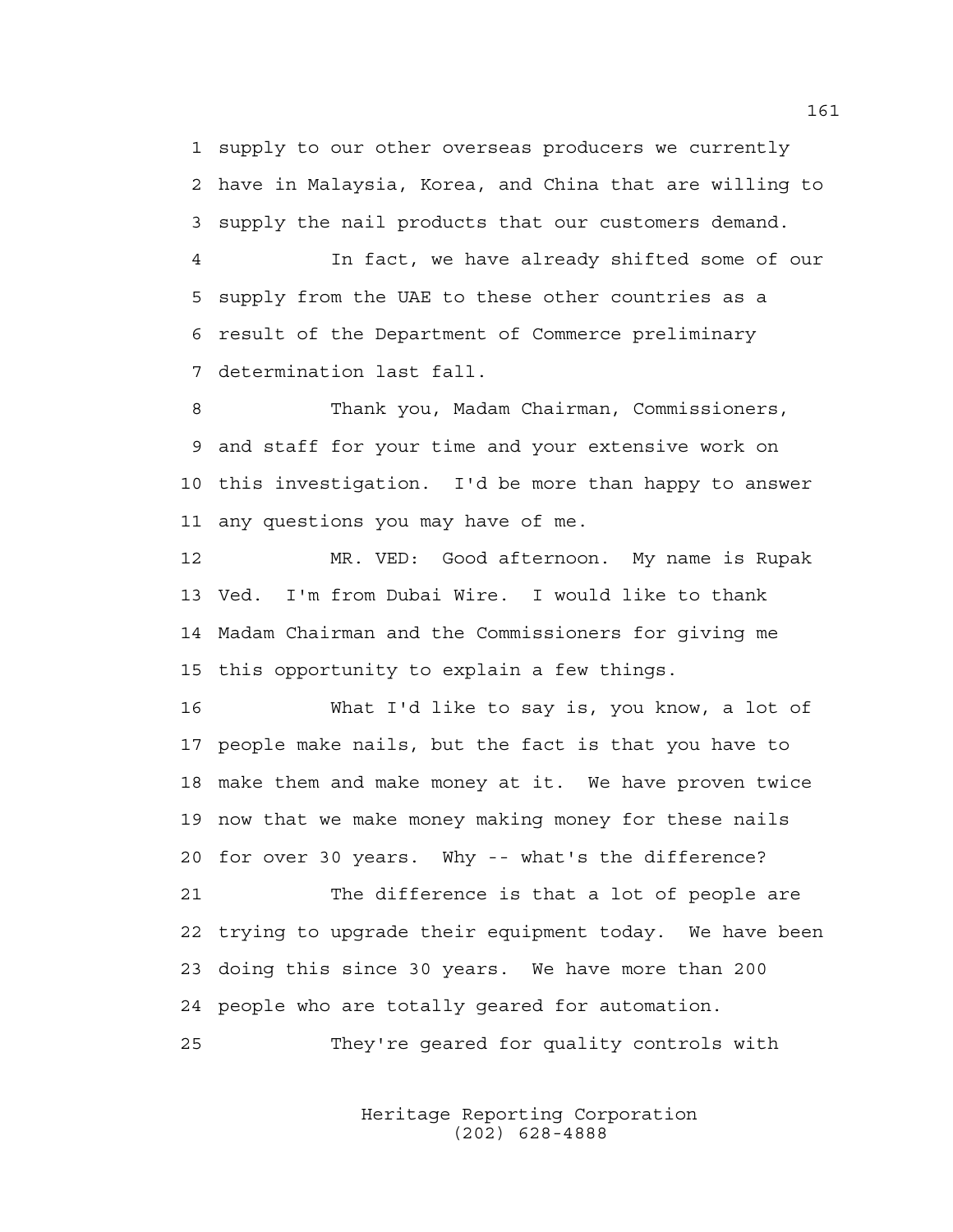1 supply to our other overseas producers we currently 2 have in Malaysia, Korea, and China that are willing to 3 supply the nail products that our customers demand.

4 In fact, we have already shifted some of our 5 supply from the UAE to these other countries as a 6 result of the Department of Commerce preliminary 7 determination last fall.

8 Thank you, Madam Chairman, Commissioners, 9 and staff for your time and your extensive work on 10 this investigation. I'd be more than happy to answer 11 any questions you may have of me.

12 MR. VED: Good afternoon. My name is Rupak 13 Ved. I'm from Dubai Wire. I would like to thank 14 Madam Chairman and the Commissioners for giving me 15 this opportunity to explain a few things.

16 What I'd like to say is, you know, a lot of 17 people make nails, but the fact is that you have to 18 make them and make money at it. We have proven twice 19 now that we make money making money for these nails 20 for over 30 years. Why -- what's the difference?

21 The difference is that a lot of people are 22 trying to upgrade their equipment today. We have been 23 doing this since 30 years. We have more than 200 24 people who are totally geared for automation.

25 They're geared for quality controls with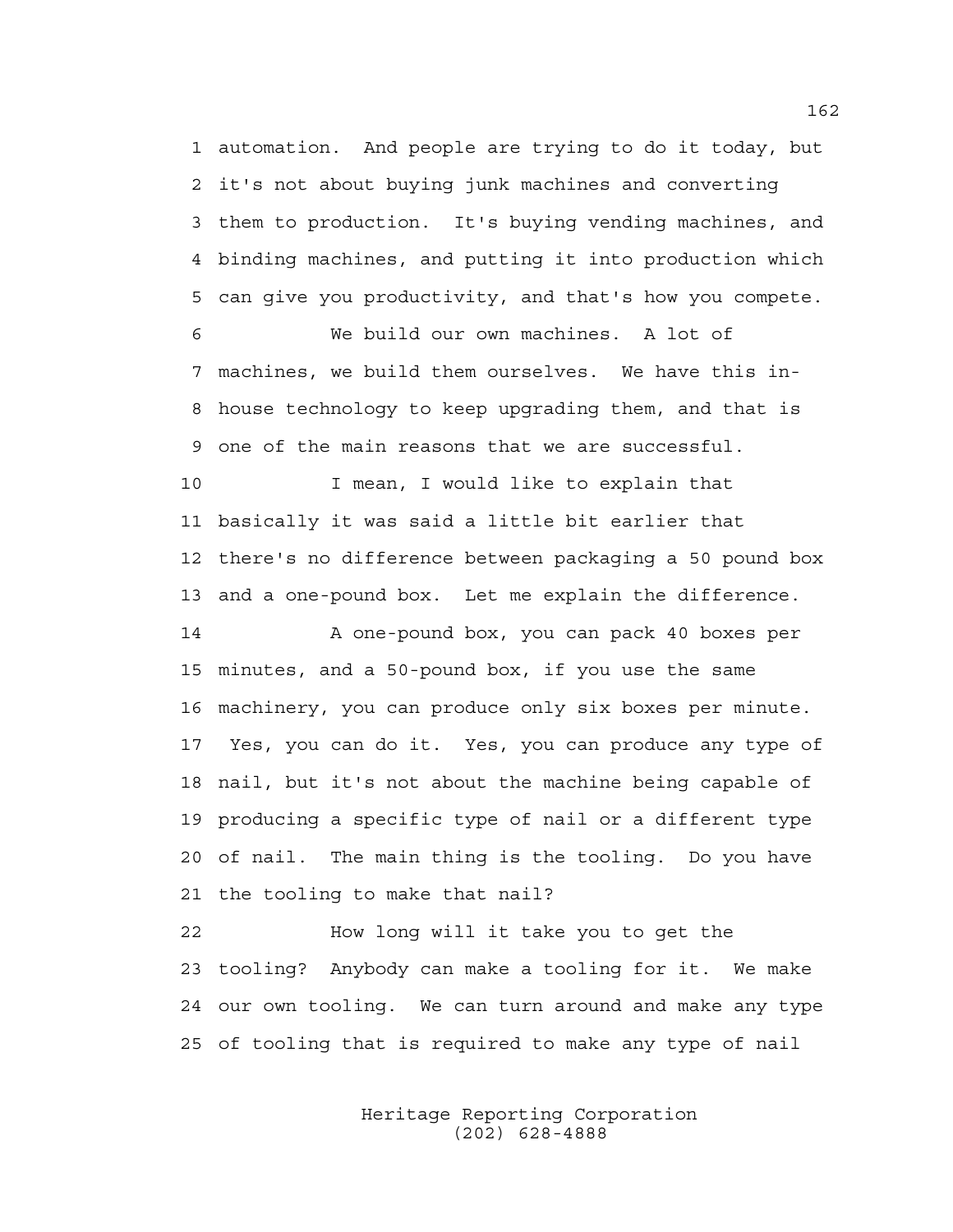1 automation. And people are trying to do it today, but 2 it's not about buying junk machines and converting 3 them to production. It's buying vending machines, and 4 binding machines, and putting it into production which 5 can give you productivity, and that's how you compete.

6 We build our own machines. A lot of 7 machines, we build them ourselves. We have this in-8 house technology to keep upgrading them, and that is 9 one of the main reasons that we are successful.

10 I mean, I would like to explain that 11 basically it was said a little bit earlier that 12 there's no difference between packaging a 50 pound box 13 and a one-pound box. Let me explain the difference.

14 A one-pound box, you can pack 40 boxes per 15 minutes, and a 50-pound box, if you use the same 16 machinery, you can produce only six boxes per minute. 17 Yes, you can do it. Yes, you can produce any type of 18 nail, but it's not about the machine being capable of 19 producing a specific type of nail or a different type 20 of nail. The main thing is the tooling. Do you have 21 the tooling to make that nail?

22 How long will it take you to get the 23 tooling? Anybody can make a tooling for it. We make 24 our own tooling. We can turn around and make any type 25 of tooling that is required to make any type of nail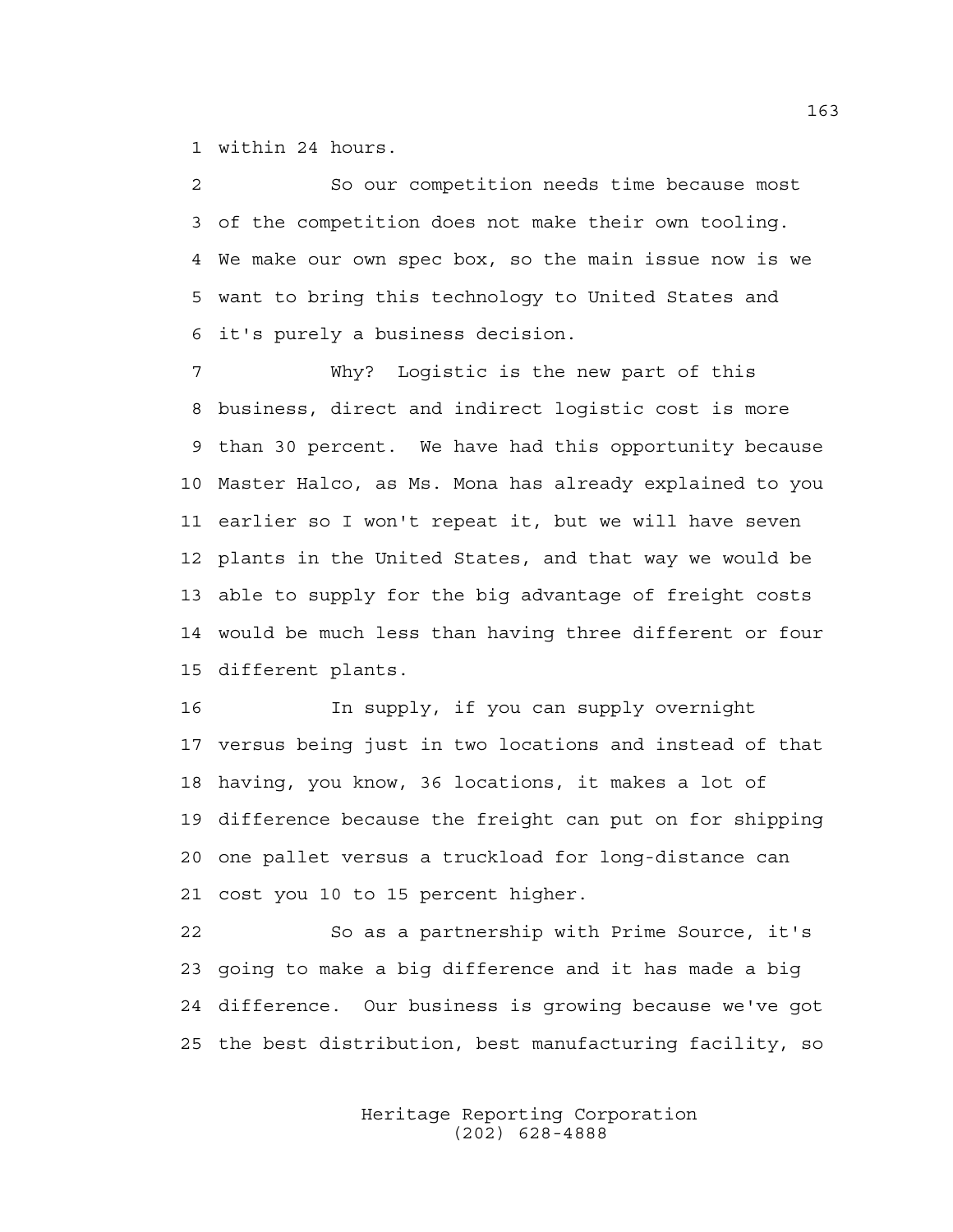1 within 24 hours.

2 So our competition needs time because most 3 of the competition does not make their own tooling. 4 We make our own spec box, so the main issue now is we 5 want to bring this technology to United States and 6 it's purely a business decision.

7 Why? Logistic is the new part of this 8 business, direct and indirect logistic cost is more 9 than 30 percent. We have had this opportunity because 10 Master Halco, as Ms. Mona has already explained to you 11 earlier so I won't repeat it, but we will have seven 12 plants in the United States, and that way we would be 13 able to supply for the big advantage of freight costs 14 would be much less than having three different or four 15 different plants.

16 In supply, if you can supply overnight 17 versus being just in two locations and instead of that 18 having, you know, 36 locations, it makes a lot of 19 difference because the freight can put on for shipping 20 one pallet versus a truckload for long-distance can 21 cost you 10 to 15 percent higher.

22 So as a partnership with Prime Source, it's 23 going to make a big difference and it has made a big 24 difference. Our business is growing because we've got 25 the best distribution, best manufacturing facility, so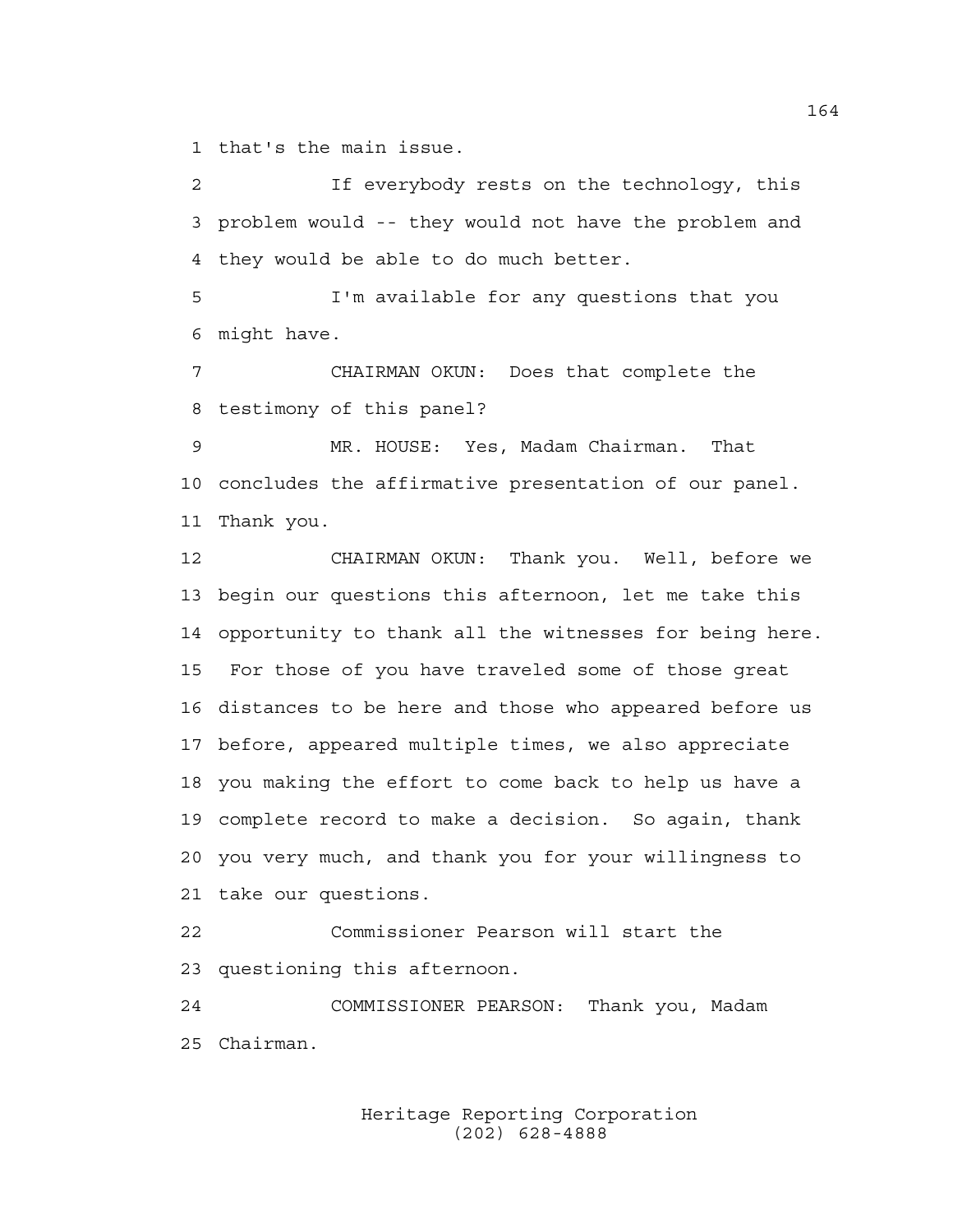1 that's the main issue.

2 If everybody rests on the technology, this 3 problem would -- they would not have the problem and 4 they would be able to do much better.

5 I'm available for any questions that you 6 might have.

7 CHAIRMAN OKUN: Does that complete the 8 testimony of this panel?

9 MR. HOUSE: Yes, Madam Chairman. That 10 concludes the affirmative presentation of our panel. 11 Thank you.

12 CHAIRMAN OKUN: Thank you. Well, before we 13 begin our questions this afternoon, let me take this 14 opportunity to thank all the witnesses for being here. 15 For those of you have traveled some of those great 16 distances to be here and those who appeared before us 17 before, appeared multiple times, we also appreciate 18 you making the effort to come back to help us have a 19 complete record to make a decision. So again, thank 20 you very much, and thank you for your willingness to 21 take our questions.

22 Commissioner Pearson will start the 23 questioning this afternoon.

24 COMMISSIONER PEARSON: Thank you, Madam 25 Chairman.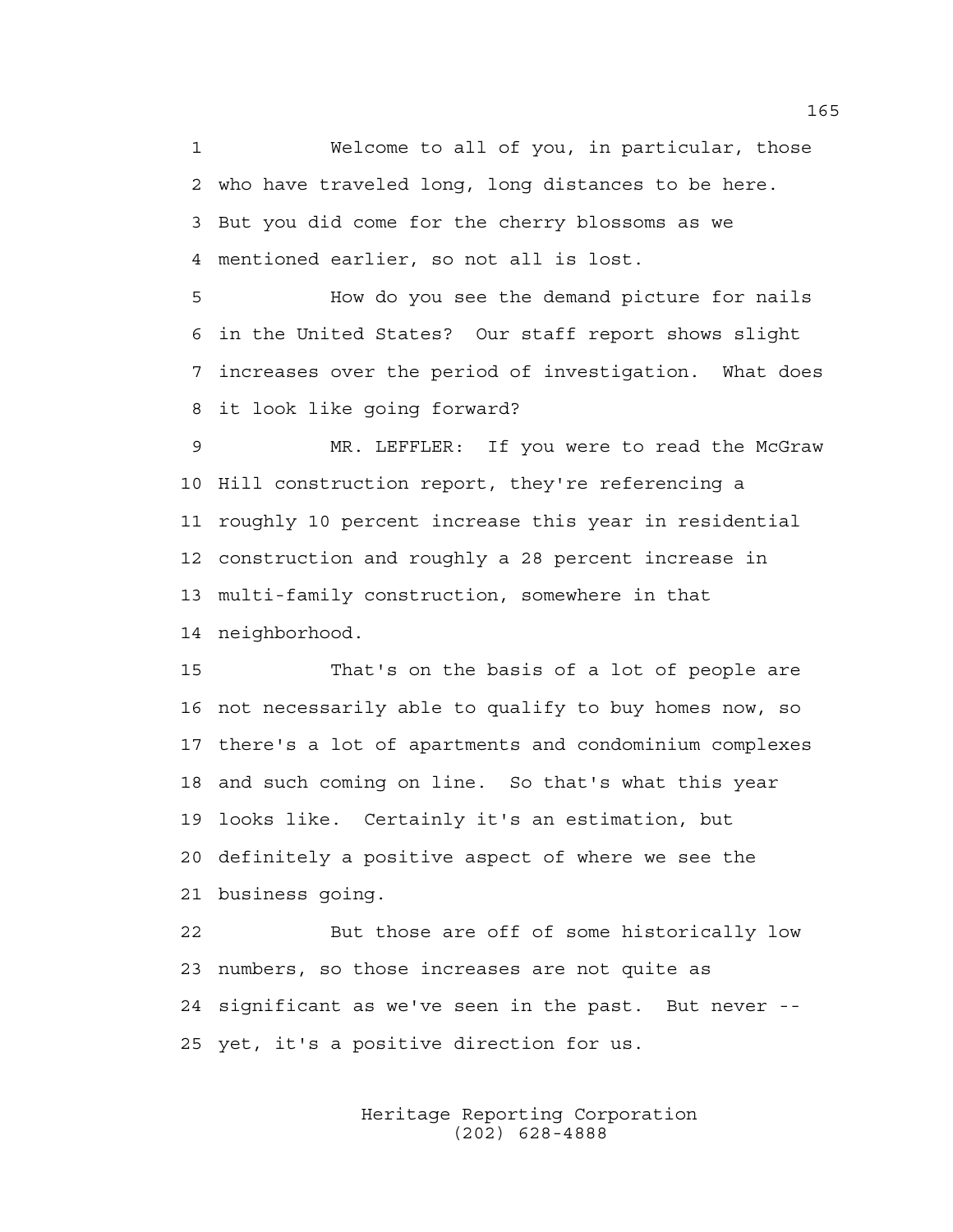1 Welcome to all of you, in particular, those 2 who have traveled long, long distances to be here. 3 But you did come for the cherry blossoms as we 4 mentioned earlier, so not all is lost.

5 How do you see the demand picture for nails 6 in the United States? Our staff report shows slight 7 increases over the period of investigation. What does 8 it look like going forward?

9 MR. LEFFLER: If you were to read the McGraw 10 Hill construction report, they're referencing a 11 roughly 10 percent increase this year in residential 12 construction and roughly a 28 percent increase in 13 multi-family construction, somewhere in that 14 neighborhood.

15 That's on the basis of a lot of people are 16 not necessarily able to qualify to buy homes now, so 17 there's a lot of apartments and condominium complexes 18 and such coming on line. So that's what this year 19 looks like. Certainly it's an estimation, but 20 definitely a positive aspect of where we see the 21 business going.

22 But those are off of some historically low 23 numbers, so those increases are not quite as 24 significant as we've seen in the past. But never -- 25 yet, it's a positive direction for us.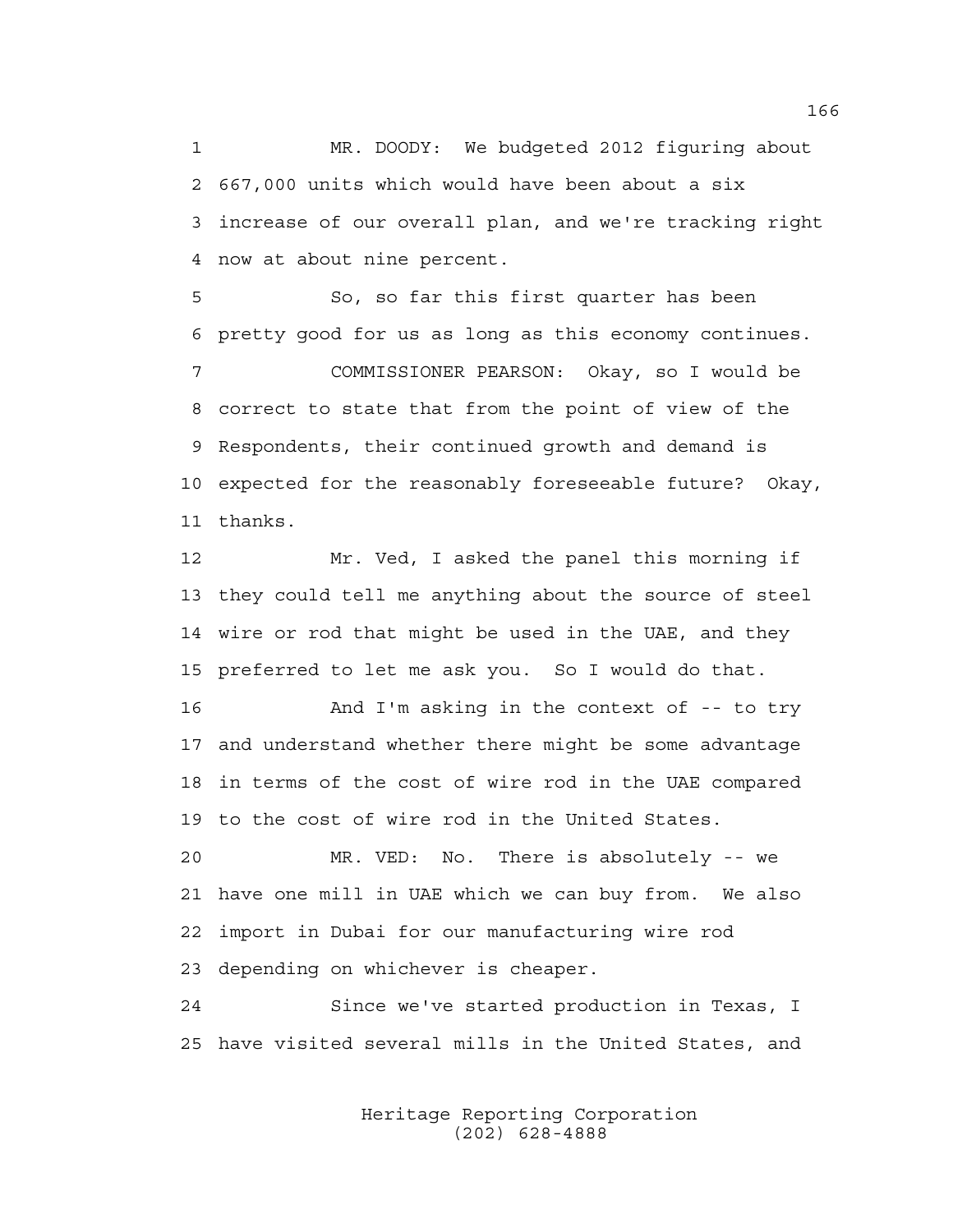1 MR. DOODY: We budgeted 2012 figuring about 2 667,000 units which would have been about a six 3 increase of our overall plan, and we're tracking right 4 now at about nine percent.

5 So, so far this first quarter has been 6 pretty good for us as long as this economy continues. 7 COMMISSIONER PEARSON: Okay, so I would be 8 correct to state that from the point of view of the 9 Respondents, their continued growth and demand is 10 expected for the reasonably foreseeable future? Okay, 11 thanks.

12 Mr. Ved, I asked the panel this morning if 13 they could tell me anything about the source of steel 14 wire or rod that might be used in the UAE, and they 15 preferred to let me ask you. So I would do that.

16 And I'm asking in the context of -- to try 17 and understand whether there might be some advantage 18 in terms of the cost of wire rod in the UAE compared 19 to the cost of wire rod in the United States.

20 MR. VED: No. There is absolutely -- we 21 have one mill in UAE which we can buy from. We also 22 import in Dubai for our manufacturing wire rod 23 depending on whichever is cheaper.

24 Since we've started production in Texas, I 25 have visited several mills in the United States, and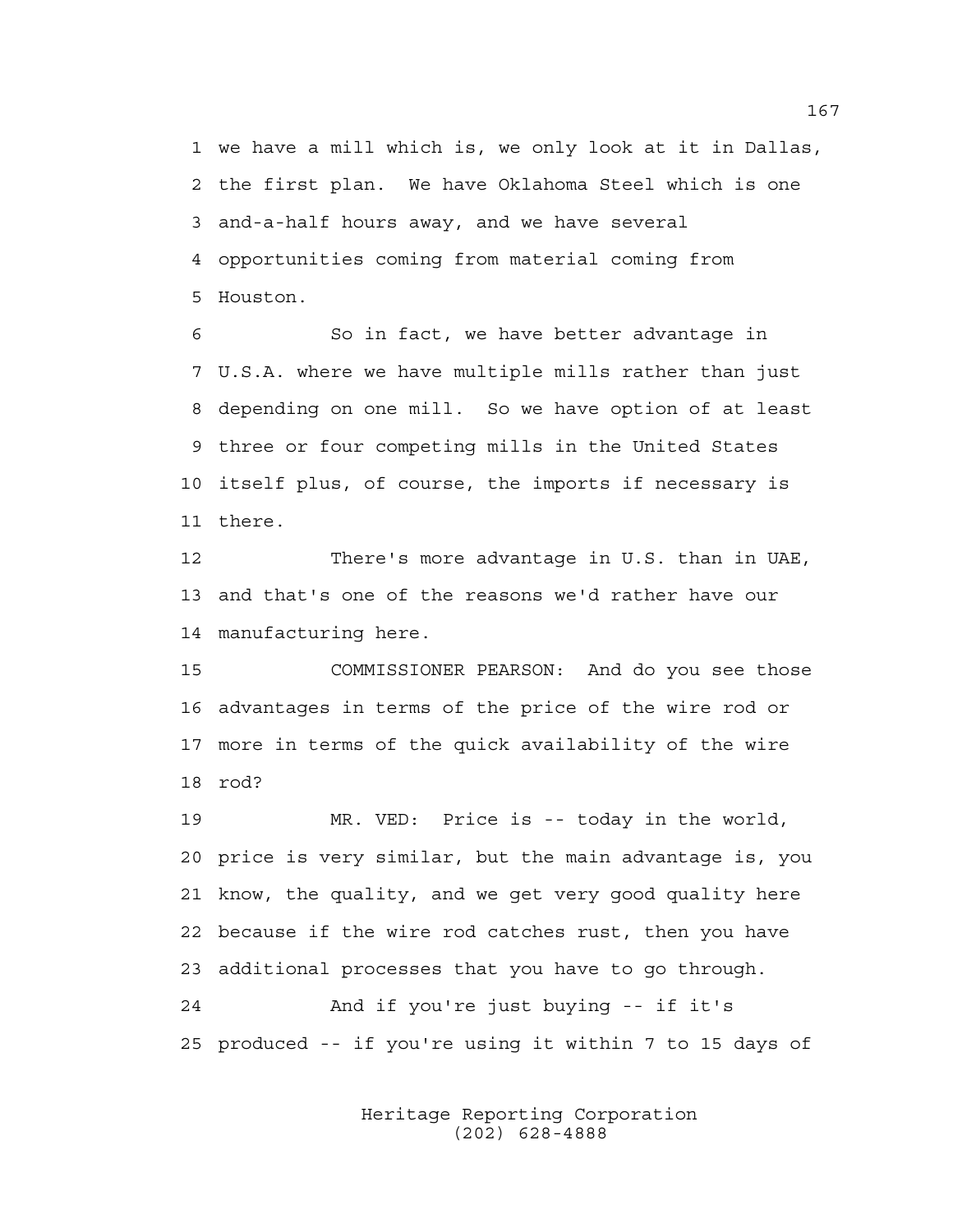1 we have a mill which is, we only look at it in Dallas, 2 the first plan. We have Oklahoma Steel which is one 3 and-a-half hours away, and we have several 4 opportunities coming from material coming from 5 Houston.

6 So in fact, we have better advantage in 7 U.S.A. where we have multiple mills rather than just 8 depending on one mill. So we have option of at least 9 three or four competing mills in the United States 10 itself plus, of course, the imports if necessary is 11 there.

12 There's more advantage in U.S. than in UAE, 13 and that's one of the reasons we'd rather have our 14 manufacturing here.

15 COMMISSIONER PEARSON: And do you see those 16 advantages in terms of the price of the wire rod or 17 more in terms of the quick availability of the wire 18 rod?

19 MR. VED: Price is -- today in the world, 20 price is very similar, but the main advantage is, you 21 know, the quality, and we get very good quality here 22 because if the wire rod catches rust, then you have 23 additional processes that you have to go through. 24 And if you're just buying -- if it's 25 produced -- if you're using it within 7 to 15 days of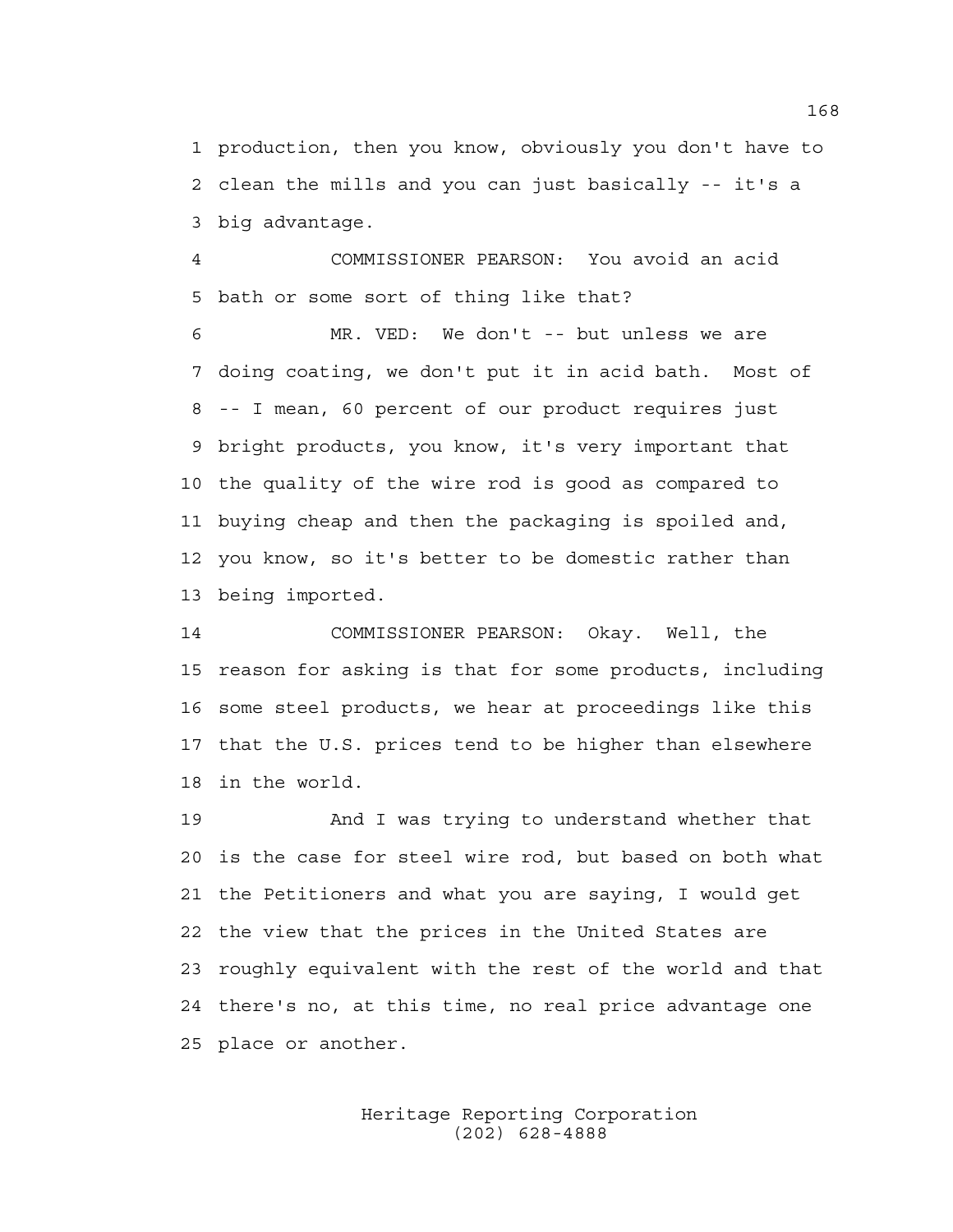1 production, then you know, obviously you don't have to 2 clean the mills and you can just basically -- it's a 3 big advantage.

4 COMMISSIONER PEARSON: You avoid an acid 5 bath or some sort of thing like that?

6 MR. VED: We don't -- but unless we are 7 doing coating, we don't put it in acid bath. Most of 8 -- I mean, 60 percent of our product requires just 9 bright products, you know, it's very important that 10 the quality of the wire rod is good as compared to 11 buying cheap and then the packaging is spoiled and, 12 you know, so it's better to be domestic rather than 13 being imported.

14 COMMISSIONER PEARSON: Okay. Well, the 15 reason for asking is that for some products, including 16 some steel products, we hear at proceedings like this 17 that the U.S. prices tend to be higher than elsewhere 18 in the world.

19 And I was trying to understand whether that 20 is the case for steel wire rod, but based on both what 21 the Petitioners and what you are saying, I would get 22 the view that the prices in the United States are 23 roughly equivalent with the rest of the world and that 24 there's no, at this time, no real price advantage one 25 place or another.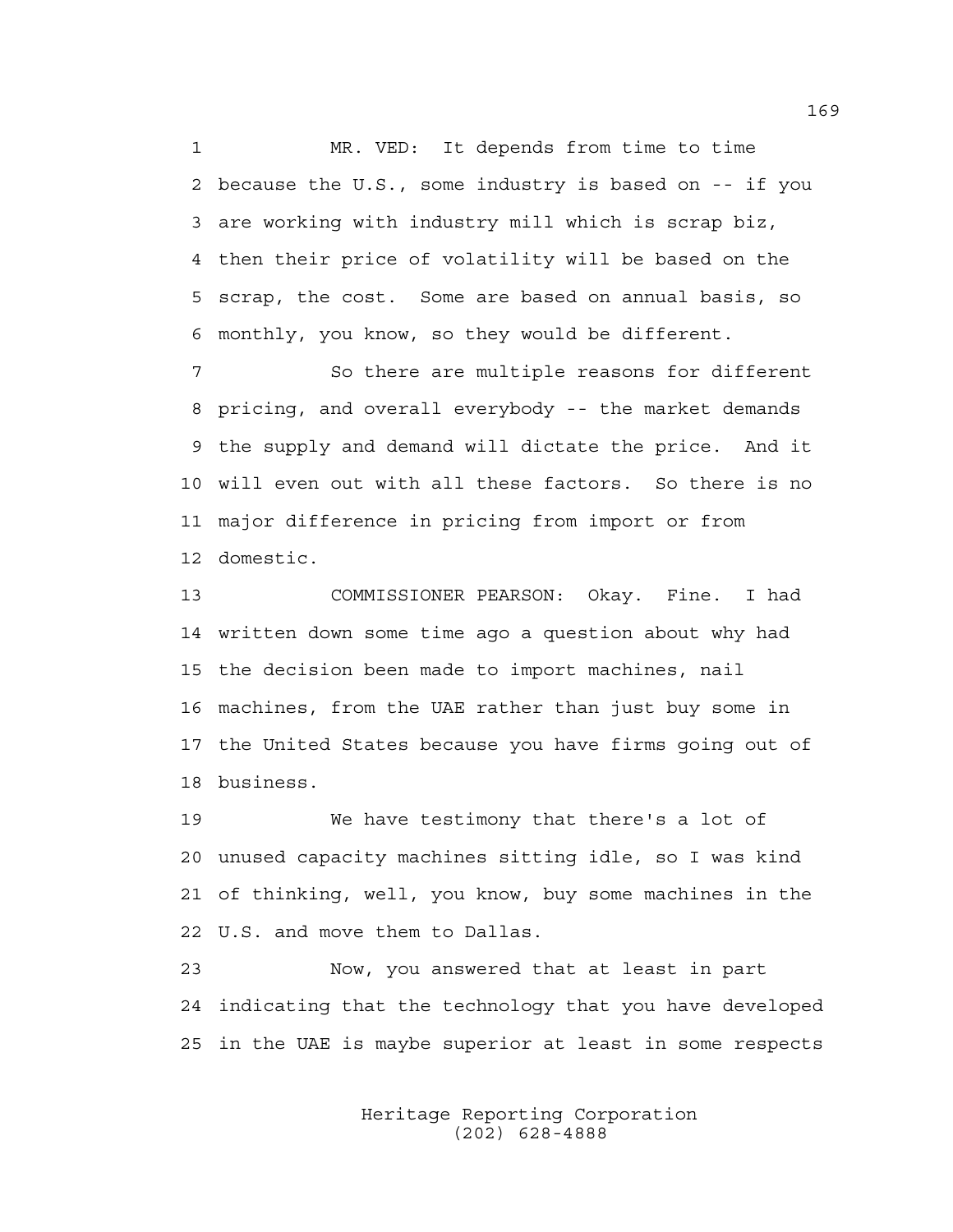1 MR. VED: It depends from time to time 2 because the U.S., some industry is based on -- if you 3 are working with industry mill which is scrap biz, 4 then their price of volatility will be based on the 5 scrap, the cost. Some are based on annual basis, so 6 monthly, you know, so they would be different.

7 So there are multiple reasons for different 8 pricing, and overall everybody -- the market demands 9 the supply and demand will dictate the price. And it 10 will even out with all these factors. So there is no 11 major difference in pricing from import or from 12 domestic.

13 COMMISSIONER PEARSON: Okay. Fine. I had 14 written down some time ago a question about why had 15 the decision been made to import machines, nail 16 machines, from the UAE rather than just buy some in 17 the United States because you have firms going out of 18 business.

19 We have testimony that there's a lot of 20 unused capacity machines sitting idle, so I was kind 21 of thinking, well, you know, buy some machines in the 22 U.S. and move them to Dallas.

23 Now, you answered that at least in part 24 indicating that the technology that you have developed 25 in the UAE is maybe superior at least in some respects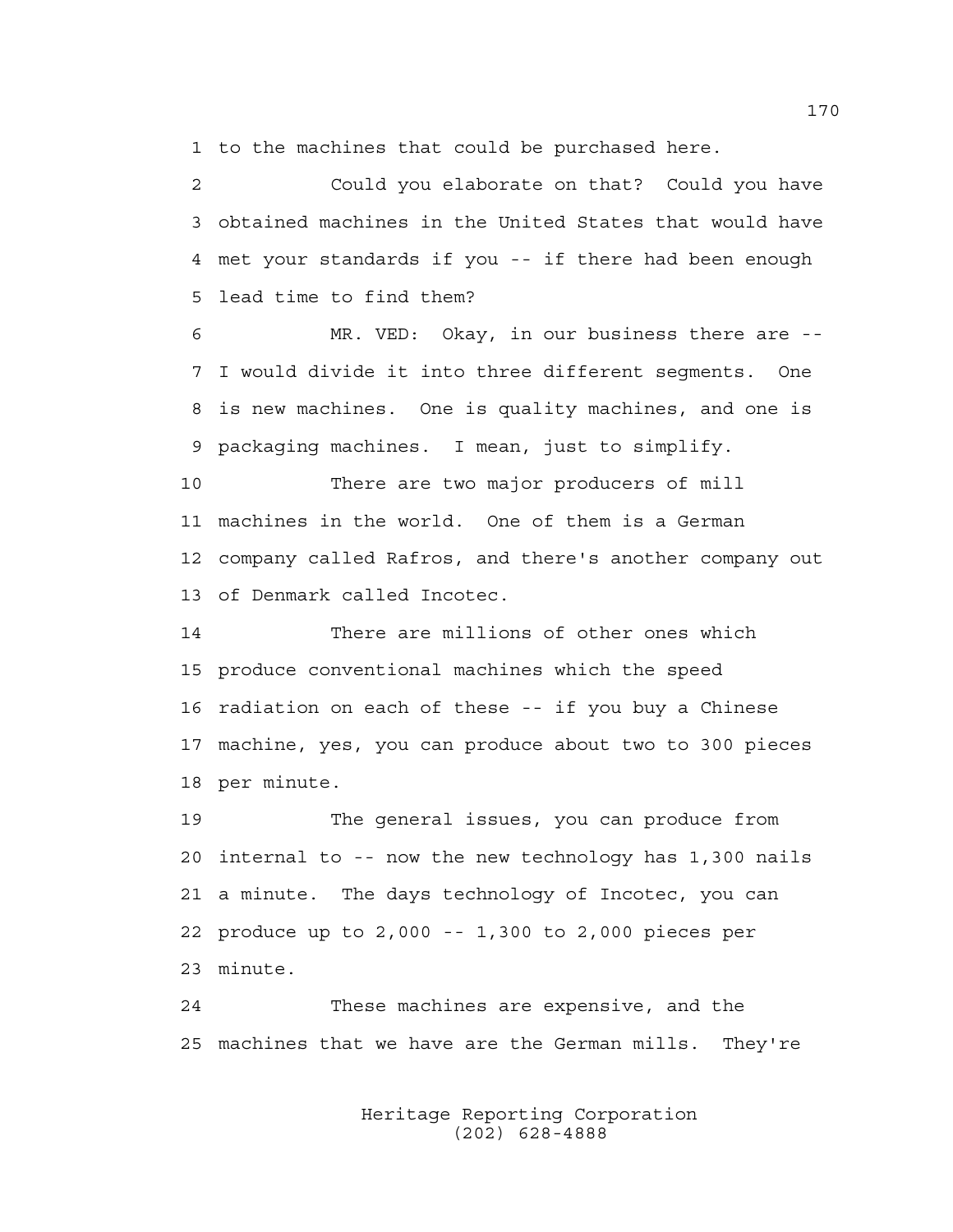1 to the machines that could be purchased here.

2 Could you elaborate on that? Could you have 3 obtained machines in the United States that would have 4 met your standards if you -- if there had been enough 5 lead time to find them?

6 MR. VED: Okay, in our business there are -- 7 I would divide it into three different segments. One 8 is new machines. One is quality machines, and one is 9 packaging machines. I mean, just to simplify.

10 There are two major producers of mill 11 machines in the world. One of them is a German 12 company called Rafros, and there's another company out 13 of Denmark called Incotec.

14 There are millions of other ones which 15 produce conventional machines which the speed 16 radiation on each of these -- if you buy a Chinese 17 machine, yes, you can produce about two to 300 pieces 18 per minute.

19 The general issues, you can produce from 20 internal to -- now the new technology has 1,300 nails 21 a minute. The days technology of Incotec, you can 22 produce up to 2,000 -- 1,300 to 2,000 pieces per 23 minute.

24 These machines are expensive, and the 25 machines that we have are the German mills. They're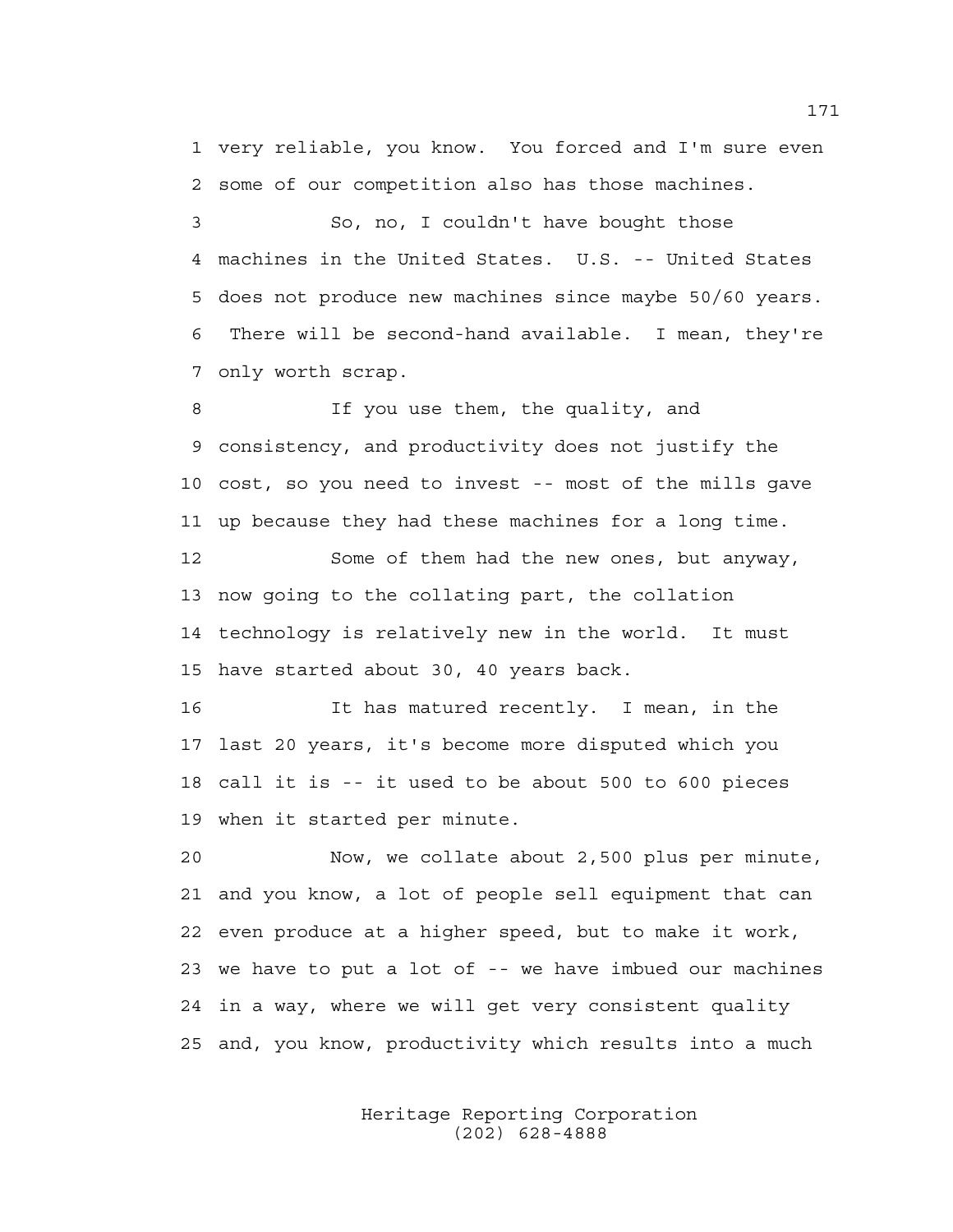1 very reliable, you know. You forced and I'm sure even 2 some of our competition also has those machines.

3 So, no, I couldn't have bought those 4 machines in the United States. U.S. -- United States 5 does not produce new machines since maybe 50/60 years. 6 There will be second-hand available. I mean, they're 7 only worth scrap.

8 If you use them, the quality, and 9 consistency, and productivity does not justify the 10 cost, so you need to invest -- most of the mills gave 11 up because they had these machines for a long time. 12 Some of them had the new ones, but anyway,

13 now going to the collating part, the collation 14 technology is relatively new in the world. It must 15 have started about 30, 40 years back.

16 It has matured recently. I mean, in the 17 last 20 years, it's become more disputed which you 18 call it is -- it used to be about 500 to 600 pieces 19 when it started per minute.

20 Now, we collate about 2,500 plus per minute, 21 and you know, a lot of people sell equipment that can 22 even produce at a higher speed, but to make it work, 23 we have to put a lot of -- we have imbued our machines 24 in a way, where we will get very consistent quality 25 and, you know, productivity which results into a much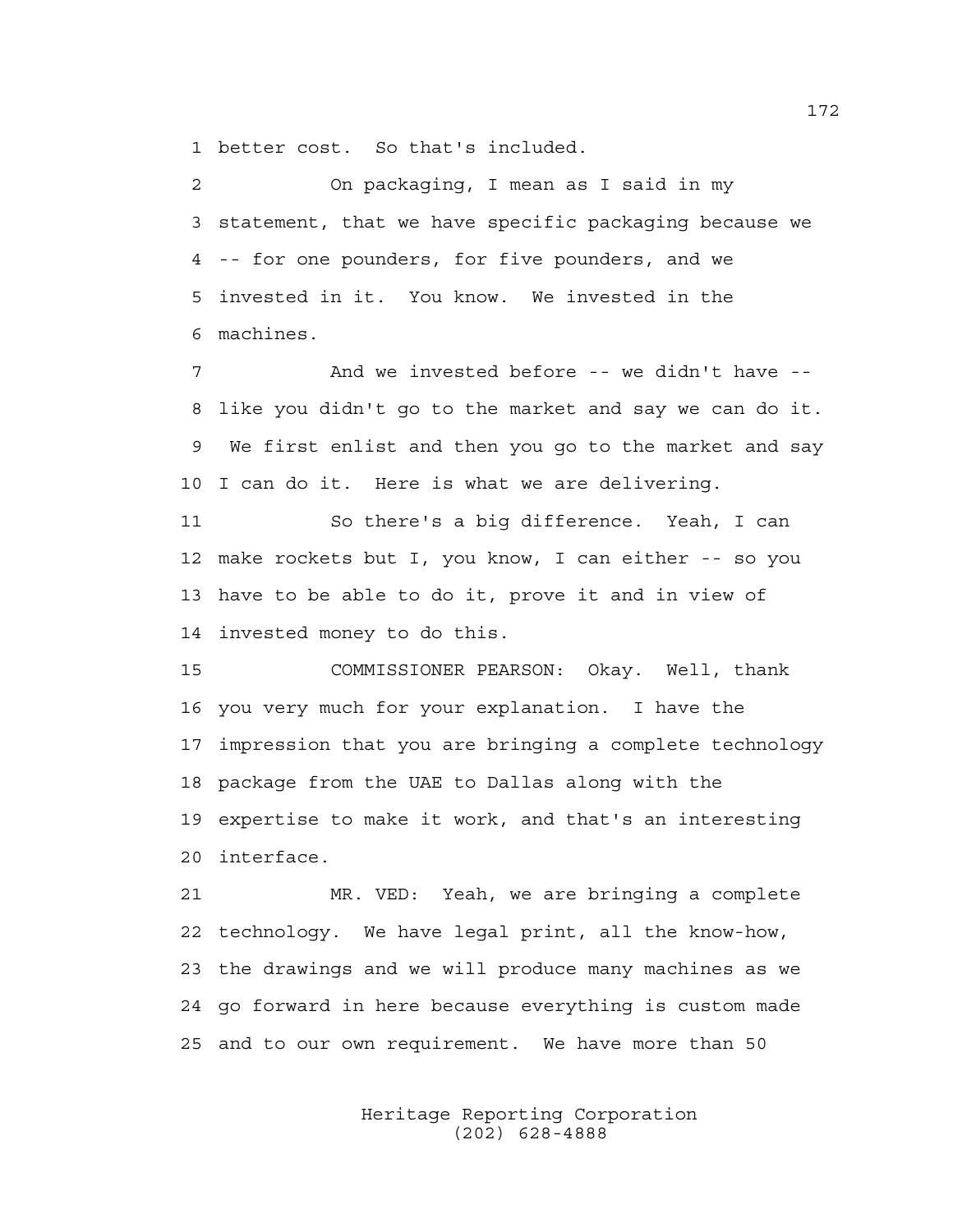1 better cost. So that's included.

2 On packaging, I mean as I said in my 3 statement, that we have specific packaging because we 4 -- for one pounders, for five pounders, and we 5 invested in it. You know. We invested in the 6 machines.

7 And we invested before -- we didn't have -- 8 like you didn't go to the market and say we can do it. 9 We first enlist and then you go to the market and say 10 I can do it. Here is what we are delivering.

11 So there's a big difference. Yeah, I can 12 make rockets but I, you know, I can either -- so you 13 have to be able to do it, prove it and in view of 14 invested money to do this.

15 COMMISSIONER PEARSON: Okay. Well, thank 16 you very much for your explanation. I have the 17 impression that you are bringing a complete technology 18 package from the UAE to Dallas along with the 19 expertise to make it work, and that's an interesting 20 interface.

21 MR. VED: Yeah, we are bringing a complete 22 technology. We have legal print, all the know-how, 23 the drawings and we will produce many machines as we 24 go forward in here because everything is custom made 25 and to our own requirement. We have more than 50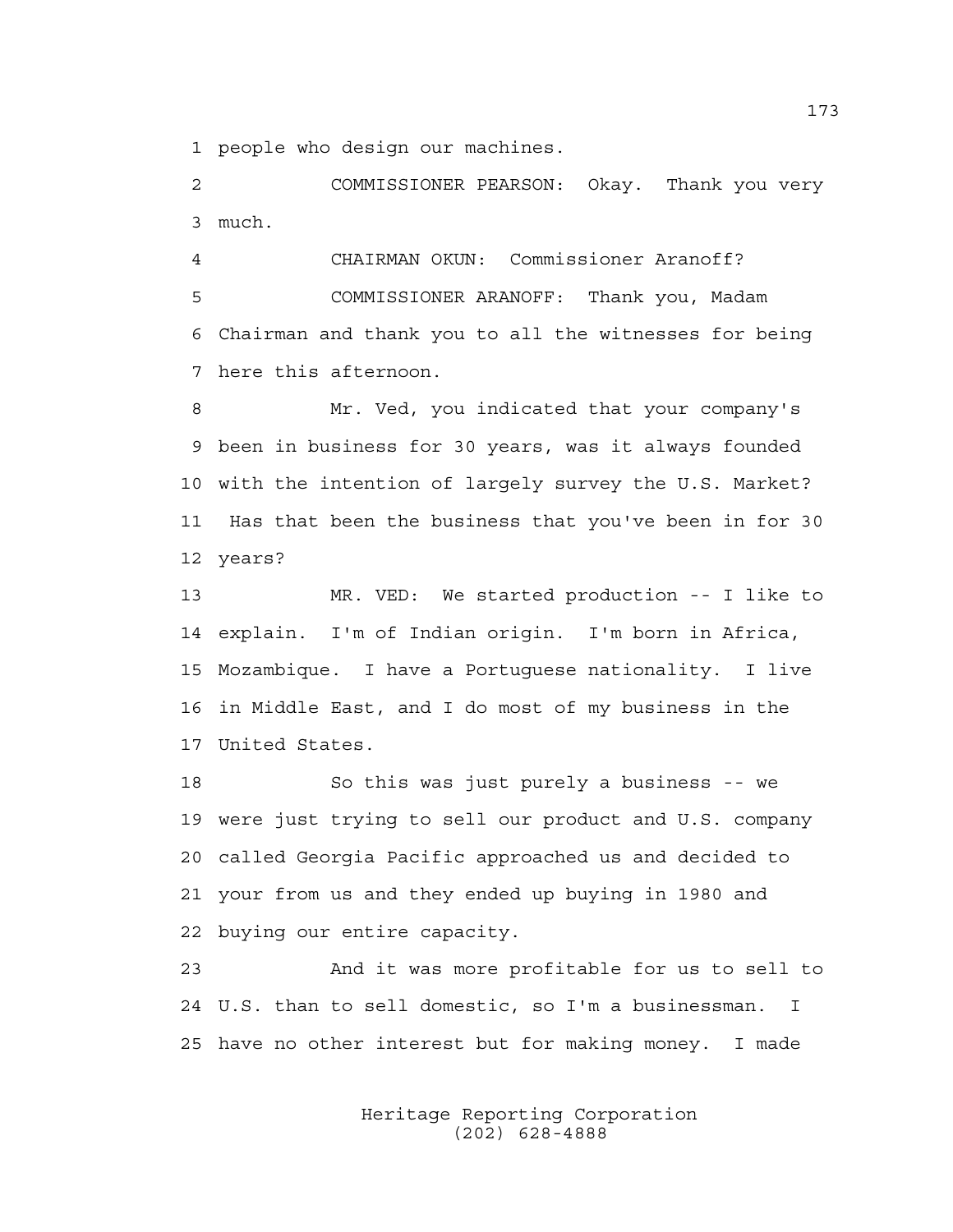1 people who design our machines.

2 COMMISSIONER PEARSON: Okay. Thank you very 3 much.

4 CHAIRMAN OKUN: Commissioner Aranoff? 5 COMMISSIONER ARANOFF: Thank you, Madam 6 Chairman and thank you to all the witnesses for being 7 here this afternoon.

8 Mr. Ved, you indicated that your company's 9 been in business for 30 years, was it always founded 10 with the intention of largely survey the U.S. Market? 11 Has that been the business that you've been in for 30 12 years?

13 MR. VED: We started production -- I like to 14 explain. I'm of Indian origin. I'm born in Africa, 15 Mozambique. I have a Portuguese nationality. I live 16 in Middle East, and I do most of my business in the 17 United States.

18 So this was just purely a business -- we 19 were just trying to sell our product and U.S. company 20 called Georgia Pacific approached us and decided to 21 your from us and they ended up buying in 1980 and 22 buying our entire capacity.

23 And it was more profitable for us to sell to 24 U.S. than to sell domestic, so I'm a businessman. I 25 have no other interest but for making money. I made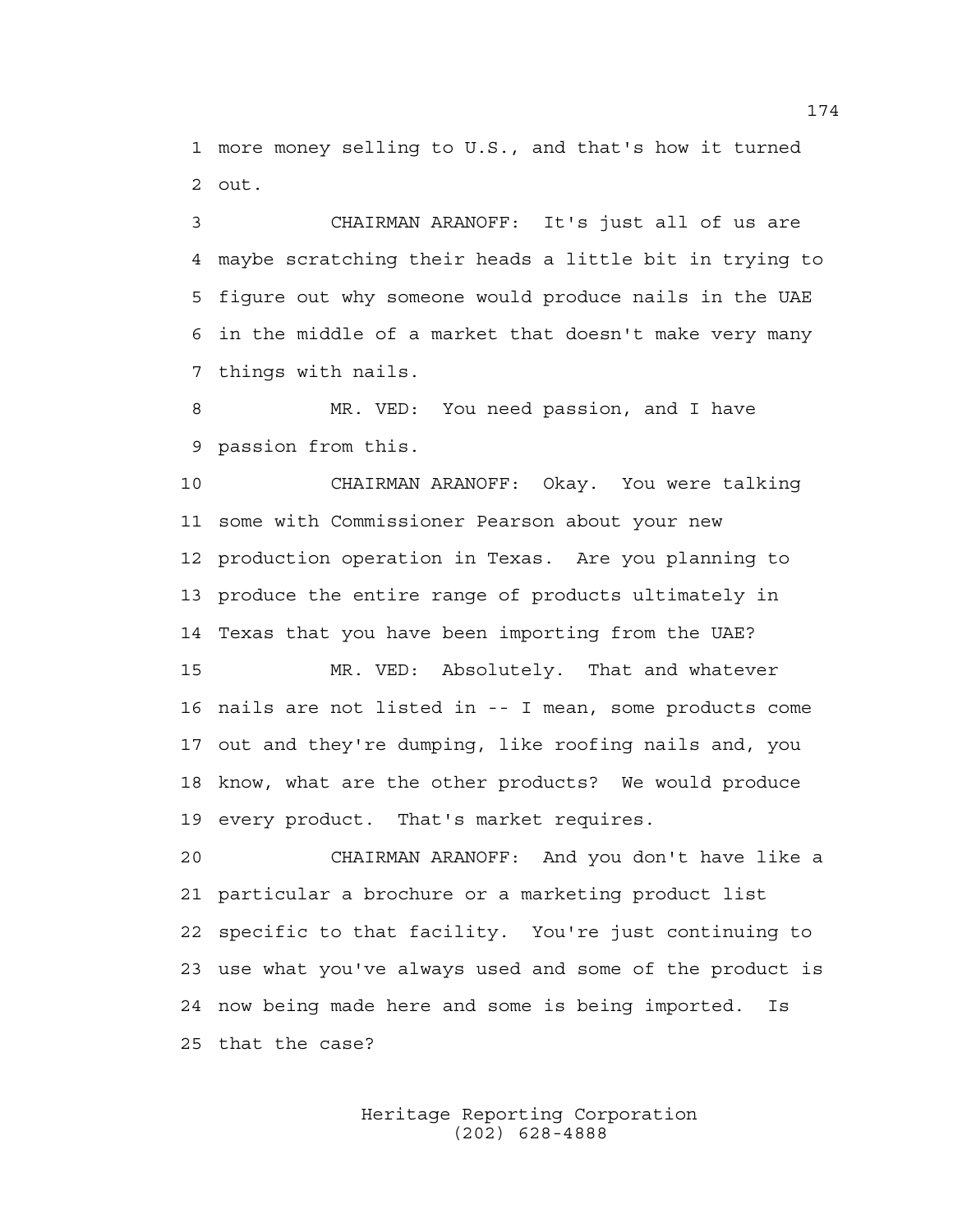1 more money selling to U.S., and that's how it turned 2 out.

3 CHAIRMAN ARANOFF: It's just all of us are 4 maybe scratching their heads a little bit in trying to 5 figure out why someone would produce nails in the UAE 6 in the middle of a market that doesn't make very many 7 things with nails.

8 MR. VED: You need passion, and I have 9 passion from this.

10 CHAIRMAN ARANOFF: Okay. You were talking 11 some with Commissioner Pearson about your new 12 production operation in Texas. Are you planning to 13 produce the entire range of products ultimately in 14 Texas that you have been importing from the UAE?

15 MR. VED: Absolutely. That and whatever 16 nails are not listed in -- I mean, some products come 17 out and they're dumping, like roofing nails and, you 18 know, what are the other products? We would produce 19 every product. That's market requires.

20 CHAIRMAN ARANOFF: And you don't have like a 21 particular a brochure or a marketing product list 22 specific to that facility. You're just continuing to 23 use what you've always used and some of the product is 24 now being made here and some is being imported. Is 25 that the case?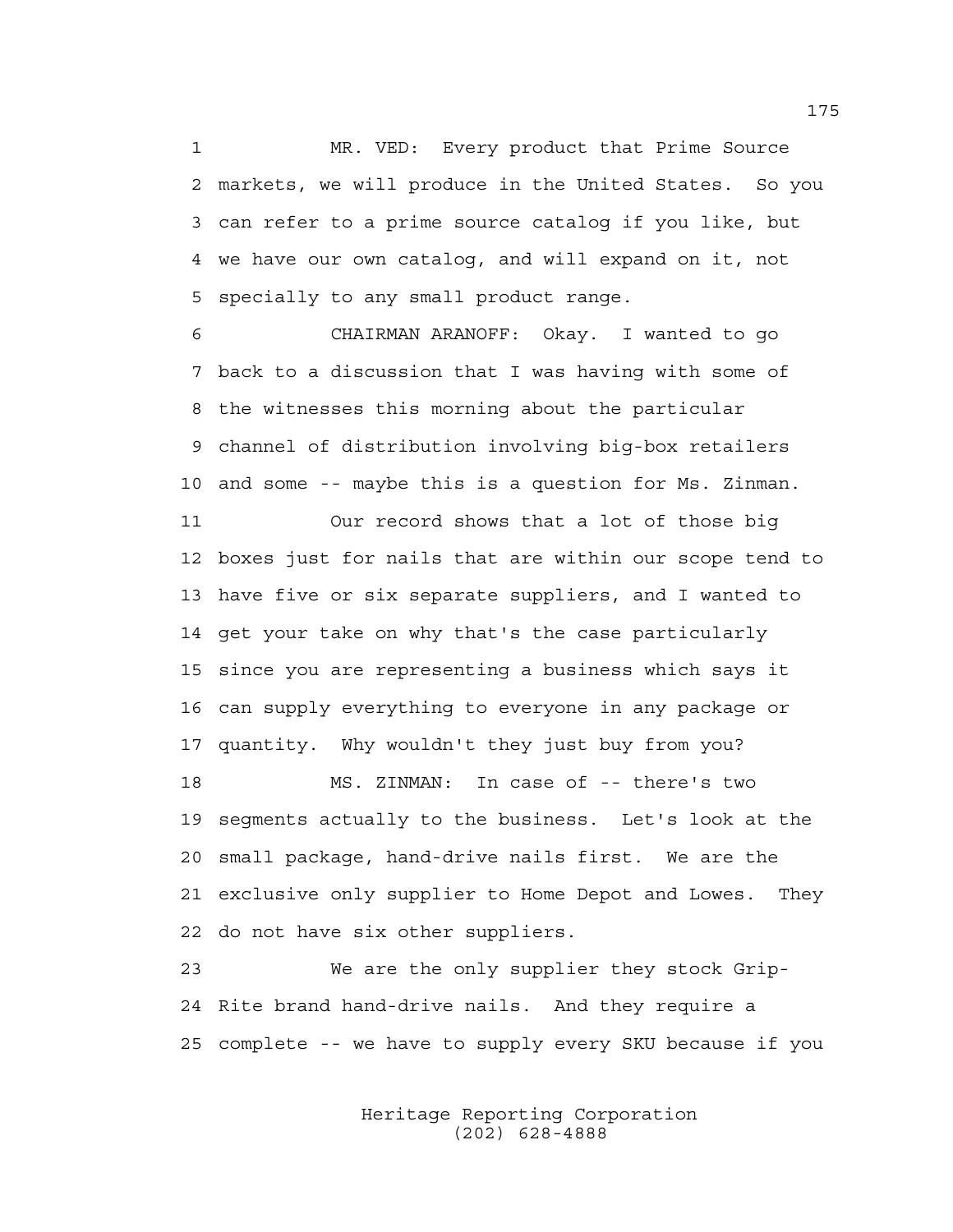1 MR. VED: Every product that Prime Source 2 markets, we will produce in the United States. So you 3 can refer to a prime source catalog if you like, but 4 we have our own catalog, and will expand on it, not 5 specially to any small product range.

6 CHAIRMAN ARANOFF: Okay. I wanted to go 7 back to a discussion that I was having with some of 8 the witnesses this morning about the particular 9 channel of distribution involving big-box retailers 10 and some -- maybe this is a question for Ms. Zinman.

11 Our record shows that a lot of those big 12 boxes just for nails that are within our scope tend to 13 have five or six separate suppliers, and I wanted to 14 get your take on why that's the case particularly 15 since you are representing a business which says it 16 can supply everything to everyone in any package or 17 quantity. Why wouldn't they just buy from you?

18 MS. ZINMAN: In case of -- there's two 19 segments actually to the business. Let's look at the 20 small package, hand-drive nails first. We are the 21 exclusive only supplier to Home Depot and Lowes. They 22 do not have six other suppliers.

23 We are the only supplier they stock Grip-24 Rite brand hand-drive nails. And they require a 25 complete -- we have to supply every SKU because if you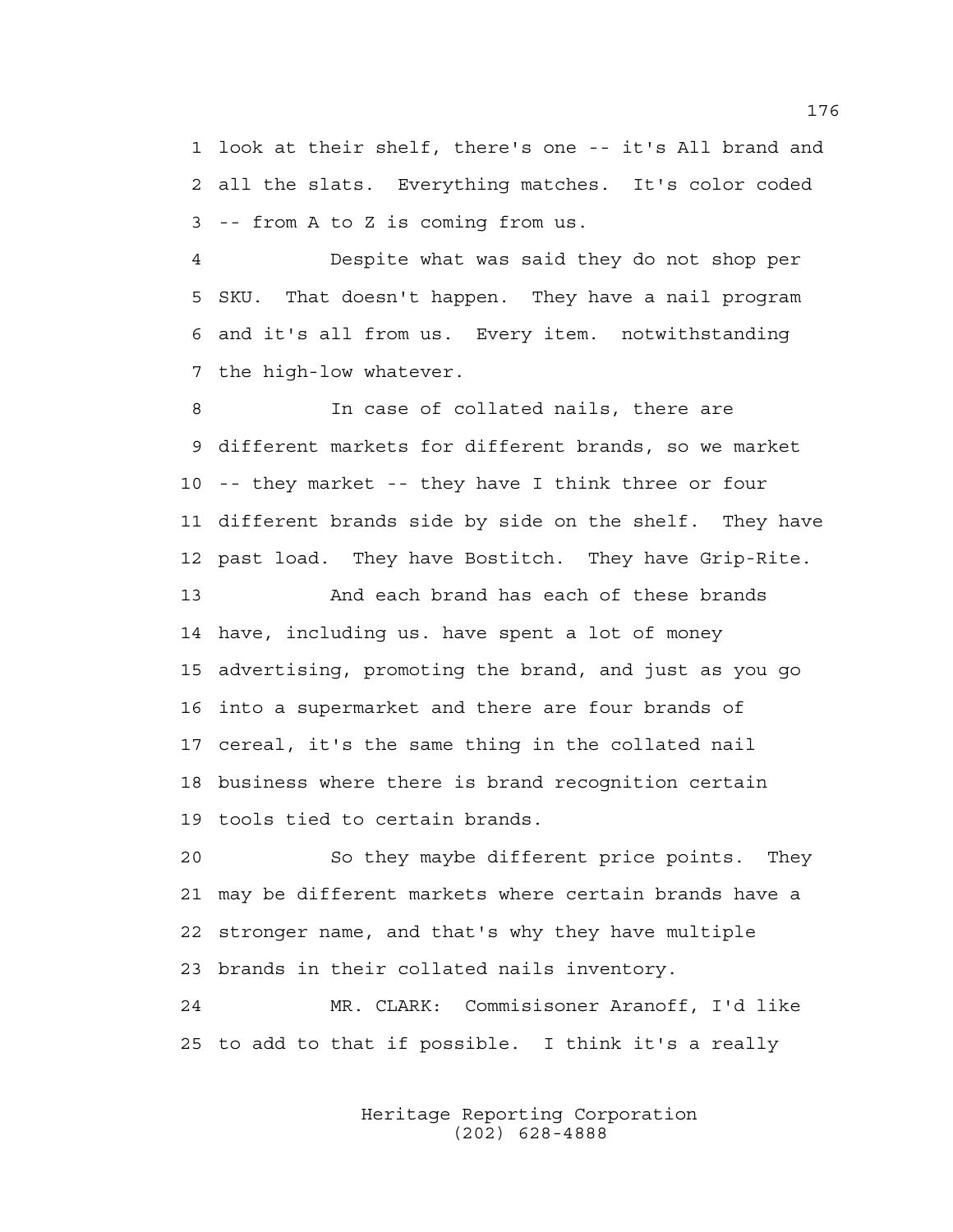1 look at their shelf, there's one -- it's All brand and 2 all the slats. Everything matches. It's color coded 3 -- from A to Z is coming from us.

4 Despite what was said they do not shop per 5 SKU. That doesn't happen. They have a nail program 6 and it's all from us. Every item. notwithstanding 7 the high-low whatever.

8 In case of collated nails, there are 9 different markets for different brands, so we market 10 -- they market -- they have I think three or four 11 different brands side by side on the shelf. They have 12 past load. They have Bostitch. They have Grip-Rite. 13 And each brand has each of these brands 14 have, including us. have spent a lot of money 15 advertising, promoting the brand, and just as you go 16 into a supermarket and there are four brands of 17 cereal, it's the same thing in the collated nail 18 business where there is brand recognition certain 19 tools tied to certain brands.

20 So they maybe different price points. They 21 may be different markets where certain brands have a 22 stronger name, and that's why they have multiple 23 brands in their collated nails inventory.

24 MR. CLARK: Commisisoner Aranoff, I'd like 25 to add to that if possible. I think it's a really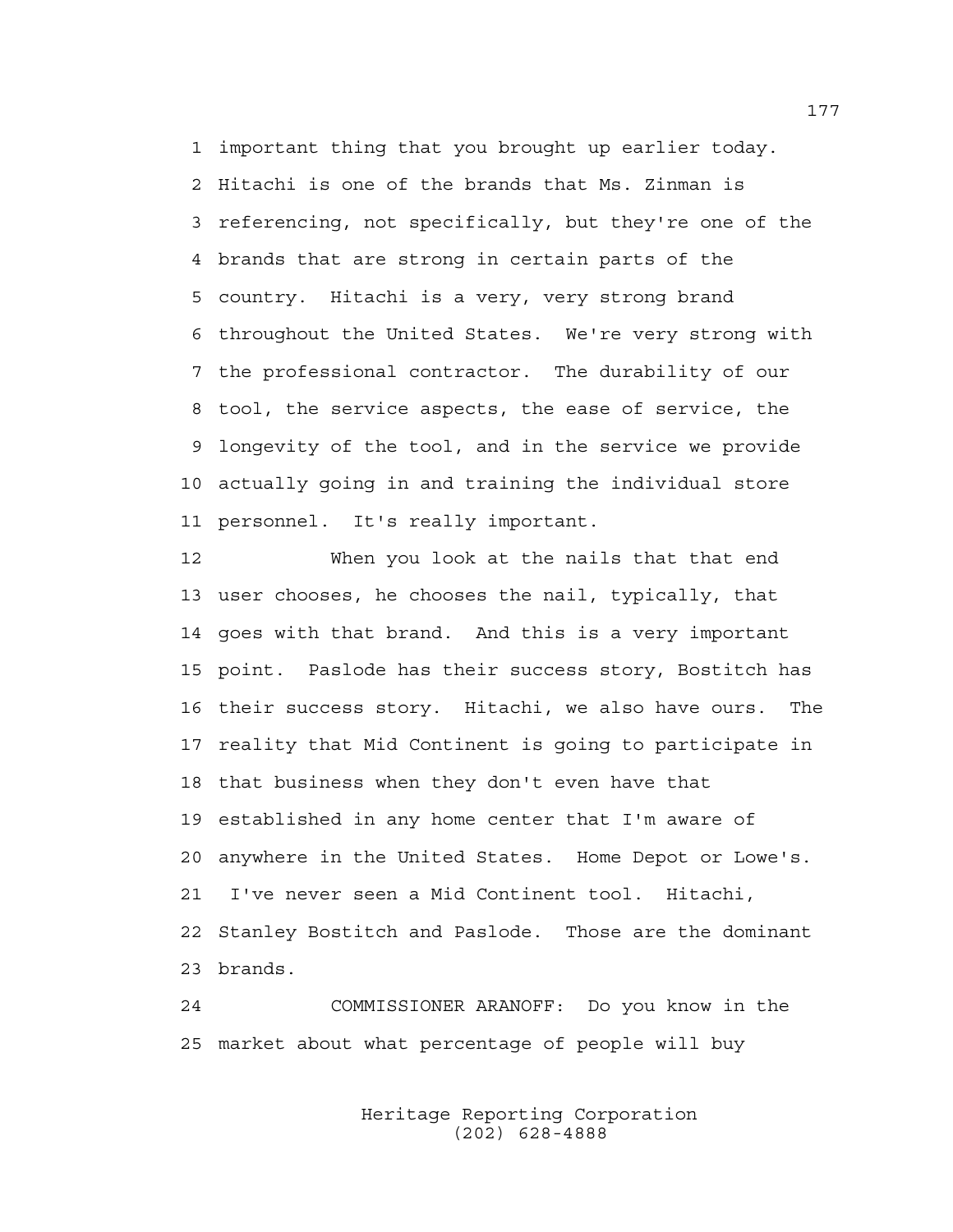1 important thing that you brought up earlier today. 2 Hitachi is one of the brands that Ms. Zinman is 3 referencing, not specifically, but they're one of the 4 brands that are strong in certain parts of the 5 country. Hitachi is a very, very strong brand 6 throughout the United States. We're very strong with 7 the professional contractor. The durability of our 8 tool, the service aspects, the ease of service, the 9 longevity of the tool, and in the service we provide 10 actually going in and training the individual store 11 personnel. It's really important.

12 When you look at the nails that that end 13 user chooses, he chooses the nail, typically, that 14 goes with that brand. And this is a very important 15 point. Paslode has their success story, Bostitch has 16 their success story. Hitachi, we also have ours. The 17 reality that Mid Continent is going to participate in 18 that business when they don't even have that 19 established in any home center that I'm aware of 20 anywhere in the United States. Home Depot or Lowe's. 21 I've never seen a Mid Continent tool. Hitachi, 22 Stanley Bostitch and Paslode. Those are the dominant 23 brands.

24 COMMISSIONER ARANOFF: Do you know in the 25 market about what percentage of people will buy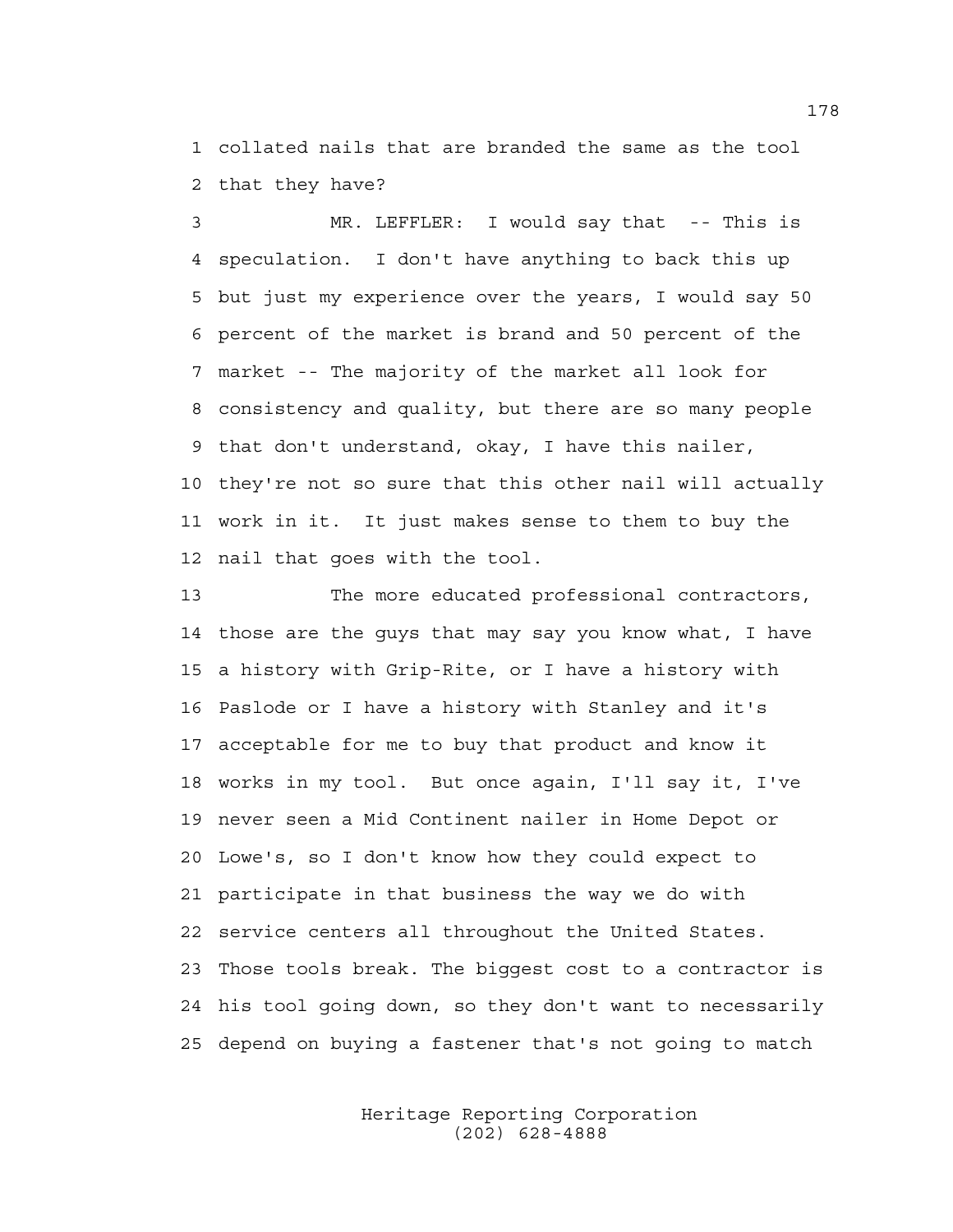1 collated nails that are branded the same as the tool 2 that they have?

3 MR. LEFFLER: I would say that -- This is 4 speculation. I don't have anything to back this up 5 but just my experience over the years, I would say 50 6 percent of the market is brand and 50 percent of the 7 market -- The majority of the market all look for 8 consistency and quality, but there are so many people 9 that don't understand, okay, I have this nailer, 10 they're not so sure that this other nail will actually 11 work in it. It just makes sense to them to buy the 12 nail that goes with the tool.

13 The more educated professional contractors, 14 those are the guys that may say you know what, I have 15 a history with Grip-Rite, or I have a history with 16 Paslode or I have a history with Stanley and it's 17 acceptable for me to buy that product and know it 18 works in my tool. But once again, I'll say it, I've 19 never seen a Mid Continent nailer in Home Depot or 20 Lowe's, so I don't know how they could expect to 21 participate in that business the way we do with 22 service centers all throughout the United States. 23 Those tools break. The biggest cost to a contractor is 24 his tool going down, so they don't want to necessarily 25 depend on buying a fastener that's not going to match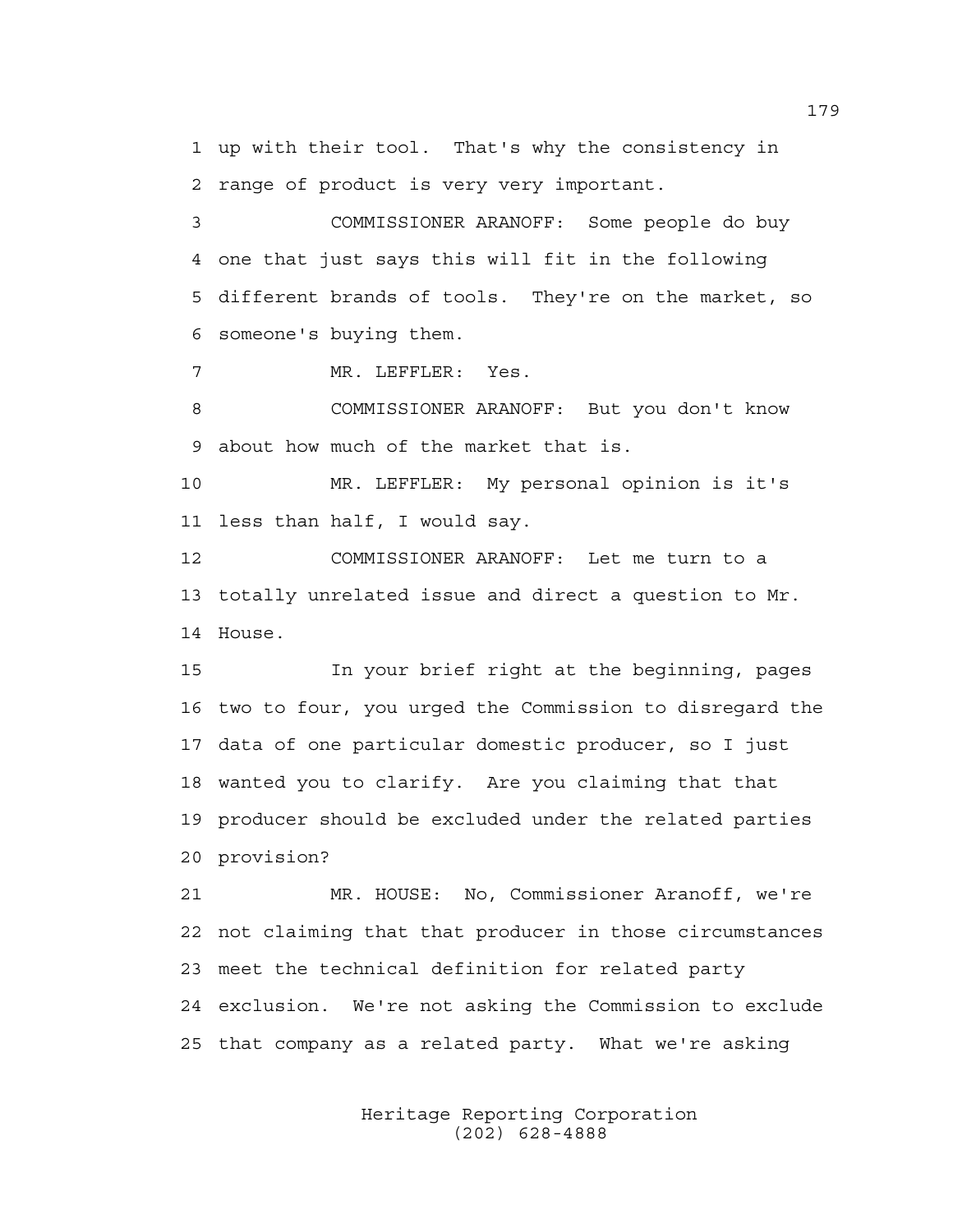1 up with their tool. That's why the consistency in 2 range of product is very very important.

3 COMMISSIONER ARANOFF: Some people do buy 4 one that just says this will fit in the following 5 different brands of tools. They're on the market, so 6 someone's buying them.

7 MR. LEFFLER: Yes.

8 COMMISSIONER ARANOFF: But you don't know 9 about how much of the market that is.

10 MR. LEFFLER: My personal opinion is it's 11 less than half, I would say.

12 COMMISSIONER ARANOFF: Let me turn to a 13 totally unrelated issue and direct a question to Mr. 14 House.

15 In your brief right at the beginning, pages 16 two to four, you urged the Commission to disregard the 17 data of one particular domestic producer, so I just 18 wanted you to clarify. Are you claiming that that 19 producer should be excluded under the related parties 20 provision?

21 MR. HOUSE: No, Commissioner Aranoff, we're 22 not claiming that that producer in those circumstances 23 meet the technical definition for related party 24 exclusion. We're not asking the Commission to exclude 25 that company as a related party. What we're asking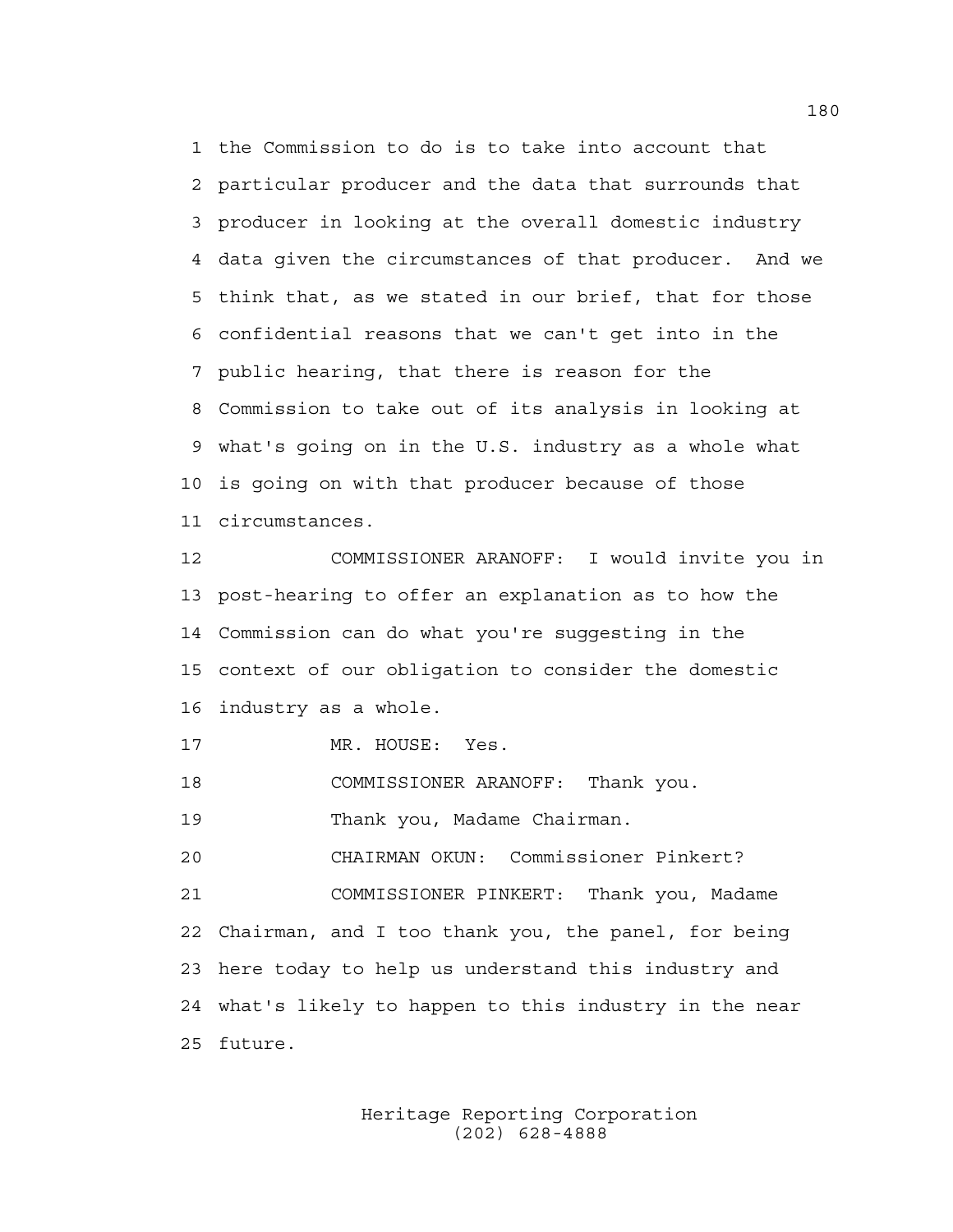1 the Commission to do is to take into account that 2 particular producer and the data that surrounds that 3 producer in looking at the overall domestic industry 4 data given the circumstances of that producer. And we 5 think that, as we stated in our brief, that for those 6 confidential reasons that we can't get into in the 7 public hearing, that there is reason for the 8 Commission to take out of its analysis in looking at 9 what's going on in the U.S. industry as a whole what 10 is going on with that producer because of those 11 circumstances.

12 COMMISSIONER ARANOFF: I would invite you in 13 post-hearing to offer an explanation as to how the 14 Commission can do what you're suggesting in the 15 context of our obligation to consider the domestic 16 industry as a whole.

17 MR. HOUSE: Yes.

18 COMMISSIONER ARANOFF: Thank you.

19 Thank you, Madame Chairman.

20 CHAIRMAN OKUN: Commissioner Pinkert?

21 COMMISSIONER PINKERT: Thank you, Madame 22 Chairman, and I too thank you, the panel, for being 23 here today to help us understand this industry and 24 what's likely to happen to this industry in the near 25 future.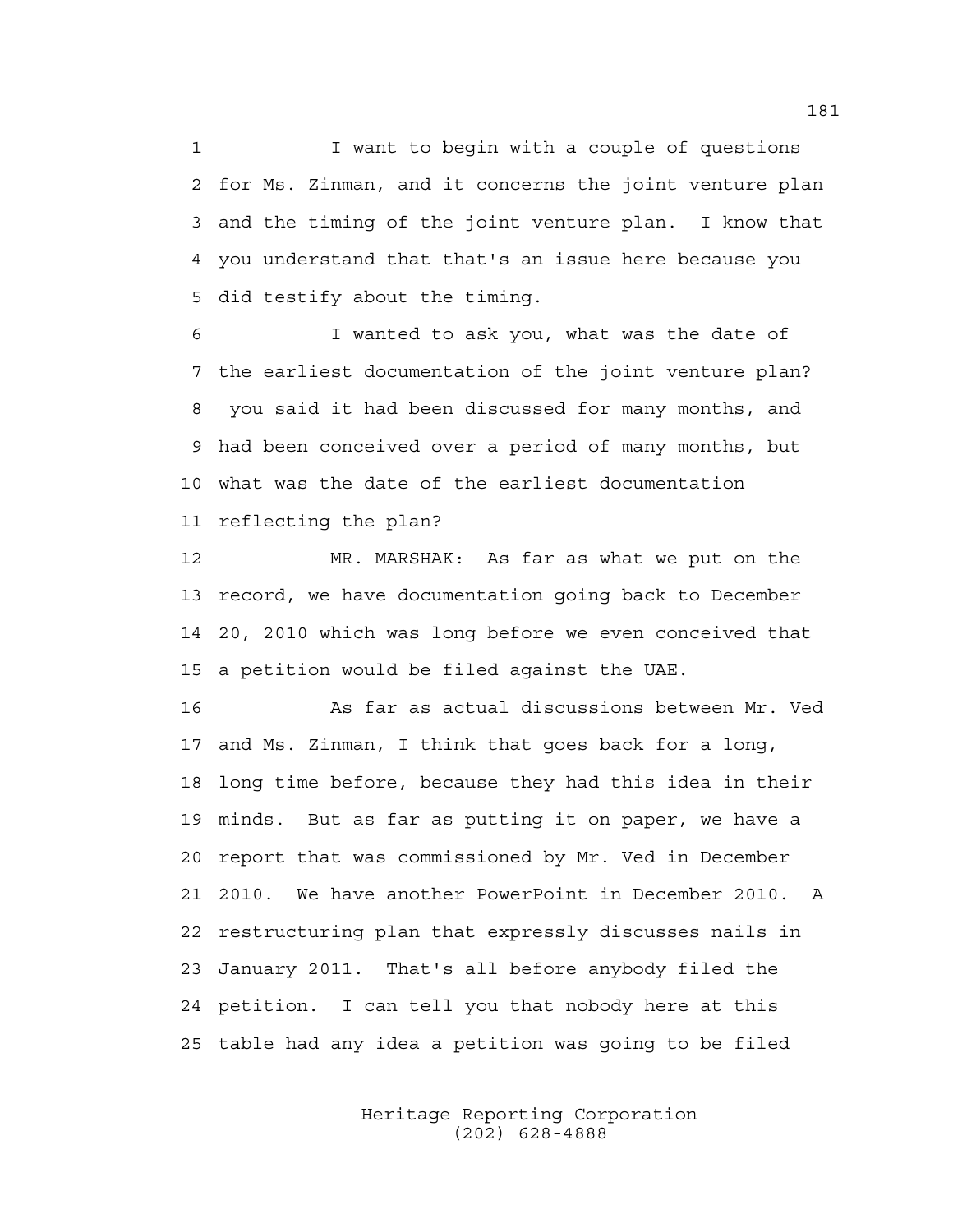1 I want to begin with a couple of questions 2 for Ms. Zinman, and it concerns the joint venture plan 3 and the timing of the joint venture plan. I know that 4 you understand that that's an issue here because you 5 did testify about the timing.

6 I wanted to ask you, what was the date of 7 the earliest documentation of the joint venture plan? 8 you said it had been discussed for many months, and 9 had been conceived over a period of many months, but 10 what was the date of the earliest documentation 11 reflecting the plan?

12 MR. MARSHAK: As far as what we put on the 13 record, we have documentation going back to December 14 20, 2010 which was long before we even conceived that 15 a petition would be filed against the UAE.

16 As far as actual discussions between Mr. Ved 17 and Ms. Zinman, I think that goes back for a long, 18 long time before, because they had this idea in their 19 minds. But as far as putting it on paper, we have a 20 report that was commissioned by Mr. Ved in December 21 2010. We have another PowerPoint in December 2010. A 22 restructuring plan that expressly discusses nails in 23 January 2011. That's all before anybody filed the 24 petition. I can tell you that nobody here at this 25 table had any idea a petition was going to be filed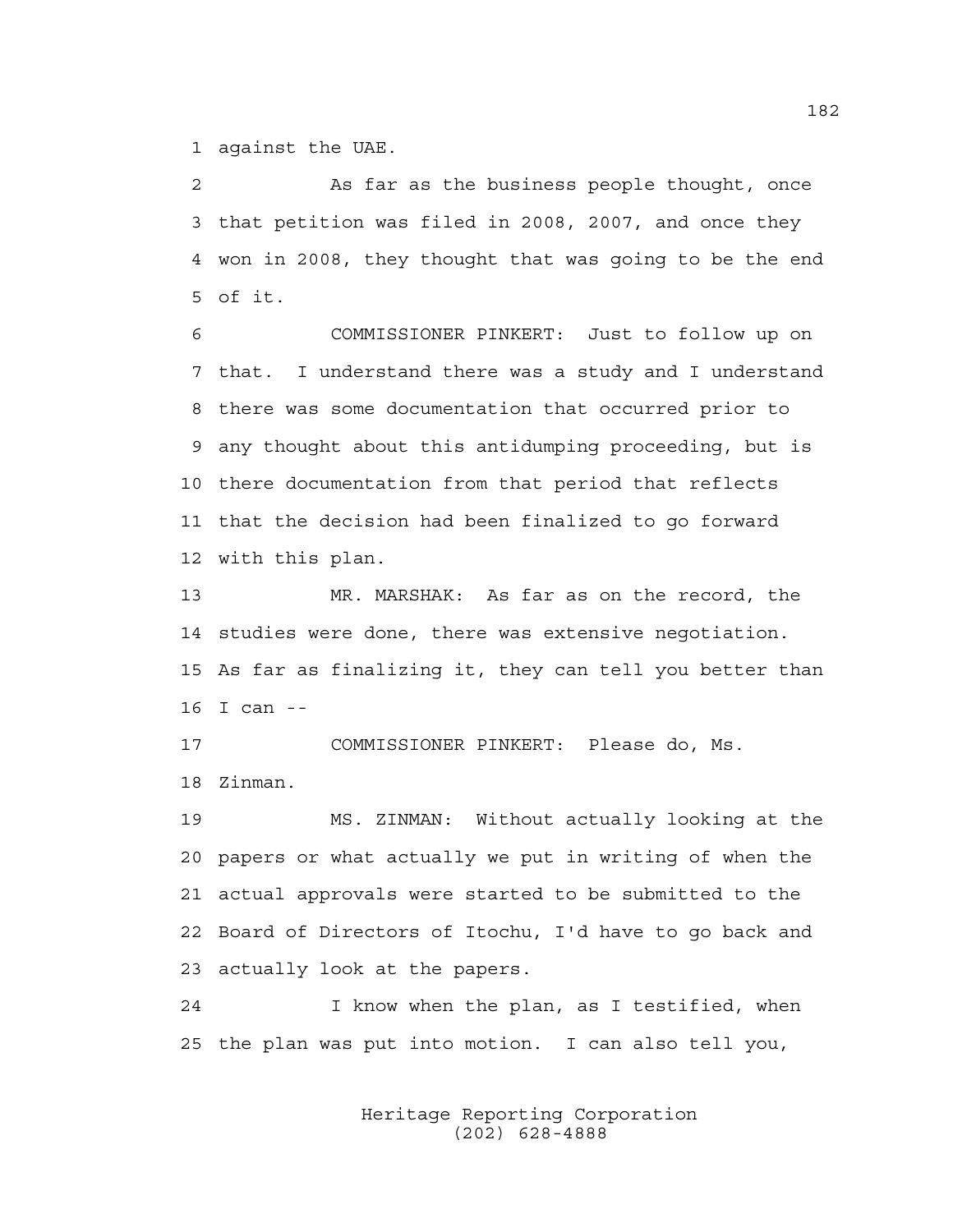1 against the UAE.

2 As far as the business people thought, once 3 that petition was filed in 2008, 2007, and once they 4 won in 2008, they thought that was going to be the end 5 of it.

6 COMMISSIONER PINKERT: Just to follow up on 7 that. I understand there was a study and I understand 8 there was some documentation that occurred prior to 9 any thought about this antidumping proceeding, but is 10 there documentation from that period that reflects 11 that the decision had been finalized to go forward 12 with this plan.

13 MR. MARSHAK: As far as on the record, the 14 studies were done, there was extensive negotiation. 15 As far as finalizing it, they can tell you better than 16 I can --

17 COMMISSIONER PINKERT: Please do, Ms. 18 Zinman.

19 MS. ZINMAN: Without actually looking at the 20 papers or what actually we put in writing of when the 21 actual approvals were started to be submitted to the 22 Board of Directors of Itochu, I'd have to go back and 23 actually look at the papers.

24 I know when the plan, as I testified, when 25 the plan was put into motion. I can also tell you,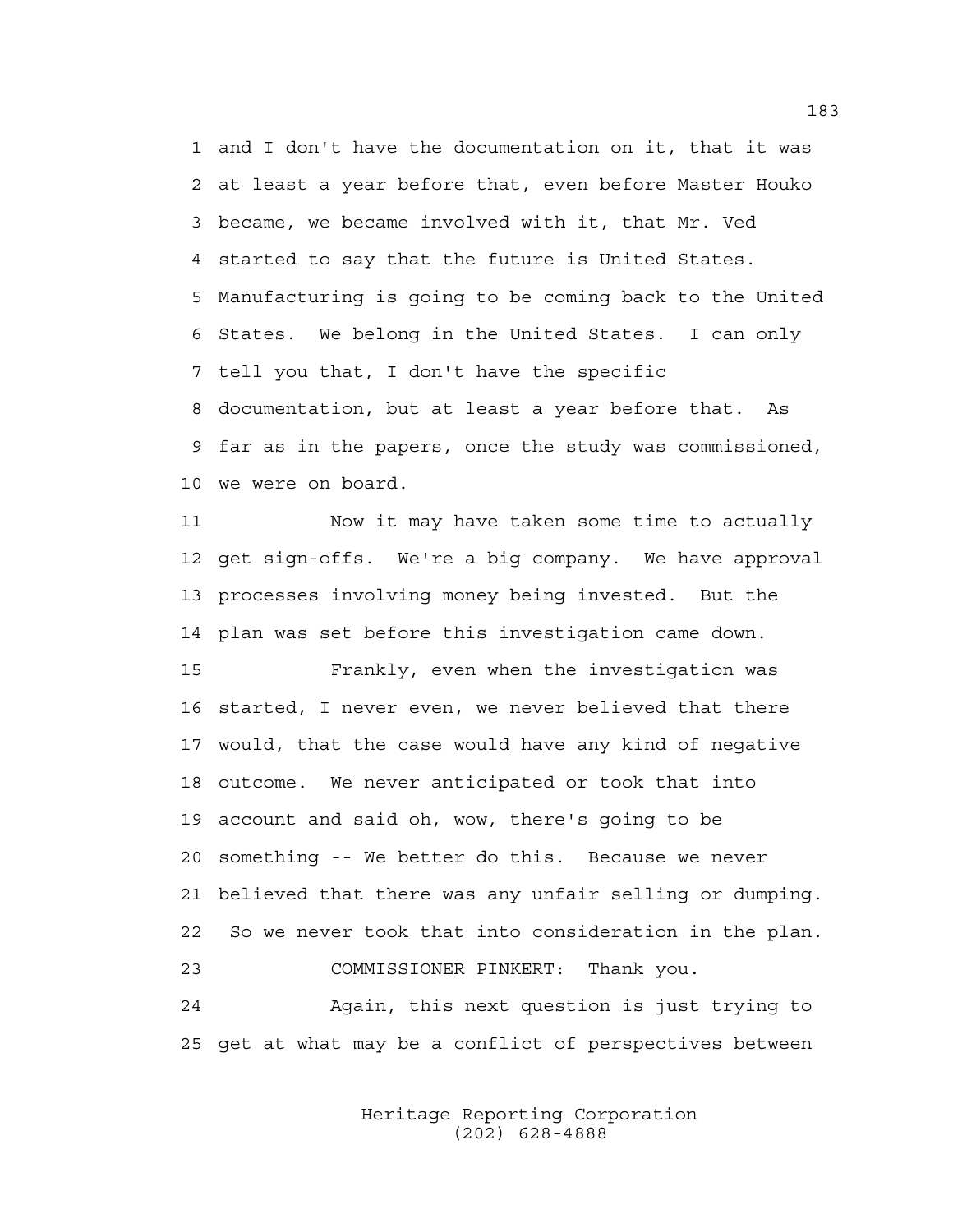1 and I don't have the documentation on it, that it was 2 at least a year before that, even before Master Houko 3 became, we became involved with it, that Mr. Ved 4 started to say that the future is United States. 5 Manufacturing is going to be coming back to the United 6 States. We belong in the United States. I can only 7 tell you that, I don't have the specific 8 documentation, but at least a year before that. As 9 far as in the papers, once the study was commissioned, 10 we were on board.

11 Now it may have taken some time to actually 12 get sign-offs. We're a big company. We have approval 13 processes involving money being invested. But the 14 plan was set before this investigation came down.

15 Frankly, even when the investigation was 16 started, I never even, we never believed that there 17 would, that the case would have any kind of negative 18 outcome. We never anticipated or took that into 19 account and said oh, wow, there's going to be 20 something -- We better do this. Because we never 21 believed that there was any unfair selling or dumping. 22 So we never took that into consideration in the plan. 23 COMMISSIONER PINKERT: Thank you. 24 Again, this next question is just trying to

25 get at what may be a conflict of perspectives between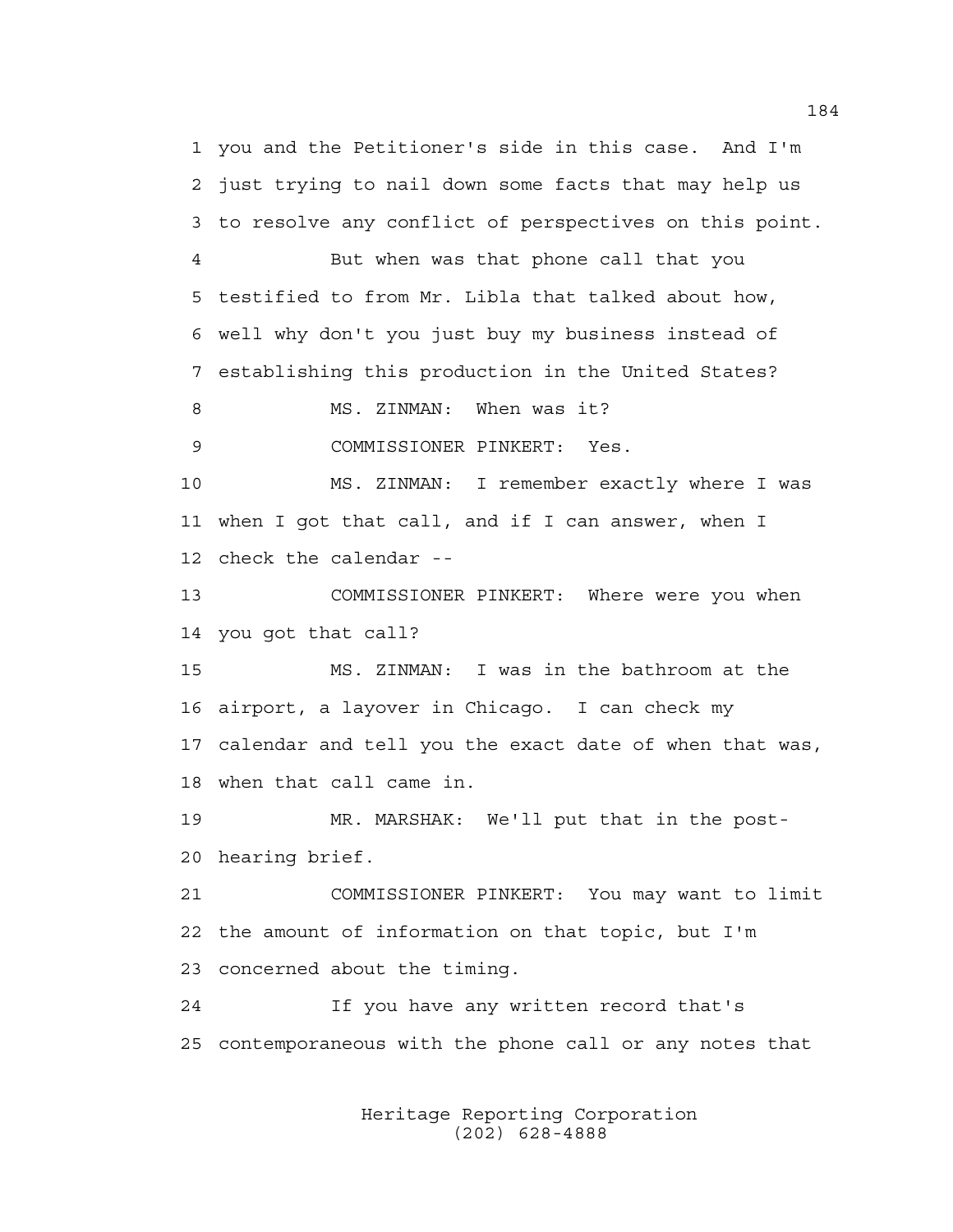1 you and the Petitioner's side in this case. And I'm 2 just trying to nail down some facts that may help us 3 to resolve any conflict of perspectives on this point. 4 But when was that phone call that you 5 testified to from Mr. Libla that talked about how, 6 well why don't you just buy my business instead of 7 establishing this production in the United States? 8 MS. ZINMAN: When was it? 9 COMMISSIONER PINKERT: Yes. 10 MS. ZINMAN: I remember exactly where I was 11 when I got that call, and if I can answer, when I 12 check the calendar -- 13 COMMISSIONER PINKERT: Where were you when 14 you got that call? 15 MS. ZINMAN: I was in the bathroom at the 16 airport, a layover in Chicago. I can check my 17 calendar and tell you the exact date of when that was, 18 when that call came in. 19 MR. MARSHAK: We'll put that in the post-20 hearing brief. 21 COMMISSIONER PINKERT: You may want to limit 22 the amount of information on that topic, but I'm 23 concerned about the timing. 24 If you have any written record that's 25 contemporaneous with the phone call or any notes that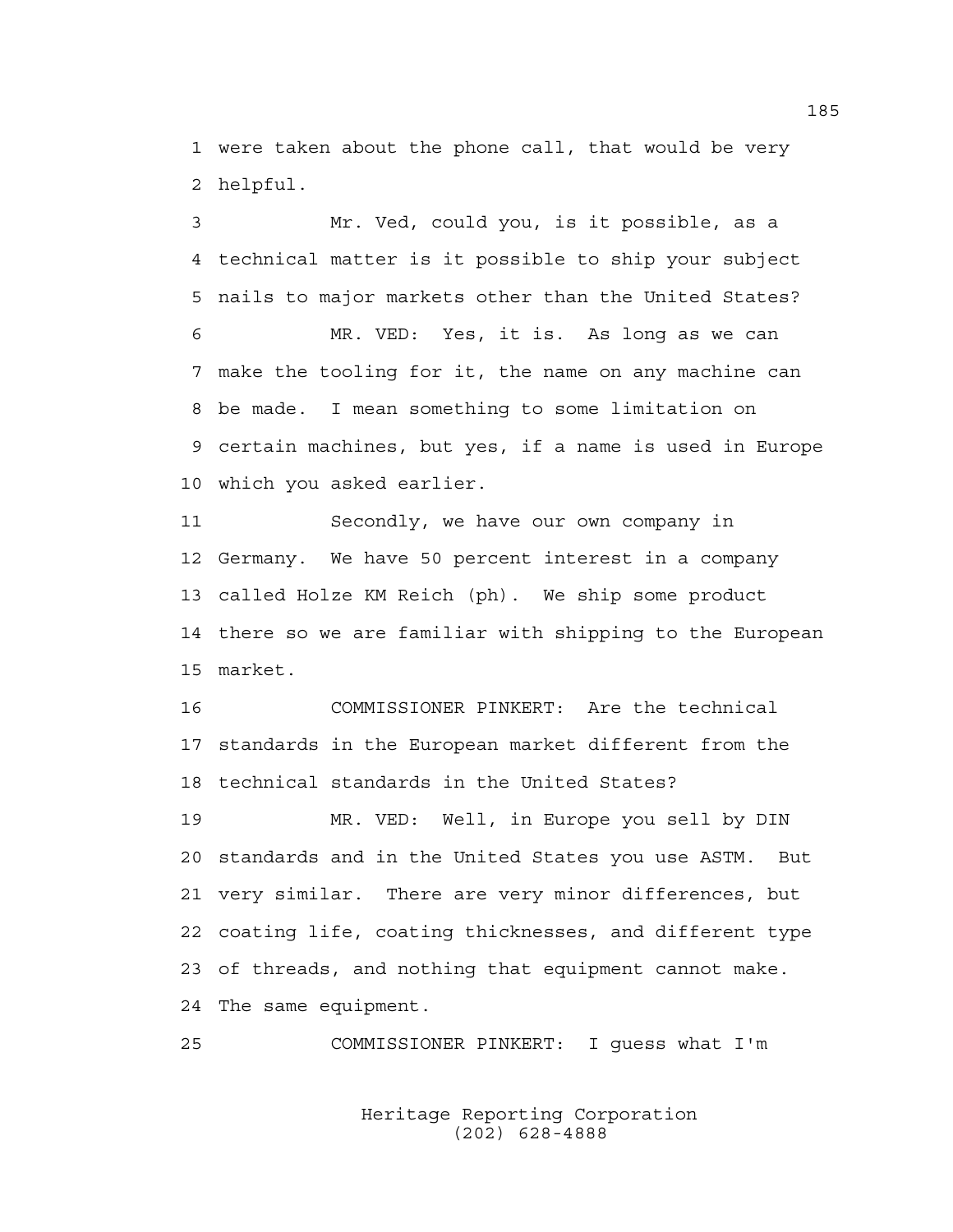1 were taken about the phone call, that would be very 2 helpful.

3 Mr. Ved, could you, is it possible, as a 4 technical matter is it possible to ship your subject 5 nails to major markets other than the United States? 6 MR. VED: Yes, it is. As long as we can

7 make the tooling for it, the name on any machine can 8 be made. I mean something to some limitation on 9 certain machines, but yes, if a name is used in Europe 10 which you asked earlier.

11 Secondly, we have our own company in 12 Germany. We have 50 percent interest in a company 13 called Holze KM Reich (ph). We ship some product 14 there so we are familiar with shipping to the European 15 market.

16 COMMISSIONER PINKERT: Are the technical 17 standards in the European market different from the 18 technical standards in the United States?

19 MR. VED: Well, in Europe you sell by DIN 20 standards and in the United States you use ASTM. But 21 very similar. There are very minor differences, but 22 coating life, coating thicknesses, and different type 23 of threads, and nothing that equipment cannot make. 24 The same equipment.

25 COMMISSIONER PINKERT: I guess what I'm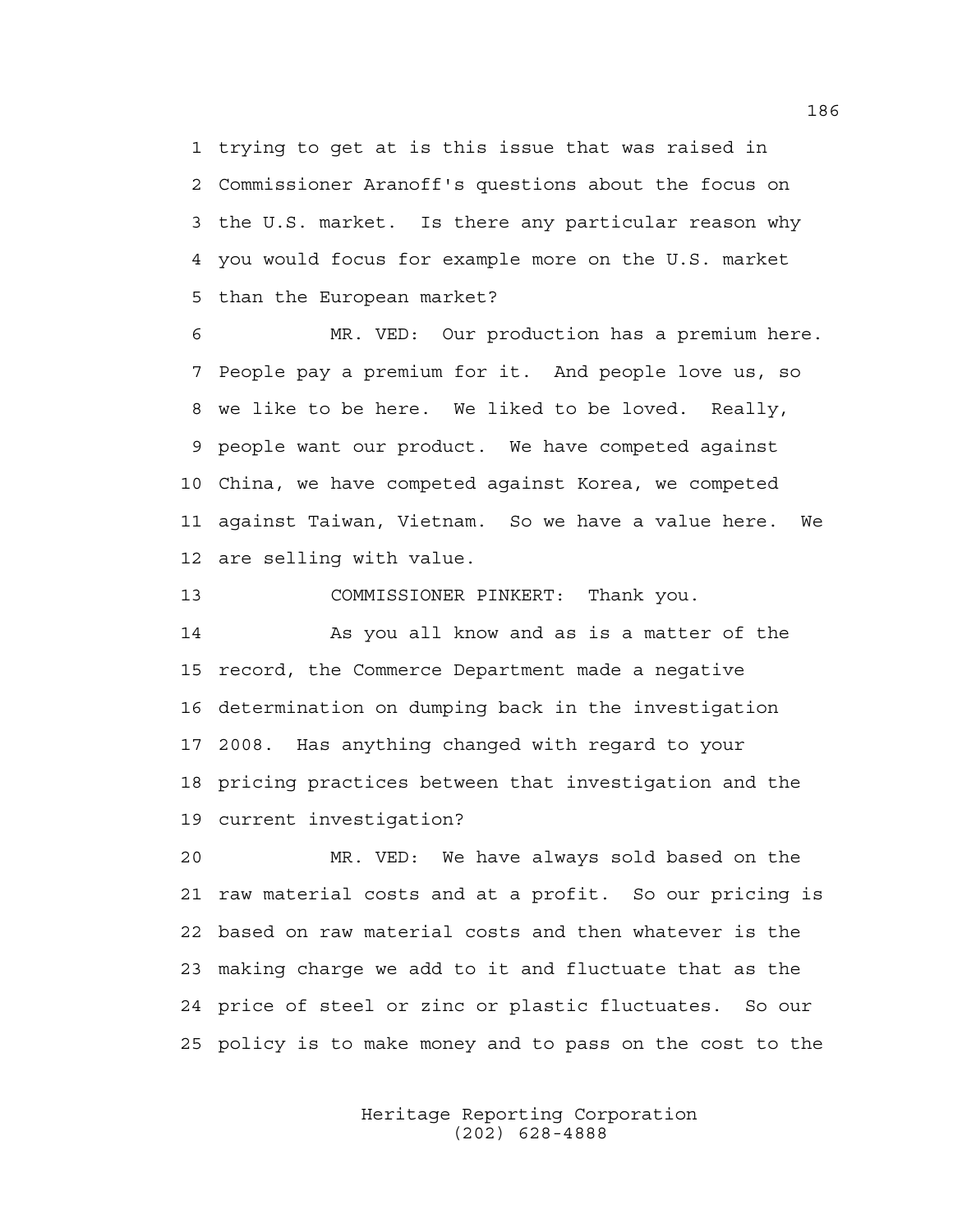1 trying to get at is this issue that was raised in 2 Commissioner Aranoff's questions about the focus on 3 the U.S. market. Is there any particular reason why 4 you would focus for example more on the U.S. market 5 than the European market?

6 MR. VED: Our production has a premium here. 7 People pay a premium for it. And people love us, so 8 we like to be here. We liked to be loved. Really, 9 people want our product. We have competed against 10 China, we have competed against Korea, we competed 11 against Taiwan, Vietnam. So we have a value here. We 12 are selling with value.

13 COMMISSIONER PINKERT: Thank you.

14 As you all know and as is a matter of the 15 record, the Commerce Department made a negative 16 determination on dumping back in the investigation 17 2008. Has anything changed with regard to your 18 pricing practices between that investigation and the 19 current investigation?

20 MR. VED: We have always sold based on the 21 raw material costs and at a profit. So our pricing is 22 based on raw material costs and then whatever is the 23 making charge we add to it and fluctuate that as the 24 price of steel or zinc or plastic fluctuates. So our 25 policy is to make money and to pass on the cost to the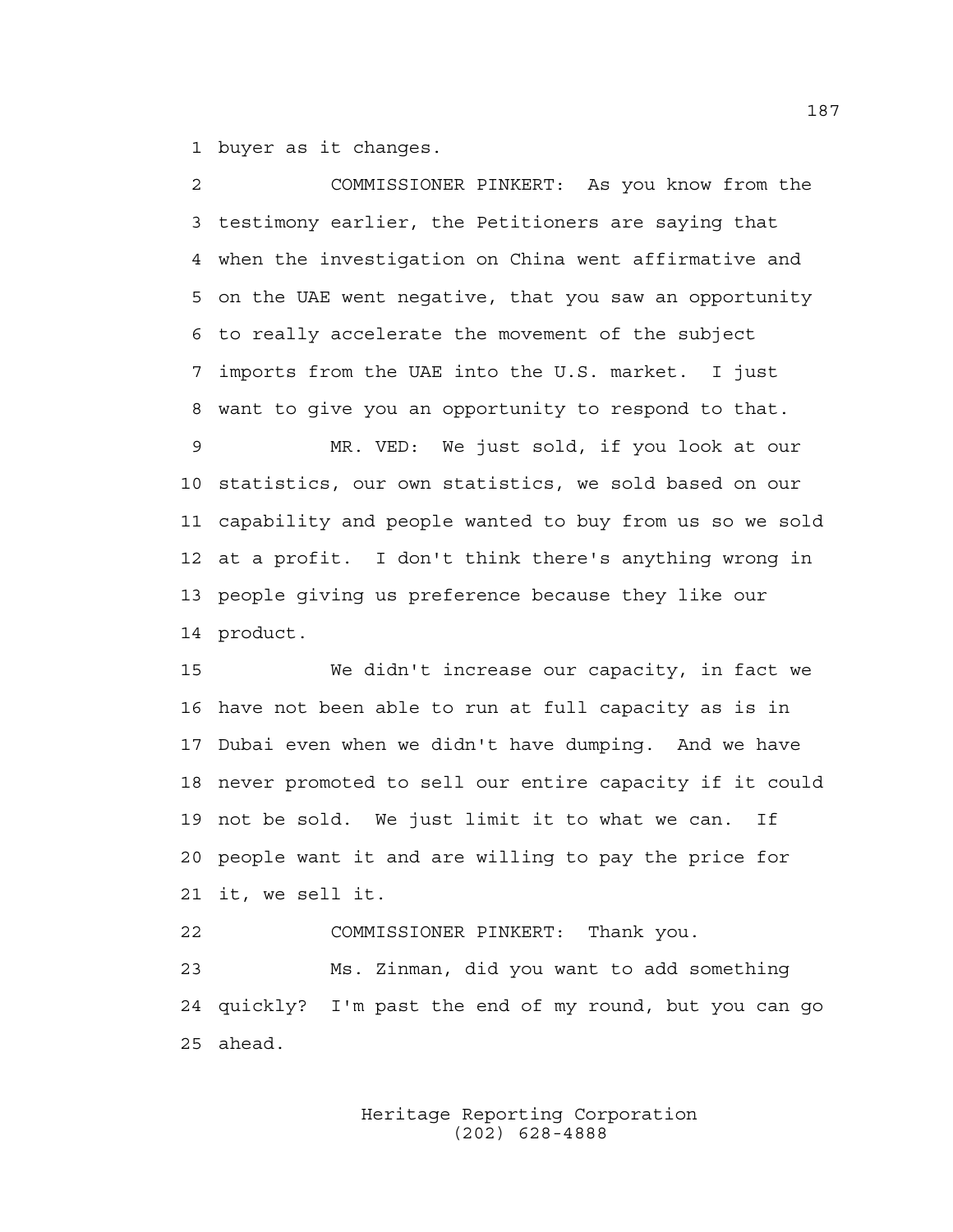1 buyer as it changes.

2 COMMISSIONER PINKERT: As you know from the 3 testimony earlier, the Petitioners are saying that 4 when the investigation on China went affirmative and 5 on the UAE went negative, that you saw an opportunity 6 to really accelerate the movement of the subject 7 imports from the UAE into the U.S. market. I just 8 want to give you an opportunity to respond to that. 9 MR. VED: We just sold, if you look at our 10 statistics, our own statistics, we sold based on our 11 capability and people wanted to buy from us so we sold 12 at a profit. I don't think there's anything wrong in 13 people giving us preference because they like our 14 product.

15 We didn't increase our capacity, in fact we 16 have not been able to run at full capacity as is in 17 Dubai even when we didn't have dumping. And we have 18 never promoted to sell our entire capacity if it could 19 not be sold. We just limit it to what we can. If 20 people want it and are willing to pay the price for 21 it, we sell it.

22 COMMISSIONER PINKERT: Thank you. 23 Ms. Zinman, did you want to add something 24 quickly? I'm past the end of my round, but you can go 25 ahead.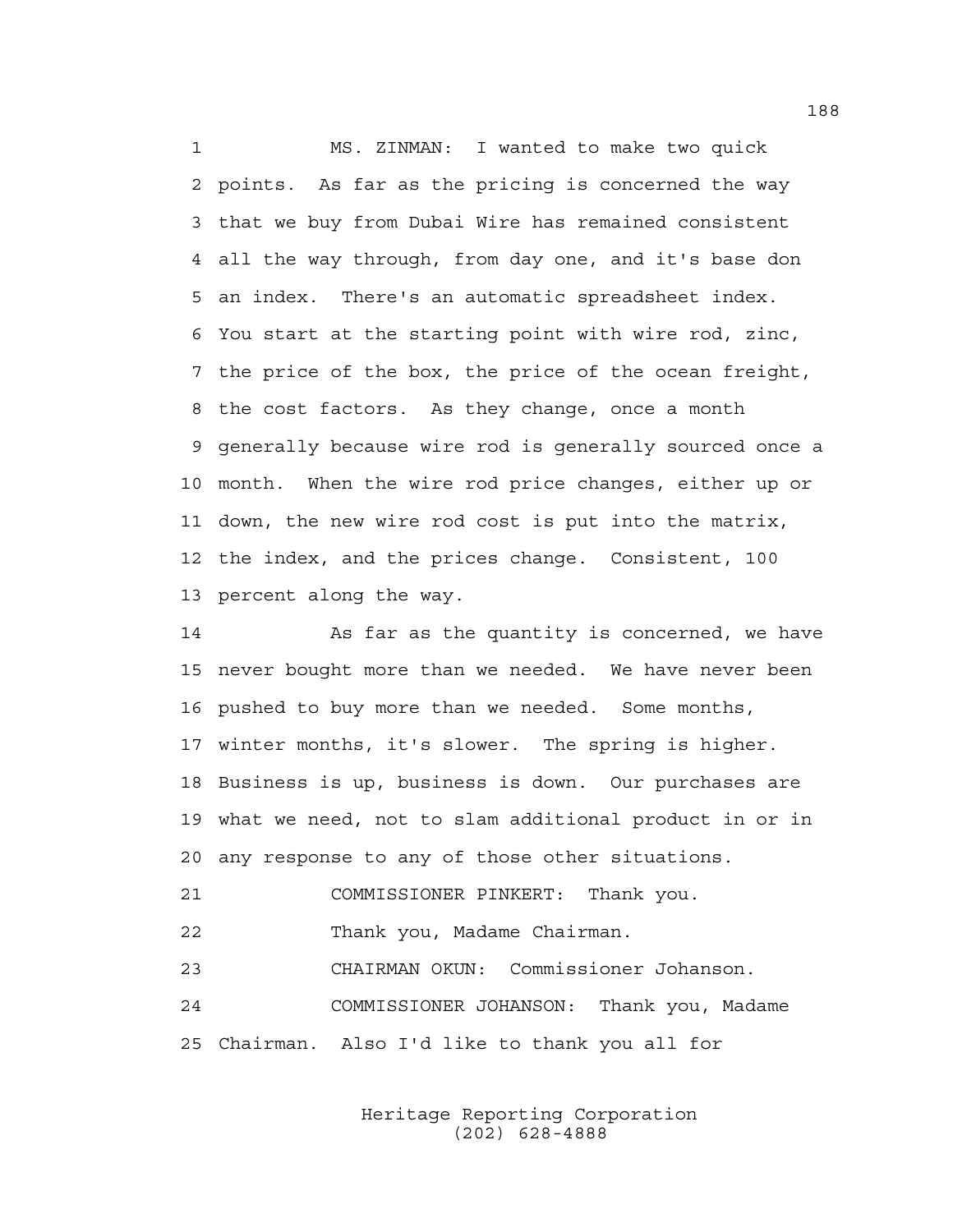1 MS. ZINMAN: I wanted to make two quick 2 points. As far as the pricing is concerned the way 3 that we buy from Dubai Wire has remained consistent 4 all the way through, from day one, and it's base don 5 an index. There's an automatic spreadsheet index. 6 You start at the starting point with wire rod, zinc, 7 the price of the box, the price of the ocean freight, 8 the cost factors. As they change, once a month 9 generally because wire rod is generally sourced once a 10 month. When the wire rod price changes, either up or 11 down, the new wire rod cost is put into the matrix, 12 the index, and the prices change. Consistent, 100 13 percent along the way.

14 As far as the quantity is concerned, we have 15 never bought more than we needed. We have never been 16 pushed to buy more than we needed. Some months, 17 winter months, it's slower. The spring is higher. 18 Business is up, business is down. Our purchases are 19 what we need, not to slam additional product in or in 20 any response to any of those other situations.

21 COMMISSIONER PINKERT: Thank you.

22 Thank you, Madame Chairman.

23 CHAIRMAN OKUN: Commissioner Johanson.

24 COMMISSIONER JOHANSON: Thank you, Madame 25 Chairman. Also I'd like to thank you all for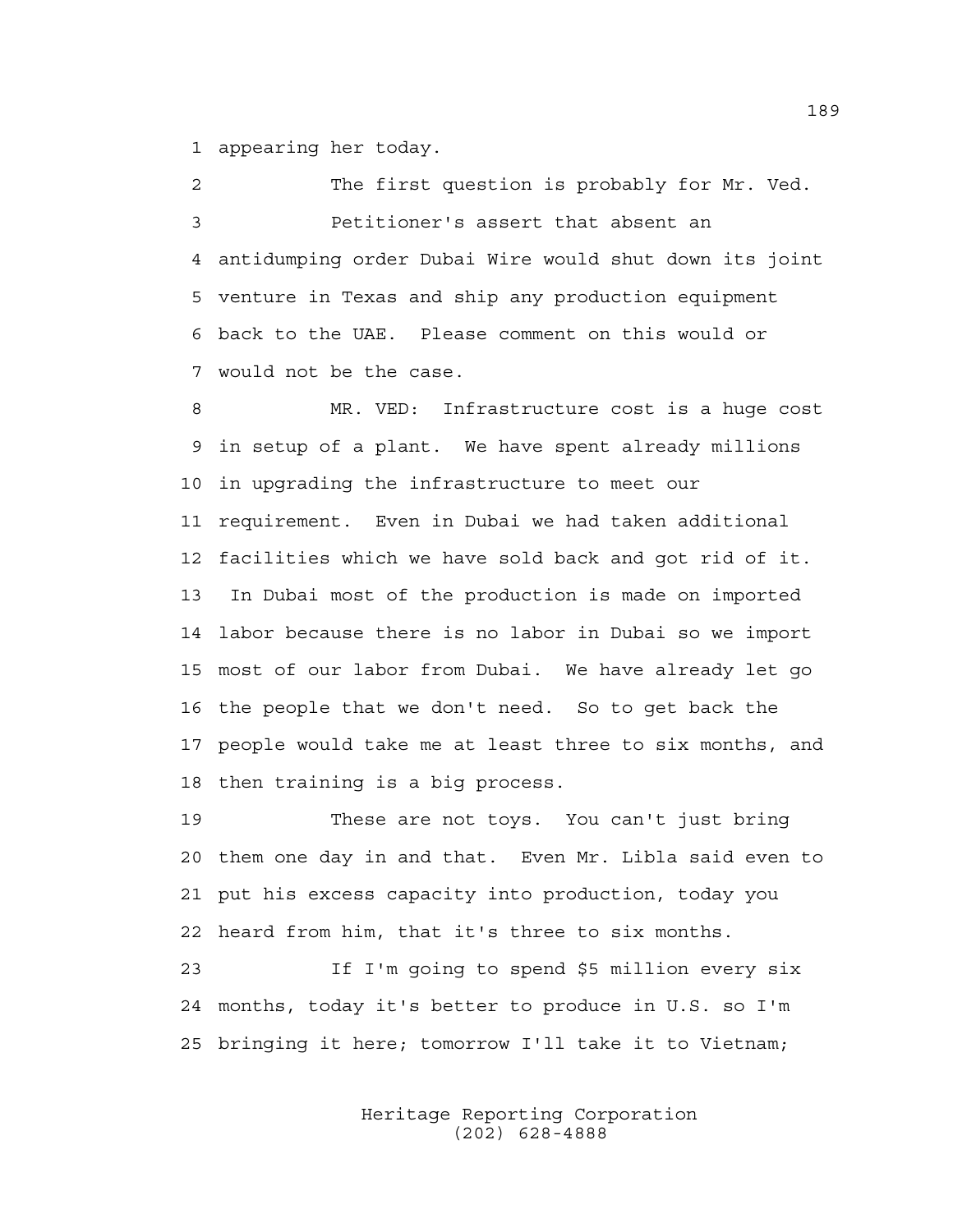1 appearing her today.

2 The first question is probably for Mr. Ved. 3 Petitioner's assert that absent an 4 antidumping order Dubai Wire would shut down its joint 5 venture in Texas and ship any production equipment 6 back to the UAE. Please comment on this would or 7 would not be the case.

8 MR. VED: Infrastructure cost is a huge cost 9 in setup of a plant. We have spent already millions 10 in upgrading the infrastructure to meet our 11 requirement. Even in Dubai we had taken additional 12 facilities which we have sold back and got rid of it. 13 In Dubai most of the production is made on imported 14 labor because there is no labor in Dubai so we import 15 most of our labor from Dubai. We have already let go 16 the people that we don't need. So to get back the 17 people would take me at least three to six months, and 18 then training is a big process.

19 These are not toys. You can't just bring 20 them one day in and that. Even Mr. Libla said even to 21 put his excess capacity into production, today you 22 heard from him, that it's three to six months.

23 If I'm going to spend \$5 million every six 24 months, today it's better to produce in U.S. so I'm 25 bringing it here; tomorrow I'll take it to Vietnam;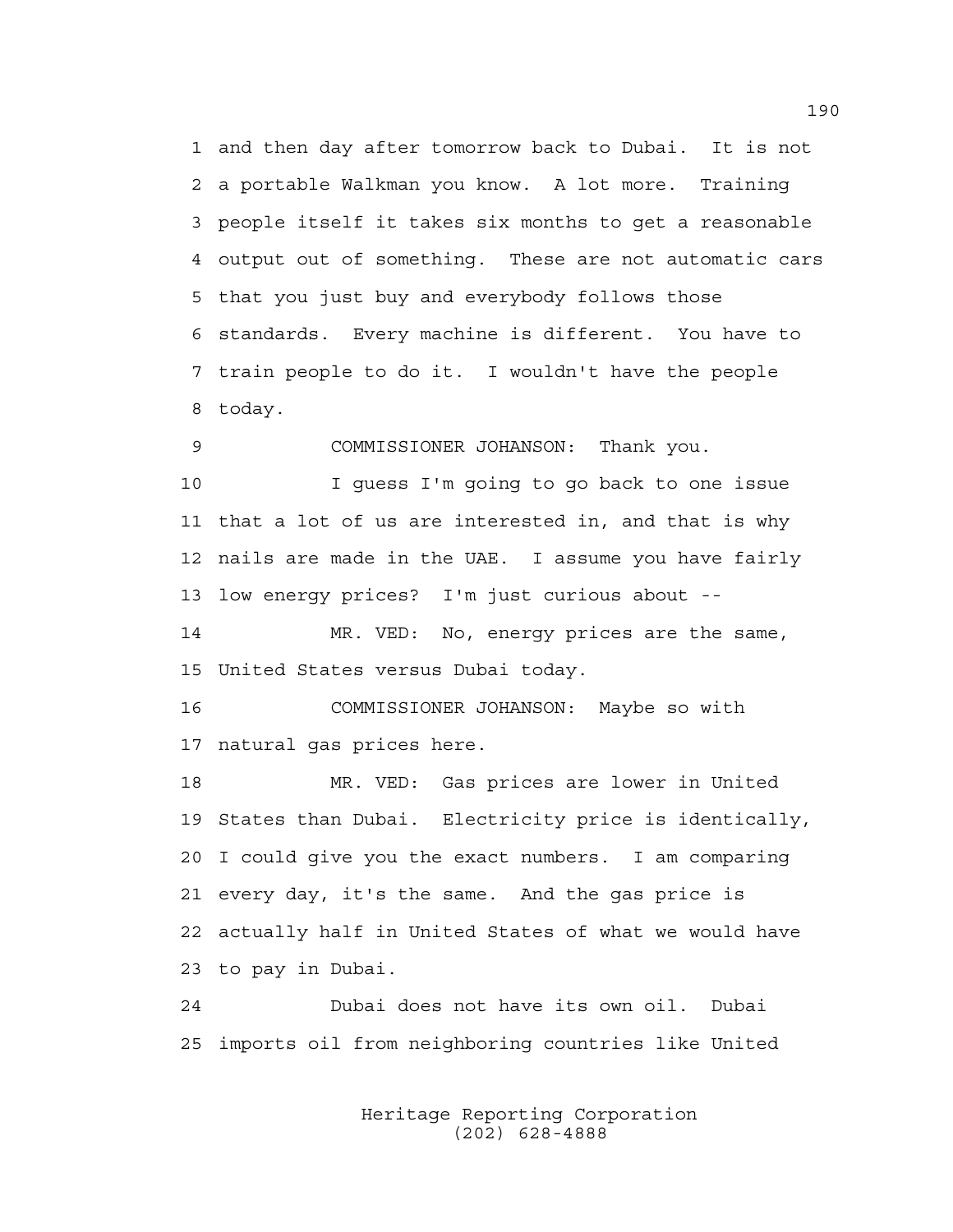1 and then day after tomorrow back to Dubai. It is not 2 a portable Walkman you know. A lot more. Training 3 people itself it takes six months to get a reasonable 4 output out of something. These are not automatic cars 5 that you just buy and everybody follows those 6 standards. Every machine is different. You have to 7 train people to do it. I wouldn't have the people 8 today.

9 COMMISSIONER JOHANSON: Thank you.

10 I guess I'm going to go back to one issue 11 that a lot of us are interested in, and that is why 12 nails are made in the UAE. I assume you have fairly 13 low energy prices? I'm just curious about --

14 MR. VED: No, energy prices are the same, 15 United States versus Dubai today.

16 COMMISSIONER JOHANSON: Maybe so with 17 natural gas prices here.

18 MR. VED: Gas prices are lower in United 19 States than Dubai. Electricity price is identically, 20 I could give you the exact numbers. I am comparing 21 every day, it's the same. And the gas price is 22 actually half in United States of what we would have 23 to pay in Dubai.

24 Dubai does not have its own oil. Dubai 25 imports oil from neighboring countries like United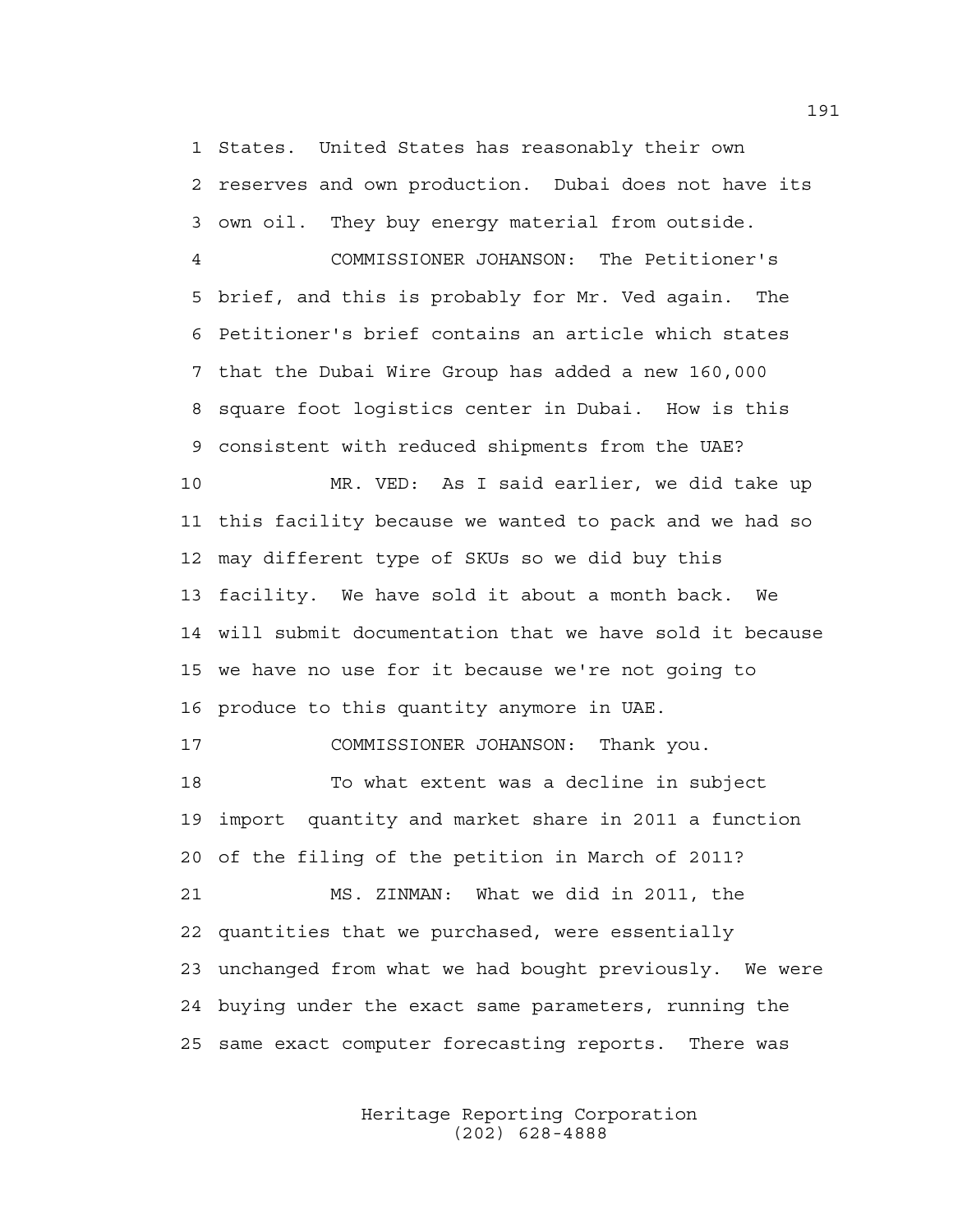1 States. United States has reasonably their own 2 reserves and own production. Dubai does not have its 3 own oil. They buy energy material from outside.

4 COMMISSIONER JOHANSON: The Petitioner's 5 brief, and this is probably for Mr. Ved again. The 6 Petitioner's brief contains an article which states 7 that the Dubai Wire Group has added a new 160,000 8 square foot logistics center in Dubai. How is this 9 consistent with reduced shipments from the UAE?

10 MR. VED: As I said earlier, we did take up 11 this facility because we wanted to pack and we had so 12 may different type of SKUs so we did buy this 13 facility. We have sold it about a month back. We 14 will submit documentation that we have sold it because 15 we have no use for it because we're not going to 16 produce to this quantity anymore in UAE.

17 COMMISSIONER JOHANSON: Thank you.

18 To what extent was a decline in subject 19 import quantity and market share in 2011 a function 20 of the filing of the petition in March of 2011? 21 MS. ZINMAN: What we did in 2011, the 22 quantities that we purchased, were essentially 23 unchanged from what we had bought previously. We were

25 same exact computer forecasting reports. There was

24 buying under the exact same parameters, running the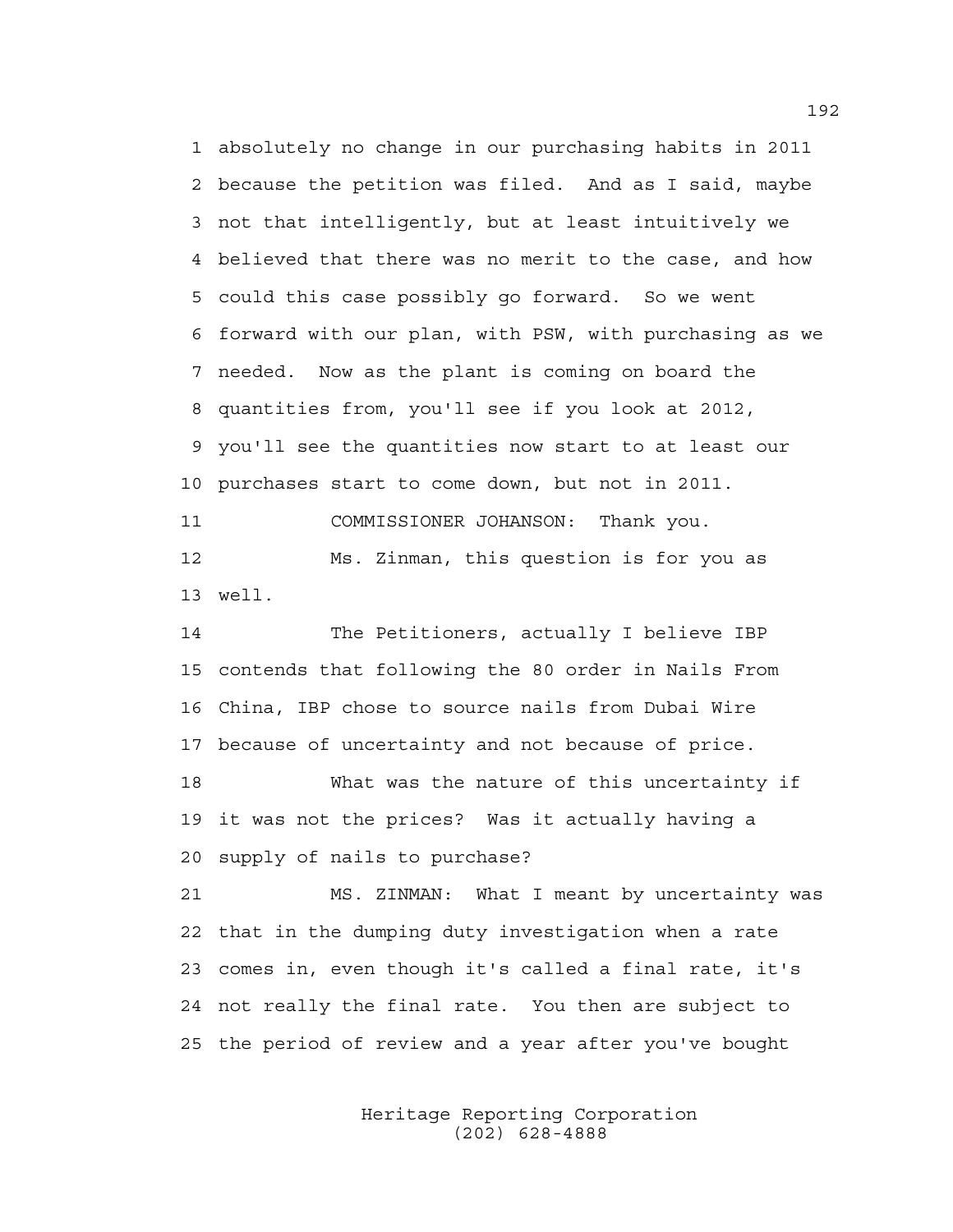1 absolutely no change in our purchasing habits in 2011 2 because the petition was filed. And as I said, maybe 3 not that intelligently, but at least intuitively we 4 believed that there was no merit to the case, and how 5 could this case possibly go forward. So we went 6 forward with our plan, with PSW, with purchasing as we 7 needed. Now as the plant is coming on board the 8 quantities from, you'll see if you look at 2012, 9 you'll see the quantities now start to at least our 10 purchases start to come down, but not in 2011. 11 COMMISSIONER JOHANSON: Thank you. 12 Ms. Zinman, this question is for you as 13 well.

14 The Petitioners, actually I believe IBP 15 contends that following the 80 order in Nails From 16 China, IBP chose to source nails from Dubai Wire 17 because of uncertainty and not because of price.

18 What was the nature of this uncertainty if 19 it was not the prices? Was it actually having a 20 supply of nails to purchase?

21 MS. ZINMAN: What I meant by uncertainty was 22 that in the dumping duty investigation when a rate 23 comes in, even though it's called a final rate, it's 24 not really the final rate. You then are subject to 25 the period of review and a year after you've bought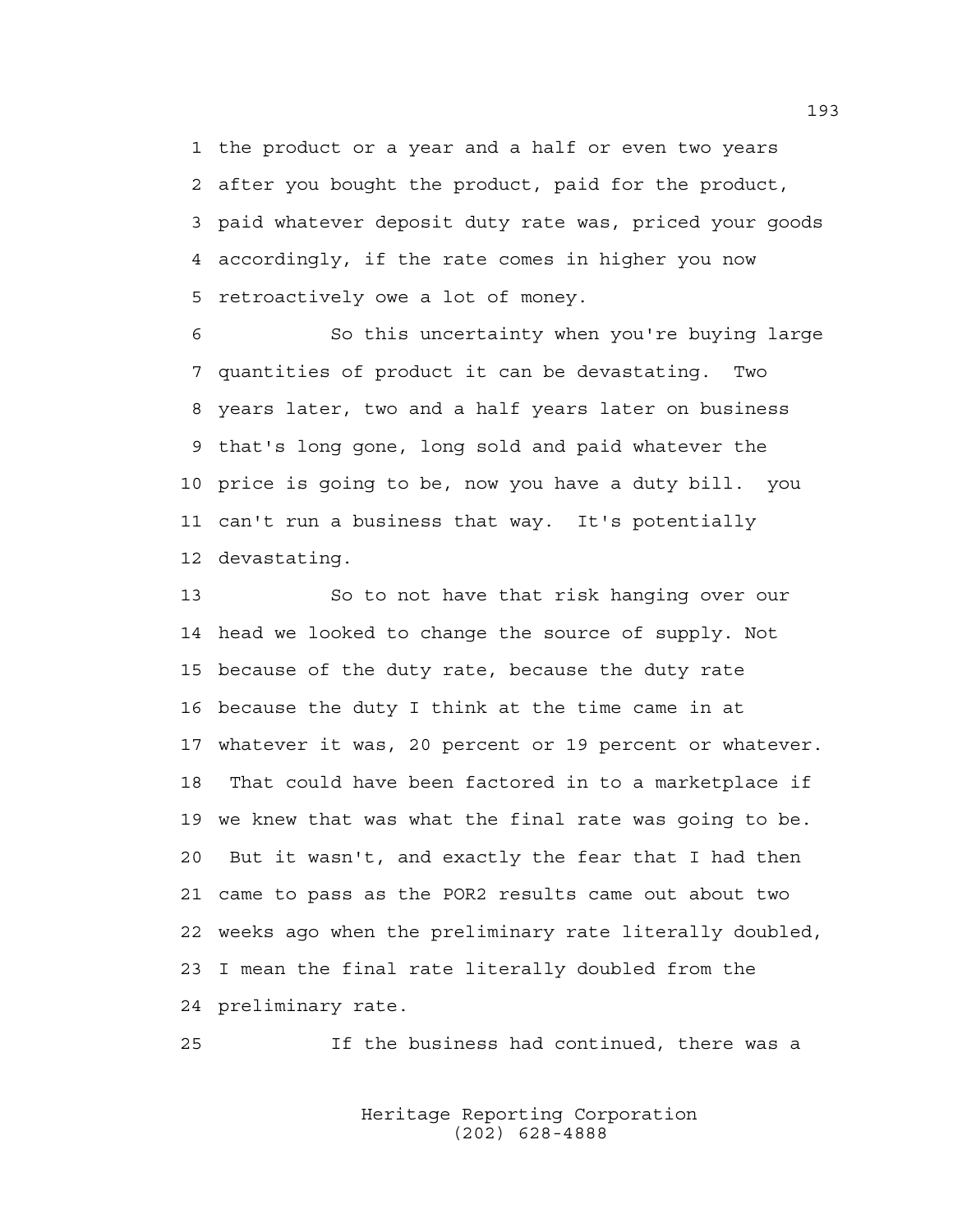1 the product or a year and a half or even two years 2 after you bought the product, paid for the product, 3 paid whatever deposit duty rate was, priced your goods 4 accordingly, if the rate comes in higher you now 5 retroactively owe a lot of money.

6 So this uncertainty when you're buying large 7 quantities of product it can be devastating. Two 8 years later, two and a half years later on business 9 that's long gone, long sold and paid whatever the 10 price is going to be, now you have a duty bill. you 11 can't run a business that way. It's potentially 12 devastating.

13 So to not have that risk hanging over our 14 head we looked to change the source of supply. Not 15 because of the duty rate, because the duty rate 16 because the duty I think at the time came in at 17 whatever it was, 20 percent or 19 percent or whatever. 18 That could have been factored in to a marketplace if 19 we knew that was what the final rate was going to be. 20 But it wasn't, and exactly the fear that I had then 21 came to pass as the POR2 results came out about two 22 weeks ago when the preliminary rate literally doubled, 23 I mean the final rate literally doubled from the 24 preliminary rate.

25 If the business had continued, there was a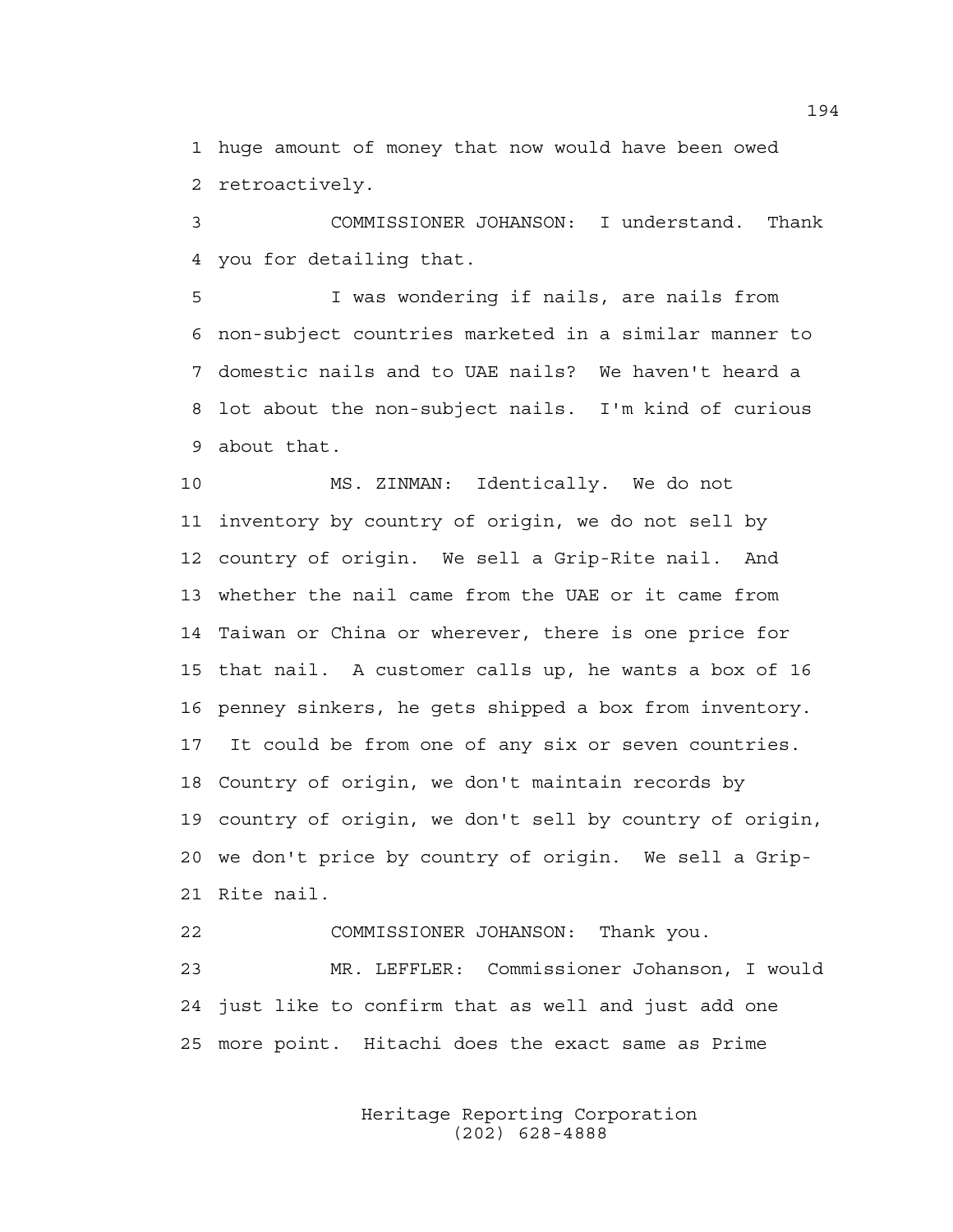1 huge amount of money that now would have been owed 2 retroactively.

3 COMMISSIONER JOHANSON: I understand. Thank 4 you for detailing that.

5 I was wondering if nails, are nails from 6 non-subject countries marketed in a similar manner to 7 domestic nails and to UAE nails? We haven't heard a 8 lot about the non-subject nails. I'm kind of curious 9 about that.

10 MS. ZINMAN: Identically. We do not 11 inventory by country of origin, we do not sell by 12 country of origin. We sell a Grip-Rite nail. And 13 whether the nail came from the UAE or it came from 14 Taiwan or China or wherever, there is one price for 15 that nail. A customer calls up, he wants a box of 16 16 penney sinkers, he gets shipped a box from inventory. 17 It could be from one of any six or seven countries. 18 Country of origin, we don't maintain records by 19 country of origin, we don't sell by country of origin, 20 we don't price by country of origin. We sell a Grip-21 Rite nail.

22 COMMISSIONER JOHANSON: Thank you. 23 MR. LEFFLER: Commissioner Johanson, I would 24 just like to confirm that as well and just add one 25 more point. Hitachi does the exact same as Prime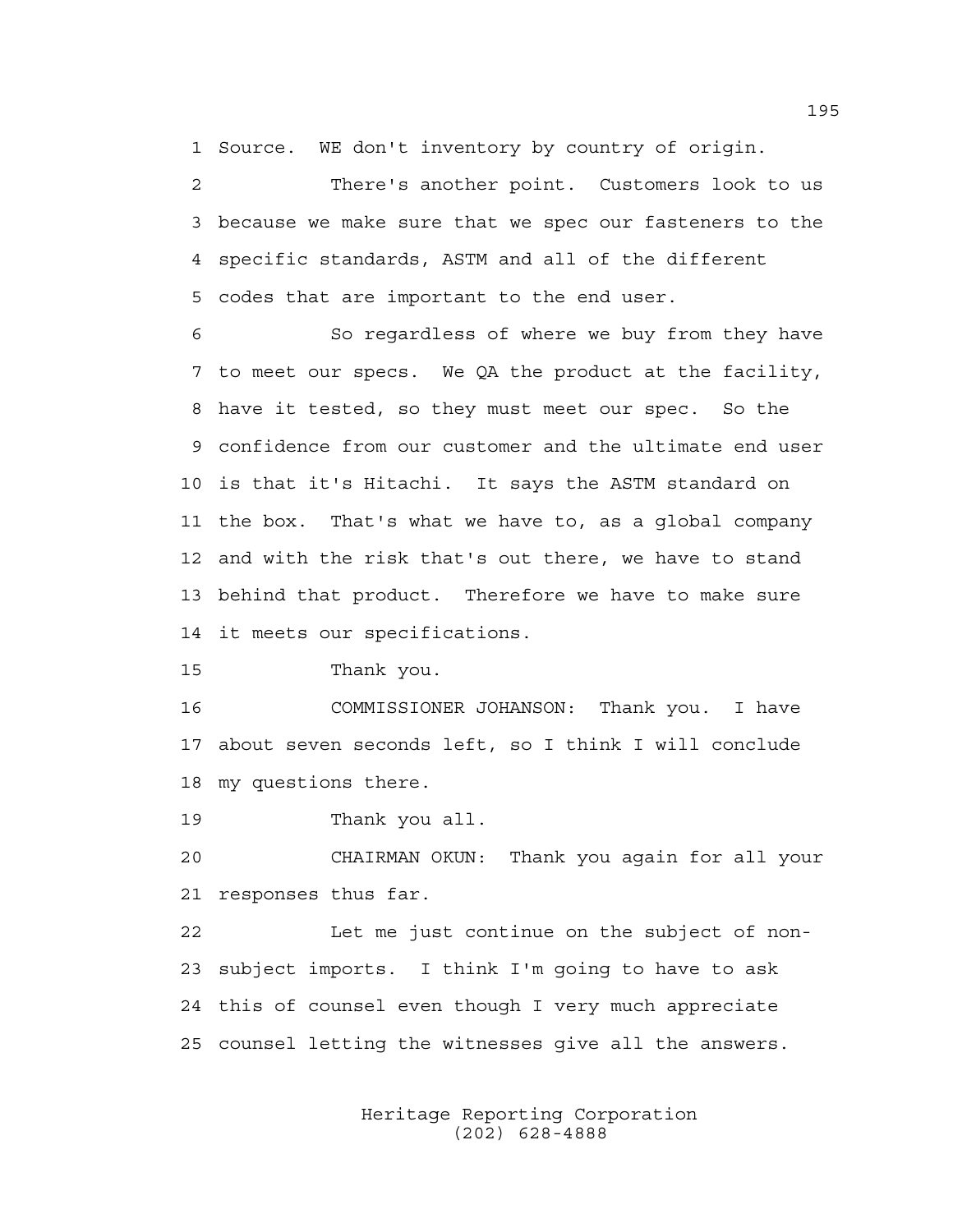1 Source. WE don't inventory by country of origin.

2 There's another point. Customers look to us 3 because we make sure that we spec our fasteners to the 4 specific standards, ASTM and all of the different 5 codes that are important to the end user.

6 So regardless of where we buy from they have 7 to meet our specs. We QA the product at the facility, 8 have it tested, so they must meet our spec. So the 9 confidence from our customer and the ultimate end user 10 is that it's Hitachi. It says the ASTM standard on 11 the box. That's what we have to, as a global company 12 and with the risk that's out there, we have to stand 13 behind that product. Therefore we have to make sure 14 it meets our specifications.

15 Thank you.

16 COMMISSIONER JOHANSON: Thank you. I have 17 about seven seconds left, so I think I will conclude 18 my questions there.

19 Thank you all.

20 CHAIRMAN OKUN: Thank you again for all your 21 responses thus far.

22 Let me just continue on the subject of non-23 subject imports. I think I'm going to have to ask 24 this of counsel even though I very much appreciate 25 counsel letting the witnesses give all the answers.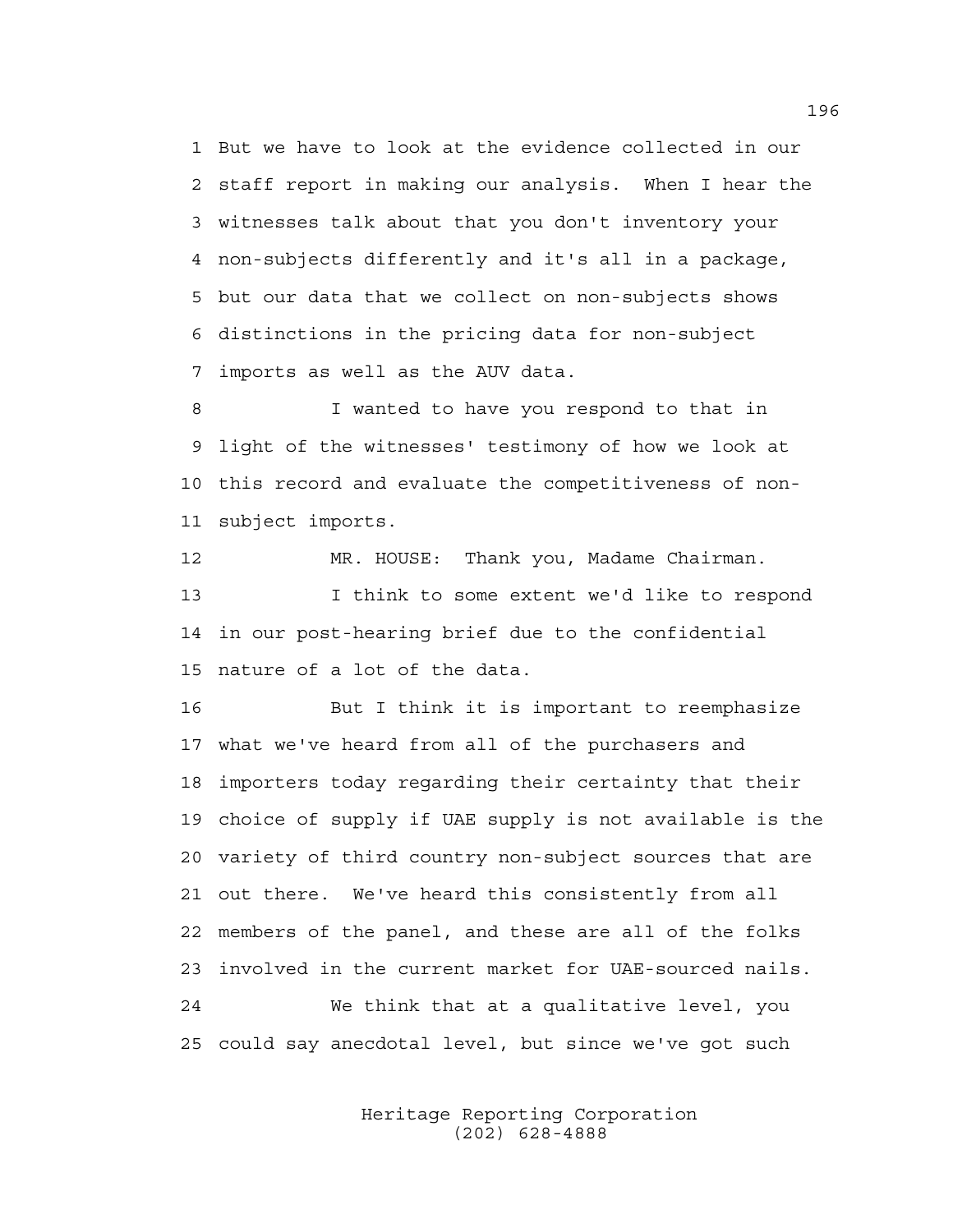1 But we have to look at the evidence collected in our 2 staff report in making our analysis. When I hear the 3 witnesses talk about that you don't inventory your 4 non-subjects differently and it's all in a package, 5 but our data that we collect on non-subjects shows 6 distinctions in the pricing data for non-subject 7 imports as well as the AUV data.

8 I wanted to have you respond to that in 9 light of the witnesses' testimony of how we look at 10 this record and evaluate the competitiveness of non-11 subject imports.

12 MR. HOUSE: Thank you, Madame Chairman. 13 I think to some extent we'd like to respond 14 in our post-hearing brief due to the confidential 15 nature of a lot of the data.

16 But I think it is important to reemphasize 17 what we've heard from all of the purchasers and 18 importers today regarding their certainty that their 19 choice of supply if UAE supply is not available is the 20 variety of third country non-subject sources that are 21 out there. We've heard this consistently from all 22 members of the panel, and these are all of the folks 23 involved in the current market for UAE-sourced nails. 24 We think that at a qualitative level, you 25 could say anecdotal level, but since we've got such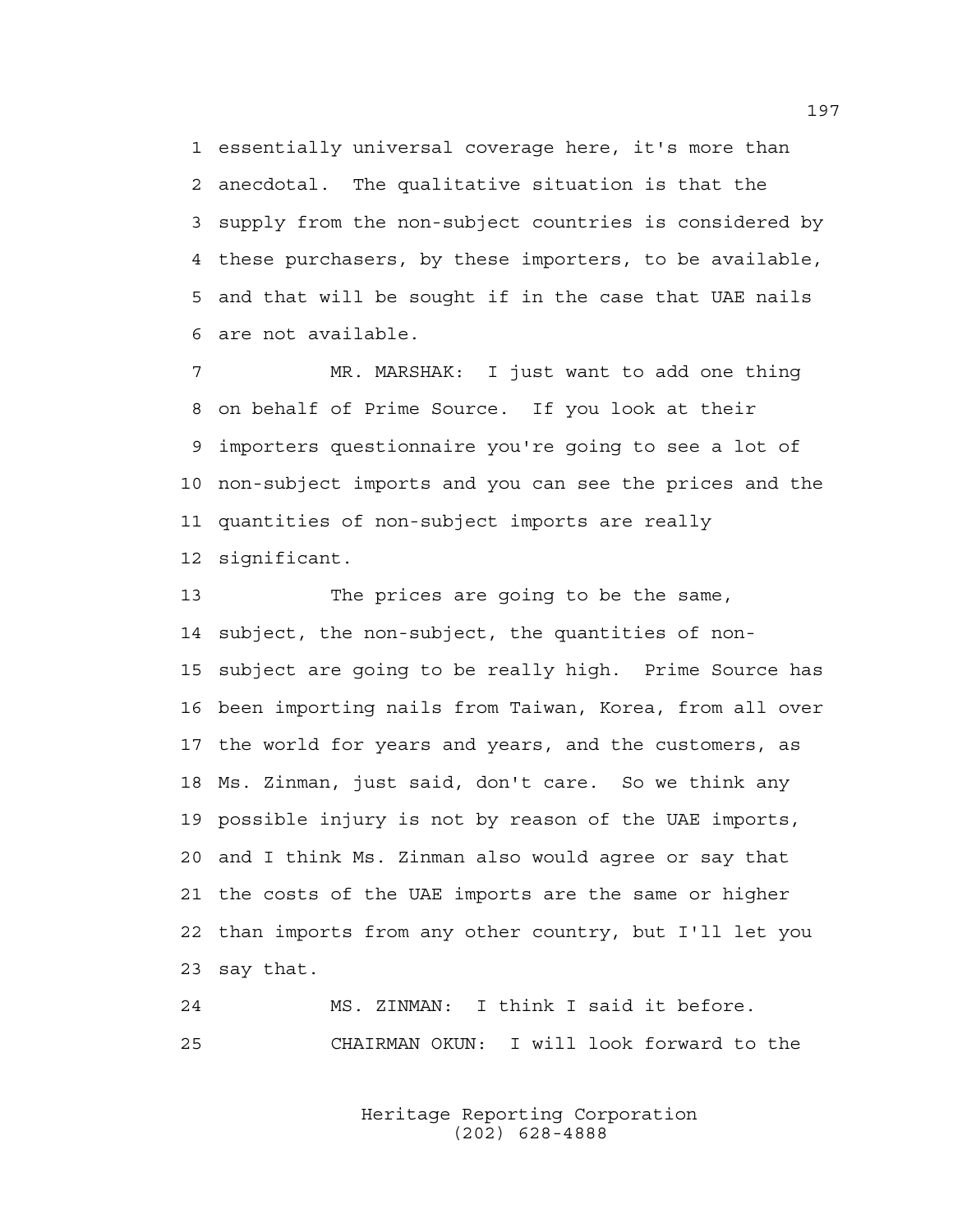1 essentially universal coverage here, it's more than 2 anecdotal. The qualitative situation is that the 3 supply from the non-subject countries is considered by 4 these purchasers, by these importers, to be available, 5 and that will be sought if in the case that UAE nails 6 are not available.

7 MR. MARSHAK: I just want to add one thing 8 on behalf of Prime Source. If you look at their 9 importers questionnaire you're going to see a lot of 10 non-subject imports and you can see the prices and the 11 quantities of non-subject imports are really 12 significant.

13 The prices are going to be the same, 14 subject, the non-subject, the quantities of non-15 subject are going to be really high. Prime Source has 16 been importing nails from Taiwan, Korea, from all over 17 the world for years and years, and the customers, as 18 Ms. Zinman, just said, don't care. So we think any 19 possible injury is not by reason of the UAE imports, 20 and I think Ms. Zinman also would agree or say that 21 the costs of the UAE imports are the same or higher 22 than imports from any other country, but I'll let you 23 say that.

24 MS. ZINMAN: I think I said it before. 25 CHAIRMAN OKUN: I will look forward to the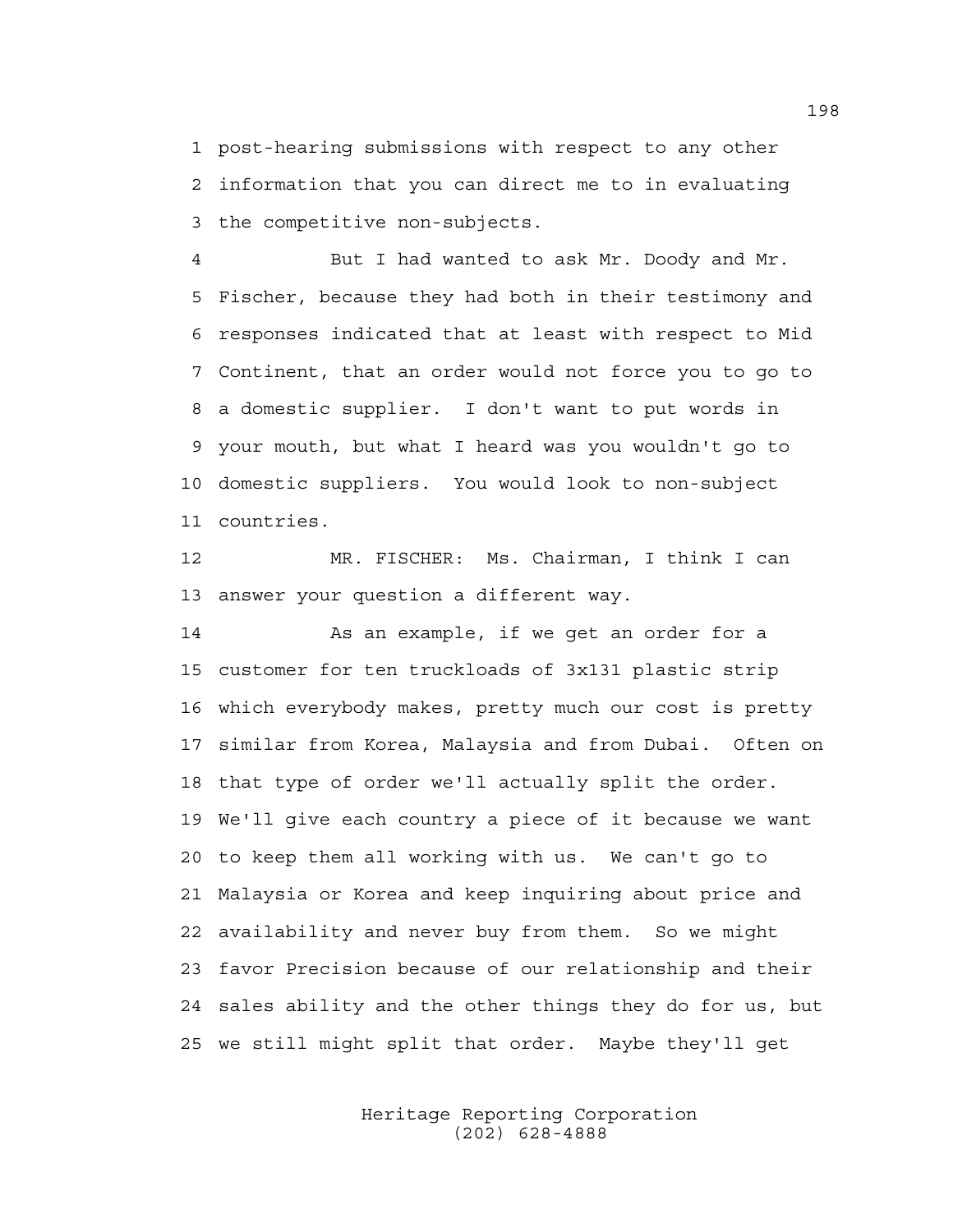1 post-hearing submissions with respect to any other 2 information that you can direct me to in evaluating 3 the competitive non-subjects.

4 But I had wanted to ask Mr. Doody and Mr. 5 Fischer, because they had both in their testimony and 6 responses indicated that at least with respect to Mid 7 Continent, that an order would not force you to go to 8 a domestic supplier. I don't want to put words in 9 your mouth, but what I heard was you wouldn't go to 10 domestic suppliers. You would look to non-subject 11 countries.

12 MR. FISCHER: Ms. Chairman, I think I can 13 answer your question a different way.

14 As an example, if we get an order for a 15 customer for ten truckloads of 3x131 plastic strip 16 which everybody makes, pretty much our cost is pretty 17 similar from Korea, Malaysia and from Dubai. Often on 18 that type of order we'll actually split the order. 19 We'll give each country a piece of it because we want 20 to keep them all working with us. We can't go to 21 Malaysia or Korea and keep inquiring about price and 22 availability and never buy from them. So we might 23 favor Precision because of our relationship and their 24 sales ability and the other things they do for us, but 25 we still might split that order. Maybe they'll get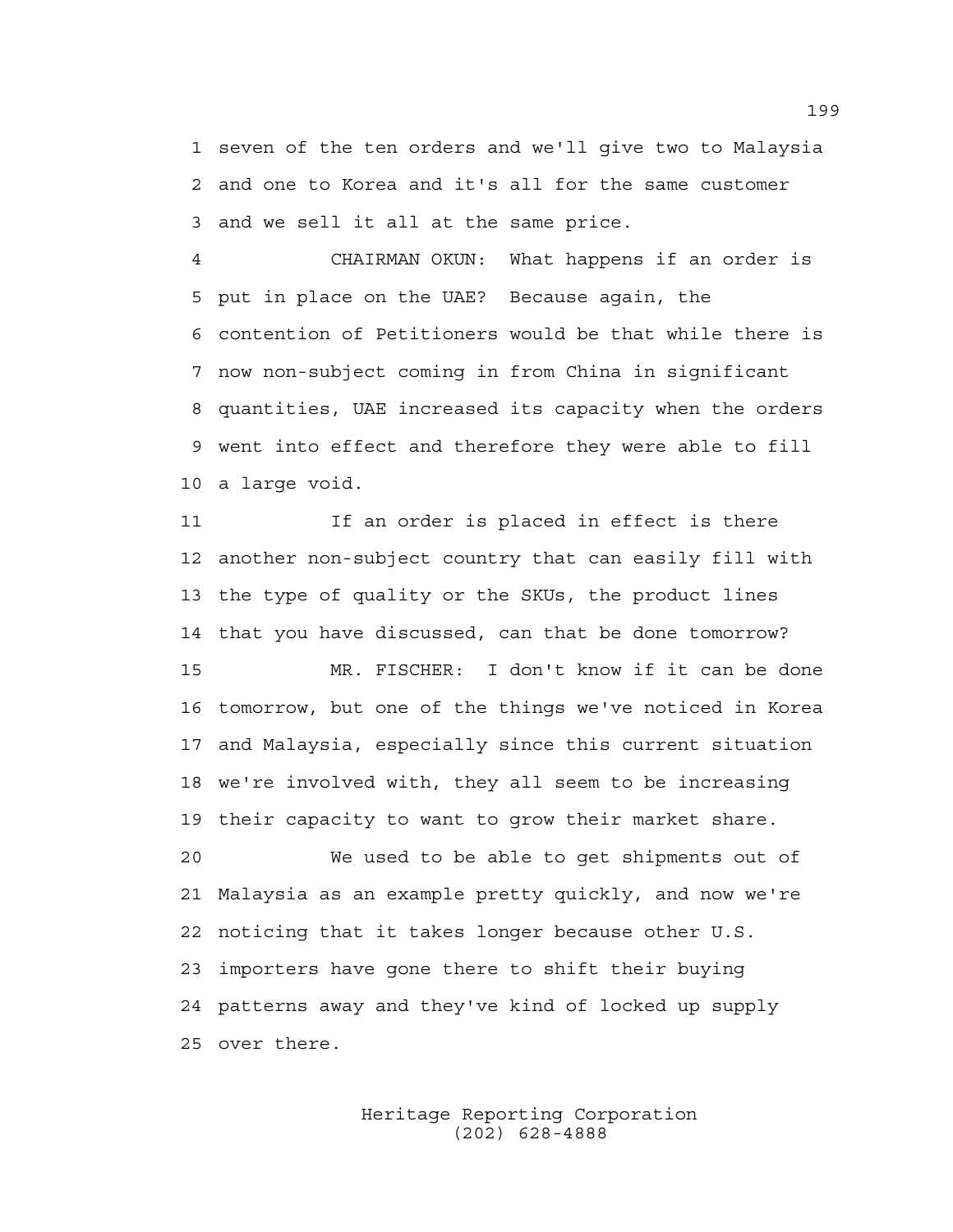1 seven of the ten orders and we'll give two to Malaysia 2 and one to Korea and it's all for the same customer 3 and we sell it all at the same price.

4 CHAIRMAN OKUN: What happens if an order is 5 put in place on the UAE? Because again, the 6 contention of Petitioners would be that while there is 7 now non-subject coming in from China in significant 8 quantities, UAE increased its capacity when the orders 9 went into effect and therefore they were able to fill 10 a large void.

11 If an order is placed in effect is there 12 another non-subject country that can easily fill with 13 the type of quality or the SKUs, the product lines 14 that you have discussed, can that be done tomorrow? 15 MR. FISCHER: I don't know if it can be done 16 tomorrow, but one of the things we've noticed in Korea 17 and Malaysia, especially since this current situation 18 we're involved with, they all seem to be increasing 19 their capacity to want to grow their market share. 20 We used to be able to get shipments out of 21 Malaysia as an example pretty quickly, and now we're 22 noticing that it takes longer because other U.S.

24 patterns away and they've kind of locked up supply

23 importers have gone there to shift their buying

25 over there.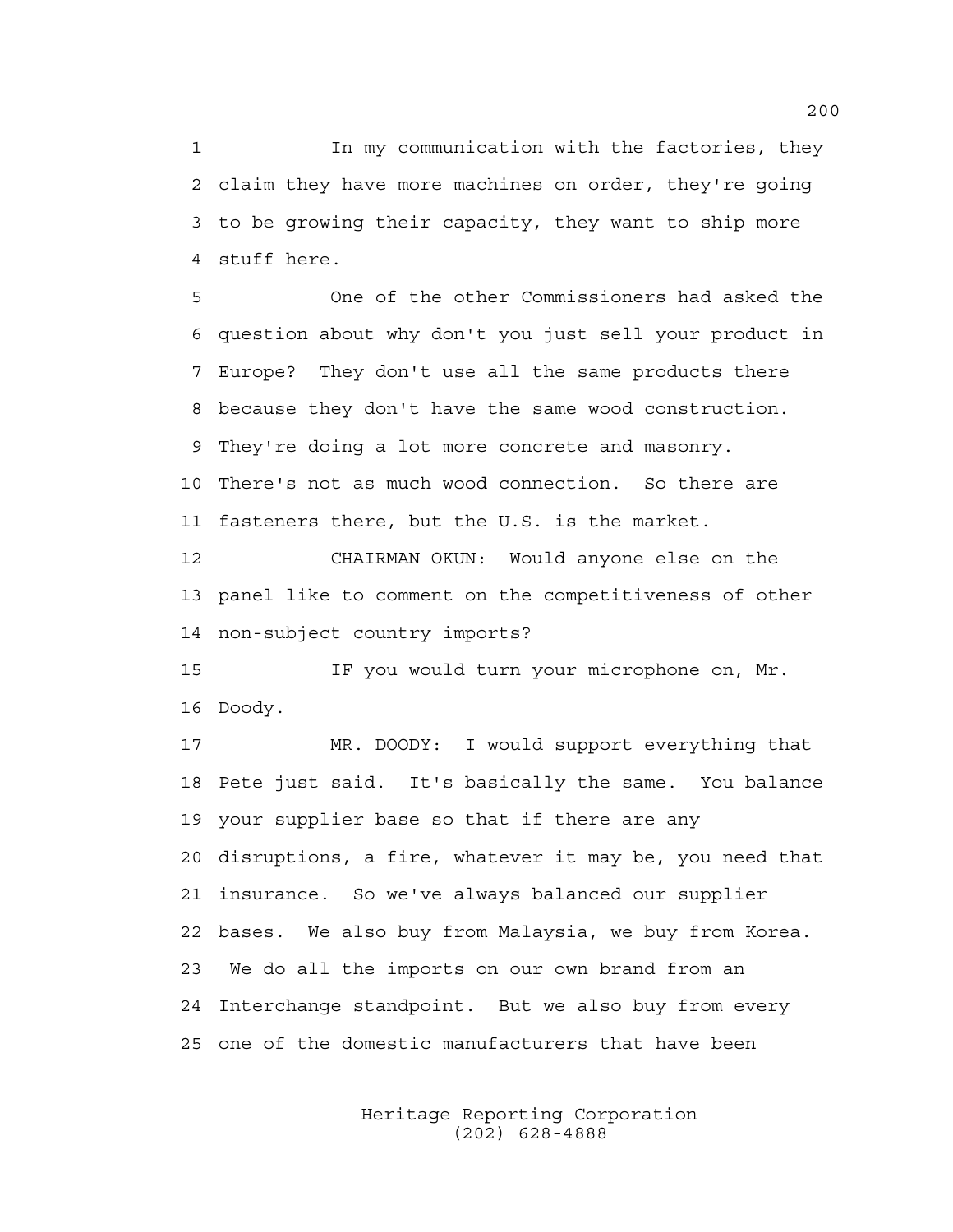1 In my communication with the factories, they 2 claim they have more machines on order, they're going 3 to be growing their capacity, they want to ship more 4 stuff here.

5 One of the other Commissioners had asked the 6 question about why don't you just sell your product in 7 Europe? They don't use all the same products there 8 because they don't have the same wood construction. 9 They're doing a lot more concrete and masonry. 10 There's not as much wood connection. So there are 11 fasteners there, but the U.S. is the market.

12 CHAIRMAN OKUN: Would anyone else on the 13 panel like to comment on the competitiveness of other 14 non-subject country imports?

15 IF you would turn your microphone on, Mr. 16 Doody.

17 MR. DOODY: I would support everything that 18 Pete just said. It's basically the same. You balance 19 your supplier base so that if there are any 20 disruptions, a fire, whatever it may be, you need that 21 insurance. So we've always balanced our supplier 22 bases. We also buy from Malaysia, we buy from Korea. 23 We do all the imports on our own brand from an 24 Interchange standpoint. But we also buy from every 25 one of the domestic manufacturers that have been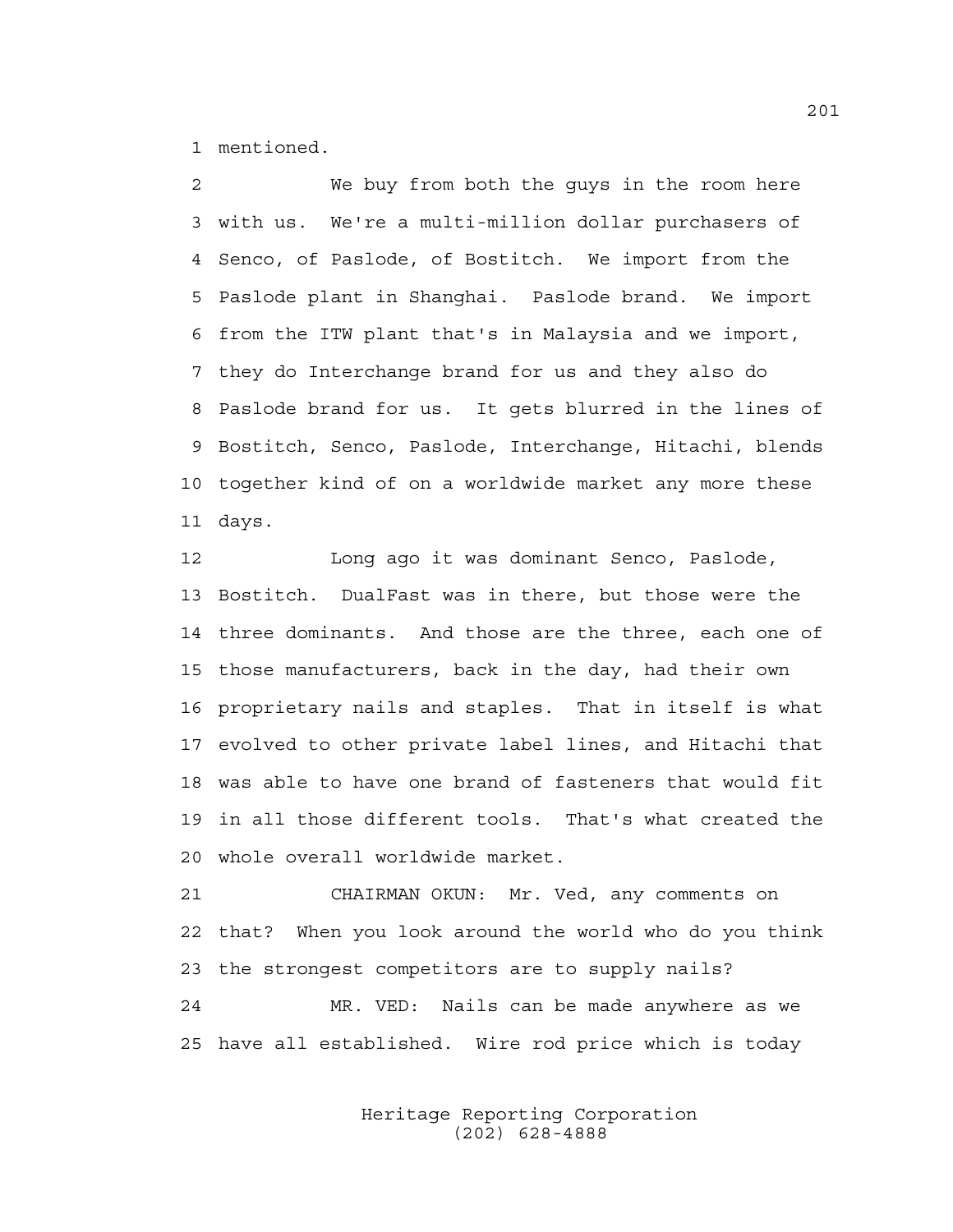1 mentioned.

2 We buy from both the guys in the room here 3 with us. We're a multi-million dollar purchasers of 4 Senco, of Paslode, of Bostitch. We import from the 5 Paslode plant in Shanghai. Paslode brand. We import 6 from the ITW plant that's in Malaysia and we import, 7 they do Interchange brand for us and they also do 8 Paslode brand for us. It gets blurred in the lines of 9 Bostitch, Senco, Paslode, Interchange, Hitachi, blends 10 together kind of on a worldwide market any more these 11 days.

12 Long ago it was dominant Senco, Paslode, 13 Bostitch. DualFast was in there, but those were the 14 three dominants. And those are the three, each one of 15 those manufacturers, back in the day, had their own 16 proprietary nails and staples. That in itself is what 17 evolved to other private label lines, and Hitachi that 18 was able to have one brand of fasteners that would fit 19 in all those different tools. That's what created the 20 whole overall worldwide market.

21 CHAIRMAN OKUN: Mr. Ved, any comments on 22 that? When you look around the world who do you think 23 the strongest competitors are to supply nails? 24 MR. VED: Nails can be made anywhere as we

25 have all established. Wire rod price which is today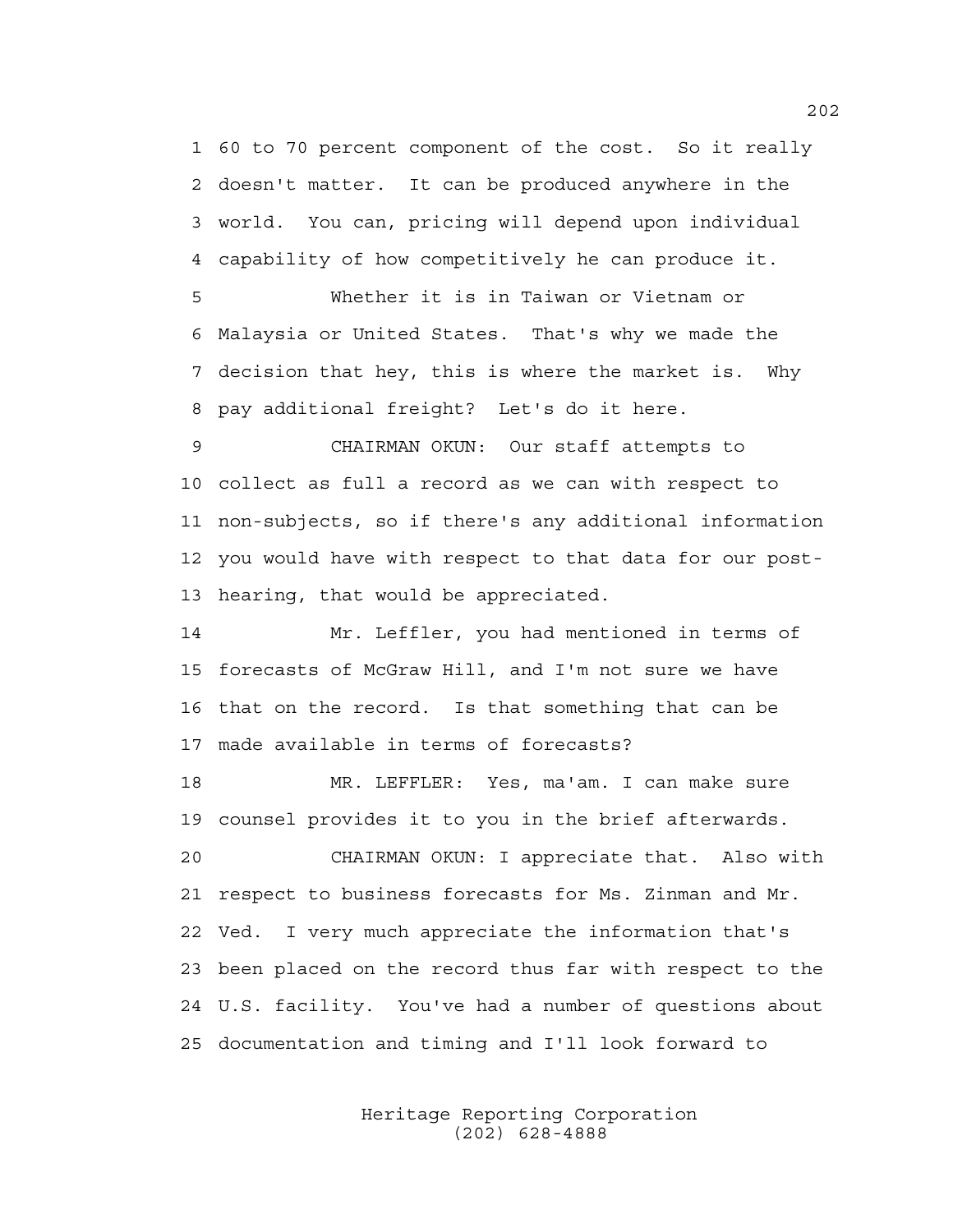1 60 to 70 percent component of the cost. So it really 2 doesn't matter. It can be produced anywhere in the 3 world. You can, pricing will depend upon individual 4 capability of how competitively he can produce it.

5 Whether it is in Taiwan or Vietnam or 6 Malaysia or United States. That's why we made the 7 decision that hey, this is where the market is. Why 8 pay additional freight? Let's do it here.

9 CHAIRMAN OKUN: Our staff attempts to 10 collect as full a record as we can with respect to 11 non-subjects, so if there's any additional information 12 you would have with respect to that data for our post-13 hearing, that would be appreciated.

14 Mr. Leffler, you had mentioned in terms of 15 forecasts of McGraw Hill, and I'm not sure we have 16 that on the record. Is that something that can be 17 made available in terms of forecasts?

18 MR. LEFFLER: Yes, ma'am. I can make sure 19 counsel provides it to you in the brief afterwards.

20 CHAIRMAN OKUN: I appreciate that. Also with 21 respect to business forecasts for Ms. Zinman and Mr. 22 Ved. I very much appreciate the information that's 23 been placed on the record thus far with respect to the 24 U.S. facility. You've had a number of questions about 25 documentation and timing and I'll look forward to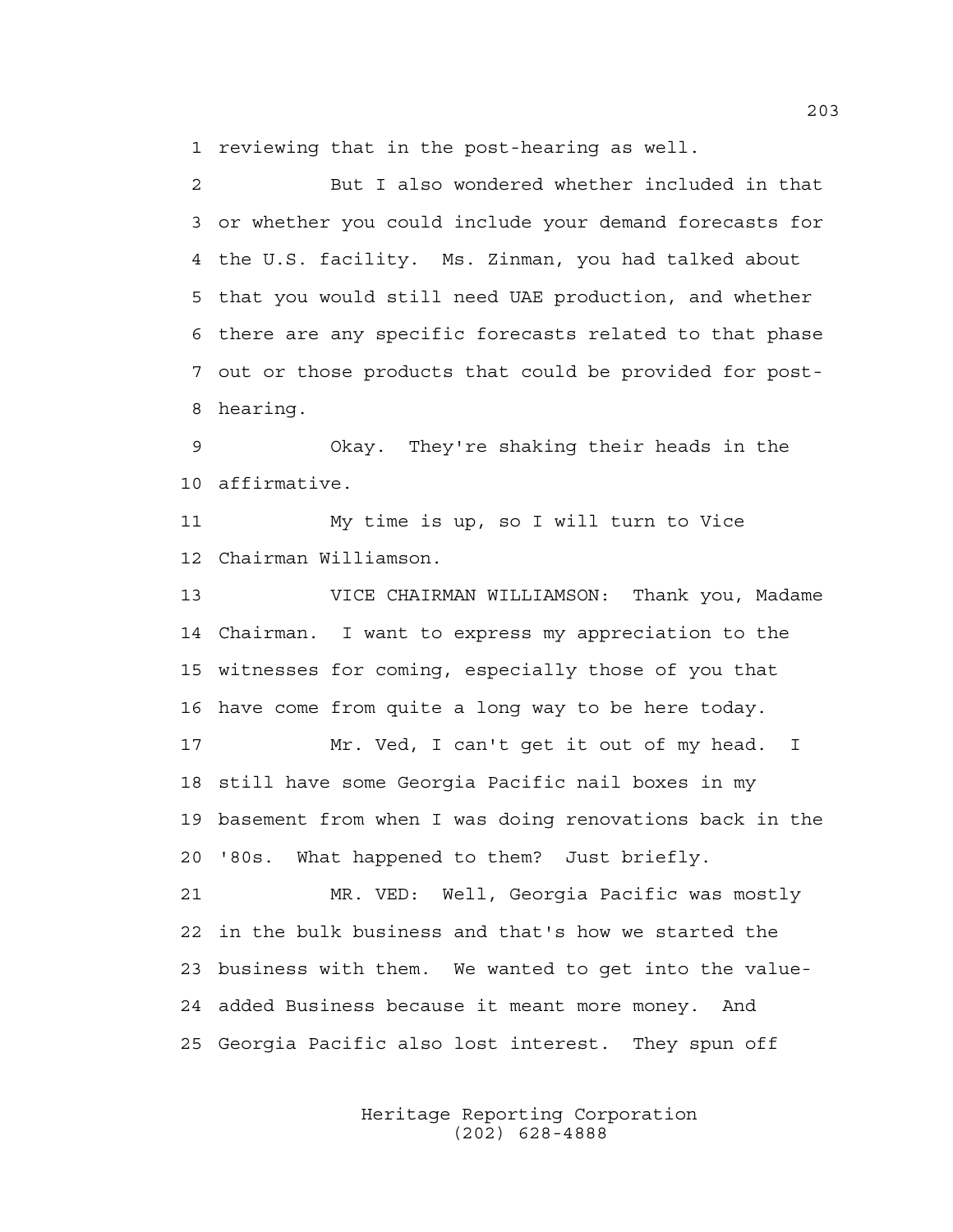1 reviewing that in the post-hearing as well.

2 But I also wondered whether included in that 3 or whether you could include your demand forecasts for 4 the U.S. facility. Ms. Zinman, you had talked about 5 that you would still need UAE production, and whether 6 there are any specific forecasts related to that phase 7 out or those products that could be provided for post-8 hearing.

9 Okay. They're shaking their heads in the 10 affirmative.

11 My time is up, so I will turn to Vice 12 Chairman Williamson.

13 VICE CHAIRMAN WILLIAMSON: Thank you, Madame 14 Chairman. I want to express my appreciation to the 15 witnesses for coming, especially those of you that 16 have come from quite a long way to be here today.

17 Mr. Ved, I can't get it out of my head. I 18 still have some Georgia Pacific nail boxes in my 19 basement from when I was doing renovations back in the 20 '80s. What happened to them? Just briefly.

21 MR. VED: Well, Georgia Pacific was mostly 22 in the bulk business and that's how we started the 23 business with them. We wanted to get into the value-24 added Business because it meant more money. And 25 Georgia Pacific also lost interest. They spun off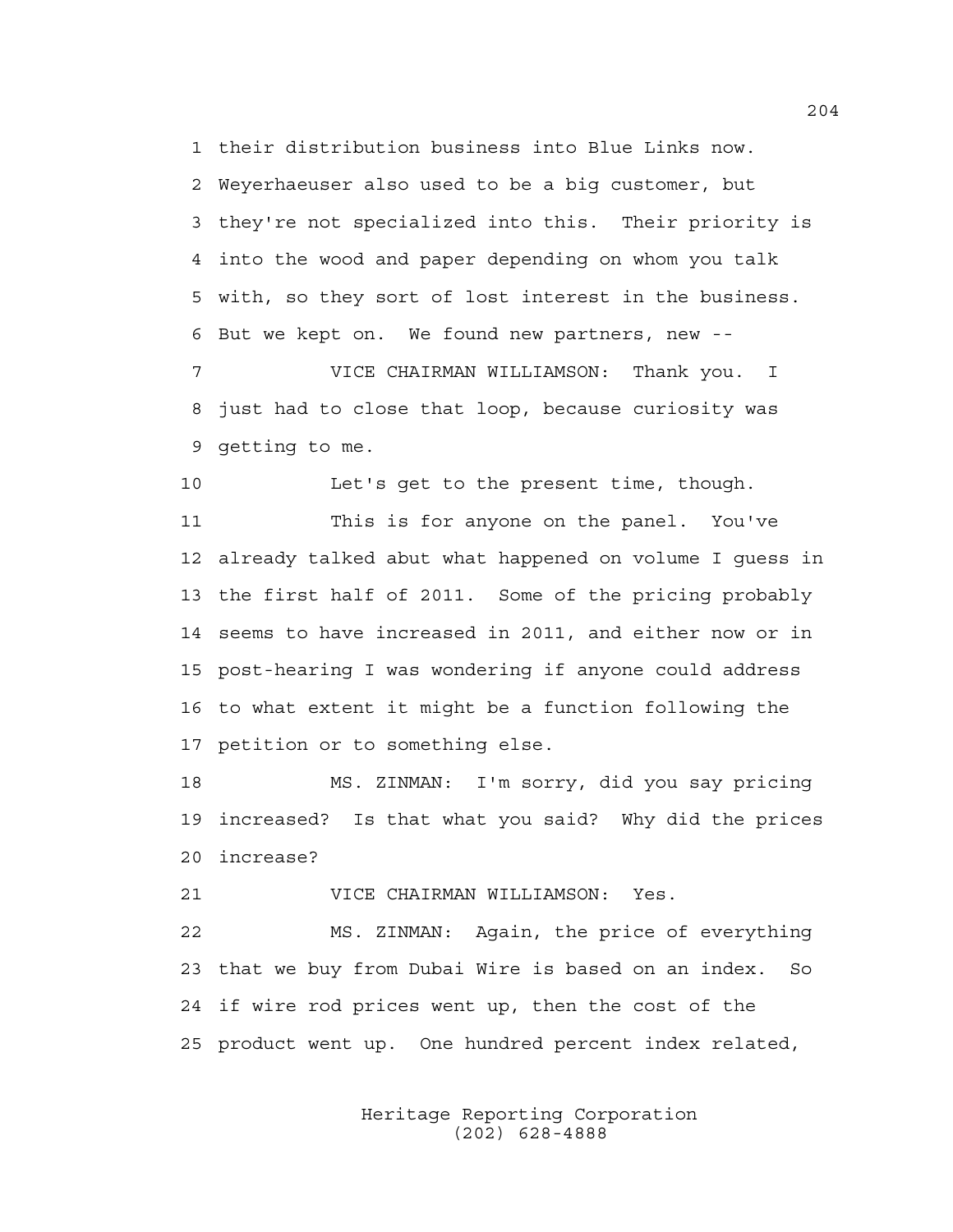1 their distribution business into Blue Links now. 2 Weyerhaeuser also used to be a big customer, but 3 they're not specialized into this. Their priority is 4 into the wood and paper depending on whom you talk 5 with, so they sort of lost interest in the business. 6 But we kept on. We found new partners, new -- 7 VICE CHAIRMAN WILLIAMSON: Thank you. I

8 just had to close that loop, because curiosity was 9 getting to me.

10 Let's get to the present time, though.

11 This is for anyone on the panel. You've 12 already talked abut what happened on volume I guess in 13 the first half of 2011. Some of the pricing probably 14 seems to have increased in 2011, and either now or in 15 post-hearing I was wondering if anyone could address 16 to what extent it might be a function following the 17 petition or to something else.

18 MS. ZINMAN: I'm sorry, did you say pricing 19 increased? Is that what you said? Why did the prices 20 increase?

21 VICE CHAIRMAN WILLIAMSON: Yes.

22 MS. ZINMAN: Again, the price of everything 23 that we buy from Dubai Wire is based on an index. So 24 if wire rod prices went up, then the cost of the 25 product went up. One hundred percent index related,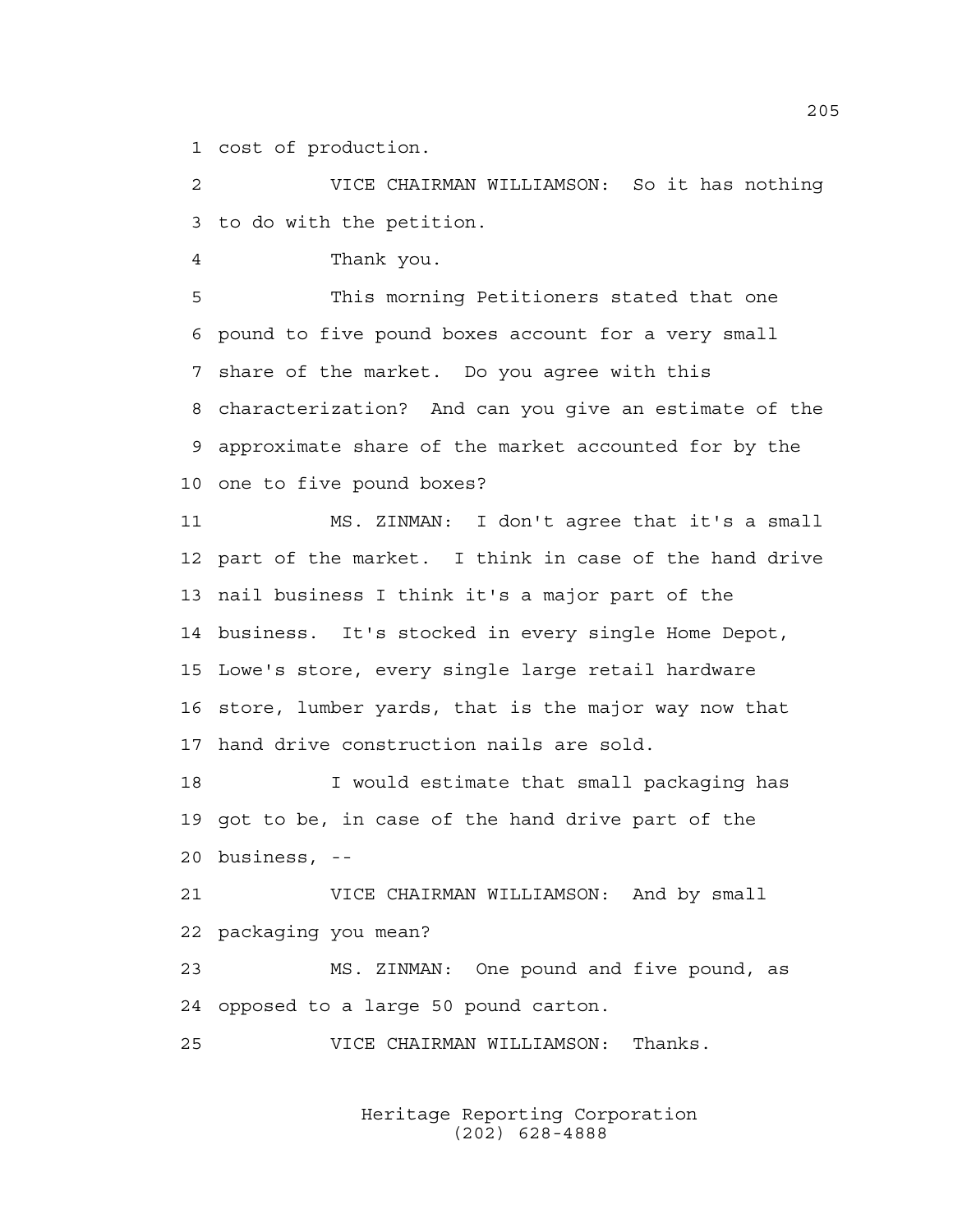1 cost of production.

2 VICE CHAIRMAN WILLIAMSON: So it has nothing 3 to do with the petition.

4 Thank you.

5 This morning Petitioners stated that one 6 pound to five pound boxes account for a very small 7 share of the market. Do you agree with this 8 characterization? And can you give an estimate of the 9 approximate share of the market accounted for by the 10 one to five pound boxes?

11 MS. ZINMAN: I don't agree that it's a small 12 part of the market. I think in case of the hand drive 13 nail business I think it's a major part of the 14 business. It's stocked in every single Home Depot, 15 Lowe's store, every single large retail hardware 16 store, lumber yards, that is the major way now that 17 hand drive construction nails are sold.

18 I would estimate that small packaging has 19 got to be, in case of the hand drive part of the 20 business, --

21 VICE CHAIRMAN WILLIAMSON: And by small 22 packaging you mean?

23 MS. ZINMAN: One pound and five pound, as 24 opposed to a large 50 pound carton.

25 VICE CHAIRMAN WILLIAMSON: Thanks.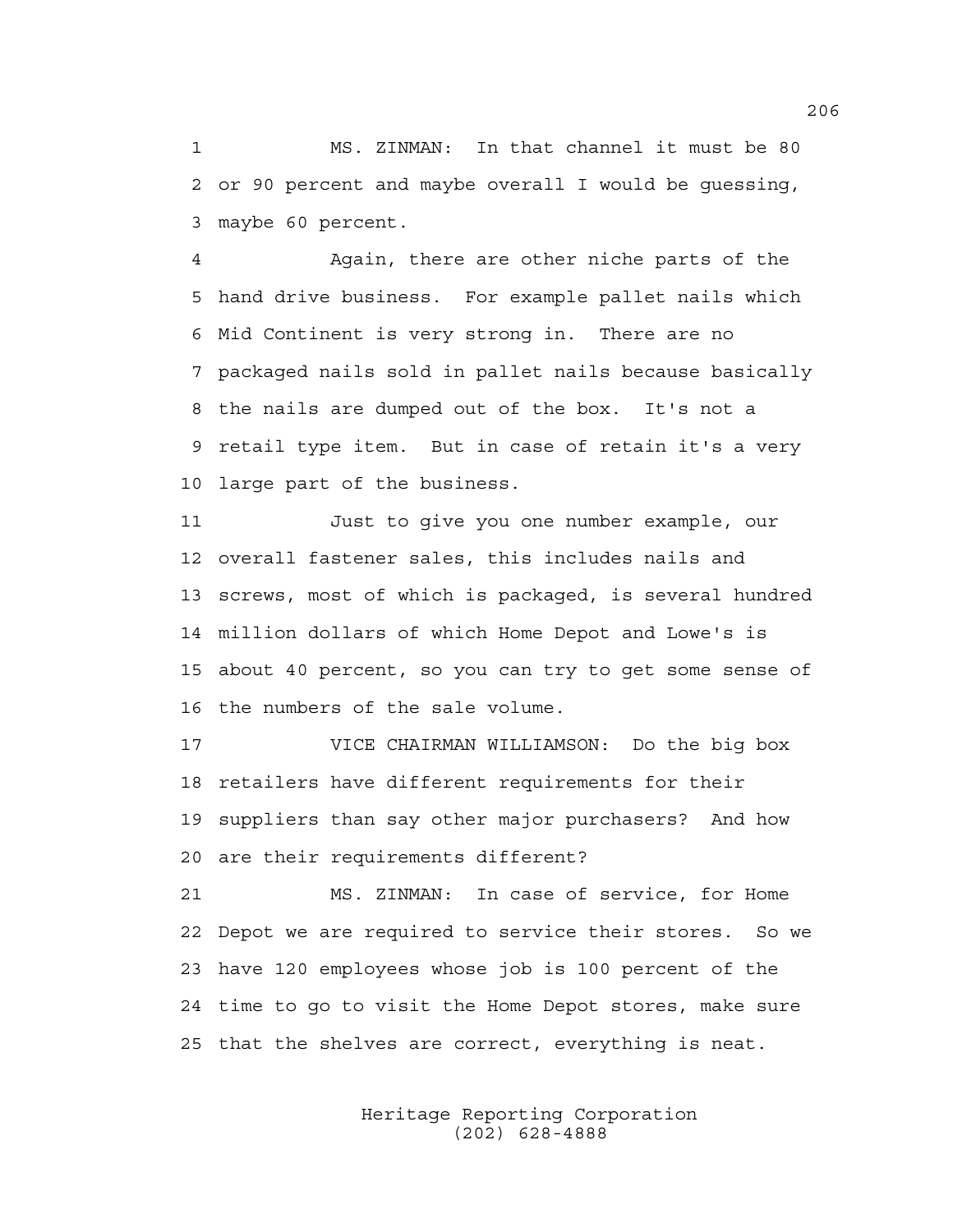1 MS. ZINMAN: In that channel it must be 80 2 or 90 percent and maybe overall I would be guessing, 3 maybe 60 percent.

4 Again, there are other niche parts of the 5 hand drive business. For example pallet nails which 6 Mid Continent is very strong in. There are no 7 packaged nails sold in pallet nails because basically 8 the nails are dumped out of the box. It's not a 9 retail type item. But in case of retain it's a very 10 large part of the business.

11 Just to give you one number example, our 12 overall fastener sales, this includes nails and 13 screws, most of which is packaged, is several hundred 14 million dollars of which Home Depot and Lowe's is 15 about 40 percent, so you can try to get some sense of 16 the numbers of the sale volume.

17 VICE CHAIRMAN WILLIAMSON: Do the big box 18 retailers have different requirements for their 19 suppliers than say other major purchasers? And how 20 are their requirements different?

21 MS. ZINMAN: In case of service, for Home 22 Depot we are required to service their stores. So we 23 have 120 employees whose job is 100 percent of the 24 time to go to visit the Home Depot stores, make sure 25 that the shelves are correct, everything is neat.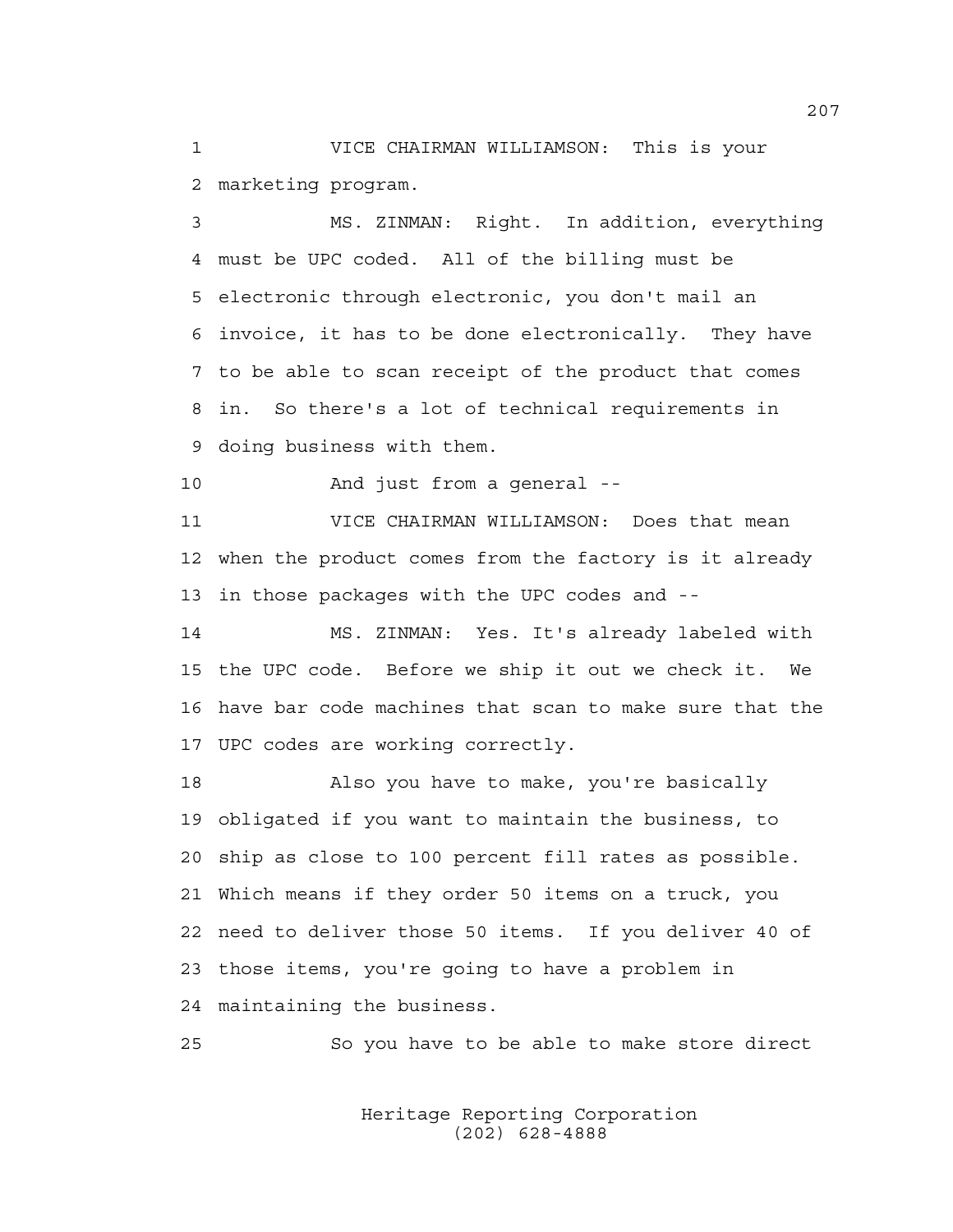1 VICE CHAIRMAN WILLIAMSON: This is your 2 marketing program.

3 MS. ZINMAN: Right. In addition, everything 4 must be UPC coded. All of the billing must be 5 electronic through electronic, you don't mail an 6 invoice, it has to be done electronically. They have 7 to be able to scan receipt of the product that comes 8 in. So there's a lot of technical requirements in 9 doing business with them.

10 And just from a general --

11 VICE CHAIRMAN WILLIAMSON: Does that mean 12 when the product comes from the factory is it already 13 in those packages with the UPC codes and --

14 MS. ZINMAN: Yes. It's already labeled with 15 the UPC code. Before we ship it out we check it. We 16 have bar code machines that scan to make sure that the 17 UPC codes are working correctly.

18 Also you have to make, you're basically 19 obligated if you want to maintain the business, to 20 ship as close to 100 percent fill rates as possible. 21 Which means if they order 50 items on a truck, you 22 need to deliver those 50 items. If you deliver 40 of 23 those items, you're going to have a problem in 24 maintaining the business.

25 So you have to be able to make store direct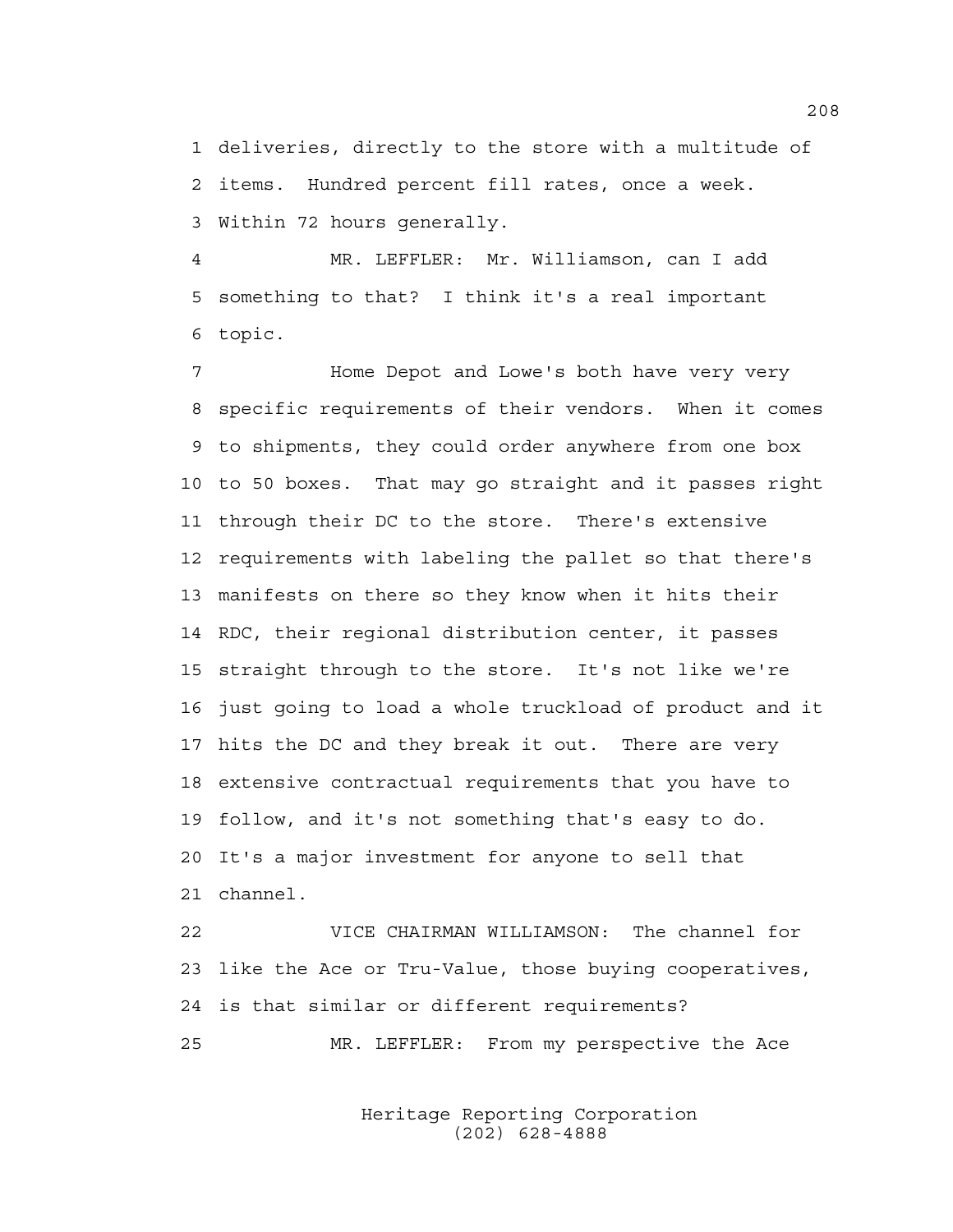1 deliveries, directly to the store with a multitude of 2 items. Hundred percent fill rates, once a week. 3 Within 72 hours generally.

4 MR. LEFFLER: Mr. Williamson, can I add 5 something to that? I think it's a real important 6 topic.

7 Home Depot and Lowe's both have very very 8 specific requirements of their vendors. When it comes 9 to shipments, they could order anywhere from one box 10 to 50 boxes. That may go straight and it passes right 11 through their DC to the store. There's extensive 12 requirements with labeling the pallet so that there's 13 manifests on there so they know when it hits their 14 RDC, their regional distribution center, it passes 15 straight through to the store. It's not like we're 16 just going to load a whole truckload of product and it 17 hits the DC and they break it out. There are very 18 extensive contractual requirements that you have to 19 follow, and it's not something that's easy to do. 20 It's a major investment for anyone to sell that 21 channel.

22 VICE CHAIRMAN WILLIAMSON: The channel for 23 like the Ace or Tru-Value, those buying cooperatives, 24 is that similar or different requirements? 25 MR. LEFFLER: From my perspective the Ace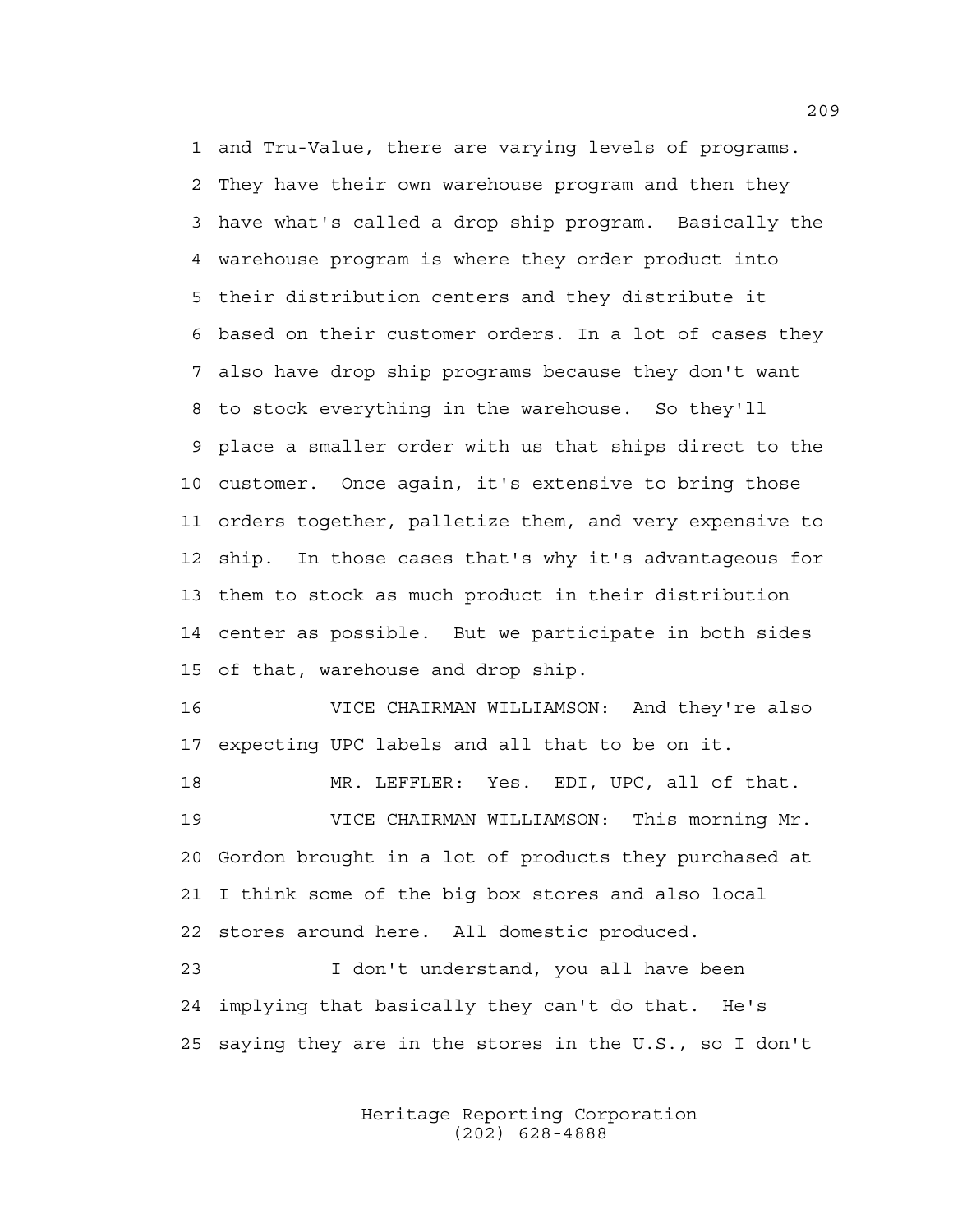1 and Tru-Value, there are varying levels of programs. 2 They have their own warehouse program and then they 3 have what's called a drop ship program. Basically the 4 warehouse program is where they order product into 5 their distribution centers and they distribute it 6 based on their customer orders. In a lot of cases they 7 also have drop ship programs because they don't want 8 to stock everything in the warehouse. So they'll 9 place a smaller order with us that ships direct to the 10 customer. Once again, it's extensive to bring those 11 orders together, palletize them, and very expensive to 12 ship. In those cases that's why it's advantageous for 13 them to stock as much product in their distribution 14 center as possible. But we participate in both sides 15 of that, warehouse and drop ship.

16 VICE CHAIRMAN WILLIAMSON: And they're also 17 expecting UPC labels and all that to be on it.

18 MR. LEFFLER: Yes. EDI, UPC, all of that. 19 VICE CHAIRMAN WILLIAMSON: This morning Mr. 20 Gordon brought in a lot of products they purchased at 21 I think some of the big box stores and also local 22 stores around here. All domestic produced.

23 I don't understand, you all have been 24 implying that basically they can't do that. He's 25 saying they are in the stores in the U.S., so I don't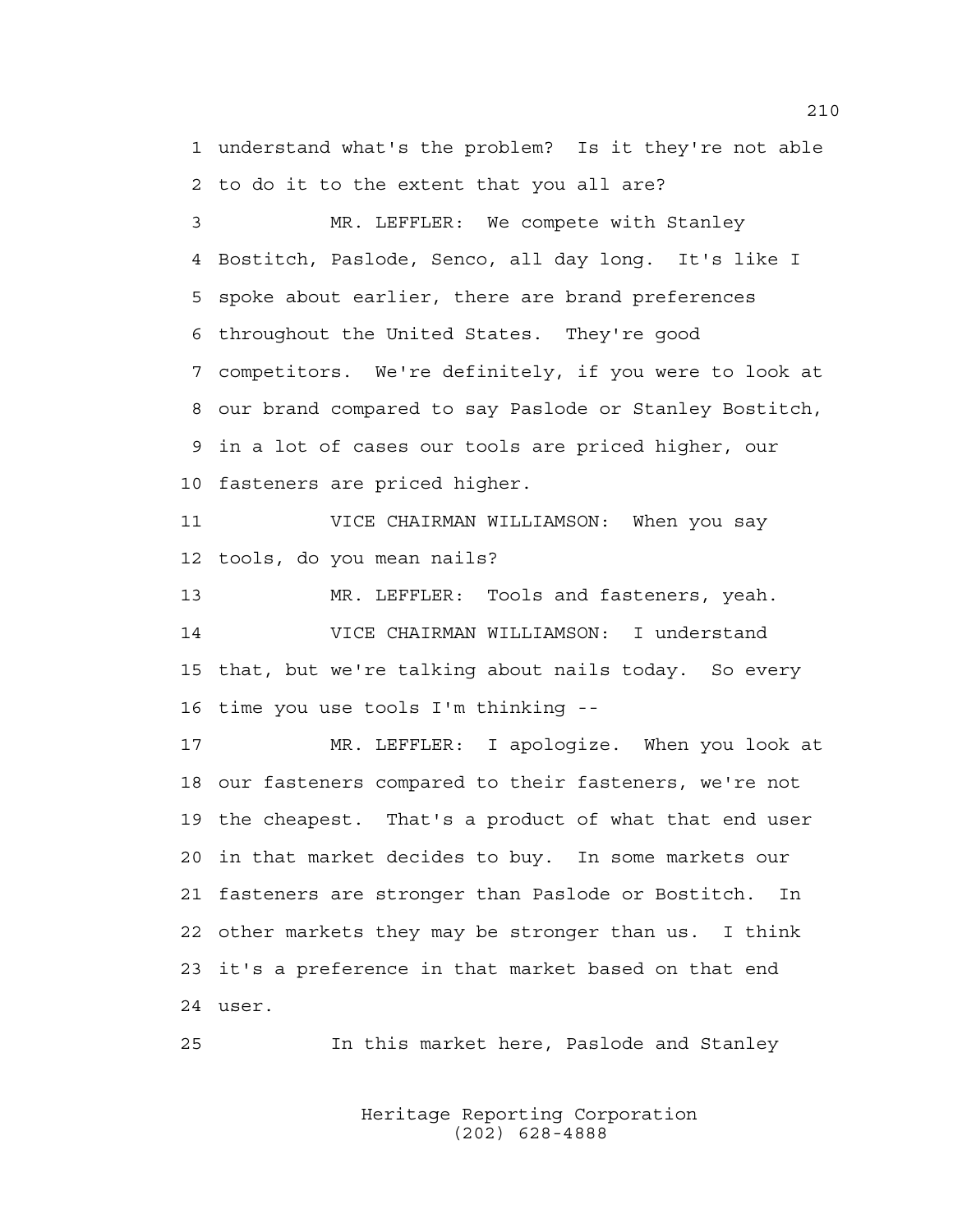1 understand what's the problem? Is it they're not able 2 to do it to the extent that you all are?

3 MR. LEFFLER: We compete with Stanley 4 Bostitch, Paslode, Senco, all day long. It's like I 5 spoke about earlier, there are brand preferences 6 throughout the United States. They're good 7 competitors. We're definitely, if you were to look at 8 our brand compared to say Paslode or Stanley Bostitch, 9 in a lot of cases our tools are priced higher, our 10 fasteners are priced higher.

11 VICE CHAIRMAN WILLIAMSON: When you say 12 tools, do you mean nails?

13 MR. LEFFLER: Tools and fasteners, yeah. 14 VICE CHAIRMAN WILLIAMSON: I understand 15 that, but we're talking about nails today. So every 16 time you use tools I'm thinking --

17 MR. LEFFLER: I apologize. When you look at 18 our fasteners compared to their fasteners, we're not 19 the cheapest. That's a product of what that end user 20 in that market decides to buy. In some markets our 21 fasteners are stronger than Paslode or Bostitch. In 22 other markets they may be stronger than us. I think 23 it's a preference in that market based on that end 24 user.

25 In this market here, Paslode and Stanley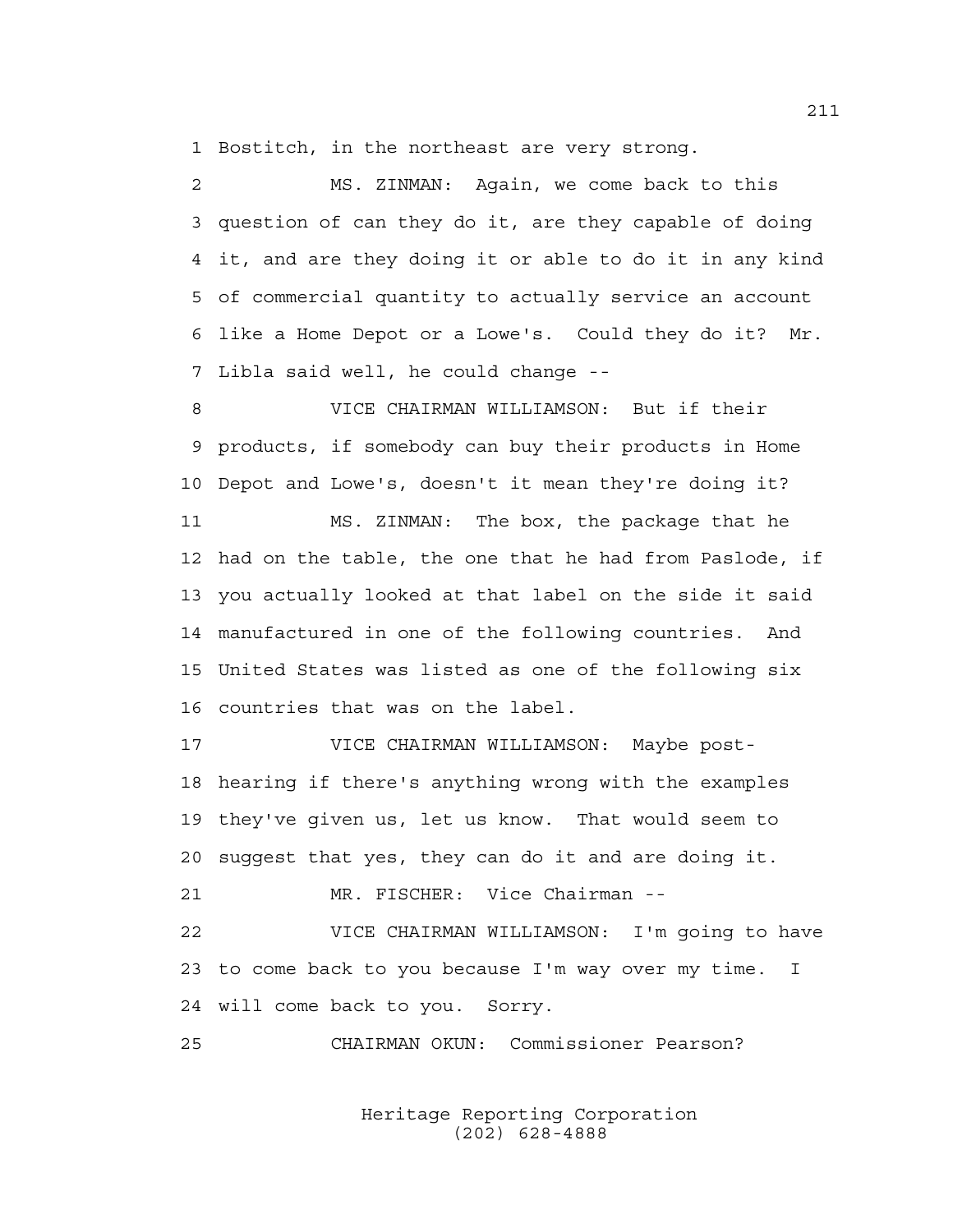1 Bostitch, in the northeast are very strong.

2 MS. ZINMAN: Again, we come back to this 3 question of can they do it, are they capable of doing 4 it, and are they doing it or able to do it in any kind 5 of commercial quantity to actually service an account 6 like a Home Depot or a Lowe's. Could they do it? Mr. 7 Libla said well, he could change --

8 VICE CHAIRMAN WILLIAMSON: But if their 9 products, if somebody can buy their products in Home 10 Depot and Lowe's, doesn't it mean they're doing it?

11 MS. ZINMAN: The box, the package that he 12 had on the table, the one that he had from Paslode, if 13 you actually looked at that label on the side it said 14 manufactured in one of the following countries. And 15 United States was listed as one of the following six 16 countries that was on the label.

17 VICE CHAIRMAN WILLIAMSON: Maybe post-18 hearing if there's anything wrong with the examples 19 they've given us, let us know. That would seem to 20 suggest that yes, they can do it and are doing it.

21 MR. FISCHER: Vice Chairman --

22 VICE CHAIRMAN WILLIAMSON: I'm going to have 23 to come back to you because I'm way over my time. I 24 will come back to you. Sorry.

25 CHAIRMAN OKUN: Commissioner Pearson?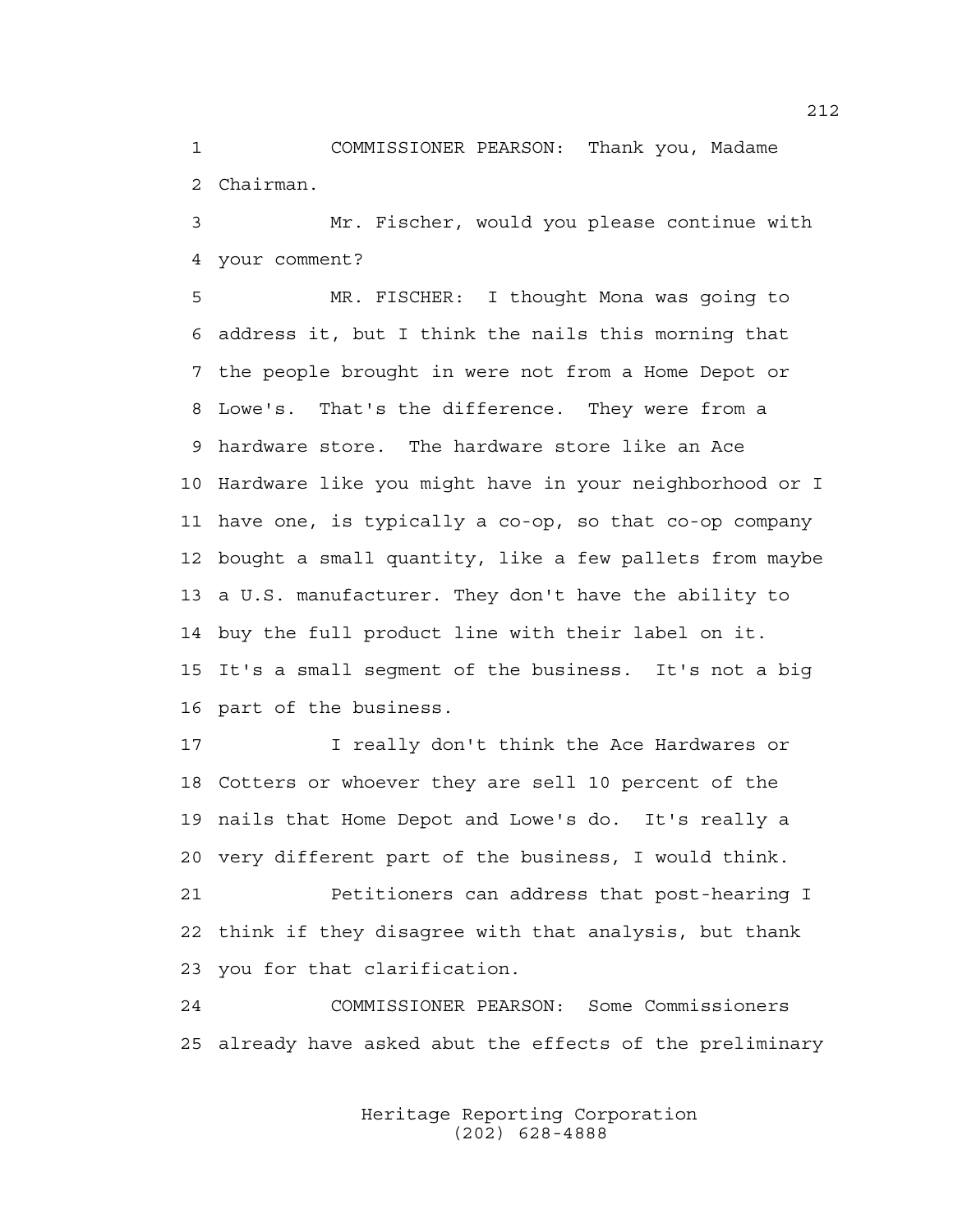1 COMMISSIONER PEARSON: Thank you, Madame 2 Chairman.

3 Mr. Fischer, would you please continue with 4 your comment?

5 MR. FISCHER: I thought Mona was going to 6 address it, but I think the nails this morning that 7 the people brought in were not from a Home Depot or 8 Lowe's. That's the difference. They were from a 9 hardware store. The hardware store like an Ace 10 Hardware like you might have in your neighborhood or I 11 have one, is typically a co-op, so that co-op company 12 bought a small quantity, like a few pallets from maybe 13 a U.S. manufacturer. They don't have the ability to 14 buy the full product line with their label on it. 15 It's a small segment of the business. It's not a big 16 part of the business.

17 **I** really don't think the Ace Hardwares or 18 Cotters or whoever they are sell 10 percent of the 19 nails that Home Depot and Lowe's do. It's really a 20 very different part of the business, I would think.

21 Petitioners can address that post-hearing I 22 think if they disagree with that analysis, but thank 23 you for that clarification.

24 COMMISSIONER PEARSON: Some Commissioners 25 already have asked abut the effects of the preliminary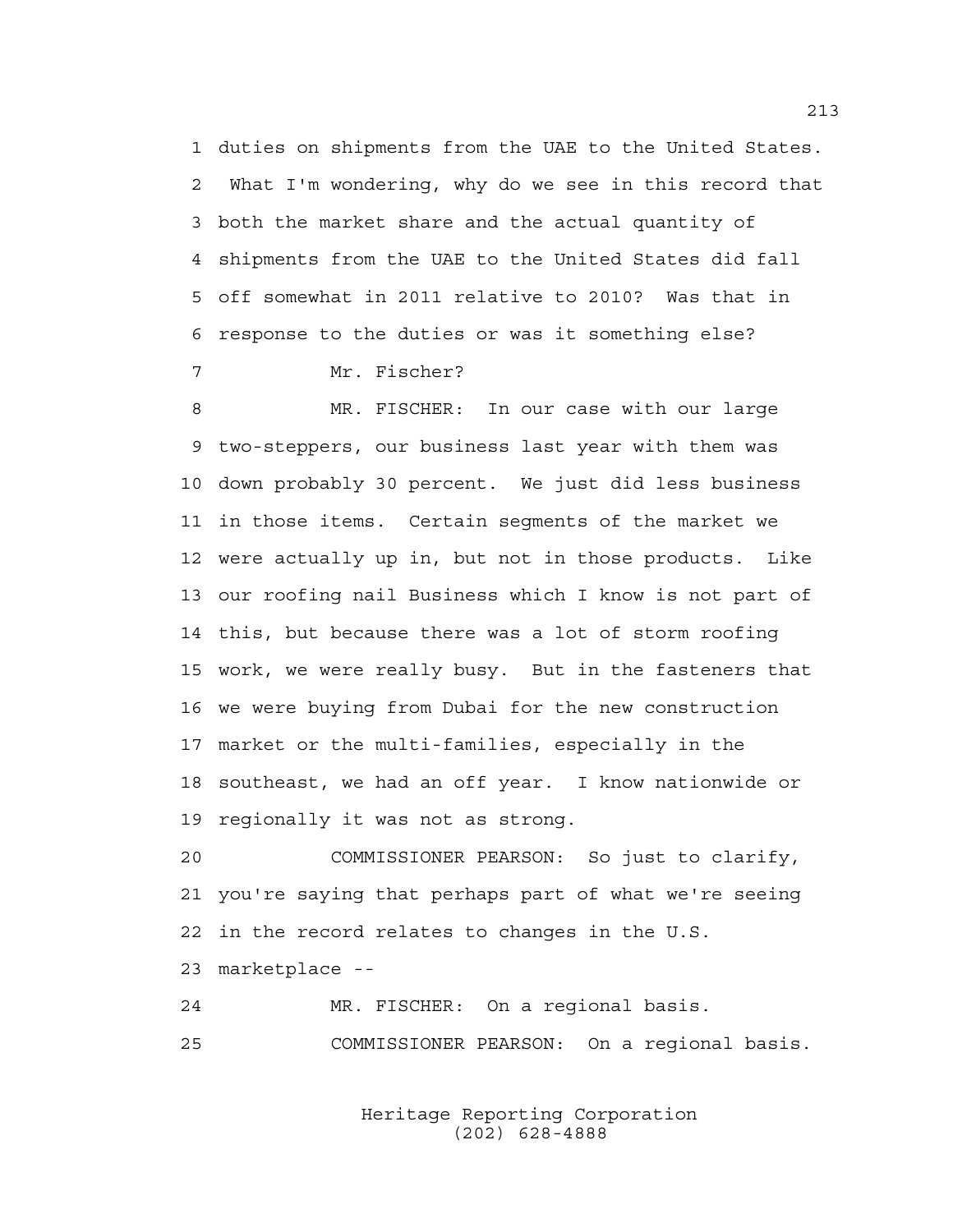1 duties on shipments from the UAE to the United States. 2 What I'm wondering, why do we see in this record that 3 both the market share and the actual quantity of 4 shipments from the UAE to the United States did fall 5 off somewhat in 2011 relative to 2010? Was that in 6 response to the duties or was it something else?

7 Mr. Fischer?

8 MR. FISCHER: In our case with our large 9 two-steppers, our business last year with them was 10 down probably 30 percent. We just did less business 11 in those items. Certain segments of the market we 12 were actually up in, but not in those products. Like 13 our roofing nail Business which I know is not part of 14 this, but because there was a lot of storm roofing 15 work, we were really busy. But in the fasteners that 16 we were buying from Dubai for the new construction 17 market or the multi-families, especially in the 18 southeast, we had an off year. I know nationwide or 19 regionally it was not as strong.

20 COMMISSIONER PEARSON: So just to clarify, 21 you're saying that perhaps part of what we're seeing 22 in the record relates to changes in the U.S.

23 marketplace --

24 MR. FISCHER: On a regional basis. 25 COMMISSIONER PEARSON: On a regional basis.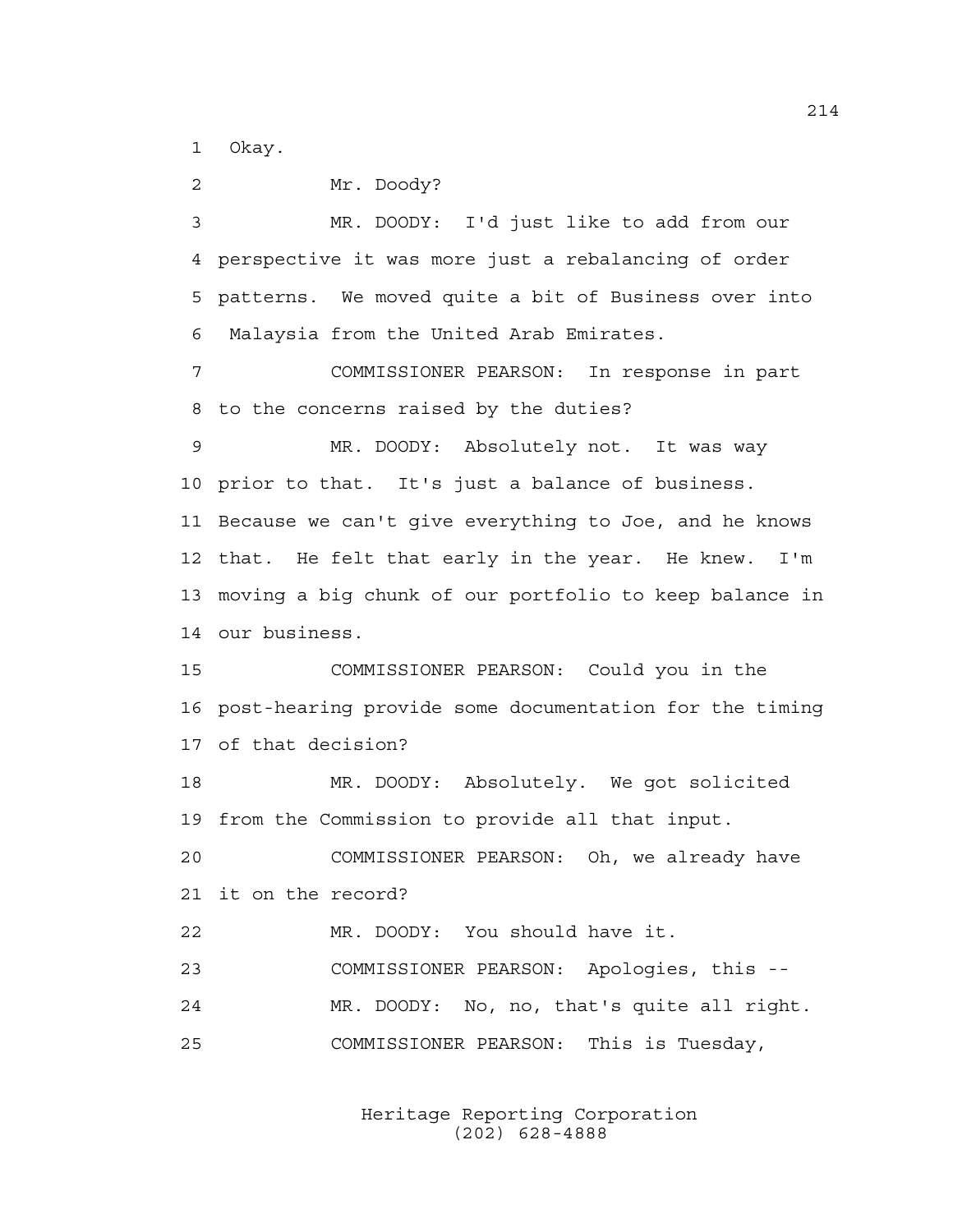1 Okay.

2 Mr. Doody? 3 MR. DOODY: I'd just like to add from our 4 perspective it was more just a rebalancing of order 5 patterns. We moved quite a bit of Business over into 6 Malaysia from the United Arab Emirates. 7 COMMISSIONER PEARSON: In response in part 8 to the concerns raised by the duties? 9 MR. DOODY: Absolutely not. It was way 10 prior to that. It's just a balance of business. 11 Because we can't give everything to Joe, and he knows 12 that. He felt that early in the year. He knew. I'm 13 moving a big chunk of our portfolio to keep balance in 14 our business. 15 COMMISSIONER PEARSON: Could you in the 16 post-hearing provide some documentation for the timing 17 of that decision? 18 MR. DOODY: Absolutely. We got solicited 19 from the Commission to provide all that input. 20 COMMISSIONER PEARSON: Oh, we already have 21 it on the record? 22 MR. DOODY: You should have it. 23 COMMISSIONER PEARSON: Apologies, this -- 24 MR. DOODY: No, no, that's quite all right. 25 COMMISSIONER PEARSON: This is Tuesday,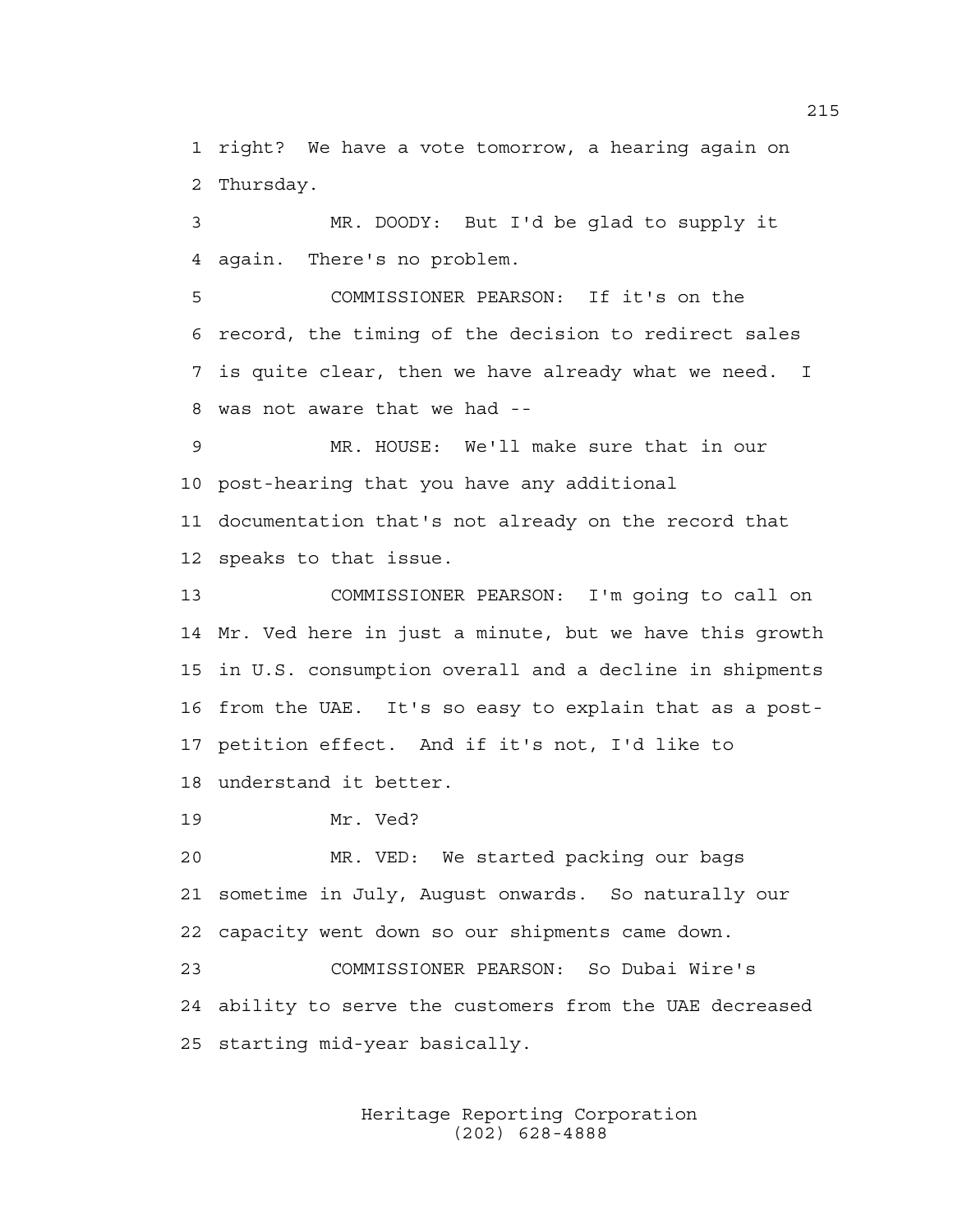1 right? We have a vote tomorrow, a hearing again on 2 Thursday.

3 MR. DOODY: But I'd be glad to supply it 4 again. There's no problem.

5 COMMISSIONER PEARSON: If it's on the 6 record, the timing of the decision to redirect sales 7 is quite clear, then we have already what we need. I 8 was not aware that we had --

9 MR. HOUSE: We'll make sure that in our 10 post-hearing that you have any additional 11 documentation that's not already on the record that

12 speaks to that issue.

13 COMMISSIONER PEARSON: I'm going to call on 14 Mr. Ved here in just a minute, but we have this growth 15 in U.S. consumption overall and a decline in shipments 16 from the UAE. It's so easy to explain that as a post-17 petition effect. And if it's not, I'd like to 18 understand it better.

19 Mr. Ved?

20 MR. VED: We started packing our bags 21 sometime in July, August onwards. So naturally our 22 capacity went down so our shipments came down. 23 COMMISSIONER PEARSON: So Dubai Wire's

24 ability to serve the customers from the UAE decreased 25 starting mid-year basically.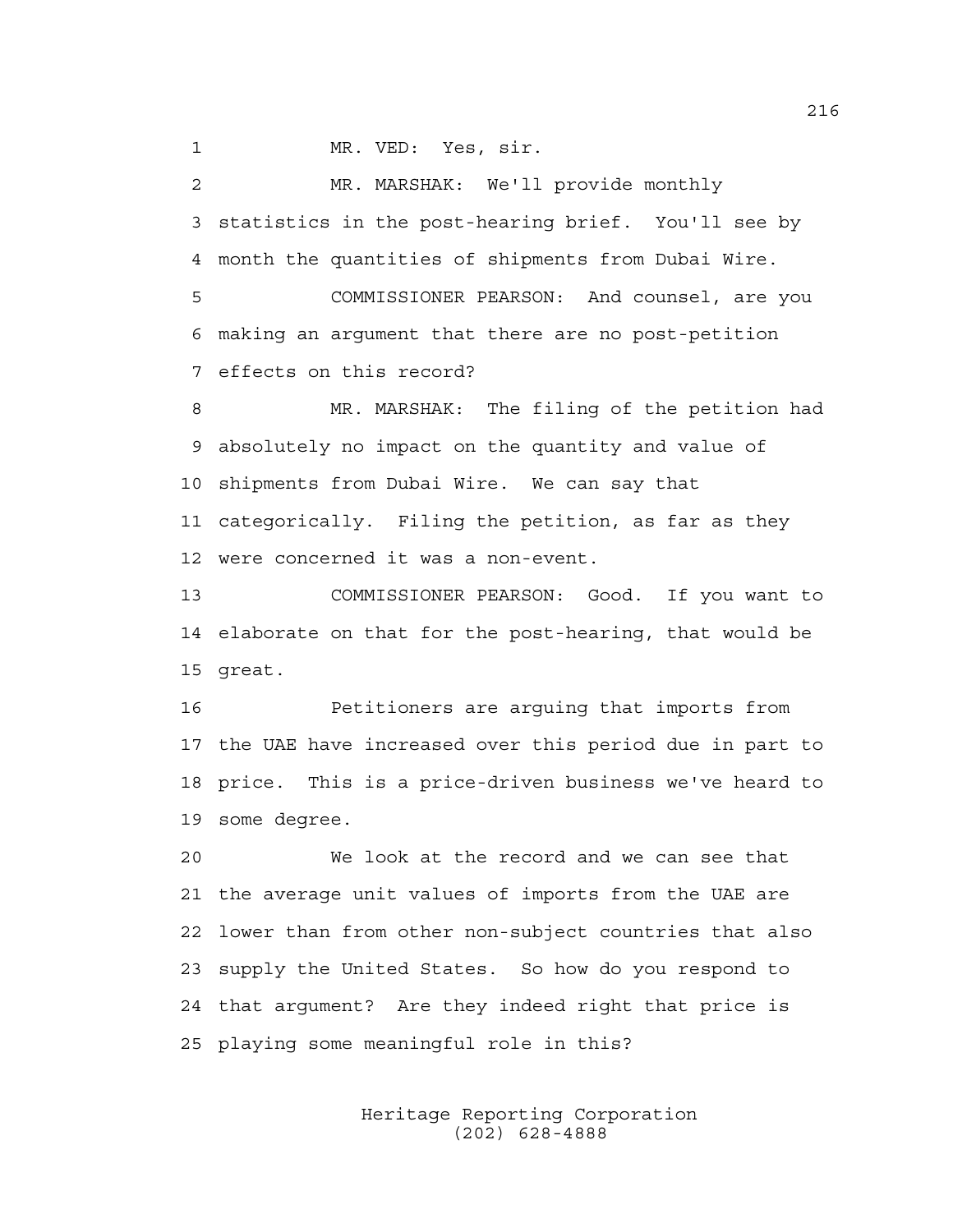1 MR. VED: Yes, sir.

2 MR. MARSHAK: We'll provide monthly 3 statistics in the post-hearing brief. You'll see by 4 month the quantities of shipments from Dubai Wire.

5 COMMISSIONER PEARSON: And counsel, are you 6 making an argument that there are no post-petition 7 effects on this record?

8 MR. MARSHAK: The filing of the petition had 9 absolutely no impact on the quantity and value of 10 shipments from Dubai Wire. We can say that 11 categorically. Filing the petition, as far as they 12 were concerned it was a non-event.

13 COMMISSIONER PEARSON: Good. If you want to 14 elaborate on that for the post-hearing, that would be 15 great.

16 Petitioners are arguing that imports from 17 the UAE have increased over this period due in part to 18 price. This is a price-driven business we've heard to 19 some degree.

20 We look at the record and we can see that 21 the average unit values of imports from the UAE are 22 lower than from other non-subject countries that also 23 supply the United States. So how do you respond to 24 that argument? Are they indeed right that price is 25 playing some meaningful role in this?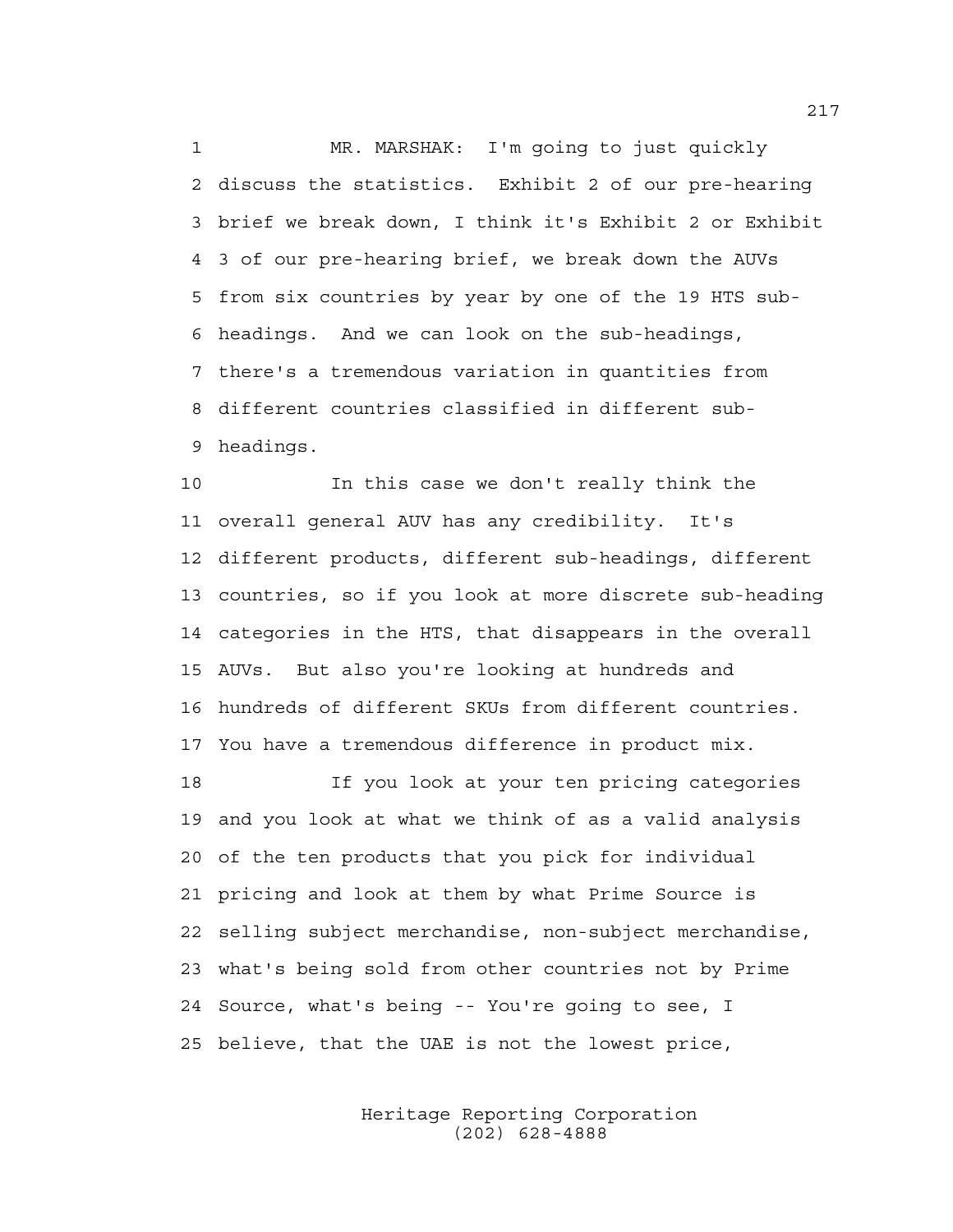1 MR. MARSHAK: I'm going to just quickly 2 discuss the statistics. Exhibit 2 of our pre-hearing 3 brief we break down, I think it's Exhibit 2 or Exhibit 4 3 of our pre-hearing brief, we break down the AUVs 5 from six countries by year by one of the 19 HTS sub-6 headings. And we can look on the sub-headings, 7 there's a tremendous variation in quantities from 8 different countries classified in different sub-9 headings.

10 In this case we don't really think the 11 overall general AUV has any credibility. It's 12 different products, different sub-headings, different 13 countries, so if you look at more discrete sub-heading 14 categories in the HTS, that disappears in the overall 15 AUVs. But also you're looking at hundreds and 16 hundreds of different SKUs from different countries. 17 You have a tremendous difference in product mix.

18 If you look at your ten pricing categories 19 and you look at what we think of as a valid analysis 20 of the ten products that you pick for individual 21 pricing and look at them by what Prime Source is 22 selling subject merchandise, non-subject merchandise, 23 what's being sold from other countries not by Prime 24 Source, what's being -- You're going to see, I 25 believe, that the UAE is not the lowest price,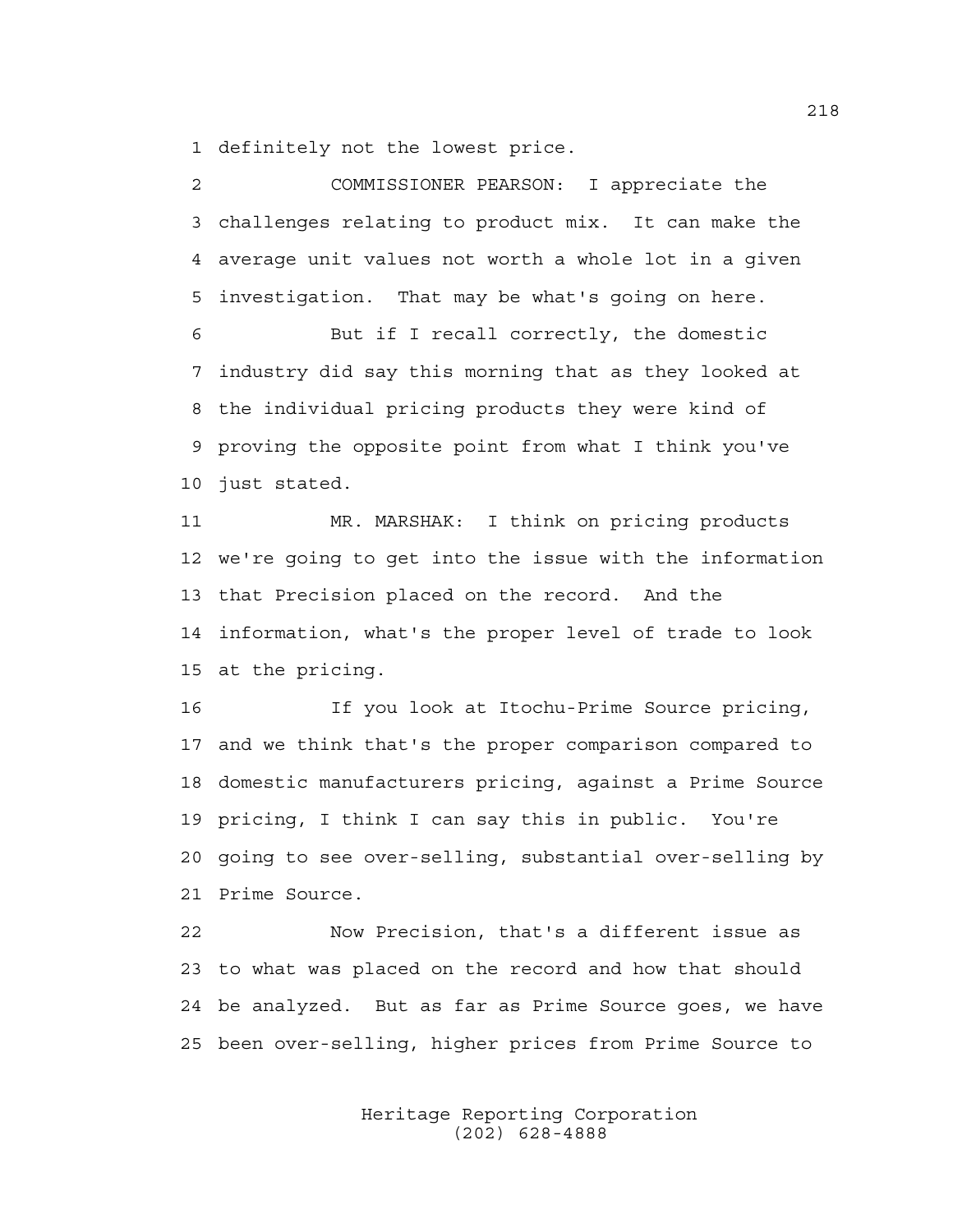1 definitely not the lowest price.

2 COMMISSIONER PEARSON: I appreciate the 3 challenges relating to product mix. It can make the 4 average unit values not worth a whole lot in a given 5 investigation. That may be what's going on here. 6 But if I recall correctly, the domestic 7 industry did say this morning that as they looked at 8 the individual pricing products they were kind of

9 proving the opposite point from what I think you've 10 just stated.

11 MR. MARSHAK: I think on pricing products 12 we're going to get into the issue with the information 13 that Precision placed on the record. And the 14 information, what's the proper level of trade to look 15 at the pricing.

16 If you look at Itochu-Prime Source pricing, 17 and we think that's the proper comparison compared to 18 domestic manufacturers pricing, against a Prime Source 19 pricing, I think I can say this in public. You're 20 going to see over-selling, substantial over-selling by 21 Prime Source.

22 Now Precision, that's a different issue as 23 to what was placed on the record and how that should 24 be analyzed. But as far as Prime Source goes, we have 25 been over-selling, higher prices from Prime Source to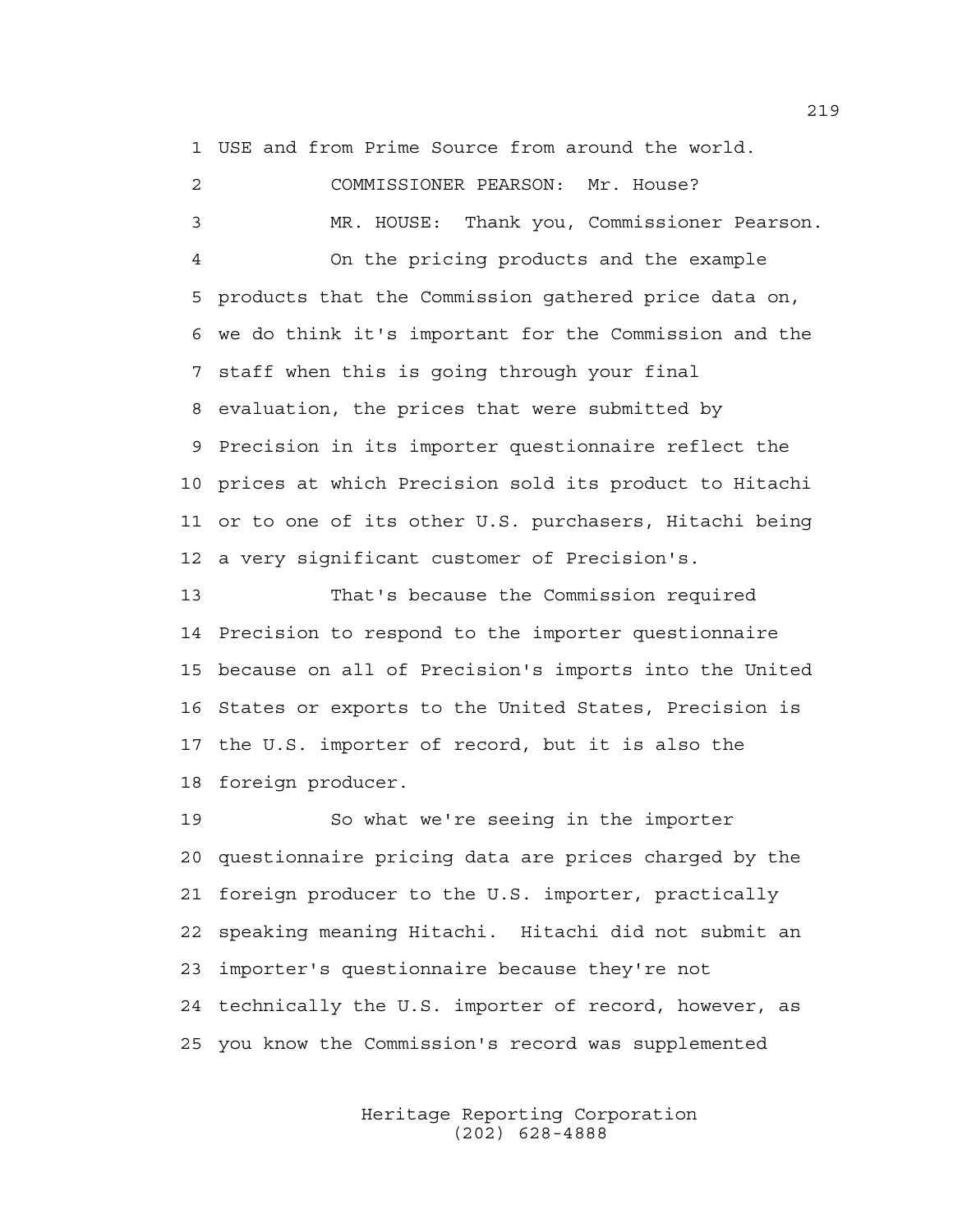1 USE and from Prime Source from around the world.

2 COMMISSIONER PEARSON: Mr. House? 3 MR. HOUSE: Thank you, Commissioner Pearson. 4 On the pricing products and the example 5 products that the Commission gathered price data on, 6 we do think it's important for the Commission and the 7 staff when this is going through your final 8 evaluation, the prices that were submitted by 9 Precision in its importer questionnaire reflect the 10 prices at which Precision sold its product to Hitachi 11 or to one of its other U.S. purchasers, Hitachi being 12 a very significant customer of Precision's.

13 That's because the Commission required 14 Precision to respond to the importer questionnaire 15 because on all of Precision's imports into the United 16 States or exports to the United States, Precision is 17 the U.S. importer of record, but it is also the 18 foreign producer.

19 So what we're seeing in the importer 20 questionnaire pricing data are prices charged by the 21 foreign producer to the U.S. importer, practically 22 speaking meaning Hitachi. Hitachi did not submit an 23 importer's questionnaire because they're not 24 technically the U.S. importer of record, however, as 25 you know the Commission's record was supplemented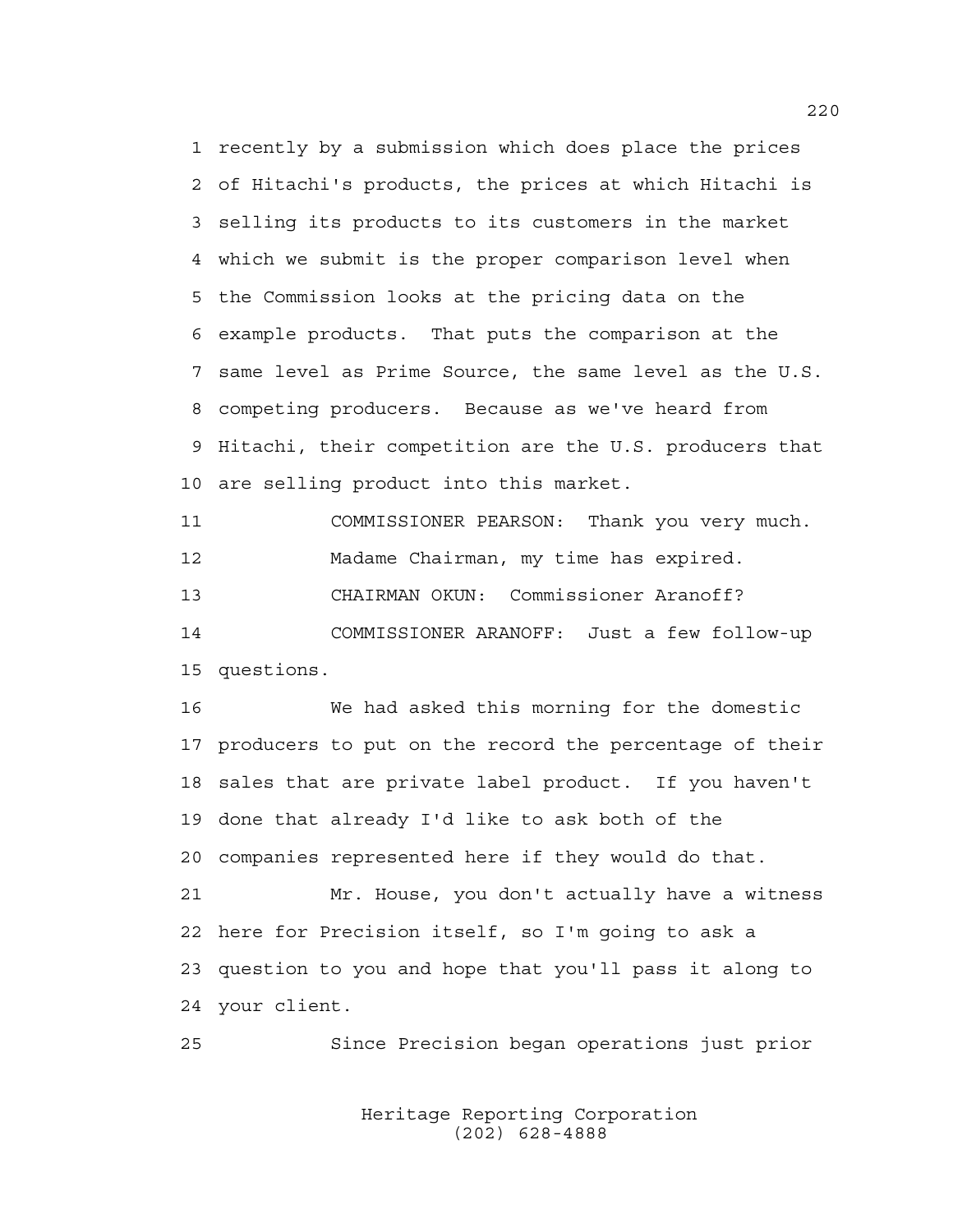1 recently by a submission which does place the prices 2 of Hitachi's products, the prices at which Hitachi is 3 selling its products to its customers in the market 4 which we submit is the proper comparison level when 5 the Commission looks at the pricing data on the 6 example products. That puts the comparison at the 7 same level as Prime Source, the same level as the U.S. 8 competing producers. Because as we've heard from 9 Hitachi, their competition are the U.S. producers that 10 are selling product into this market.

11 COMMISSIONER PEARSON: Thank you very much. 12 Madame Chairman, my time has expired. 13 CHAIRMAN OKUN: Commissioner Aranoff? 14 COMMISSIONER ARANOFF: Just a few follow-up 15 questions.

16 We had asked this morning for the domestic 17 producers to put on the record the percentage of their 18 sales that are private label product. If you haven't 19 done that already I'd like to ask both of the 20 companies represented here if they would do that. 21 Mr. House, you don't actually have a witness 22 here for Precision itself, so I'm going to ask a 23 question to you and hope that you'll pass it along to 24 your client.

25 Since Precision began operations just prior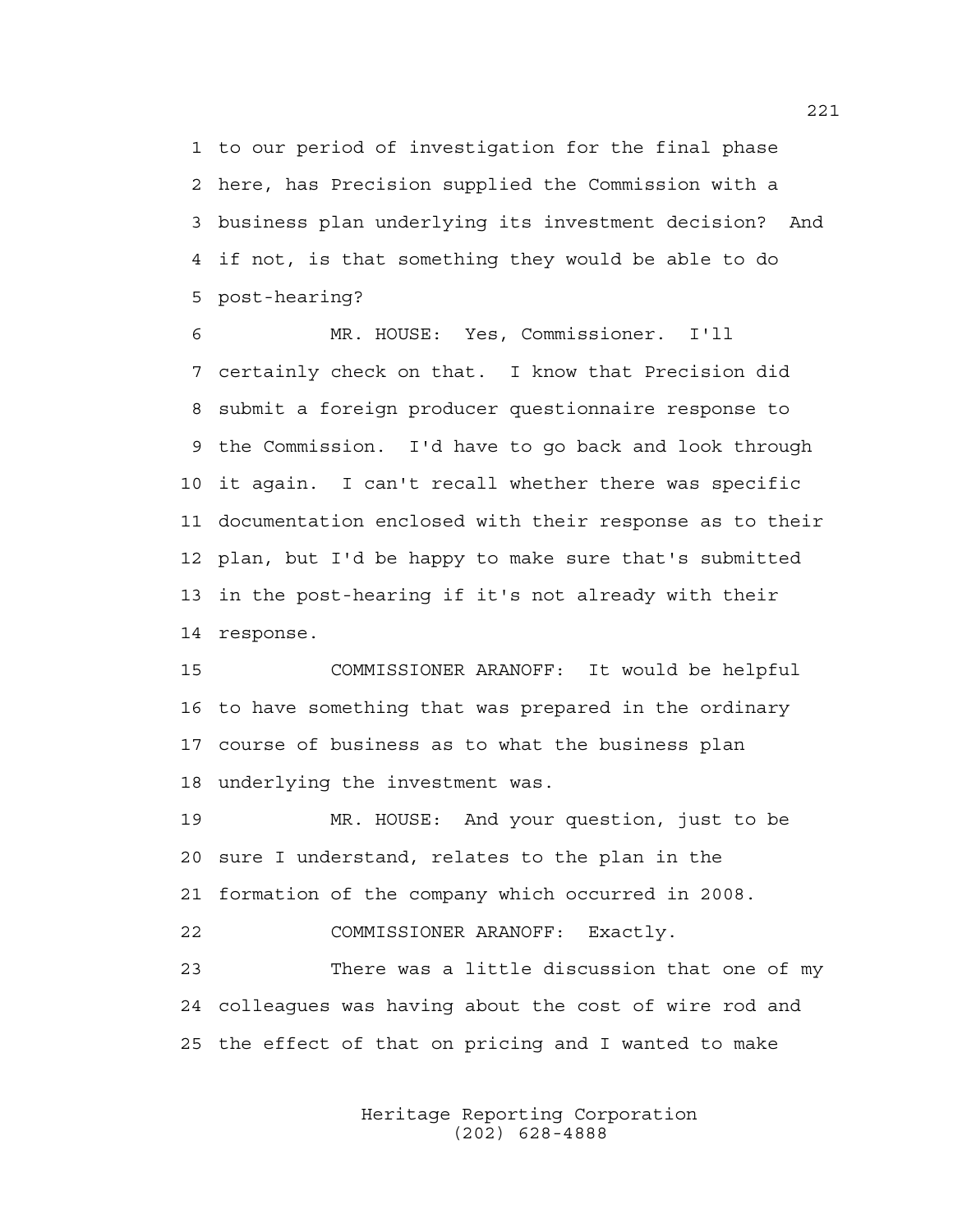1 to our period of investigation for the final phase 2 here, has Precision supplied the Commission with a 3 business plan underlying its investment decision? And 4 if not, is that something they would be able to do 5 post-hearing?

6 MR. HOUSE: Yes, Commissioner. I'll 7 certainly check on that. I know that Precision did 8 submit a foreign producer questionnaire response to 9 the Commission. I'd have to go back and look through 10 it again. I can't recall whether there was specific 11 documentation enclosed with their response as to their 12 plan, but I'd be happy to make sure that's submitted 13 in the post-hearing if it's not already with their 14 response.

15 COMMISSIONER ARANOFF: It would be helpful 16 to have something that was prepared in the ordinary 17 course of business as to what the business plan 18 underlying the investment was.

19 MR. HOUSE: And your question, just to be 20 sure I understand, relates to the plan in the 21 formation of the company which occurred in 2008. 22 COMMISSIONER ARANOFF: Exactly. 23 There was a little discussion that one of my 24 colleagues was having about the cost of wire rod and 25 the effect of that on pricing and I wanted to make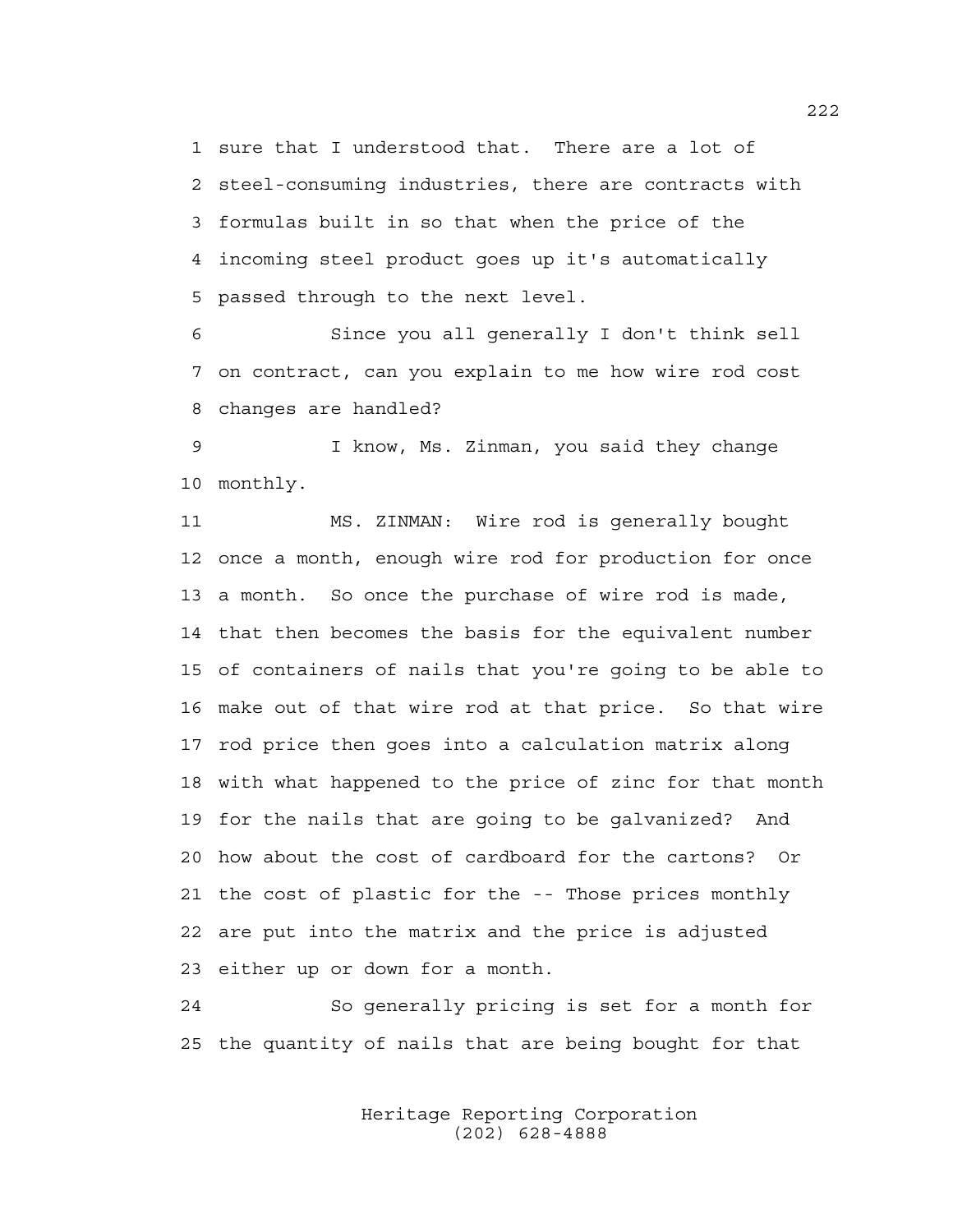1 sure that I understood that. There are a lot of 2 steel-consuming industries, there are contracts with 3 formulas built in so that when the price of the 4 incoming steel product goes up it's automatically 5 passed through to the next level.

6 Since you all generally I don't think sell 7 on contract, can you explain to me how wire rod cost 8 changes are handled?

9 I know, Ms. Zinman, you said they change 10 monthly.

11 MS. ZINMAN: Wire rod is generally bought 12 once a month, enough wire rod for production for once 13 a month. So once the purchase of wire rod is made, 14 that then becomes the basis for the equivalent number 15 of containers of nails that you're going to be able to 16 make out of that wire rod at that price. So that wire 17 rod price then goes into a calculation matrix along 18 with what happened to the price of zinc for that month 19 for the nails that are going to be galvanized? And 20 how about the cost of cardboard for the cartons? Or 21 the cost of plastic for the -- Those prices monthly 22 are put into the matrix and the price is adjusted 23 either up or down for a month.

24 So generally pricing is set for a month for 25 the quantity of nails that are being bought for that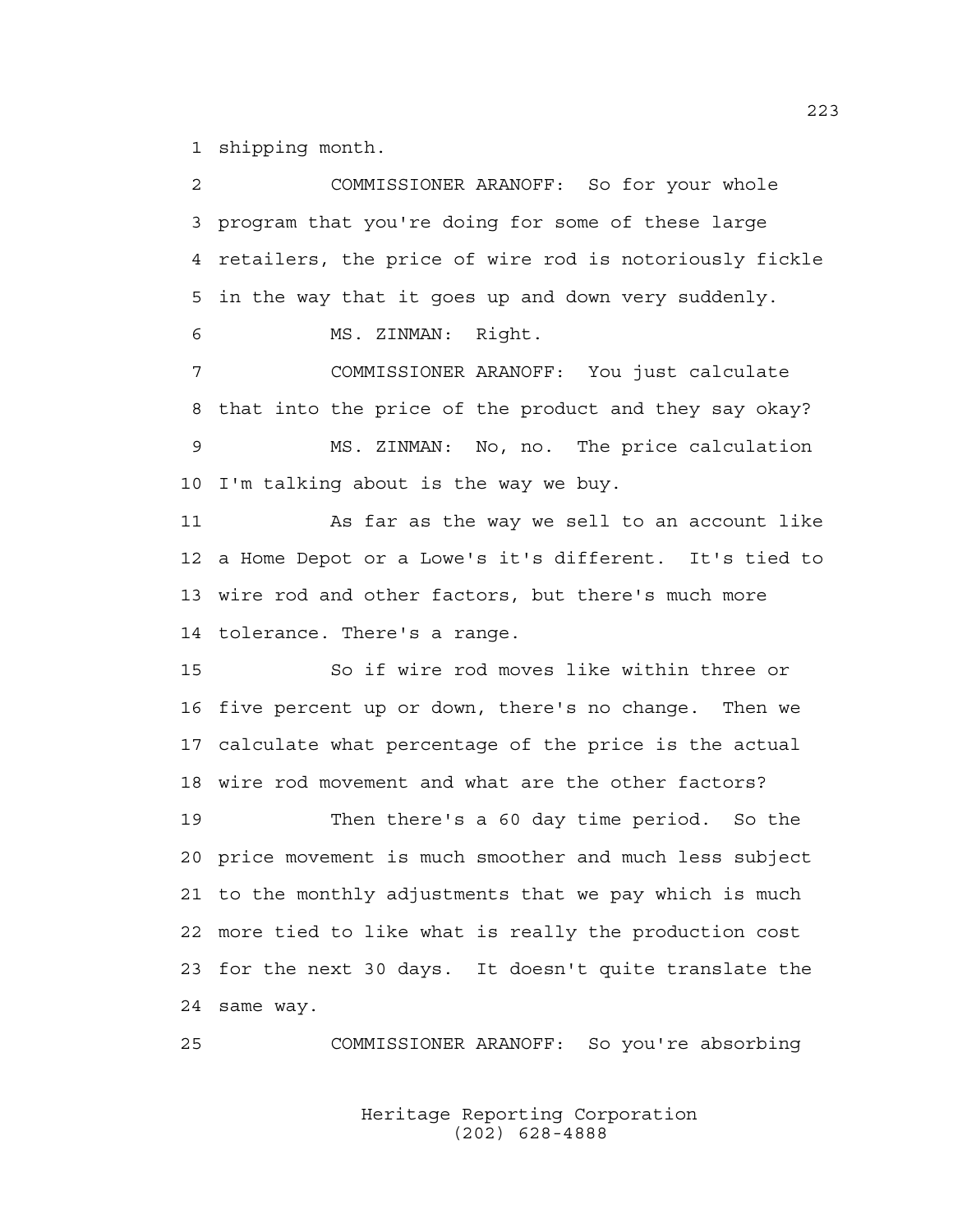1 shipping month.

2 COMMISSIONER ARANOFF: So for your whole 3 program that you're doing for some of these large 4 retailers, the price of wire rod is notoriously fickle 5 in the way that it goes up and down very suddenly. 6 MS. ZINMAN: Right. 7 COMMISSIONER ARANOFF: You just calculate 8 that into the price of the product and they say okay? 9 MS. ZINMAN: No, no. The price calculation 10 I'm talking about is the way we buy. 11 As far as the way we sell to an account like 12 a Home Depot or a Lowe's it's different. It's tied to 13 wire rod and other factors, but there's much more 14 tolerance. There's a range. 15 So if wire rod moves like within three or 16 five percent up or down, there's no change. Then we 17 calculate what percentage of the price is the actual 18 wire rod movement and what are the other factors? 19 Then there's a 60 day time period. So the 20 price movement is much smoother and much less subject 21 to the monthly adjustments that we pay which is much 22 more tied to like what is really the production cost 23 for the next 30 days. It doesn't quite translate the 24 same way.

25 COMMISSIONER ARANOFF: So you're absorbing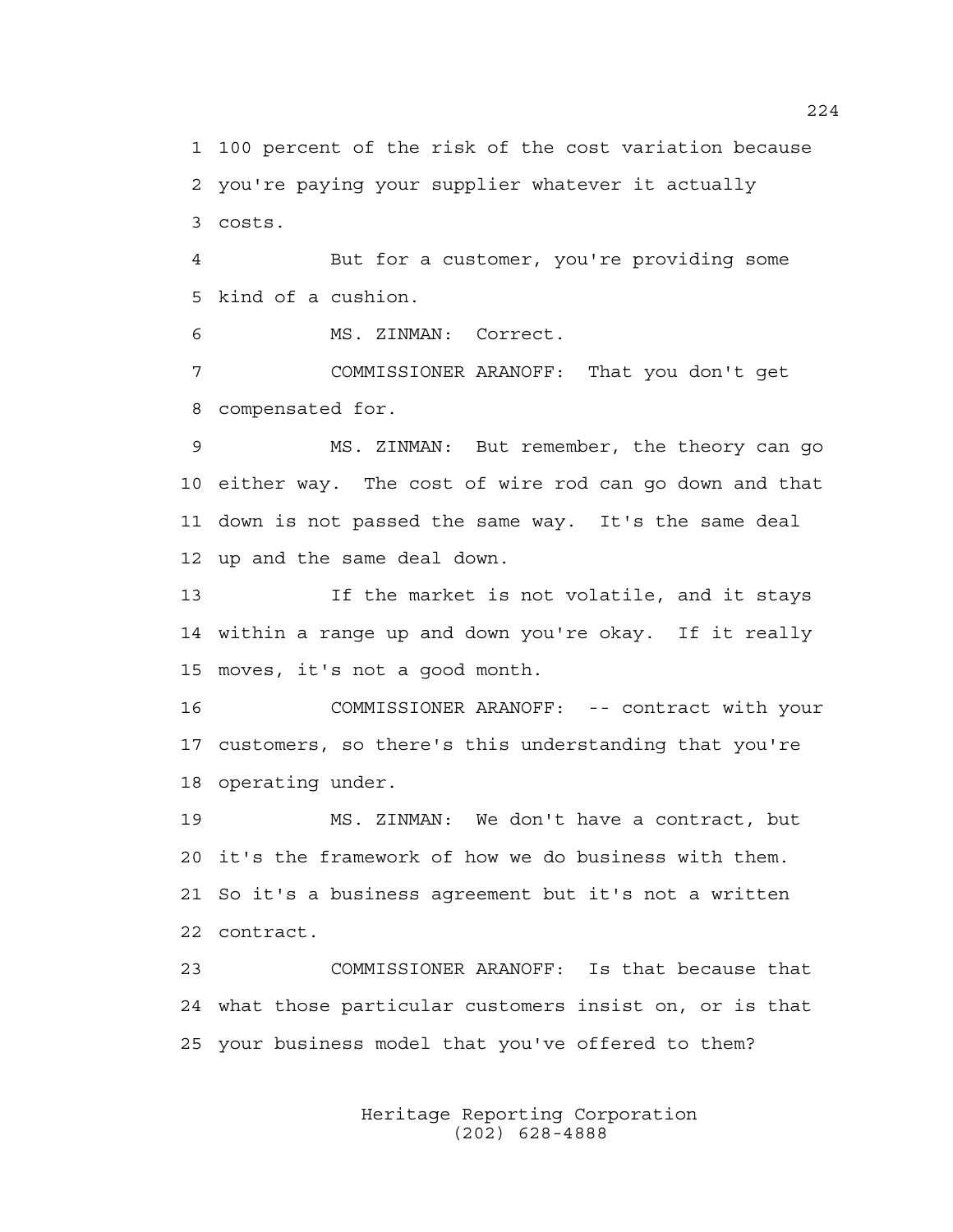1 100 percent of the risk of the cost variation because 2 you're paying your supplier whatever it actually 3 costs.

4 But for a customer, you're providing some 5 kind of a cushion.

6 MS. ZINMAN: Correct.

7 COMMISSIONER ARANOFF: That you don't get 8 compensated for.

9 MS. ZINMAN: But remember, the theory can go 10 either way. The cost of wire rod can go down and that 11 down is not passed the same way. It's the same deal 12 up and the same deal down.

13 If the market is not volatile, and it stays 14 within a range up and down you're okay. If it really 15 moves, it's not a good month.

16 COMMISSIONER ARANOFF: -- contract with your 17 customers, so there's this understanding that you're 18 operating under.

19 MS. ZINMAN: We don't have a contract, but 20 it's the framework of how we do business with them. 21 So it's a business agreement but it's not a written 22 contract.

23 COMMISSIONER ARANOFF: Is that because that 24 what those particular customers insist on, or is that 25 your business model that you've offered to them?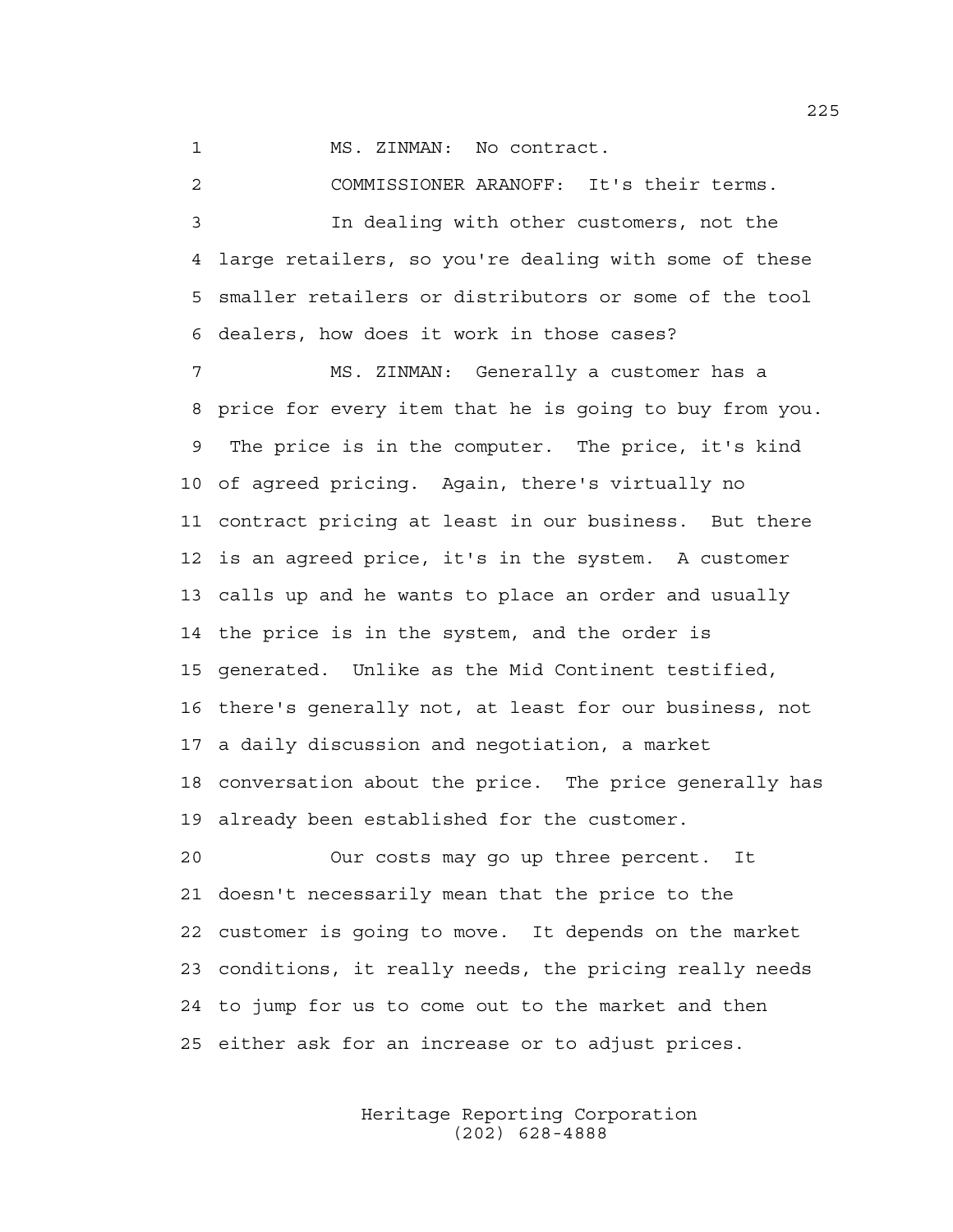1 MS. ZINMAN: No contract.

2 COMMISSIONER ARANOFF: It's their terms. 3 In dealing with other customers, not the 4 large retailers, so you're dealing with some of these

5 smaller retailers or distributors or some of the tool 6 dealers, how does it work in those cases?

7 MS. ZINMAN: Generally a customer has a 8 price for every item that he is going to buy from you. 9 The price is in the computer. The price, it's kind 10 of agreed pricing. Again, there's virtually no 11 contract pricing at least in our business. But there 12 is an agreed price, it's in the system. A customer 13 calls up and he wants to place an order and usually 14 the price is in the system, and the order is 15 generated. Unlike as the Mid Continent testified, 16 there's generally not, at least for our business, not 17 a daily discussion and negotiation, a market 18 conversation about the price. The price generally has 19 already been established for the customer.

20 Our costs may go up three percent. It 21 doesn't necessarily mean that the price to the 22 customer is going to move. It depends on the market 23 conditions, it really needs, the pricing really needs 24 to jump for us to come out to the market and then 25 either ask for an increase or to adjust prices.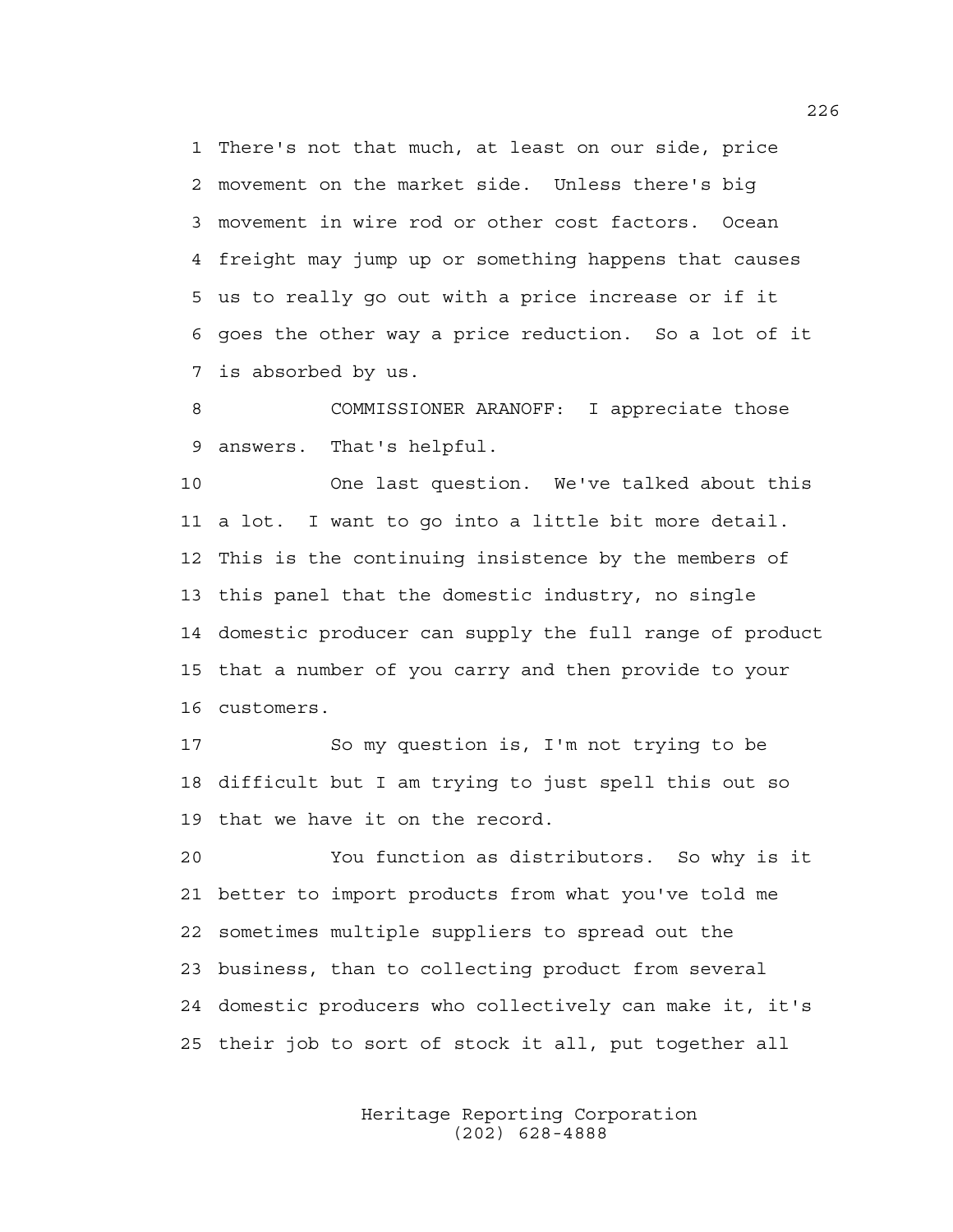1 There's not that much, at least on our side, price 2 movement on the market side. Unless there's big 3 movement in wire rod or other cost factors. Ocean 4 freight may jump up or something happens that causes 5 us to really go out with a price increase or if it 6 goes the other way a price reduction. So a lot of it 7 is absorbed by us.

8 COMMISSIONER ARANOFF: I appreciate those 9 answers. That's helpful.

10 One last question. We've talked about this 11 a lot. I want to go into a little bit more detail. 12 This is the continuing insistence by the members of 13 this panel that the domestic industry, no single 14 domestic producer can supply the full range of product 15 that a number of you carry and then provide to your 16 customers.

17 So my question is, I'm not trying to be 18 difficult but I am trying to just spell this out so 19 that we have it on the record.

20 You function as distributors. So why is it 21 better to import products from what you've told me 22 sometimes multiple suppliers to spread out the 23 business, than to collecting product from several 24 domestic producers who collectively can make it, it's 25 their job to sort of stock it all, put together all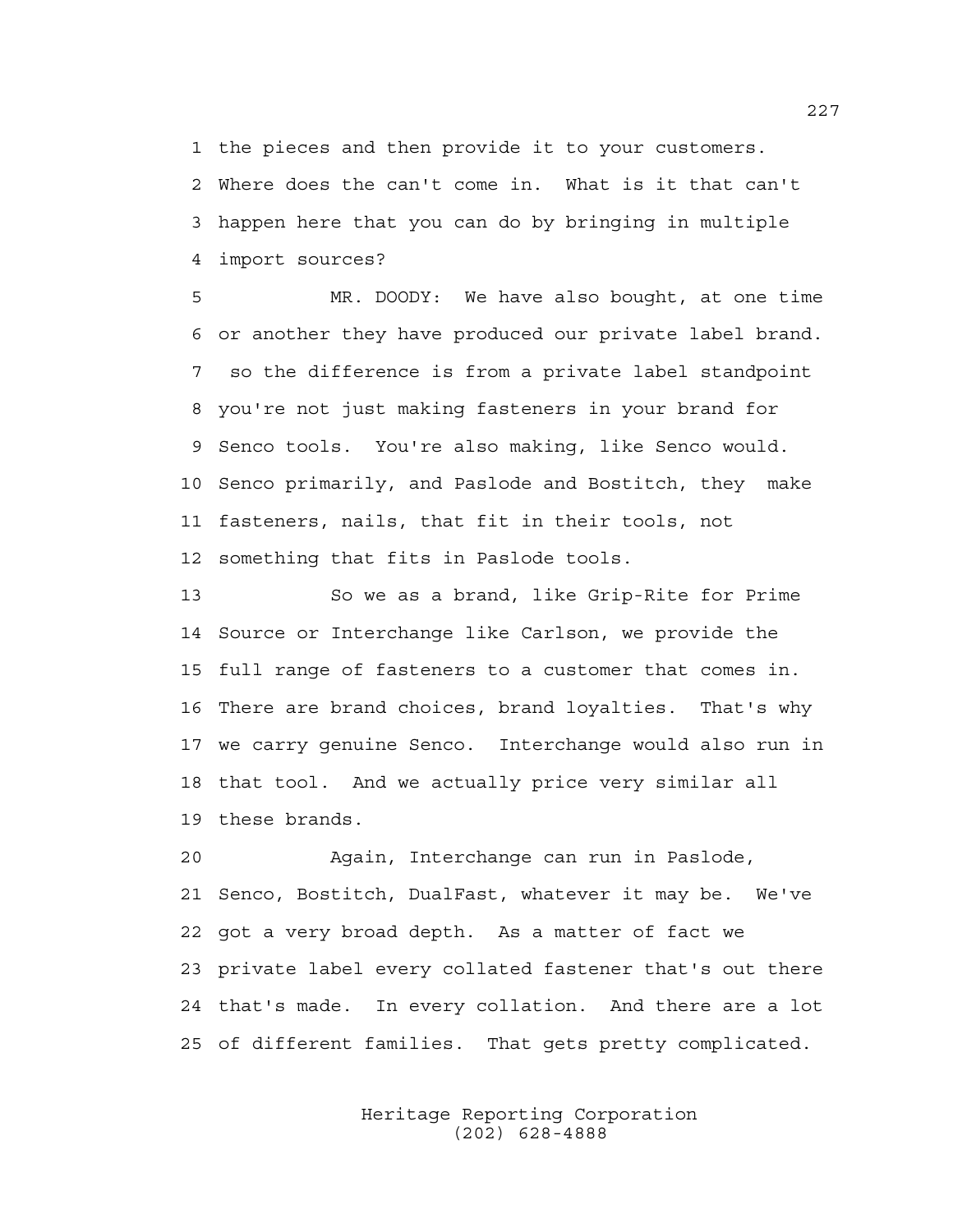1 the pieces and then provide it to your customers.

2 Where does the can't come in. What is it that can't 3 happen here that you can do by bringing in multiple 4 import sources?

5 MR. DOODY: We have also bought, at one time 6 or another they have produced our private label brand. 7 so the difference is from a private label standpoint 8 you're not just making fasteners in your brand for 9 Senco tools. You're also making, like Senco would. 10 Senco primarily, and Paslode and Bostitch, they make 11 fasteners, nails, that fit in their tools, not 12 something that fits in Paslode tools.

13 So we as a brand, like Grip-Rite for Prime 14 Source or Interchange like Carlson, we provide the 15 full range of fasteners to a customer that comes in. 16 There are brand choices, brand loyalties. That's why 17 we carry genuine Senco. Interchange would also run in 18 that tool. And we actually price very similar all 19 these brands.

20 Again, Interchange can run in Paslode, 21 Senco, Bostitch, DualFast, whatever it may be. We've 22 got a very broad depth. As a matter of fact we 23 private label every collated fastener that's out there 24 that's made. In every collation. And there are a lot 25 of different families. That gets pretty complicated.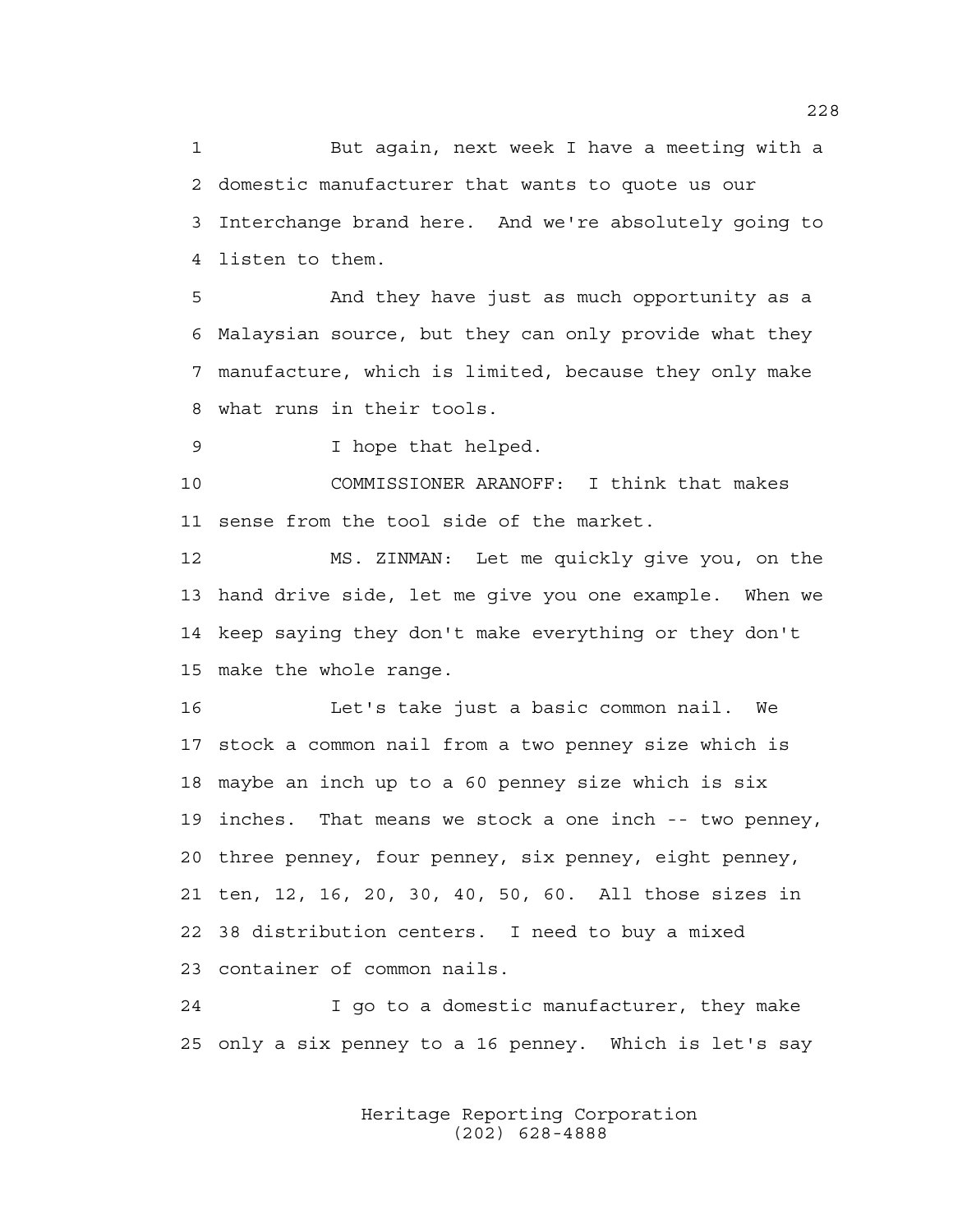1 But again, next week I have a meeting with a 2 domestic manufacturer that wants to quote us our 3 Interchange brand here. And we're absolutely going to 4 listen to them.

5 And they have just as much opportunity as a 6 Malaysian source, but they can only provide what they 7 manufacture, which is limited, because they only make 8 what runs in their tools.

9 I hope that helped.

10 COMMISSIONER ARANOFF: I think that makes 11 sense from the tool side of the market.

12 MS. ZINMAN: Let me quickly give you, on the 13 hand drive side, let me give you one example. When we 14 keep saying they don't make everything or they don't 15 make the whole range.

16 Let's take just a basic common nail. We 17 stock a common nail from a two penney size which is 18 maybe an inch up to a 60 penney size which is six 19 inches. That means we stock a one inch -- two penney, 20 three penney, four penney, six penney, eight penney, 21 ten, 12, 16, 20, 30, 40, 50, 60. All those sizes in 22 38 distribution centers. I need to buy a mixed 23 container of common nails.

24 I go to a domestic manufacturer, they make 25 only a six penney to a 16 penney. Which is let's say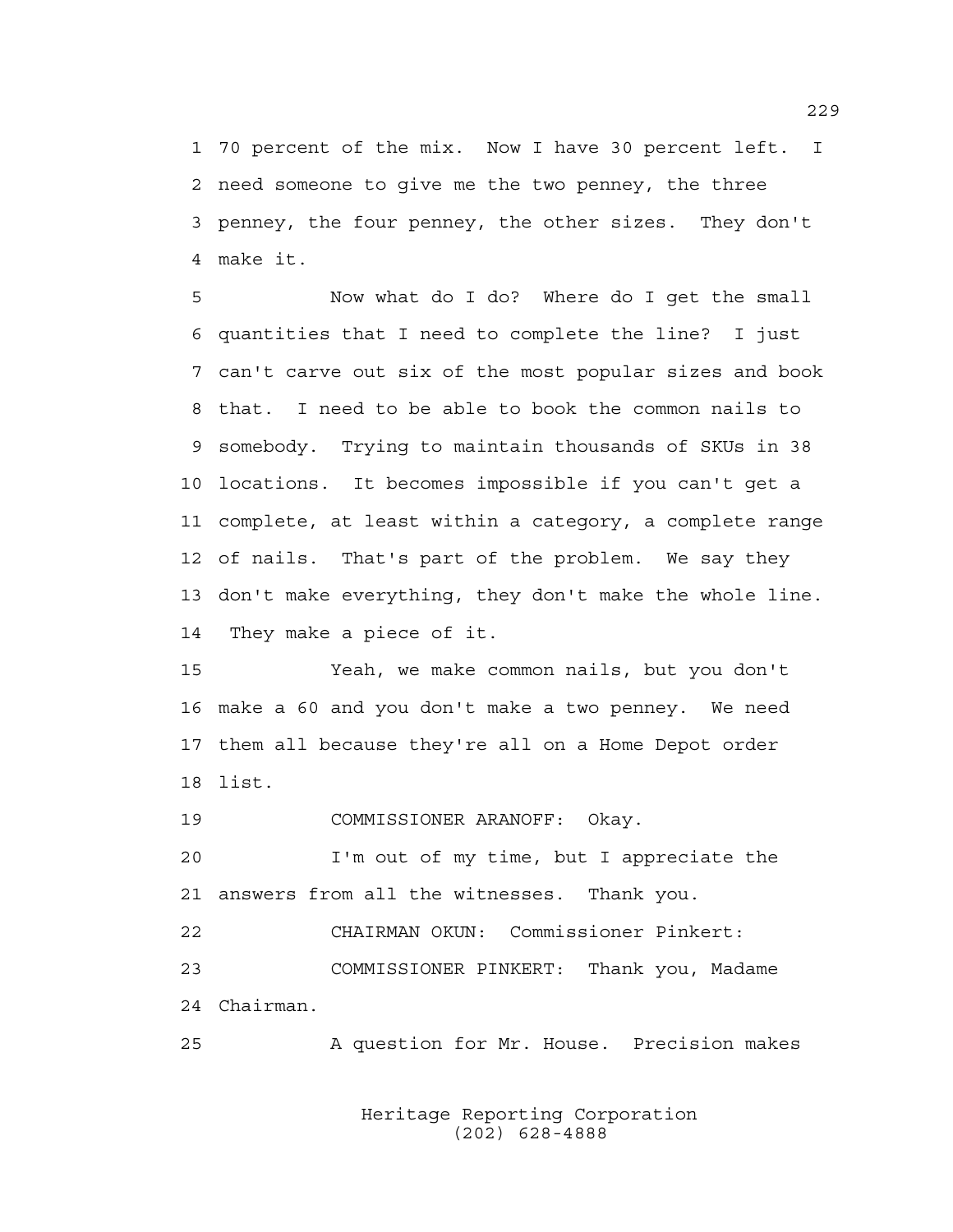1 70 percent of the mix. Now I have 30 percent left. I 2 need someone to give me the two penney, the three 3 penney, the four penney, the other sizes. They don't 4 make it.

5 Now what do I do? Where do I get the small 6 quantities that I need to complete the line? I just 7 can't carve out six of the most popular sizes and book 8 that. I need to be able to book the common nails to 9 somebody. Trying to maintain thousands of SKUs in 38 10 locations. It becomes impossible if you can't get a 11 complete, at least within a category, a complete range 12 of nails. That's part of the problem. We say they 13 don't make everything, they don't make the whole line. 14 They make a piece of it.

15 Yeah, we make common nails, but you don't 16 make a 60 and you don't make a two penney. We need 17 them all because they're all on a Home Depot order 18 list.

19 COMMISSIONER ARANOFF: Okay.

20 I'm out of my time, but I appreciate the 21 answers from all the witnesses. Thank you.

22 CHAIRMAN OKUN: Commissioner Pinkert: 23 COMMISSIONER PINKERT: Thank you, Madame 24 Chairman.

25 A question for Mr. House. Precision makes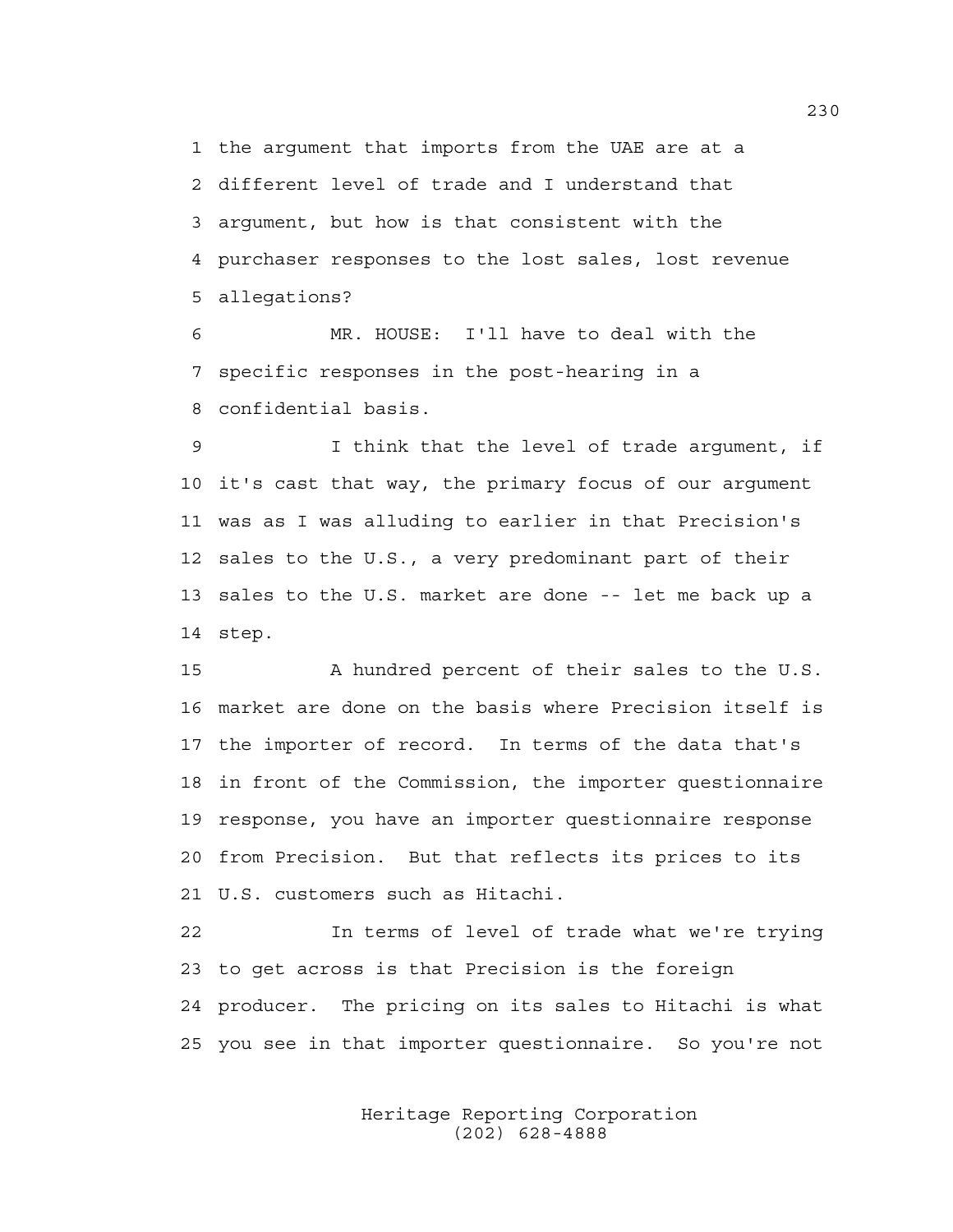1 the argument that imports from the UAE are at a 2 different level of trade and I understand that 3 argument, but how is that consistent with the 4 purchaser responses to the lost sales, lost revenue 5 allegations?

6 MR. HOUSE: I'll have to deal with the 7 specific responses in the post-hearing in a 8 confidential basis.

9 I think that the level of trade argument, if 10 it's cast that way, the primary focus of our argument 11 was as I was alluding to earlier in that Precision's 12 sales to the U.S., a very predominant part of their 13 sales to the U.S. market are done -- let me back up a 14 step.

15 A hundred percent of their sales to the U.S. 16 market are done on the basis where Precision itself is 17 the importer of record. In terms of the data that's 18 in front of the Commission, the importer questionnaire 19 response, you have an importer questionnaire response 20 from Precision. But that reflects its prices to its 21 U.S. customers such as Hitachi.

22 In terms of level of trade what we're trying 23 to get across is that Precision is the foreign 24 producer. The pricing on its sales to Hitachi is what 25 you see in that importer questionnaire. So you're not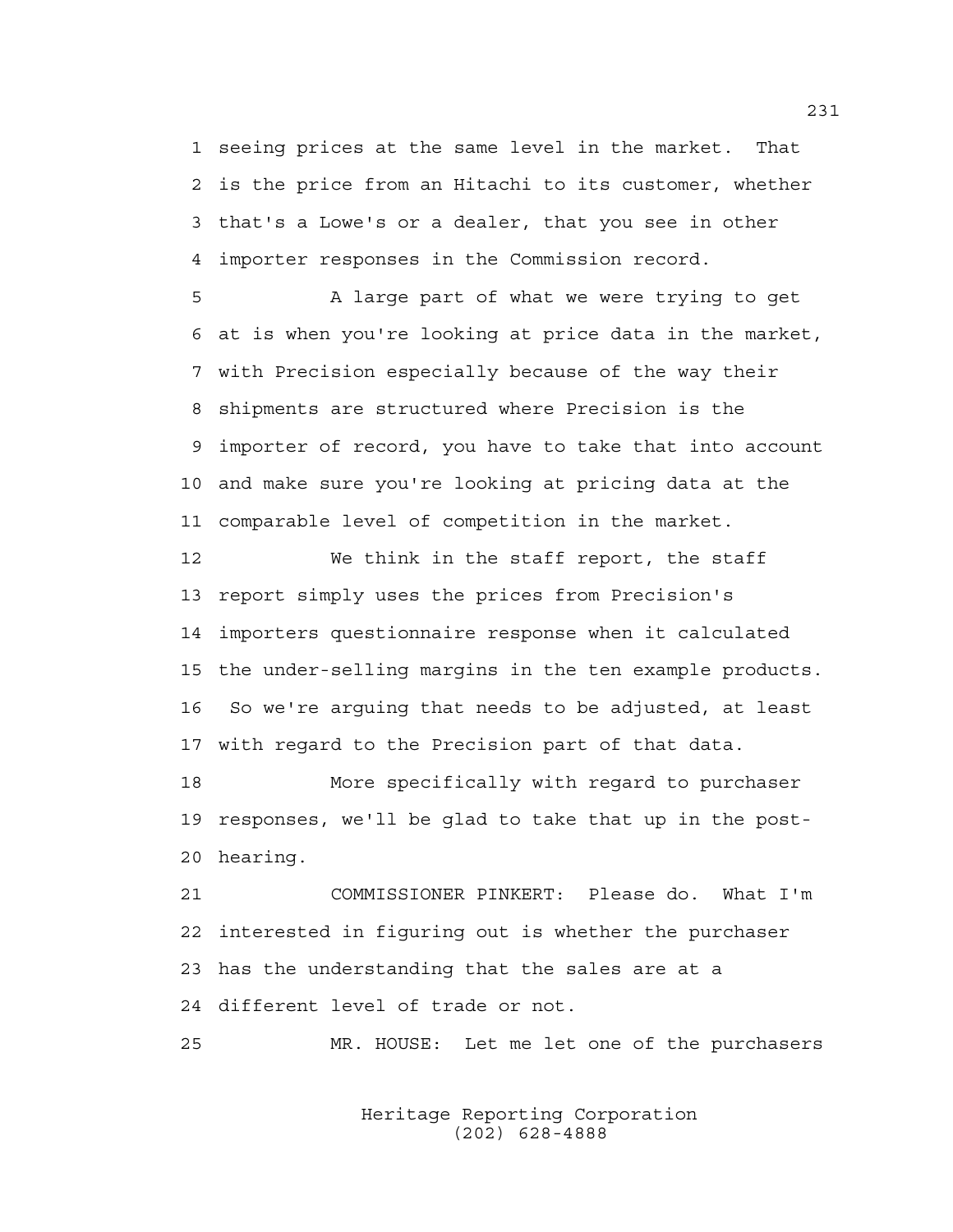1 seeing prices at the same level in the market. That 2 is the price from an Hitachi to its customer, whether 3 that's a Lowe's or a dealer, that you see in other 4 importer responses in the Commission record.

5 A large part of what we were trying to get 6 at is when you're looking at price data in the market, 7 with Precision especially because of the way their 8 shipments are structured where Precision is the 9 importer of record, you have to take that into account 10 and make sure you're looking at pricing data at the 11 comparable level of competition in the market.

12 We think in the staff report, the staff 13 report simply uses the prices from Precision's 14 importers questionnaire response when it calculated 15 the under-selling margins in the ten example products. 16 So we're arguing that needs to be adjusted, at least 17 with regard to the Precision part of that data.

18 More specifically with regard to purchaser 19 responses, we'll be glad to take that up in the post-20 hearing.

21 COMMISSIONER PINKERT: Please do. What I'm 22 interested in figuring out is whether the purchaser 23 has the understanding that the sales are at a 24 different level of trade or not.

25 MR. HOUSE: Let me let one of the purchasers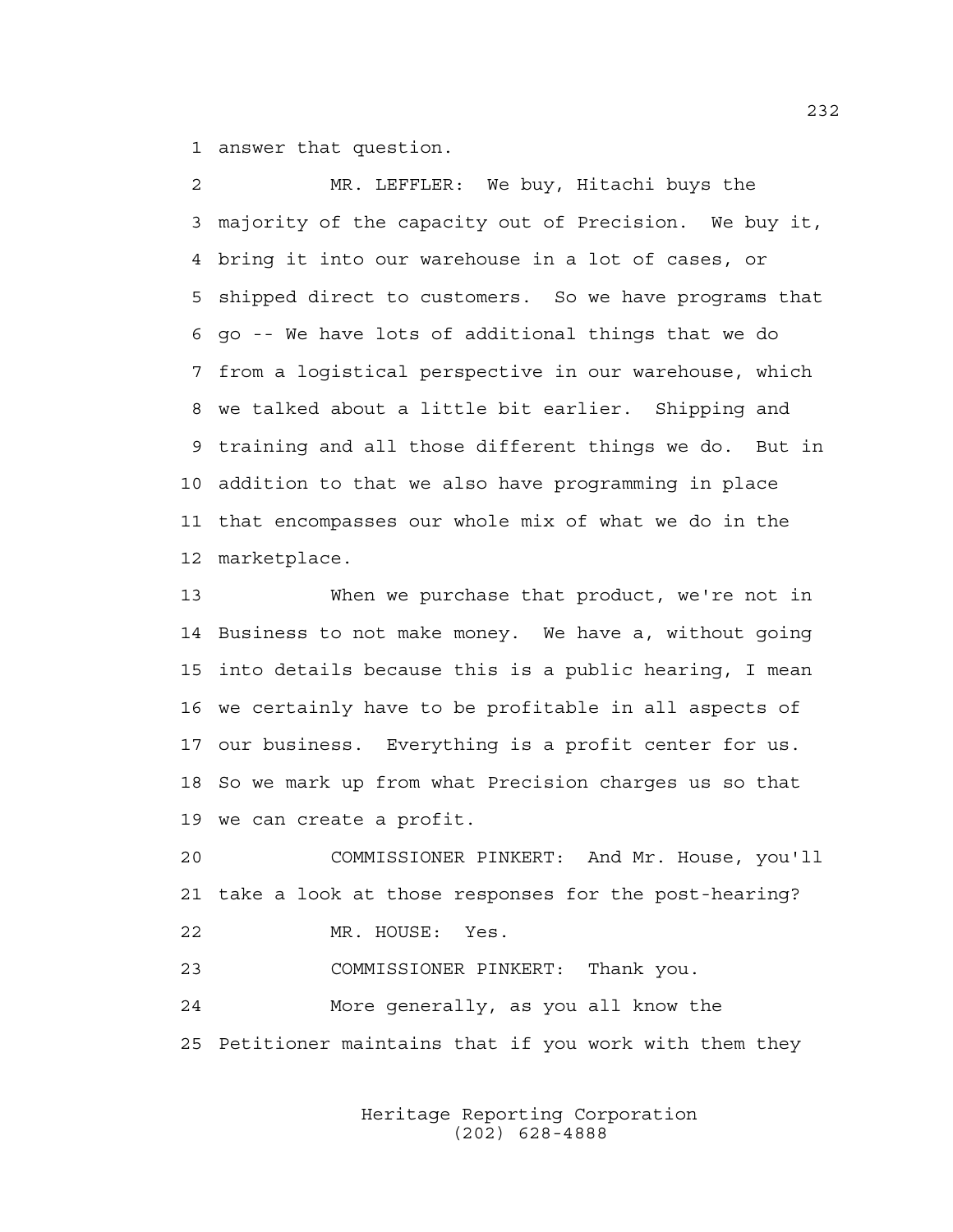1 answer that question.

2 MR. LEFFLER: We buy, Hitachi buys the 3 majority of the capacity out of Precision. We buy it, 4 bring it into our warehouse in a lot of cases, or 5 shipped direct to customers. So we have programs that 6 go -- We have lots of additional things that we do 7 from a logistical perspective in our warehouse, which 8 we talked about a little bit earlier. Shipping and 9 training and all those different things we do. But in 10 addition to that we also have programming in place 11 that encompasses our whole mix of what we do in the 12 marketplace.

13 When we purchase that product, we're not in 14 Business to not make money. We have a, without going 15 into details because this is a public hearing, I mean 16 we certainly have to be profitable in all aspects of 17 our business. Everything is a profit center for us. 18 So we mark up from what Precision charges us so that 19 we can create a profit.

20 COMMISSIONER PINKERT: And Mr. House, you'll 21 take a look at those responses for the post-hearing? 22 MR. HOUSE: Yes.

23 COMMISSIONER PINKERT: Thank you.

24 More generally, as you all know the 25 Petitioner maintains that if you work with them they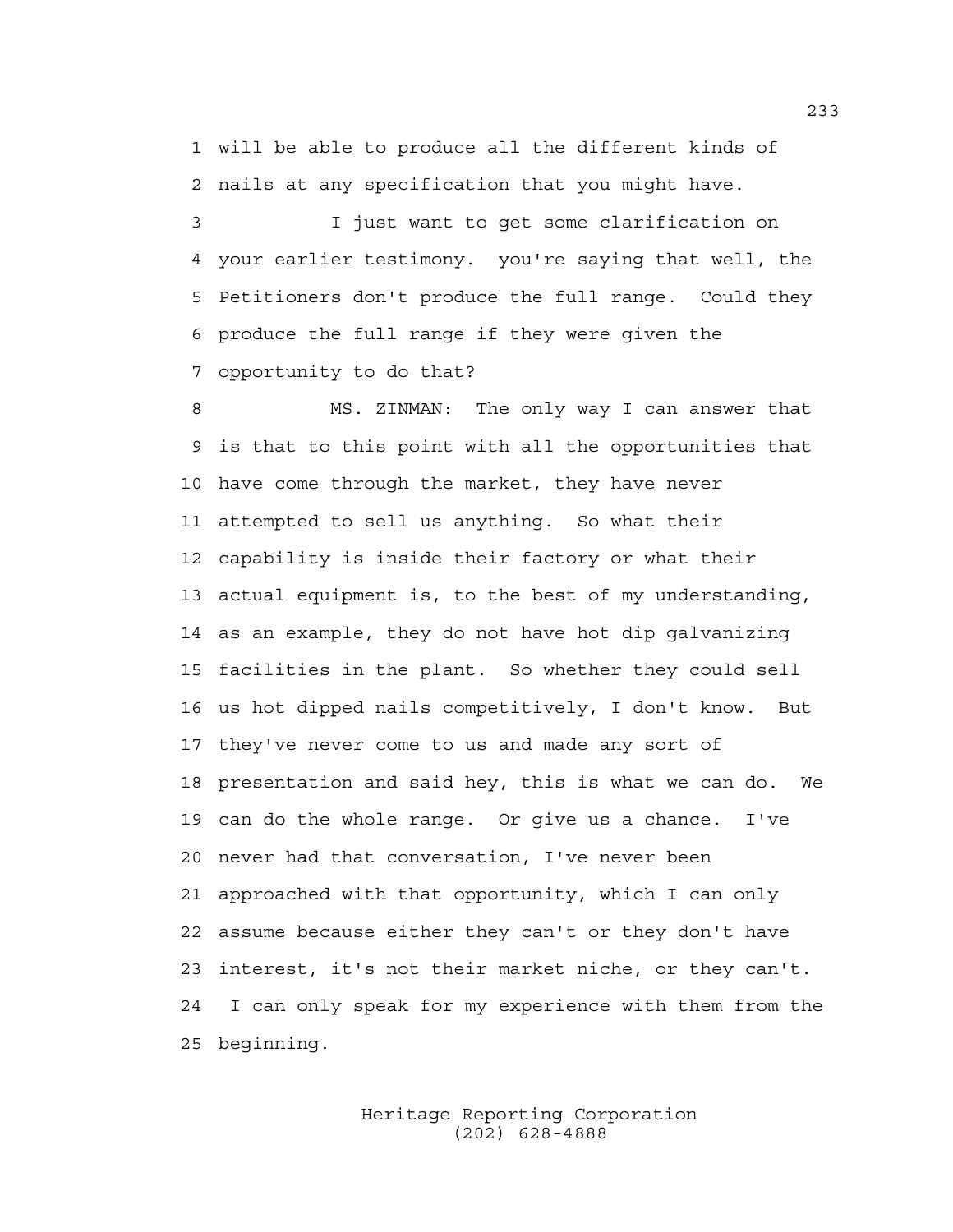1 will be able to produce all the different kinds of 2 nails at any specification that you might have.

3 I just want to get some clarification on 4 your earlier testimony. you're saying that well, the 5 Petitioners don't produce the full range. Could they 6 produce the full range if they were given the 7 opportunity to do that?

8 MS. ZINMAN: The only way I can answer that 9 is that to this point with all the opportunities that 10 have come through the market, they have never 11 attempted to sell us anything. So what their 12 capability is inside their factory or what their 13 actual equipment is, to the best of my understanding, 14 as an example, they do not have hot dip galvanizing 15 facilities in the plant. So whether they could sell 16 us hot dipped nails competitively, I don't know. But 17 they've never come to us and made any sort of 18 presentation and said hey, this is what we can do. We 19 can do the whole range. Or give us a chance. I've 20 never had that conversation, I've never been 21 approached with that opportunity, which I can only 22 assume because either they can't or they don't have 23 interest, it's not their market niche, or they can't. 24 I can only speak for my experience with them from the 25 beginning.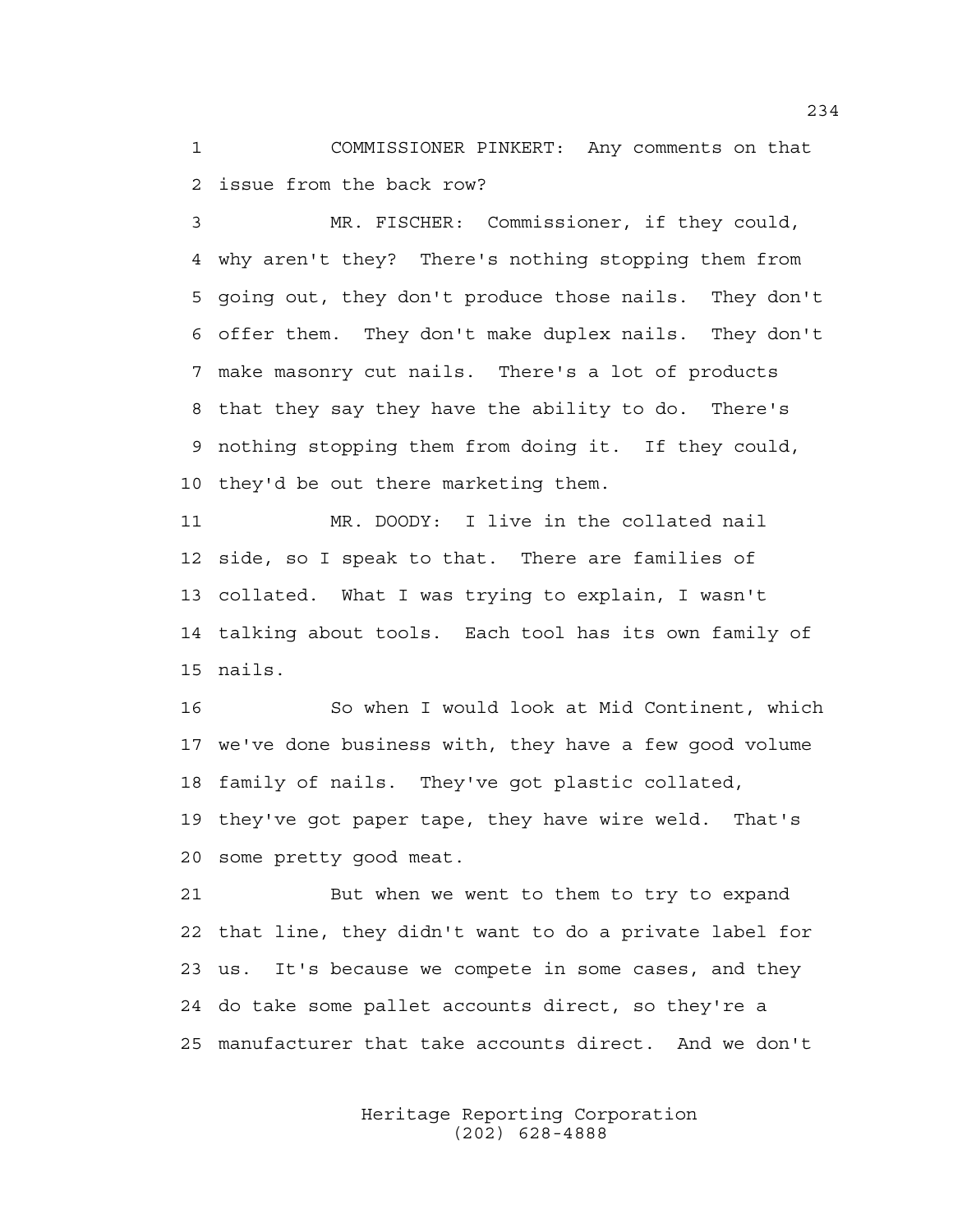1 COMMISSIONER PINKERT: Any comments on that 2 issue from the back row?

3 MR. FISCHER: Commissioner, if they could, 4 why aren't they? There's nothing stopping them from 5 going out, they don't produce those nails. They don't 6 offer them. They don't make duplex nails. They don't 7 make masonry cut nails. There's a lot of products 8 that they say they have the ability to do. There's 9 nothing stopping them from doing it. If they could, 10 they'd be out there marketing them.

11 MR. DOODY: I live in the collated nail 12 side, so I speak to that. There are families of 13 collated. What I was trying to explain, I wasn't 14 talking about tools. Each tool has its own family of 15 nails.

16 So when I would look at Mid Continent, which 17 we've done business with, they have a few good volume 18 family of nails. They've got plastic collated, 19 they've got paper tape, they have wire weld. That's 20 some pretty good meat.

21 But when we went to them to try to expand 22 that line, they didn't want to do a private label for 23 us. It's because we compete in some cases, and they 24 do take some pallet accounts direct, so they're a 25 manufacturer that take accounts direct. And we don't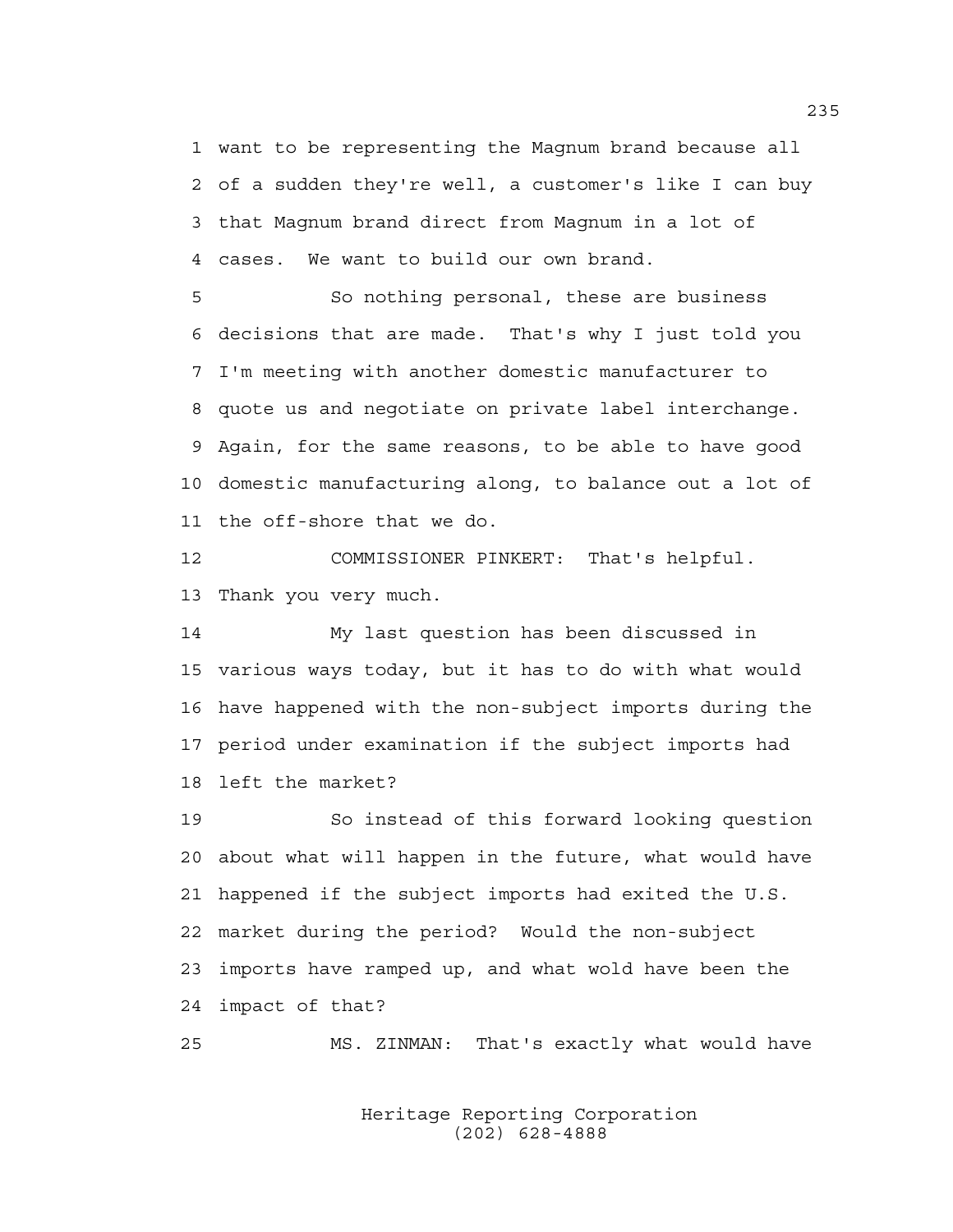1 want to be representing the Magnum brand because all 2 of a sudden they're well, a customer's like I can buy 3 that Magnum brand direct from Magnum in a lot of 4 cases. We want to build our own brand.

5 So nothing personal, these are business 6 decisions that are made. That's why I just told you 7 I'm meeting with another domestic manufacturer to 8 quote us and negotiate on private label interchange. 9 Again, for the same reasons, to be able to have good 10 domestic manufacturing along, to balance out a lot of 11 the off-shore that we do.

12 COMMISSIONER PINKERT: That's helpful. 13 Thank you very much.

14 My last question has been discussed in 15 various ways today, but it has to do with what would 16 have happened with the non-subject imports during the 17 period under examination if the subject imports had 18 left the market?

19 So instead of this forward looking question 20 about what will happen in the future, what would have 21 happened if the subject imports had exited the U.S. 22 market during the period? Would the non-subject 23 imports have ramped up, and what wold have been the 24 impact of that?

25 MS. ZINMAN: That's exactly what would have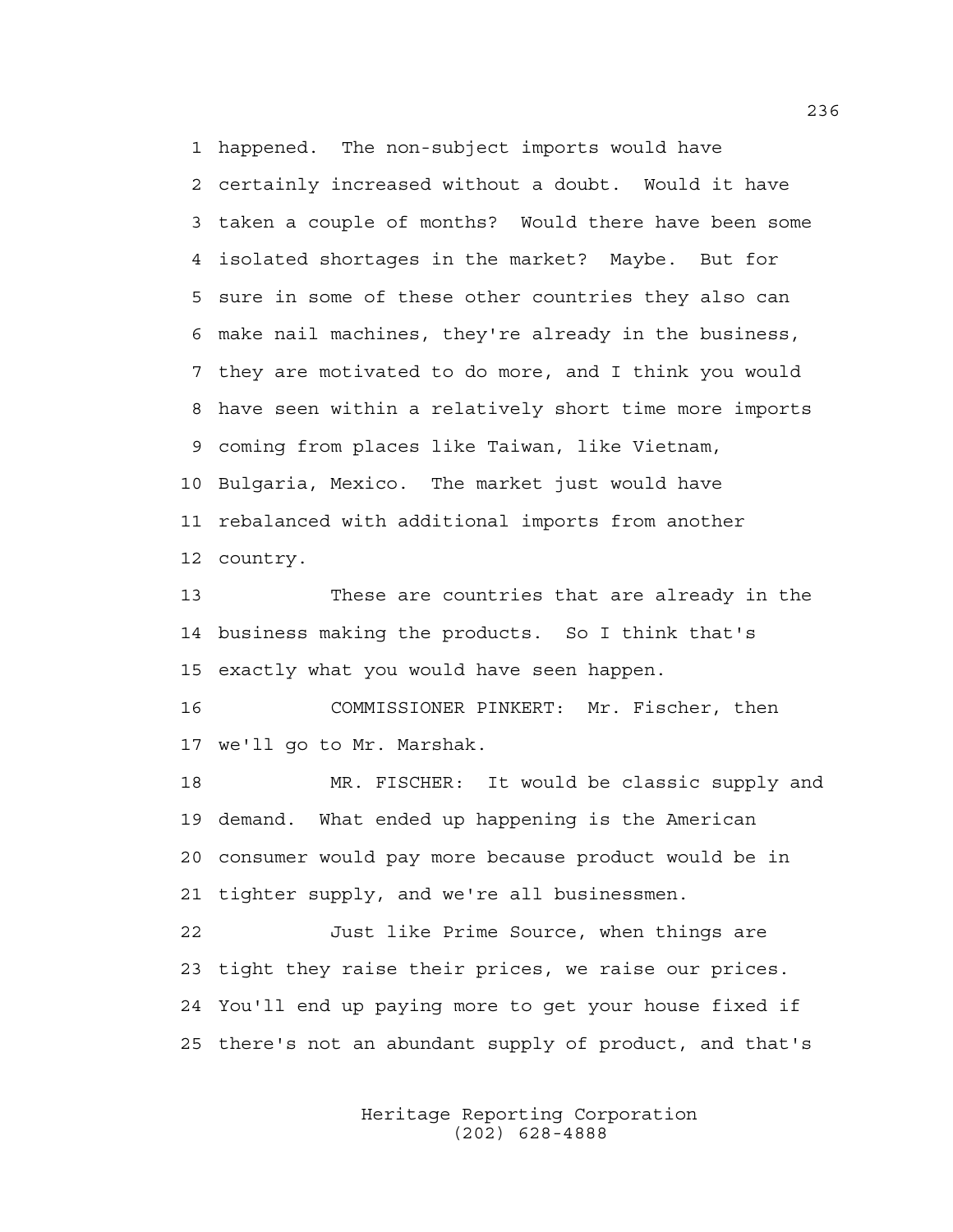1 happened. The non-subject imports would have 2 certainly increased without a doubt. Would it have 3 taken a couple of months? Would there have been some 4 isolated shortages in the market? Maybe. But for 5 sure in some of these other countries they also can 6 make nail machines, they're already in the business, 7 they are motivated to do more, and I think you would 8 have seen within a relatively short time more imports 9 coming from places like Taiwan, like Vietnam, 10 Bulgaria, Mexico. The market just would have 11 rebalanced with additional imports from another 12 country.

13 These are countries that are already in the 14 business making the products. So I think that's 15 exactly what you would have seen happen.

16 COMMISSIONER PINKERT: Mr. Fischer, then 17 we'll go to Mr. Marshak.

18 MR. FISCHER: It would be classic supply and 19 demand. What ended up happening is the American 20 consumer would pay more because product would be in 21 tighter supply, and we're all businessmen.

22 Just like Prime Source, when things are 23 tight they raise their prices, we raise our prices. 24 You'll end up paying more to get your house fixed if 25 there's not an abundant supply of product, and that's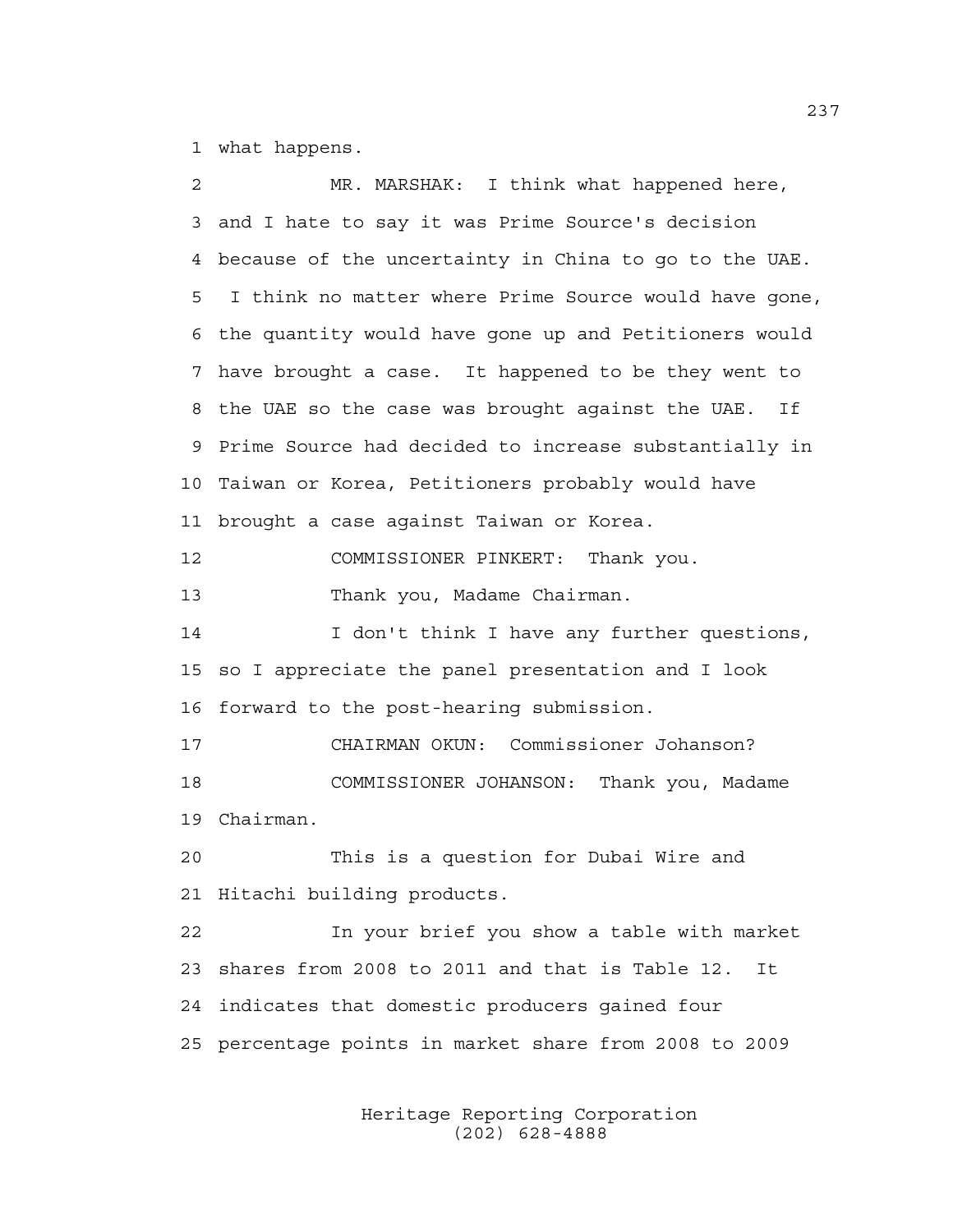1 what happens.

| $\overline{c}$ | MR. MARSHAK: I think what happened here,               |
|----------------|--------------------------------------------------------|
| 3              | and I hate to say it was Prime Source's decision       |
| 4              | because of the uncertainty in China to go to the UAE.  |
| 5              | I think no matter where Prime Source would have gone,  |
| 6              | the quantity would have gone up and Petitioners would  |
| 7              | have brought a case. It happened to be they went to    |
| 8              | the UAE so the case was brought against the UAE. If    |
| 9              | Prime Source had decided to increase substantially in  |
| 10             | Taiwan or Korea, Petitioners probably would have       |
| 11             | brought a case against Taiwan or Korea.                |
| 12             | COMMISSIONER PINKERT: Thank you.                       |
| 13             | Thank you, Madame Chairman.                            |
| 14             | I don't think I have any further questions,            |
| 15             | so I appreciate the panel presentation and I look      |
| 16             | forward to the post-hearing submission.                |
| 17             | CHAIRMAN OKUN: Commissioner Johanson?                  |
| 18             | COMMISSIONER JOHANSON: Thank you, Madame               |
| 19             | Chairman.                                              |
| 20             | This is a question for Dubai Wire and                  |
|                | 21 Hitachi building products.                          |
| 22             | In your brief you show a table with market             |
| 23             | shares from 2008 to 2011 and that is Table 12.<br>It   |
| 24             | indicates that domestic producers gained four          |
|                | 25 percentage points in market share from 2008 to 2009 |
|                |                                                        |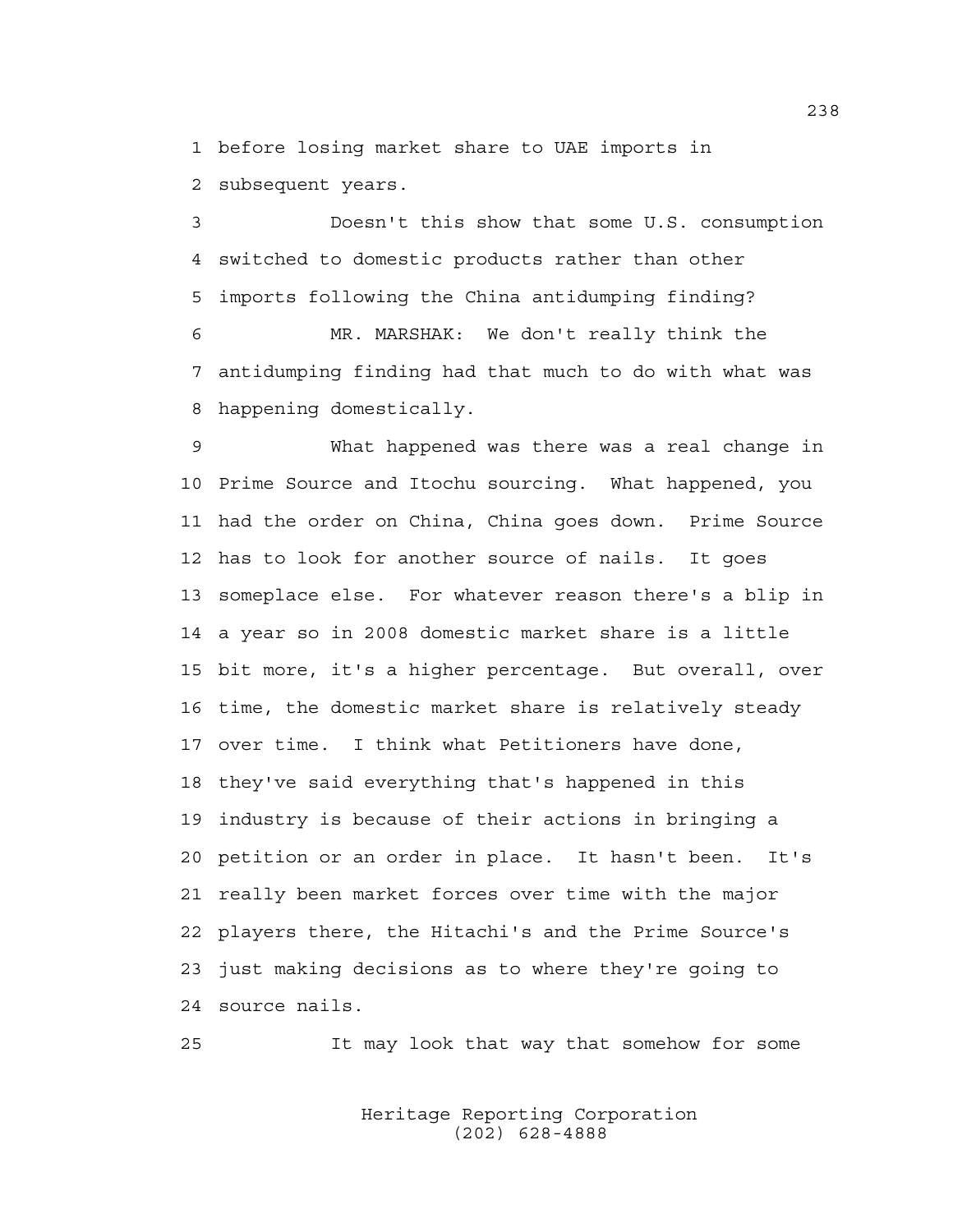1 before losing market share to UAE imports in

2 subsequent years.

3 Doesn't this show that some U.S. consumption 4 switched to domestic products rather than other 5 imports following the China antidumping finding?

6 MR. MARSHAK: We don't really think the 7 antidumping finding had that much to do with what was 8 happening domestically.

9 What happened was there was a real change in 10 Prime Source and Itochu sourcing. What happened, you 11 had the order on China, China goes down. Prime Source 12 has to look for another source of nails. It goes 13 someplace else. For whatever reason there's a blip in 14 a year so in 2008 domestic market share is a little 15 bit more, it's a higher percentage. But overall, over 16 time, the domestic market share is relatively steady 17 over time. I think what Petitioners have done, 18 they've said everything that's happened in this 19 industry is because of their actions in bringing a 20 petition or an order in place. It hasn't been. It's 21 really been market forces over time with the major 22 players there, the Hitachi's and the Prime Source's 23 just making decisions as to where they're going to 24 source nails.

25 It may look that way that somehow for some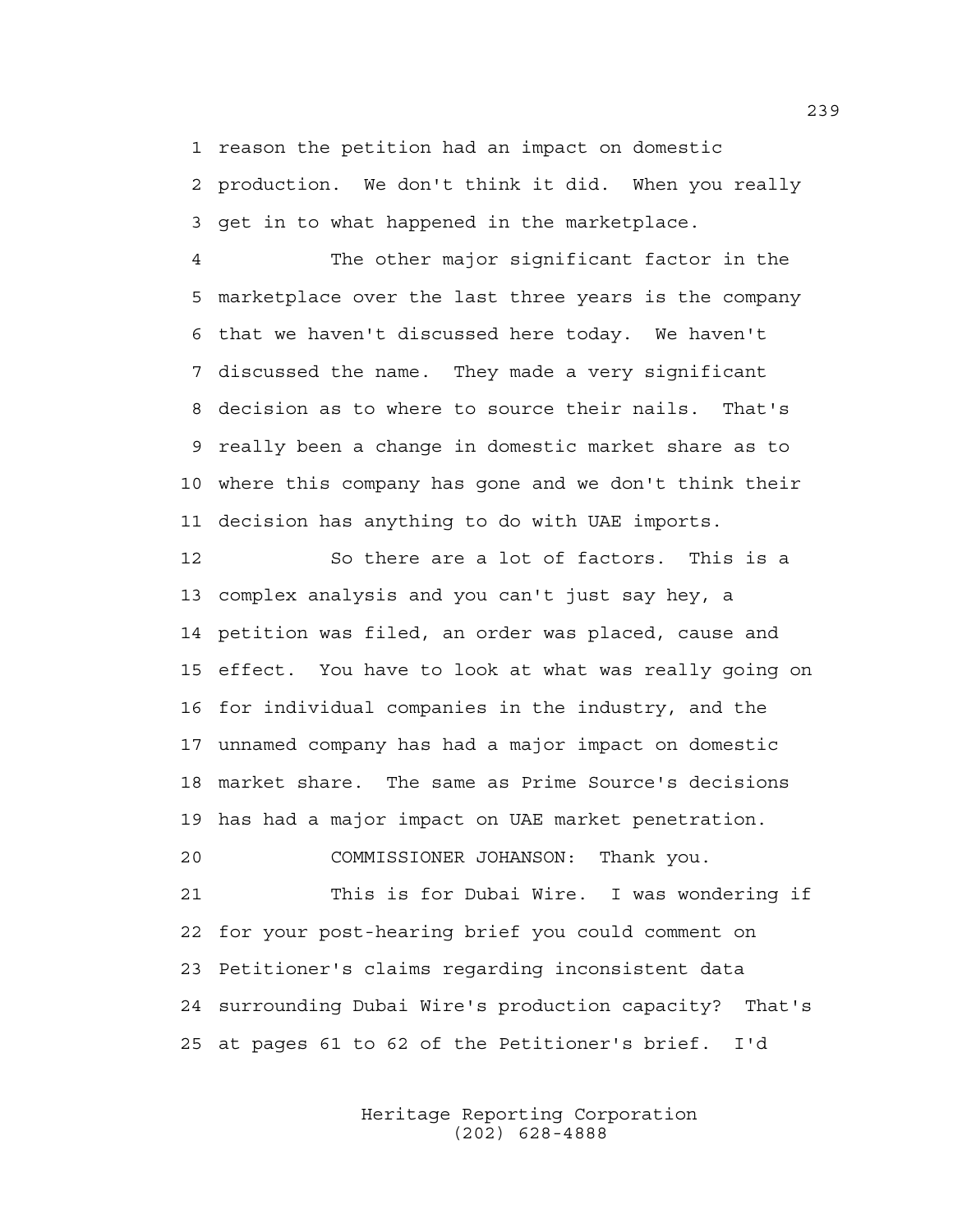1 reason the petition had an impact on domestic 2 production. We don't think it did. When you really 3 get in to what happened in the marketplace.

4 The other major significant factor in the 5 marketplace over the last three years is the company 6 that we haven't discussed here today. We haven't 7 discussed the name. They made a very significant 8 decision as to where to source their nails. That's 9 really been a change in domestic market share as to 10 where this company has gone and we don't think their 11 decision has anything to do with UAE imports.

12 So there are a lot of factors. This is a 13 complex analysis and you can't just say hey, a 14 petition was filed, an order was placed, cause and 15 effect. You have to look at what was really going on 16 for individual companies in the industry, and the 17 unnamed company has had a major impact on domestic 18 market share. The same as Prime Source's decisions 19 has had a major impact on UAE market penetration. 20 COMMISSIONER JOHANSON: Thank you.

21 This is for Dubai Wire. I was wondering if 22 for your post-hearing brief you could comment on 23 Petitioner's claims regarding inconsistent data 24 surrounding Dubai Wire's production capacity? That's 25 at pages 61 to 62 of the Petitioner's brief. I'd

> Heritage Reporting Corporation (202) 628-4888

239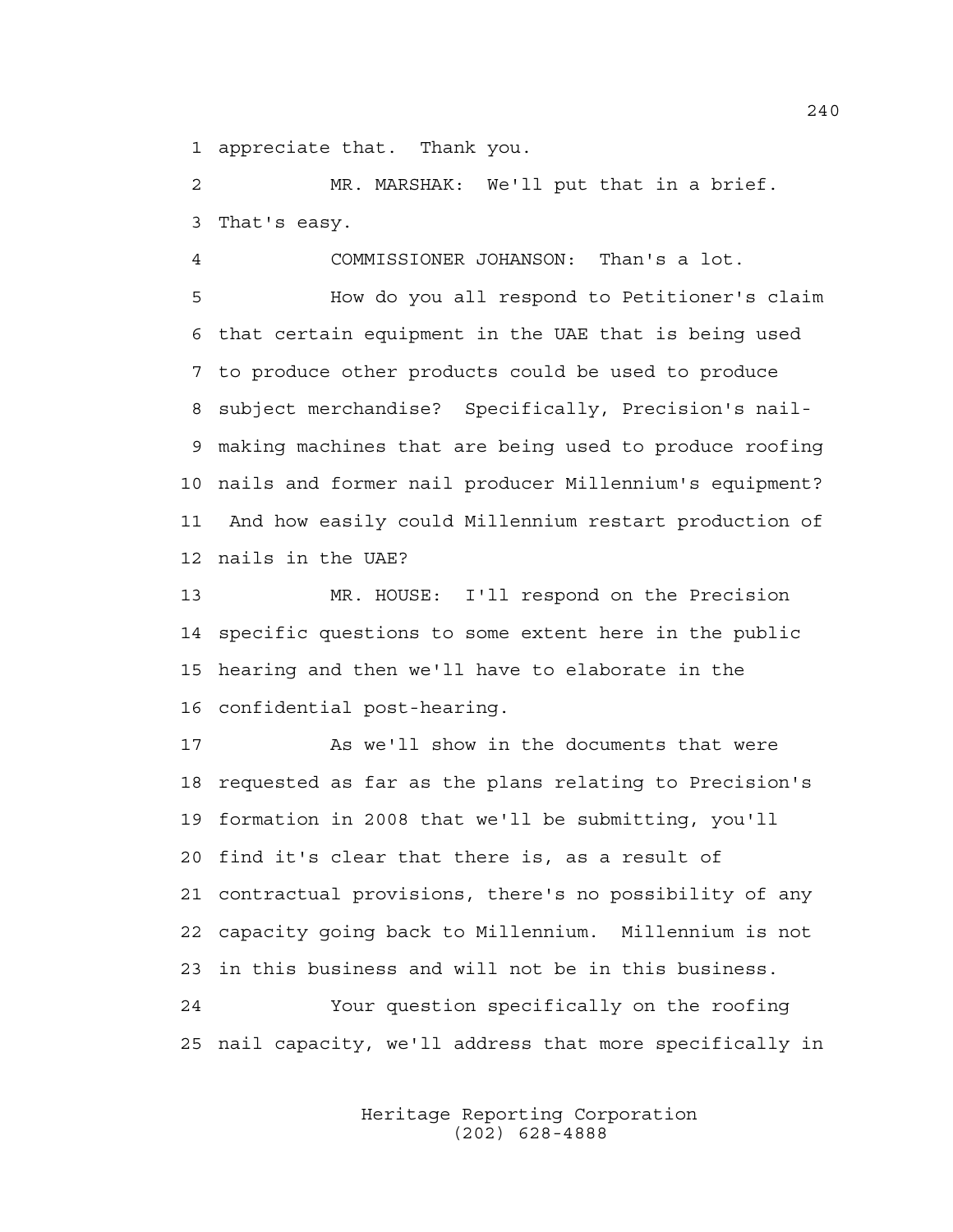1 appreciate that. Thank you.

2 MR. MARSHAK: We'll put that in a brief. 3 That's easy.

4 COMMISSIONER JOHANSON: Than's a lot.

5 How do you all respond to Petitioner's claim 6 that certain equipment in the UAE that is being used 7 to produce other products could be used to produce 8 subject merchandise? Specifically, Precision's nail-9 making machines that are being used to produce roofing 10 nails and former nail producer Millennium's equipment? 11 And how easily could Millennium restart production of 12 nails in the UAE?

13 MR. HOUSE: I'll respond on the Precision 14 specific questions to some extent here in the public 15 hearing and then we'll have to elaborate in the 16 confidential post-hearing.

17 As we'll show in the documents that were 18 requested as far as the plans relating to Precision's 19 formation in 2008 that we'll be submitting, you'll 20 find it's clear that there is, as a result of 21 contractual provisions, there's no possibility of any 22 capacity going back to Millennium. Millennium is not 23 in this business and will not be in this business. 24 Your question specifically on the roofing 25 nail capacity, we'll address that more specifically in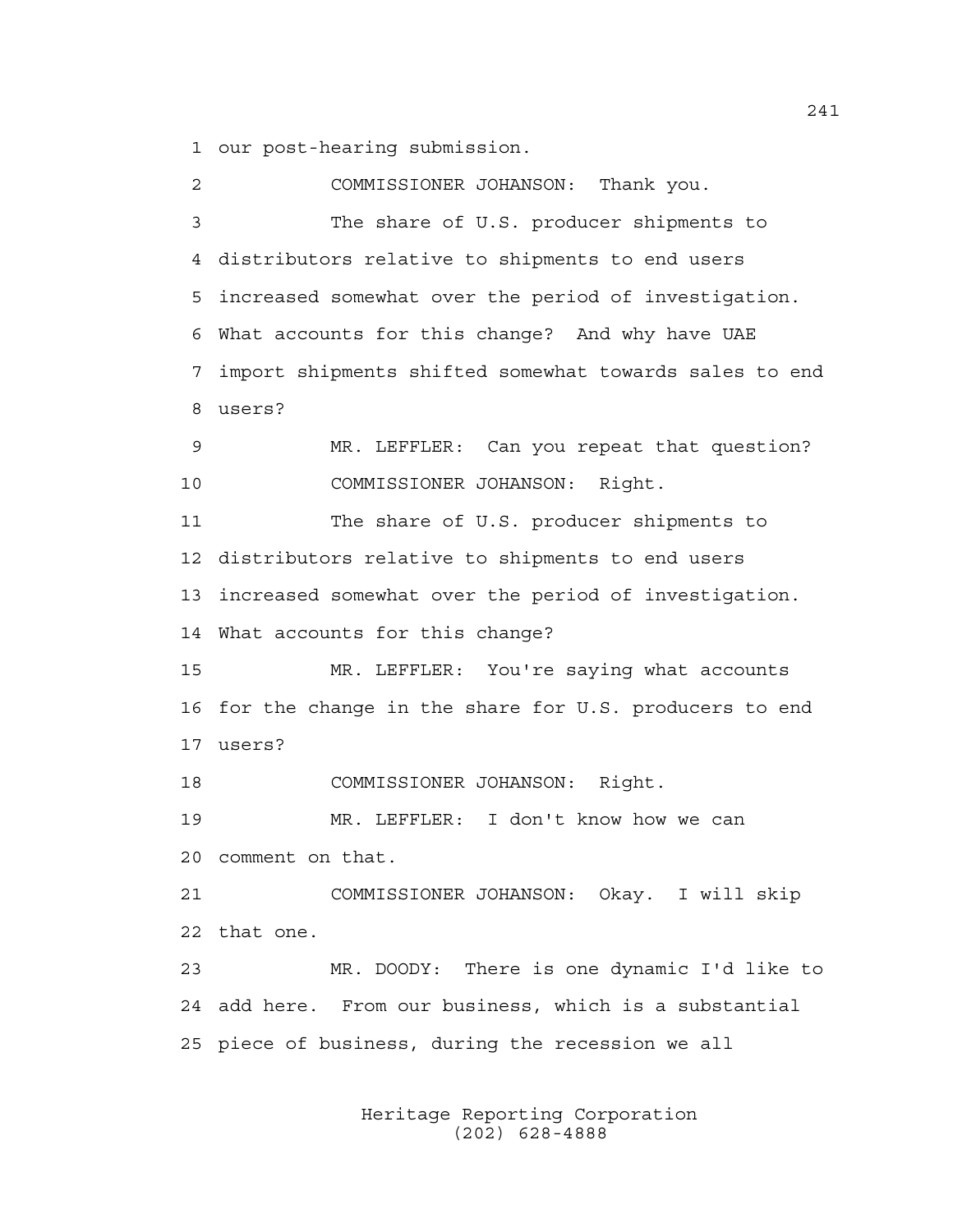1 our post-hearing submission.

2 COMMISSIONER JOHANSON: Thank you. 3 The share of U.S. producer shipments to 4 distributors relative to shipments to end users 5 increased somewhat over the period of investigation. 6 What accounts for this change? And why have UAE 7 import shipments shifted somewhat towards sales to end 8 users? 9 MR. LEFFLER: Can you repeat that question? 10 COMMISSIONER JOHANSON: Right. 11 The share of U.S. producer shipments to 12 distributors relative to shipments to end users 13 increased somewhat over the period of investigation. 14 What accounts for this change? 15 MR. LEFFLER: You're saying what accounts 16 for the change in the share for U.S. producers to end 17 users? 18 COMMISSIONER JOHANSON: Right. 19 MR. LEFFLER: I don't know how we can 20 comment on that. 21 COMMISSIONER JOHANSON: Okay. I will skip 22 that one. 23 MR. DOODY: There is one dynamic I'd like to 24 add here. From our business, which is a substantial 25 piece of business, during the recession we all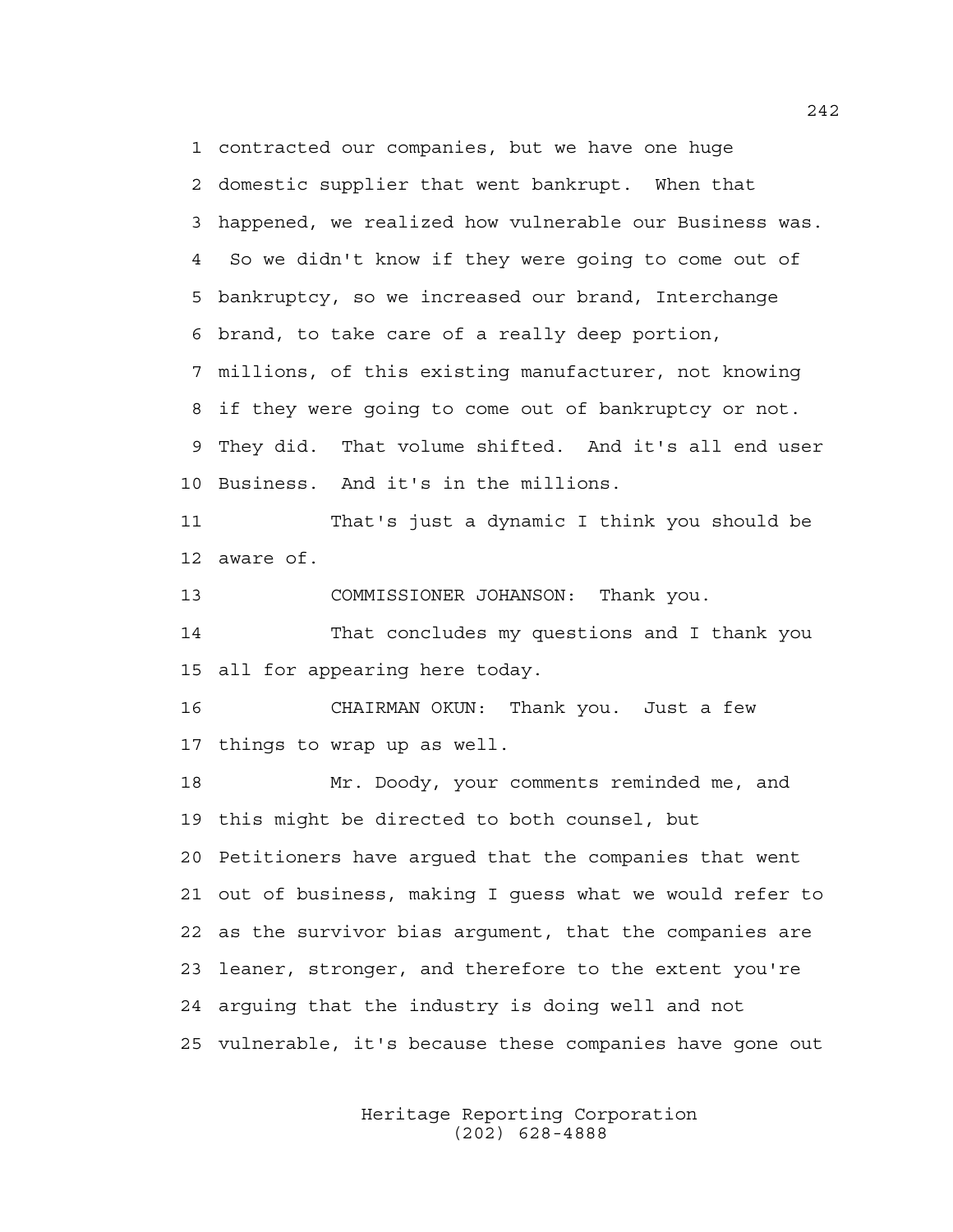1 contracted our companies, but we have one huge 2 domestic supplier that went bankrupt. When that 3 happened, we realized how vulnerable our Business was. 4 So we didn't know if they were going to come out of 5 bankruptcy, so we increased our brand, Interchange 6 brand, to take care of a really deep portion, 7 millions, of this existing manufacturer, not knowing 8 if they were going to come out of bankruptcy or not. 9 They did. That volume shifted. And it's all end user 10 Business. And it's in the millions.

11 That's just a dynamic I think you should be 12 aware of.

13 COMMISSIONER JOHANSON: Thank you.

14 That concludes my questions and I thank you 15 all for appearing here today.

16 CHAIRMAN OKUN: Thank you. Just a few 17 things to wrap up as well.

18 Mr. Doody, your comments reminded me, and 19 this might be directed to both counsel, but 20 Petitioners have argued that the companies that went 21 out of business, making I guess what we would refer to 22 as the survivor bias argument, that the companies are 23 leaner, stronger, and therefore to the extent you're 24 arguing that the industry is doing well and not 25 vulnerable, it's because these companies have gone out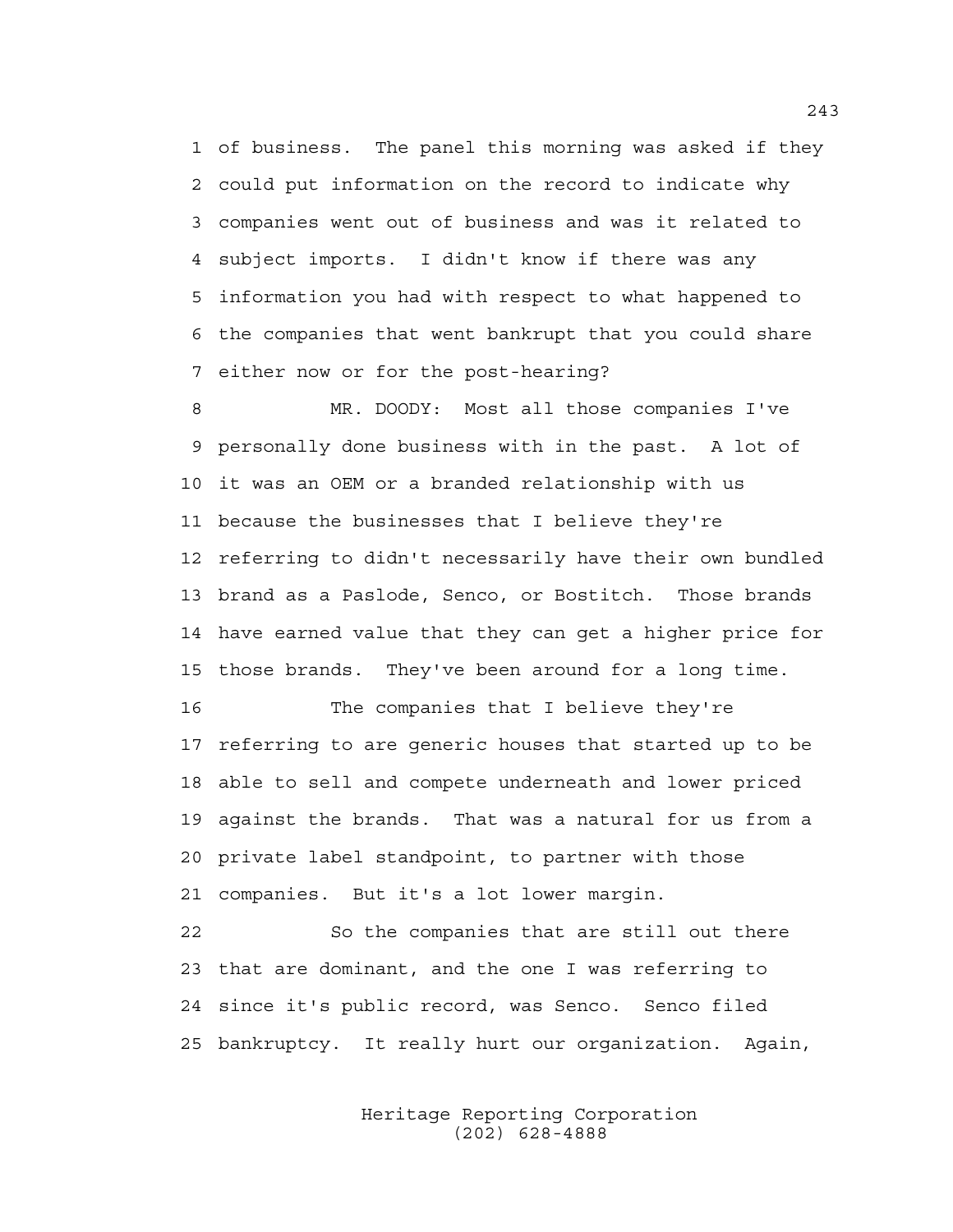1 of business. The panel this morning was asked if they 2 could put information on the record to indicate why 3 companies went out of business and was it related to 4 subject imports. I didn't know if there was any 5 information you had with respect to what happened to 6 the companies that went bankrupt that you could share 7 either now or for the post-hearing?

8 MR. DOODY: Most all those companies I've 9 personally done business with in the past. A lot of 10 it was an OEM or a branded relationship with us 11 because the businesses that I believe they're 12 referring to didn't necessarily have their own bundled 13 brand as a Paslode, Senco, or Bostitch. Those brands 14 have earned value that they can get a higher price for 15 those brands. They've been around for a long time.

16 The companies that I believe they're 17 referring to are generic houses that started up to be 18 able to sell and compete underneath and lower priced 19 against the brands. That was a natural for us from a 20 private label standpoint, to partner with those 21 companies. But it's a lot lower margin.

22 So the companies that are still out there 23 that are dominant, and the one I was referring to 24 since it's public record, was Senco. Senco filed 25 bankruptcy. It really hurt our organization. Again,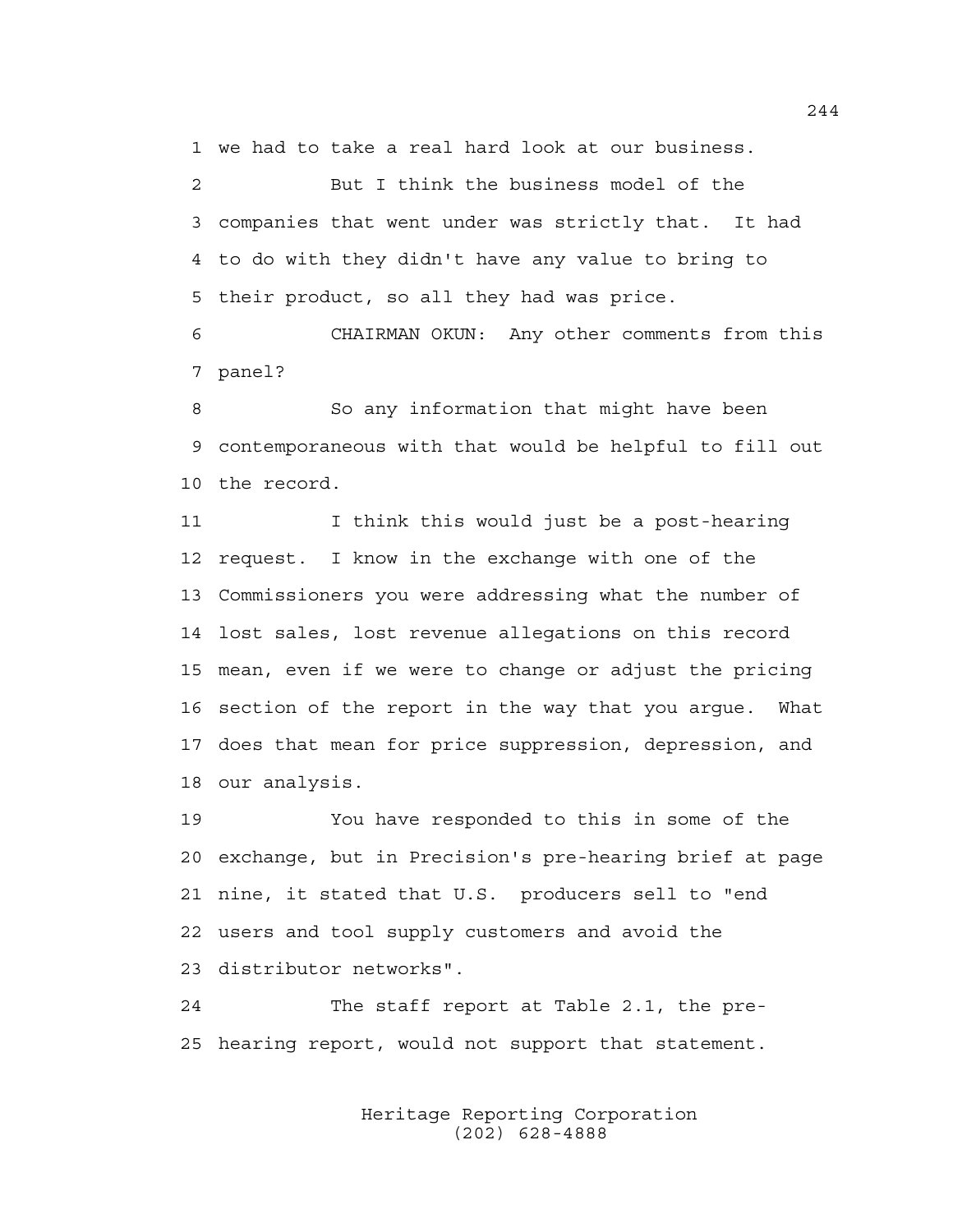1 we had to take a real hard look at our business.

2 But I think the business model of the 3 companies that went under was strictly that. It had 4 to do with they didn't have any value to bring to 5 their product, so all they had was price.

6 CHAIRMAN OKUN: Any other comments from this 7 panel?

8 So any information that might have been 9 contemporaneous with that would be helpful to fill out 10 the record.

11 I think this would just be a post-hearing 12 request. I know in the exchange with one of the 13 Commissioners you were addressing what the number of 14 lost sales, lost revenue allegations on this record 15 mean, even if we were to change or adjust the pricing 16 section of the report in the way that you argue. What 17 does that mean for price suppression, depression, and 18 our analysis.

19 You have responded to this in some of the 20 exchange, but in Precision's pre-hearing brief at page 21 nine, it stated that U.S. producers sell to "end 22 users and tool supply customers and avoid the 23 distributor networks".

24 The staff report at Table 2.1, the pre-25 hearing report, would not support that statement.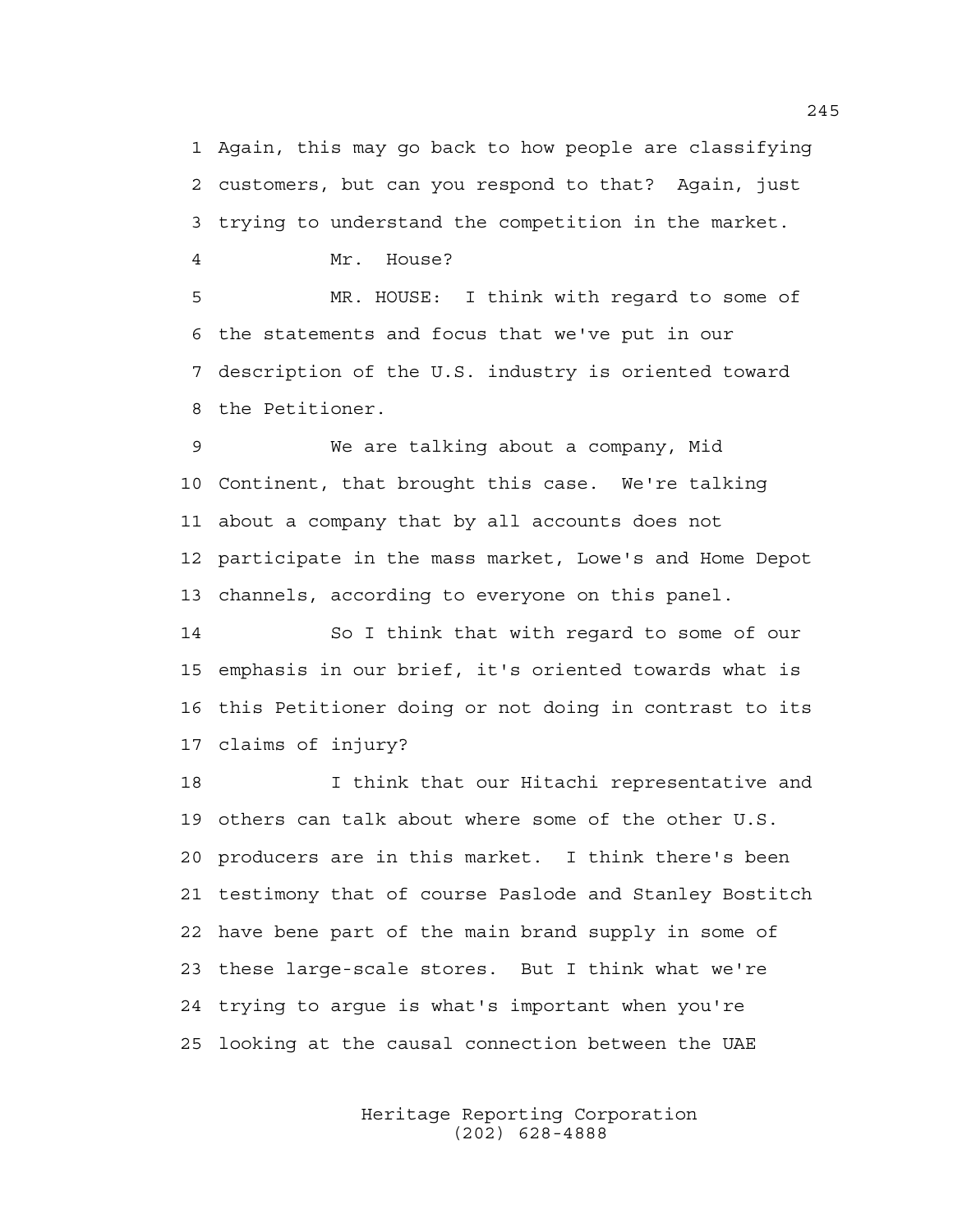1 Again, this may go back to how people are classifying 2 customers, but can you respond to that? Again, just 3 trying to understand the competition in the market.

4 Mr. House?

5 MR. HOUSE: I think with regard to some of 6 the statements and focus that we've put in our 7 description of the U.S. industry is oriented toward 8 the Petitioner.

9 We are talking about a company, Mid 10 Continent, that brought this case. We're talking 11 about a company that by all accounts does not 12 participate in the mass market, Lowe's and Home Depot 13 channels, according to everyone on this panel.

14 So I think that with regard to some of our 15 emphasis in our brief, it's oriented towards what is 16 this Petitioner doing or not doing in contrast to its 17 claims of injury?

18 I think that our Hitachi representative and 19 others can talk about where some of the other U.S. 20 producers are in this market. I think there's been 21 testimony that of course Paslode and Stanley Bostitch 22 have bene part of the main brand supply in some of 23 these large-scale stores. But I think what we're 24 trying to argue is what's important when you're 25 looking at the causal connection between the UAE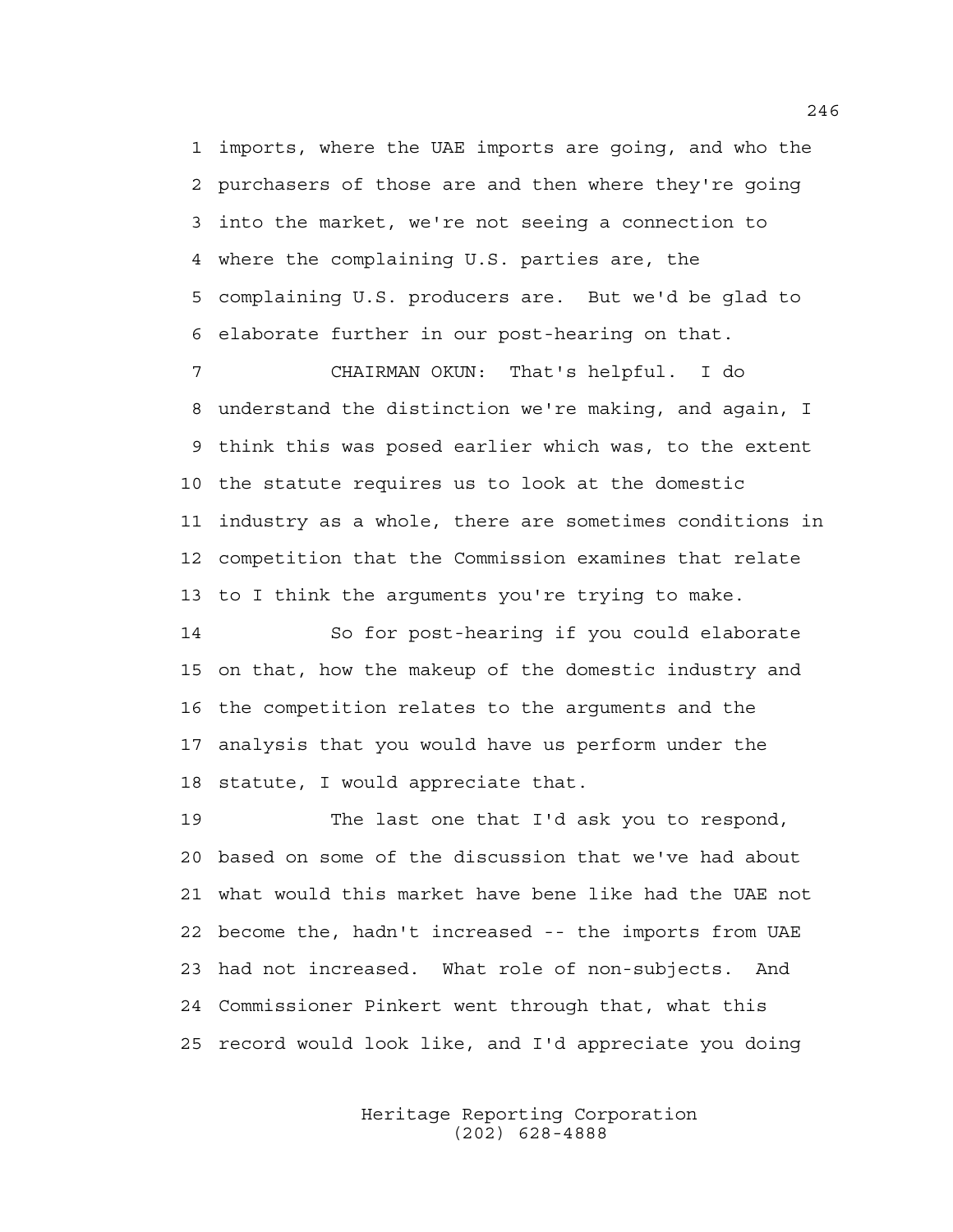1 imports, where the UAE imports are going, and who the 2 purchasers of those are and then where they're going 3 into the market, we're not seeing a connection to 4 where the complaining U.S. parties are, the 5 complaining U.S. producers are. But we'd be glad to 6 elaborate further in our post-hearing on that.

7 CHAIRMAN OKUN: That's helpful. I do 8 understand the distinction we're making, and again, I 9 think this was posed earlier which was, to the extent 10 the statute requires us to look at the domestic 11 industry as a whole, there are sometimes conditions in 12 competition that the Commission examines that relate 13 to I think the arguments you're trying to make.

14 So for post-hearing if you could elaborate 15 on that, how the makeup of the domestic industry and 16 the competition relates to the arguments and the 17 analysis that you would have us perform under the 18 statute, I would appreciate that.

19 The last one that I'd ask you to respond, 20 based on some of the discussion that we've had about 21 what would this market have bene like had the UAE not 22 become the, hadn't increased -- the imports from UAE 23 had not increased. What role of non-subjects. And 24 Commissioner Pinkert went through that, what this 25 record would look like, and I'd appreciate you doing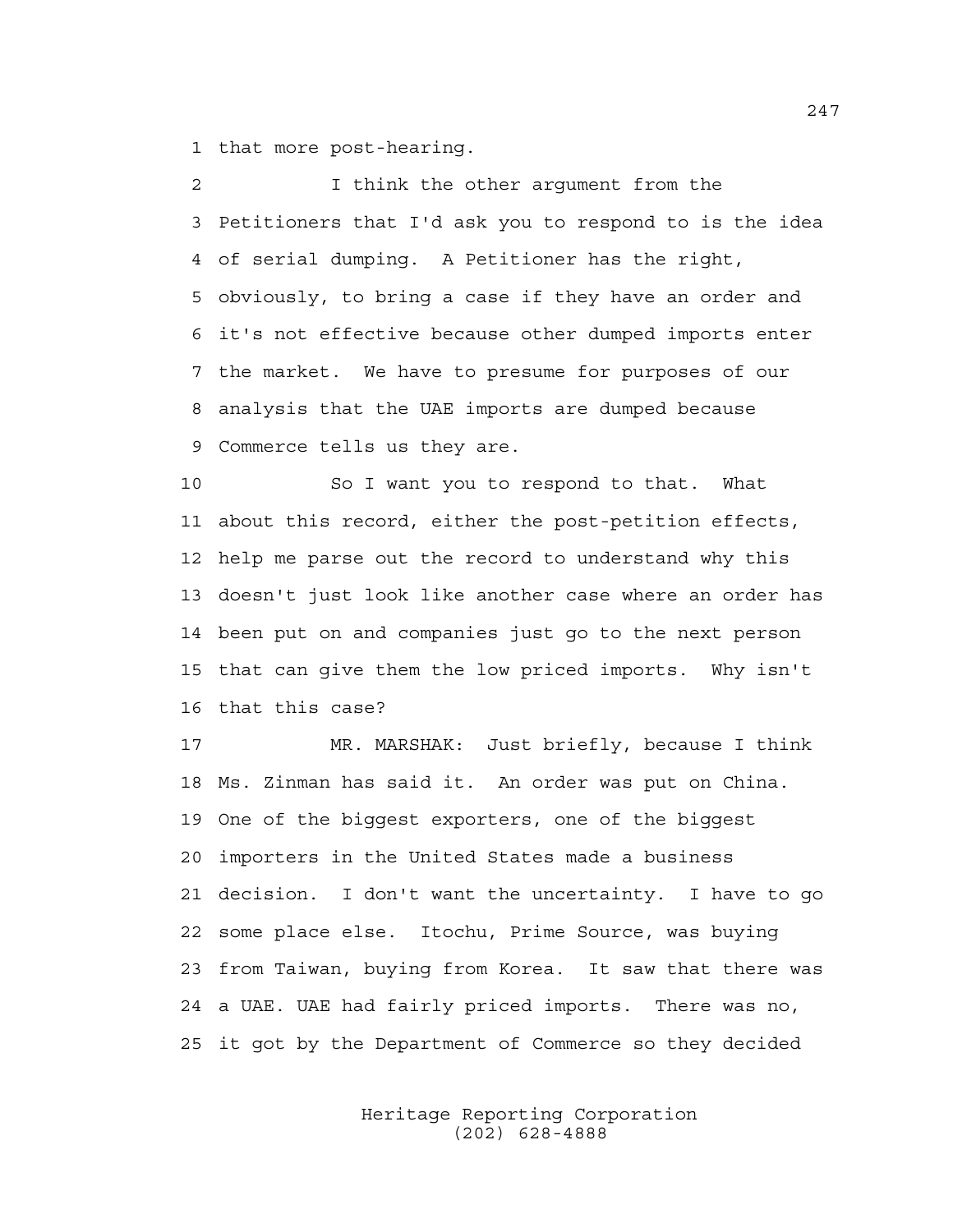1 that more post-hearing.

2 I think the other argument from the 3 Petitioners that I'd ask you to respond to is the idea 4 of serial dumping. A Petitioner has the right, 5 obviously, to bring a case if they have an order and 6 it's not effective because other dumped imports enter 7 the market. We have to presume for purposes of our 8 analysis that the UAE imports are dumped because 9 Commerce tells us they are.

10 So I want you to respond to that. What 11 about this record, either the post-petition effects, 12 help me parse out the record to understand why this 13 doesn't just look like another case where an order has 14 been put on and companies just go to the next person 15 that can give them the low priced imports. Why isn't 16 that this case?

17 MR. MARSHAK: Just briefly, because I think 18 Ms. Zinman has said it. An order was put on China. 19 One of the biggest exporters, one of the biggest 20 importers in the United States made a business 21 decision. I don't want the uncertainty. I have to go 22 some place else. Itochu, Prime Source, was buying 23 from Taiwan, buying from Korea. It saw that there was 24 a UAE. UAE had fairly priced imports. There was no, 25 it got by the Department of Commerce so they decided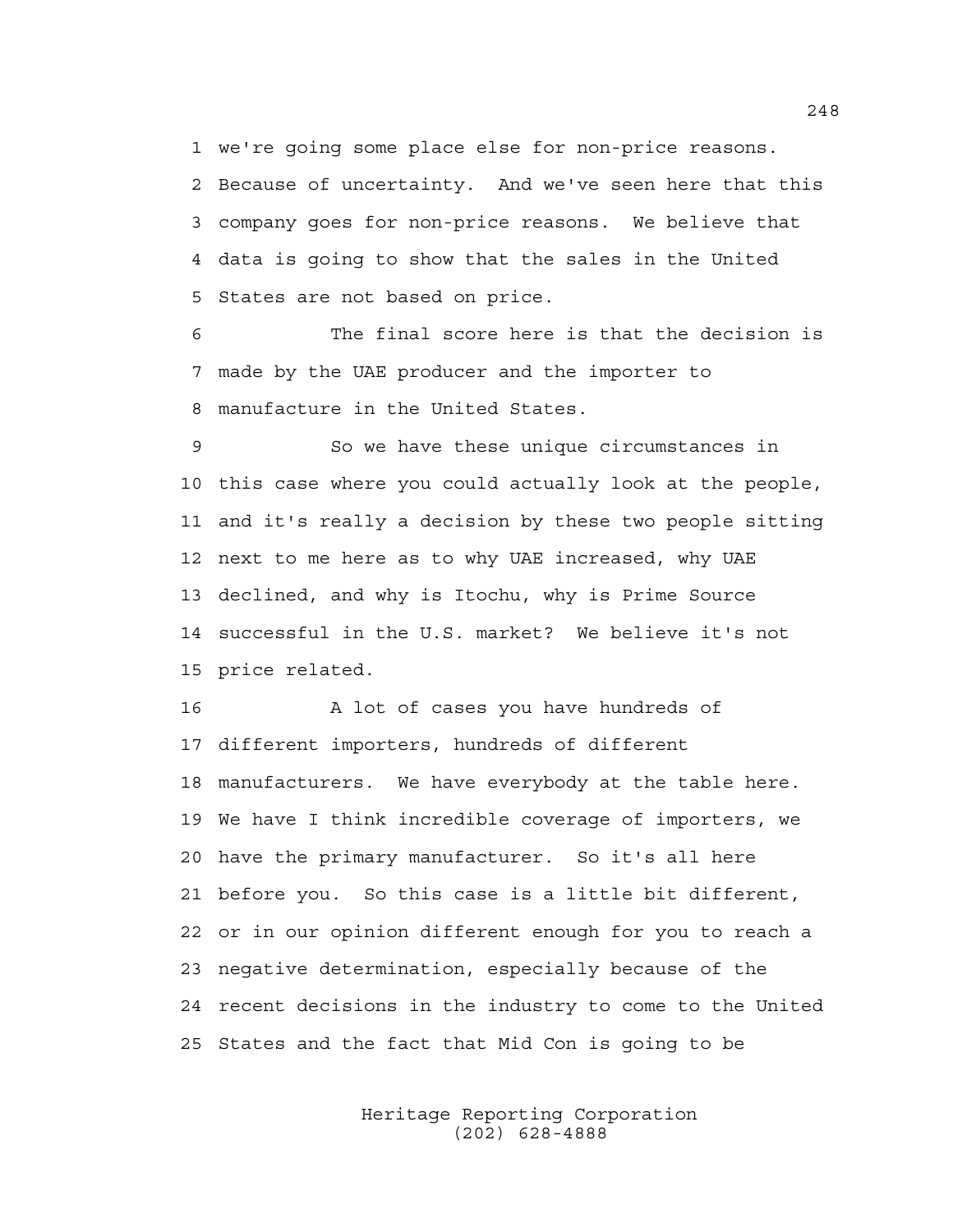1 we're going some place else for non-price reasons. 2 Because of uncertainty. And we've seen here that this 3 company goes for non-price reasons. We believe that 4 data is going to show that the sales in the United 5 States are not based on price.

6 The final score here is that the decision is 7 made by the UAE producer and the importer to 8 manufacture in the United States.

9 So we have these unique circumstances in 10 this case where you could actually look at the people, 11 and it's really a decision by these two people sitting 12 next to me here as to why UAE increased, why UAE 13 declined, and why is Itochu, why is Prime Source 14 successful in the U.S. market? We believe it's not 15 price related.

16 A lot of cases you have hundreds of 17 different importers, hundreds of different 18 manufacturers. We have everybody at the table here. 19 We have I think incredible coverage of importers, we 20 have the primary manufacturer. So it's all here 21 before you. So this case is a little bit different, 22 or in our opinion different enough for you to reach a 23 negative determination, especially because of the 24 recent decisions in the industry to come to the United 25 States and the fact that Mid Con is going to be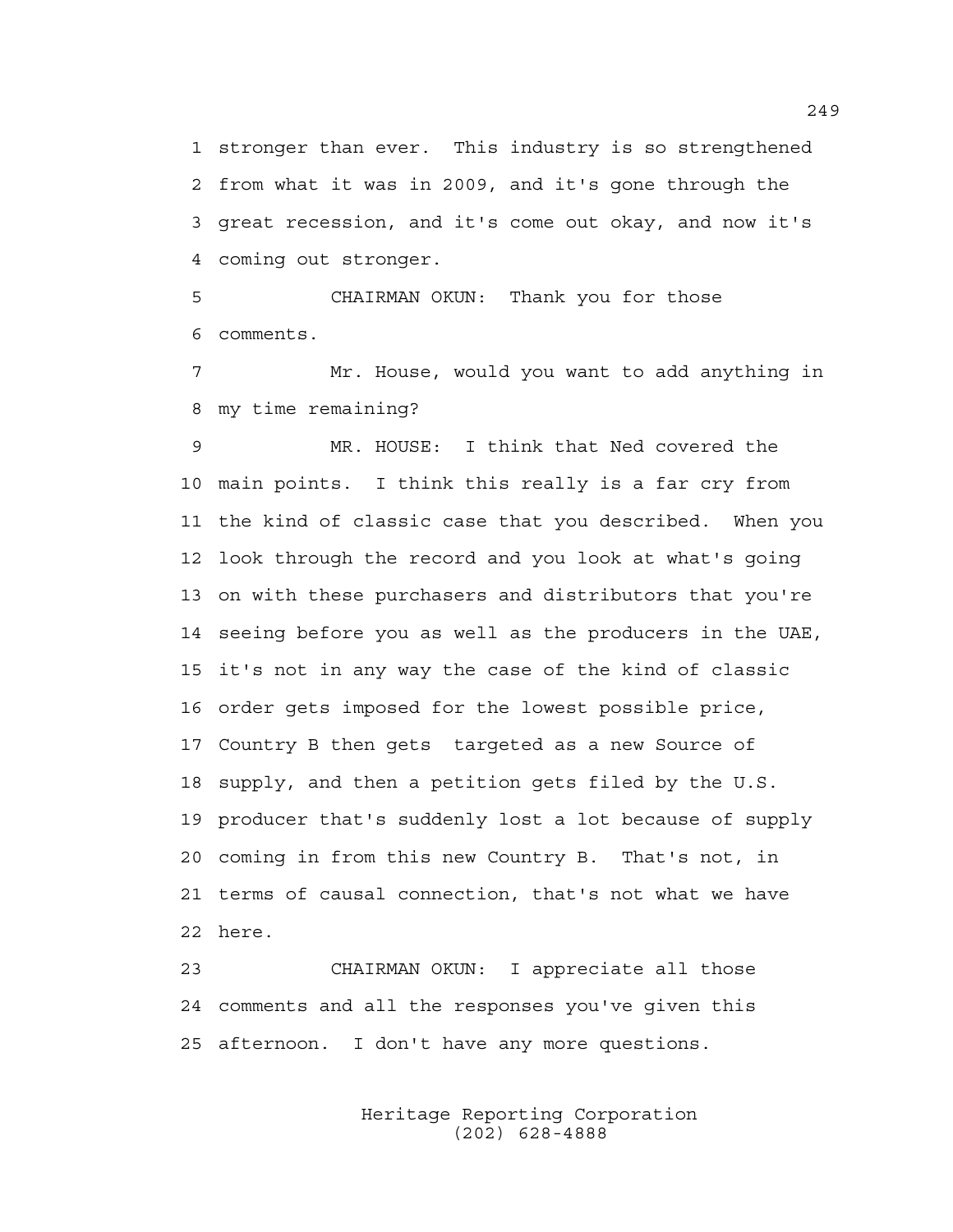1 stronger than ever. This industry is so strengthened 2 from what it was in 2009, and it's gone through the 3 great recession, and it's come out okay, and now it's 4 coming out stronger.

5 CHAIRMAN OKUN: Thank you for those 6 comments.

7 Mr. House, would you want to add anything in 8 my time remaining?

9 MR. HOUSE: I think that Ned covered the 10 main points. I think this really is a far cry from 11 the kind of classic case that you described. When you 12 look through the record and you look at what's going 13 on with these purchasers and distributors that you're 14 seeing before you as well as the producers in the UAE, 15 it's not in any way the case of the kind of classic 16 order gets imposed for the lowest possible price, 17 Country B then gets targeted as a new Source of 18 supply, and then a petition gets filed by the U.S. 19 producer that's suddenly lost a lot because of supply 20 coming in from this new Country B. That's not, in 21 terms of causal connection, that's not what we have 22 here.

23 CHAIRMAN OKUN: I appreciate all those 24 comments and all the responses you've given this 25 afternoon. I don't have any more questions.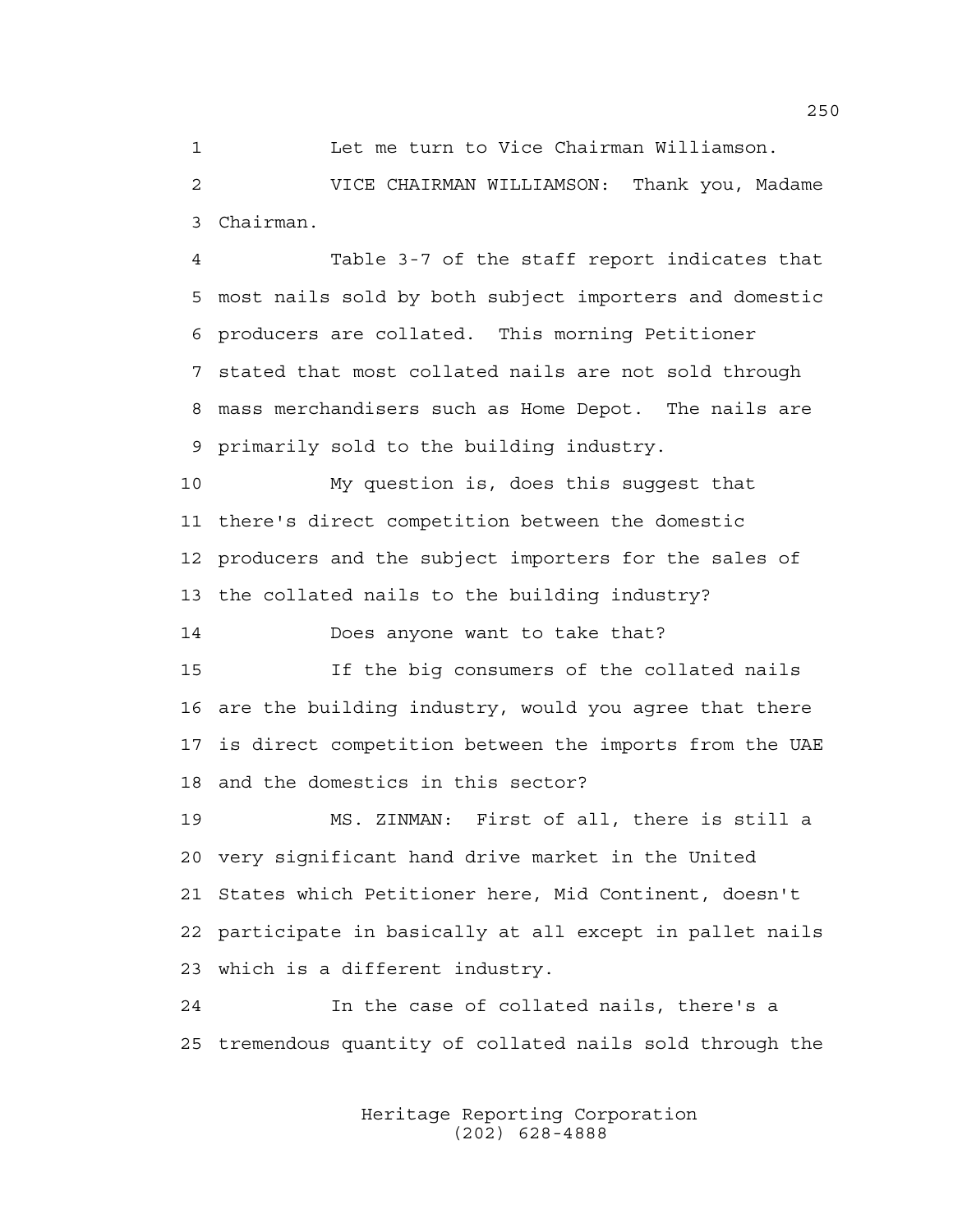1 Let me turn to Vice Chairman Williamson.

2 VICE CHAIRMAN WILLIAMSON: Thank you, Madame 3 Chairman.

4 Table 3-7 of the staff report indicates that 5 most nails sold by both subject importers and domestic 6 producers are collated. This morning Petitioner 7 stated that most collated nails are not sold through 8 mass merchandisers such as Home Depot. The nails are 9 primarily sold to the building industry.

10 My question is, does this suggest that 11 there's direct competition between the domestic 12 producers and the subject importers for the sales of 13 the collated nails to the building industry?

14 Does anyone want to take that?

15 If the big consumers of the collated nails 16 are the building industry, would you agree that there 17 is direct competition between the imports from the UAE 18 and the domestics in this sector?

19 MS. ZINMAN: First of all, there is still a 20 very significant hand drive market in the United 21 States which Petitioner here, Mid Continent, doesn't 22 participate in basically at all except in pallet nails 23 which is a different industry.

24 In the case of collated nails, there's a 25 tremendous quantity of collated nails sold through the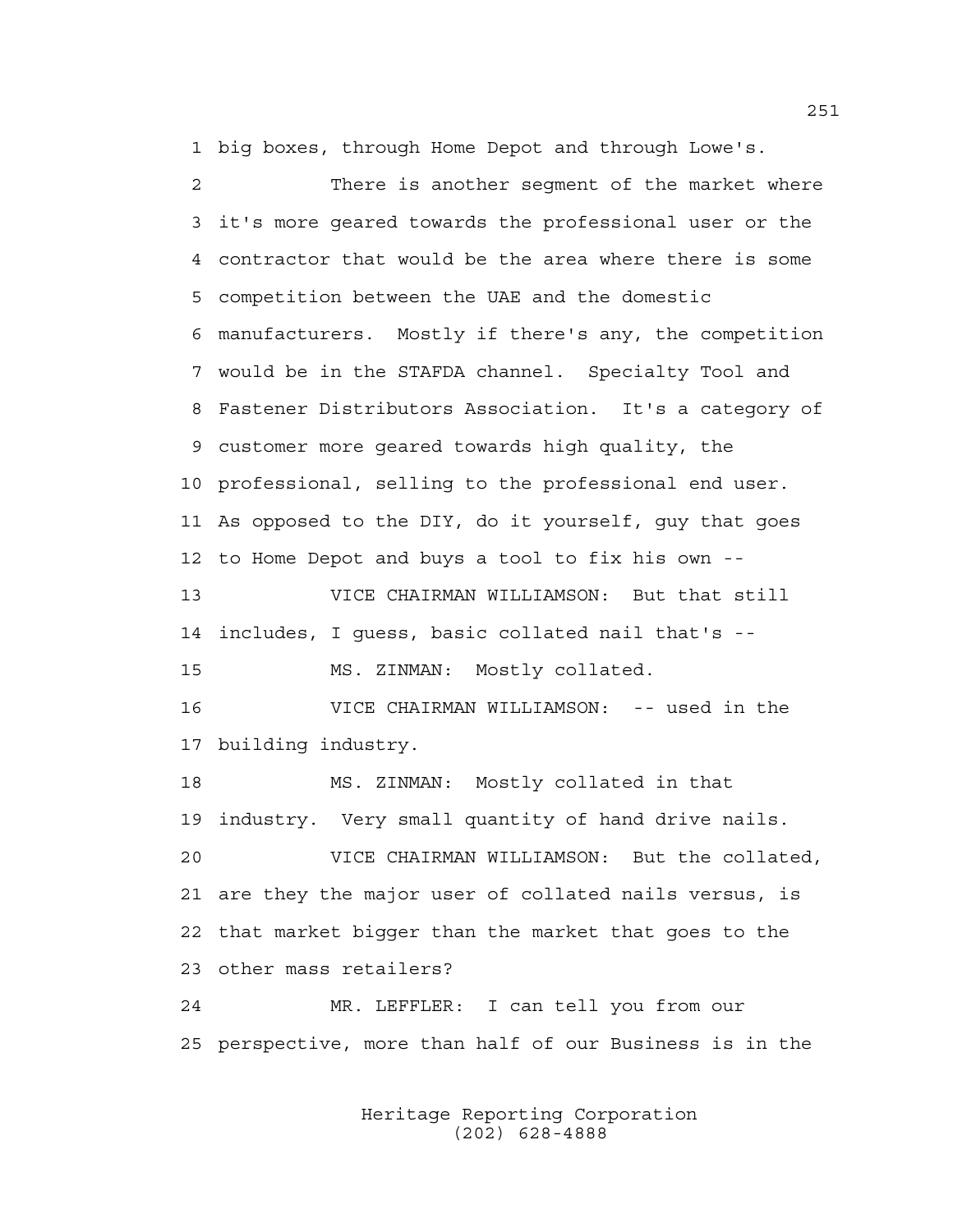1 big boxes, through Home Depot and through Lowe's.

2 There is another segment of the market where 3 it's more geared towards the professional user or the 4 contractor that would be the area where there is some 5 competition between the UAE and the domestic 6 manufacturers. Mostly if there's any, the competition 7 would be in the STAFDA channel. Specialty Tool and 8 Fastener Distributors Association. It's a category of 9 customer more geared towards high quality, the 10 professional, selling to the professional end user. 11 As opposed to the DIY, do it yourself, guy that goes 12 to Home Depot and buys a tool to fix his own -- 13 VICE CHAIRMAN WILLIAMSON: But that still 14 includes, I guess, basic collated nail that's -- 15 MS. ZINMAN: Mostly collated. 16 VICE CHAIRMAN WILLIAMSON: -- used in the 17 building industry. 18 MS. ZINMAN: Mostly collated in that 19 industry. Very small quantity of hand drive nails. 20 VICE CHAIRMAN WILLIAMSON: But the collated, 21 are they the major user of collated nails versus, is 22 that market bigger than the market that goes to the 23 other mass retailers? 24 MR. LEFFLER: I can tell you from our 25 perspective, more than half of our Business is in the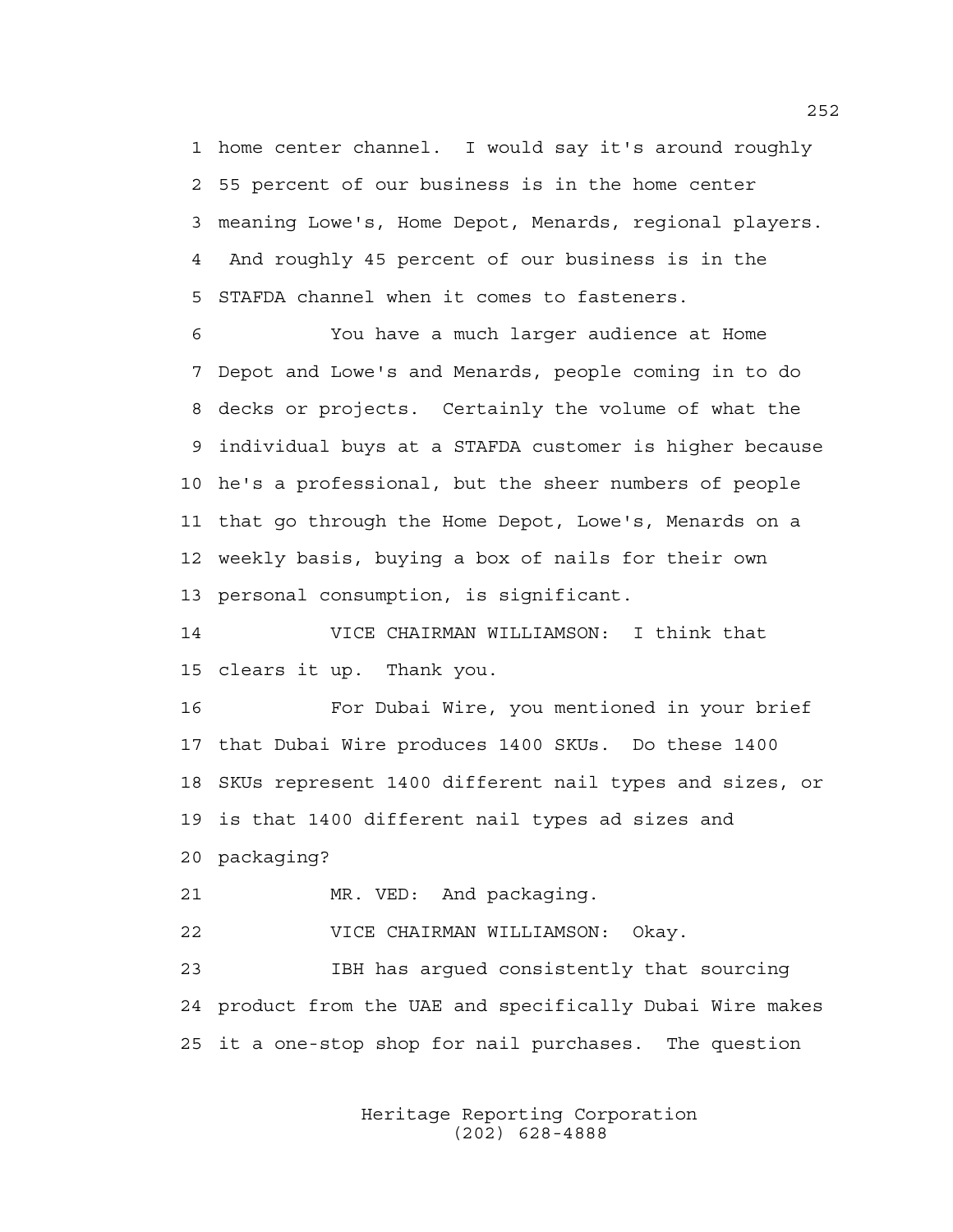1 home center channel. I would say it's around roughly 2 55 percent of our business is in the home center 3 meaning Lowe's, Home Depot, Menards, regional players. 4 And roughly 45 percent of our business is in the 5 STAFDA channel when it comes to fasteners.

6 You have a much larger audience at Home 7 Depot and Lowe's and Menards, people coming in to do 8 decks or projects. Certainly the volume of what the 9 individual buys at a STAFDA customer is higher because 10 he's a professional, but the sheer numbers of people 11 that go through the Home Depot, Lowe's, Menards on a 12 weekly basis, buying a box of nails for their own 13 personal consumption, is significant.

14 VICE CHAIRMAN WILLIAMSON: I think that 15 clears it up. Thank you.

16 For Dubai Wire, you mentioned in your brief 17 that Dubai Wire produces 1400 SKUs. Do these 1400 18 SKUs represent 1400 different nail types and sizes, or 19 is that 1400 different nail types ad sizes and 20 packaging?

21 MR. VED: And packaging.

22 VICE CHAIRMAN WILLIAMSON: Okay.

23 IBH has argued consistently that sourcing 24 product from the UAE and specifically Dubai Wire makes 25 it a one-stop shop for nail purchases. The question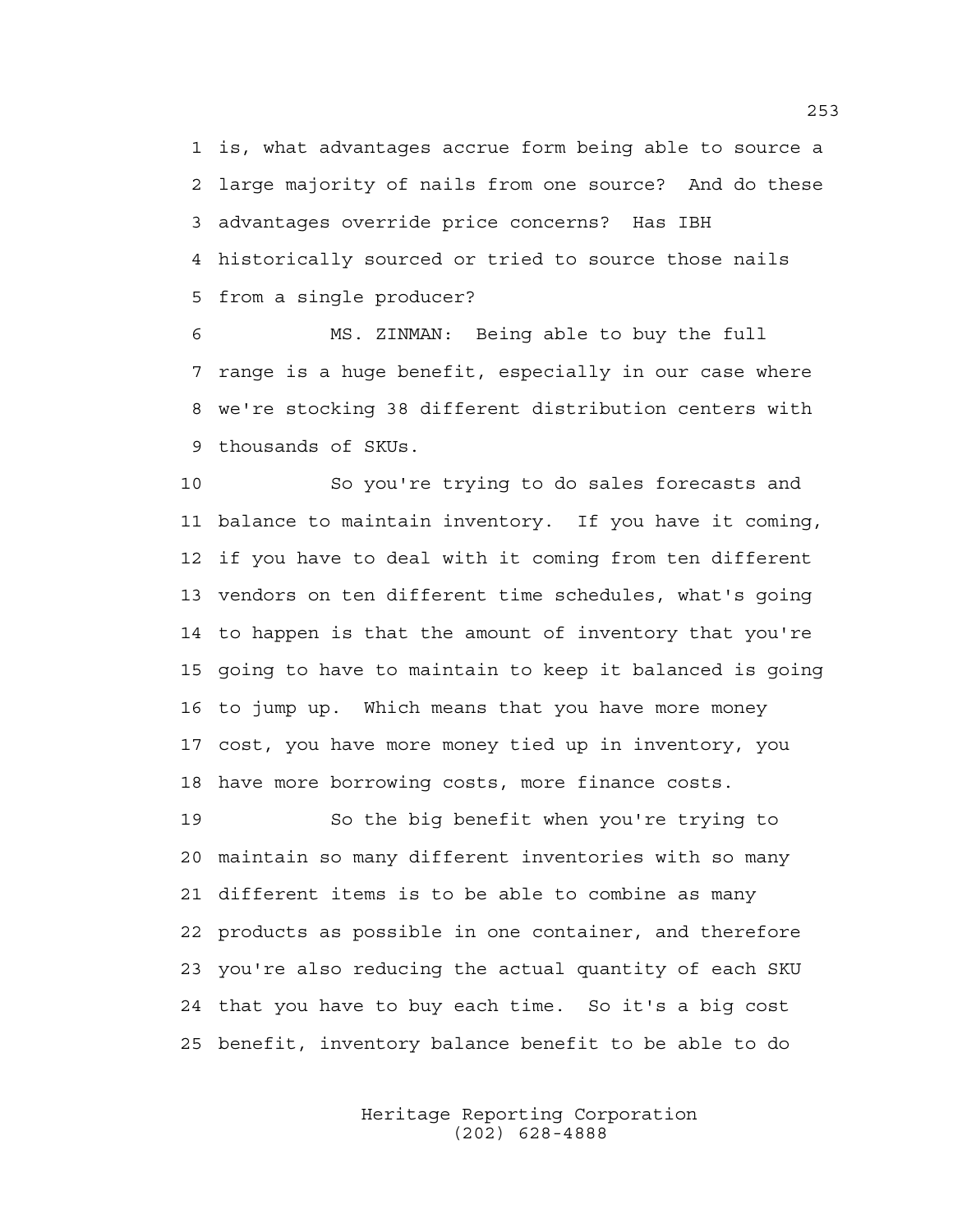1 is, what advantages accrue form being able to source a 2 large majority of nails from one source? And do these 3 advantages override price concerns? Has IBH 4 historically sourced or tried to source those nails 5 from a single producer?

6 MS. ZINMAN: Being able to buy the full 7 range is a huge benefit, especially in our case where 8 we're stocking 38 different distribution centers with 9 thousands of SKUs.

10 So you're trying to do sales forecasts and 11 balance to maintain inventory. If you have it coming, 12 if you have to deal with it coming from ten different 13 vendors on ten different time schedules, what's going 14 to happen is that the amount of inventory that you're 15 going to have to maintain to keep it balanced is going 16 to jump up. Which means that you have more money 17 cost, you have more money tied up in inventory, you 18 have more borrowing costs, more finance costs.

19 So the big benefit when you're trying to 20 maintain so many different inventories with so many 21 different items is to be able to combine as many 22 products as possible in one container, and therefore 23 you're also reducing the actual quantity of each SKU 24 that you have to buy each time. So it's a big cost 25 benefit, inventory balance benefit to be able to do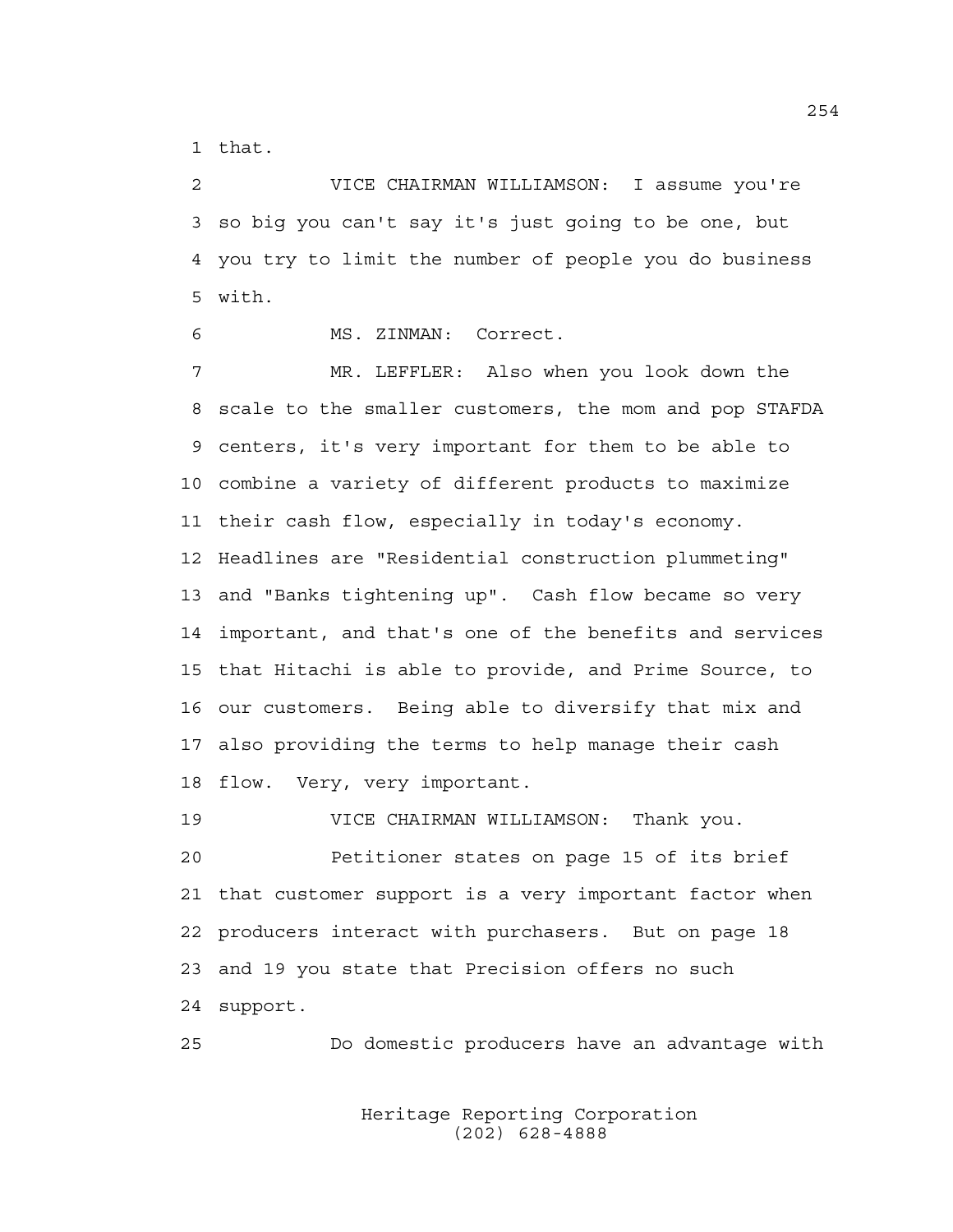1 that.

2 VICE CHAIRMAN WILLIAMSON: I assume you're 3 so big you can't say it's just going to be one, but 4 you try to limit the number of people you do business 5 with.

6 MS. ZINMAN: Correct.

7 MR. LEFFLER: Also when you look down the 8 scale to the smaller customers, the mom and pop STAFDA 9 centers, it's very important for them to be able to 10 combine a variety of different products to maximize 11 their cash flow, especially in today's economy. 12 Headlines are "Residential construction plummeting" 13 and "Banks tightening up". Cash flow became so very 14 important, and that's one of the benefits and services 15 that Hitachi is able to provide, and Prime Source, to 16 our customers. Being able to diversify that mix and 17 also providing the terms to help manage their cash 18 flow. Very, very important.

19 VICE CHAIRMAN WILLIAMSON: Thank you. 20 Petitioner states on page 15 of its brief 21 that customer support is a very important factor when 22 producers interact with purchasers. But on page 18 23 and 19 you state that Precision offers no such 24 support.

25 Do domestic producers have an advantage with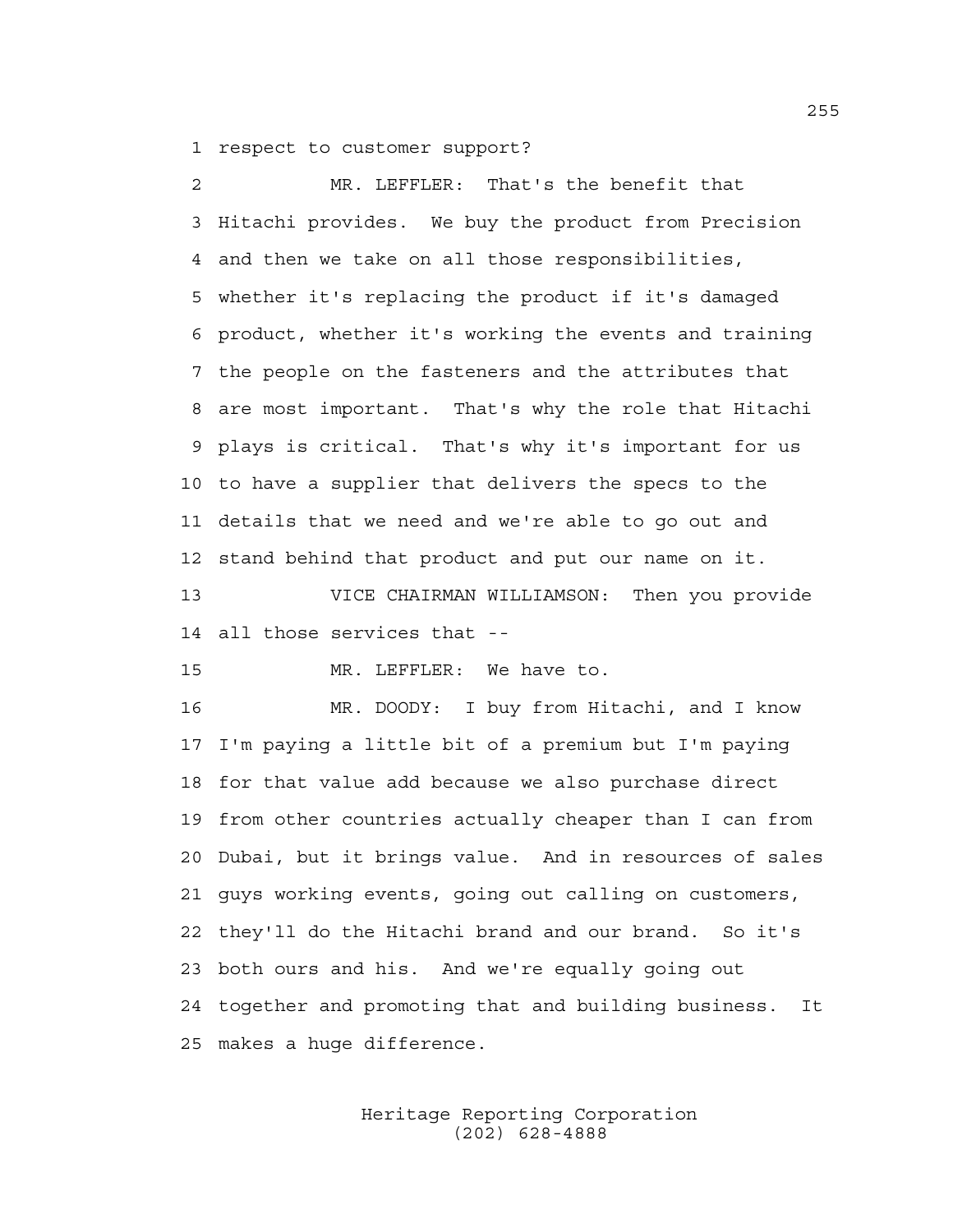1 respect to customer support?

2 MR. LEFFLER: That's the benefit that 3 Hitachi provides. We buy the product from Precision 4 and then we take on all those responsibilities, 5 whether it's replacing the product if it's damaged 6 product, whether it's working the events and training 7 the people on the fasteners and the attributes that 8 are most important. That's why the role that Hitachi 9 plays is critical. That's why it's important for us 10 to have a supplier that delivers the specs to the 11 details that we need and we're able to go out and 12 stand behind that product and put our name on it.

13 VICE CHAIRMAN WILLIAMSON: Then you provide 14 all those services that --

15 MR. LEFFLER: We have to.

16 MR. DOODY: I buy from Hitachi, and I know 17 I'm paying a little bit of a premium but I'm paying 18 for that value add because we also purchase direct 19 from other countries actually cheaper than I can from 20 Dubai, but it brings value. And in resources of sales 21 guys working events, going out calling on customers, 22 they'll do the Hitachi brand and our brand. So it's 23 both ours and his. And we're equally going out 24 together and promoting that and building business. It 25 makes a huge difference.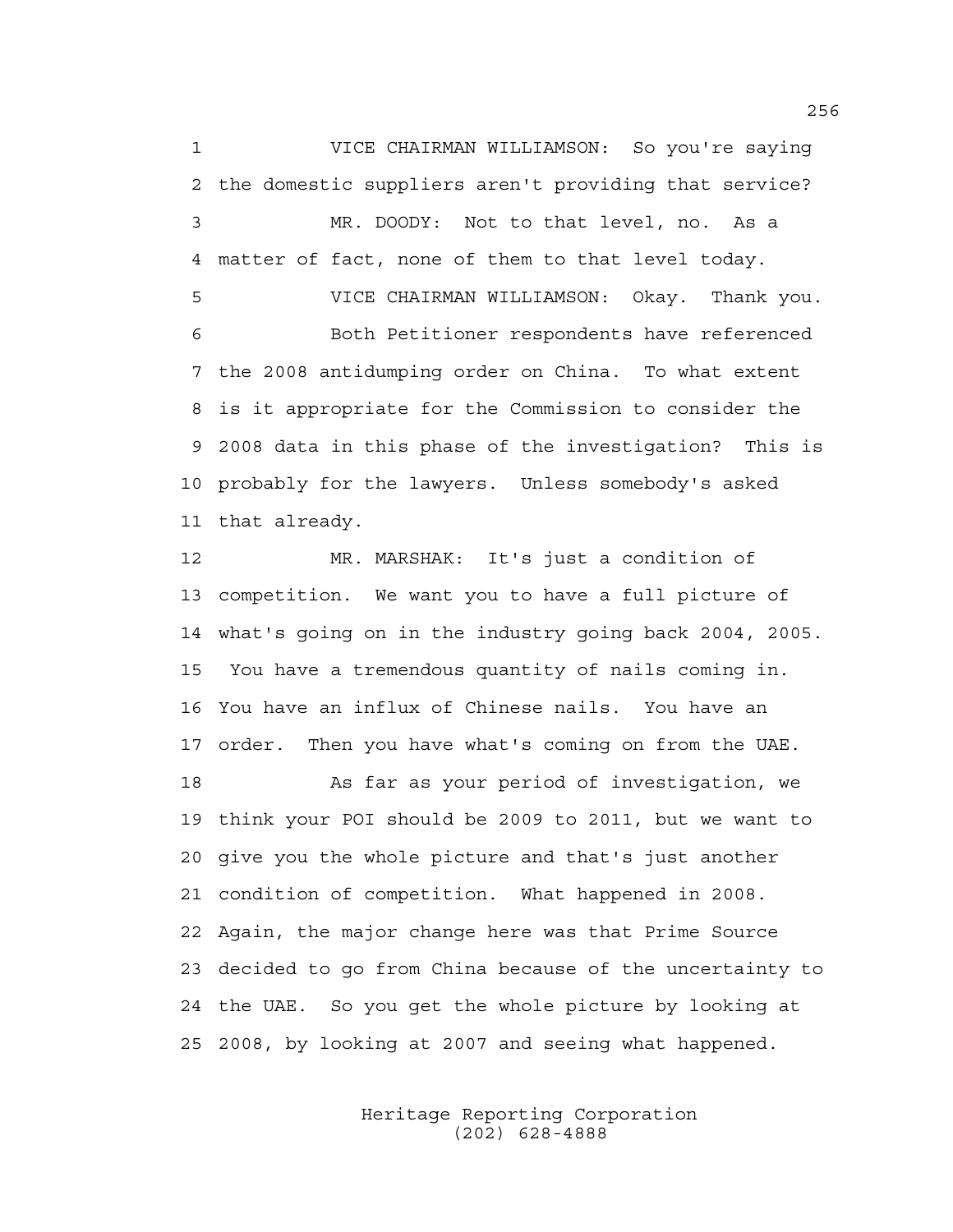1 VICE CHAIRMAN WILLIAMSON: So you're saying 2 the domestic suppliers aren't providing that service? 3 MR. DOODY: Not to that level, no. As a 4 matter of fact, none of them to that level today. 5 VICE CHAIRMAN WILLIAMSON: Okay. Thank you. 6 Both Petitioner respondents have referenced 7 the 2008 antidumping order on China. To what extent 8 is it appropriate for the Commission to consider the 9 2008 data in this phase of the investigation? This is 10 probably for the lawyers. Unless somebody's asked 11 that already.

12 MR. MARSHAK: It's just a condition of 13 competition. We want you to have a full picture of 14 what's going on in the industry going back 2004, 2005. 15 You have a tremendous quantity of nails coming in. 16 You have an influx of Chinese nails. You have an 17 order. Then you have what's coming on from the UAE.

18 As far as your period of investigation, we 19 think your POI should be 2009 to 2011, but we want to 20 give you the whole picture and that's just another 21 condition of competition. What happened in 2008. 22 Again, the major change here was that Prime Source 23 decided to go from China because of the uncertainty to 24 the UAE. So you get the whole picture by looking at 25 2008, by looking at 2007 and seeing what happened.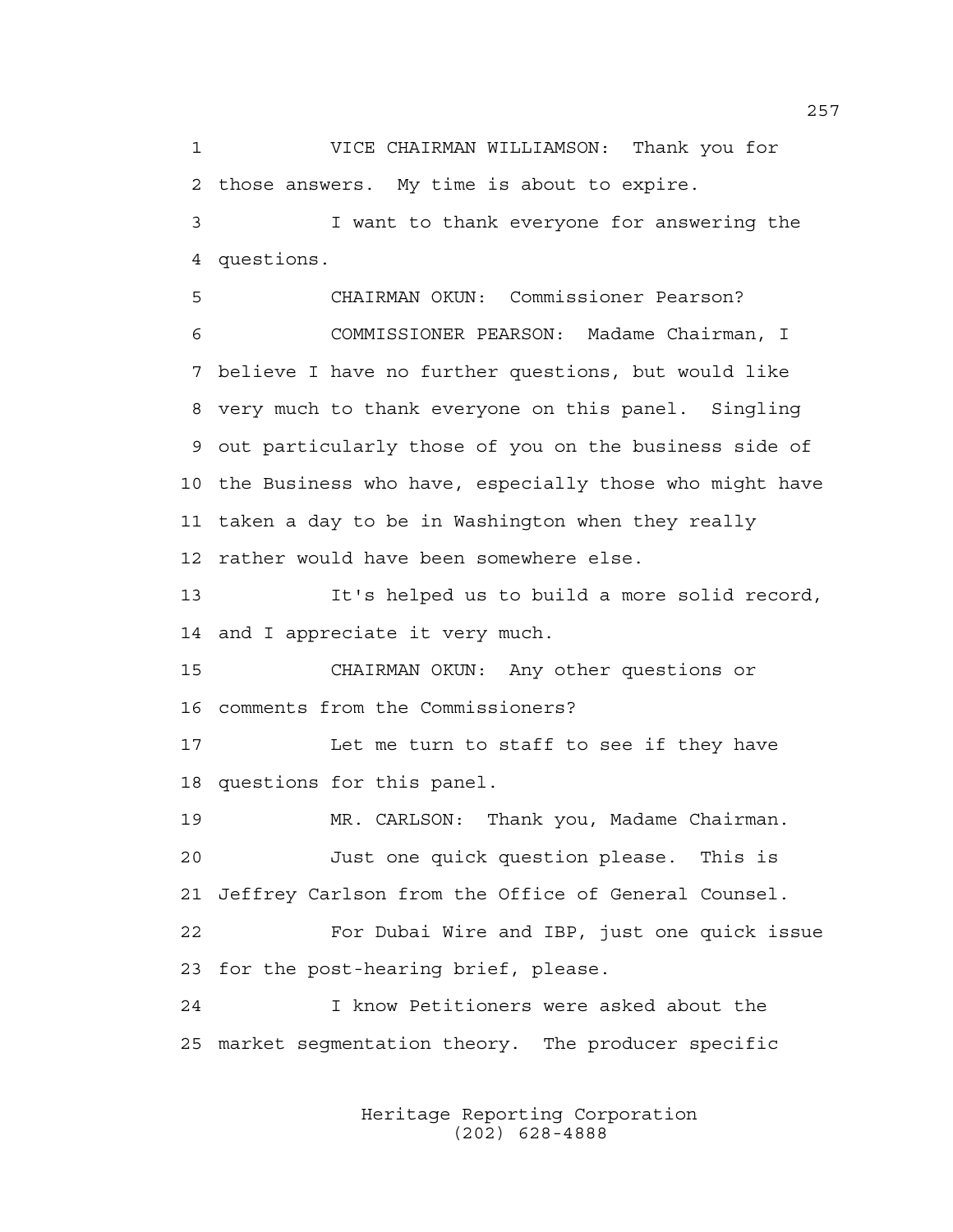1 VICE CHAIRMAN WILLIAMSON: Thank you for 2 those answers. My time is about to expire.

3 I want to thank everyone for answering the 4 questions.

5 CHAIRMAN OKUN: Commissioner Pearson? 6 COMMISSIONER PEARSON: Madame Chairman, I 7 believe I have no further questions, but would like 8 very much to thank everyone on this panel. Singling 9 out particularly those of you on the business side of 10 the Business who have, especially those who might have 11 taken a day to be in Washington when they really 12 rather would have been somewhere else.

13 It's helped us to build a more solid record, 14 and I appreciate it very much.

15 CHAIRMAN OKUN: Any other questions or 16 comments from the Commissioners?

17 Let me turn to staff to see if they have 18 questions for this panel.

19 MR. CARLSON: Thank you, Madame Chairman. 20 Just one quick question please. This is 21 Jeffrey Carlson from the Office of General Counsel.

22 For Dubai Wire and IBP, just one quick issue 23 for the post-hearing brief, please.

24 I know Petitioners were asked about the 25 market segmentation theory. The producer specific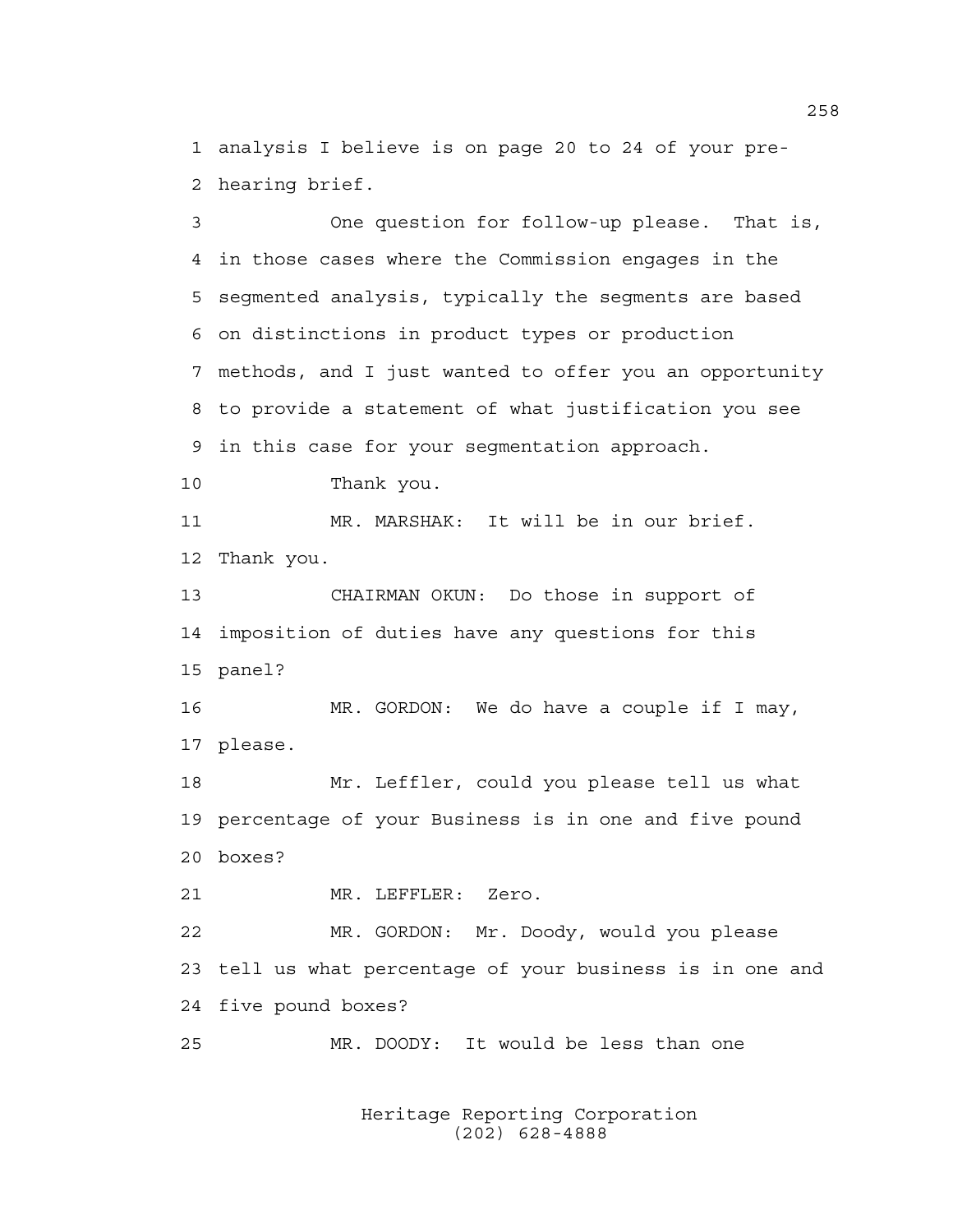1 analysis I believe is on page 20 to 24 of your pre-2 hearing brief.

3 One question for follow-up please. That is, 4 in those cases where the Commission engages in the 5 segmented analysis, typically the segments are based 6 on distinctions in product types or production 7 methods, and I just wanted to offer you an opportunity 8 to provide a statement of what justification you see 9 in this case for your segmentation approach. 10 Thank you. 11 MR. MARSHAK: It will be in our brief. 12 Thank you. 13 CHAIRMAN OKUN: Do those in support of 14 imposition of duties have any questions for this 15 panel? 16 MR. GORDON: We do have a couple if I may, 17 please. 18 Mr. Leffler, could you please tell us what 19 percentage of your Business is in one and five pound 20 boxes? 21 MR. LEFFLER: Zero. 22 MR. GORDON: Mr. Doody, would you please 23 tell us what percentage of your business is in one and

24 five pound boxes?

25 MR. DOODY: It would be less than one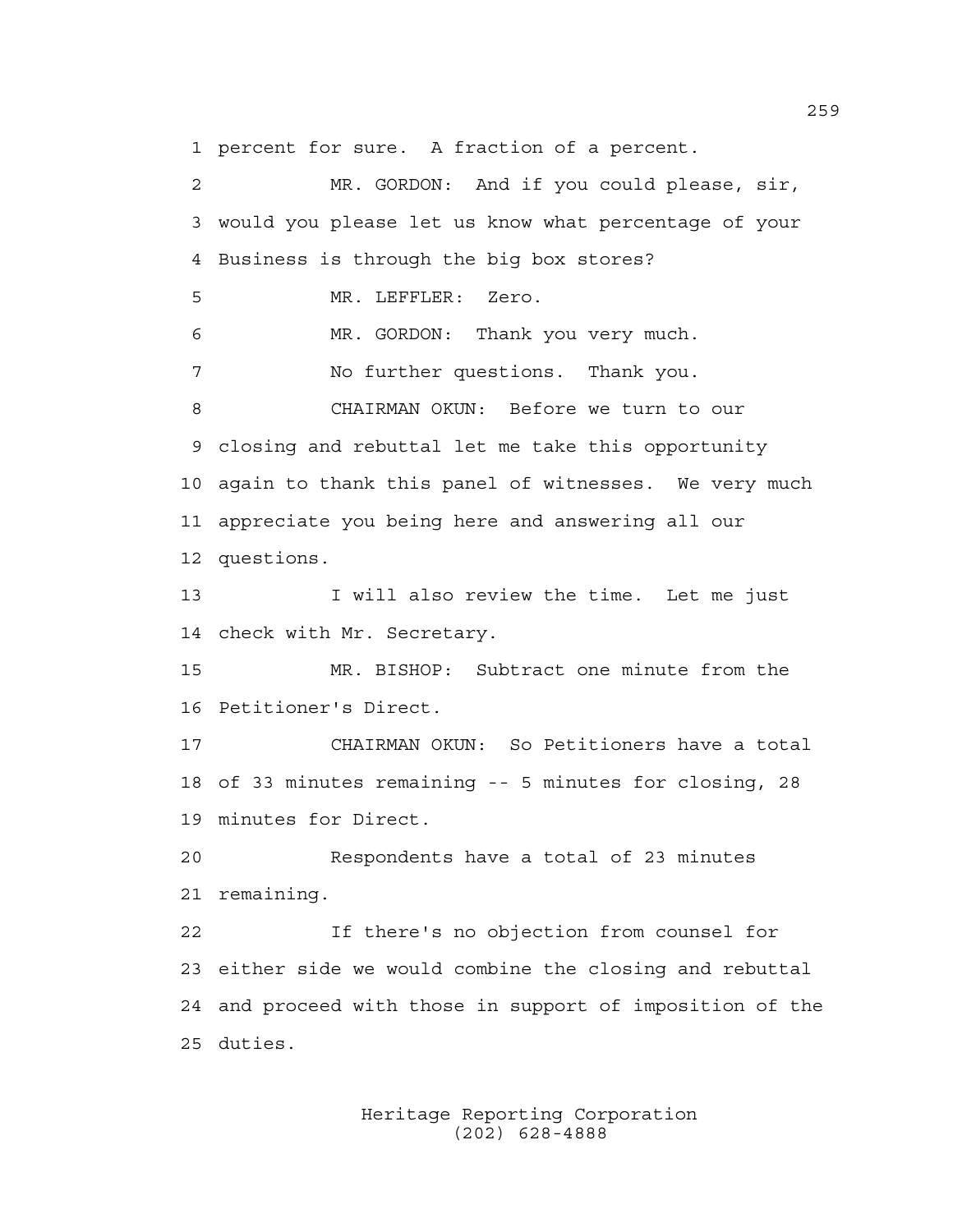1 percent for sure. A fraction of a percent.

2 MR. GORDON: And if you could please, sir, 3 would you please let us know what percentage of your 4 Business is through the big box stores? 5 MR. LEFFLER: Zero. 6 MR. GORDON: Thank you very much. 7 No further questions. Thank you. 8 CHAIRMAN OKUN: Before we turn to our 9 closing and rebuttal let me take this opportunity 10 again to thank this panel of witnesses. We very much 11 appreciate you being here and answering all our 12 questions. 13 I will also review the time. Let me just 14 check with Mr. Secretary. 15 MR. BISHOP: Subtract one minute from the 16 Petitioner's Direct. 17 CHAIRMAN OKUN: So Petitioners have a total 18 of 33 minutes remaining -- 5 minutes for closing, 28 19 minutes for Direct. 20 Respondents have a total of 23 minutes 21 remaining. 22 If there's no objection from counsel for 23 either side we would combine the closing and rebuttal 24 and proceed with those in support of imposition of the 25 duties.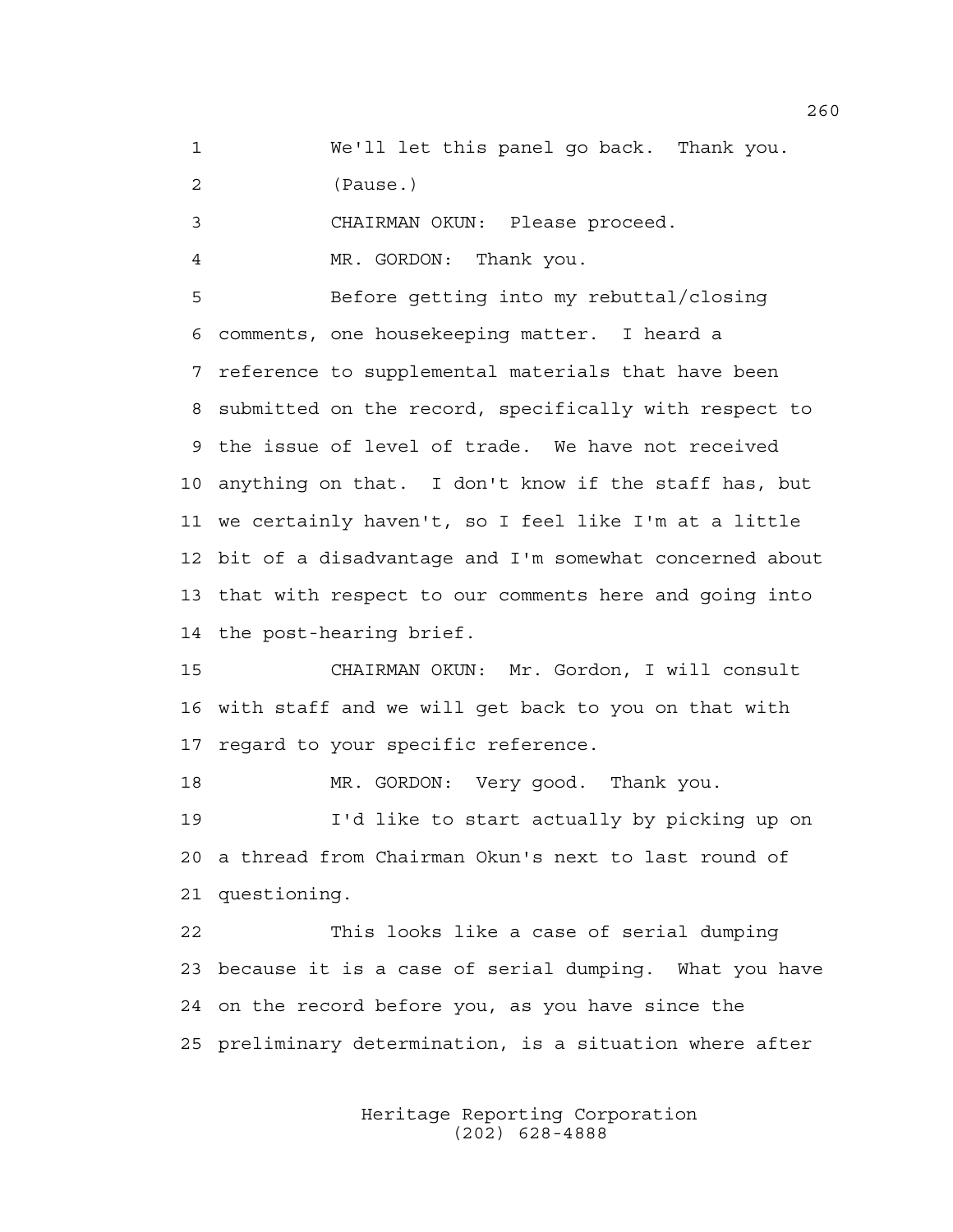1 We'll let this panel go back. Thank you.

2 (Pause.)

3 CHAIRMAN OKUN: Please proceed.

4 MR. GORDON: Thank you.

5 Before getting into my rebuttal/closing 6 comments, one housekeeping matter. I heard a 7 reference to supplemental materials that have been 8 submitted on the record, specifically with respect to 9 the issue of level of trade. We have not received 10 anything on that. I don't know if the staff has, but 11 we certainly haven't, so I feel like I'm at a little 12 bit of a disadvantage and I'm somewhat concerned about 13 that with respect to our comments here and going into 14 the post-hearing brief.

15 CHAIRMAN OKUN: Mr. Gordon, I will consult 16 with staff and we will get back to you on that with 17 regard to your specific reference.

18 MR. GORDON: Very good. Thank you. 19 I'd like to start actually by picking up on 20 a thread from Chairman Okun's next to last round of 21 questioning.

22 This looks like a case of serial dumping 23 because it is a case of serial dumping. What you have 24 on the record before you, as you have since the 25 preliminary determination, is a situation where after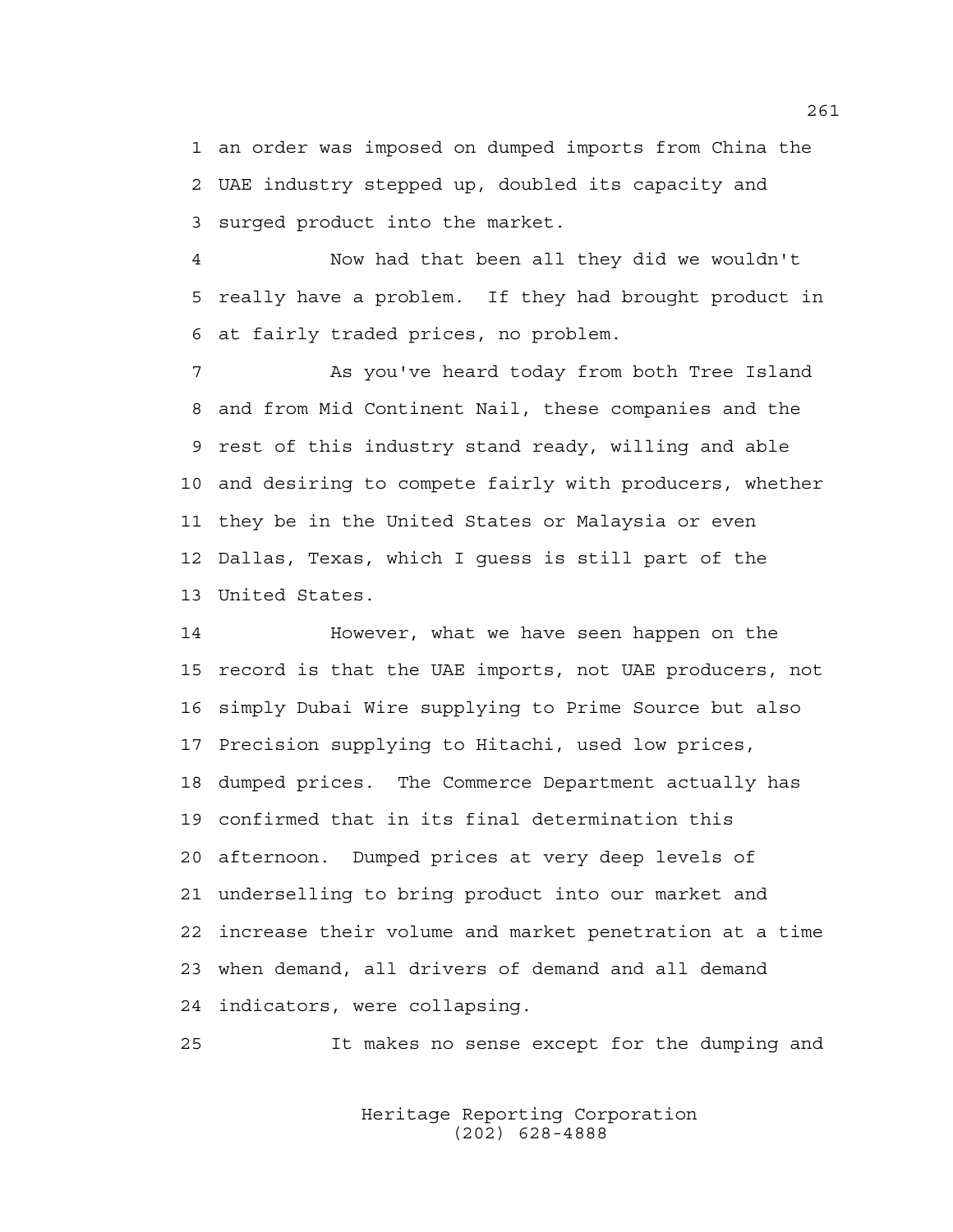1 an order was imposed on dumped imports from China the 2 UAE industry stepped up, doubled its capacity and 3 surged product into the market.

4 Now had that been all they did we wouldn't 5 really have a problem. If they had brought product in 6 at fairly traded prices, no problem.

7 As you've heard today from both Tree Island 8 and from Mid Continent Nail, these companies and the 9 rest of this industry stand ready, willing and able 10 and desiring to compete fairly with producers, whether 11 they be in the United States or Malaysia or even 12 Dallas, Texas, which I guess is still part of the 13 United States.

14 However, what we have seen happen on the 15 record is that the UAE imports, not UAE producers, not 16 simply Dubai Wire supplying to Prime Source but also 17 Precision supplying to Hitachi, used low prices, 18 dumped prices. The Commerce Department actually has 19 confirmed that in its final determination this 20 afternoon. Dumped prices at very deep levels of 21 underselling to bring product into our market and 22 increase their volume and market penetration at a time 23 when demand, all drivers of demand and all demand 24 indicators, were collapsing.

25 It makes no sense except for the dumping and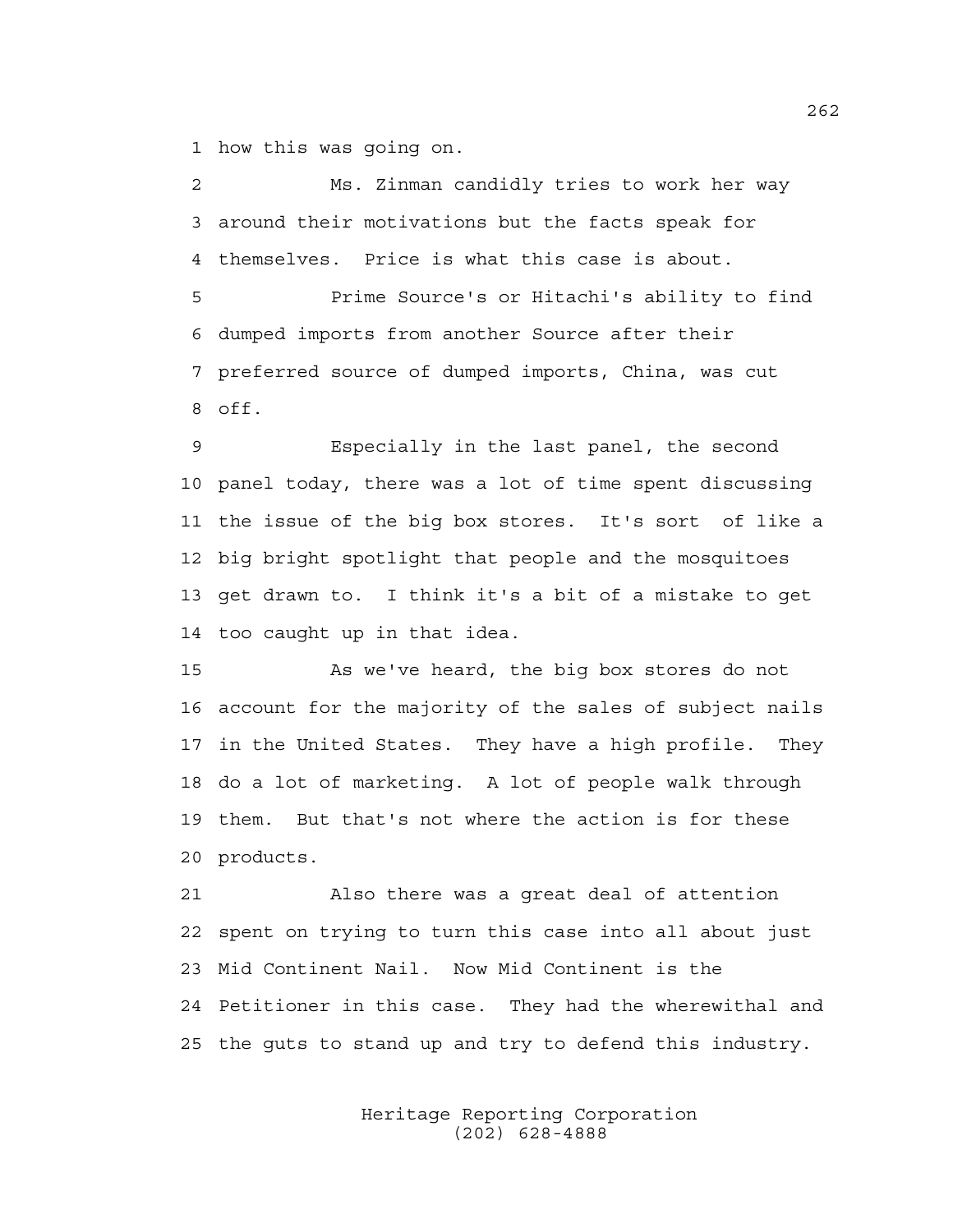1 how this was going on.

2 Ms. Zinman candidly tries to work her way 3 around their motivations but the facts speak for 4 themselves. Price is what this case is about.

5 Prime Source's or Hitachi's ability to find 6 dumped imports from another Source after their 7 preferred source of dumped imports, China, was cut 8 off.

9 Especially in the last panel, the second 10 panel today, there was a lot of time spent discussing 11 the issue of the big box stores. It's sort of like a 12 big bright spotlight that people and the mosquitoes 13 get drawn to. I think it's a bit of a mistake to get 14 too caught up in that idea.

15 As we've heard, the big box stores do not 16 account for the majority of the sales of subject nails 17 in the United States. They have a high profile. They 18 do a lot of marketing. A lot of people walk through 19 them. But that's not where the action is for these 20 products.

21 Also there was a great deal of attention 22 spent on trying to turn this case into all about just 23 Mid Continent Nail. Now Mid Continent is the 24 Petitioner in this case. They had the wherewithal and 25 the guts to stand up and try to defend this industry.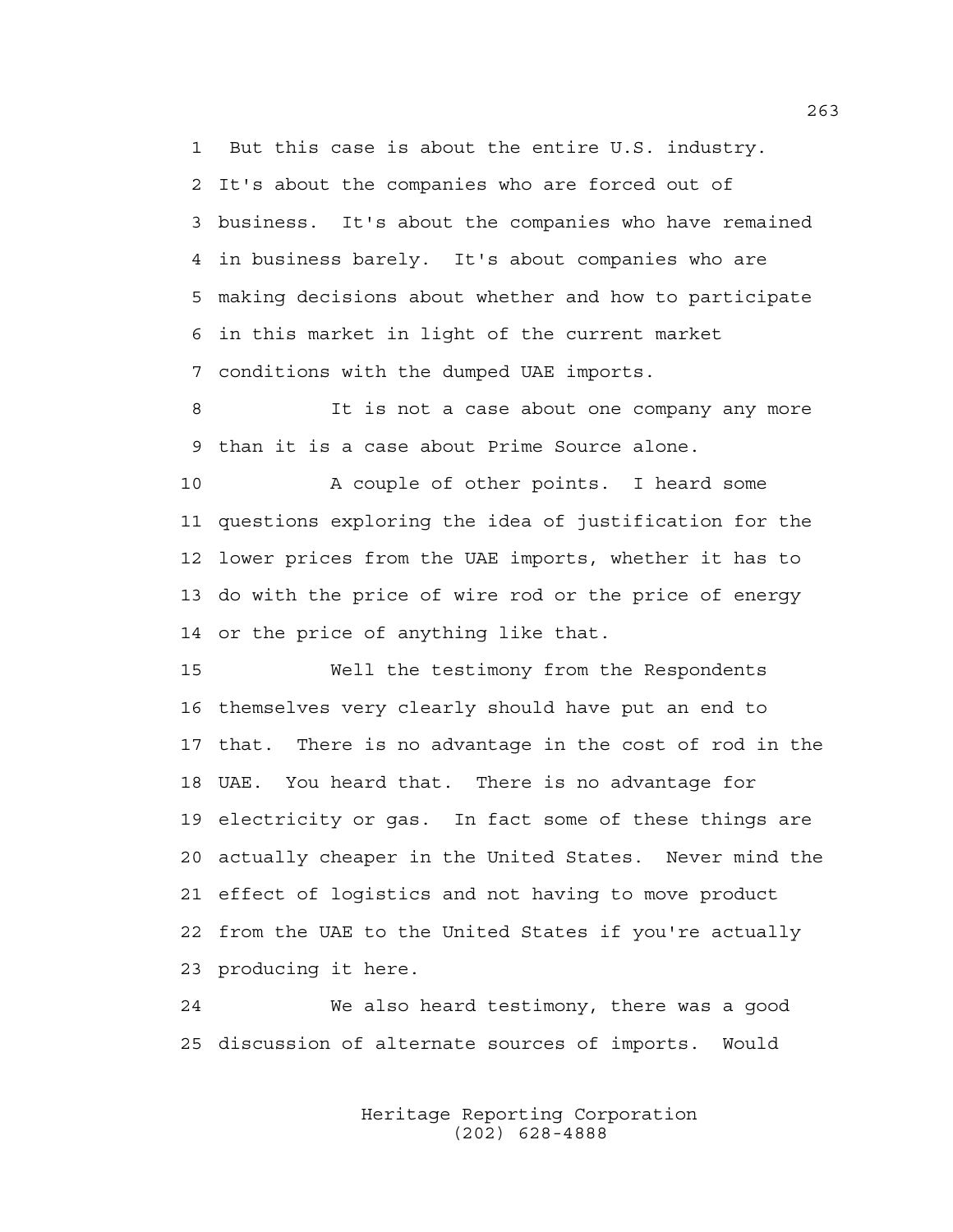1 But this case is about the entire U.S. industry. 2 It's about the companies who are forced out of 3 business. It's about the companies who have remained 4 in business barely. It's about companies who are 5 making decisions about whether and how to participate 6 in this market in light of the current market 7 conditions with the dumped UAE imports.

8 It is not a case about one company any more 9 than it is a case about Prime Source alone.

10 A couple of other points. I heard some 11 questions exploring the idea of justification for the 12 lower prices from the UAE imports, whether it has to 13 do with the price of wire rod or the price of energy 14 or the price of anything like that.

15 Well the testimony from the Respondents 16 themselves very clearly should have put an end to 17 that. There is no advantage in the cost of rod in the 18 UAE. You heard that. There is no advantage for 19 electricity or gas. In fact some of these things are 20 actually cheaper in the United States. Never mind the 21 effect of logistics and not having to move product 22 from the UAE to the United States if you're actually 23 producing it here.

24 We also heard testimony, there was a good 25 discussion of alternate sources of imports. Would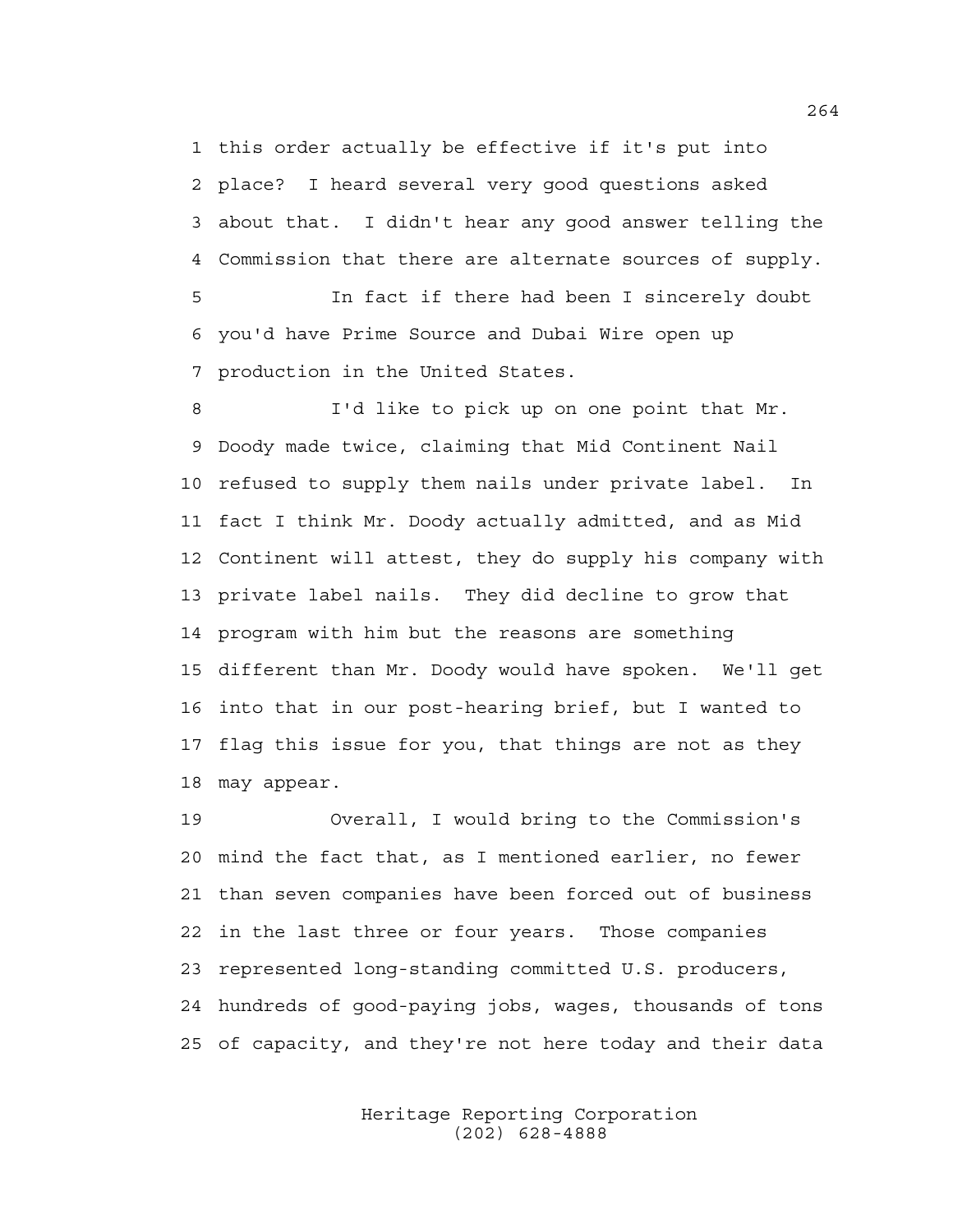1 this order actually be effective if it's put into 2 place? I heard several very good questions asked 3 about that. I didn't hear any good answer telling the 4 Commission that there are alternate sources of supply.

5 In fact if there had been I sincerely doubt 6 you'd have Prime Source and Dubai Wire open up 7 production in the United States.

8 I'd like to pick up on one point that Mr. 9 Doody made twice, claiming that Mid Continent Nail 10 refused to supply them nails under private label. In 11 fact I think Mr. Doody actually admitted, and as Mid 12 Continent will attest, they do supply his company with 13 private label nails. They did decline to grow that 14 program with him but the reasons are something 15 different than Mr. Doody would have spoken. We'll get 16 into that in our post-hearing brief, but I wanted to 17 flag this issue for you, that things are not as they 18 may appear.

19 Overall, I would bring to the Commission's 20 mind the fact that, as I mentioned earlier, no fewer 21 than seven companies have been forced out of business 22 in the last three or four years. Those companies 23 represented long-standing committed U.S. producers, 24 hundreds of good-paying jobs, wages, thousands of tons 25 of capacity, and they're not here today and their data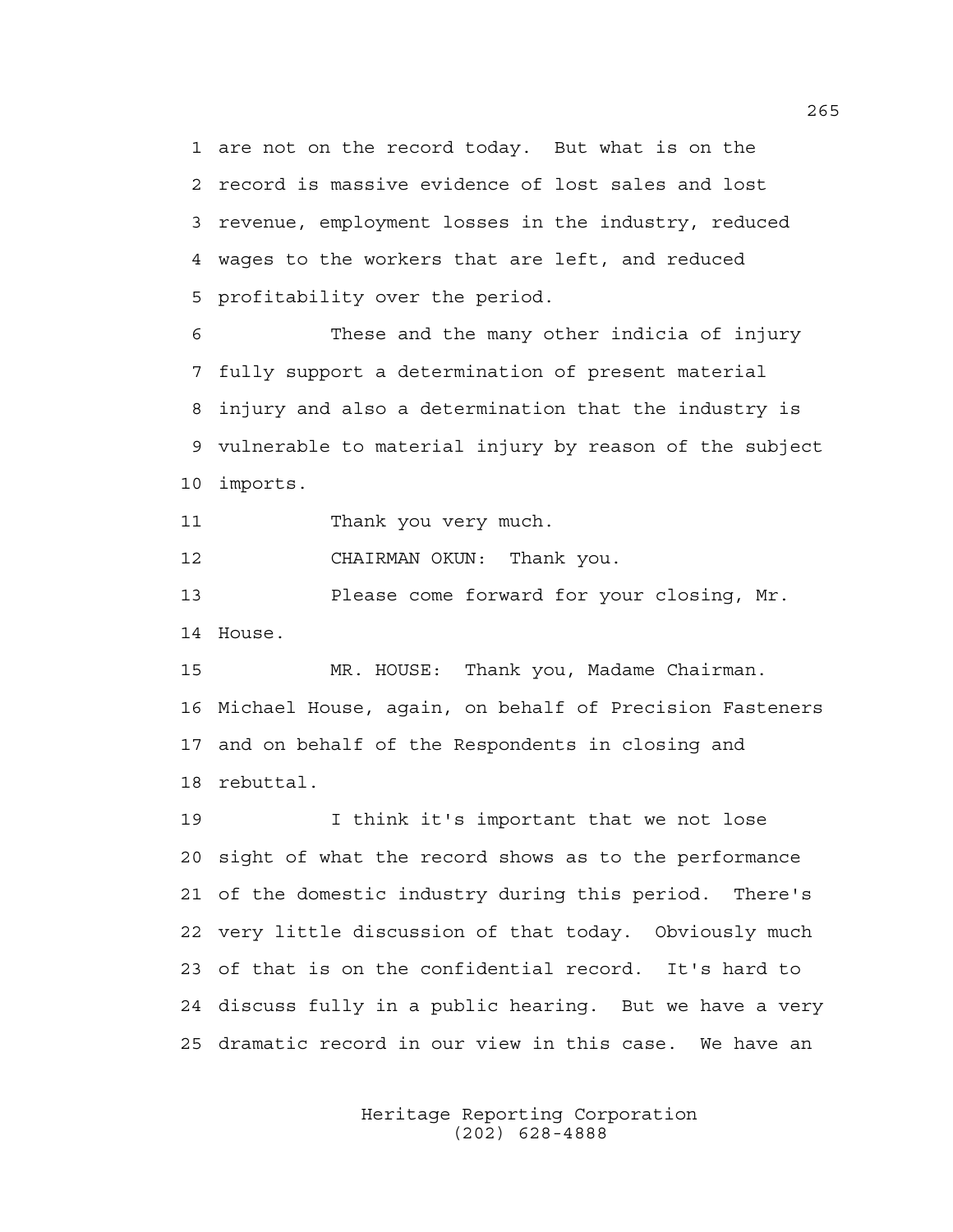1 are not on the record today. But what is on the 2 record is massive evidence of lost sales and lost 3 revenue, employment losses in the industry, reduced 4 wages to the workers that are left, and reduced 5 profitability over the period.

6 These and the many other indicia of injury 7 fully support a determination of present material 8 injury and also a determination that the industry is 9 vulnerable to material injury by reason of the subject 10 imports.

11 Thank you very much.

12 CHAIRMAN OKUN: Thank you.

13 Please come forward for your closing, Mr. 14 House.

15 MR. HOUSE: Thank you, Madame Chairman. 16 Michael House, again, on behalf of Precision Fasteners 17 and on behalf of the Respondents in closing and 18 rebuttal.

19 I think it's important that we not lose 20 sight of what the record shows as to the performance 21 of the domestic industry during this period. There's 22 very little discussion of that today. Obviously much 23 of that is on the confidential record. It's hard to 24 discuss fully in a public hearing. But we have a very 25 dramatic record in our view in this case. We have an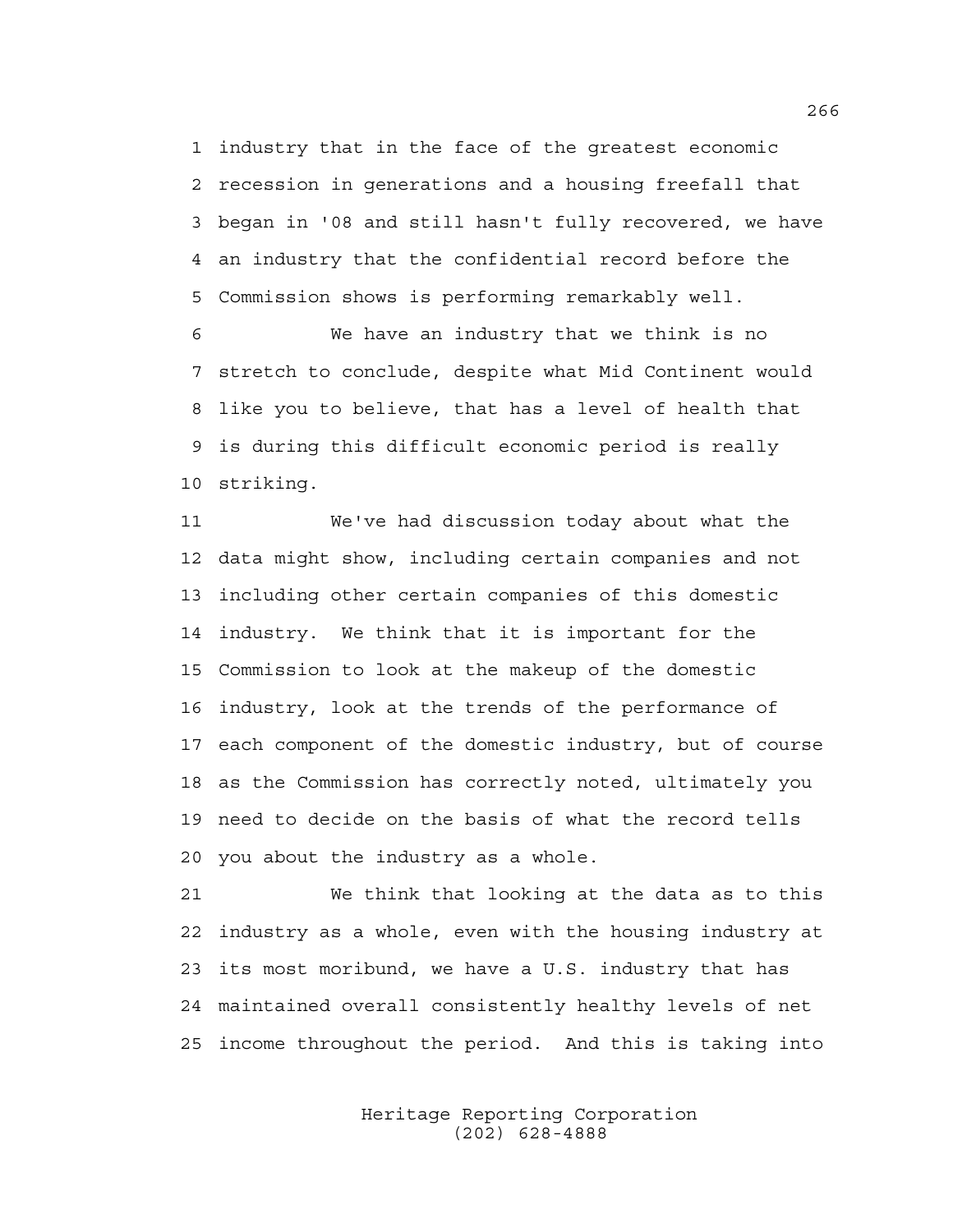1 industry that in the face of the greatest economic 2 recession in generations and a housing freefall that 3 began in '08 and still hasn't fully recovered, we have 4 an industry that the confidential record before the 5 Commission shows is performing remarkably well.

6 We have an industry that we think is no 7 stretch to conclude, despite what Mid Continent would 8 like you to believe, that has a level of health that 9 is during this difficult economic period is really 10 striking.

11 We've had discussion today about what the 12 data might show, including certain companies and not 13 including other certain companies of this domestic 14 industry. We think that it is important for the 15 Commission to look at the makeup of the domestic 16 industry, look at the trends of the performance of 17 each component of the domestic industry, but of course 18 as the Commission has correctly noted, ultimately you 19 need to decide on the basis of what the record tells 20 you about the industry as a whole.

21 We think that looking at the data as to this 22 industry as a whole, even with the housing industry at 23 its most moribund, we have a U.S. industry that has 24 maintained overall consistently healthy levels of net 25 income throughout the period. And this is taking into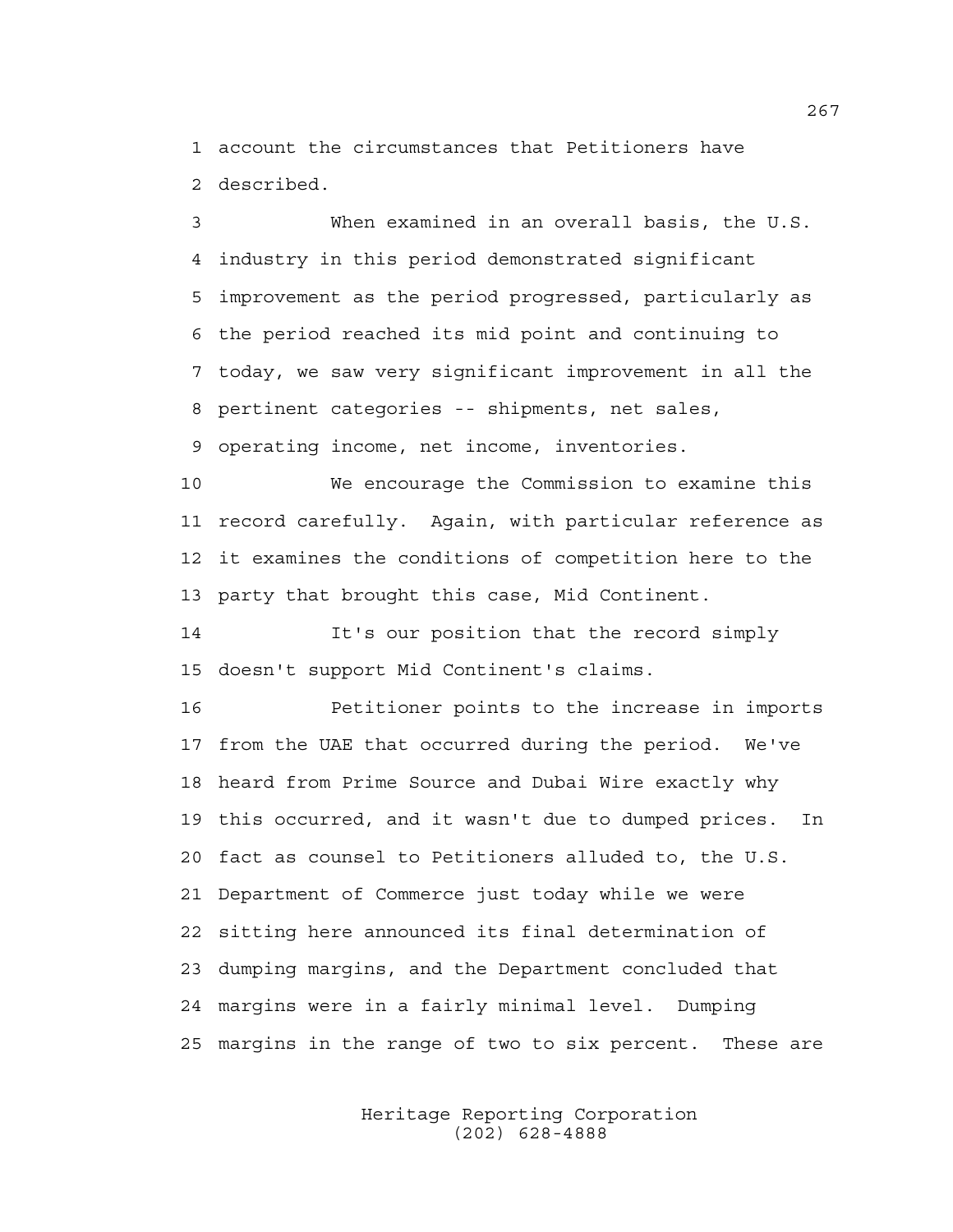1 account the circumstances that Petitioners have 2 described.

3 When examined in an overall basis, the U.S. 4 industry in this period demonstrated significant 5 improvement as the period progressed, particularly as 6 the period reached its mid point and continuing to 7 today, we saw very significant improvement in all the 8 pertinent categories -- shipments, net sales, 9 operating income, net income, inventories.

10 We encourage the Commission to examine this 11 record carefully. Again, with particular reference as 12 it examines the conditions of competition here to the 13 party that brought this case, Mid Continent.

14 It's our position that the record simply 15 doesn't support Mid Continent's claims.

16 Petitioner points to the increase in imports 17 from the UAE that occurred during the period. We've 18 heard from Prime Source and Dubai Wire exactly why 19 this occurred, and it wasn't due to dumped prices. In 20 fact as counsel to Petitioners alluded to, the U.S. 21 Department of Commerce just today while we were 22 sitting here announced its final determination of 23 dumping margins, and the Department concluded that 24 margins were in a fairly minimal level. Dumping 25 margins in the range of two to six percent. These are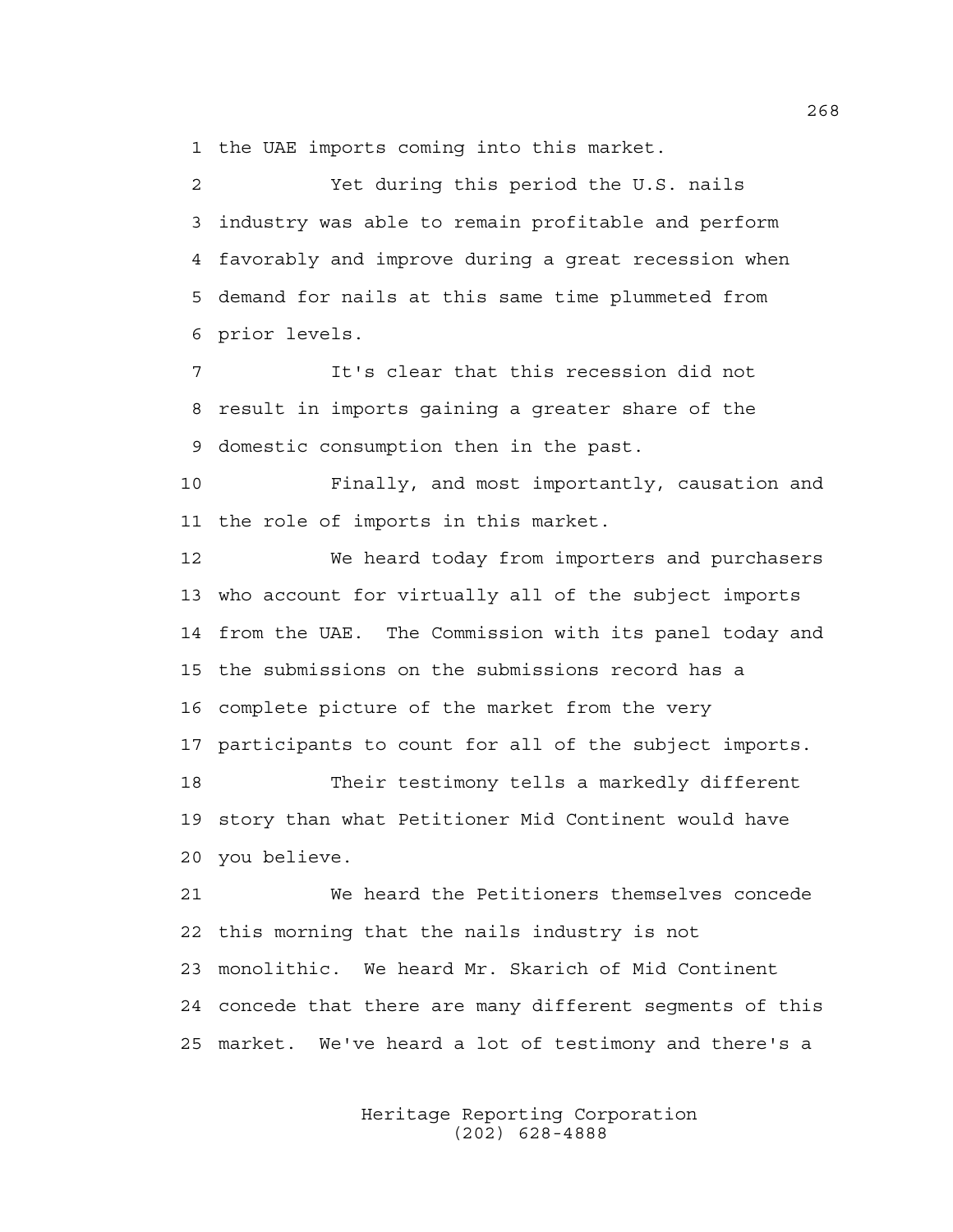1 the UAE imports coming into this market.

2 Yet during this period the U.S. nails 3 industry was able to remain profitable and perform 4 favorably and improve during a great recession when 5 demand for nails at this same time plummeted from 6 prior levels.

7 It's clear that this recession did not 8 result in imports gaining a greater share of the 9 domestic consumption then in the past.

10 Finally, and most importantly, causation and 11 the role of imports in this market.

12 We heard today from importers and purchasers 13 who account for virtually all of the subject imports 14 from the UAE. The Commission with its panel today and 15 the submissions on the submissions record has a 16 complete picture of the market from the very 17 participants to count for all of the subject imports. 18 Their testimony tells a markedly different 19 story than what Petitioner Mid Continent would have 20 you believe.

21 We heard the Petitioners themselves concede 22 this morning that the nails industry is not 23 monolithic. We heard Mr. Skarich of Mid Continent 24 concede that there are many different segments of this 25 market. We've heard a lot of testimony and there's a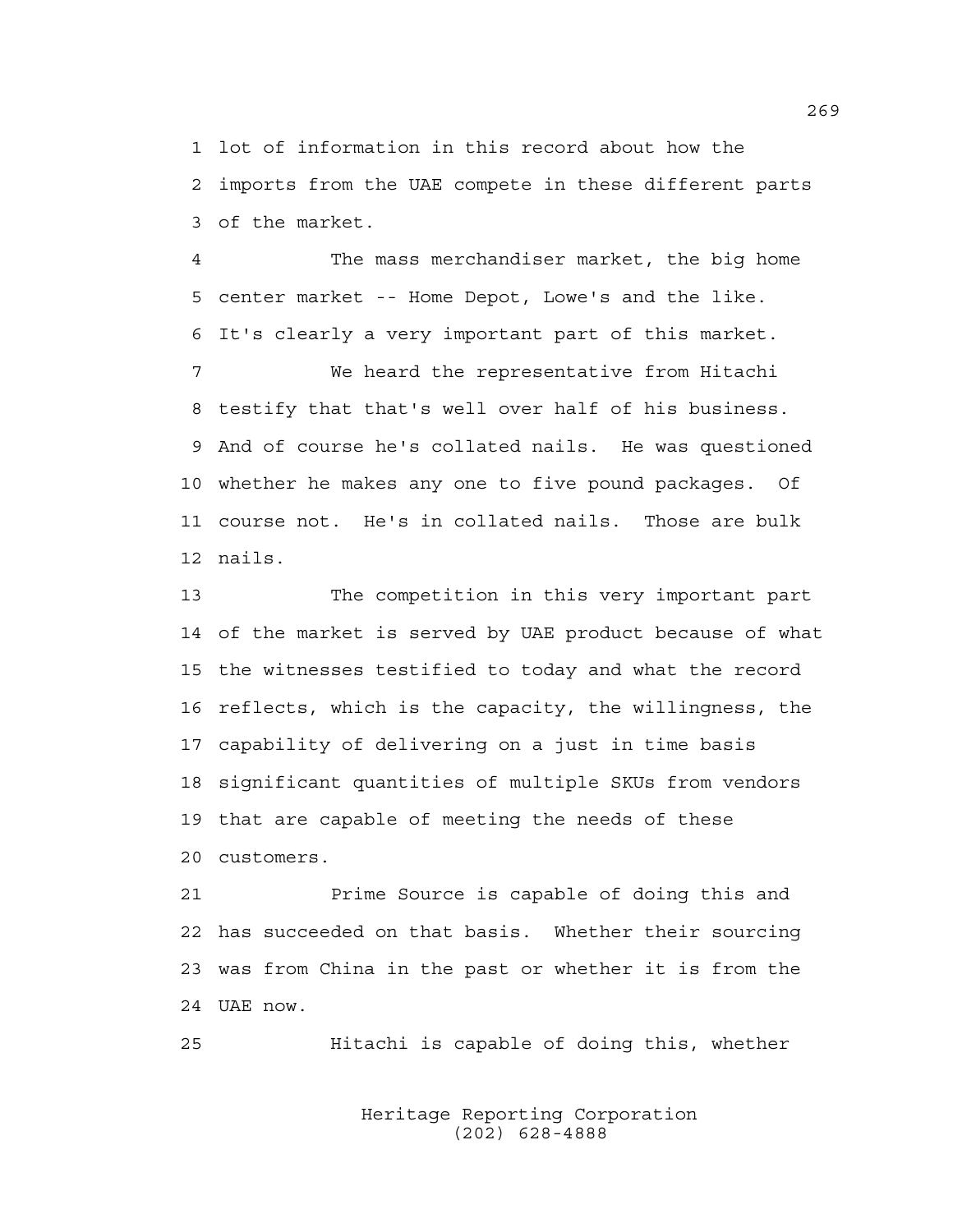1 lot of information in this record about how the 2 imports from the UAE compete in these different parts 3 of the market.

4 The mass merchandiser market, the big home 5 center market -- Home Depot, Lowe's and the like. 6 It's clearly a very important part of this market.

7 We heard the representative from Hitachi 8 testify that that's well over half of his business. 9 And of course he's collated nails. He was questioned 10 whether he makes any one to five pound packages. Of 11 course not. He's in collated nails. Those are bulk 12 nails.

13 The competition in this very important part 14 of the market is served by UAE product because of what 15 the witnesses testified to today and what the record 16 reflects, which is the capacity, the willingness, the 17 capability of delivering on a just in time basis 18 significant quantities of multiple SKUs from vendors 19 that are capable of meeting the needs of these 20 customers.

21 Prime Source is capable of doing this and 22 has succeeded on that basis. Whether their sourcing 23 was from China in the past or whether it is from the 24 UAE now.

25 Hitachi is capable of doing this, whether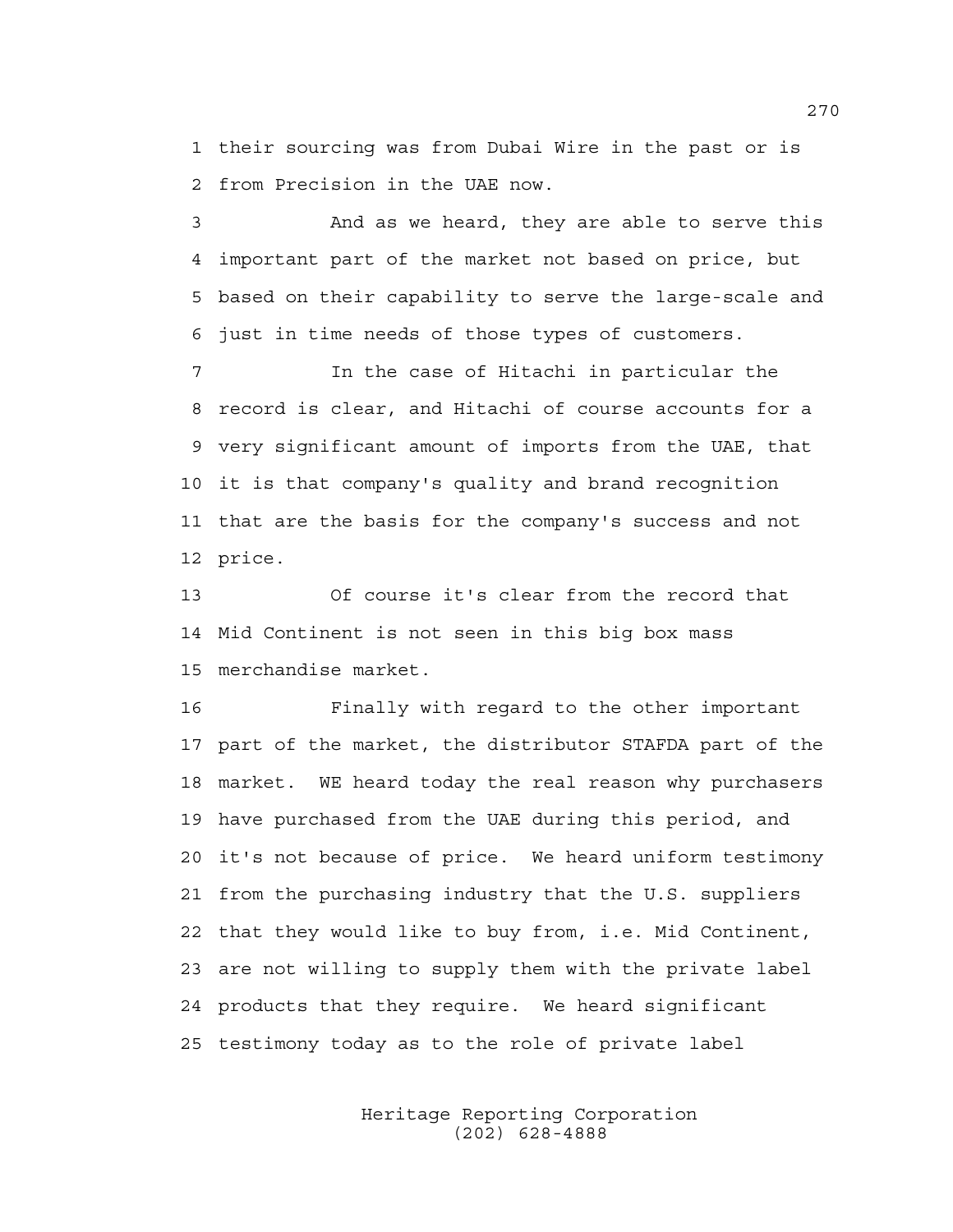1 their sourcing was from Dubai Wire in the past or is 2 from Precision in the UAE now.

3 And as we heard, they are able to serve this 4 important part of the market not based on price, but 5 based on their capability to serve the large-scale and 6 just in time needs of those types of customers.

7 In the case of Hitachi in particular the 8 record is clear, and Hitachi of course accounts for a 9 very significant amount of imports from the UAE, that 10 it is that company's quality and brand recognition 11 that are the basis for the company's success and not 12 price.

13 Of course it's clear from the record that 14 Mid Continent is not seen in this big box mass 15 merchandise market.

16 Finally with regard to the other important 17 part of the market, the distributor STAFDA part of the 18 market. WE heard today the real reason why purchasers 19 have purchased from the UAE during this period, and 20 it's not because of price. We heard uniform testimony 21 from the purchasing industry that the U.S. suppliers 22 that they would like to buy from, i.e. Mid Continent, 23 are not willing to supply them with the private label 24 products that they require. We heard significant 25 testimony today as to the role of private label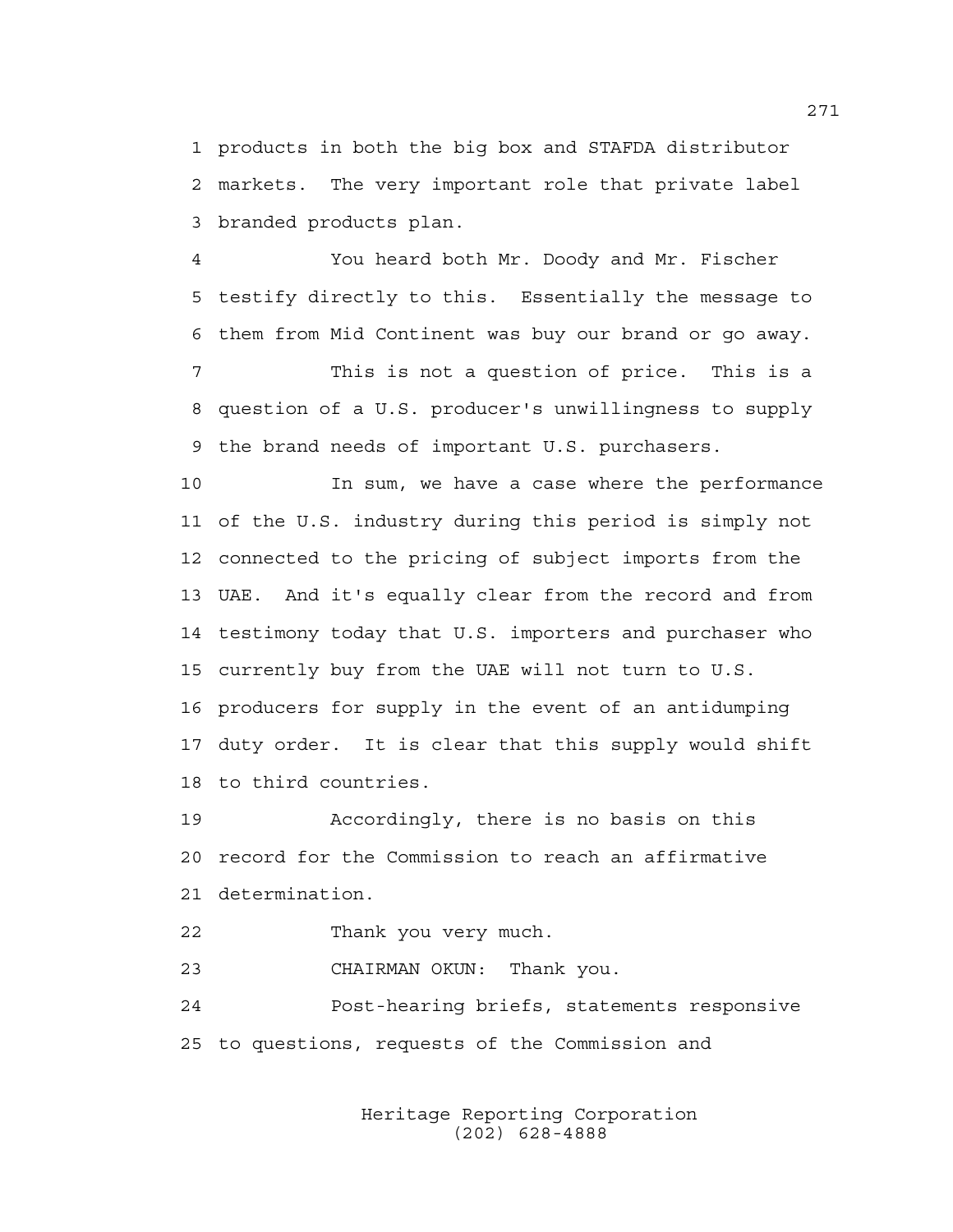1 products in both the big box and STAFDA distributor 2 markets. The very important role that private label 3 branded products plan.

4 You heard both Mr. Doody and Mr. Fischer 5 testify directly to this. Essentially the message to 6 them from Mid Continent was buy our brand or go away.

7 This is not a question of price. This is a 8 question of a U.S. producer's unwillingness to supply 9 the brand needs of important U.S. purchasers.

10 In sum, we have a case where the performance 11 of the U.S. industry during this period is simply not 12 connected to the pricing of subject imports from the 13 UAE. And it's equally clear from the record and from 14 testimony today that U.S. importers and purchaser who 15 currently buy from the UAE will not turn to U.S. 16 producers for supply in the event of an antidumping 17 duty order. It is clear that this supply would shift 18 to third countries.

19 Accordingly, there is no basis on this 20 record for the Commission to reach an affirmative 21 determination.

22 Thank you very much.

23 CHAIRMAN OKUN: Thank you.

24 Post-hearing briefs, statements responsive 25 to questions, requests of the Commission and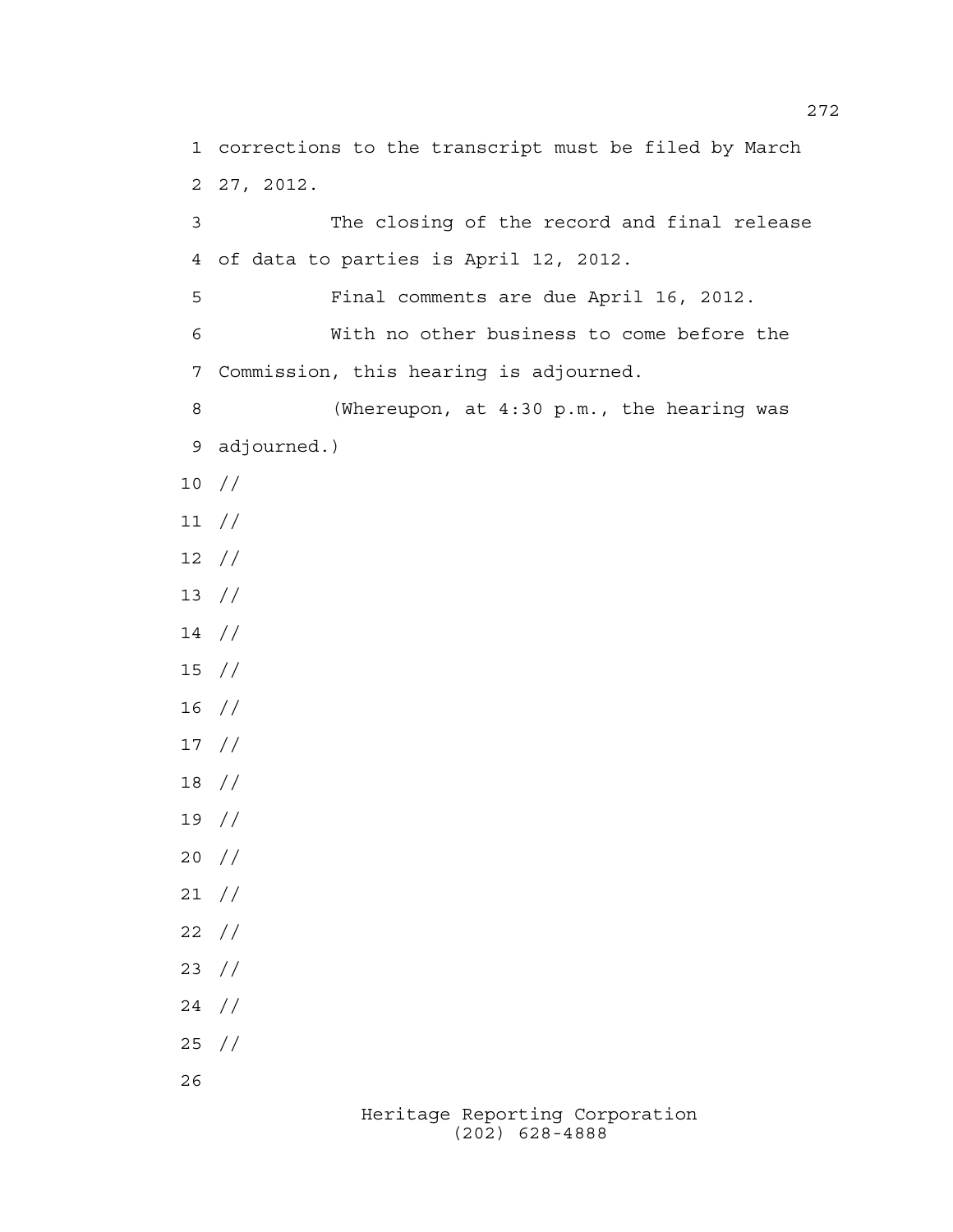Heritage Reporting Corporation 3 The closing of the record and final release 4 of data to parties is April 12, 2012. 5 Final comments are due April 16, 2012. 6 With no other business to come before the 7 Commission, this hearing is adjourned. 8 (Whereupon, at 4:30 p.m., the hearing was 9 adjourned.) 10 // 11 // 12 // 13 // 14 // 15 // 16 // 17 // 18 // 19 // 20 // 21 // 22 // 23 // 24 // 25 // 26

1 corrections to the transcript must be filed by March

2 27, 2012.